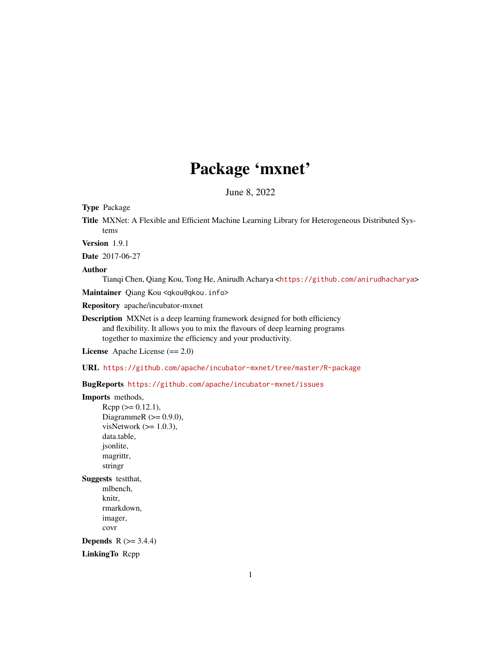# Package 'mxnet'

June 8, 2022

Type Package

Title MXNet: A Flexible and Efficient Machine Learning Library for Heterogeneous Distributed Systems

Version 1.9.1

Date 2017-06-27

Author

Tianqi Chen, Qiang Kou, Tong He, Anirudh Acharya <<https://github.com/anirudhacharya>>

Maintainer Qiang Kou <qkou@qkou.info>

Repository apache/incubator-mxnet

Description MXNet is a deep learning framework designed for both efficiency and flexibility. It allows you to mix the flavours of deep learning programs together to maximize the efficiency and your productivity.

License Apache License (== 2.0)

URL <https://github.com/apache/incubator-mxnet/tree/master/R-package>

BugReports <https://github.com/apache/incubator-mxnet/issues>

```
Imports methods,
      Rcpp (>= 0.12.1),
      DiagrammeR (>= 0.9.0),
      visNetwork (>= 1.0.3),
      data.table,
     jsonlite,
     magrittr,
      stringr
Suggests testthat,
     mlbench,
      knitr,
      rmarkdown,
      imager,
     covr
Depends R (>= 3.4.4)LinkingTo Rcpp
```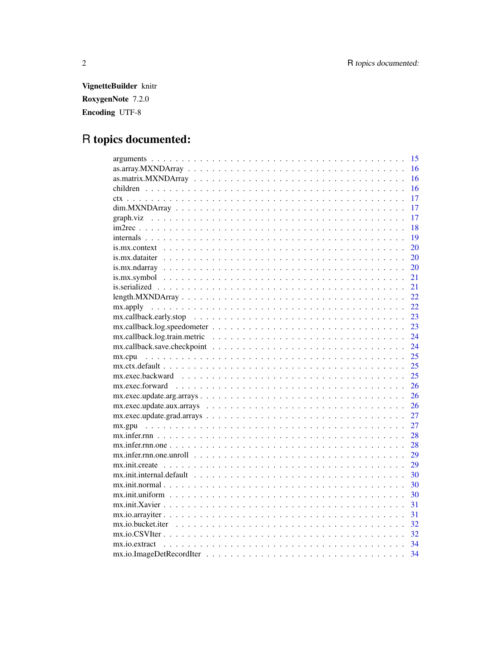VignetteBuilder knitr RoxygenNote 7.2.0 Encoding UTF-8

# R topics documented:

| 15                                                                                                                                    |
|---------------------------------------------------------------------------------------------------------------------------------------|
| 16                                                                                                                                    |
| 16                                                                                                                                    |
| 16                                                                                                                                    |
| 17                                                                                                                                    |
| 17                                                                                                                                    |
| 17                                                                                                                                    |
| 18                                                                                                                                    |
| 19                                                                                                                                    |
| 20                                                                                                                                    |
| 20                                                                                                                                    |
| 20                                                                                                                                    |
| 21                                                                                                                                    |
| 21                                                                                                                                    |
| 22                                                                                                                                    |
| 22<br>$mx. apply \dots \dots \dots \dots \dots \dots \dots \dots \dots \dots \dots \dots \dots \dots \dots \dots$                     |
| 23                                                                                                                                    |
| 23                                                                                                                                    |
| 24                                                                                                                                    |
| 24                                                                                                                                    |
| 25                                                                                                                                    |
| 25                                                                                                                                    |
| 25                                                                                                                                    |
| 26                                                                                                                                    |
| 26<br>$mx.exec.update. arg.array s. \ldots \ldots \ldots \ldots \ldots \ldots \ldots \ldots \ldots \ldots \ldots \ldots$              |
| 26                                                                                                                                    |
| 27                                                                                                                                    |
| 27                                                                                                                                    |
| 28                                                                                                                                    |
| $mx.infer.rnn. one \dots \dots \dots \dots \dots \dots \dots \dots \dots \dots \dots \dots \dots \dots \dots \dots \dots \dots$<br>28 |
| 29                                                                                                                                    |
| $mx.init. create \dots \dots \dots \dots \dots \dots \dots \dots \dots \dots \dots \dots \dots \dots \dots \dots \dots$<br>29         |
| 30                                                                                                                                    |
| 30                                                                                                                                    |
| 30                                                                                                                                    |
| $mx.init.Xavier \dots \dots \dots \dots \dots \dots \dots \dots \dots \dots \dots \dots \dots \dots \dots \dots \dots$<br>31          |
| 31                                                                                                                                    |
| 32                                                                                                                                    |
| 32                                                                                                                                    |
| 34                                                                                                                                    |
| 34                                                                                                                                    |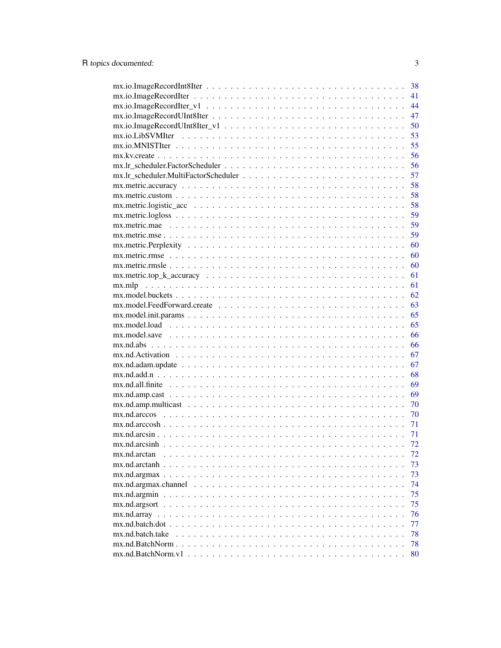| 38                     |  |
|------------------------|--|
| 41                     |  |
| 44                     |  |
| 47                     |  |
| 50                     |  |
| 53                     |  |
| 55                     |  |
| 56                     |  |
| 56                     |  |
| 57                     |  |
| 58                     |  |
| 58                     |  |
| 58                     |  |
| 59                     |  |
| 59                     |  |
| 59                     |  |
| 60                     |  |
| 60                     |  |
| 60                     |  |
| 61                     |  |
| 61                     |  |
| 62                     |  |
| 63                     |  |
| 65                     |  |
| 65                     |  |
| 66                     |  |
| 66<br>$mx.nd.abs$      |  |
| 67                     |  |
| 67                     |  |
| 68                     |  |
| 69                     |  |
| 69                     |  |
| 70                     |  |
|                        |  |
| 70                     |  |
| 71                     |  |
| 71                     |  |
| 72                     |  |
| 72<br>mx.nd.arctan     |  |
| 73<br>mx.nd.arctanh.   |  |
| 73                     |  |
| 74                     |  |
| 75                     |  |
| 75                     |  |
| 76                     |  |
| 77                     |  |
| 78<br>mx.nd.batch.take |  |
| 78                     |  |
| 80                     |  |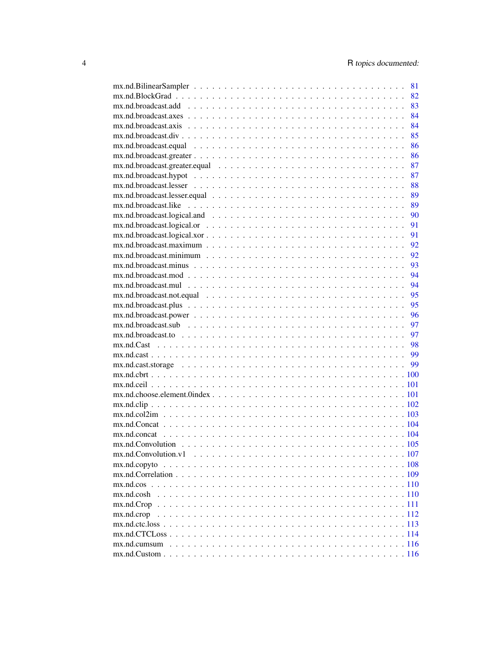|                                 | 81 |
|---------------------------------|----|
|                                 | 82 |
|                                 | 83 |
|                                 | 84 |
|                                 | 84 |
|                                 | 85 |
|                                 | 86 |
|                                 | 86 |
|                                 | 87 |
|                                 | 87 |
|                                 | 88 |
|                                 | 89 |
|                                 | 89 |
|                                 | 90 |
|                                 | 91 |
|                                 | 91 |
|                                 | 92 |
|                                 | 92 |
|                                 | 93 |
|                                 | 94 |
|                                 | 94 |
|                                 | 95 |
|                                 | 95 |
|                                 | 96 |
|                                 | 97 |
| $mx.nd. broadcast. to        $  |    |
|                                 |    |
|                                 |    |
|                                 |    |
| $mx.nd.cbt$ . 100               |    |
|                                 |    |
|                                 |    |
|                                 |    |
|                                 |    |
|                                 |    |
|                                 |    |
|                                 |    |
|                                 |    |
|                                 |    |
|                                 |    |
| $mx.nd. cos                110$ |    |
| $mx$ .nd.cosh                   |    |
|                                 |    |
| mx.nd.crop                      |    |
|                                 |    |
|                                 |    |
|                                 |    |
|                                 |    |
|                                 |    |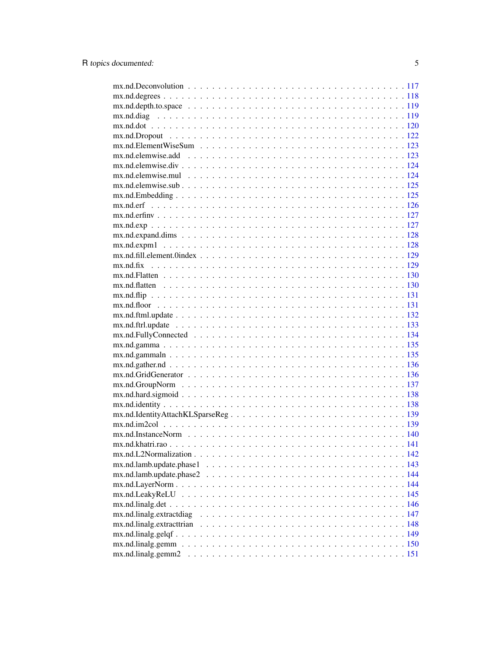5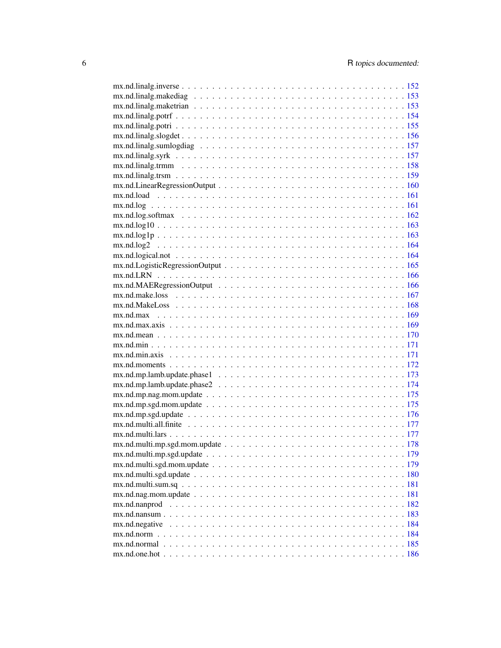| $mx.nd. log               161$ |  |
|--------------------------------|--|
|                                |  |
| $mx.pdf. log10 163$            |  |
|                                |  |
|                                |  |
|                                |  |
|                                |  |
|                                |  |
|                                |  |
|                                |  |
|                                |  |
|                                |  |
|                                |  |
|                                |  |
|                                |  |
|                                |  |
|                                |  |
|                                |  |
|                                |  |
|                                |  |
|                                |  |
|                                |  |
|                                |  |
|                                |  |
|                                |  |
|                                |  |
|                                |  |
|                                |  |
|                                |  |
|                                |  |
|                                |  |
| mx.nd.nanprod                  |  |
| $mx.nd.nansum$ 183             |  |
| mx.nd.negative                 |  |
|                                |  |
|                                |  |
|                                |  |
|                                |  |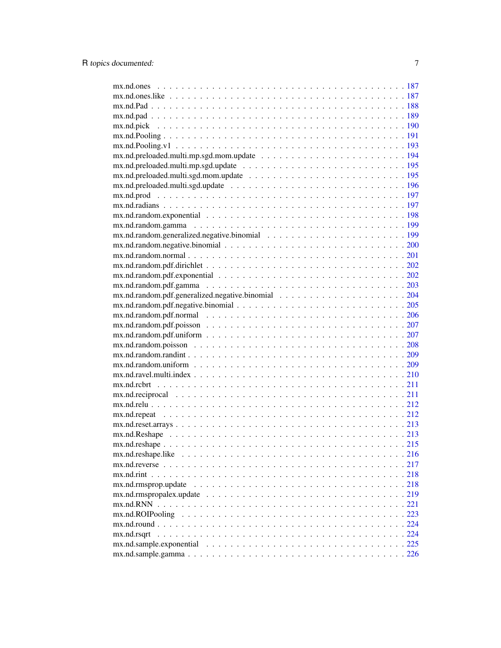| $mx.pdf. Pooling.v1193$                |  |
|----------------------------------------|--|
|                                        |  |
|                                        |  |
|                                        |  |
|                                        |  |
|                                        |  |
|                                        |  |
|                                        |  |
|                                        |  |
|                                        |  |
|                                        |  |
|                                        |  |
|                                        |  |
|                                        |  |
|                                        |  |
|                                        |  |
|                                        |  |
|                                        |  |
|                                        |  |
|                                        |  |
|                                        |  |
|                                        |  |
|                                        |  |
|                                        |  |
|                                        |  |
|                                        |  |
|                                        |  |
|                                        |  |
|                                        |  |
|                                        |  |
|                                        |  |
|                                        |  |
| $mx.nd. reshape. like             216$ |  |
|                                        |  |
|                                        |  |
|                                        |  |
|                                        |  |
| $mx$ .nd. $RNN$                        |  |
|                                        |  |
|                                        |  |
| mx.nd.rsqrt                            |  |
|                                        |  |
|                                        |  |
|                                        |  |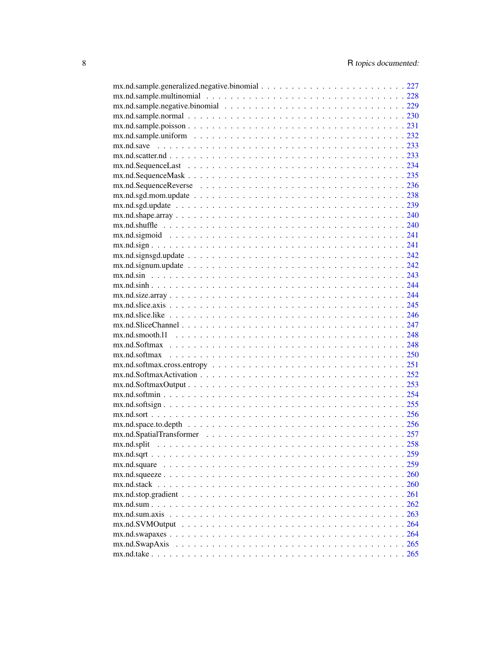| $mx.nd. scattering$                                                                                                    |  |
|------------------------------------------------------------------------------------------------------------------------|--|
|                                                                                                                        |  |
|                                                                                                                        |  |
|                                                                                                                        |  |
| $mx.nd.sgd.mom. update \ldots \ldots \ldots \ldots \ldots \ldots \ldots \ldots \ldots \ldots \ldots \ldots \ldots 238$ |  |
|                                                                                                                        |  |
|                                                                                                                        |  |
|                                                                                                                        |  |
|                                                                                                                        |  |
|                                                                                                                        |  |
| $mx.nd. signals, d.update \ldots  \ldots  \ldots  \ldots  \ldots  \ldots 242$                                          |  |
|                                                                                                                        |  |
|                                                                                                                        |  |
|                                                                                                                        |  |
|                                                                                                                        |  |
|                                                                                                                        |  |
|                                                                                                                        |  |
|                                                                                                                        |  |
|                                                                                                                        |  |
| $mx.nd.smooth.11             248$                                                                                      |  |
|                                                                                                                        |  |
|                                                                                                                        |  |
|                                                                                                                        |  |
|                                                                                                                        |  |
|                                                                                                                        |  |
|                                                                                                                        |  |
|                                                                                                                        |  |
|                                                                                                                        |  |
|                                                                                                                        |  |
|                                                                                                                        |  |
|                                                                                                                        |  |
|                                                                                                                        |  |
|                                                                                                                        |  |
|                                                                                                                        |  |
|                                                                                                                        |  |
|                                                                                                                        |  |
|                                                                                                                        |  |
|                                                                                                                        |  |
|                                                                                                                        |  |
|                                                                                                                        |  |
|                                                                                                                        |  |
|                                                                                                                        |  |
|                                                                                                                        |  |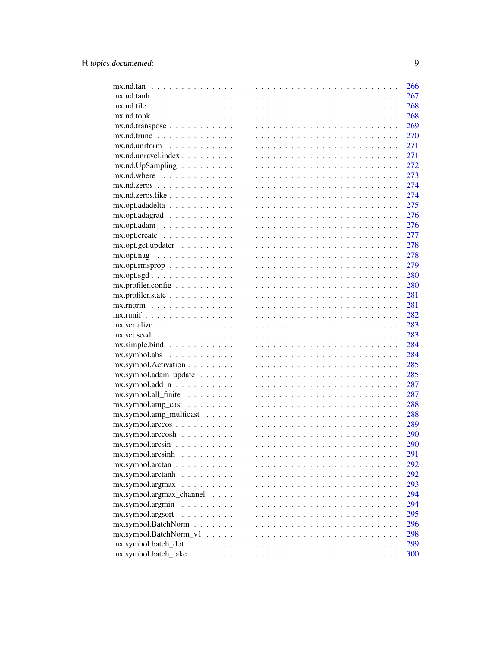| $mx.nd.tan                 266$                                                                                     |  |
|---------------------------------------------------------------------------------------------------------------------|--|
|                                                                                                                     |  |
|                                                                                                                     |  |
|                                                                                                                     |  |
| $mx. nd. transpose              269$                                                                                |  |
|                                                                                                                     |  |
|                                                                                                                     |  |
|                                                                                                                     |  |
| $mx.pdf. UpSampling272$                                                                                             |  |
|                                                                                                                     |  |
|                                                                                                                     |  |
|                                                                                                                     |  |
|                                                                                                                     |  |
|                                                                                                                     |  |
|                                                                                                                     |  |
|                                                                                                                     |  |
|                                                                                                                     |  |
|                                                                                                                     |  |
|                                                                                                                     |  |
|                                                                                                                     |  |
|                                                                                                                     |  |
|                                                                                                                     |  |
|                                                                                                                     |  |
|                                                                                                                     |  |
|                                                                                                                     |  |
|                                                                                                                     |  |
|                                                                                                                     |  |
|                                                                                                                     |  |
|                                                                                                                     |  |
|                                                                                                                     |  |
|                                                                                                                     |  |
|                                                                                                                     |  |
|                                                                                                                     |  |
|                                                                                                                     |  |
|                                                                                                                     |  |
|                                                                                                                     |  |
|                                                                                                                     |  |
| $mx.symbol. arcsinh \ldots \ldots \ldots \ldots \ldots \ldots \ldots \ldots \ldots \ldots \ldots \ldots \ldots 291$ |  |
|                                                                                                                     |  |
| mx.symbol.arctanh                                                                                                   |  |
|                                                                                                                     |  |
|                                                                                                                     |  |
| mx.symbol.argmin                                                                                                    |  |
| mx.symbol.argsort                                                                                                   |  |
|                                                                                                                     |  |
|                                                                                                                     |  |
|                                                                                                                     |  |
|                                                                                                                     |  |
|                                                                                                                     |  |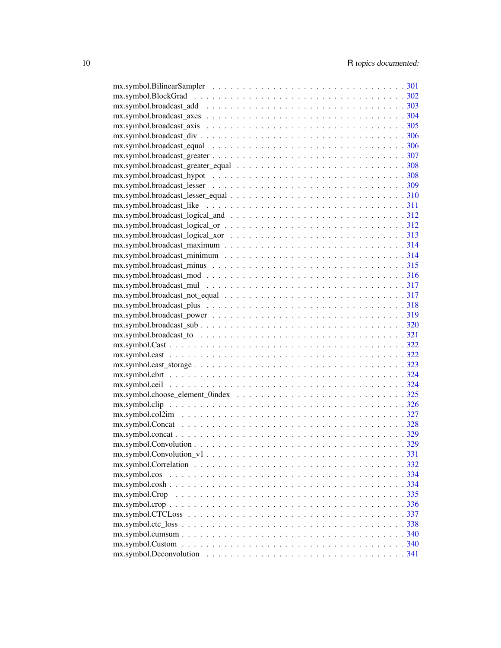| $mx.symbol.broadcast\_logical_and \dots \dots \dots \dots \dots \dots \dots \dots \dots \dots \dots \dots 312$                   |  |
|----------------------------------------------------------------------------------------------------------------------------------|--|
| $mx.symbol.broadcast\_logical_or \ldots \ldots \ldots \ldots \ldots \ldots \ldots \ldots \ldots \ldots \ldots 312$               |  |
| $mx.symbol.broadcast\_logical\_xor          313$                                                                                 |  |
|                                                                                                                                  |  |
|                                                                                                                                  |  |
| $mx.symbol.broadcast\_minus           315$                                                                                       |  |
|                                                                                                                                  |  |
|                                                                                                                                  |  |
|                                                                                                                                  |  |
|                                                                                                                                  |  |
| $mx.symbol.broadcast_plus \dots \dots \dots \dots \dots \dots \dots \dots \dots \dots \dots \dots \dots \dots \dots \dots \dots$ |  |
|                                                                                                                                  |  |
|                                                                                                                                  |  |
|                                                                                                                                  |  |
|                                                                                                                                  |  |
|                                                                                                                                  |  |
| $mx.symbol.cast\_storage \ldots \ldots \ldots \ldots \ldots \ldots \ldots \ldots \ldots \ldots \ldots \ldots 323$                |  |
|                                                                                                                                  |  |
|                                                                                                                                  |  |
|                                                                                                                                  |  |
|                                                                                                                                  |  |
|                                                                                                                                  |  |
|                                                                                                                                  |  |
|                                                                                                                                  |  |
|                                                                                                                                  |  |
|                                                                                                                                  |  |
|                                                                                                                                  |  |
|                                                                                                                                  |  |
|                                                                                                                                  |  |
|                                                                                                                                  |  |
|                                                                                                                                  |  |
|                                                                                                                                  |  |
|                                                                                                                                  |  |
|                                                                                                                                  |  |
|                                                                                                                                  |  |
|                                                                                                                                  |  |
|                                                                                                                                  |  |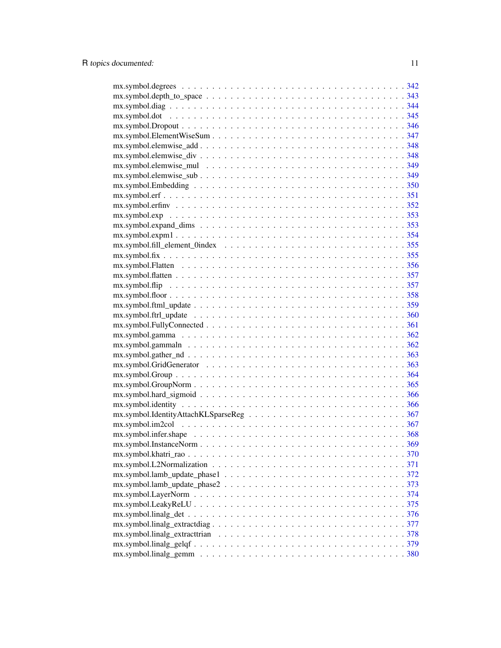| $mx.symbol.depth_to_space \ldots \ldots \ldots \ldots \ldots \ldots \ldots \ldots \ldots \ldots \ldots 343$                        |  |
|------------------------------------------------------------------------------------------------------------------------------------|--|
|                                                                                                                                    |  |
|                                                                                                                                    |  |
|                                                                                                                                    |  |
|                                                                                                                                    |  |
|                                                                                                                                    |  |
|                                                                                                                                    |  |
|                                                                                                                                    |  |
|                                                                                                                                    |  |
|                                                                                                                                    |  |
|                                                                                                                                    |  |
|                                                                                                                                    |  |
|                                                                                                                                    |  |
|                                                                                                                                    |  |
|                                                                                                                                    |  |
| $mx.symbolfill$ element $0$ index $\ldots \ldots \ldots \ldots \ldots \ldots \ldots \ldots \ldots \ldots \ldots \ldots \ldots 355$ |  |
|                                                                                                                                    |  |
|                                                                                                                                    |  |
|                                                                                                                                    |  |
|                                                                                                                                    |  |
|                                                                                                                                    |  |
|                                                                                                                                    |  |
|                                                                                                                                    |  |
|                                                                                                                                    |  |
|                                                                                                                                    |  |
|                                                                                                                                    |  |
|                                                                                                                                    |  |
|                                                                                                                                    |  |
|                                                                                                                                    |  |
|                                                                                                                                    |  |
|                                                                                                                                    |  |
|                                                                                                                                    |  |
|                                                                                                                                    |  |
|                                                                                                                                    |  |
|                                                                                                                                    |  |
|                                                                                                                                    |  |
|                                                                                                                                    |  |
|                                                                                                                                    |  |
|                                                                                                                                    |  |
|                                                                                                                                    |  |
|                                                                                                                                    |  |
|                                                                                                                                    |  |
|                                                                                                                                    |  |
|                                                                                                                                    |  |
|                                                                                                                                    |  |
|                                                                                                                                    |  |
|                                                                                                                                    |  |
|                                                                                                                                    |  |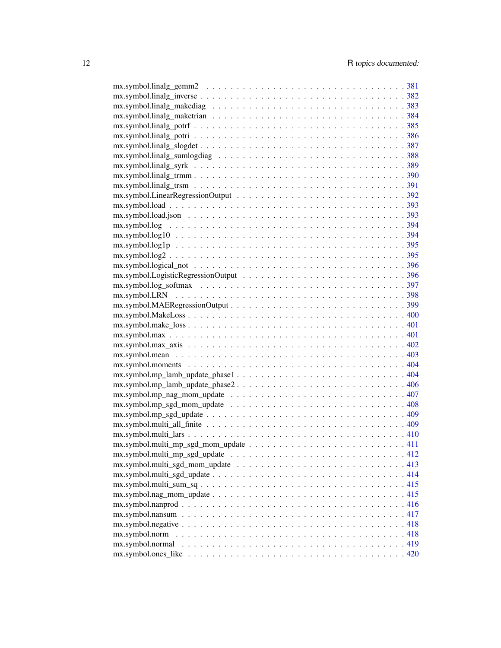| $mx.symbol. log10394$                                                                                                   |  |
|-------------------------------------------------------------------------------------------------------------------------|--|
| $mx.symbol log1p              395$                                                                                      |  |
| $mx.symbol.log2395$                                                                                                     |  |
|                                                                                                                         |  |
| $mx.symbol. logical\_not \dots \dots \dots \dots \dots \dots \dots \dots \dots \dots \dots \dots \dots \dots \dots 396$ |  |
|                                                                                                                         |  |
|                                                                                                                         |  |
|                                                                                                                         |  |
|                                                                                                                         |  |
|                                                                                                                         |  |
| $mx.symbol.make_loss \ldots \ldots \ldots \ldots \ldots \ldots \ldots \ldots \ldots \ldots \ldots \ldots \ldots 401$    |  |
|                                                                                                                         |  |
|                                                                                                                         |  |
|                                                                                                                         |  |
|                                                                                                                         |  |
| $mx.symbol.mp_lamb_lupdate_phase1404$                                                                                   |  |
|                                                                                                                         |  |
|                                                                                                                         |  |
|                                                                                                                         |  |
|                                                                                                                         |  |
|                                                                                                                         |  |
|                                                                                                                         |  |
|                                                                                                                         |  |
|                                                                                                                         |  |
|                                                                                                                         |  |
|                                                                                                                         |  |
| $mx.symbol.multi_sum_sq415$                                                                                             |  |
|                                                                                                                         |  |
|                                                                                                                         |  |
|                                                                                                                         |  |
|                                                                                                                         |  |
|                                                                                                                         |  |
|                                                                                                                         |  |
| $mx.symbol.ones\_like            420$                                                                                   |  |
|                                                                                                                         |  |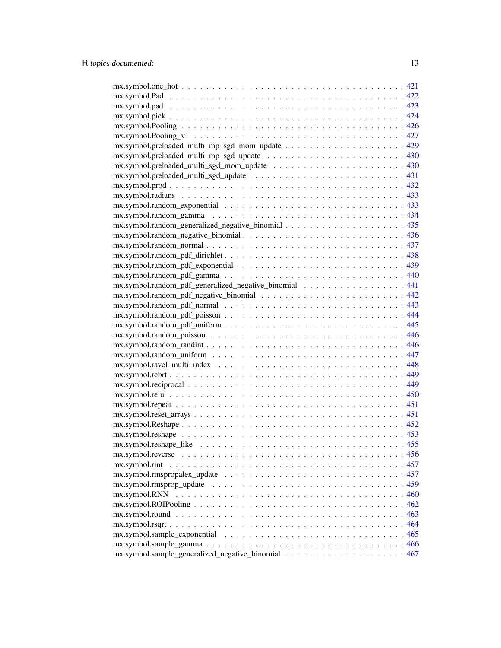| $mx.symbol$ : andom_exponential $\ldots \ldots \ldots \ldots \ldots \ldots \ldots \ldots \ldots \ldots \ldots$    |  |
|-------------------------------------------------------------------------------------------------------------------|--|
|                                                                                                                   |  |
|                                                                                                                   |  |
|                                                                                                                   |  |
|                                                                                                                   |  |
|                                                                                                                   |  |
|                                                                                                                   |  |
|                                                                                                                   |  |
| mx.symbol.random_pdf_generalized_negative_binomial 441                                                            |  |
|                                                                                                                   |  |
|                                                                                                                   |  |
|                                                                                                                   |  |
|                                                                                                                   |  |
|                                                                                                                   |  |
|                                                                                                                   |  |
|                                                                                                                   |  |
|                                                                                                                   |  |
|                                                                                                                   |  |
|                                                                                                                   |  |
|                                                                                                                   |  |
|                                                                                                                   |  |
|                                                                                                                   |  |
|                                                                                                                   |  |
|                                                                                                                   |  |
|                                                                                                                   |  |
|                                                                                                                   |  |
|                                                                                                                   |  |
| mx.symbol.rint                                                                                                    |  |
| $mx.symbol.rmspropalex\_update \dots \dots \dots \dots \dots \dots \dots \dots \dots \dots \dots \dots \dots 457$ |  |
|                                                                                                                   |  |
|                                                                                                                   |  |
|                                                                                                                   |  |
|                                                                                                                   |  |
| $mx.symbol.rsqrt(1 + 1)$ . $464$                                                                                  |  |
|                                                                                                                   |  |
|                                                                                                                   |  |
|                                                                                                                   |  |
|                                                                                                                   |  |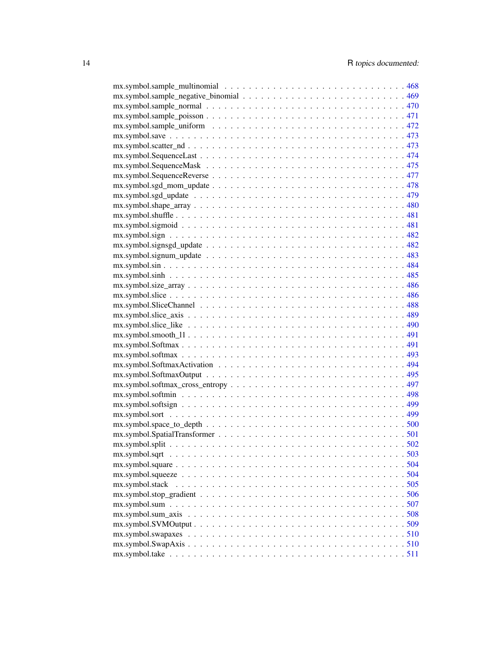| $mx.symbol.sample\_uniform \dots \dots \dots \dots \dots \dots \dots \dots \dots \dots \dots \dots \dots \dots 472$ |  |
|---------------------------------------------------------------------------------------------------------------------|--|
|                                                                                                                     |  |
| $mx.symbol.scatter_nd473$                                                                                           |  |
|                                                                                                                     |  |
|                                                                                                                     |  |
|                                                                                                                     |  |
| $mx.symbol.sgd\_mom\_update \dots \dots \dots \dots \dots \dots \dots \dots \dots \dots \dots \dots \dots 478$      |  |
|                                                                                                                     |  |
|                                                                                                                     |  |
|                                                                                                                     |  |
|                                                                                                                     |  |
|                                                                                                                     |  |
|                                                                                                                     |  |
|                                                                                                                     |  |
|                                                                                                                     |  |
|                                                                                                                     |  |
|                                                                                                                     |  |
|                                                                                                                     |  |
|                                                                                                                     |  |
|                                                                                                                     |  |
|                                                                                                                     |  |
| $mx.symbol.smodth_11$                                                                                               |  |
|                                                                                                                     |  |
| $mx.symbol.softmax \ldots \ldots \ldots \ldots \ldots \ldots \ldots \ldots \ldots \ldots \ldots \ldots \ldots 493$  |  |
|                                                                                                                     |  |
|                                                                                                                     |  |
|                                                                                                                     |  |
|                                                                                                                     |  |
|                                                                                                                     |  |
|                                                                                                                     |  |
|                                                                                                                     |  |
|                                                                                                                     |  |
|                                                                                                                     |  |
|                                                                                                                     |  |
|                                                                                                                     |  |
|                                                                                                                     |  |
|                                                                                                                     |  |
|                                                                                                                     |  |
|                                                                                                                     |  |
|                                                                                                                     |  |
|                                                                                                                     |  |
|                                                                                                                     |  |
|                                                                                                                     |  |
|                                                                                                                     |  |
|                                                                                                                     |  |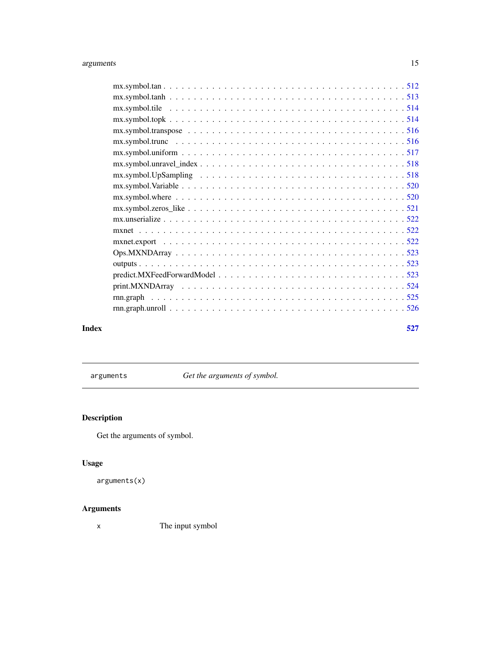<span id="page-14-0"></span>

arguments *Get the arguments of symbol.*

# Description

Get the arguments of symbol.

# Usage

arguments(x)

# Arguments

x The input symbol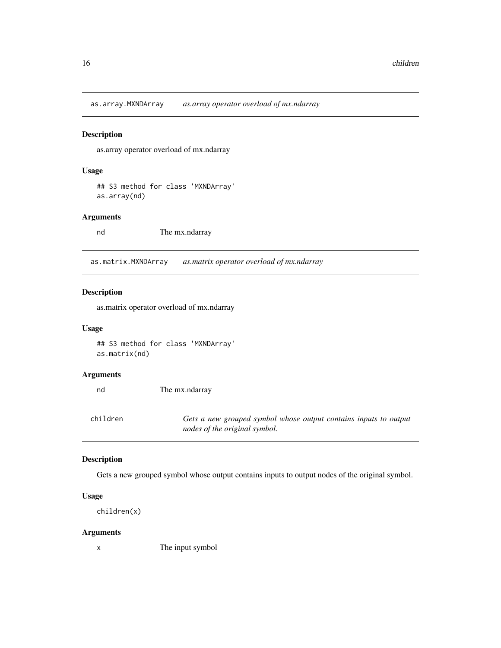<span id="page-15-0"></span>as.array.MXNDArray *as.array operator overload of mx.ndarray*

# Description

as.array operator overload of mx.ndarray

# Usage

## S3 method for class 'MXNDArray' as.array(nd)

#### Arguments

nd The mx.ndarray

as.matrix.MXNDArray *as.matrix operator overload of mx.ndarray*

# Description

as.matrix operator overload of mx.ndarray

#### Usage

## S3 method for class 'MXNDArray' as.matrix(nd)

#### Arguments

L.

| nd       | The mx.ndarray                                                                                    |
|----------|---------------------------------------------------------------------------------------------------|
| children | Gets a new grouped symbol whose output contains inputs to output<br>nodes of the original symbol. |

#### Description

Gets a new grouped symbol whose output contains inputs to output nodes of the original symbol.

#### Usage

children(x)

#### Arguments

x The input symbol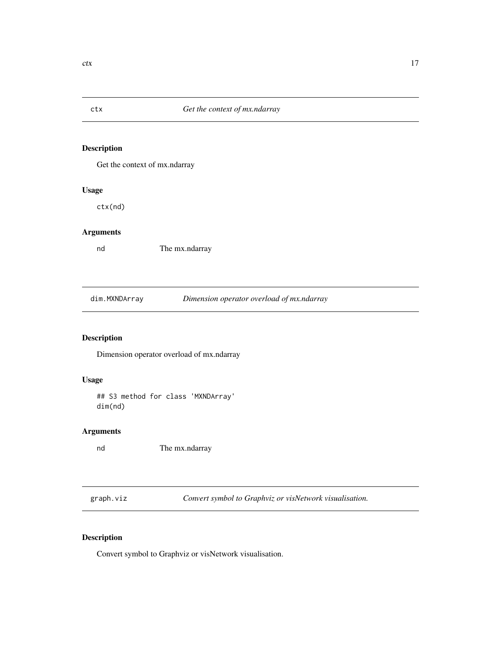<span id="page-16-0"></span>

Get the context of mx.ndarray

# Usage

ctx(nd)

# Arguments

nd The mx.ndarray

dim.MXNDArray *Dimension operator overload of mx.ndarray*

# Description

Dimension operator overload of mx.ndarray

#### Usage

## S3 method for class 'MXNDArray' dim(nd)

# Arguments

nd The mx.ndarray

graph.viz *Convert symbol to Graphviz or visNetwork visualisation.*

# Description

Convert symbol to Graphviz or visNetwork visualisation.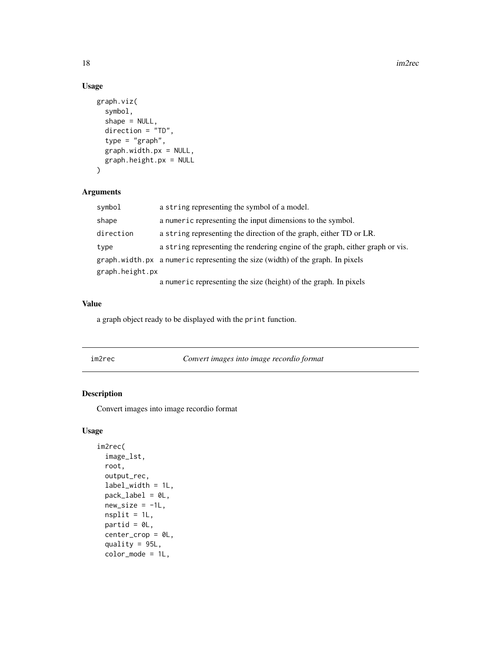# Usage

```
graph.viz(
  symbol,
  shape = NULL,
  direction = "TD",
  type = "graph",
  graph.width.px = NULL,
 graph.height.px = NULL
)
```
#### Arguments

| symbol          | a string representing the symbol of a model.                                   |
|-----------------|--------------------------------------------------------------------------------|
| shape           | a numeric representing the input dimensions to the symbol.                     |
| direction       | a string representing the direction of the graph, either TD or LR.             |
| type            | a string representing the rendering engine of the graph, either graph or vis.  |
|                 | graph width px a numeric representing the size (width) of the graph. In pixels |
| graph.height.px |                                                                                |
|                 | a numeric representing the size (height) of the graph. In pixels               |

#### Value

a graph object ready to be displayed with the print function.

im2rec *Convert images into image recordio format*

# Description

Convert images into image recordio format

# Usage

```
im2rec(
  image_lst,
 root,
 output_rec,
 label_width = 1L,
 pack_label = 0L,
 new_size = -1L,
 nsplit = 1L,partid = \thetaL,
 center_crop = 0L,
  quality = 95L,
  color_mode = 1L,
```
<span id="page-17-0"></span>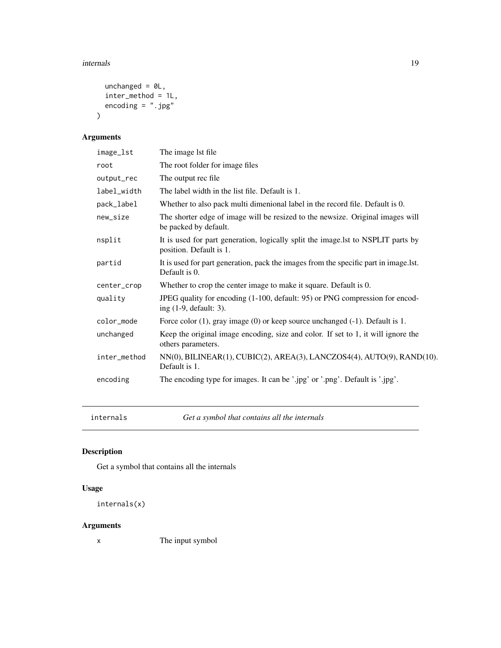#### <span id="page-18-0"></span>internals and the contract of the contract of the contract of the contract of the contract of the contract of the contract of the contract of the contract of the contract of the contract of the contract of the contract of

```
unchanged = 0L,
 inter_method = 1L,
 encoding = ".jpg")
```
# Arguments

| image_lst    | The image 1st file                                                                                           |
|--------------|--------------------------------------------------------------------------------------------------------------|
| root         | The root folder for image files                                                                              |
| output_rec   | The output rec file.                                                                                         |
| label_width  | The label width in the list file. Default is 1.                                                              |
| pack_label   | Whether to also pack multi dimenional label in the record file. Default is 0.                                |
| new_size     | The shorter edge of image will be resized to the newsize. Original images will<br>be packed by default.      |
| nsplit       | It is used for part generation, logically split the image. Ist to NSPLIT parts by<br>position. Default is 1. |
| partid       | It is used for part generation, pack the images from the specific part in image.lst.<br>Default is 0.        |
| center_crop  | Whether to crop the center image to make it square. Default is 0.                                            |
| quality      | JPEG quality for encoding (1-100, default: 95) or PNG compression for encod-<br>ing $(1-9,$ default: 3).     |
| color_mode   | Force color (1), gray image (0) or keep source unchanged (-1). Default is 1.                                 |
| unchanged    | Keep the original image encoding, size and color. If set to 1, it will ignore the<br>others parameters.      |
| inter_method | NN(0), BILINEAR(1), CUBIC(2), AREA(3), LANCZOS4(4), AUTO(9), RAND(10).<br>Default is 1.                      |
| encoding     | The encoding type for images. It can be '.jpg' or '.png'. Default is '.jpg'.                                 |

internals *Get a symbol that contains all the internals*

# Description

Get a symbol that contains all the internals

# Usage

```
internals(x)
```
# Arguments

x The input symbol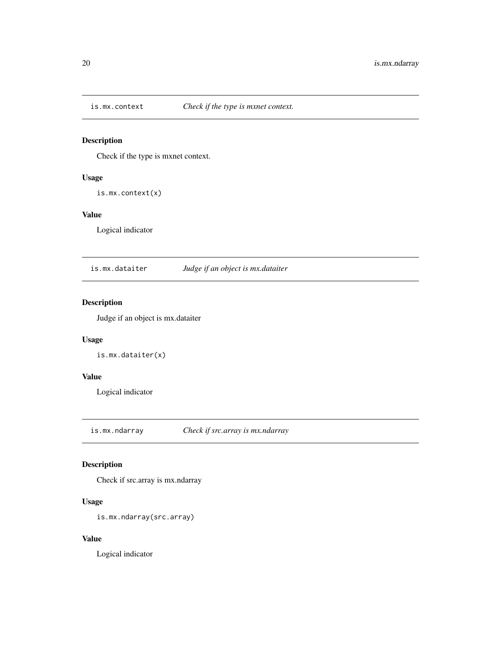<span id="page-19-0"></span>

Check if the type is mxnet context.

# Usage

is.mx.context(x)

#### Value

Logical indicator

is.mx.dataiter *Judge if an object is mx.dataiter*

# Description

Judge if an object is mx.dataiter

# Usage

```
is.mx.dataiter(x)
```
#### Value

Logical indicator

is.mx.ndarray *Check if src.array is mx.ndarray*

# Description

Check if src.array is mx.ndarray

# Usage

```
is.mx.ndarray(src.array)
```
#### Value

Logical indicator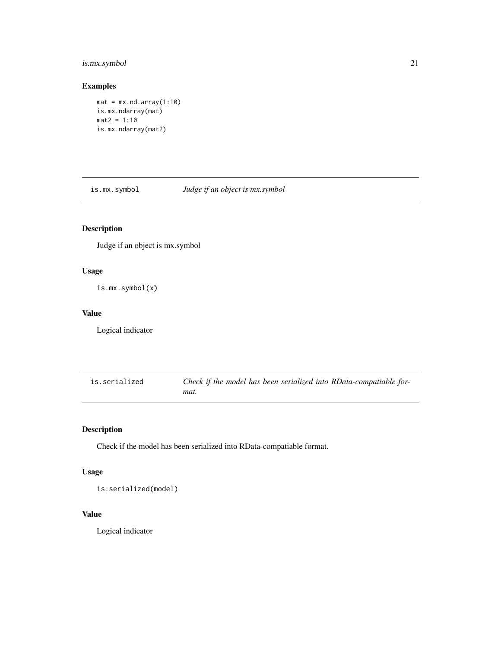# <span id="page-20-0"></span>is.mx.symbol 21

# Examples

```
mat = mx.nd.array(1:10)is.mx.ndarray(mat)
mat2 = 1:10is.mx.ndarray(mat2)
```
is.mx.symbol *Judge if an object is mx.symbol*

# Description

Judge if an object is mx.symbol

# Usage

is.mx.symbol(x)

#### Value

Logical indicator

| is.serialized | Check if the model has been serialized into RData-compatiable for- |
|---------------|--------------------------------------------------------------------|
|               | mat.                                                               |

# Description

Check if the model has been serialized into RData-compatiable format.

# Usage

is.serialized(model)

#### Value

Logical indicator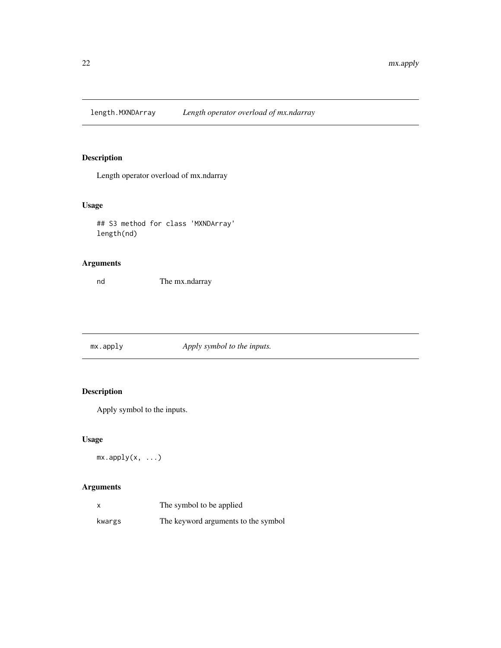<span id="page-21-0"></span>length.MXNDArray *Length operator overload of mx.ndarray*

# Description

Length operator overload of mx.ndarray

# Usage

## S3 method for class 'MXNDArray' length(nd)

# Arguments

nd The mx.ndarray

|  | mx.append y | Apply symbol to the inputs. |
|--|-------------|-----------------------------|
|--|-------------|-----------------------------|

# Description

Apply symbol to the inputs.

# Usage

 $mx.appendy(x, ...)$ 

| $\boldsymbol{\mathsf{x}}$ | The symbol to be applied            |
|---------------------------|-------------------------------------|
| kwargs                    | The keyword arguments to the symbol |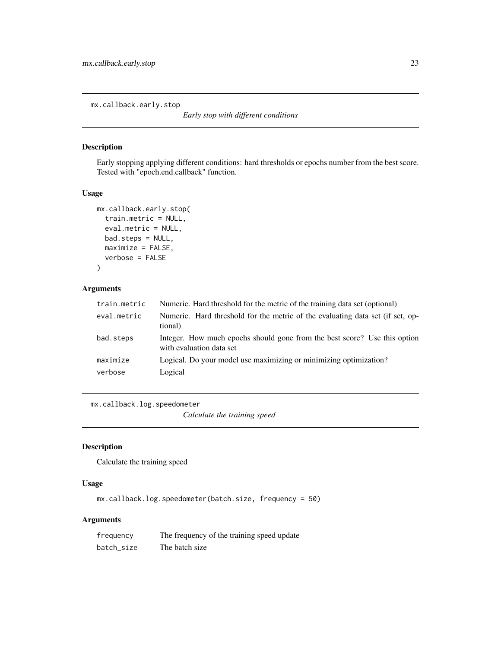<span id="page-22-0"></span>mx.callback.early.stop

```
Early stop with different conditions
```
# Description

Early stopping applying different conditions: hard thresholds or epochs number from the best score. Tested with "epoch.end.callback" function.

#### Usage

```
mx.callback.early.stop(
  train.metric = NULL,
  eval.metric = NULL,
 bad.steps = NULL,
 maximize = FALSE,
  verbose = FALSE
\lambda
```
#### Arguments

| train.metric        | Numeric. Hard threshold for the metric of the training data set (optional)                            |
|---------------------|-------------------------------------------------------------------------------------------------------|
| eval.metric         | Numeric. Hard threshold for the metric of the evaluating data set (if set, op-<br>tional)             |
| bad.steps           | Integer. How much epochs should gone from the best score? Use this option<br>with evaluation data set |
| maximize<br>verbose | Logical. Do your model use maximizing or minimizing optimization?<br>Logical                          |
|                     |                                                                                                       |

mx.callback.log.speedometer

*Calculate the training speed*

#### Description

Calculate the training speed

#### Usage

mx.callback.log.speedometer(batch.size, frequency = 50)

| frequency  | The frequency of the training speed update |
|------------|--------------------------------------------|
| batch size | The batch size                             |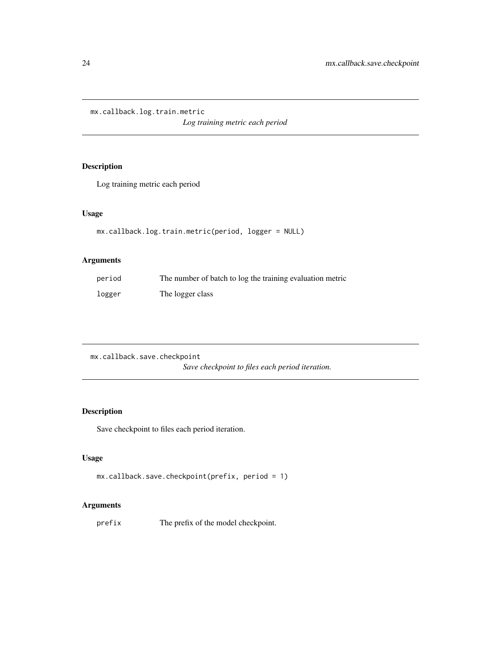<span id="page-23-0"></span>mx.callback.log.train.metric

*Log training metric each period*

# Description

Log training metric each period

# Usage

```
mx.callback.log.train.metric(period, logger = NULL)
```
# Arguments

| period | The number of batch to log the training evaluation metric |
|--------|-----------------------------------------------------------|
| logger | The logger class                                          |

mx.callback.save.checkpoint *Save checkpoint to files each period iteration.*

# Description

Save checkpoint to files each period iteration.

# Usage

```
mx.callback.save.checkpoint(prefix, period = 1)
```
# Arguments

prefix The prefix of the model checkpoint.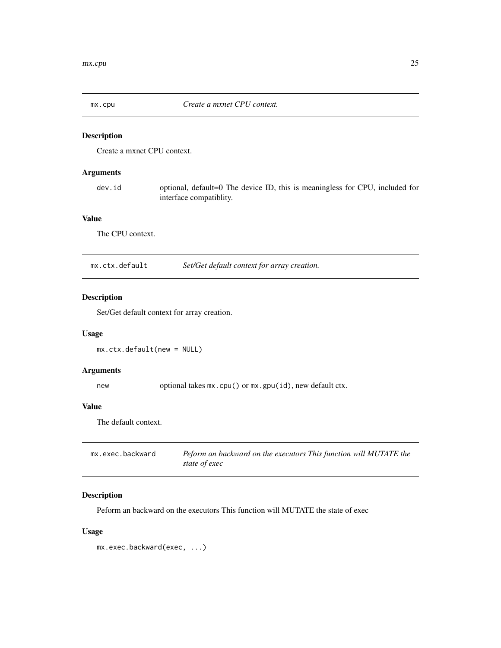<span id="page-24-0"></span>

Create a mxnet CPU context.

#### Arguments

dev.id optional, default=0 The device ID, this is meaningless for CPU, included for interface compatiblity.

#### Value

The CPU context.

mx.ctx.default *Set/Get default context for array creation.*

# Description

Set/Get default context for array creation.

# Usage

mx.ctx.default(new = NULL)

#### Arguments

new optional takes  $mx.cpu()$  or  $mx.gpu(id)$ , new default ctx.

#### Value

The default context.

| mx.exec.backward | Peform an backward on the executors This function will MUTATE the |
|------------------|-------------------------------------------------------------------|
|                  | state of exec                                                     |

# Description

Peform an backward on the executors This function will MUTATE the state of exec

# Usage

mx.exec.backward(exec, ...)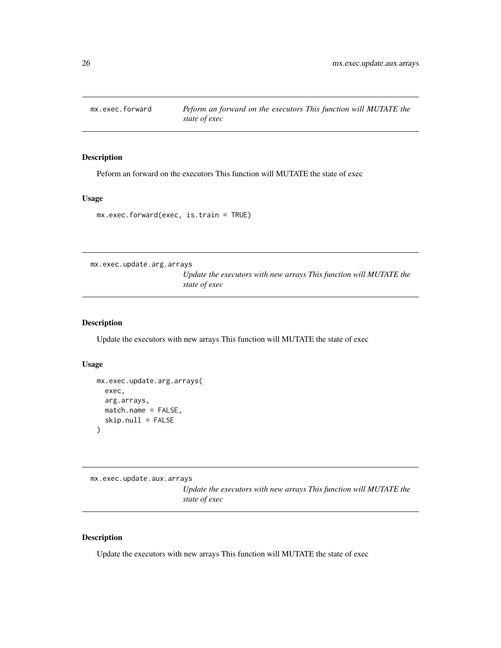<span id="page-25-0"></span>

Peform an forward on the executors This function will MUTATE the state of exec

# Usage

mx.exec.forward(exec, is.train = TRUE)

mx.exec.update.arg.arrays

*Update the executors with new arrays This function will MUTATE the state of exec*

#### Description

Update the executors with new arrays This function will MUTATE the state of exec

# Usage

```
mx.exec.update.arg.arrays(
  exec,
  arg.arrays,
 match.name = FALSE,
  skip.null = FALSE
\lambda
```
mx.exec.update.aux.arrays

*Update the executors with new arrays This function will MUTATE the state of exec*

#### Description

Update the executors with new arrays This function will MUTATE the state of exec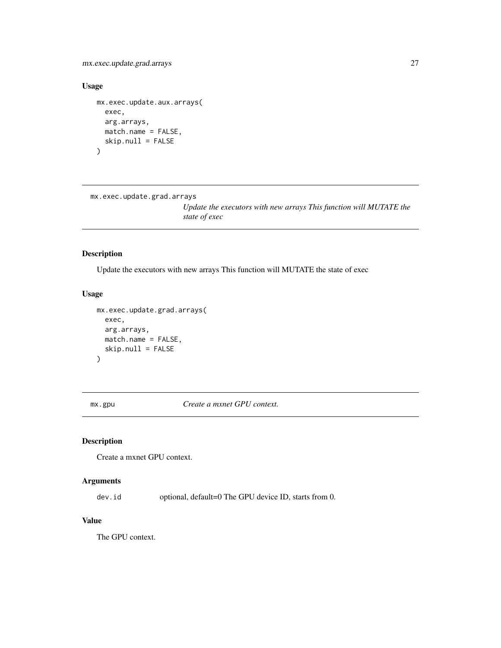<span id="page-26-0"></span>mx.exec.update.grad.arrays 27

#### Usage

```
mx.exec.update.aux.arrays(
  exec,
  arg.arrays,
  match.name = FALSE,
  skip.null = FALSE
\mathcal{L}
```

```
mx.exec.update.grad.arrays
```
*Update the executors with new arrays This function will MUTATE the state of exec*

# Description

Update the executors with new arrays This function will MUTATE the state of exec

#### Usage

```
mx.exec.update.grad.arrays(
  exec,
  arg.arrays,
 match.name = FALSE,
  skip.null = FALSE
)
```
mx.gpu *Create a mxnet GPU context.*

# Description

Create a mxnet GPU context.

# Arguments

dev.id optional, default=0 The GPU device ID, starts from 0.

#### Value

The GPU context.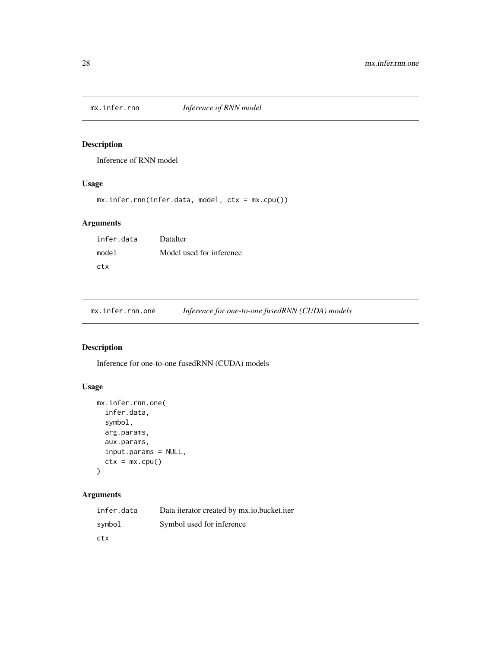<span id="page-27-0"></span>

Inference of RNN model

# Usage

```
mx.infer.rnn(infer.data, model, ctx = mx.cpu())
```
# Arguments

| infer.data | DataIter                 |
|------------|--------------------------|
| model      | Model used for inference |
| ctx        |                          |

mx.infer.rnn.one *Inference for one-to-one fusedRNN (CUDA) models*

# Description

Inference for one-to-one fusedRNN (CUDA) models

# Usage

```
mx.infer.rnn.one(
  infer.data,
  symbol,
  arg.params,
  aux.params,
  input.params = NULL,
  ctx = mx.cpu())
```

| infer.data | Data iterator created by mx.io.bucket.iter |
|------------|--------------------------------------------|
| symbol     | Symbol used for inference                  |
| ctx        |                                            |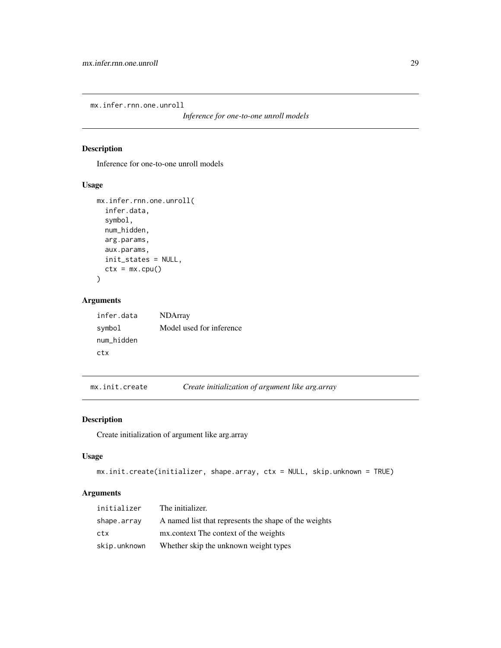<span id="page-28-0"></span>mx.infer.rnn.one.unroll

*Inference for one-to-one unroll models*

# Description

Inference for one-to-one unroll models

# Usage

```
mx.infer.rnn.one.unroll(
  infer.data,
  symbol,
  num_hidden,
  arg.params,
  aux.params,
  init_states = NULL,
  ctx = mx.cpu())
```
# Arguments

| infer.data | <b>NDArray</b>           |
|------------|--------------------------|
| symbol     | Model used for inference |
| num hidden |                          |
| ctx        |                          |

mx.init.create *Create initialization of argument like arg.array*

# Description

Create initialization of argument like arg.array

#### Usage

```
mx.init.create(initializer, shape.array, ctx = NULL, skip.unknown = TRUE)
```

| initializer  | The initializer.                                      |
|--------------|-------------------------------------------------------|
| shape.array  | A named list that represents the shape of the weights |
| ctx          | mx.context The context of the weights                 |
| skip.unknown | Whether skip the unknown weight types                 |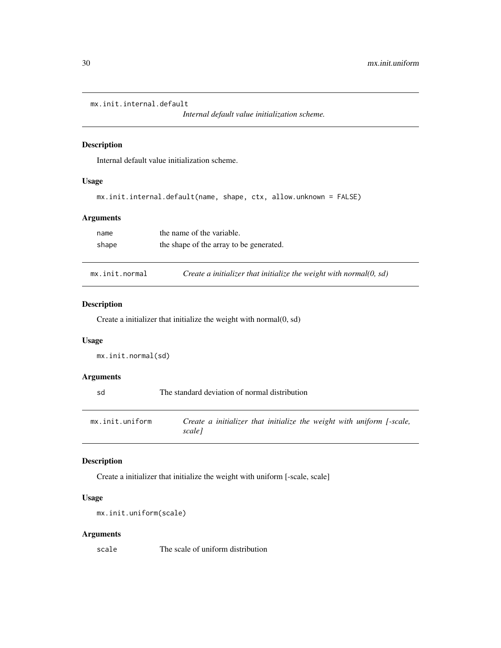```
mx.init.internal.default
```
*Internal default value initialization scheme.*

#### Description

Internal default value initialization scheme.

#### Usage

```
mx.init.internal.default(name, shape, ctx, allow.unknown = FALSE)
```
#### Arguments

| name  | the name of the variable.               |
|-------|-----------------------------------------|
| shape | the shape of the array to be generated. |

mx.init.normal *Create a initializer that initialize the weight with normal(0, sd)*

#### Description

Create a initializer that initialize the weight with normal(0, sd)

#### Usage

```
mx.init.normal(sd)
```
# Arguments

| sd              | The standard deviation of normal distribution                                   |
|-----------------|---------------------------------------------------------------------------------|
| mx.init.uniform | Create a initializer that initialize the weight with uniform [-scale,<br>scalel |

#### Description

Create a initializer that initialize the weight with uniform [-scale, scale]

#### Usage

```
mx.init.uniform(scale)
```
# Arguments

scale The scale of uniform distribution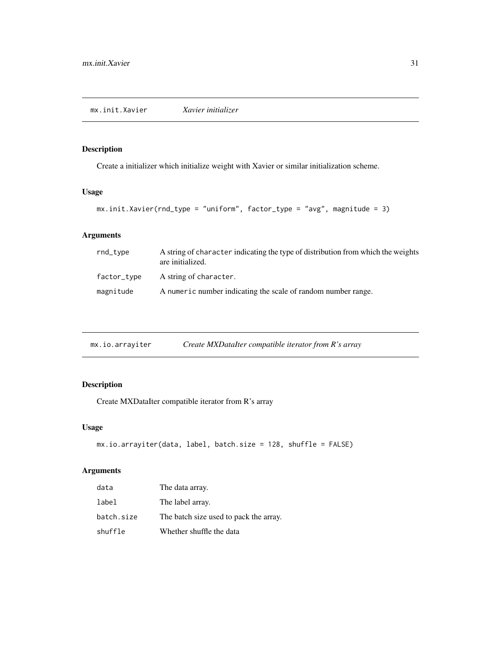<span id="page-30-0"></span>Create a initializer which initialize weight with Xavier or similar initialization scheme.

# Usage

```
mx.init.Xavier(rnd_type = "uniform", factor_type = "avg", magnitude = 3)
```
# Arguments

| rnd_type    | A string of character indicating the type of distribution from which the weights<br>are initialized. |
|-------------|------------------------------------------------------------------------------------------------------|
| factor_type | A string of character.                                                                               |
| magnitude   | A numeric number indicating the scale of random number range.                                        |

| mx.io.arrayiter | Create MXDataIter compatible iterator from R's array |  |
|-----------------|------------------------------------------------------|--|
|                 |                                                      |  |

# Description

Create MXDataIter compatible iterator from R's array

# Usage

```
mx.io.arrayiter(data, label, batch.size = 128, shuffle = FALSE)
```

| data       | The data array.                        |
|------------|----------------------------------------|
| label      | The label array.                       |
| batch.size | The batch size used to pack the array. |
| shuffle    | Whether shuffle the data               |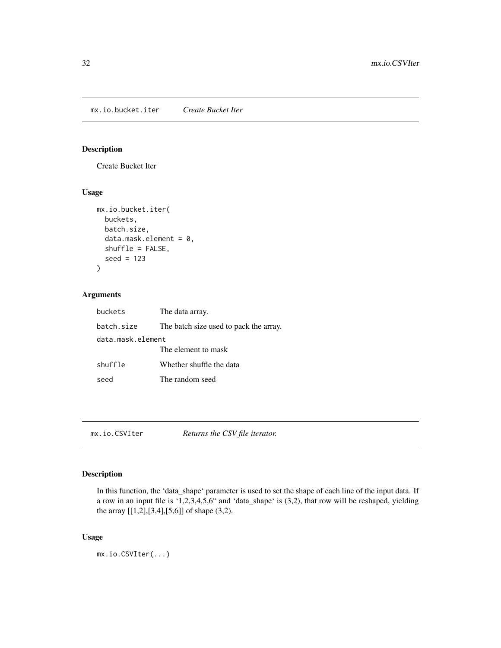<span id="page-31-0"></span>mx.io.bucket.iter *Create Bucket Iter*

# Description

Create Bucket Iter

# Usage

```
mx.io.bucket.iter(
  buckets,
  batch.size,
  data.mask.element = 0,
  shuffle = FALSE,
  seed = 123
)
```
# Arguments

| buckets           | The data array.                        |
|-------------------|----------------------------------------|
| batch.size        | The batch size used to pack the array. |
| data.mask.element |                                        |
|                   | The element to mask                    |
| shuffle           | Whether shuffle the data               |
| seed              | The random seed                        |

mx.io.CSVIter *Returns the CSV file iterator.*

#### Description

In this function, the 'data\_shape' parameter is used to set the shape of each line of the input data. If a row in an input file is '1,2,3,4,5,6" and 'data\_shape' is (3,2), that row will be reshaped, yielding the array [[1,2],[3,4],[5,6]] of shape (3,2).

#### Usage

mx.io.CSVIter(...)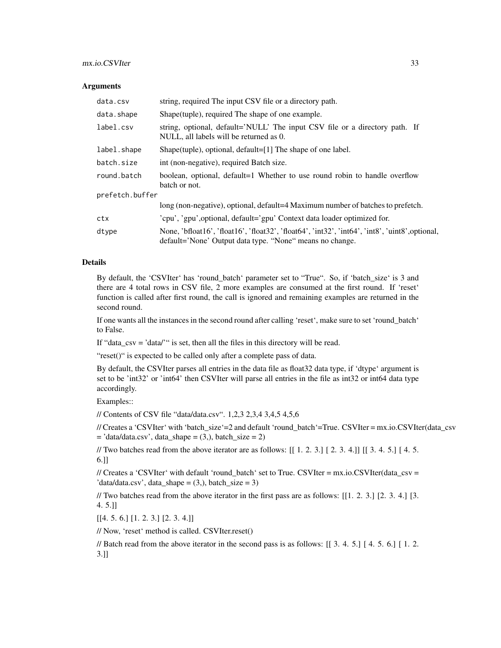#### mx.io.CSVIter 33

#### **Arguments**

| data.csv        | string, required The input CSV file or a directory path.                                                                                                    |
|-----------------|-------------------------------------------------------------------------------------------------------------------------------------------------------------|
| data.shape      | Shape (tuple), required The shape of one example.                                                                                                           |
| label.csv       | string, optional, default='NULL' The input CSV file or a directory path. If<br>NULL, all labels will be returned as 0.                                      |
| label.shape     | Shape(tuple), optional, default=[1] The shape of one label.                                                                                                 |
| batch.size      | int (non-negative), required Batch size.                                                                                                                    |
| round.batch     | boolean, optional, default=1 Whether to use round robin to handle overflow<br>batch or not.                                                                 |
| prefetch.buffer |                                                                                                                                                             |
|                 | long (non-negative), optional, default=4 Maximum number of batches to prefetch.                                                                             |
| ctx             | 'cpu', 'gpu', optional, default='gpu' Context data loader optimized for.                                                                                    |
| dtype           | None, 'bfloat16', 'float16', 'float32', 'float64', 'int32', 'int64', 'int8', 'uint8', optional,<br>default='None' Output data type. "None" means no change. |

#### Details

By default, the 'CSVIter' has 'round\_batch' parameter set to "True". So, if 'batch\_size' is 3 and there are 4 total rows in CSV file, 2 more examples are consumed at the first round. If 'reset' function is called after first round, the call is ignored and remaining examples are returned in the second round.

If one wants all the instances in the second round after calling 'reset', make sure to set 'round\_batch' to False.

If "data  $\cos y = \frac{\sinh(\theta)}{\sinh(\theta)}$  is set, then all the files in this directory will be read.

"reset()" is expected to be called only after a complete pass of data.

By default, the CSVIter parses all entries in the data file as float32 data type, if 'dtype' argument is set to be 'int32' or 'int64' then CSVIter will parse all entries in the file as int32 or int64 data type accordingly.

Examples::

// Contents of CSV file "data/data.csv". 1,2,3 2,3,4 3,4,5 4,5,6

// Creates a 'CSVIter' with 'batch\_size'=2 and default 'round\_batch'=True. CSVIter = mx.io.CSVIter(data\_csv  $=$ 'data/data.csv', data\_shape  $= (3, )$ , batch\_size  $= 2)$ 

// Two batches read from the above iterator are as follows: [[ 1. 2. 3.] [ 2. 3. 4.]] [[ 3. 4. 5.] [ 4. 5. 6.]]

// Creates a 'CSVIter' with default 'round\_batch' set to True. CSVIter = mx.io.CSVIter(data\_csv =  $'data/data.csv'$ , data\_shape =  $(3)$ , batch\_size = 3)

// Two batches read from the above iterator in the first pass are as follows: [[1. 2. 3.] [2. 3. 4.] [3. 4. 5.]]

[[4. 5. 6.] [1. 2. 3.] [2. 3. 4.]]

// Now, 'reset' method is called. CSVIter.reset()

// Batch read from the above iterator in the second pass is as follows: [[ 3. 4. 5.] [ 4. 5. 6.] [ 1. 2. 3.]]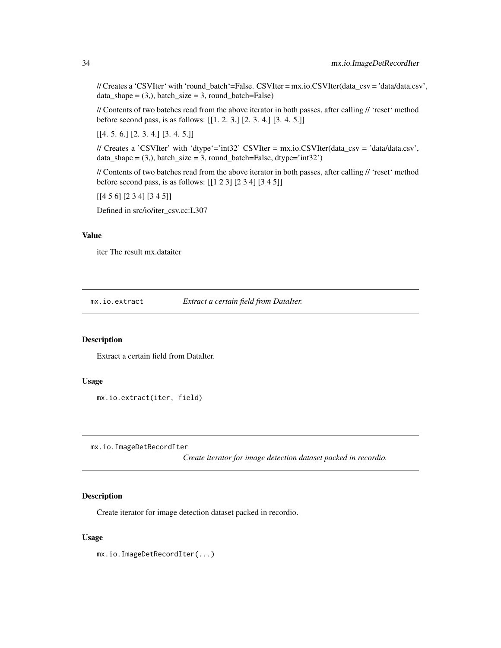<span id="page-33-0"></span>// Creates a 'CSVIter' with 'round\_batch'=False. CSVIter = mx.io.CSVIter(data\_csv = 'data/data.csv', data\_shape =  $(3)$ , batch\_size = 3, round\_batch=False)

// Contents of two batches read from the above iterator in both passes, after calling // 'reset' method before second pass, is as follows: [[1. 2. 3.] [2. 3. 4.] [3. 4. 5.]]

 $[[4. 5. 6.] [2. 3. 4.] [3. 4. 5.]]$ 

// Creates a 'CSVIter' with 'dtype'='int32' CSVIter = mx.io.CSVIter(data\_csv = 'data/data.csv', data\_shape =  $(3)$ , batch\_size = 3, round\_batch=False, dtype='int32')

// Contents of two batches read from the above iterator in both passes, after calling // 'reset' method before second pass, is as follows: [[1 2 3] [2 3 4] [3 4 5]]

[[4 5 6] [2 3 4] [3 4 5]]

Defined in src/io/iter\_csv.cc:L307

#### Value

iter The result mx.dataiter

mx.io.extract *Extract a certain field from DataIter.*

#### Description

Extract a certain field from DataIter.

#### Usage

```
mx.io.extract(iter, field)
```
mx.io.ImageDetRecordIter

*Create iterator for image detection dataset packed in recordio.*

# Description

Create iterator for image detection dataset packed in recordio.

#### Usage

mx.io.ImageDetRecordIter(...)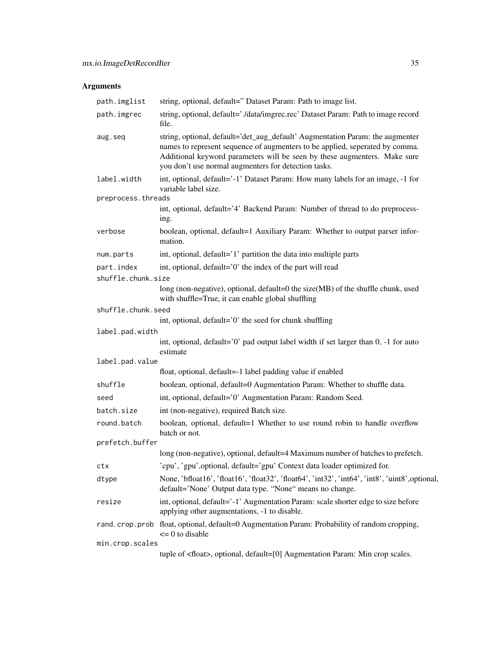| path.imglist       | string, optional, default=" Dataset Param: Path to image list.                                                                                                                                                                                                                                     |
|--------------------|----------------------------------------------------------------------------------------------------------------------------------------------------------------------------------------------------------------------------------------------------------------------------------------------------|
| path.imgrec        | string, optional, default='./data/imgrec.rec' Dataset Param: Path to image record<br>file.                                                                                                                                                                                                         |
| aug.seq            | string, optional, default='det_aug_default' Augmentation Param: the augmenter<br>names to represent sequence of augmenters to be applied, seperated by comma.<br>Additional keyword parameters will be seen by these augmenters. Make sure<br>you don't use normal augmenters for detection tasks. |
| label.width        | int, optional, default='-1' Dataset Param: How many labels for an image, -1 for<br>variable label size.                                                                                                                                                                                            |
| preprocess.threads |                                                                                                                                                                                                                                                                                                    |
|                    | int, optional, default='4' Backend Param: Number of thread to do preprocess-<br>ing.                                                                                                                                                                                                               |
| verbose            | boolean, optional, default=1 Auxiliary Param: Whether to output parser infor-<br>mation.                                                                                                                                                                                                           |
| num.parts          | int, optional, default='1' partition the data into multiple parts                                                                                                                                                                                                                                  |
| part.index         | int, optional, default='0' the index of the part will read                                                                                                                                                                                                                                         |
| shuffle.chunk.size |                                                                                                                                                                                                                                                                                                    |
|                    | long (non-negative), optional, default=0 the size(MB) of the shuffle chunk, used<br>with shuffle=True, it can enable global shuffling                                                                                                                                                              |
| shuffle.chunk.seed |                                                                                                                                                                                                                                                                                                    |
|                    | int, optional, default='0' the seed for chunk shuffling                                                                                                                                                                                                                                            |
| label.pad.width    |                                                                                                                                                                                                                                                                                                    |
|                    | int, optional, default='0' pad output label width if set larger than 0, -1 for auto<br>estimate                                                                                                                                                                                                    |
| label.pad.value    |                                                                                                                                                                                                                                                                                                    |
|                    | float, optional, default=-1 label padding value if enabled                                                                                                                                                                                                                                         |
| shuffle            | boolean, optional, default=0 Augmentation Param: Whether to shuffle data.                                                                                                                                                                                                                          |
| seed               | int, optional, default='0' Augmentation Param: Random Seed.                                                                                                                                                                                                                                        |
| batch.size         | int (non-negative), required Batch size.                                                                                                                                                                                                                                                           |
| round.batch        | boolean, optional, default=1 Whether to use round robin to handle overflow<br>batch or not.                                                                                                                                                                                                        |
| prefetch.buffer    |                                                                                                                                                                                                                                                                                                    |
|                    | long (non-negative), optional, default=4 Maximum number of batches to prefetch.                                                                                                                                                                                                                    |
| ctx                | 'cpu', 'gpu', optional, default='gpu' Context data loader optimized for.                                                                                                                                                                                                                           |
| dtype              | None, 'bfloat16', 'float16', 'float32', 'float64', 'int32', 'int64', 'int8', 'uint8', optional,<br>default='None' Output data type. "None" means no change.                                                                                                                                        |
| resize             | int, optional, default='-1' Augmentation Param: scale shorter edge to size before<br>applying other augmentations, -1 to disable.                                                                                                                                                                  |
|                    | rand.crop.prob float, optional, default=0 Augmentation Param: Probability of random cropping,<br>$\leq$ 0 to disable                                                                                                                                                                               |
| min.crop.scales    |                                                                                                                                                                                                                                                                                                    |
|                    | tuple of <float>, optional, default=[0] Augmentation Param: Min crop scales.</float>                                                                                                                                                                                                               |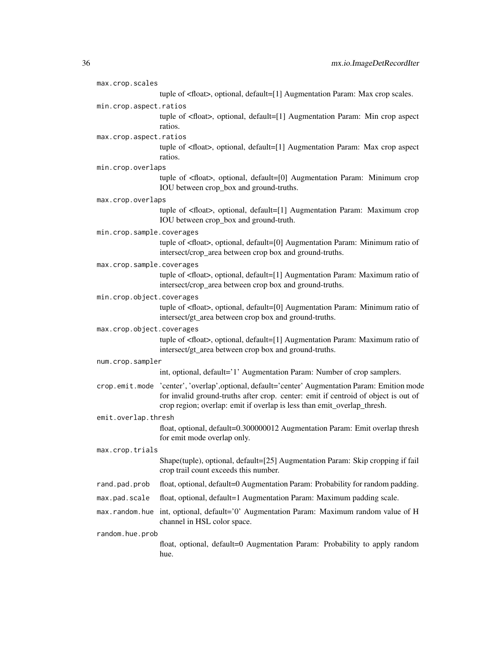| max.crop.scales           |                                                                                                                                                                                                                                                                  |
|---------------------------|------------------------------------------------------------------------------------------------------------------------------------------------------------------------------------------------------------------------------------------------------------------|
|                           | tuple of <float>, optional, default=[1] Augmentation Param: Max crop scales.</float>                                                                                                                                                                             |
| min.crop.aspect.ratios    |                                                                                                                                                                                                                                                                  |
|                           | tuple of <float>, optional, default=[1] Augmentation Param: Min crop aspect<br/>ratios.</float>                                                                                                                                                                  |
| max.crop.aspect.ratios    |                                                                                                                                                                                                                                                                  |
|                           | tuple of <float>, optional, default=[1] Augmentation Param: Max crop aspect<br/>ratios.</float>                                                                                                                                                                  |
| min.crop.overlaps         |                                                                                                                                                                                                                                                                  |
|                           | tuple of <float>, optional, default=[0] Augmentation Param: Minimum crop<br/>IOU between crop_box and ground-truths.</float>                                                                                                                                     |
| max.crop.overlaps         |                                                                                                                                                                                                                                                                  |
|                           | tuple of <float>, optional, default=[1] Augmentation Param: Maximum crop<br/>IOU between crop_box and ground-truth.</float>                                                                                                                                      |
| min.crop.sample.coverages |                                                                                                                                                                                                                                                                  |
|                           | tuple of <float>, optional, default=[0] Augmentation Param: Minimum ratio of<br/>intersect/crop_area between crop box and ground-truths.</float>                                                                                                                 |
| max.crop.sample.coverages |                                                                                                                                                                                                                                                                  |
|                           | tuple of <float>, optional, default=[1] Augmentation Param: Maximum ratio of<br/>intersect/crop_area between crop box and ground-truths.</float>                                                                                                                 |
| min.crop.object.coverages |                                                                                                                                                                                                                                                                  |
|                           | tuple of <float>, optional, default=[0] Augmentation Param: Minimum ratio of<br/>intersect/gt_area between crop box and ground-truths.</float>                                                                                                                   |
| max.crop.object.coverages |                                                                                                                                                                                                                                                                  |
|                           | tuple of <float>, optional, default=[1] Augmentation Param: Maximum ratio of<br/>intersect/gt_area between crop box and ground-truths.</float>                                                                                                                   |
| num.crop.sampler          |                                                                                                                                                                                                                                                                  |
|                           | int, optional, default='1' Augmentation Param: Number of crop samplers.                                                                                                                                                                                          |
|                           | crop.emit.mode 'center', 'overlap', optional, default='center' Augmentation Param: Emition mode<br>for invalid ground-truths after crop. center: emit if centroid of object is out of<br>crop region; overlap: emit if overlap is less than emit_overlap_thresh. |
| emit.overlap.thresh       |                                                                                                                                                                                                                                                                  |
|                           | float, optional, default=0.300000012 Augmentation Param: Emit overlap thresh<br>for emit mode overlap only.                                                                                                                                                      |
| max.crop.trials           |                                                                                                                                                                                                                                                                  |
|                           | Shape(tuple), optional, default=[25] Augmentation Param: Skip cropping if fail<br>crop trail count exceeds this number.                                                                                                                                          |
| rand.pad.prob             | float, optional, default=0 Augmentation Param: Probability for random padding.                                                                                                                                                                                   |
| max.pad.scale             | float, optional, default=1 Augmentation Param: Maximum padding scale.                                                                                                                                                                                            |
| max.random.hue            | int, optional, default='0' Augmentation Param: Maximum random value of H<br>channel in HSL color space.                                                                                                                                                          |
| random.hue.prob           |                                                                                                                                                                                                                                                                  |
|                           | float, optional, default=0 Augmentation Param: Probability to apply random<br>hue.                                                                                                                                                                               |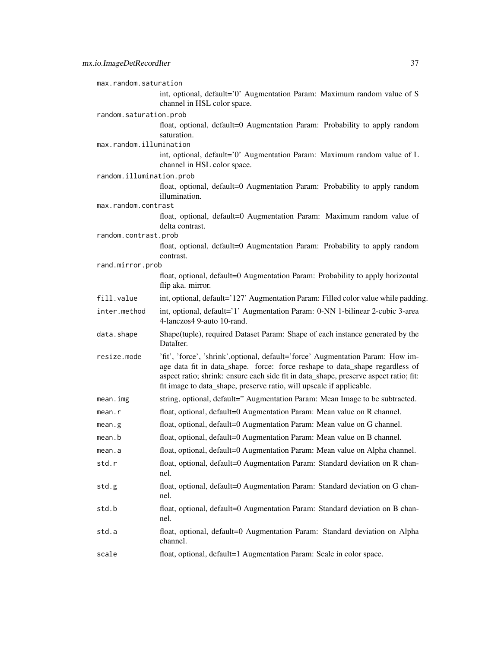max.random.saturation int, optional, default='0' Augmentation Param: Maximum random value of S channel in HSL color space. random.saturation.prob float, optional, default=0 Augmentation Param: Probability to apply random saturation. max.random.illumination int, optional, default='0' Augmentation Param: Maximum random value of L channel in HSL color space. random.illumination.prob float, optional, default=0 Augmentation Param: Probability to apply random illumination. max.random.contrast float, optional, default=0 Augmentation Param: Maximum random value of delta contrast. random.contrast.prob float, optional, default=0 Augmentation Param: Probability to apply random contrast. rand.mirror.prob float, optional, default=0 Augmentation Param: Probability to apply horizontal flip aka. mirror. fill. value int, optional, default='127' Augmentation Param: Filled color value while padding. inter.method int, optional, default='1' Augmentation Param: 0-NN 1-bilinear 2-cubic 3-area 4-lanczos4 9-auto 10-rand. data. shape Shape(tuple), required Dataset Param: Shape of each instance generated by the DataIter. resize.mode 'fit', 'force', 'shrink',optional, default='force' Augmentation Param: How image data fit in data shape. force: force reshape to data shape regardless of aspect ratio; shrink: ensure each side fit in data\_shape, preserve aspect ratio; fit: fit image to data\_shape, preserve ratio, will upscale if applicable. mean.img string, optional, default=" Augmentation Param: Mean Image to be subtracted. mean.r float, optional, default=0 Augmentation Param: Mean value on R channel. mean.g float, optional, default=0 Augmentation Param: Mean value on G channel. mean.b float, optional, default=0 Augmentation Param: Mean value on B channel. mean.a float, optional, default=0 Augmentation Param: Mean value on Alpha channel. std.r float, optional, default=0 Augmentation Param: Standard deviation on R channel. std.g float, optional, default=0 Augmentation Param: Standard deviation on G channel. std.b float, optional, default=0 Augmentation Param: Standard deviation on B channel. std.a float, optional, default=0 Augmentation Param: Standard deviation on Alpha channel. scale float, optional, default=1 Augmentation Param: Scale in color space.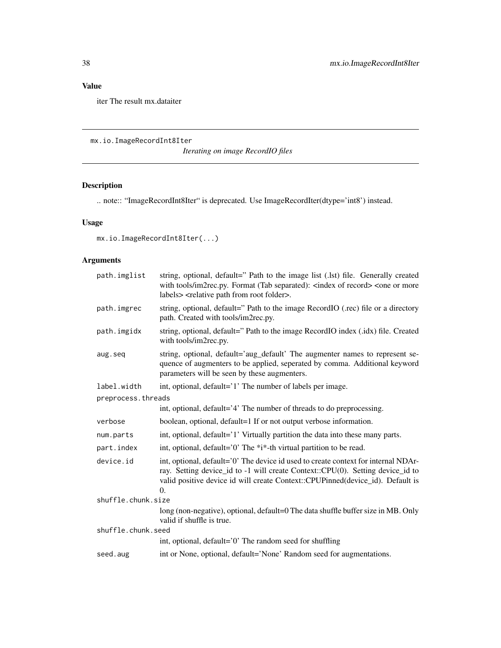# Value

iter The result mx.dataiter

mx.io.ImageRecordInt8Iter

*Iterating on image RecordIO files*

# Description

.. note:: "ImageRecordInt8Iter" is deprecated. Use ImageRecordIter(dtype='int8') instead.

# Usage

```
mx.io.ImageRecordInt8Iter(...)
```

| path.imglist       | string, optional, default=" Path to the image list (.lst) file. Generally created<br>with tools/im2rec.py. Format (Tab separated): <index of="" record=""> <one more<br="" or="">labels&gt; <relative folder="" from="" path="" root="">.</relative></one></index>   |
|--------------------|----------------------------------------------------------------------------------------------------------------------------------------------------------------------------------------------------------------------------------------------------------------------|
| path.imgrec        | string, optional, default=" Path to the image RecordIO (.rec) file or a directory<br>path. Created with tools/im2rec.py.                                                                                                                                             |
| path.imgidx        | string, optional, default=" Path to the image RecordIO index (.idx) file. Created<br>with tools/im2rec.py.                                                                                                                                                           |
| aug.seq            | string, optional, default='aug_default' The augmenter names to represent se-<br>quence of augmenters to be applied, seperated by comma. Additional keyword<br>parameters will be seen by these augmenters.                                                           |
| label.width        | int, optional, default='1' The number of labels per image.                                                                                                                                                                                                           |
| preprocess.threads |                                                                                                                                                                                                                                                                      |
|                    | int, optional, default='4' The number of threads to do preprocessing.                                                                                                                                                                                                |
| verbose            | boolean, optional, default=1 If or not output verbose information.                                                                                                                                                                                                   |
| num.parts          | int, optional, default='1' Virtually partition the data into these many parts.                                                                                                                                                                                       |
| part.index         | int, optional, default='0' The *i*-th virtual partition to be read.                                                                                                                                                                                                  |
| device.id          | int, optional, default='0' The device id used to create context for internal NDAr-<br>ray. Setting device_id to -1 will create Context::CPU(0). Setting device_id to<br>valid positive device id will create Context::CPUPinned(device_id). Default is<br>$\Omega$ . |
| shuffle.chunk.size |                                                                                                                                                                                                                                                                      |
|                    | long (non-negative), optional, default=0 The data shuffle buffer size in MB. Only<br>valid if shuffle is true.                                                                                                                                                       |
| shuffle.chunk.seed |                                                                                                                                                                                                                                                                      |
|                    | int, optional, default='0' The random seed for shuffling                                                                                                                                                                                                             |
| seed.aug           | int or None, optional, default='None' Random seed for augmentations.                                                                                                                                                                                                 |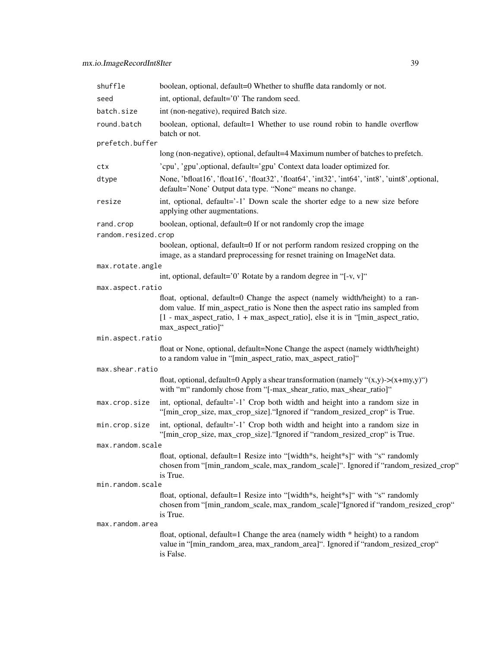| boolean, optional, default=0 Whether to shuffle data randomly or not.                                                                                                                                                                                                          |
|--------------------------------------------------------------------------------------------------------------------------------------------------------------------------------------------------------------------------------------------------------------------------------|
| int, optional, default='0' The random seed.                                                                                                                                                                                                                                    |
| int (non-negative), required Batch size.                                                                                                                                                                                                                                       |
| boolean, optional, default=1 Whether to use round robin to handle overflow<br>batch or not.                                                                                                                                                                                    |
|                                                                                                                                                                                                                                                                                |
| long (non-negative), optional, default=4 Maximum number of batches to prefetch.                                                                                                                                                                                                |
| 'cpu', 'gpu', optional, default='gpu' Context data loader optimized for.                                                                                                                                                                                                       |
| None, 'bfloat16', 'float16', 'float32', 'float64', 'int32', 'int64', 'int8', 'uint8', optional,<br>default='None' Output data type. "None" means no change.                                                                                                                    |
| int, optional, default='-1' Down scale the shorter edge to a new size before<br>applying other augmentations.                                                                                                                                                                  |
| boolean, optional, default=0 If or not randomly crop the image                                                                                                                                                                                                                 |
| random.resized.crop                                                                                                                                                                                                                                                            |
| boolean, optional, default=0 If or not perform random resized cropping on the<br>image, as a standard preprocessing for resnet training on ImageNet data.                                                                                                                      |
| max.rotate.angle                                                                                                                                                                                                                                                               |
| int, optional, default='0' Rotate by a random degree in "[-v, v]"                                                                                                                                                                                                              |
| max.aspect.ratio                                                                                                                                                                                                                                                               |
| float, optional, default=0 Change the aspect (namely width/height) to a ran-<br>dom value. If min_aspect_ratio is None then the aspect ratio ins sampled from<br>$[1 - max_0$ aspect_ratio, $1 + max_0$ aspect_ratio], else it is in "[min_aspect_ratio,<br>max_aspect_ratio]" |
| min.aspect.ratio                                                                                                                                                                                                                                                               |
| float or None, optional, default=None Change the aspect (namely width/height)<br>to a random value in "[min_aspect_ratio, max_aspect_ratio]"                                                                                                                                   |
| max.shear.ratio                                                                                                                                                                                                                                                                |
| float, optional, default=0 Apply a shear transformation (namely " $(x,y)$ -> $(x+my,y)$ ")<br>with "m" randomly chose from "[-max_shear_ratio, max_shear_ratio]"                                                                                                               |
| int, optional, default='-1' Crop both width and height into a random size in<br>"[min_crop_size, max_crop_size]. "Ignored if "random_resized_crop" is True.                                                                                                                    |
| int, optional, default='-1' Crop both width and height into a random size in<br>"[min_crop_size, max_crop_size]. "Ignored if "random_resized_crop" is True.                                                                                                                    |
| max.random.scale                                                                                                                                                                                                                                                               |
| float, optional, default=1 Resize into "[width*s, height*s]" with "s" randomly<br>chosen from "[min_random_scale, max_random_scale]". Ignored if "random_resized_crop"<br>is True.                                                                                             |
| min.random.scale                                                                                                                                                                                                                                                               |
| float, optional, default=1 Resize into "[width*s, height*s]" with "s" randomly<br>chosen from "[min_random_scale, max_random_scale]"Ignored if "random_resized_crop"<br>is True.                                                                                               |
|                                                                                                                                                                                                                                                                                |
| float, optional, default=1 Change the area (namely width * height) to a random<br>value in "[min_random_area, max_random_area]". Ignored if "random_resized_crop"<br>is False.                                                                                                 |
|                                                                                                                                                                                                                                                                                |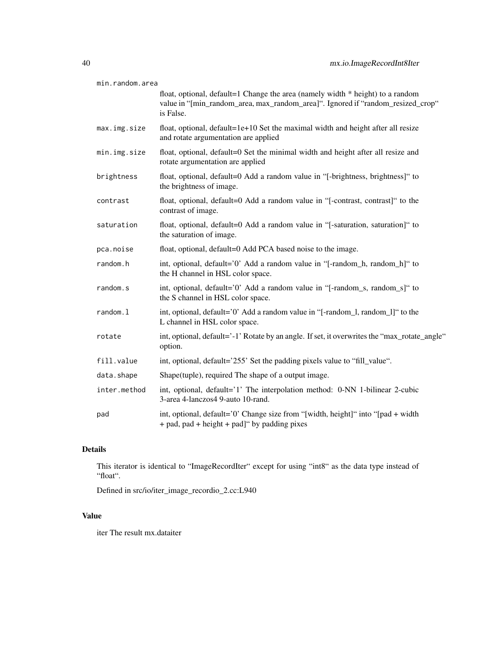| min.random.area |                                                                                                                                                                                |
|-----------------|--------------------------------------------------------------------------------------------------------------------------------------------------------------------------------|
|                 | float, optional, default=1 Change the area (namely width * height) to a random<br>value in "[min_random_area, max_random_area]". Ignored if "random_resized_crop"<br>is False. |
| max.img.size    | float, optional, default=1e+10 Set the maximal width and height after all resize<br>and rotate argumentation are applied                                                       |
| min.img.size    | float, optional, default=0 Set the minimal width and height after all resize and<br>rotate argumentation are applied                                                           |
| brightness      | float, optional, default=0 Add a random value in "[-brightness, brightness]" to<br>the brightness of image.                                                                    |
| contrast        | float, optional, default=0 Add a random value in "[-contrast, contrast]" to the<br>contrast of image.                                                                          |
| saturation      | float, optional, default=0 Add a random value in "[-saturation, saturation]" to<br>the saturation of image.                                                                    |
| pca.noise       | float, optional, default=0 Add PCA based noise to the image.                                                                                                                   |
| random.h        | int, optional, default='0' Add a random value in "[-random_h, random_h]" to<br>the H channel in HSL color space.                                                               |
| random.s        | int, optional, default='0' Add a random value in "[-random_s, random_s]" to<br>the S channel in HSL color space.                                                               |
| random.l        | int, optional, default='0' Add a random value in "[-random_l, random_l]" to the<br>L channel in HSL color space.                                                               |
| rotate          | int, optional, default='-1' Rotate by an angle. If set, it overwrites the "max_rotate_angle"<br>option.                                                                        |
| fill.value      | int, optional, default='255' Set the padding pixels value to "fill_value".                                                                                                     |
| data.shape      | Shape(tuple), required The shape of a output image.                                                                                                                            |
| inter.method    | int, optional, default='1' The interpolation method: 0-NN 1-bilinear 2-cubic<br>3-area 4-lanczos4 9-auto 10-rand.                                                              |
| pad             | int, optional, default='0' Change size from "[width, height]" into "[pad + width<br>+ pad, pad + height + pad]" by padding pixes                                               |

# Details

This iterator is identical to "ImageRecordIter" except for using "int8" as the data type instead of "float".

Defined in src/io/iter\_image\_recordio\_2.cc:L940

# Value

iter The result mx.dataiter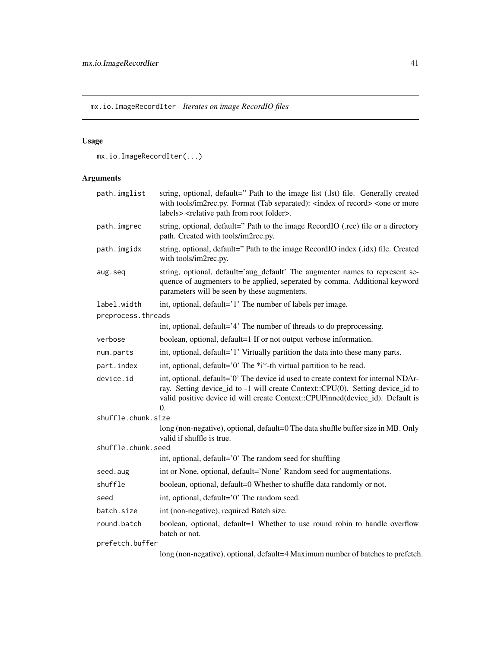mx.io.ImageRecordIter *Iterates on image RecordIO files*

# Usage

```
mx.io.ImageRecordIter(...)
```

| path.imglist       | string, optional, default=" Path to the image list (.lst) file. Generally created<br>with tools/im2rec.py. Format (Tab separated): <index of="" record=""> <one more<br="" or="">labels&gt; <relative folder="" from="" path="" root="">.</relative></one></index> |
|--------------------|--------------------------------------------------------------------------------------------------------------------------------------------------------------------------------------------------------------------------------------------------------------------|
| path.imgrec        | string, optional, default=" Path to the image RecordIO (.rec) file or a directory<br>path. Created with tools/im2rec.py.                                                                                                                                           |
| path.imgidx        | string, optional, default=" Path to the image RecordIO index (.idx) file. Created<br>with tools/im2rec.py.                                                                                                                                                         |
| aug.seq            | string, optional, default='aug_default' The augmenter names to represent se-<br>quence of augmenters to be applied, seperated by comma. Additional keyword<br>parameters will be seen by these augmenters.                                                         |
| label.width        | int, optional, default='1' The number of labels per image.                                                                                                                                                                                                         |
| preprocess.threads |                                                                                                                                                                                                                                                                    |
|                    | int, optional, default='4' The number of threads to do preprocessing.                                                                                                                                                                                              |
| verbose            | boolean, optional, default=1 If or not output verbose information.                                                                                                                                                                                                 |
| num.parts          | int, optional, default='1' Virtually partition the data into these many parts.                                                                                                                                                                                     |
| part.index         | int, optional, default='0' The *i*-th virtual partition to be read.                                                                                                                                                                                                |
| device.id          | int, optional, default='0' The device id used to create context for internal NDAr-<br>ray. Setting device_id to -1 will create Context::CPU(0). Setting device_id to<br>valid positive device id will create Context::CPUPinned(device_id). Default is<br>0.       |
| shuffle.chunk.size |                                                                                                                                                                                                                                                                    |
|                    | long (non-negative), optional, default=0 The data shuffle buffer size in MB. Only<br>valid if shuffle is true.                                                                                                                                                     |
| shuffle.chunk.seed |                                                                                                                                                                                                                                                                    |
|                    | int, optional, default='0' The random seed for shuffling                                                                                                                                                                                                           |
| seed.aug           | int or None, optional, default='None' Random seed for augmentations.                                                                                                                                                                                               |
| shuffle            | boolean, optional, default=0 Whether to shuffle data randomly or not.                                                                                                                                                                                              |
| seed               | int, optional, default='0' The random seed.                                                                                                                                                                                                                        |
| batch.size         | int (non-negative), required Batch size.                                                                                                                                                                                                                           |
| round.batch        | boolean, optional, default=1 Whether to use round robin to handle overflow<br>batch or not.                                                                                                                                                                        |
| prefetch.buffer    |                                                                                                                                                                                                                                                                    |
|                    | long (non-negative), optional, default=4 Maximum number of batches to prefetch.                                                                                                                                                                                    |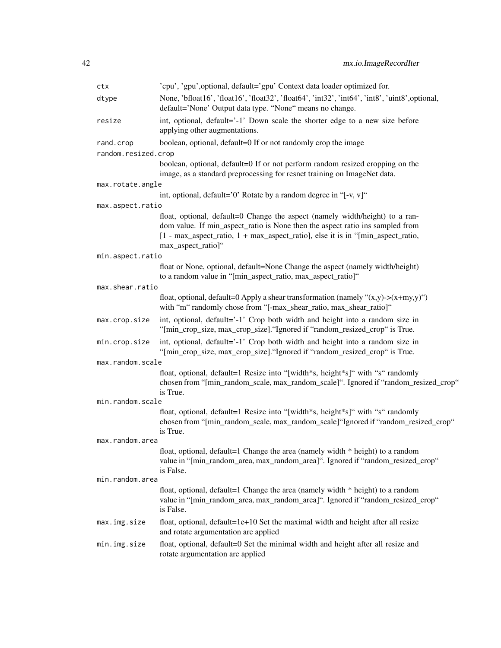| ctx                 | 'cpu', 'gpu', optional, default='gpu' Context data loader optimized for.                                                                                                                                                                                                          |
|---------------------|-----------------------------------------------------------------------------------------------------------------------------------------------------------------------------------------------------------------------------------------------------------------------------------|
| dtype               | None, 'bfloat16', 'float16', 'float32', 'float64', 'int32', 'int64', 'int8', 'uint8', optional,<br>default='None' Output data type. "None" means no change.                                                                                                                       |
| resize              | int, optional, default='-1' Down scale the shorter edge to a new size before<br>applying other augmentations.                                                                                                                                                                     |
| rand.crop           | boolean, optional, default=0 If or not randomly crop the image                                                                                                                                                                                                                    |
| random.resized.crop |                                                                                                                                                                                                                                                                                   |
|                     | boolean, optional, default=0 If or not perform random resized cropping on the<br>image, as a standard preprocessing for resnet training on ImageNet data.                                                                                                                         |
| max.rotate.angle    |                                                                                                                                                                                                                                                                                   |
|                     | int, optional, default='0' Rotate by a random degree in "[-v, v]"                                                                                                                                                                                                                 |
| max.aspect.ratio    |                                                                                                                                                                                                                                                                                   |
|                     | float, optional, default=0 Change the aspect (namely width/height) to a ran-<br>dom value. If min_aspect_ratio is None then the aspect ratio ins sampled from<br>$[1 - \max_0]$ aspect_ratio, $1 + \max_0$ aspect_ratio], else it is in "[min_aspect_ratio,<br>max_aspect_ratio]" |
| min.aspect.ratio    |                                                                                                                                                                                                                                                                                   |
|                     | float or None, optional, default=None Change the aspect (namely width/height)<br>to a random value in "[min_aspect_ratio, max_aspect_ratio]"                                                                                                                                      |
| max.shear.ratio     |                                                                                                                                                                                                                                                                                   |
|                     | float, optional, default=0 Apply a shear transformation (namely " $(x,y)$ -> $(x+my,y)$ ")<br>with "m" randomly chose from "[-max_shear_ratio, max_shear_ratio]"                                                                                                                  |
| max.crop.size       | int, optional, default='-1' Crop both width and height into a random size in<br>"[min_crop_size, max_crop_size]. "Ignored if "random_resized_crop" is True.                                                                                                                       |
| min.crop.size       | int, optional, default='-1' Crop both width and height into a random size in<br>"[min_crop_size, max_crop_size]. "Ignored if "random_resized_crop" is True.                                                                                                                       |
| max.random.scale    |                                                                                                                                                                                                                                                                                   |
|                     | float, optional, default=1 Resize into "[width*s, height*s]" with "s" randomly<br>chosen from "[min_random_scale, max_random_scale]". Ignored if "random_resized_crop"<br>is True.                                                                                                |
| min.random.scale    |                                                                                                                                                                                                                                                                                   |
|                     | float, optional, default=1 Resize into "[width*s, height*s]" with "s" randomly<br>chosen from "[min_random_scale, max_random_scale]"Ignored if "random_resized_crop"<br>is True.                                                                                                  |
| max.random.area     |                                                                                                                                                                                                                                                                                   |
|                     | float, optional, default=1 Change the area (namely width * height) to a random<br>value in "[min_random_area, max_random_area]". Ignored if "random_resized_crop"<br>is False.                                                                                                    |
| min.random.area     |                                                                                                                                                                                                                                                                                   |
|                     | float, optional, default=1 Change the area (namely width * height) to a random<br>value in "[min_random_area, max_random_area]". Ignored if "random_resized_crop"<br>is False.                                                                                                    |
| max.img.size        | float, optional, default=1e+10 Set the maximal width and height after all resize<br>and rotate argumentation are applied                                                                                                                                                          |
| min.img.size        | float, optional, default=0 Set the minimal width and height after all resize and<br>rotate argumentation are applied                                                                                                                                                              |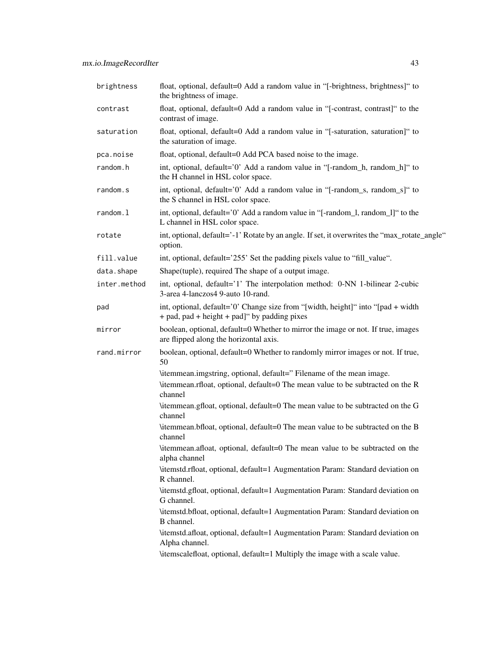| brightness   | float, optional, default=0 Add a random value in "[-brightness, brightness]" to<br>the brightness of image.                      |
|--------------|----------------------------------------------------------------------------------------------------------------------------------|
| contrast     | float, optional, default=0 Add a random value in "[-contrast, contrast]" to the<br>contrast of image.                            |
| saturation   | float, optional, default=0 Add a random value in "[-saturation, saturation]" to<br>the saturation of image.                      |
| pca.noise    | float, optional, default=0 Add PCA based noise to the image.                                                                     |
| random.h     | int, optional, default='0' Add a random value in "[-random_h, random_h]" to<br>the H channel in HSL color space.                 |
| random.s     | int, optional, default='0' Add a random value in "[-random_s, random_s]" to<br>the S channel in HSL color space.                 |
| random.l     | int, optional, default='0' Add a random value in "[-random_l, random_l]" to the<br>L channel in HSL color space.                 |
| rotate       | int, optional, default='-1' Rotate by an angle. If set, it overwrites the "max_rotate_angle"<br>option.                          |
| fill.value   | int, optional, default='255' Set the padding pixels value to "fill_value".                                                       |
| data.shape   | Shape(tuple), required The shape of a output image.                                                                              |
| inter.method | int, optional, default='1' The interpolation method: 0-NN 1-bilinear 2-cubic<br>3-area 4-lanczos4 9-auto 10-rand.                |
| pad          | int, optional, default='0' Change size from "[width, height]" into "[pad + width<br>+ pad, pad + height + pad]" by padding pixes |
| mirror       | boolean, optional, default=0 Whether to mirror the image or not. If true, images<br>are flipped along the horizontal axis.       |
| rand.mirror  | boolean, optional, default=0 Whether to randomly mirror images or not. If true,<br>50                                            |
|              | \itemmean.imgstring, optional, default=" Filename of the mean image.                                                             |
|              | \itemmean.rfloat, optional, default=0 The mean value to be subtracted on the R<br>channel                                        |
|              | \itemmean.gfloat, optional, default=0 The mean value to be subtracted on the G<br>channel                                        |
|              | \itemmean.bfloat, optional, default=0 The mean value to be subtracted on the B<br>channel                                        |
|              | \itemmean.afloat, optional, default=0 The mean value to be subtracted on the<br>alpha channel                                    |
|              | \itemstd.rfloat, optional, default=1 Augmentation Param: Standard deviation on<br>R channel.                                     |
|              | \itemstd.gfloat, optional, default=1 Augmentation Param: Standard deviation on<br>G channel.                                     |
|              | \itemstd.bfloat, optional, default=1 Augmentation Param: Standard deviation on<br>B channel.                                     |
|              | \itemstd.afloat, optional, default=1 Augmentation Param: Standard deviation on<br>Alpha channel.                                 |
|              | \itemscalefloat, optional, default=1 Multiply the image with a scale value.                                                      |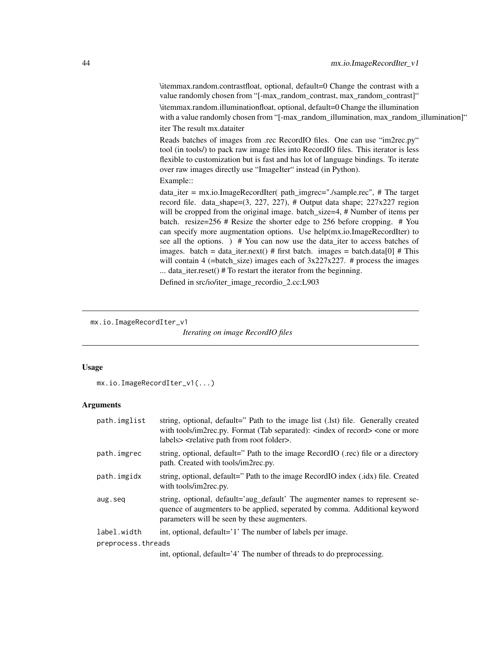\itemmax.random.contrastfloat, optional, default=0 Change the contrast with a value randomly chosen from "[-max\_random\_contrast, max\_random\_contrast]" \itemmax.random.illuminationfloat, optional, default=0 Change the illumination with a value randomly chosen from "[-max\_random\_illumination, max\_random\_illumination]" iter The result mx.dataiter

Reads batches of images from .rec RecordIO files. One can use "im2rec.py" tool (in tools/) to pack raw image files into RecordIO files. This iterator is less flexible to customization but is fast and has lot of language bindings. To iterate over raw images directly use "ImageIter" instead (in Python).

Example::

data\_iter = mx.io.ImageRecordIter( path\_imgrec="./sample.rec", # The target record file. data\_shape=(3, 227, 227), # Output data shape; 227x227 region will be cropped from the original image. batch\_size=4, # Number of items per batch. resize=256 # Resize the shorter edge to 256 before cropping. # You can specify more augmentation options. Use help(mx.io.ImageRecordIter) to see all the options. ) # You can now use the data\_iter to access batches of images. batch = data\_iter.next() # first batch. images = batch.data[0] # This will contain 4 (=batch\_size) images each of  $3x227x227$ . # process the images ... data\_iter.reset() # To restart the iterator from the beginning.

Defined in src/io/iter\_image\_recordio\_2.cc:L903

```
mx.io.ImageRecordIter_v1
```
*Iterating on image RecordIO files*

#### Usage

mx.io.ImageRecordIter\_v1(...)

#### **Arguments**

| path.imglist       | string, optional, default=" Path to the image list (.lst) file. Generally created<br>with tools/im2rec.py. Format (Tab separated): <index of="" record=""> <one more<br="" or="">labels&gt; <relative folder="" from="" path="" root="">.</relative></one></index> |
|--------------------|--------------------------------------------------------------------------------------------------------------------------------------------------------------------------------------------------------------------------------------------------------------------|
| path.imgrec        | string, optional, default=" Path to the image RecordIO (.rec) file or a directory<br>path. Created with tools/im2rec.py.                                                                                                                                           |
| path.imgidx        | string, optional, default=" Path to the image RecordIO index (.idx) file. Created<br>with tools/im2rec.py.                                                                                                                                                         |
| aug.seq            | string, optional, default='aug_default' The augmenter names to represent se-<br>quence of augmenters to be applied, seperated by comma. Additional keyword<br>parameters will be seen by these augmenters.                                                         |
| label.width        | int, optional, default='1' The number of labels per image.                                                                                                                                                                                                         |
| preprocess.threads |                                                                                                                                                                                                                                                                    |
|                    |                                                                                                                                                                                                                                                                    |

int, optional, default='4' The number of threads to do preprocessing.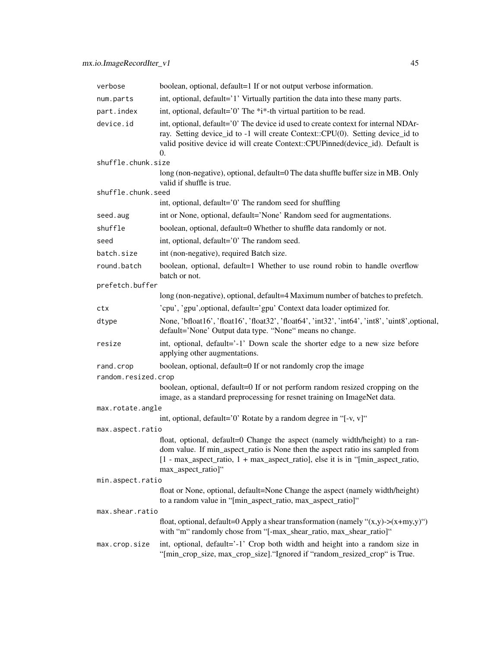| verbose             | boolean, optional, default=1 If or not output verbose information.                                                                                                                                                                                                               |
|---------------------|----------------------------------------------------------------------------------------------------------------------------------------------------------------------------------------------------------------------------------------------------------------------------------|
| num.parts           | int, optional, default='1' Virtually partition the data into these many parts.                                                                                                                                                                                                   |
| part.index          | int, optional, default='0' The *i*-th virtual partition to be read.                                                                                                                                                                                                              |
| device.id           | int, optional, default='0' The device id used to create context for internal NDAr-<br>ray. Setting device_id to -1 will create Context::CPU(0). Setting device_id to<br>valid positive device id will create Context::CPUPinned(device_id). Default is<br>0.                     |
| shuffle.chunk.size  |                                                                                                                                                                                                                                                                                  |
|                     | long (non-negative), optional, default=0 The data shuffle buffer size in MB. Only<br>valid if shuffle is true.                                                                                                                                                                   |
| shuffle.chunk.seed  |                                                                                                                                                                                                                                                                                  |
|                     | int, optional, default='0' The random seed for shuffling                                                                                                                                                                                                                         |
| seed.aug            | int or None, optional, default='None' Random seed for augmentations.                                                                                                                                                                                                             |
| shuffle             | boolean, optional, default=0 Whether to shuffle data randomly or not.                                                                                                                                                                                                            |
| seed                | int, optional, default='0' The random seed.                                                                                                                                                                                                                                      |
| batch.size          | int (non-negative), required Batch size.                                                                                                                                                                                                                                         |
| round.batch         | boolean, optional, default=1 Whether to use round robin to handle overflow<br>batch or not.                                                                                                                                                                                      |
| prefetch.buffer     |                                                                                                                                                                                                                                                                                  |
|                     | long (non-negative), optional, default=4 Maximum number of batches to prefetch.                                                                                                                                                                                                  |
| ctx                 | 'cpu', 'gpu', optional, default='gpu' Context data loader optimized for.                                                                                                                                                                                                         |
| dtype               | None, 'bfloat16', 'float16', 'float32', 'float64', 'int32', 'int64', 'int8', 'uint8', optional,<br>default='None' Output data type. "None" means no change.                                                                                                                      |
| resize              | int, optional, default='-1' Down scale the shorter edge to a new size before<br>applying other augmentations.                                                                                                                                                                    |
| rand.crop           | boolean, optional, default=0 If or not randomly crop the image                                                                                                                                                                                                                   |
| random.resized.crop |                                                                                                                                                                                                                                                                                  |
|                     | boolean, optional, default=0 If or not perform random resized cropping on the<br>image, as a standard preprocessing for resnet training on ImageNet data.                                                                                                                        |
| max.rotate.angle    |                                                                                                                                                                                                                                                                                  |
|                     | int, optional, default='0' Rotate by a random degree in "[-v, v]"                                                                                                                                                                                                                |
| max.aspect.ratio    |                                                                                                                                                                                                                                                                                  |
|                     | float, optional, default=0 Change the aspect (namely width/height) to a ran-<br>dom value. If min_aspect_ratio is None then the aspect ratio ins sampled from<br>$[1 - \max_0]$ aspect_ratio, $1 + \max_0$ aspect_ratio, else it is in "[min_aspect_ratio,<br>max_aspect_ratio]" |
| min.aspect.ratio    |                                                                                                                                                                                                                                                                                  |
|                     | float or None, optional, default=None Change the aspect (namely width/height)<br>to a random value in "[min_aspect_ratio, max_aspect_ratio]"                                                                                                                                     |
| max.shear.ratio     |                                                                                                                                                                                                                                                                                  |
|                     | float, optional, default=0 Apply a shear transformation (namely " $(x,y)$ -> $(x+my,y)$ ")<br>with "m" randomly chose from "[-max_shear_ratio, max_shear_ratio]"                                                                                                                 |
| max.crop.size       | int, optional, default='-1' Crop both width and height into a random size in<br>"[min_crop_size, max_crop_size]. "Ignored if "random_resized_crop" is True.                                                                                                                      |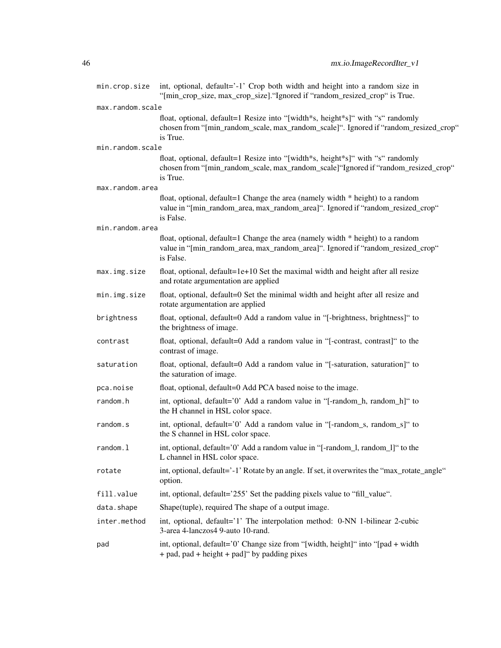| min.crop.size    | int, optional, default='-1' Crop both width and height into a random size in<br>"[min_crop_size, max_crop_size]. "Ignored if "random_resized_crop" is True.                        |
|------------------|------------------------------------------------------------------------------------------------------------------------------------------------------------------------------------|
| max.random.scale |                                                                                                                                                                                    |
|                  | float, optional, default=1 Resize into "[width*s, height*s]" with "s" randomly<br>chosen from "[min_random_scale, max_random_scale]". Ignored if "random_resized_crop"<br>is True. |
| min.random.scale |                                                                                                                                                                                    |
|                  | float, optional, default=1 Resize into "[width*s, height*s]" with "s" randomly<br>chosen from "[min_random_scale, max_random_scale]"Ignored if "random_resized_crop"<br>is True.   |
| max.random.area  |                                                                                                                                                                                    |
|                  | float, optional, default=1 Change the area (namely width * height) to a random<br>value in "[min_random_area, max_random_area]". Ignored if "random_resized_crop"<br>is False.     |
| min.random.area  |                                                                                                                                                                                    |
|                  | float, optional, default=1 Change the area (namely width * height) to a random<br>value in "[min_random_area, max_random_area]". Ignored if "random_resized_crop"<br>is False.     |
| max.img.size     | float, optional, default=1e+10 Set the maximal width and height after all resize<br>and rotate argumentation are applied                                                           |
| min.img.size     | float, optional, default=0 Set the minimal width and height after all resize and<br>rotate argumentation are applied                                                               |
| brightness       | float, optional, default=0 Add a random value in "[-brightness, brightness]" to<br>the brightness of image.                                                                        |
| contrast         | float, optional, default=0 Add a random value in "[-contrast, contrast]" to the<br>contrast of image.                                                                              |
| saturation       | float, optional, default=0 Add a random value in "[-saturation, saturation]" to<br>the saturation of image.                                                                        |
| pca.noise        | float, optional, default=0 Add PCA based noise to the image.                                                                                                                       |
| random.h         | int, optional, default='0' Add a random value in "[-random_h, random_h]" to<br>the H channel in HSL color space.                                                                   |
| random.s         | int, optional, default='0' Add a random value in "[-random_s, random_s]" to<br>the S channel in HSL color space.                                                                   |
| random.l         | int, optional, default='0' Add a random value in "[-random_l, random_l]" to the<br>L channel in HSL color space.                                                                   |
| rotate           | int, optional, default='-1' Rotate by an angle. If set, it overwrites the "max_rotate_angle"<br>option.                                                                            |
| fill.value       | int, optional, default='255' Set the padding pixels value to "fill_value".                                                                                                         |
| data.shape       | Shape(tuple), required The shape of a output image.                                                                                                                                |
| inter.method     | int, optional, default='1' The interpolation method: 0-NN 1-bilinear 2-cubic<br>3-area 4-lanczos4 9-auto 10-rand.                                                                  |
| pad              | int, optional, default='0' Change size from "[width, height]" into "[pad + width]<br>+ pad, pad + height + pad]" by padding pixes                                                  |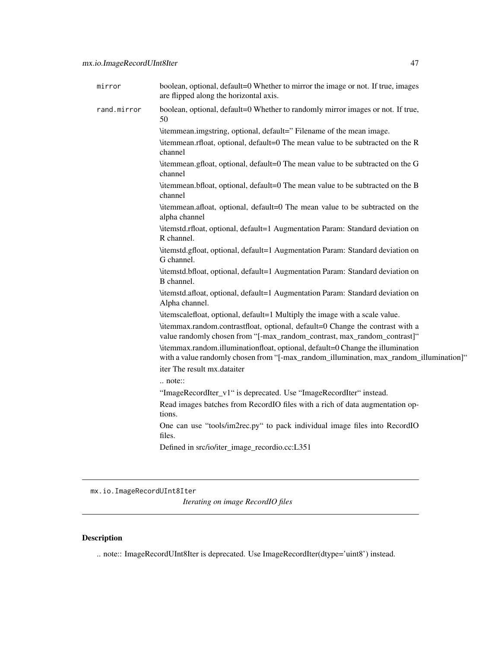| mirror      | boolean, optional, default=0 Whether to mirror the image or not. If true, images<br>are flipped along the horizontal axis.                                                |
|-------------|---------------------------------------------------------------------------------------------------------------------------------------------------------------------------|
| rand.mirror | boolean, optional, default=0 Whether to randomly mirror images or not. If true,<br>50                                                                                     |
|             | \itemmean.imgstring, optional, default=" Filename of the mean image.                                                                                                      |
|             | \itemmean.rfloat, optional, default=0 The mean value to be subtracted on the R<br>channel                                                                                 |
|             | \itemmean.gfloat, optional, default=0 The mean value to be subtracted on the G<br>channel                                                                                 |
|             | \itemmean.bfloat, optional, default=0 The mean value to be subtracted on the B<br>channel                                                                                 |
|             | \itemmean.afloat, optional, default=0 The mean value to be subtracted on the<br>alpha channel                                                                             |
|             | \itemstd.rfloat, optional, default=1 Augmentation Param: Standard deviation on<br>R channel.                                                                              |
|             | \itemstd.gfloat, optional, default=1 Augmentation Param: Standard deviation on<br>G channel.                                                                              |
|             | \itemstd.bfloat, optional, default=1 Augmentation Param: Standard deviation on<br>B channel.                                                                              |
|             | \itemstd.afloat, optional, default=1 Augmentation Param: Standard deviation on<br>Alpha channel.                                                                          |
|             | \itemscalefloat, optional, default=1 Multiply the image with a scale value.                                                                                               |
|             | \itemmax.random.contrastfloat, optional, default=0 Change the contrast with a<br>value randomly chosen from "[-max_random_contrast, max_random_contrast]"                 |
|             | \itemmax.random.illuminationfloat, optional, default=0 Change the illumination<br>with a value randomly chosen from "[-max_random_illumination, max_random_illumination]" |
|             | iter The result mx.dataiter                                                                                                                                               |
|             | … note∷                                                                                                                                                                   |
|             | "ImageRecordIter_v1" is deprecated. Use "ImageRecordIter" instead.                                                                                                        |
|             | Read images batches from RecordIO files with a rich of data augmentation op-<br>tions.                                                                                    |
|             | One can use "tools/im2rec.py" to pack individual image files into RecordIO<br>files.                                                                                      |
|             | Defined in src/io/iter_image_recordio.cc:L351                                                                                                                             |
|             |                                                                                                                                                                           |

mx.io.ImageRecordUInt8Iter

*Iterating on image RecordIO files*

# Description

.. note:: ImageRecordUInt8Iter is deprecated. Use ImageRecordIter(dtype='uint8') instead.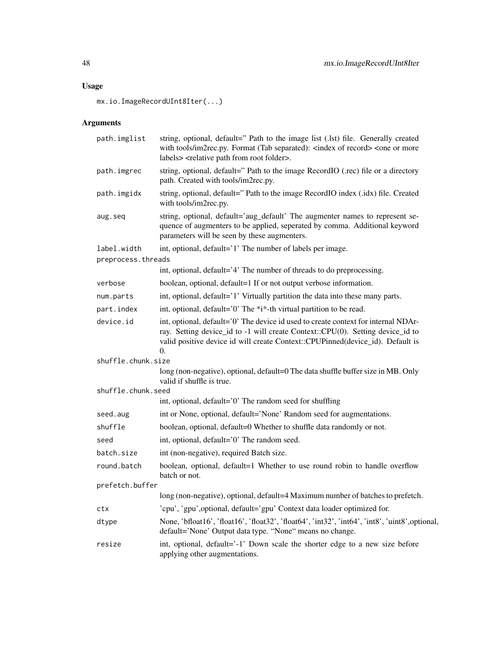mx.io.ImageRecordUInt8Iter(...)

| path.imglist       | string, optional, default=" Path to the image list (.lst) file. Generally created<br>with tools/im2rec.py. Format (Tab separated): <index of="" record=""> <one more<br="" or="">labels&gt; <relative folder="" from="" path="" root="">.</relative></one></index> |
|--------------------|--------------------------------------------------------------------------------------------------------------------------------------------------------------------------------------------------------------------------------------------------------------------|
| path.imgrec        | string, optional, default=" Path to the image RecordIO (.rec) file or a directory<br>path. Created with tools/im2rec.py.                                                                                                                                           |
| path.imgidx        | string, optional, default=" Path to the image RecordIO index (.idx) file. Created<br>with tools/im2rec.py.                                                                                                                                                         |
| aug.seq            | string, optional, default='aug_default' The augmenter names to represent se-<br>quence of augmenters to be applied, seperated by comma. Additional keyword<br>parameters will be seen by these augmenters.                                                         |
| label.width        | int, optional, default='1' The number of labels per image.                                                                                                                                                                                                         |
| preprocess.threads |                                                                                                                                                                                                                                                                    |
|                    | int, optional, default='4' The number of threads to do preprocessing.                                                                                                                                                                                              |
| verbose            | boolean, optional, default=1 If or not output verbose information.                                                                                                                                                                                                 |
| num.parts          | int, optional, default='1' Virtually partition the data into these many parts.                                                                                                                                                                                     |
| part.index         | int, optional, default='0' The *i*-th virtual partition to be read.                                                                                                                                                                                                |
| device.id          | int, optional, default='0' The device id used to create context for internal NDAr-<br>ray. Setting device_id to -1 will create Context::CPU(0). Setting device_id to<br>valid positive device id will create Context::CPUPinned(device_id). Default is<br>0.       |
| shuffle.chunk.size |                                                                                                                                                                                                                                                                    |
|                    | long (non-negative), optional, default=0 The data shuffle buffer size in MB. Only<br>valid if shuffle is true.                                                                                                                                                     |
| shuffle.chunk.seed |                                                                                                                                                                                                                                                                    |
|                    | int, optional, default='0' The random seed for shuffling                                                                                                                                                                                                           |
| seed.aug           | int or None, optional, default='None' Random seed for augmentations.                                                                                                                                                                                               |
| shuffle            | boolean, optional, default=0 Whether to shuffle data randomly or not.                                                                                                                                                                                              |
| seed               | int, optional, default='0' The random seed.                                                                                                                                                                                                                        |
| batch.size         | int (non-negative), required Batch size.                                                                                                                                                                                                                           |
| round.batch        | boolean, optional, default=1 Whether to use round robin to handle overflow<br>batch or not.                                                                                                                                                                        |
| prefetch.buffer    |                                                                                                                                                                                                                                                                    |
|                    | long (non-negative), optional, default=4 Maximum number of batches to prefetch.                                                                                                                                                                                    |
| ctx                | 'cpu', 'gpu', optional, default='gpu' Context data loader optimized for.                                                                                                                                                                                           |
| dtype              | None, 'bfloat16', 'float16', 'float32', 'float64', 'int32', 'int64', 'int8', 'uint8', optional,<br>default='None' Output data type. "None" means no change.                                                                                                        |
| resize             | int, optional, default='-1' Down scale the shorter edge to a new size before<br>applying other augmentations.                                                                                                                                                      |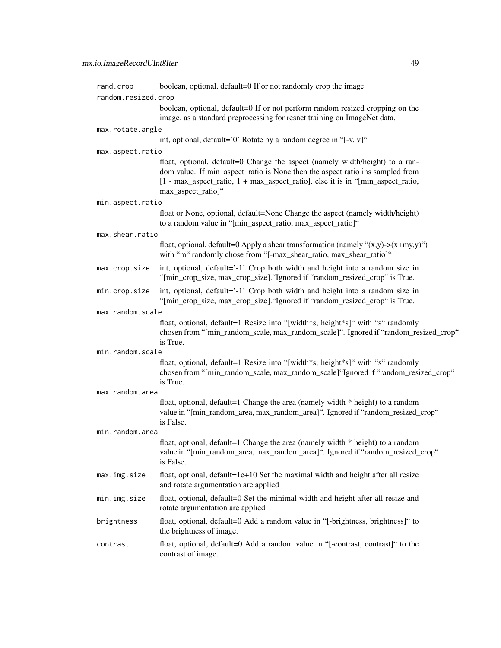| rand.crop           | boolean, optional, default=0 If or not randomly crop the image                                                                                                                                                                                                                    |
|---------------------|-----------------------------------------------------------------------------------------------------------------------------------------------------------------------------------------------------------------------------------------------------------------------------------|
| random.resized.crop |                                                                                                                                                                                                                                                                                   |
|                     | boolean, optional, default=0 If or not perform random resized cropping on the<br>image, as a standard preprocessing for resnet training on ImageNet data.                                                                                                                         |
| max.rotate.angle    |                                                                                                                                                                                                                                                                                   |
|                     | int, optional, default='0' Rotate by a random degree in "[-v, v]"                                                                                                                                                                                                                 |
| max.aspect.ratio    |                                                                                                                                                                                                                                                                                   |
|                     | float, optional, default=0 Change the aspect (namely width/height) to a ran-<br>dom value. If min_aspect_ratio is None then the aspect ratio ins sampled from<br>$[1 - \max_0]$ aspect_ratio, $1 + \max_0$ aspect_ratio], else it is in "[min_aspect_ratio,<br>max_aspect_ratio]" |
| min.aspect.ratio    |                                                                                                                                                                                                                                                                                   |
|                     | float or None, optional, default=None Change the aspect (namely width/height)<br>to a random value in "[min_aspect_ratio, max_aspect_ratio]"                                                                                                                                      |
| max.shear.ratio     |                                                                                                                                                                                                                                                                                   |
|                     | float, optional, default=0 Apply a shear transformation (namely " $(x,y)$ -> $(x+my,y)$ ")<br>with "m" randomly chose from "[-max_shear_ratio, max_shear_ratio]"                                                                                                                  |
| max.crop.size       | int, optional, default='-1' Crop both width and height into a random size in<br>"[min_crop_size, max_crop_size]. "Ignored if "random_resized_crop" is True.                                                                                                                       |
| min.crop.size       | int, optional, default='-1' Crop both width and height into a random size in<br>"[min_crop_size, max_crop_size]. "Ignored if "random_resized_crop" is True.                                                                                                                       |
| max.random.scale    |                                                                                                                                                                                                                                                                                   |
|                     | float, optional, default=1 Resize into "[width*s, height*s]" with "s" randomly<br>chosen from "[min_random_scale, max_random_scale]". Ignored if "random_resized_crop"<br>is True.                                                                                                |
| min.random.scale    |                                                                                                                                                                                                                                                                                   |
|                     | float, optional, default=1 Resize into "[width*s, height*s]" with "s" randomly<br>chosen from "[min_random_scale, max_random_scale]"Ignored if "random_resized_crop"<br>is True.                                                                                                  |
| max.random.area     |                                                                                                                                                                                                                                                                                   |
|                     | float, optional, default=1 Change the area (namely width * height) to a random<br>value in "[min_random_area, max_random_area]". Ignored if "random_resized_crop"<br>is False.                                                                                                    |
| min.random.area     |                                                                                                                                                                                                                                                                                   |
|                     | float, optional, default=1 Change the area (namely width * height) to a random<br>value in "[min_random_area, max_random_area]". Ignored if "random_resized_crop"<br>is False.                                                                                                    |
| max.img.size        | float, optional, default=1e+10 Set the maximal width and height after all resize<br>and rotate argumentation are applied                                                                                                                                                          |
| min.img.size        | float, optional, default=0 Set the minimal width and height after all resize and<br>rotate argumentation are applied                                                                                                                                                              |
| brightness          | float, optional, default=0 Add a random value in "[-brightness, brightness]" to<br>the brightness of image.                                                                                                                                                                       |
| contrast            | float, optional, default=0 Add a random value in "[-contrast, contrast]" to the<br>contrast of image.                                                                                                                                                                             |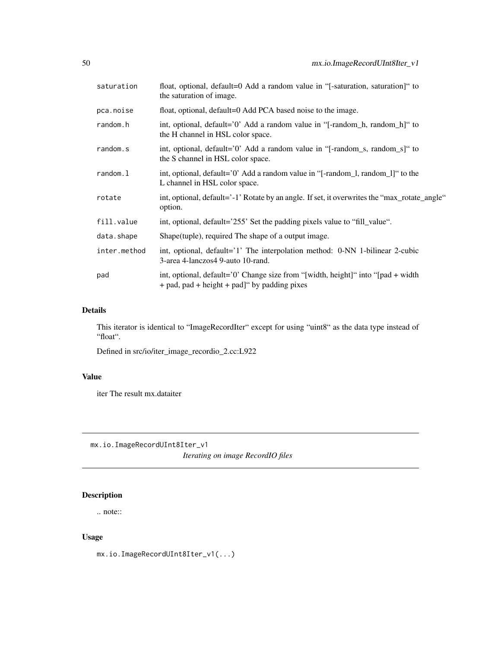| saturation   | float, optional, default=0 Add a random value in "[-saturation, saturation]" to<br>the saturation of image.                        |
|--------------|------------------------------------------------------------------------------------------------------------------------------------|
| pca.noise    | float, optional, default=0 Add PCA based noise to the image.                                                                       |
| random.h     | int, optional, default='0' Add a random value in "[-random_h, random_h]" to<br>the H channel in HSL color space.                   |
| random.s     | int, optional, default='0' Add a random value in " $[-\text{random}_s, \text{random}_s]$ " to<br>the S channel in HSL color space. |
| random.l     | int, optional, default='0' Add a random value in "[-random_l, random_l]" to the<br>L channel in HSL color space.                   |
| rotate       | int, optional, default='-1' Rotate by an angle. If set, it overwrites the "max_rotate_angle"<br>option.                            |
| fill.value   | int, optional, default='255' Set the padding pixels value to "fill_value".                                                         |
| data.shape   | Shape (tuple), required The shape of a output image.                                                                               |
| inter.method | int, optional, default='1' The interpolation method: 0-NN 1-bilinear 2-cubic<br>3-area 4-lanczos4 9-auto 10-rand.                  |
| pad          | int, optional, default='0' Change size from "[width, height]" into "[pad + width]<br>+ pad, pad + height + pad]" by padding pixes  |

# Details

This iterator is identical to "ImageRecordIter" except for using "uint8" as the data type instead of "float".

Defined in src/io/iter\_image\_recordio\_2.cc:L922

# Value

iter The result mx.dataiter

mx.io.ImageRecordUInt8Iter\_v1

*Iterating on image RecordIO files*

# Description

.. note::

# Usage

mx.io.ImageRecordUInt8Iter\_v1(...)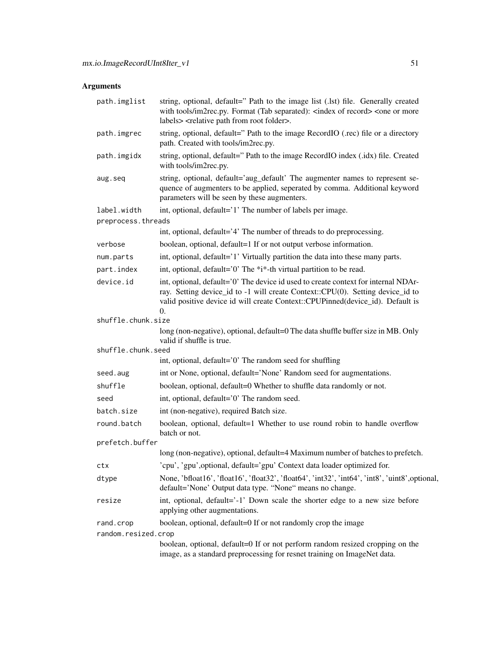| path.imglist        | string, optional, default=" Path to the image list (.lst) file. Generally created<br>with tools/im2rec.py. Format (Tab separated): <index of="" record=""> <one more<br="" or="">labels&gt; <relative folder="" from="" path="" root="">.</relative></one></index> |  |
|---------------------|--------------------------------------------------------------------------------------------------------------------------------------------------------------------------------------------------------------------------------------------------------------------|--|
| path.imgrec         | string, optional, default=" Path to the image RecordIO (.rec) file or a directory<br>path. Created with tools/im2rec.py.                                                                                                                                           |  |
| path.imgidx         | string, optional, default=" Path to the image RecordIO index (.idx) file. Created<br>with tools/im2rec.py.                                                                                                                                                         |  |
| aug.seq             | string, optional, default='aug_default' The augmenter names to represent se-<br>quence of augmenters to be applied, seperated by comma. Additional keyword<br>parameters will be seen by these augmenters.                                                         |  |
| label.width         | int, optional, default='1' The number of labels per image.                                                                                                                                                                                                         |  |
| preprocess.threads  |                                                                                                                                                                                                                                                                    |  |
|                     | int, optional, default='4' The number of threads to do preprocessing.                                                                                                                                                                                              |  |
| verbose             | boolean, optional, default=1 If or not output verbose information.                                                                                                                                                                                                 |  |
| num.parts           | int, optional, default='1' Virtually partition the data into these many parts.                                                                                                                                                                                     |  |
| part.index          | int, optional, default='0' The *i*-th virtual partition to be read.                                                                                                                                                                                                |  |
| device.id           | int, optional, default='0' The device id used to create context for internal NDAr-<br>ray. Setting device_id to -1 will create Context::CPU(0). Setting device_id to<br>valid positive device id will create Context::CPUPinned(device_id). Default is<br>0.       |  |
| shuffle.chunk.size  |                                                                                                                                                                                                                                                                    |  |
|                     | long (non-negative), optional, default=0 The data shuffle buffer size in MB. Only<br>valid if shuffle is true.                                                                                                                                                     |  |
| shuffle.chunk.seed  |                                                                                                                                                                                                                                                                    |  |
|                     | int, optional, default='0' The random seed for shuffling                                                                                                                                                                                                           |  |
| seed.aug            | int or None, optional, default='None' Random seed for augmentations.                                                                                                                                                                                               |  |
| shuffle             | boolean, optional, default=0 Whether to shuffle data randomly or not.                                                                                                                                                                                              |  |
| seed                | int, optional, default='0' The random seed.                                                                                                                                                                                                                        |  |
| batch.size          | int (non-negative), required Batch size.                                                                                                                                                                                                                           |  |
| round.batch         | boolean, optional, default=1 Whether to use round robin to handle overflow<br>batch or not.                                                                                                                                                                        |  |
| prefetch.buffer     |                                                                                                                                                                                                                                                                    |  |
|                     | long (non-negative), optional, default=4 Maximum number of batches to prefetch.                                                                                                                                                                                    |  |
| ctx                 | 'cpu', 'gpu', optional, default='gpu' Context data loader optimized for.                                                                                                                                                                                           |  |
| dtype               | None, 'bfloat16', 'float16', 'float32', 'float64', 'int32', 'int64', 'int8', 'uint8', optional,<br>default='None' Output data type. "None" means no change.                                                                                                        |  |
| resize              | int, optional, default='-1' Down scale the shorter edge to a new size before<br>applying other augmentations.                                                                                                                                                      |  |
| rand.crop           | boolean, optional, default=0 If or not randomly crop the image                                                                                                                                                                                                     |  |
| random.resized.crop |                                                                                                                                                                                                                                                                    |  |
|                     | boolean, optional, default=0 If or not perform random resized cropping on the<br>image, as a standard preprocessing for resnet training on ImageNet data.                                                                                                          |  |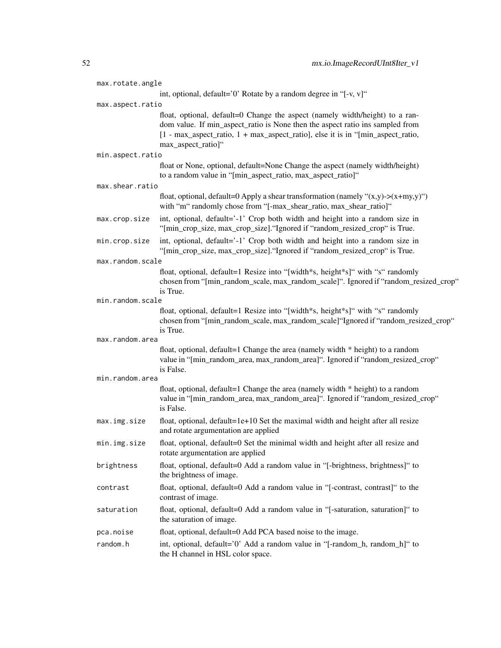| max.rotate.angle |                                                                                                                                                                                                                                                                        |
|------------------|------------------------------------------------------------------------------------------------------------------------------------------------------------------------------------------------------------------------------------------------------------------------|
|                  | int, optional, default='0' Rotate by a random degree in " $[-v, v]$ "                                                                                                                                                                                                  |
| max.aspect.ratio |                                                                                                                                                                                                                                                                        |
|                  | float, optional, default=0 Change the aspect (namely width/height) to a ran-<br>dom value. If min_aspect_ratio is None then the aspect ratio ins sampled from<br>[1 - max_aspect_ratio, 1 + max_aspect_ratio], else it is in "[min_aspect_ratio,<br>max_aspect_ratio]" |
| min.aspect.ratio |                                                                                                                                                                                                                                                                        |
|                  | float or None, optional, default=None Change the aspect (namely width/height)<br>to a random value in "[min_aspect_ratio, max_aspect_ratio]"                                                                                                                           |
| max.shear.ratio  |                                                                                                                                                                                                                                                                        |
|                  | float, optional, default=0 Apply a shear transformation (namely " $(x,y)$ - $(x+my,y)$ ")<br>with "m" randomly chose from "[-max_shear_ratio, max_shear_ratio]"                                                                                                        |
| max.crop.size    | int, optional, default='-1' Crop both width and height into a random size in<br>"[min_crop_size, max_crop_size]. "Ignored if "random_resized_crop" is True.                                                                                                            |
| min.crop.size    | int, optional, default='-1' Crop both width and height into a random size in<br>"[min_crop_size, max_crop_size]. "Ignored if "random_resized_crop" is True.                                                                                                            |
| max.random.scale |                                                                                                                                                                                                                                                                        |
|                  | float, optional, default=1 Resize into "[width*s, height*s]" with "s" randomly<br>chosen from "[min_random_scale, max_random_scale]". Ignored if "random_resized_crop"<br>is True.                                                                                     |
| min.random.scale |                                                                                                                                                                                                                                                                        |
|                  | float, optional, default=1 Resize into "[width*s, height*s]" with "s" randomly<br>chosen from "[min_random_scale, max_random_scale]"Ignored if "random_resized_crop"<br>is True.                                                                                       |
| max.random.area  |                                                                                                                                                                                                                                                                        |
|                  | float, optional, default=1 Change the area (namely width * height) to a random<br>value in "[min_random_area, max_random_area]". Ignored if "random_resized_crop"<br>is False.                                                                                         |
| min.random.area  |                                                                                                                                                                                                                                                                        |
|                  | float, optional, default=1 Change the area (namely width * height) to a random<br>value in "[min_random_area, max_random_area]". Ignored if "random_resized_crop"<br>is False.                                                                                         |
| max.img.size     | float, optional, default=1e+10 Set the maximal width and height after all resize<br>and rotate argumentation are applied                                                                                                                                               |
| min.img.size     | float, optional, default=0 Set the minimal width and height after all resize and<br>rotate argumentation are applied                                                                                                                                                   |
| brightness       | float, optional, default=0 Add a random value in "[-brightness, brightness]" to<br>the brightness of image.                                                                                                                                                            |
| contrast         | float, optional, default=0 Add a random value in "[-contrast, contrast]" to the<br>contrast of image.                                                                                                                                                                  |
| saturation       | float, optional, default=0 Add a random value in "[-saturation, saturation]" to<br>the saturation of image.                                                                                                                                                            |
| pca.noise        | float, optional, default=0 Add PCA based noise to the image.                                                                                                                                                                                                           |
| random.h         | int, optional, default='0' Add a random value in "[-random_h, random_h]" to<br>the H channel in HSL color space.                                                                                                                                                       |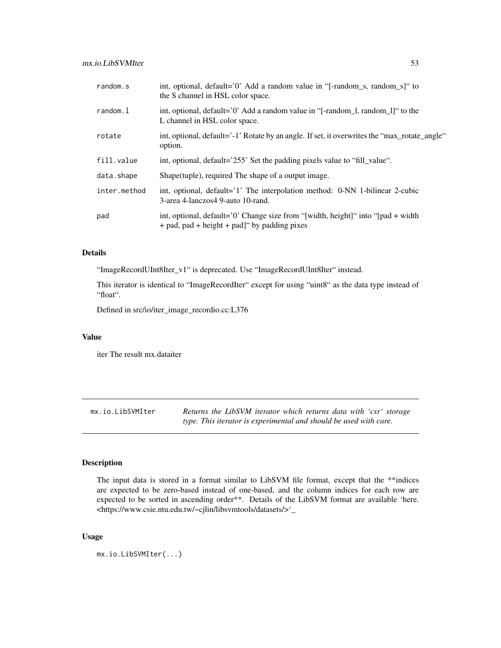| random.s     | int, optional, default='0' Add a random value in " $[-\text{random}_s, \text{random}_s]$ " to<br>the S channel in HSL color space.      |
|--------------|-----------------------------------------------------------------------------------------------------------------------------------------|
| random.l     | int, optional, default='0' Add a random value in "[-random_1, random_1]" to the<br>L channel in HSL color space.                        |
| rotate       | int, optional, default='-1' Rotate by an angle. If set, it overwrites the "max_rotate_angle"<br>option.                                 |
| fill.value   | int, optional, default='255' Set the padding pixels value to "fill_value".                                                              |
| data.shape   | Shape (tuple), required The shape of a output image.                                                                                    |
| inter.method | int, optional, default='1' The interpolation method: 0-NN 1-bilinear 2-cubic<br>3-area 4-lanczos4 9-auto 10-rand.                       |
| pad          | int, optional, default='0' Change size from "[width, height]" into "[pad + width]<br>$+$ pad, pad $+$ height $+$ pad]" by padding pixes |

### Details

"ImageRecordUInt8Iter\_v1" is deprecated. Use "ImageRecordUInt8Iter" instead.

This iterator is identical to "ImageRecordIter" except for using "uint8" as the data type instead of "float".

Defined in src/io/iter\_image\_recordio.cc:L376

### Value

iter The result mx.dataiter

mx.io.LibSVMIter *Returns the LibSVM iterator which returns data with 'csr' storage type. This iterator is experimental and should be used with care.*

# Description

The input data is stored in a format similar to LibSVM file format, except that the \*\*indices are expected to be zero-based instead of one-based, and the column indices for each row are expected to be sorted in ascending order\*\*. Details of the LibSVM format are available 'here. <https://www.csie.ntu.edu.tw/~cjlin/libsvmtools/datasets/>'\_

### Usage

mx.io.LibSVMIter(...)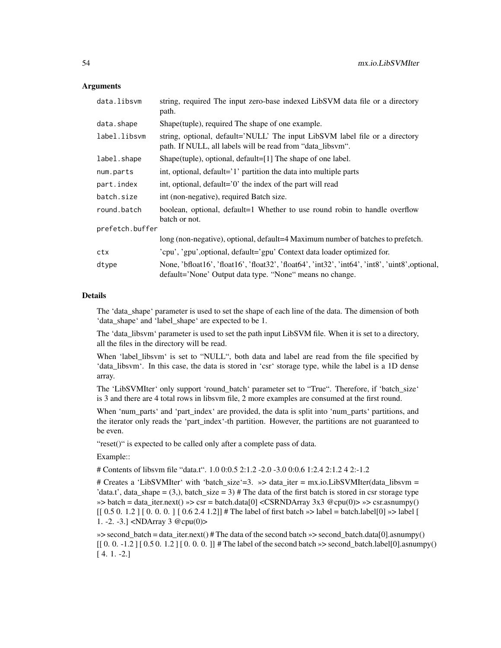### Arguments

| data.libsvm     | string, required The input zero-base indexed LibSVM data file or a directory<br>path.                                                                       |  |
|-----------------|-------------------------------------------------------------------------------------------------------------------------------------------------------------|--|
| data.shape      | Shape (tuple), required The shape of one example.                                                                                                           |  |
| label.libsvm    | string, optional, default='NULL' The input LibSVM label file or a directory<br>path. If NULL, all labels will be read from "data_libsvm".                   |  |
| label.shape     | Shape(tuple), optional, default=[1] The shape of one label.                                                                                                 |  |
| num.parts       | int, optional, default='1' partition the data into multiple parts                                                                                           |  |
| part.index      | int, optional, default='0' the index of the part will read                                                                                                  |  |
| batch.size      | int (non-negative), required Batch size.                                                                                                                    |  |
| round.batch     | boolean, optional, default=1 Whether to use round robin to handle overflow<br>batch or not.                                                                 |  |
| prefetch.buffer |                                                                                                                                                             |  |
|                 | long (non-negative), optional, default=4 Maximum number of batches to prefetch.                                                                             |  |
| ctx             | 'cpu', 'gpu', optional, default='gpu' Context data loader optimized for.                                                                                    |  |
| dtype           | None, 'bfloat16', 'float16', 'float32', 'float64', 'int32', 'int64', 'int8', 'uint8', optional,<br>default='None' Output data type. "None" means no change. |  |

### Details

The 'data\_shape' parameter is used to set the shape of each line of the data. The dimension of both 'data\_shape' and 'label\_shape' are expected to be 1.

The 'data\_libsvm' parameter is used to set the path input LibSVM file. When it is set to a directory, all the files in the directory will be read.

When 'label libsvm' is set to "NULL", both data and label are read from the file specified by 'data\_libsvm'. In this case, the data is stored in 'csr' storage type, while the label is a 1D dense array.

The 'LibSVMIter' only support 'round\_batch' parameter set to "True". Therefore, if 'batch\_size' is 3 and there are 4 total rows in libsvm file, 2 more examples are consumed at the first round.

When 'num\_parts' and 'part\_index' are provided, the data is split into 'num\_parts' partitions, and the iterator only reads the 'part\_index'-th partition. However, the partitions are not guaranteed to be even.

"reset()" is expected to be called only after a complete pass of data.

Example::

# Contents of libsvm file "data.t". 1.0 0:0.5 2:1.2 -2.0 -3.0 0:0.6 1:2.4 2:1.2 4 2:-1.2

# Creates a 'LibSVMIter' with 'batch\_size'=3. »> data\_iter = mx.io.LibSVMIter(data\_libsvm = 'data.t', data shape = (3,), batch size = 3) # The data of the first batch is stored in csr storage type  $\gg$  batch = data\_iter.next()  $\gg$  csr = batch.data[0] <CSRNDArray 3x3 @cpu(0)> $\gg$  csr.asnumpy()  $[$ [ 0.5 0. 1.2 ] [ 0.0. 0. ] [ 0.6 2.4 1.2]] # The label of first batch  $\gg$  label = batch.label[0]  $\gg$  label [ 1. -2. -3.] <NDArray 3 @cpu(0)>

»> second\_batch = data\_iter.next() # The data of the second batch »> second\_batch.data[0].asnumpy()  $[$ [0. 0. -1.2] [0.5 0. 1.2] [0. 0. 0.]] # The label of the second batch »> second\_batch.label[0].asnumpy() [ 4. 1. -2.]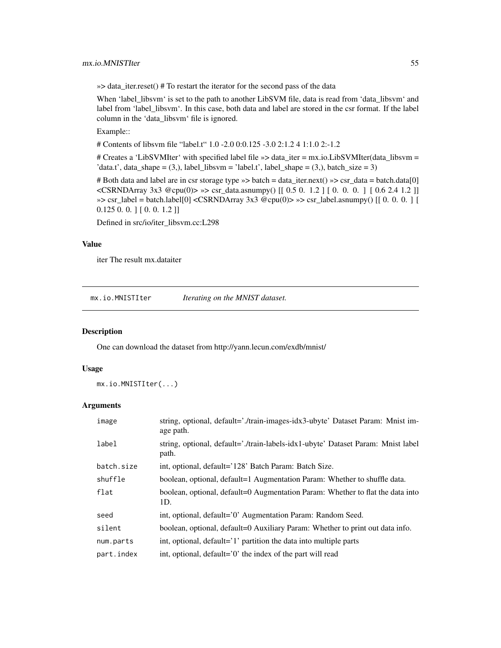»> data\_iter.reset() # To restart the iterator for the second pass of the data

When 'label\_libsvm' is set to the path to another LibSVM file, data is read from 'data\_libsvm' and label from 'label\_libsvm'. In this case, both data and label are stored in the csr format. If the label column in the 'data\_libsvm' file is ignored.

Example::

# Contents of libsvm file "label.t" 1.0 -2.0 0:0.125 -3.0 2:1.2 4 1:1.0 2:-1.2

# Creates a 'LibSVMIter' with specified label file »> data\_iter = mx.io.LibSVMIter(data\_libsvm = 'data.t', data\_shape =  $(3)$ , label\_libsvm = 'label.t', label\_shape =  $(3)$ , batch\_size = 3)

# Both data and label are in csr storage type »> batch = data\_iter.next() »> csr\_data = batch.data[0] <CSRNDArray 3x3 @cpu(0)> »> csr\_data.asnumpy() [[ 0.5 0. 1.2 ] [ 0. 0. 0. ] [ 0.6 2.4 1.2 ]]  $\gg$  csr\_label = batch.label[0] <CSRNDArray 3x3 @cpu(0)> $\gg$  csr\_label.asnumpy() [[0.0.0.] [ 0.125 0. 0. ] [ 0. 0. 1.2 ]]

Defined in src/io/iter\_libsvm.cc:L298

### Value

iter The result mx.dataiter

mx.io.MNISTIter *Iterating on the MNIST dataset.*

#### Description

One can download the dataset from http://yann.lecun.com/exdb/mnist/

# Usage

```
mx.io.MNISTIter(...)
```

| image      | string, optional, default='./train-images-idx3-ubyte' Dataset Param: Mnist im-<br>age path. |
|------------|---------------------------------------------------------------------------------------------|
| label      | string, optional, default='./train-labels-idx1-ubyte' Dataset Param: Mnist label<br>path.   |
| batch.size | int, optional, default='128' Batch Param: Batch Size.                                       |
| shuffle    | boolean, optional, default=1 Augmentation Param: Whether to shuffle data.                   |
| flat       | boolean, optional, default=0 Augmentation Param: Whether to flat the data into<br>1D.       |
| seed       | int, optional, default='0' Augmentation Param: Random Seed.                                 |
| silent     | boolean, optional, default=0 Auxiliary Param: Whether to print out data info.               |
| num.parts  | int, optional, default='1' partition the data into multiple parts                           |
| part.index | int, optional, default='0' the index of the part will read                                  |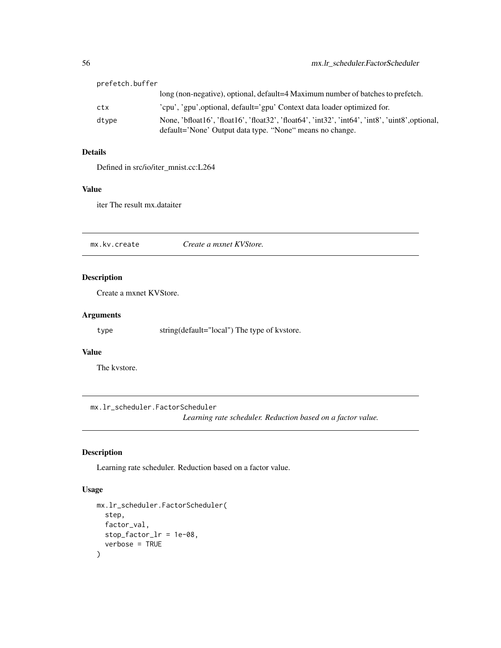| prefetch.buffer |                                                                                                                                                             |
|-----------------|-------------------------------------------------------------------------------------------------------------------------------------------------------------|
|                 | long (non-negative), optional, default=4 Maximum number of batches to prefetch.                                                                             |
| ctx             | 'cpu', 'gpu', optional, default='gpu' Context data loader optimized for.                                                                                    |
| dtype           | None, 'bfloat16', 'float16', 'float32', 'float64', 'int32', 'int64', 'int8', 'uint8', optional,<br>default='None' Output data type. "None" means no change. |

### Details

Defined in src/io/iter\_mnist.cc:L264

# Value

iter The result mx.dataiter

mx.kv.create *Create a mxnet KVStore.*

# Description

Create a mxnet KVStore.

# Arguments

type string(default="local") The type of kvstore.

### Value

The kvstore.

mx.lr\_scheduler.FactorScheduler

*Learning rate scheduler. Reduction based on a factor value.*

# Description

Learning rate scheduler. Reduction based on a factor value.

# Usage

```
mx.lr_scheduler.FactorScheduler(
  step,
  factor_val,
  stop_factor_lr = 1e-08,
  verbose = TRUE
\mathcal{E}
```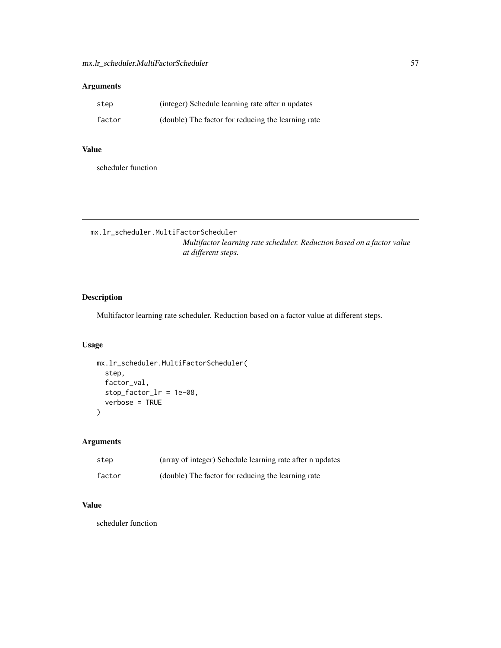# Arguments

| step   | (integer) Schedule learning rate after n updates   |
|--------|----------------------------------------------------|
| factor | (double) The factor for reducing the learning rate |

# Value

scheduler function

mx.lr\_scheduler.MultiFactorScheduler

*Multifactor learning rate scheduler. Reduction based on a factor value at different steps.*

# Description

Multifactor learning rate scheduler. Reduction based on a factor value at different steps.

### Usage

```
mx.lr_scheduler.MultiFactorScheduler(
  step,
  factor_val,
  stop_factor_lr = 1e-08,
  verbose = TRUE
)
```
# Arguments

| step   | (array of integer) Schedule learning rate after n updates |
|--------|-----------------------------------------------------------|
| factor | (double) The factor for reducing the learning rate        |

# Value

scheduler function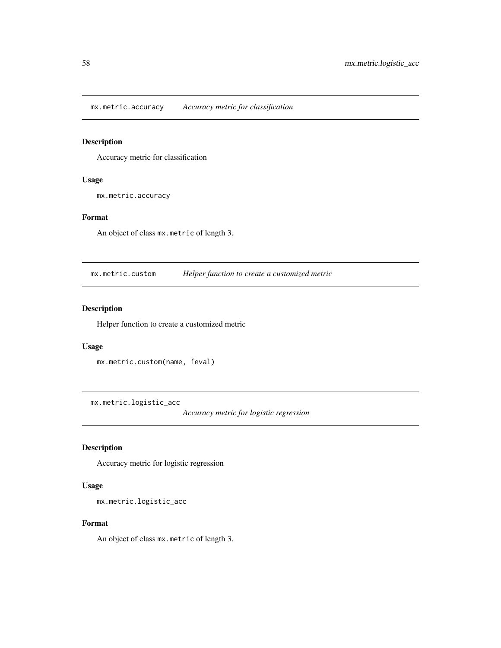mx.metric.accuracy *Accuracy metric for classification*

# Description

Accuracy metric for classification

# Usage

mx.metric.accuracy

#### Format

An object of class mx.metric of length 3.

mx.metric.custom *Helper function to create a customized metric*

# Description

Helper function to create a customized metric

# Usage

```
mx.metric.custom(name, feval)
```
mx.metric.logistic\_acc

*Accuracy metric for logistic regression*

# Description

Accuracy metric for logistic regression

# Usage

mx.metric.logistic\_acc

### Format

An object of class mx.metric of length 3.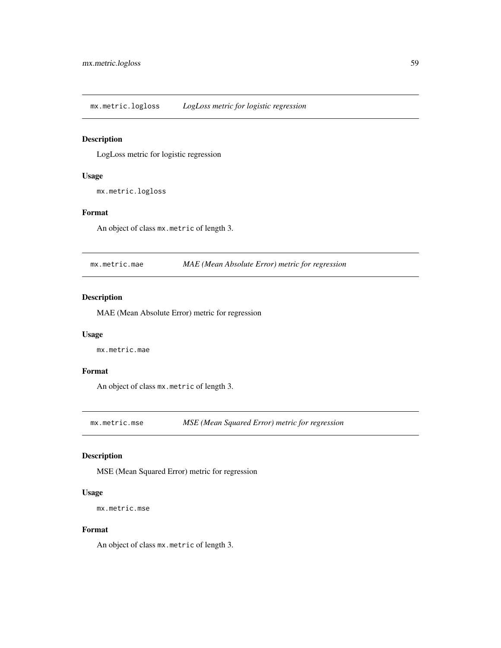mx.metric.logloss *LogLoss metric for logistic regression*

# Description

LogLoss metric for logistic regression

# Usage

mx.metric.logloss

# Format

An object of class mx.metric of length 3.

mx.metric.mae *MAE (Mean Absolute Error) metric for regression*

# Description

MAE (Mean Absolute Error) metric for regression

### Usage

mx.metric.mae

### Format

An object of class mx.metric of length 3.

mx.metric.mse *MSE (Mean Squared Error) metric for regression*

### Description

MSE (Mean Squared Error) metric for regression

#### Usage

```
mx.metric.mse
```
#### Format

An object of class mx.metric of length 3.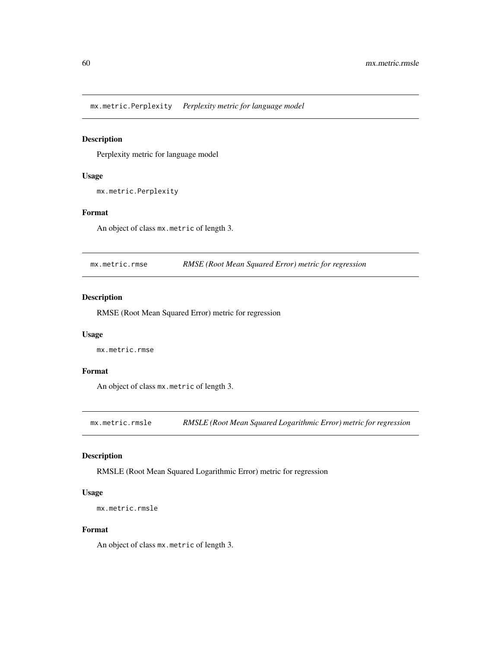mx.metric.Perplexity *Perplexity metric for language model*

# Description

Perplexity metric for language model

### Usage

mx.metric.Perplexity

# Format

An object of class mx.metric of length 3.

mx.metric.rmse *RMSE (Root Mean Squared Error) metric for regression*

# Description

RMSE (Root Mean Squared Error) metric for regression

# Usage

mx.metric.rmse

### Format

An object of class mx.metric of length 3.

mx.metric.rmsle *RMSLE (Root Mean Squared Logarithmic Error) metric for regression*

### Description

RMSLE (Root Mean Squared Logarithmic Error) metric for regression

#### Usage

```
mx.metric.rmsle
```
#### Format

An object of class mx.metric of length 3.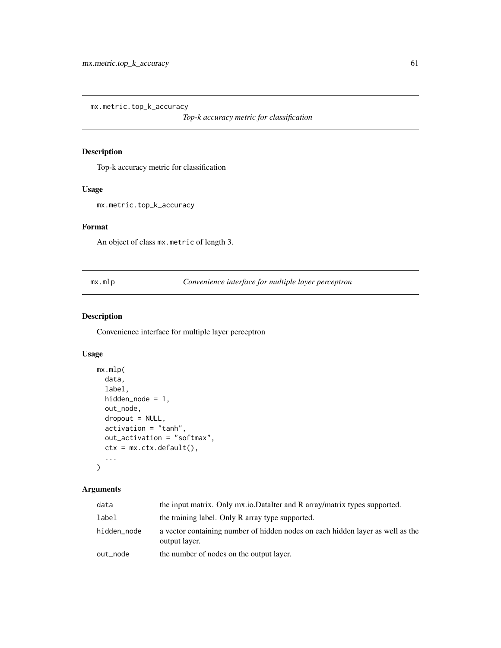mx.metric.top\_k\_accuracy

*Top-k accuracy metric for classification*

# Description

Top-k accuracy metric for classification

### Usage

mx.metric.top\_k\_accuracy

### Format

An object of class mx.metric of length 3.

mx.mlp *Convenience interface for multiple layer perceptron*

# Description

Convenience interface for multiple layer perceptron

# Usage

```
mx.mlp(
  data,
 label,
 hidden_node = 1,
 out_node,
 dropout = NULL,
 activation = "tanh",
 out_activation = "softmax",
 ctx = mx.ctx.default(),
  ...
)
```

| data        | the input matrix. Only mx.io.DataIter and R array/matrix types supported.                       |
|-------------|-------------------------------------------------------------------------------------------------|
| label       | the training label. Only R array type supported.                                                |
| hidden_node | a vector containing number of hidden nodes on each hidden layer as well as the<br>output layer. |
| out_node    | the number of nodes on the output layer.                                                        |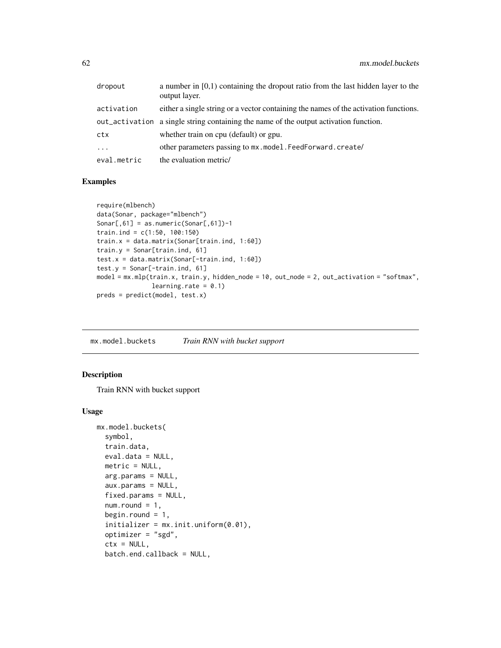| dropout     | a number in $[0,1)$ containing the dropout ratio from the last hidden layer to the<br>output layer. |
|-------------|-----------------------------------------------------------------------------------------------------|
| activation  | either a single string or a vector containing the names of the activation functions.                |
|             | out activation a single string containing the name of the output activation function.               |
| ctx         | whether train on cpu (default) or gpu.                                                              |
| $\cdots$    | other parameters passing to $mx$ , model, FeedForward, create/                                      |
| eval.metric | the evaluation metric/                                                                              |

### Examples

```
require(mlbench)
data(Sonar, package="mlbench")
Sonar[,61] = as.numeric(Sonar[,61])-1
train.ind = c(1:50, 100:150)
train.x = data.matrix(Sonar[train.ind, 1:60])
train.y = Sonar[train.ind, 61]
test.x = data.matrix(Sonar[-train.ind, 1:60])
test.y = Sonar[-train.ind, 61]
model = mx.mlp(train.x, train.y, hidden_node = 10, out_node = 2, out_activation = "softmax",
               learning.rate = 0.1)
preds = predict(model, test.x)
```
mx.model.buckets *Train RNN with bucket support*

### Description

Train RNN with bucket support

#### Usage

```
mx.model.buckets(
  symbol,
  train.data,
  eval.data = NULL,
  metric = NULL,arg.params = NULL,
  aux.params = NULL,
  fixed.params = NULL,
  num.round = 1,
  begin.round = 1,
  initializer = mx.init.uniform(0.01),
  optimizer = "sgd",
  ctx = NULL,batch.end.callback = NULL,
```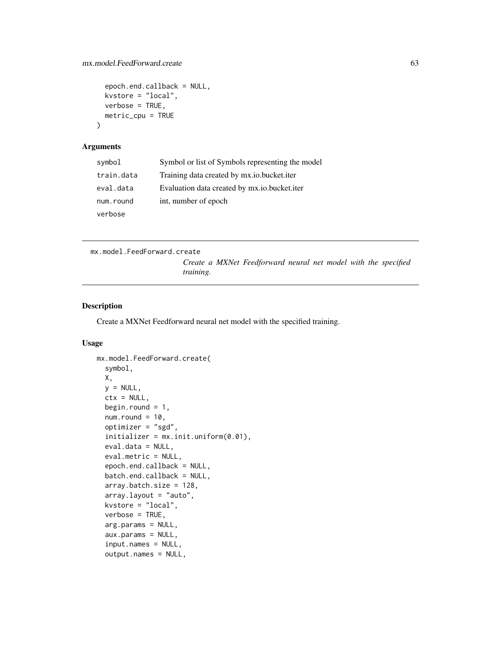```
epoch.end.callback = NULL,
  kvstore = "local",
 verbose = TRUE,
 metric_cpu = TRUE
\lambda
```
#### Arguments

| symbol     | Symbol or list of Symbols representing the model |
|------------|--------------------------------------------------|
| train.data | Training data created by mx.io.bucket.iter       |
| eval.data  | Evaluation data created by mx.io.bucket.iter     |
| num.round  | int, number of epoch                             |
| verbose    |                                                  |

```
mx.model.FeedForward.create
```
*Create a MXNet Feedforward neural net model with the specified training.*

### Description

Create a MXNet Feedforward neural net model with the specified training.

#### Usage

```
mx.model.FeedForward.create(
  symbol,
 X,
  y = NULL,ctx = NULL,begin.round = 1,
 num.round = 10,
  optimizer = "sgd",
  initializer = mx.init.uniform(0.01),eval.data = NULL,
  eval.metric = NULL,
  epoch.end.callback = NULL,
 batch.end.callback = NULL,
  array.batch.size = 128,
  array.layout = "auto",
  kvstore = "local",
  verbose = TRUE,
  arg.params = NULL,
  aux.params = NULL,
  input.names = NULL,
  output.names = NULL,
```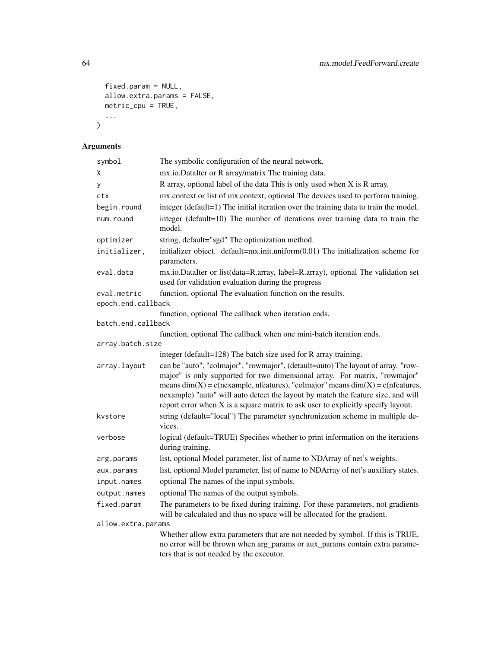```
fixed.param = NULL,
  allow.extra.params = FALSE,
 metric\_cpu = TRUE,...
\mathcal{L}
```

| symbol                            | The symbolic configuration of the neural network.                                                                                                                                                                                                                                                                                                                                                                               |
|-----------------------------------|---------------------------------------------------------------------------------------------------------------------------------------------------------------------------------------------------------------------------------------------------------------------------------------------------------------------------------------------------------------------------------------------------------------------------------|
| χ                                 | mx.io.DataIter or R array/matrix The training data.                                                                                                                                                                                                                                                                                                                                                                             |
| у                                 | R array, optional label of the data This is only used when X is R array.                                                                                                                                                                                                                                                                                                                                                        |
| ctx                               | mx.context or list of mx.context, optional The devices used to perform training.                                                                                                                                                                                                                                                                                                                                                |
| begin.round                       | integer (default=1) The initial iteration over the training data to train the model.                                                                                                                                                                                                                                                                                                                                            |
| num.round                         | integer (default=10) The number of iterations over training data to train the<br>model.                                                                                                                                                                                                                                                                                                                                         |
| optimizer                         | string, default="sgd" The optimization method.                                                                                                                                                                                                                                                                                                                                                                                  |
| initializer,                      | initializer object. default=mx.init.uniform(0.01) The initialization scheme for<br>parameters.                                                                                                                                                                                                                                                                                                                                  |
| eval.data                         | mx.io.DataIter or list(data=R.array, label=R.array), optional The validation set<br>used for validation evaluation during the progress                                                                                                                                                                                                                                                                                          |
| eval.metric<br>epoch.end.callback | function, optional The evaluation function on the results.                                                                                                                                                                                                                                                                                                                                                                      |
|                                   | function, optional The callback when iteration ends.                                                                                                                                                                                                                                                                                                                                                                            |
| batch.end.callback                |                                                                                                                                                                                                                                                                                                                                                                                                                                 |
|                                   | function, optional The callback when one mini-batch iteration ends.                                                                                                                                                                                                                                                                                                                                                             |
| array.batch.size                  | integer (default=128) The batch size used for R array training.                                                                                                                                                                                                                                                                                                                                                                 |
| array.layout                      | can be "auto", "colmajor", "rowmajor", (detault=auto) The layout of array. "row-<br>major" is only supported for two dimensional array. For matrix, "rowmajor"<br>means $dim(X) = c$ (nexample, nfeatures), "colmajor" means $dim(X) = c$ (nfeatures,<br>nexample) "auto" will auto detect the layout by match the feature size, and will<br>report error when $X$ is a square matrix to ask user to explicitly specify layout. |
| kvstore                           | string (default="local") The parameter synchronization scheme in multiple de-<br>vices.                                                                                                                                                                                                                                                                                                                                         |
| verbose                           | logical (default=TRUE) Specifies whether to print information on the iterations<br>during training.                                                                                                                                                                                                                                                                                                                             |
| arg.params                        | list, optional Model parameter, list of name to NDArray of net's weights.                                                                                                                                                                                                                                                                                                                                                       |
| aux.params                        | list, optional Model parameter, list of name to NDArray of net's auxiliary states.                                                                                                                                                                                                                                                                                                                                              |
| input.names                       | optional The names of the input symbols.                                                                                                                                                                                                                                                                                                                                                                                        |
| output.names                      | optional The names of the output symbols.                                                                                                                                                                                                                                                                                                                                                                                       |
| fixed.param                       | The parameters to be fixed during training. For these parameters, not gradients<br>will be calculated and thus no space will be allocated for the gradient.                                                                                                                                                                                                                                                                     |
| allow.extra.params                |                                                                                                                                                                                                                                                                                                                                                                                                                                 |
|                                   | Whether allow extra parameters that are not needed by symbol. If this is TRUE,<br>no error will be thrown when arg_params or aux_params contain extra parame-<br>ters that is not needed by the executor.                                                                                                                                                                                                                       |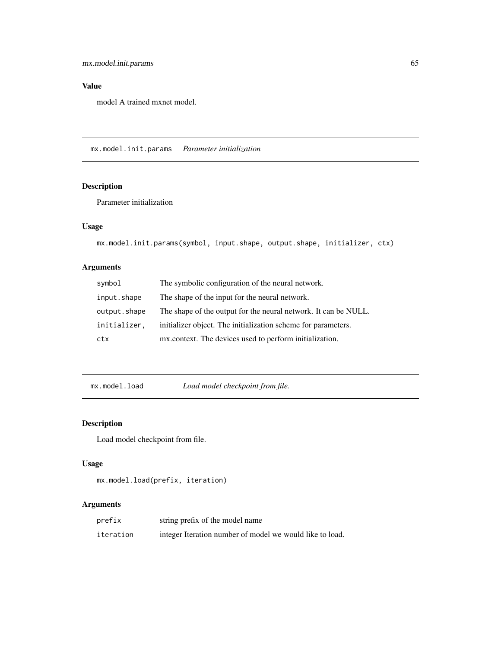# Value

model A trained mxnet model.

mx.model.init.params *Parameter initialization*

# Description

Parameter initialization

# Usage

```
mx.model.init.params(symbol, input.shape, output.shape, initializer, ctx)
```
# Arguments

| symbol       | The symbolic configuration of the neural network.               |
|--------------|-----------------------------------------------------------------|
| input.shape  | The shape of the input for the neural network.                  |
| output.shape | The shape of the output for the neural network. It can be NULL. |
| initializer, | initializer object. The initialization scheme for parameters.   |
| ctx          | mx.context. The devices used to perform initialization.         |

mx.model.load *Load model checkpoint from file.*

# Description

Load model checkpoint from file.

### Usage

```
mx.model.load(prefix, iteration)
```

| prefix    | string prefix of the model name                          |
|-----------|----------------------------------------------------------|
| iteration | integer Iteration number of model we would like to load. |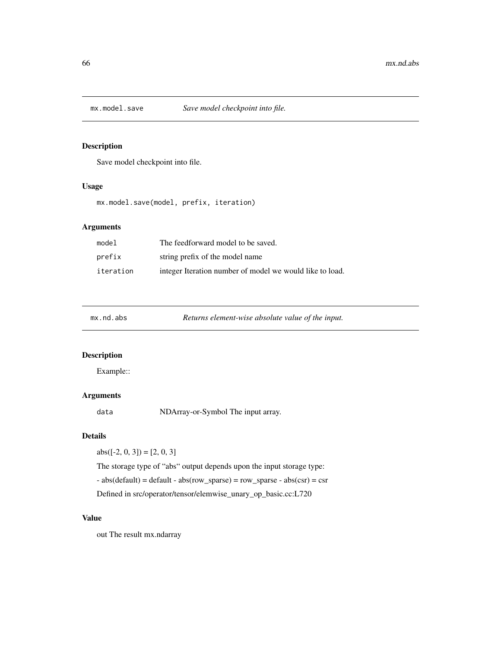### Description

Save model checkpoint into file.

### Usage

mx.model.save(model, prefix, iteration)

# Arguments

| model     | The feedforward model to be saved.                       |
|-----------|----------------------------------------------------------|
| prefix    | string prefix of the model name                          |
| iteration | integer Iteration number of model we would like to load. |

| Returns element-wise absolute value of the input.<br>$mx$ . $nd$ . $abs$ |  |
|--------------------------------------------------------------------------|--|
|--------------------------------------------------------------------------|--|

# Description

Example::

# Arguments

data NDArray-or-Symbol The input array.

### Details

abs( $[-2, 0, 3]$ ) =  $[2, 0, 3]$ 

The storage type of "abs" output depends upon the input storage type:

- abs(default) = default - abs(row\_sparse) = row\_sparse - abs(csr) = csr

Defined in src/operator/tensor/elemwise\_unary\_op\_basic.cc:L720

### Value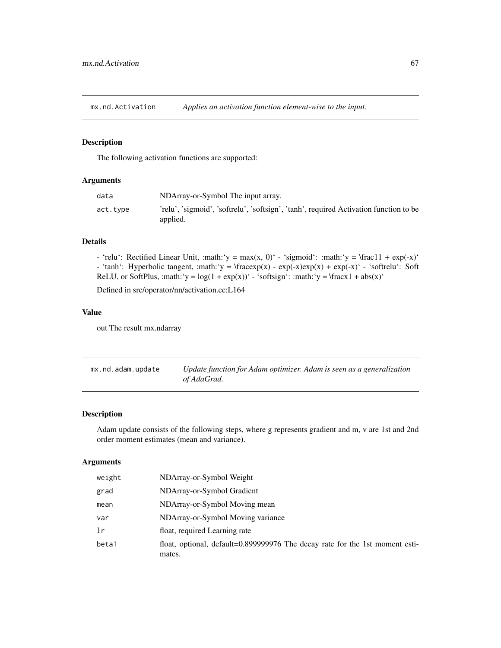mx.nd.Activation *Applies an activation function element-wise to the input.*

### Description

The following activation functions are supported:

# Arguments

| data     | NDArray-or-Symbol The input array.                                                                |
|----------|---------------------------------------------------------------------------------------------------|
| act.type | 'relu', 'sigmoid', 'softrelu', 'softsign', 'tanh', required Activation function to be<br>applied. |

#### Details

- 'relu': Rectified Linear Unit, :math:'y = max(x, 0)' - 'sigmoid': :math:'y = \frac11 + exp(-x)' - 'tanh': Hyperbolic tangent, :math:'y =  $\frac{arg(x) - exp(-x)exp(x) + exp(-x)}{exp(-x)}$  - 'softrelu': Soft ReLU, or SoftPlus, :math:'y =  $log(1 + exp(x))$ ' - 'softsign': :math:'y = \fracx1 + abs(x)'

Defined in src/operator/nn/activation.cc:L164

#### Value

out The result mx.ndarray

| mx.nd.adam.update | Update function for Adam optimizer. Adam is seen as a generalization |
|-------------------|----------------------------------------------------------------------|
|                   | of AdaGrad.                                                          |

# Description

Adam update consists of the following steps, where g represents gradient and m, v are 1st and 2nd order moment estimates (mean and variance).

| weight | NDArray-or-Symbol Weight                                                               |
|--------|----------------------------------------------------------------------------------------|
| grad   | NDArray-or-Symbol Gradient                                                             |
| mean   | NDArray-or-Symbol Moving mean                                                          |
| var    | NDArray-or-Symbol Moving variance                                                      |
| lr     | float, required Learning rate                                                          |
| beta1  | float, optional, default=0.899999976 The decay rate for the 1st moment esti-<br>mates. |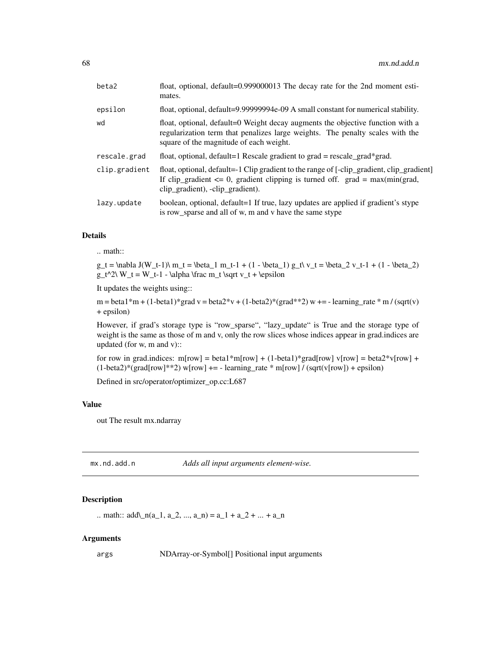| beta2         | float, optional, default=0.999000013 The decay rate for the 2nd moment esti-<br>mates.                                                                                                                             |
|---------------|--------------------------------------------------------------------------------------------------------------------------------------------------------------------------------------------------------------------|
| epsilon       | float, optional, default=9.99999994e-09 A small constant for numerical stability.                                                                                                                                  |
| wd            | float, optional, default=0 Weight decay augments the objective function with a<br>regularization term that penalizes large weights. The penalty scales with the<br>square of the magnitude of each weight.         |
| rescale.grad  | float, optional, default=1 Rescale gradient to $grad = rescale\_grad*grad$ .                                                                                                                                       |
| clip.gradient | float, optional, default=-1 Clip gradient to the range of [-clip_gradient, clip_gradient]<br>If clip_gradient $\leq 0$ , gradient clipping is turned off. grad = max(min(grad,<br>clip_gradient), -clip_gradient). |
| lazy.update   | boolean, optional, default=1 If true, lazy updates are applied if gradient's stype<br>is row_sparse and all of w, m and v have the same stype                                                                      |

#### Details

# .. math::

 $g_t = \nabla J(W_t-1)\ m_t = \beta_1 m_t-1 + (1 - \beta_1) g_t\ v_t = \beta_2 v_t-1 + (1 - \beta_2)$  $g_t^2\ W_t = W_t-1$  - \alpha \frac m\_t \sqrt v\_t + \epsilon

It updates the weights using::

 $m = \beta_1 * m + (1 - \beta_2 * m) * \gamma_1 * (1 - \beta_2 * m) * (1 - \beta_2 * (1 - \beta_2 * m)) * m$  + = - learning\_rate \* m / (sqrt(v) + epsilon)

However, if grad's storage type is "row\_sparse", "lazy\_update" is True and the storage type of weight is the same as those of m and v, only the row slices whose indices appear in grad.indices are updated (for w, m and v)::

for row in grad.indices: m[row] = beta1\*m[row] + (1-beta1)\*grad[row] v[row] = beta2\*v[row] +  $(1-\beta)$  (grad[row]\*\*2) w[row] + = - learning\_rate \* m[row] / (sqrt(v[row]) + epsilon)

Defined in src/operator/optimizer\_op.cc:L687

### Value

out The result mx.ndarray

mx.nd.add.n *Adds all input arguments element-wise.*

# Description

.. math::  $add\_{n}(a_1, a_2, ..., a_n) = a_1 + a_2 + ... + a_n$ 

#### Arguments

args NDArray-or-Symbol[] Positional input arguments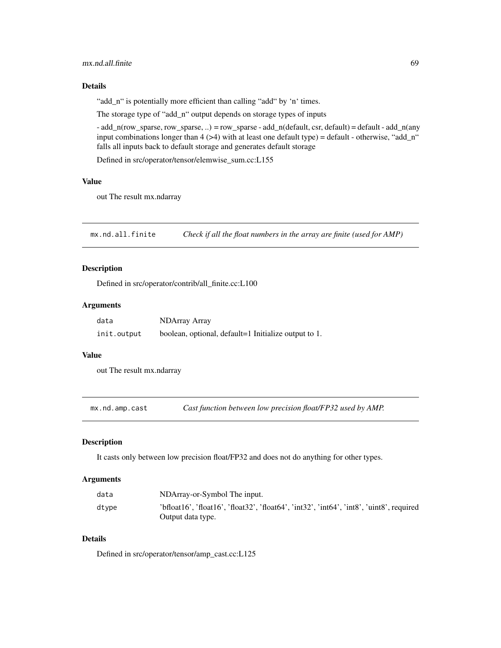### mx.nd.all.finite 69

### Details

"add\_n" is potentially more efficient than calling "add" by 'n' times.

The storage type of "add\_n" output depends on storage types of inputs

- add\_n(row\_sparse, row\_sparse, ..) = row\_sparse - add\_n(default, csr, default) = default - add\_n(any input combinations longer than  $4$  ( $>4$ ) with at least one default type) = default - otherwise, "add\_n" falls all inputs back to default storage and generates default storage

Defined in src/operator/tensor/elemwise\_sum.cc:L155

#### Value

out The result mx.ndarray

mx.nd.all.finite *Check if all the float numbers in the array are finite (used for AMP)*

### Description

Defined in src/operator/contrib/all\_finite.cc:L100

### Arguments

| data        | <b>NDArray Array</b>                                 |
|-------------|------------------------------------------------------|
| init.output | boolean, optional, default=1 Initialize output to 1. |

### Value

out The result mx.ndarray

mx.nd.amp.cast *Cast function between low precision float/FP32 used by AMP.*

#### Description

It casts only between low precision float/FP32 and does not do anything for other types.

### Arguments

| data  | NDArray-or-Symbol The input.                                                             |
|-------|------------------------------------------------------------------------------------------|
| dtype | 'bfloat16', 'float16', 'float32', 'float64', 'int32', 'int64', 'int8', 'uint8', required |
|       | Output data type.                                                                        |

### Details

Defined in src/operator/tensor/amp\_cast.cc:L125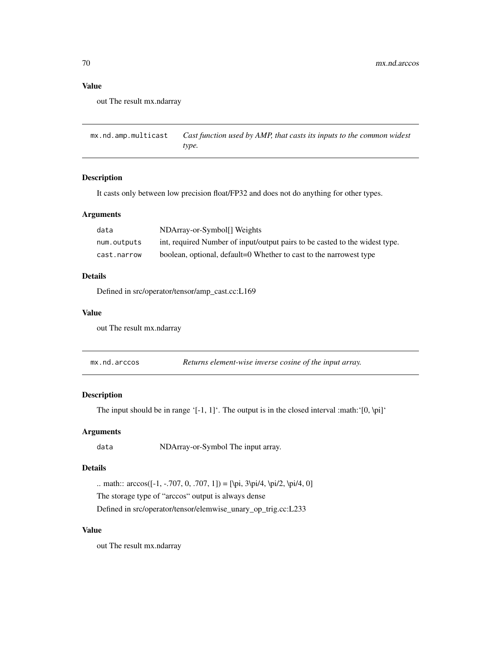### Value

out The result mx.ndarray

mx.nd.amp.multicast *Cast function used by AMP, that casts its inputs to the common widest type.*

# Description

It casts only between low precision float/FP32 and does not do anything for other types.

#### Arguments

| data        | NDArray-or-Symbol <sup>[]</sup> Weights                                     |
|-------------|-----------------------------------------------------------------------------|
| num.outputs | int, required Number of input/output pairs to be casted to the widest type. |
| cast.narrow | boolean, optional, default=0 Whether to cast to the narrowest type          |

### Details

Defined in src/operator/tensor/amp\_cast.cc:L169

#### Value

out The result mx.ndarray

mx.nd.arccos *Returns element-wise inverse cosine of the input array.*

# Description

The input should be in range '[-1, 1]'. The output is in the closed interval :math:'[0, \pi]'

### Arguments

data NDArray-or-Symbol The input array.

# Details

.. math::  $\arccos([-1, -707, 0, .707, 1]) = [\pi, 3\pi/4, \pi/2, \pi/4, 0]$ 

The storage type of "arccos" output is always dense

Defined in src/operator/tensor/elemwise\_unary\_op\_trig.cc:L233

### Value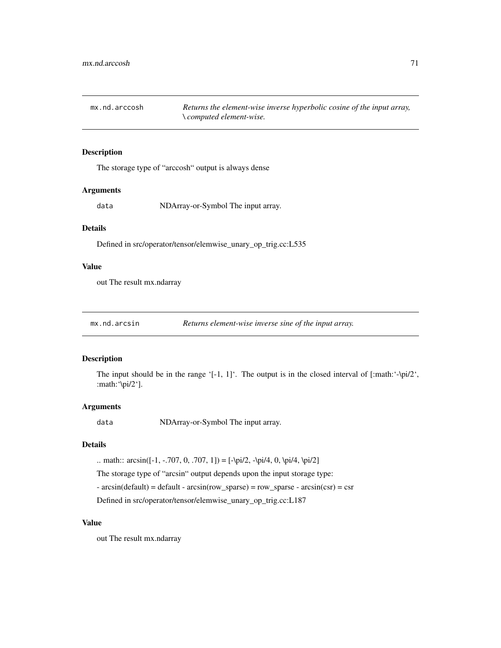mx.nd.arccosh *Returns the element-wise inverse hyperbolic cosine of the input array, \ computed element-wise.*

#### Description

The storage type of "arccosh" output is always dense

### Arguments

data NDArray-or-Symbol The input array.

### Details

Defined in src/operator/tensor/elemwise\_unary\_op\_trig.cc:L535

# Value

out The result mx.ndarray

mx.nd.arcsin *Returns element-wise inverse sine of the input array.*

#### Description

The input should be in the range '[-1, 1]'. The output is in the closed interval of [:math:'- $\pi/2$ ', :math:'\pi/2'].

### Arguments

data NDArray-or-Symbol The input array.

### Details

.. math::  $\arcsin([-1, -707, 0, .707, 1]) = [-\pi/2, -\pi/4, 0, \pi/4, \pi/2]$ 

The storage type of "arcsin" output depends upon the input storage type:

 $\arcsin(\text{default}) = \text{default} - \arcsin(\text{row\_sparse}) = \text{row\_sparse} - \arcsin(\text{csr}) = \text{csr}$ 

Defined in src/operator/tensor/elemwise\_unary\_op\_trig.cc:L187

# Value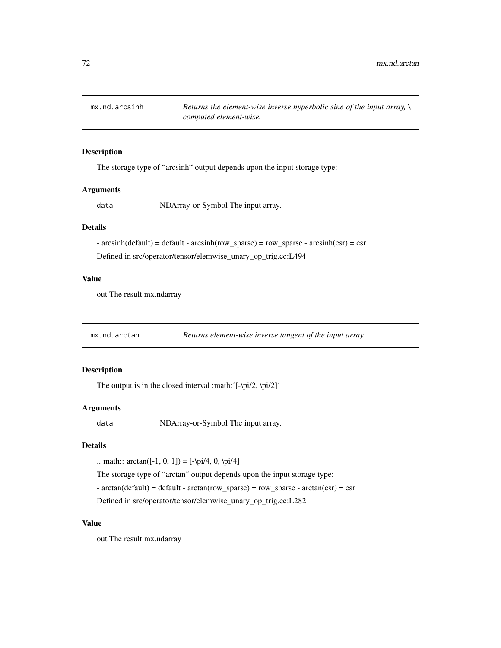### Description

The storage type of "arcsinh" output depends upon the input storage type:

#### **Arguments**

data NDArray-or-Symbol The input array.

# Details

 $\arcsinh(default) = default - arcsinh(row_sparse) = row_sparse - arcsinh(csr) = csr$ Defined in src/operator/tensor/elemwise\_unary\_op\_trig.cc:L494

### Value

out The result mx.ndarray

mx.nd.arctan *Returns element-wise inverse tangent of the input array.*

# Description

The output is in the closed interval :math:'[-\pi/2, \pi/2]'

#### Arguments

data NDArray-or-Symbol The input array.

# Details

.. math::  $\arctan([-1, 0, 1]) = [-\pi/4, 0, \pi/4]$ 

The storage type of "arctan" output depends upon the input storage type:

 $\text{-} \arctan(\text{default}) = \text{default} - \arctan(\text{row\_sparse}) = \text{row\_sparse} - \arctan(\text{csr}) = \text{csr}$ 

Defined in src/operator/tensor/elemwise\_unary\_op\_trig.cc:L282

### Value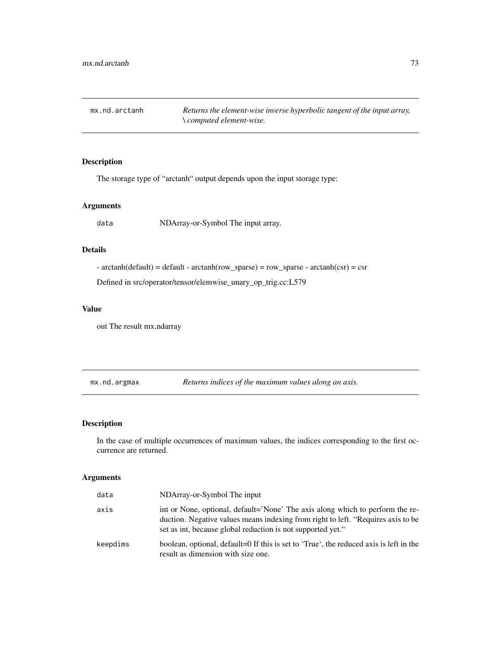mx.nd.arctanh *Returns the element-wise inverse hyperbolic tangent of the input array, \ computed element-wise.*

## Description

The storage type of "arctanh" output depends upon the input storage type:

## Arguments

data NDArray-or-Symbol The input array.

## Details

 $-$  arctanh(default) = default  $-$  arctanh(row\_sparse) = row\_sparse  $-$  arctanh(csr) = csr

Defined in src/operator/tensor/elemwise\_unary\_op\_trig.cc:L579

## Value

out The result mx.ndarray

mx.nd.argmax *Returns indices of the maximum values along an axis.*

## Description

In the case of multiple occurrences of maximum values, the indices corresponding to the first occurrence are returned.

| data     | NDArray-or-Symbol The input                                                                                                                                                                                                      |
|----------|----------------------------------------------------------------------------------------------------------------------------------------------------------------------------------------------------------------------------------|
| axis     | int or None, optional, default='None' The axis along which to perform the re-<br>duction. Negative values means indexing from right to left. "Requires axis to be<br>set as int, because global reduction is not supported yet." |
| keepdims | boolean, optional, default=0 If this is set to 'True', the reduced axis is left in the<br>result as dimension with size one.                                                                                                     |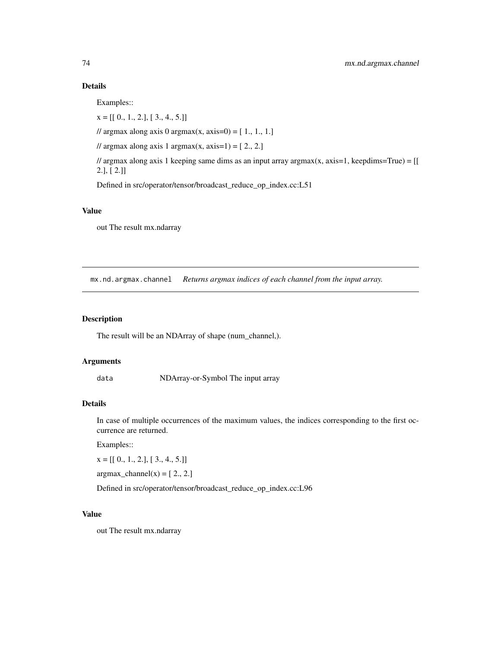Examples::

 $x = [[0., 1., 2.], [3., 4., 5.]]$ 

// argmax along axis 0 argmax(x, axis=0) =  $[1., 1., 1.]$ 

// argmax along axis 1 argmax(x, axis=1) =  $[2., 2.]$ 

// argmax along axis 1 keeping same dims as an input array argmax $(x, axis=1, keep \text{dims=True}) = [[$ 2.], [ 2.]]

Defined in src/operator/tensor/broadcast\_reduce\_op\_index.cc:L51

## Value

out The result mx.ndarray

mx.nd.argmax.channel *Returns argmax indices of each channel from the input array.*

## Description

The result will be an NDArray of shape (num\_channel,).

## Arguments

data NDArray-or-Symbol The input array

## Details

In case of multiple occurrences of the maximum values, the indices corresponding to the first occurrence are returned.

Examples::

 $x = [[0., 1., 2.], [3., 4., 5.]]$ 

 $argmax_{\text{channel}}(x) = [2, 2.]$ 

Defined in src/operator/tensor/broadcast\_reduce\_op\_index.cc:L96

## Value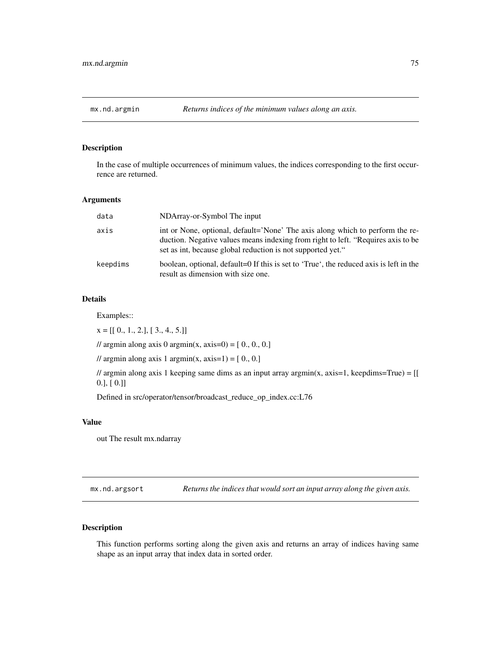## Description

In the case of multiple occurrences of minimum values, the indices corresponding to the first occurrence are returned.

### Arguments

| data     | NDArray-or-Symbol The input                                                                                                                                                                                                      |
|----------|----------------------------------------------------------------------------------------------------------------------------------------------------------------------------------------------------------------------------------|
| axis     | int or None, optional, default='None' The axis along which to perform the re-<br>duction. Negative values means indexing from right to left. "Requires axis to be<br>set as int, because global reduction is not supported yet." |
| keepdims | boolean, optional, default=0 If this is set to 'True', the reduced axis is left in the<br>result as dimension with size one.                                                                                                     |

## Details

Examples::

 $x = [[0., 1., 2.], [3., 4., 5.]]$ 

// argmin along axis 0 argmin(x, axis=0) =  $[0, 0, 0, 0]$ 

// argmin along axis 1 argmin(x, axis=1) =  $[0, 0.]$ 

 $\ell$  argmin along axis 1 keeping same dims as an input array argmin(x, axis=1, keepdims=True) = [[ 0.], [ 0.]]

Defined in src/operator/tensor/broadcast\_reduce\_op\_index.cc:L76

### Value

out The result mx.ndarray

mx.nd.argsort *Returns the indices that would sort an input array along the given axis.*

## Description

This function performs sorting along the given axis and returns an array of indices having same shape as an input array that index data in sorted order.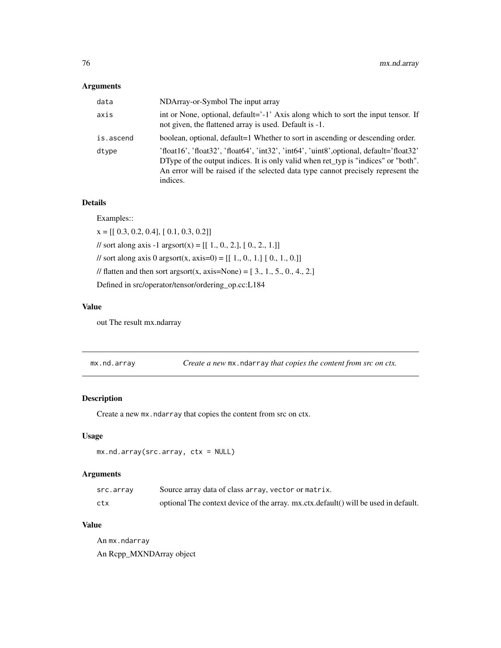### Arguments

| data      | NDArray-or-Symbol The input array                                                                                                                                                                                                                                                                                                                                                                                                                                                                                                                                                                                                                                                                                                                                 |
|-----------|-------------------------------------------------------------------------------------------------------------------------------------------------------------------------------------------------------------------------------------------------------------------------------------------------------------------------------------------------------------------------------------------------------------------------------------------------------------------------------------------------------------------------------------------------------------------------------------------------------------------------------------------------------------------------------------------------------------------------------------------------------------------|
| axis      | int or None, optional, default='-1' Axis along which to sort the input tensor. If<br>not given, the flattened array is used. Default is -1.                                                                                                                                                                                                                                                                                                                                                                                                                                                                                                                                                                                                                       |
| is.ascend | boolean, optional, default=1 Whether to sort in ascending or descending order.                                                                                                                                                                                                                                                                                                                                                                                                                                                                                                                                                                                                                                                                                    |
| dtype     | $'float16', 'float32', 'float64', 'int32', 'int64', 'uint8', optional, default='float32', 'float32', 'int64', 'uint8', optimal, default='float32', 'float33', 'int8', 'int8', 'int8', optimal, default='float32', 'float64', 'int8', 'int8', optimal, default='float32', 'int8', 'int8', and default='float32', 'int8', 'int8', optimal, default='float32', 'int8', 'int8', and default='float32', 'int8', 'int8', 'int8', optimal, default='float32', 'int8', 'int8', and default='float32', 'int8', 'int8', 'int8', and default='float32', 'int8', 'int8', 'int8', 'int8$<br>DType of the output indices. It is only valid when ret typ is "indices" or "both".<br>An error will be raised if the selected data type cannot precisely represent the<br>indices. |

## Details

Examples::

 $x = [[ 0.3, 0.2, 0.4], [ 0.1, 0.3, 0.2]]$ // sort along axis -1 argsort(x) =  $[[ 1., 0., 2.], [ 0., 2., 1.]]$ // sort along axis 0 argsort(x, axis=0) =  $[[ 1., 0., 1.] [ 0., 1., 0.]]$ // flatten and then sort argsort(x, axis=None) =  $[3, 1, 5, 0, 4, 2]$ Defined in src/operator/tensor/ordering\_op.cc:L184

### Value

out The result mx.ndarray

mx.nd.array *Create a new* mx.ndarray *that copies the content from src on ctx.*

## Description

Create a new  $mx$ .ndarray that copies the content from src on ctx.

## Usage

```
mx.nd.array(src.array, ctx = NULL)
```
## Arguments

| src.array | Source array data of class array, vector or matrix.                                 |
|-----------|-------------------------------------------------------------------------------------|
| ctx       | optional The context device of the array. mx.ctx.default() will be used in default. |

### Value

An mx.ndarray An Rcpp\_MXNDArray object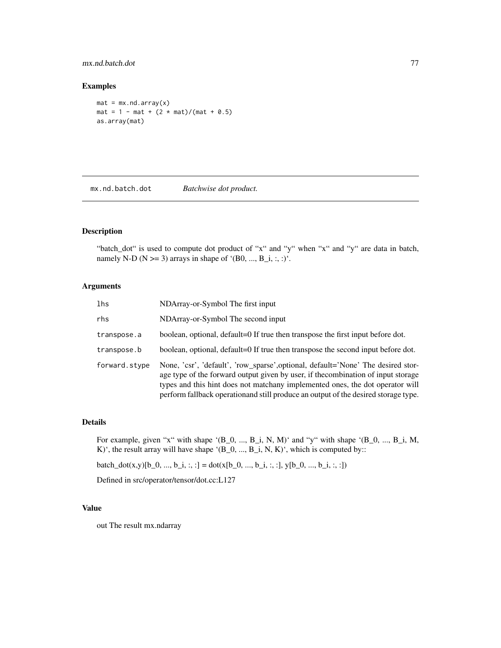## mx.nd.batch.dot 77

### Examples

```
mat = mx.nd.array(x)mat = 1 - mat + (2 * mat)/(mat + 0.5)as.array(mat)
```
mx.nd.batch.dot *Batchwise dot product.*

## Description

"batch\_dot" is used to compute dot product of "x" and "y" when "x" and "y" are data in batch, namely N-D ( $N \ge 3$ ) arrays in shape of '(B0, ..., B\_i, :, :)'.

## Arguments

| lhs           | NDArray-or-Symbol The first input                                                                                                                                                                                                                                                                                                           |
|---------------|---------------------------------------------------------------------------------------------------------------------------------------------------------------------------------------------------------------------------------------------------------------------------------------------------------------------------------------------|
| rhs           | NDArray-or-Symbol The second input                                                                                                                                                                                                                                                                                                          |
| transpose.a   | boolean, optional, default=0 If true then transpose the first input before dot.                                                                                                                                                                                                                                                             |
| transpose.b   | boolean, optional, default=0 If true then transpose the second input before dot.                                                                                                                                                                                                                                                            |
| forward.stype | None, 'csr', 'default', 'row_sparse',optional, default='None' The desired stor-<br>age type of the forward output given by user, if the combination of input storage<br>types and this hint does not matchany implemented ones, the dot operator will<br>perform fallback operationand still produce an output of the desired storage type. |

## Details

For example, given "x" with shape '(B\_0, ..., B\_i, N, M)' and "y" with shape '(B\_0, ..., B\_i, M, K)', the result array will have shape '(B\_0, ..., B\_i, N, K)', which is computed by::

batch\_dot(x,y)[b\_0, ..., b\_i, :, :] = dot(x[b\_0, ..., b\_i, :, :], y[b\_0, ..., b\_i, :, :])

Defined in src/operator/tensor/dot.cc:L127

#### Value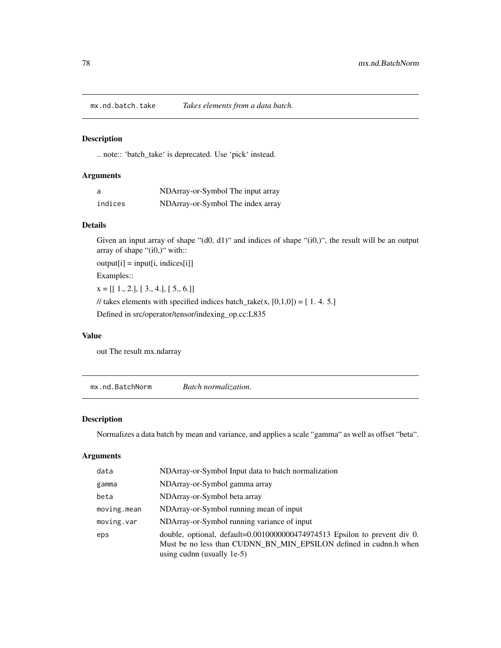mx.nd.batch.take *Takes elements from a data batch.*

## Description

.. note:: 'batch\_take' is deprecated. Use 'pick' instead.

## Arguments

| - a     | NDArray-or-Symbol The input array |
|---------|-----------------------------------|
| indices | NDArray-or-Symbol The index array |

## Details

Given an input array of shape "(d0, d1)" and indices of shape "(i0,)", the result will be an output array of shape "(i0,)" with::

 $output[i] = input[i, indices[i]]$ 

Examples::

 $x = [[1., 2.], [3., 4.], [5., 6.]]$ 

// takes elements with specified indices batch\_take(x,  $[0,1,0]$ ) = [1.4.5.]

Defined in src/operator/tensor/indexing\_op.cc:L835

## Value

out The result mx.ndarray

mx.nd.BatchNorm *Batch normalization.*

## Description

Normalizes a data batch by mean and variance, and applies a scale "gamma" as well as offset "beta".

| data        | NDArray-or-Symbol Input data to batch normalization                                                                                                                             |
|-------------|---------------------------------------------------------------------------------------------------------------------------------------------------------------------------------|
| gamma       | NDArray-or-Symbol gamma array                                                                                                                                                   |
| beta        | NDArray-or-Symbol beta array                                                                                                                                                    |
| moving.mean | NDArray-or-Symbol running mean of input                                                                                                                                         |
| moving.var  | NDArray-or-Symbol running variance of input                                                                                                                                     |
| eps         | double, optional, default=0.0010000000474974513 Epsilon to prevent div 0.<br>Must be no less than CUDNN BN MIN EPSILON defined in cudnn.h when<br>using cudnn (usually $1e-5$ ) |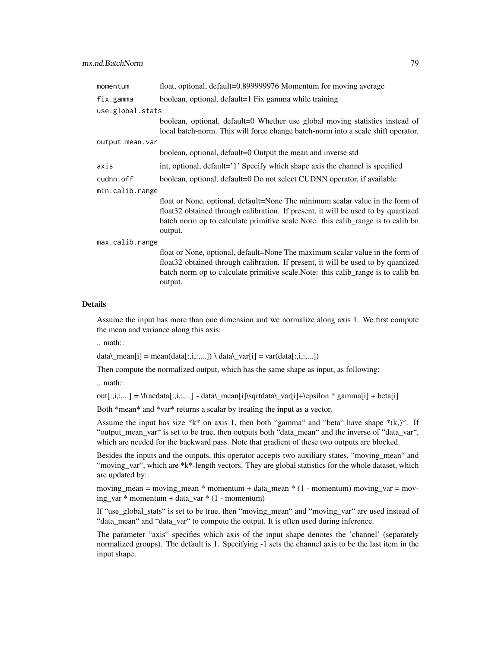| momentum         | float, optional, default=0.899999976 Momentum for moving average                                                                                                                                                                                                    |  |
|------------------|---------------------------------------------------------------------------------------------------------------------------------------------------------------------------------------------------------------------------------------------------------------------|--|
| fix.gamma        | boolean, optional, default=1 Fix gamma while training                                                                                                                                                                                                               |  |
| use.global.stats |                                                                                                                                                                                                                                                                     |  |
|                  | boolean, optional, default=0 Whether use global moving statistics instead of<br>local batch-norm. This will force change batch-norm into a scale shift operator.                                                                                                    |  |
| output.mean.var  |                                                                                                                                                                                                                                                                     |  |
|                  | boolean, optional, default=0 Output the mean and inverse std                                                                                                                                                                                                        |  |
| axis             | int, optional, default='1' Specify which shape axis the channel is specified                                                                                                                                                                                        |  |
| cudnn.off        | boolean, optional, default=0 Do not select CUDNN operator, if available                                                                                                                                                                                             |  |
| min.calib.range  |                                                                                                                                                                                                                                                                     |  |
|                  | float or None, optional, default=None The minimum scalar value in the form of<br>float 32 obtained through calibration. If present, it will be used to by quantized<br>batch norm op to calculate primitive scale. Note: this calib_range is to calib bn<br>output. |  |
| max.calib.range  |                                                                                                                                                                                                                                                                     |  |
|                  | float or None, optional, default=None The maximum scalar value in the form of<br>float 32 obtained through calibration. If present, it will be used to by quantized<br>batch norm op to calculate primitive scale. Note: this calib range is to calib bn<br>output. |  |

Assume the input has more than one dimension and we normalize along axis 1. We first compute the mean and variance along this axis:

.. math::

data\\_mean[i] = mean(data[:,i,:,...]) \ data\\_var[i] = var(data[:,i,:,...])

Then compute the normalized output, which has the same shape as input, as following:

.. math::

 $out[:,i,:,...] = \frac{at[:,i,:,...]} - data\$  mean[i]\sqrtdata\\_var[i]+\epsilon \* gamma[i] + beta[i]

Both \*mean\* and \*var\* returns a scalar by treating the input as a vector.

Assume the input has size \*k\* on axis 1, then both "gamma" and "beta" have shape \*(k,)\*. If "output\_mean\_var" is set to be true, then outputs both "data\_mean" and the inverse of "data\_var", which are needed for the backward pass. Note that gradient of these two outputs are blocked.

Besides the inputs and the outputs, this operator accepts two auxiliary states, "moving\_mean" and "moving\_var", which are \*k\*-length vectors. They are global statistics for the whole dataset, which are updated by::

moving\_mean = moving\_mean  $*$  momentum + data\_mean  $*$  (1 - momentum) moving\_var = moving\_var \* momentum + data\_var \* (1 - momentum)

If "use\_global\_stats" is set to be true, then "moving\_mean" and "moving\_var" are used instead of "data\_mean" and "data\_var" to compute the output. It is often used during inference.

The parameter "axis" specifies which axis of the input shape denotes the 'channel' (separately normalized groups). The default is 1. Specifying -1 sets the channel axis to be the last item in the input shape.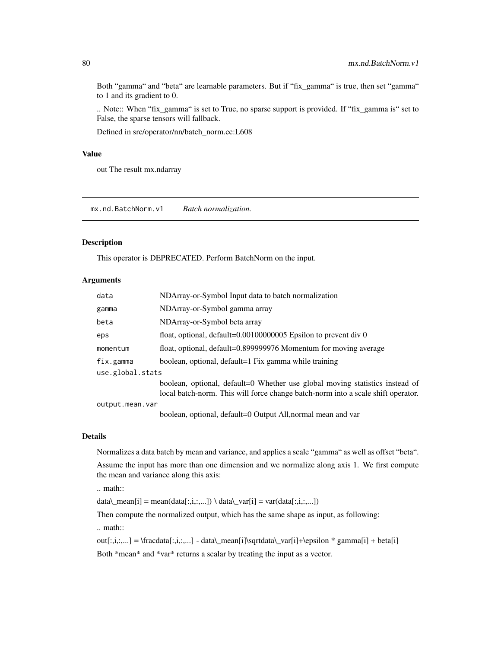Both "gamma" and "beta" are learnable parameters. But if "fix\_gamma" is true, then set "gamma" to 1 and its gradient to 0.

.. Note:: When "fix\_gamma" is set to True, no sparse support is provided. If "fix\_gamma is" set to False, the sparse tensors will fallback.

Defined in src/operator/nn/batch\_norm.cc:L608

## Value

out The result mx.ndarray

mx.nd.BatchNorm.v1 *Batch normalization.*

## Description

This operator is DEPRECATED. Perform BatchNorm on the input.

#### Arguments

| data             | NDArray-or-Symbol Input data to batch normalization                              |  |
|------------------|----------------------------------------------------------------------------------|--|
| gamma            | NDArray-or-Symbol gamma array                                                    |  |
| beta             | NDArray-or-Symbol beta array                                                     |  |
| eps              | float, optional, $default=0.00100000005$ Epsilon to prevent div 0                |  |
| momentum         | float, optional, default=0.899999976 Momentum for moving average                 |  |
| fix.gamma        | boolean, optional, default=1 Fix gamma while training                            |  |
| use.global.stats |                                                                                  |  |
|                  | boolean, optional, default=0 Whether use global moving statistics instead of     |  |
|                  | local batch-norm. This will force change batch-norm into a scale shift operator. |  |
| output.mean.var  |                                                                                  |  |
|                  | boolean, optional, default=0 Output All, normal mean and var                     |  |

### Details

Normalizes a data batch by mean and variance, and applies a scale "gamma" as well as offset "beta".

Assume the input has more than one dimension and we normalize along axis 1. We first compute the mean and variance along this axis:

.. math::

data\\_mean[i] = mean(data[:,i,:,...]) \ data\\_var[i] = var(data[:,i,:,...])

Then compute the normalized output, which has the same shape as input, as following:

.. math::

out[:,i,:,...] = \fracdata[:,i,:,...] - data\\_mean[i]\sqrtdata\\_var[i]+\epsilon \* gamma[i] + beta[i] Both \*mean\* and \*var\* returns a scalar by treating the input as a vector.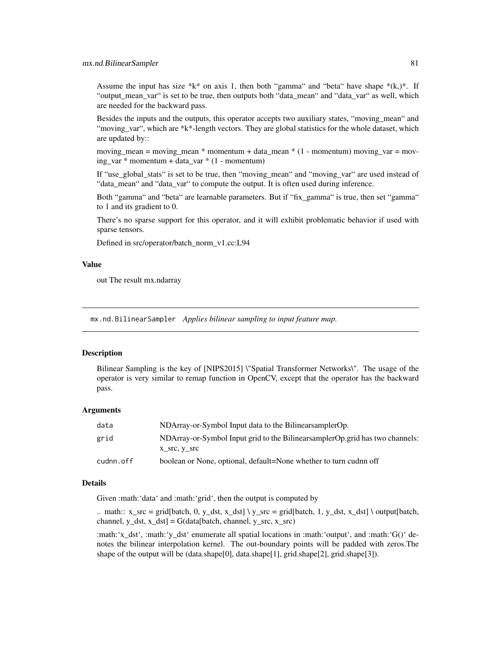Assume the input has size \*k\* on axis 1, then both "gamma" and "beta" have shape  $*(k,)*$ . If "output\_mean\_var" is set to be true, then outputs both "data\_mean" and "data\_var" as well, which are needed for the backward pass.

Besides the inputs and the outputs, this operator accepts two auxiliary states, "moving\_mean" and "moving\_var", which are \*k\*-length vectors. They are global statistics for the whole dataset, which are updated by::

moving\_mean = moving\_mean  $*$  momentum + data\_mean  $*$  (1 - momentum) moving\_var = moving\_var \* momentum + data\_var \* (1 - momentum)

If "use\_global\_stats" is set to be true, then "moving\_mean" and "moving\_var" are used instead of "data\_mean" and "data\_var" to compute the output. It is often used during inference.

Both "gamma" and "beta" are learnable parameters. But if "fix\_gamma" is true, then set "gamma" to 1 and its gradient to 0.

There's no sparse support for this operator, and it will exhibit problematic behavior if used with sparse tensors.

Defined in src/operator/batch\_norm\_v1.cc:L94

### Value

out The result mx.ndarray

mx.nd.BilinearSampler *Applies bilinear sampling to input feature map.*

#### **Description**

Bilinear Sampling is the key of [NIPS2015] \"Spatial Transformer Networks\". The usage of the operator is very similar to remap function in OpenCV, except that the operator has the backward pass.

#### Arguments

| data      | NDArray-or-Symbol Input data to the Bilinear sampler Op.                                        |
|-----------|-------------------------------------------------------------------------------------------------|
| grid      | NDArray-or-Symbol Input grid to the Bilinear sampler Op. grid has two channels:<br>x src, y src |
| cudnn.off | boolean or None, optional, default=None whether to turn cudnn off                               |

#### Details

Given :math:'data' and :math:'grid', then the output is computed by

.. math::  $x\_src = grid[batch, 0, y\_dst, x\_dst] \ y\_src = grid[batch, 1, y\_dst, x\_dst] \ output[batch,$ channel,  $y_dst$ ,  $x_dst$  = G(data[batch, channel,  $y_ssc$ ,  $x_ssc$ )

:math:'x\_dst', :math:'y\_dst' enumerate all spatial locations in :math:'output', and :math:'G()' denotes the bilinear interpolation kernel. The out-boundary points will be padded with zeros.The shape of the output will be (data.shape[0], data.shape[1], grid.shape[2], grid.shape[3]).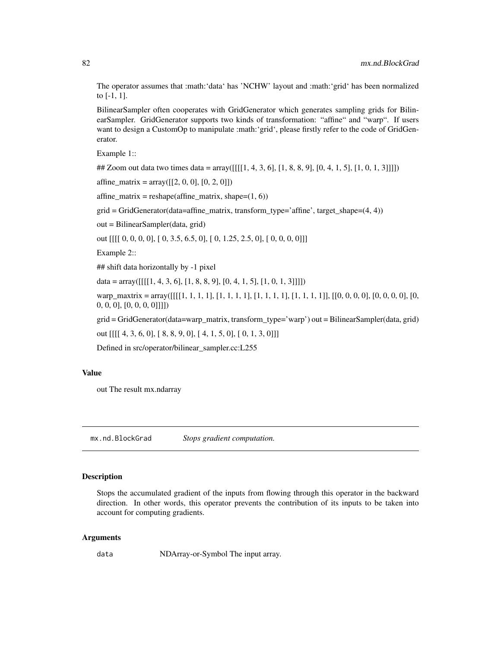The operator assumes that :math:'data' has 'NCHW' layout and :math:'grid' has been normalized to [-1, 1].

BilinearSampler often cooperates with GridGenerator which generates sampling grids for BilinearSampler. GridGenerator supports two kinds of transformation: "affine" and "warp". If users want to design a CustomOp to manipulate :math:'grid', please firstly refer to the code of GridGenerator.

Example 1::

## Zoom out data two times data =  $\arctan\left(\left[\frac{1}{1}, 4, 3, 6\right], [1, 8, 8, 9], [0, 4, 1, 5], [1, 0, 1, 3]]\right]$ 

 $affine_matrix = array([[2, 0, 0], [0, 2, 0]])$ 

 $affine_matrix = reshape(affine_matrix, shape=(1, 6))$ 

grid = GridGenerator(data=affine\_matrix, transform\_type='affine', target\_shape=(4, 4))

out = BilinearSampler(data, grid)

out [[[[ 0, 0, 0, 0], [ 0, 3.5, 6.5, 0], [ 0, 1.25, 2.5, 0], [ 0, 0, 0, 0]]]

Example 2::

## shift data horizontally by -1 pixel

 $data = array([[1, 4, 3, 6], [1, 8, 8, 9], [0, 4, 1, 5], [1, 0, 1, 3]]])$ 

warp\_maxtrix = array([[[[1, 1, 1, 1], [1, 1, 1, 1], [1, 1, 1, 1], [1, 1, 1, 1]], [[0, 0, 0, 0], [0, 0, 0, 0], [0, 0, 0, 0], [0, 0, 0, 0], [0, 0, 0, 0]]]])

grid = GridGenerator(data=warp\_matrix, transform\_type='warp') out = BilinearSampler(data, grid)

out [[[[ 4, 3, 6, 0], [ 8, 8, 9, 0], [ 4, 1, 5, 0], [ 0, 1, 3, 0]]]

Defined in src/operator/bilinear\_sampler.cc:L255

## Value

out The result mx.ndarray

mx.nd.BlockGrad *Stops gradient computation.*

#### Description

Stops the accumulated gradient of the inputs from flowing through this operator in the backward direction. In other words, this operator prevents the contribution of its inputs to be taken into account for computing gradients.

#### Arguments

data NDArray-or-Symbol The input array.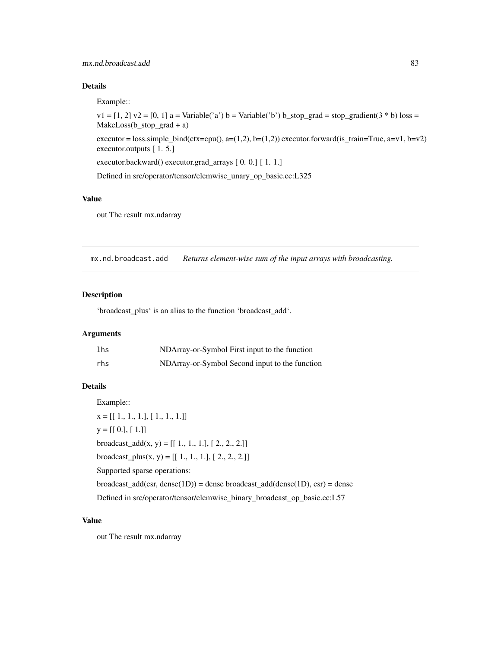## mx.nd.broadcast.add 83

## Details

Example::

 $v1 = [1, 2]$   $v2 = [0, 1]$  a = Variable('a') b = Variable('b') b\_stop\_grad = stop\_gradient(3 \* b) loss = MakeLoss(b\_stop\_grad + a)

executor = loss.simple\_bind(ctx=cpu(), a=(1,2), b=(1,2)) executor.forward(is\_train=True, a=v1, b=v2) executor.outputs [ 1. 5.]

executor.backward() executor.grad\_arrays [ 0. 0.] [ 1. 1.]

Defined in src/operator/tensor/elemwise\_unary\_op\_basic.cc:L325

## Value

out The result mx.ndarray

mx.nd.broadcast.add *Returns element-wise sum of the input arrays with broadcasting.*

#### Description

'broadcast\_plus' is an alias to the function 'broadcast\_add'.

## Arguments

| lhs | NDArray-or-Symbol First input to the function  |
|-----|------------------------------------------------|
| rhs | NDArray-or-Symbol Second input to the function |

#### Details

Example::  $x = [[1., 1., 1.], [1., 1., 1.]]$  $y = [[0.], [1.]]$ broadcast\_add(x, y) =  $[[ 1., 1., 1.], [ 2., 2., 2.]]$ broadcast\_plus(x, y) =  $[[ 1., 1., 1.], [ 2., 2., 2.]]$ Supported sparse operations:  $broadcast\_add(csr, dense(1D)) = dense broadcast\_add(dense(1D), csr) = dense$ Defined in src/operator/tensor/elemwise\_binary\_broadcast\_op\_basic.cc:L57

### Value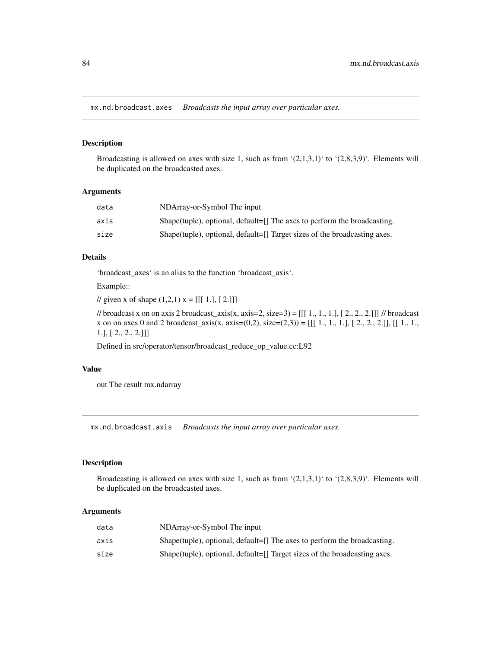mx.nd.broadcast.axes *Broadcasts the input array over particular axes.*

## Description

Broadcasting is allowed on axes with size 1, such as from  $(2,1,3,1)$  to  $(2,8,3,9)$ . Elements will be duplicated on the broadcasted axes.

#### **Arguments**

| data | NDArray-or-Symbol The input                                               |
|------|---------------------------------------------------------------------------|
| axis | Shape(tuple), optional, default=[] The axes to perform the broadcasting.  |
| size | Shape(tuple), optional, default=[] Target sizes of the broadcasting axes. |

## Details

'broadcast\_axes' is an alias to the function 'broadcast\_axis'.

Example::

// given x of shape  $(1,2,1)$  x = [[[ 1.], [ 2.]]]

// broadcast x on on axis 2 broadcast\_axis(x, axis=2, size=3) =  $[[1, 1, 1, 1, 1, 2, 2, 2, 2, 1]]$  // broadcast x on on axes 0 and 2 broadcast\_axis(x, axis=(0,2), size=(2,3)) = [[[ 1., 1., 1.], [ 2., 2., 2.]], [[ 1., 1., 1.], [ 2., 2., 2.]]]

Defined in src/operator/tensor/broadcast\_reduce\_op\_value.cc:L92

## Value

out The result mx.ndarray

mx.nd.broadcast.axis *Broadcasts the input array over particular axes.*

## Description

Broadcasting is allowed on axes with size 1, such as from  $(2,1,3,1)$  to  $(2,8,3,9)$ . Elements will be duplicated on the broadcasted axes.

| data | NDArray-or-Symbol The input                                               |
|------|---------------------------------------------------------------------------|
| axis | Shape(tuple), optional, default=[] The axes to perform the broadcasting.  |
| size | Shape(tuple), optional, default=[] Target sizes of the broadcasting axes. |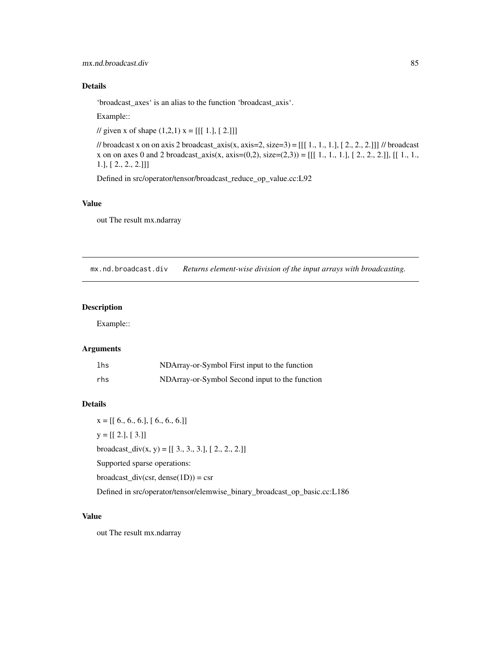'broadcast\_axes' is an alias to the function 'broadcast\_axis'.

Example::

// given x of shape  $(1,2,1)$  x = [[[ 1.], [ 2.]]]

// broadcast x on on axis 2 broadcast\_axis(x, axis=2, size=3) = [[[ 1., 1., 1.], [ 2., 2., 2.]]] // broadcast x on on axes 0 and 2 broadcast\_axis(x, axis= $(0,2)$ , size= $(2,3)$ ) = [[[ 1, 1, 1,], [ 2, 2, 2.]], [[ 1, 1., 1.], [ 2., 2., 2.]]]

Defined in src/operator/tensor/broadcast\_reduce\_op\_value.cc:L92

### Value

out The result mx.ndarray

mx.nd.broadcast.div *Returns element-wise division of the input arrays with broadcasting.*

### Description

Example::

## Arguments

| lhs | NDArray-or-Symbol First input to the function  |
|-----|------------------------------------------------|
| rhs | NDArray-or-Symbol Second input to the function |

## Details

 $x = [[ 6., 6., 6.], [ 6., 6., 6.]]$  $y = [[2.], [3.]]$ broadcast\_div(x, y) =  $[[ 3., 3., 3.]$ ,  $[ 2., 2., 2.]$ ] Supported sparse operations: broadcast\_div(csr, dense(1D)) = csr Defined in src/operator/tensor/elemwise\_binary\_broadcast\_op\_basic.cc:L186

#### Value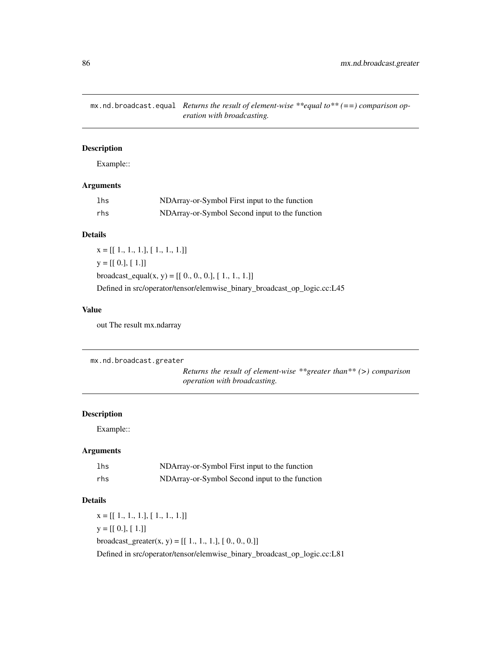mx.nd.broadcast.equal *Returns the result of element-wise \*\*equal to\*\* (==) comparison operation with broadcasting.*

## Description

Example::

## Arguments

| lhs | NDArray-or-Symbol First input to the function  |
|-----|------------------------------------------------|
| rhs | NDArray-or-Symbol Second input to the function |

## Details

 $x = [[1., 1., 1.], [1., 1., 1.]]$  $y = [[0.], [1.]]$ broadcast\_equal(x, y) =  $[[ 0., 0., 0.], [ 1., 1., 1.]]$ Defined in src/operator/tensor/elemwise\_binary\_broadcast\_op\_logic.cc:L45

## Value

out The result mx.ndarray

```
mx.nd.broadcast.greater
```
*Returns the result of element-wise \*\*greater than\*\* (>) comparison operation with broadcasting.*

## Description

Example::

## Arguments

| lhs | NDArray-or-Symbol First input to the function  |
|-----|------------------------------------------------|
| rhs | NDArray-or-Symbol Second input to the function |

## Details

 $x = [[1., 1., 1.], [1., 1., 1.]]$  $y = [[0.], [1.]]$ broadcast\_greater(x, y) =  $[[ 1., 1., 1.], [ 0., 0., 0.]]$ Defined in src/operator/tensor/elemwise\_binary\_broadcast\_op\_logic.cc:L81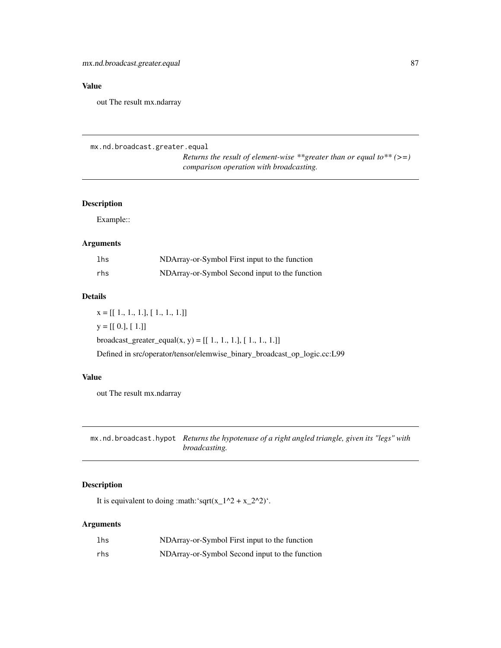## Value

out The result mx.ndarray

```
mx.nd.broadcast.greater.equal
                          Returns the result of element-wise **greater than or equal to** (>=)
                          comparison operation with broadcasting.
```
## Description

Example::

## Arguments

| lhs | NDArray-or-Symbol First input to the function  |
|-----|------------------------------------------------|
| rhs | NDArray-or-Symbol Second input to the function |

## Details

 $x = [[1., 1., 1.], [1., 1., 1.]]$  $y = [[0.], [1.]]$ broadcast\_greater\_equal(x, y) =  $[[ 1., 1., 1.], [ 1., 1., 1.]]$ Defined in src/operator/tensor/elemwise\_binary\_broadcast\_op\_logic.cc:L99

#### Value

out The result mx.ndarray

mx.nd.broadcast.hypot *Returns the hypotenuse of a right angled triangle, given its "legs" with broadcasting.*

## Description

It is equivalent to doing :math:'sqrt(x\_1^2 + x\_2^2)'.

| lhs | NDArray-or-Symbol First input to the function  |
|-----|------------------------------------------------|
| rhs | NDArray-or-Symbol Second input to the function |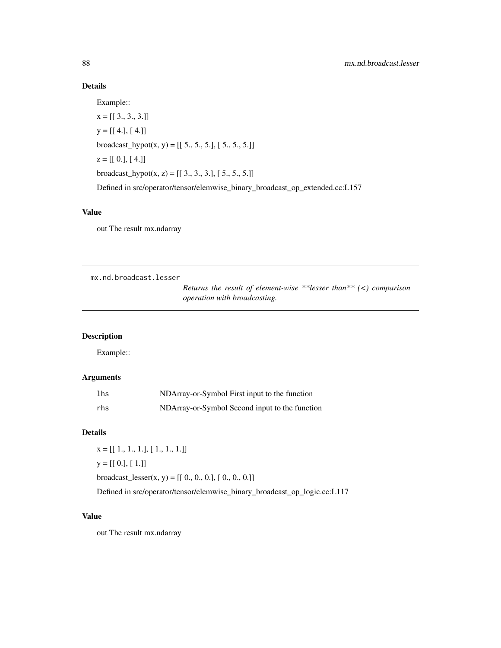Example::

 $x = [[3., 3., 3.]]$  $y = [[4.], [4.]]$ broadcast\_hypot $(x, y) = [[5., 5., 5.], [5., 5., 5.]]$  $z = [[0.], [4.]]$ broadcast\_hypot(x, z) =  $[[ 3., 3., 3.], [ 5., 5., 5.]]$ Defined in src/operator/tensor/elemwise\_binary\_broadcast\_op\_extended.cc:L157

### Value

out The result mx.ndarray

mx.nd.broadcast.lesser

*Returns the result of element-wise \*\*lesser than\*\* (<) comparison operation with broadcasting.*

## Description

Example::

## Arguments

| lhs | NDArray-or-Symbol First input to the function  |
|-----|------------------------------------------------|
| rhs | NDArray-or-Symbol Second input to the function |

## Details

 $x = [[1., 1., 1.], [1., 1., 1.]]$  $y = [[0.], [1.]]$ 

broadcast\_lesser(x, y) =  $[[ 0., 0., 0.], [ 0., 0., 0.]]$ 

Defined in src/operator/tensor/elemwise\_binary\_broadcast\_op\_logic.cc:L117

#### Value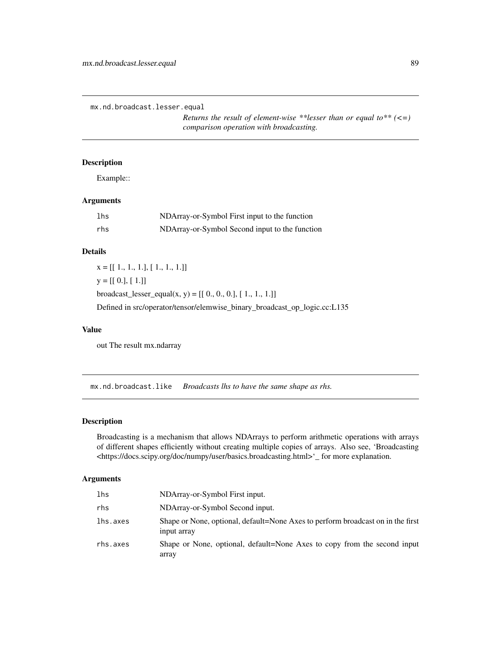mx.nd.broadcast.lesser.equal

*Returns the result of element-wise \*\*lesser than or equal to\*\* (<=) comparison operation with broadcasting.*

## Description

Example::

### Arguments

| lhs | NDArray-or-Symbol First input to the function  |
|-----|------------------------------------------------|
| rhs | NDArray-or-Symbol Second input to the function |

## Details

 $x = [[1., 1., 1.], [1., 1., 1.]]$  $y = [[0.], [1.]]$ broadcast\_lesser\_equal(x, y) =  $[[ 0., 0., 0.], [ 1., 1., 1.]]$ Defined in src/operator/tensor/elemwise\_binary\_broadcast\_op\_logic.cc:L135

#### Value

out The result mx.ndarray

mx.nd.broadcast.like *Broadcasts lhs to have the same shape as rhs.*

## Description

Broadcasting is a mechanism that allows NDArrays to perform arithmetic operations with arrays of different shapes efficiently without creating multiple copies of arrays. Also see, 'Broadcasting <https://docs.scipy.org/doc/numpy/user/basics.broadcasting.html>'\_ for more explanation.

| lhs      | NDArray-or-Symbol First input.                                                                 |
|----------|------------------------------------------------------------------------------------------------|
| rhs      | NDArray-or-Symbol Second input.                                                                |
| lhs.axes | Shape or None, optional, default=None Axes to perform broadcast on in the first<br>input array |
| rhs.axes | Shape or None, optional, default=None Axes to copy from the second input<br>array              |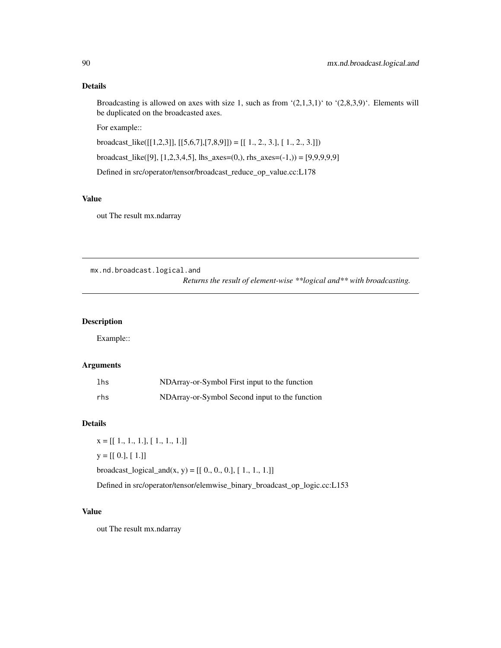Broadcasting is allowed on axes with size 1, such as from  $(2,1,3,1)$  to  $(2,8,3,9)$ . Elements will be duplicated on the broadcasted axes.

For example::

broadcast\_like([[1,2,3]], [[5,6,7],[7,8,9]]) = [[ 1., 2., 3.], [ 1., 2., 3.]])

broadcast\_like([9], [1,2,3,4,5], lhs\_axes=(0,), rhs\_axes=(-1,)) = [9,9,9,9,9]

Defined in src/operator/tensor/broadcast\_reduce\_op\_value.cc:L178

## Value

out The result mx.ndarray

mx.nd.broadcast.logical.and

*Returns the result of element-wise \*\*logical and\*\* with broadcasting.*

## Description

Example::

## Arguments

| lhs | NDArray-or-Symbol First input to the function  |
|-----|------------------------------------------------|
| rhs | NDArray-or-Symbol Second input to the function |

## Details

 $x = [[1., 1., 1.], [1., 1., 1.]]$  $y = [[0.], [1.]]$ broadcast\_logical\_and(x, y) =  $[[ 0., 0., 0.], [ 1., 1., 1.]]$ Defined in src/operator/tensor/elemwise\_binary\_broadcast\_op\_logic.cc:L153

### Value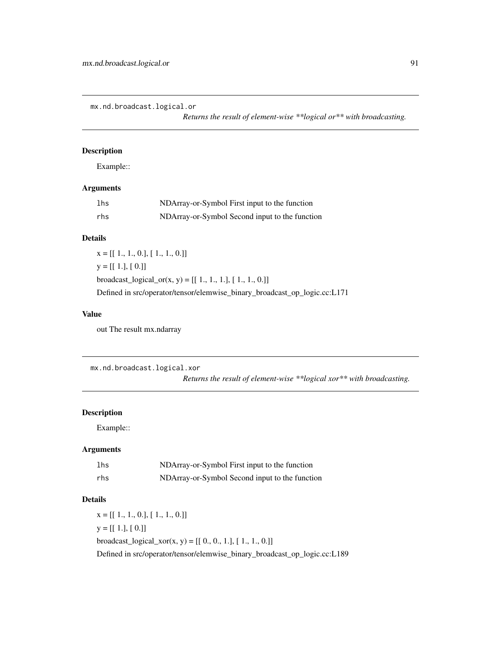mx.nd.broadcast.logical.or

*Returns the result of element-wise \*\*logical or\*\* with broadcasting.*

### Description

Example::

## Arguments

| 1 <sub>hs</sub> | NDArray-or-Symbol First input to the function  |
|-----------------|------------------------------------------------|
| rhs             | NDArray-or-Symbol Second input to the function |

## Details

 $x = [[1., 1., 0.], [1., 1., 0.]]$  $y = [[1.], [0.]]$ broadcast\_logical\_or(x, y) =  $[[ 1., 1., 1.], [ 1., 1., 0.]]$ Defined in src/operator/tensor/elemwise\_binary\_broadcast\_op\_logic.cc:L171

## Value

out The result mx.ndarray

mx.nd.broadcast.logical.xor

*Returns the result of element-wise \*\*logical xor\*\* with broadcasting.*

### Description

Example::

## Arguments

| lhs | NDArray-or-Symbol First input to the function  |
|-----|------------------------------------------------|
| rhs | NDArray-or-Symbol Second input to the function |

## Details

 $x = [[1., 1., 0.], [1., 1., 0.]]$  $y = [[1.], [0.]]$ broadcast\_logical\_xor(x, y) =  $[[0., 0., 1.], [1., 1., 0.]]$ Defined in src/operator/tensor/elemwise\_binary\_broadcast\_op\_logic.cc:L189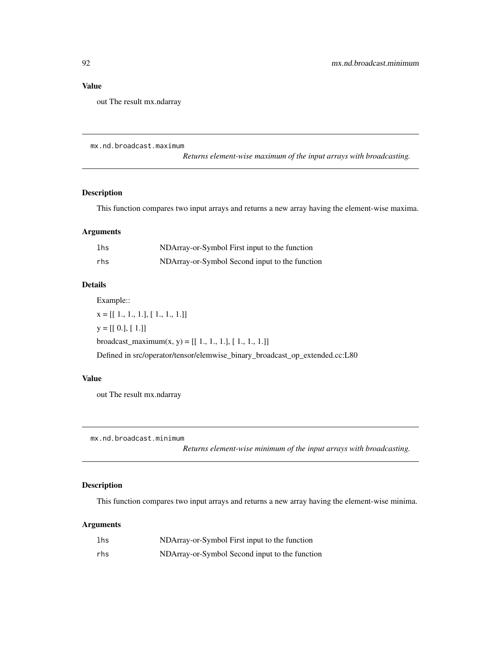### Value

out The result mx.ndarray

mx.nd.broadcast.maximum

*Returns element-wise maximum of the input arrays with broadcasting.*

### Description

This function compares two input arrays and returns a new array having the element-wise maxima.

### Arguments

| lhs | NDArray-or-Symbol First input to the function  |
|-----|------------------------------------------------|
| rhs | NDArray-or-Symbol Second input to the function |

## Details

Example::

 $x = [[1., 1., 1.], [1., 1., 1.]]$  $y = [[0.], [1.]]$ broadcast\_maximum(x, y) =  $[[ 1., 1., 1.], [ 1., 1., 1.]]$ Defined in src/operator/tensor/elemwise\_binary\_broadcast\_op\_extended.cc:L80

### Value

out The result mx.ndarray

mx.nd.broadcast.minimum

*Returns element-wise minimum of the input arrays with broadcasting.*

## Description

This function compares two input arrays and returns a new array having the element-wise minima.

| lhs | NDArray-or-Symbol First input to the function  |
|-----|------------------------------------------------|
| rhs | NDArray-or-Symbol Second input to the function |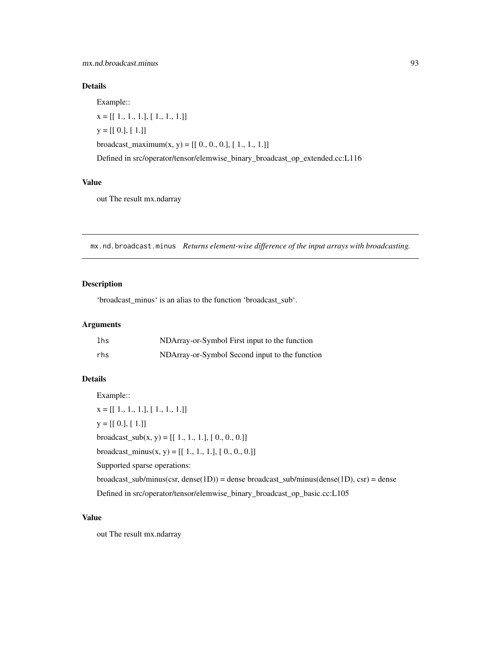Example::

 $x = [[1., 1., 1.], [1., 1., 1.]]$  $y = [[0.], [1.]]$ broadcast\_maximum(x, y) =  $[[ 0., 0., 0.], [ 1., 1., 1.]]$ Defined in src/operator/tensor/elemwise\_binary\_broadcast\_op\_extended.cc:L116

### Value

out The result mx.ndarray

mx.nd.broadcast.minus *Returns element-wise difference of the input arrays with broadcasting.*

## Description

'broadcast\_minus' is an alias to the function 'broadcast\_sub'.

## Arguments

| lhs | NDArray-or-Symbol First input to the function  |
|-----|------------------------------------------------|
| rhs | NDArray-or-Symbol Second input to the function |

## Details

Example::  $x = [[1., 1., 1.], [1., 1., 1.]]$  $y = [[0.], [1.]]$ broadcast\_sub $(x, y) = [[1., 1., 1.], [0., 0., 0.]]$ broadcast\_minus(x, y) =  $[[ 1., 1., 1.], [ 0., 0., 0.]]$ Supported sparse operations:  $broadcast\_sub/minus(csr, dense(1D)) = dense broadcast\_sub/minus(dense(1D), csr) = dense$ Defined in src/operator/tensor/elemwise\_binary\_broadcast\_op\_basic.cc:L105

## Value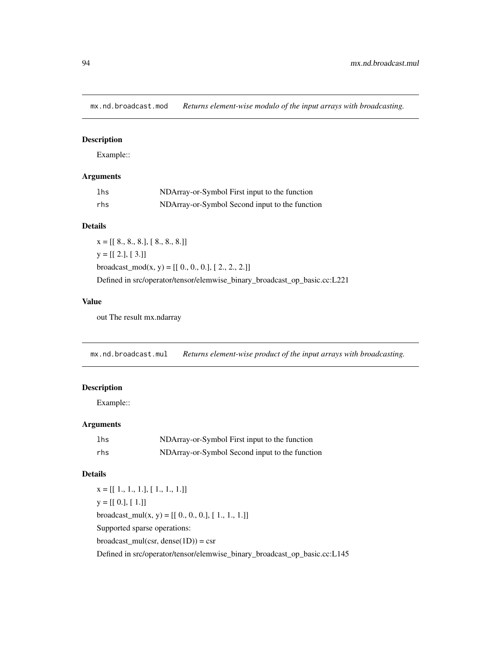mx.nd.broadcast.mod *Returns element-wise modulo of the input arrays with broadcasting.*

## Description

Example::

## Arguments

| lhs | NDArray-or-Symbol First input to the function  |
|-----|------------------------------------------------|
| rhs | NDArray-or-Symbol Second input to the function |

## Details

 $x = [[ 8., 8., 8.], [ 8., 8., 8.]]$  $y = [[2.], [3.]]$ broadcast\_mod(x, y) =  $[[ 0., 0., 0.], [ 2., 2., 2.]]$ Defined in src/operator/tensor/elemwise\_binary\_broadcast\_op\_basic.cc:L221

## Value

out The result mx.ndarray

mx.nd.broadcast.mul *Returns element-wise product of the input arrays with broadcasting.*

## Description

Example::

## Arguments

| lhs | NDArray-or-Symbol First input to the function  |
|-----|------------------------------------------------|
| rhs | NDArray-or-Symbol Second input to the function |

## Details

 $x = [[1., 1., 1.], [1., 1., 1.]]$  $y = [[0.], [1.]]$ broadcast\_mul(x, y) =  $[[ 0., 0., 0.], [ 1., 1., 1.]]$ Supported sparse operations:  $broadcast\_mul(csr, dense(1D)) = csr$ Defined in src/operator/tensor/elemwise\_binary\_broadcast\_op\_basic.cc:L145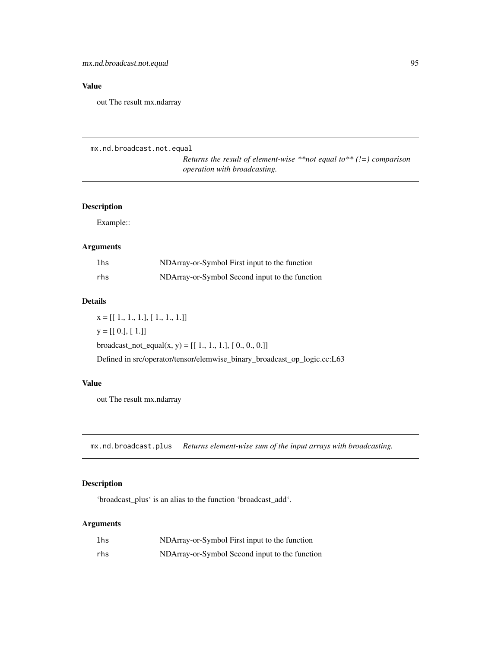## Value

out The result mx.ndarray

```
mx.nd.broadcast.not.equal
```

```
Returns the result of element-wise **not equal to** (!=) comparison
operation with broadcasting.
```
## Description

Example::

## Arguments

| lhs | NDArray-or-Symbol First input to the function  |
|-----|------------------------------------------------|
| rhs | NDArray-or-Symbol Second input to the function |

## Details

 $x = [[1., 1., 1.], [1., 1., 1.]]$  $y = [[0.], [1.]]$ broadcast\_not\_equal(x, y) =  $[[ 1., 1., 1.], [ 0., 0., 0.]]$ Defined in src/operator/tensor/elemwise\_binary\_broadcast\_op\_logic.cc:L63

## Value

out The result mx.ndarray

mx.nd.broadcast.plus *Returns element-wise sum of the input arrays with broadcasting.*

## Description

'broadcast\_plus' is an alias to the function 'broadcast\_add'.

| lhs | NDArray-or-Symbol First input to the function  |
|-----|------------------------------------------------|
| rhs | NDArray-or-Symbol Second input to the function |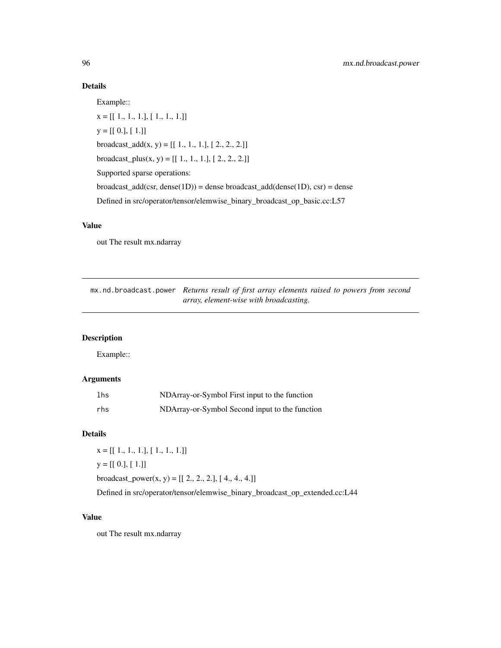Example::

x = [[ 1., 1., 1.], [ 1., 1., 1.]]  $y = [[0.], [1.]]$ broadcast\_add(x, y) =  $[[ 1., 1., 1.], [ 2., 2., 2.]]$ broadcast\_plus(x, y) =  $[[ 1., 1., 1.], [ 2., 2., 2.]]$ Supported sparse operations:  $broadcast\_add(csr, dense(1D)) = dense broadcast\_add(dense(1D), csr) = dense$ Defined in src/operator/tensor/elemwise\_binary\_broadcast\_op\_basic.cc:L57

## Value

out The result mx.ndarray

mx.nd.broadcast.power *Returns result of first array elements raised to powers from second array, element-wise with broadcasting.*

## Description

Example::

## Arguments

| lhs | NDArray-or-Symbol First input to the function  |
|-----|------------------------------------------------|
| rhs | NDArray-or-Symbol Second input to the function |

### Details

 $x = [[1., 1., 1.], [1., 1., 1.]]$ 

 $y = [[0.], [1.]]$ 

broadcast\_power(x, y) =  $[[ 2., 2., 2.]$ ,  $[ 4., 4., 4.]$ ]

Defined in src/operator/tensor/elemwise\_binary\_broadcast\_op\_extended.cc:L44

### Value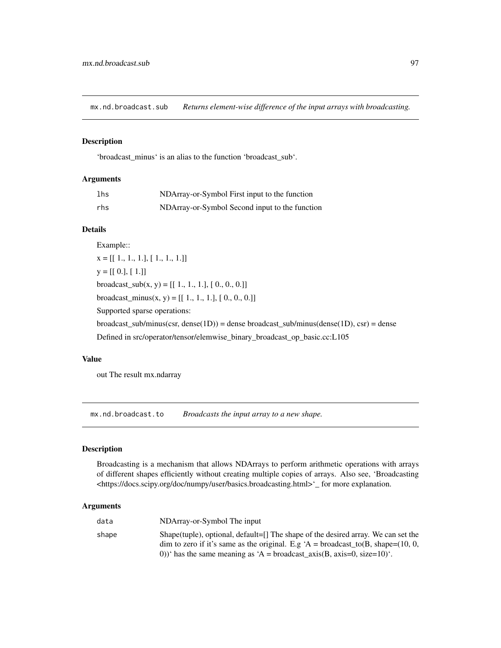mx.nd.broadcast.sub *Returns element-wise difference of the input arrays with broadcasting.*

### Description

'broadcast\_minus' is an alias to the function 'broadcast\_sub'.

### Arguments

| lhs | NDArray-or-Symbol First input to the function  |
|-----|------------------------------------------------|
| rhs | NDArray-or-Symbol Second input to the function |

## Details

Example::  $X = [[1., 1., 1.], [1., 1., 1.]]$  $y = [[0.], [1.]]$ broadcast\_sub $(x, y) = [[1., 1., 1.], [0., 0., 0.]]$ broadcast\_minus(x, y) =  $[[ 1., 1., 1.], [ 0., 0., 0.]]$ Supported sparse operations: broadcast\_sub/minus(csr, dense(1D)) = dense broadcast\_sub/minus(dense(1D), csr) = dense Defined in src/operator/tensor/elemwise\_binary\_broadcast\_op\_basic.cc:L105

## Value

out The result mx.ndarray

mx.nd.broadcast.to *Broadcasts the input array to a new shape.*

### Description

Broadcasting is a mechanism that allows NDArrays to perform arithmetic operations with arrays of different shapes efficiently without creating multiple copies of arrays. Also see, 'Broadcasting <https://docs.scipy.org/doc/numpy/user/basics.broadcasting.html>'\_ for more explanation.

| data  | NDArray-or-Symbol The input                                                                                                                                |
|-------|------------------------------------------------------------------------------------------------------------------------------------------------------------|
| shape | Shape(tuple), optional, $default = []$ The shape of the desired array. We can set the                                                                      |
|       | dim to zero if it's same as the original. E.g 'A = broadcast_to(B, shape=(10, 0,<br>0))' has the same meaning as 'A = broadcast_axis(B, axis=0, size=10)'. |
|       |                                                                                                                                                            |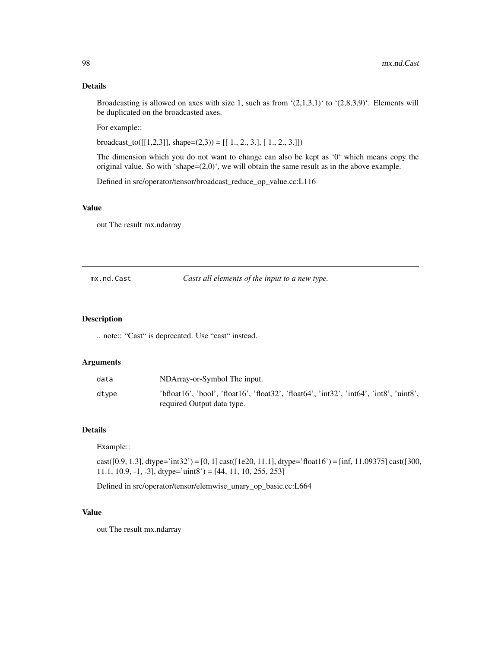Broadcasting is allowed on axes with size 1, such as from  $(2,1,3,1)$  to  $(2,8,3,9)$ . Elements will be duplicated on the broadcasted axes.

For example::

broadcast\_to( $[[1,2,3]]$ , shape=(2,3)) =  $[[1., 2., 3.], [1., 2., 3.]]$ )

The dimension which you do not want to change can also be kept as '0' which means copy the original value. So with 'shape=(2,0)', we will obtain the same result as in the above example.

Defined in src/operator/tensor/broadcast\_reduce\_op\_value.cc:L116

## Value

out The result mx.ndarray

#### mx.nd.Cast *Casts all elements of the input to a new type.*

### Description

.. note:: "Cast" is deprecated. Use "cast" instead.

#### Arguments

| data  | NDArray-or-Symbol The input.                                                                                          |
|-------|-----------------------------------------------------------------------------------------------------------------------|
| dtvpe | 'bfloat16', 'bool', 'float16', 'float32', 'float64', 'int32', 'int64', 'int8', 'uint8',<br>required Output data type. |

## Details

#### Example::

cast([0.9, 1.3], dtype='int32') = [0, 1] cast([1e20, 11.1], dtype='float16') = [inf, 11.09375] cast([300, 11.1, 10.9,  $-1$ ,  $-3$ ], dtype='uint8' = [44, 11, 10, 255, 253]

Defined in src/operator/tensor/elemwise\_unary\_op\_basic.cc:L664

### Value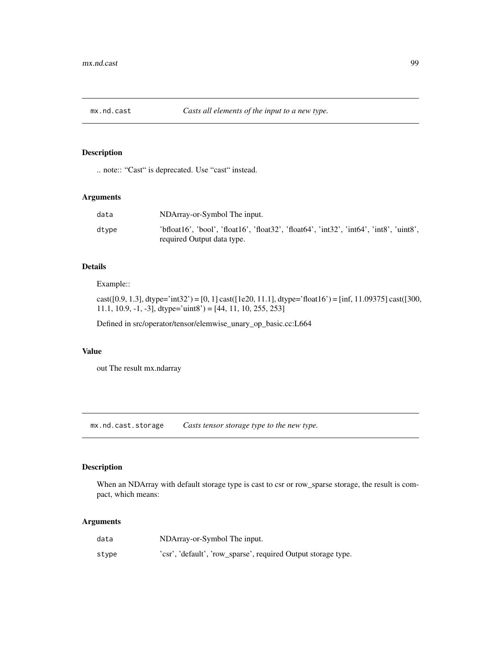## Description

.. note:: "Cast" is deprecated. Use "cast" instead.

## Arguments

| data  | NDArray-or-Symbol The input.                                                                                          |
|-------|-----------------------------------------------------------------------------------------------------------------------|
| dtype | 'bfloat16', 'bool', 'float16', 'float32', 'float64', 'int32', 'int64', 'int8', 'uint8',<br>required Output data type. |

## Details

Example::

cast([0.9, 1.3], dtype='int32') = [0, 1] cast([1e20, 11.1], dtype='float16') = [inf, 11.09375] cast([300, 11.1, 10.9,  $-1$ ,  $-3$ ], dtype='uint8' = [44, 11, 10, 255, 253]

Defined in src/operator/tensor/elemwise\_unary\_op\_basic.cc:L664

## Value

out The result mx.ndarray

mx.nd.cast.storage *Casts tensor storage type to the new type.*

## Description

When an NDArray with default storage type is cast to csr or row\_sparse storage, the result is compact, which means:

| data  | NDArray-or-Symbol The input.                                  |
|-------|---------------------------------------------------------------|
| stype | 'csr', 'default', 'row_sparse', required Output storage type. |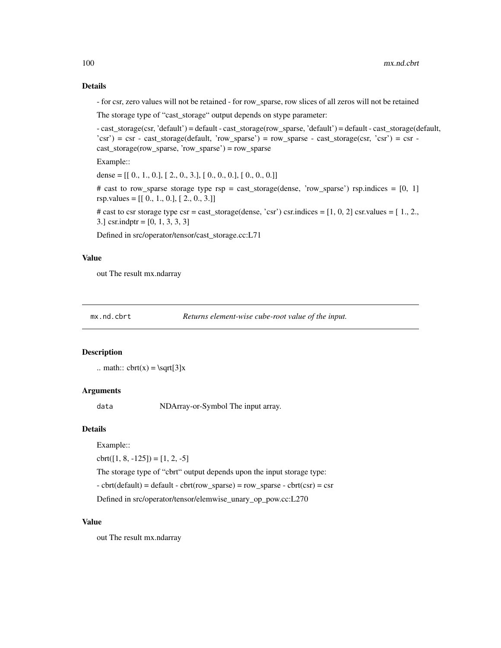- for csr, zero values will not be retained - for row\_sparse, row slices of all zeros will not be retained

The storage type of "cast\_storage" output depends on stype parameter:

- cast\_storage(csr, 'default') = default - cast\_storage(row\_sparse, 'default') = default - cast\_storage(default, 'csr') = csr - cast\_storage(default, 'row\_sparse') = row\_sparse - cast\_storage(csr, 'csr') = csr cast\_storage(row\_sparse, 'row\_sparse') = row\_sparse

Example::

dense =  $[[ 0., 1., 0.], [ 2., 0., 3.], [ 0., 0., 0.], [ 0., 0., 0.]]$ 

# cast to row\_sparse storage type rsp = cast\_storage(dense, 'row\_sparse') rsp.indices = [0, 1]  $rsp.values = [[0., 1., 0.], [2., 0., 3.]]$ 

# cast to csr storage type  $\text{csr} = \text{cast\_storage}(\text{dense}, \text{'csr'})$  csr.indices = [1, 0, 2] csr.values = [1, 2, 3.] csr.indptr = [0, 1, 3, 3, 3]

Defined in src/operator/tensor/cast\_storage.cc:L71

### Value

out The result mx.ndarray

mx.nd.cbrt *Returns element-wise cube-root value of the input.*

#### **Description**

.. math::  $\text{cbrt}(x) = \sqrt{3}x$ 

#### Arguments

data NDArray-or-Symbol The input array.

### Details

Example::

 $\text{cbrt}([1, 8, -125]) = [1, 2, -5]$ 

The storage type of "cbrt" output depends upon the input storage type:

 $-$  cbrt(default) = default  $-$  cbrt(row\_sparse) = row\_sparse  $-$  cbrt(csr) = csr

Defined in src/operator/tensor/elemwise\_unary\_op\_pow.cc:L270

### Value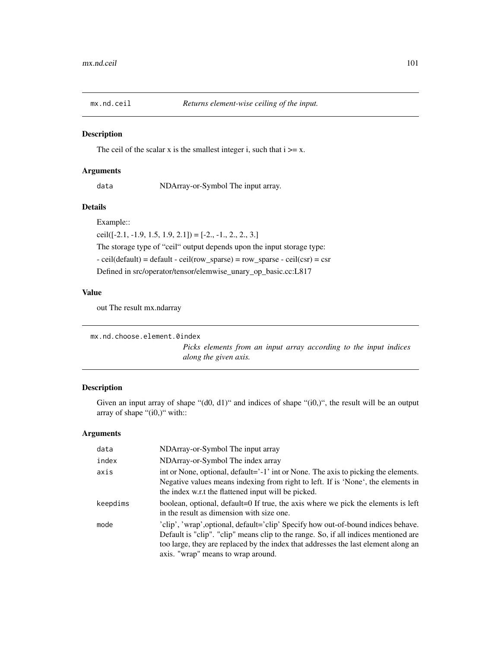## Description

The ceil of the scalar x is the smallest integer i, such that  $i \geq x$ .

## Arguments

data NDArray-or-Symbol The input array.

## Details

Example::

ceil( $[-2.1, -1.9, 1.5, 1.9, 2.1]$ ) =  $[-2., -1., 2., 2., 3.]$ 

The storage type of "ceil" output depends upon the input storage type:

- ceil(default) = default - ceil(row\_sparse) = row\_sparse - ceil(csr) = csr

Defined in src/operator/tensor/elemwise\_unary\_op\_basic.cc:L817

## Value

out The result mx.ndarray

```
mx.nd.choose.element.0index
```
*Picks elements from an input array according to the input indices along the given axis.*

## Description

Given an input array of shape "(d0, d1)" and indices of shape "(i0,)", the result will be an output array of shape "(i0,)" with::

| data     | NDArray-or-Symbol The input array                                                                                                                                                                                                                                                                    |
|----------|------------------------------------------------------------------------------------------------------------------------------------------------------------------------------------------------------------------------------------------------------------------------------------------------------|
| index    | NDArray-or-Symbol The index array                                                                                                                                                                                                                                                                    |
| axis     | int or None, optional, default='-1' int or None. The axis to picking the elements.<br>Negative values means indexing from right to left. If is 'None', the elements in<br>the index w.r.t the flattened input will be picked.                                                                        |
| keepdims | boolean, optional, default=0 If true, the axis where we pick the elements is left<br>in the result as dimension with size one.                                                                                                                                                                       |
| mode     | 'clip', 'wrap', optional, default='clip' Specify how out-of-bound indices behave.<br>Default is "clip". "clip" means clip to the range. So, if all indices mentioned are<br>too large, they are replaced by the index that addresses the last element along an<br>axis. "wrap" means to wrap around. |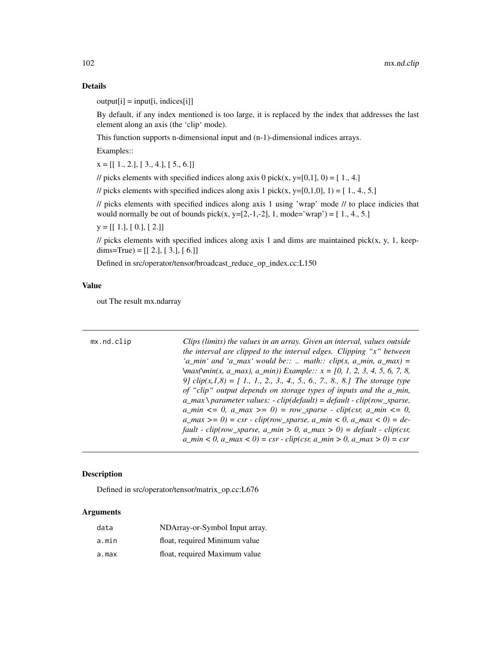$output[i] = input[i, indices[i]]$ 

By default, if any index mentioned is too large, it is replaced by the index that addresses the last element along an axis (the 'clip' mode).

This function supports n-dimensional input and (n-1)-dimensional indices arrays.

Examples::

 $x = [[1., 2.], [3., 4.], [5., 6.]]$ 

// picks elements with specified indices along axis 0 pick(x, y=[0,1], 0) = [1., 4.]

// picks elements with specified indices along axis 1 pick(x, y=[0,1,0], 1) = [1,4,5.]

// picks elements with specified indices along axis 1 using 'wrap' mode // to place indicies that would normally be out of bounds pick(x, y=[2,-1,-2], 1, mode='wrap') =  $[1., 4., 5.]$ 

 $y = [[1.], [0.], [2.]]$ 

 $\ell$  picks elements with specified indices along axis 1 and dims are maintained pick(x, y, 1, keepdims=True) =  $[[ 2.], [ 3.], [ 6.]]$ 

Defined in src/operator/tensor/broadcast\_reduce\_op\_index.cc:L150

## Value

out The result mx.ndarray

| mx.nd.clip | Clips (limits) the values in an array. Given an interval, values outside<br>the interval are clipped to the interval edges. Clipping " $x$ " between<br>'a_min' and 'a_max' would be::  math:: clip(x, a_min, a_max) =<br>$\text{Var}(\text{Vmin}(x, a\_max), a\_min))$ Example:: $x = [0, 1, 2, 3, 4, 5, 6, 7, 8, 6, 7, 8, 6, 7, 8, 6, 7, 8, 6, 7, 8, 6, 7, 8, 6, 7, 8, 6, 7, 8, 6, 7, 8, 6, 7, 8, 6, 7, 8, 6, 7, 8, 6, 7, 8, 6, 7, 8, 6, 7, 8, 6, 7, 8, 6, 7, 8, 6, 7, 8, 6, $<br>9] $clip(x, 1, 8) = [1, 1, 2, 3, 4, 5, 6, 7, 8, 8]$ The storage type<br>of "clip" output depends on storage types of inputs and the a_min,<br>$a_{max} \$ parameter values: - clip(default) = default - clip(row_sparse,<br>$a_{min} \leq 0$ , $a_{max} \geq 0$ = row_sparse - clip(csr, $a_{min} \leq 0$ ,<br>$a_{max} >= 0$ = csr - clip(row_sparse, $a_{min} < 0$ , $a_{max} < 0$ ) = de-<br>fault - clip(row_sparse, a_min > 0, a_max > 0) = default - clip(csr, |
|------------|----------------------------------------------------------------------------------------------------------------------------------------------------------------------------------------------------------------------------------------------------------------------------------------------------------------------------------------------------------------------------------------------------------------------------------------------------------------------------------------------------------------------------------------------------------------------------------------------------------------------------------------------------------------------------------------------------------------------------------------------------------------------------------------------------------------------------------------------------------------------------------------------------------------------------------------------------------|
|            | $a_{\text{min}} < 0$ , $a_{\text{max}} < 0$ = csr - clip(csr, $a_{\text{min}} > 0$ , $a_{\text{max}} > 0$ ) = csr                                                                                                                                                                                                                                                                                                                                                                                                                                                                                                                                                                                                                                                                                                                                                                                                                                        |

## Description

Defined in src/operator/tensor/matrix\_op.cc:L676

| data  | NDArray-or-Symbol Input array. |
|-------|--------------------------------|
| a.min | float, required Minimum value  |
| a.max | float, required Maximum value  |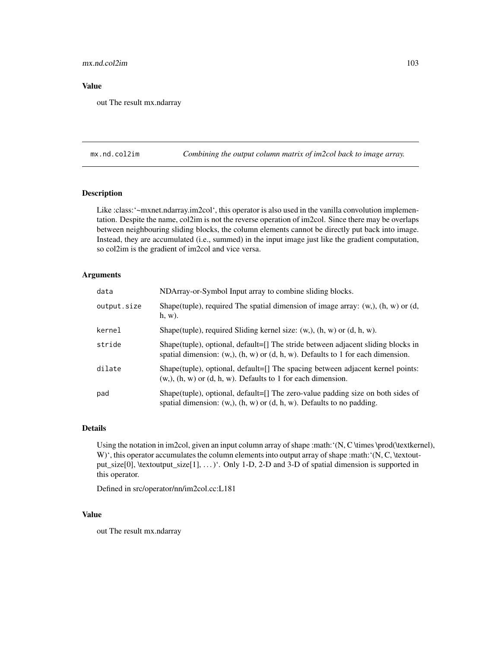## mx.nd.col2im 103

### Value

out The result mx.ndarray

mx.nd.col2im *Combining the output column matrix of im2col back to image array.*

## Description

Like :class:'~mxnet.ndarray.im2col', this operator is also used in the vanilla convolution implementation. Despite the name, col2im is not the reverse operation of im2col. Since there may be overlaps between neighbouring sliding blocks, the column elements cannot be directly put back into image. Instead, they are accumulated (i.e., summed) in the input image just like the gradient computation, so col2im is the gradient of im2col and vice versa.

## Arguments

| data        | NDArray-or-Symbol Input array to combine sliding blocks.                                                                                                              |
|-------------|-----------------------------------------------------------------------------------------------------------------------------------------------------------------------|
| output.size | Shape(tuple), required The spatial dimension of image array: $(w, b)$ , $(h, w)$ or $(d, d)$<br>$h, w$ ).                                                             |
| kernel      | Shape(tuple), required Sliding kernel size: $(w, b)$ , $(h, w)$ or $(d, h, w)$ .                                                                                      |
| stride      | Shape(tuple), optional, default=[] The stride between adjacent sliding blocks in<br>spatial dimension: $(w, h, w)$ or $(d, h, w)$ . Defaults to 1 for each dimension. |
| dilate      | Shape(tuple), optional, default=[] The spacing between adjacent kernel points:<br>$(w, b)$ , $(h, w)$ or $(d, h, w)$ . Defaults to 1 for each dimension.              |
| pad         | Shape(tuple), optional, default=[] The zero-value padding size on both sides of<br>spatial dimension: $(w,), (h, w)$ or $(d, h, w)$ . Defaults to no padding.         |

### Details

Using the notation in im2col, given an input column array of shape :math:'(N, C \times \prod(\textkernel), W)', this operator accumulates the column elements into output array of shape :math:'(N, C, \textoutput\_size[0], \textoutput\_size[1], . . . )'. Only 1-D, 2-D and 3-D of spatial dimension is supported in this operator.

Defined in src/operator/nn/im2col.cc:L181

### Value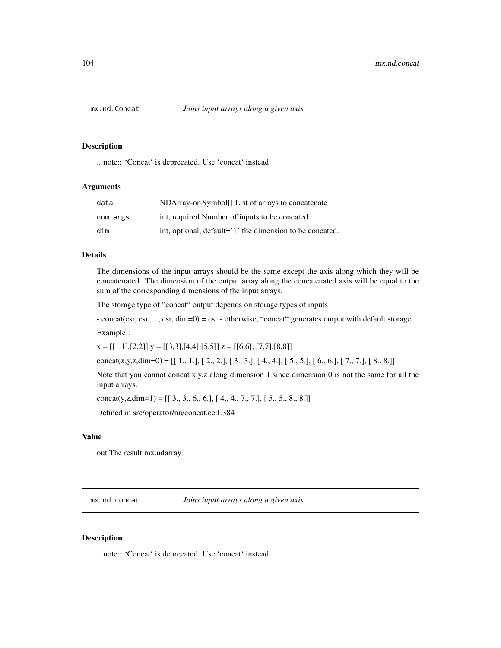### Description

.. note:: 'Concat' is deprecated. Use 'concat' instead.

#### **Arguments**

| data     | NDArray-or-Symbol[] List of arrays to concatenate        |
|----------|----------------------------------------------------------|
| num.args | int, required Number of inputs to be concated.           |
| dim      | int, optional, default='1' the dimension to be concated. |

#### Details

The dimensions of the input arrays should be the same except the axis along which they will be concatenated. The dimension of the output array along the concatenated axis will be equal to the sum of the corresponding dimensions of the input arrays.

The storage type of "concat" output depends on storage types of inputs

- concat(csr, csr, ..., csr, dim=0) = csr - otherwise, "concat" generates output with default storage

Example::

 $x = [[1,1],[2,2]]$   $y = [[3,3],[4,4],[5,5]]$   $z = [[6,6],[7,7],[8,8]]$ 

concat(x,y,z,dim=0) =  $[[1, 1, 1, 2, 2, 1, 3, 3, 1, 4, 4, 1, 5, 5, 1, 6, 6, 1, 7, 7, 1, 8, 8, 1]$ 

Note that you cannot concat x,y,z along dimension 1 since dimension 0 is not the same for all the input arrays.

concat(y,z,dim=1) =  $[[ 3., 3., 6., 6.], [ 4., 4., 7., 7.], [ 5., 5., 8., 8.]]$ 

Defined in src/operator/nn/concat.cc:L384

### Value

out The result mx.ndarray

mx.nd.concat *Joins input arrays along a given axis.*

#### Description

.. note:: 'Concat' is deprecated. Use 'concat' instead.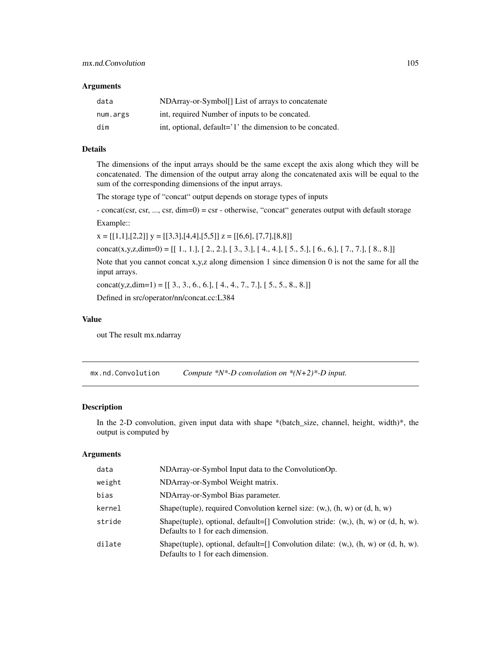#### **Arguments**

| data     | NDArray-or-Symbol[] List of arrays to concatenate        |
|----------|----------------------------------------------------------|
| num.args | int, required Number of inputs to be concated.           |
| dim      | int, optional, default='1' the dimension to be concated. |

## Details

The dimensions of the input arrays should be the same except the axis along which they will be concatenated. The dimension of the output array along the concatenated axis will be equal to the sum of the corresponding dimensions of the input arrays.

The storage type of "concat" output depends on storage types of inputs

- concat(csr, csr, ..., csr, dim=0) = csr - otherwise, "concat" generates output with default storage Example::

 $x = [[1,1],[2,2]]$   $y = [[3,3],[4,4],[5,5]]$   $z = [[6,6],[7,7],[8,8]]$ 

concat(x,y,z,dim=0) =  $[[ 1., 1.]$ ,  $[ 2., 2.]$ ,  $[ 3., 3.]$ ,  $[ 4., 4.]$ ,  $[ 5., 5.]$ ,  $[ 6., 6.]$ ,  $[ 7., 7.]$ ,  $[ 8., 8.]$ 

Note that you cannot concat x,y,z along dimension 1 since dimension  $0$  is not the same for all the input arrays.

concat(y,z,dim=1) =  $[[ 3., 3., 6., 6.], [ 4., 4., 7., 7.], [ 5., 5., 8., 8.]]$ 

Defined in src/operator/nn/concat.cc:L384

## Value

out The result mx.ndarray

mx.nd.Convolution *Compute \*N\*-D convolution on \*(N+2)\*-D input.*

### Description

In the 2-D convolution, given input data with shape \*(batch\_size, channel, height, width)\*, the output is computed by

| data   | NDArray-or-Symbol Input data to the ConvolutionOp.                                                                              |
|--------|---------------------------------------------------------------------------------------------------------------------------------|
| weight | NDArray-or-Symbol Weight matrix.                                                                                                |
| bias   | NDArray-or-Symbol Bias parameter.                                                                                               |
| kernel | Shape(tuple), required Convolution kernel size: $(w, )$ , $(h, w)$ or $(d, h, w)$                                               |
| stride | Shape(tuple), optional, default=[] Convolution stride: $(w, )$ , $(h, w)$ or $(d, h, w)$ .<br>Defaults to 1 for each dimension. |
| dilate | Shape(tuple), optional, default=[] Convolution dilate: $(w, )$ , $(h, w)$ or $(d, h, w)$ .<br>Defaults to 1 for each dimension. |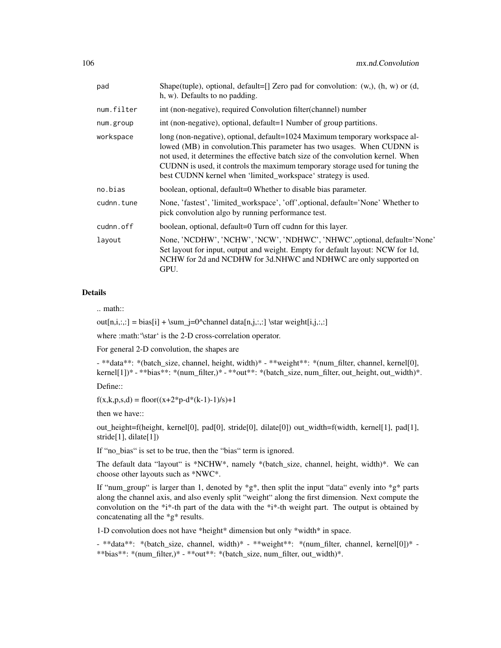| pad        | Shape(tuple), optional, default=[] Zero pad for convolution: (w,), (h, w) or (d,<br>h, w). Defaults to no padding.                                                                                                                                                                                                                                                                         |
|------------|--------------------------------------------------------------------------------------------------------------------------------------------------------------------------------------------------------------------------------------------------------------------------------------------------------------------------------------------------------------------------------------------|
| num.filter | int (non-negative), required Convolution filter(channel) number                                                                                                                                                                                                                                                                                                                            |
| num.group  | int (non-negative), optional, default=1 Number of group partitions.                                                                                                                                                                                                                                                                                                                        |
| workspace  | long (non-negative), optional, default=1024 Maximum temporary workspace al-<br>lowed (MB) in convolution. This parameter has two usages. When CUDNN is<br>not used, it determines the effective batch size of the convolution kernel. When<br>CUDNN is used, it controls the maximum temporary storage used for tuning the<br>best CUDNN kernel when 'limited_workspace' strategy is used. |
| no.bias    | boolean, optional, default=0 Whether to disable bias parameter.                                                                                                                                                                                                                                                                                                                            |
| cudnn.tune | None, 'fastest', 'limited_workspace', 'off', optional, default='None' Whether to<br>pick convolution algo by running performance test.                                                                                                                                                                                                                                                     |
| cudnn.off  | boolean, optional, default=0 Turn off cudnn for this layer.                                                                                                                                                                                                                                                                                                                                |
| layout     | None, 'NCDHW', 'NCHW', 'NCW', 'NDHWC', 'NHWC', optional, default='None'<br>Set layout for input, output and weight. Empty for default layout: NCW for 1d,<br>NCHW for 2d and NCDHW for 3d.NHWC and NDHWC are only supported on<br>GPU.                                                                                                                                                     |

.. math::

 $out[n,i,:]= bias[i] + \sum_{j=0}^{\text{data}[n,j,:,:]} \star weight[i,j,:,:]$ 

where :math: '\star' is the 2-D cross-correlation operator.

For general 2-D convolution, the shapes are

- \*\*data\*\*: \*(batch\_size, channel, height, width)\* - \*\*weight\*\*: \*(num\_filter, channel, kernel[0], kernel[1])\* - \*\*bias\*\*: \*(num\_filter,)\* - \*\*out\*\*: \*(batch\_size, num\_filter, out\_height, out\_width)\*.

Define::

 $f(x,k,p,s,d) = floor((x+2*p-d*(k-1)-1)/s)+1$ 

then we have::

out\_height=f(height, kernel[0], pad[0], stride[0], dilate[0]) out\_width=f(width, kernel[1], pad[1], stride<sup>[1]</sup>, dilate<sup>[1]</sup>)

If "no\_bias" is set to be true, then the "bias" term is ignored.

The default data "layout" is \*NCHW\*, namely \*(batch size, channel, height, width)\*. We can choose other layouts such as \*NWC\*.

If "num\_group" is larger than 1, denoted by  $*g^*$ , then split the input "data" evenly into  $*g^*$  parts along the channel axis, and also evenly split "weight" along the first dimension. Next compute the convolution on the \*i\*-th part of the data with the \*i\*-th weight part. The output is obtained by concatenating all the \*g\* results.

1-D convolution does not have \*height\* dimension but only \*width\* in space.

- \*\*data\*\*: \*(batch\_size, channel, width)\* - \*\*weight\*\*: \*(num\_filter, channel, kernel[0])\* - \*\*bias\*\*: \*(num\_filter,)\* - \*\*out\*\*: \*(batch\_size, num\_filter, out\_width)\*.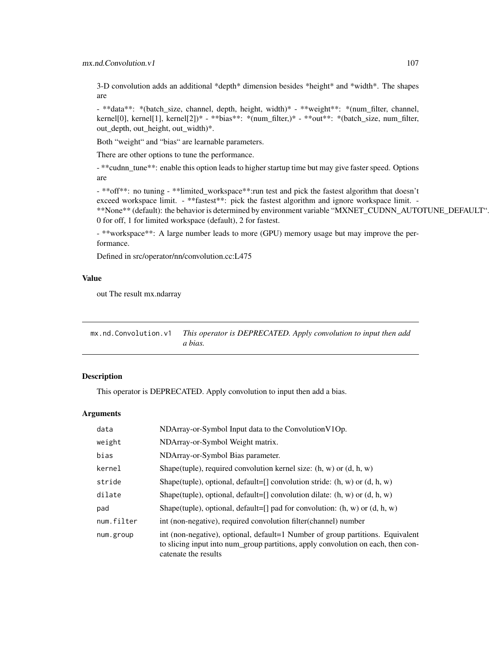3-D convolution adds an additional \*depth\* dimension besides \*height\* and \*width\*. The shapes are

- \*\*data\*\*: \*(batch\_size, channel, depth, height, width)\* - \*\*weight\*\*: \*(num\_filter, channel, kernel[0], kernel[1], kernel[2])\* - \*\*bias\*\*: \*(num\_filter,)\* - \*\*out\*\*: \*(batch\_size, num\_filter, out\_depth, out\_height, out\_width)\*.

Both "weight" and "bias" are learnable parameters.

There are other options to tune the performance.

- \*\*cudnn\_tune\*\*: enable this option leads to higher startup time but may give faster speed. Options are

- \*\*off\*\*: no tuning - \*\*limited\_workspace\*\*:run test and pick the fastest algorithm that doesn't exceed workspace limit. - \*\*fastest\*\*: pick the fastest algorithm and ignore workspace limit. -\*\*None\*\* (default): the behavior is determined by environment variable "MXNET\_CUDNN\_AUTOTUNE\_DEFAULT". 0 for off, 1 for limited workspace (default), 2 for fastest.

- \*\*workspace\*\*: A large number leads to more (GPU) memory usage but may improve the performance.

Defined in src/operator/nn/convolution.cc:L475

#### Value

out The result mx.ndarray

| mx.nd.Convolution.v1 | This operator is DEPRECATED. Apply convolution to input then add |
|----------------------|------------------------------------------------------------------|
|                      | a bias.                                                          |

### Description

This operator is DEPRECATED. Apply convolution to input then add a bias.

| data       | $NDArray-or-Symbol$ Input data to the Convolution V1Op.                                                                                                                                    |
|------------|--------------------------------------------------------------------------------------------------------------------------------------------------------------------------------------------|
| weight     | NDArray-or-Symbol Weight matrix.                                                                                                                                                           |
| bias       | NDArray-or-Symbol Bias parameter.                                                                                                                                                          |
| kernel     | Shape(tuple), required convolution kernel size: $(h, w)$ or $(d, h, w)$                                                                                                                    |
| stride     | Shape(tuple), optional, default=[] convolution stride: $(h, w)$ or $(d, h, w)$                                                                                                             |
| dilate     | Shape(tuple), optional, default=[] convolution dilate: $(h, w)$ or $(d, h, w)$                                                                                                             |
| pad        | Shape(tuple), optional, default=[] pad for convolution: $(h, w)$ or $(d, h, w)$                                                                                                            |
| num.filter | int (non-negative), required convolution filter (channel) number                                                                                                                           |
| num.group  | int (non-negative), optional, default=1 Number of group partitions. Equivalent<br>to slicing input into num_group partitions, apply convolution on each, then con-<br>catenate the results |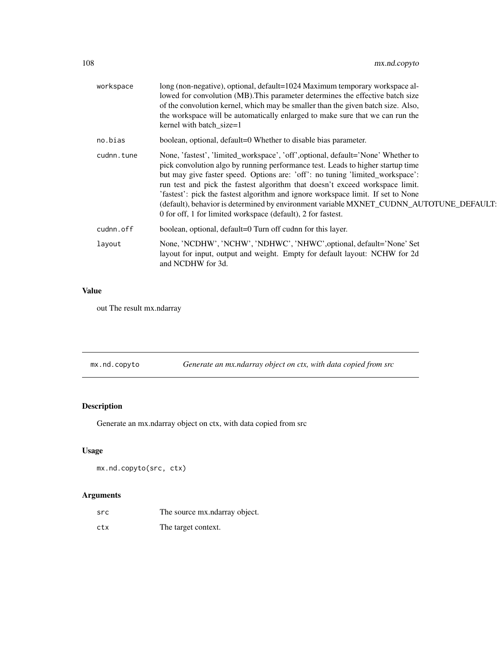| workspace  | long (non-negative), optional, default=1024 Maximum temporary workspace al-<br>lowed for convolution (MB). This parameter determines the effective batch size<br>of the convolution kernel, which may be smaller than the given batch size. Also,<br>the workspace will be automatically enlarged to make sure that we can run the<br>kernel with batch_size=1                                                                                                                                                                                                                      |
|------------|-------------------------------------------------------------------------------------------------------------------------------------------------------------------------------------------------------------------------------------------------------------------------------------------------------------------------------------------------------------------------------------------------------------------------------------------------------------------------------------------------------------------------------------------------------------------------------------|
| no.bias    | boolean, optional, default=0 Whether to disable bias parameter.                                                                                                                                                                                                                                                                                                                                                                                                                                                                                                                     |
| cudnn.tune | None, 'fastest', 'limited_workspace', 'off', optional, default='None' Whether to<br>pick convolution algo by running performance test. Leads to higher startup time<br>but may give faster speed. Options are: 'off': no tuning 'limited_workspace':<br>run test and pick the fastest algorithm that doesn't exceed workspace limit.<br>'fastest': pick the fastest algorithm and ignore workspace limit. If set to None<br>(default), behavior is determined by environment variable MXNET_CUDNN_AUTOTUNE_DEFAULT:<br>0 for off, 1 for limited workspace (default), 2 for fastest. |
| cudnn.off  | boolean, optional, default=0 Turn off cudnn for this layer.                                                                                                                                                                                                                                                                                                                                                                                                                                                                                                                         |
| layout     | None, 'NCDHW', 'NCHW', 'NDHWC', 'NHWC', optional, default='None' Set<br>layout for input, output and weight. Empty for default layout: NCHW for 2d<br>and NCDHW for 3d.                                                                                                                                                                                                                                                                                                                                                                                                             |

## Value

out The result mx.ndarray

| mx.nd.copyto | Generate an mx.ndarray object on ctx, with data copied from src |  |  |
|--------------|-----------------------------------------------------------------|--|--|
|              |                                                                 |  |  |

# Description

Generate an mx.ndarray object on ctx, with data copied from src

# Usage

```
mx.nd.copyto(src, ctx)
```

| src | The source mx.ndarray object. |
|-----|-------------------------------|
| ctx | The target context.           |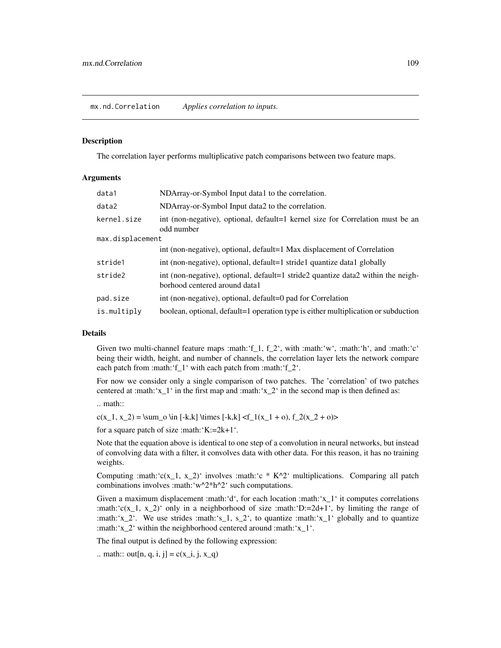#### Description

The correlation layer performs multiplicative patch comparisons between two feature maps.

#### Arguments

| data1            | NDArray-or-Symbol Input data1 to the correlation.                                                                 |
|------------------|-------------------------------------------------------------------------------------------------------------------|
| data2            | NDArray-or-Symbol Input data2 to the correlation.                                                                 |
| kernel.size      | int (non-negative), optional, default=1 kernel size for Correlation must be an<br>odd number                      |
| max.displacement |                                                                                                                   |
|                  | int (non-negative), optional, default=1 Max displacement of Correlation                                           |
| stride1          | int (non-negative), optional, default=1 stride1 quantize data1 globally                                           |
| stride2          | int (non-negative), optional, default=1 stride2 quantize data2 within the neigh-<br>borhood centered around data1 |
| pad.size         | int (non-negative), optional, default=0 pad for Correlation                                                       |
| is.multiply      | boolean, optional, default=1 operation type is either multiplication or subduction                                |

## Details

Given two multi-channel feature maps :math:'f\_1,  $f_2$ ', with :math:'w', :math:'h', and :math:'c' being their width, height, and number of channels, the correlation layer lets the network compare each patch from :math:'f\_1' with each patch from :math:'f\_2'.

For now we consider only a single comparison of two patches. The 'correlation' of two patches centered at :math:' $x_1$ ' in the first map and :math:' $x_2$ ' in the second map is then defined as:

.. math::

 $c(x_1, x_2) = \sum_0 \in [-k,k] \times [-k,k] < f_1(x_1 + o), f_2(x_2 + o)$ 

for a square patch of size :math: $K:=2k+1$ .

Note that the equation above is identical to one step of a convolution in neural networks, but instead of convolving data with a filter, it convolves data with other data. For this reason, it has no training weights.

Computing :math:' $c(x_1, x_2)$ ' involves :math:'c \* K^2' multiplications. Comparing all patch combinations involves :math:'w^2\*h^2' such computations.

Given a maximum displacement :math:'d', for each location :math:' $x_1$ ' it computes correlations :math:'c(x\_1, x\_2)' only in a neighborhood of size :math:'D:=2d+1', by limiting the range of :math:'x\_2'. We use strides :math:'s\_1, s\_2', to quantize :math:'x\_1' globally and to quantize :math:'x\_2' within the neighborhood centered around :math:'x\_1'.

The final output is defined by the following expression:

.. math:: out[n, q, i, j] =  $c(x_i, j, x_q)$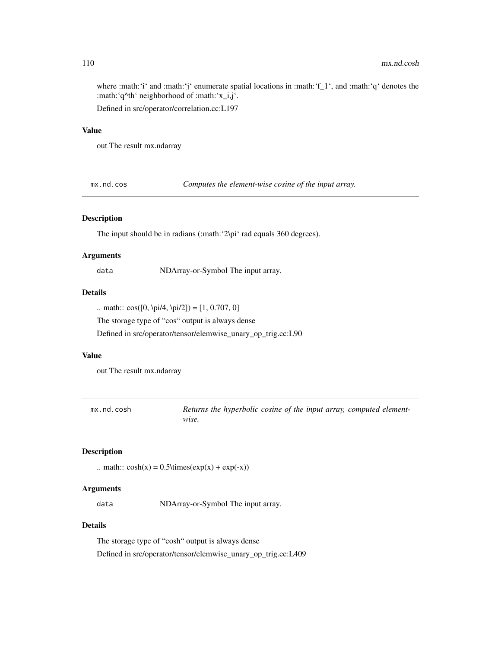where :math:'i' and :math:'i' enumerate spatial locations in :math:'f\_1', and :math:'q' denotes the :math:'q^th' neighborhood of :math:'x\_i,j'.

Defined in src/operator/correlation.cc:L197

# Value

out The result mx.ndarray

mx.nd.cos *Computes the element-wise cosine of the input array.*

#### Description

The input should be in radians (:math: '2\pi' rad equals 360 degrees).

## Arguments

data NDArray-or-Symbol The input array.

# Details

.. math::  $cos([0, \pi/4, \pi/2]) = [1, 0.707, 0]$ 

The storage type of "cos" output is always dense

Defined in src/operator/tensor/elemwise\_unary\_op\_trig.cc:L90

## Value

out The result mx.ndarray

mx.nd.cosh **Returns the hyperbolic cosine of the input array, computed element***wise.*

# Description

.. math::  $cosh(x) = 0.5 \times (exp(x) + exp(-x))$ 

#### Arguments

data NDArray-or-Symbol The input array.

# Details

The storage type of "cosh" output is always dense Defined in src/operator/tensor/elemwise\_unary\_op\_trig.cc:L409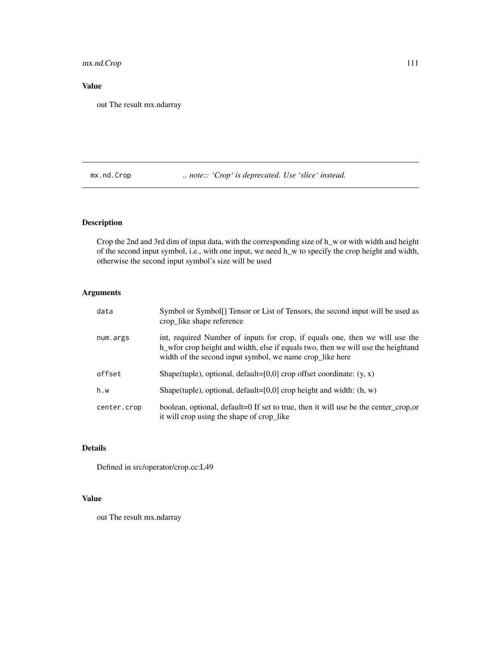# mx.nd.Crop 111

# Value

out The result mx.ndarray

mx.nd.Crop ... note:: 'Crop' is deprecated. Use 'slice' instead.

# Description

Crop the 2nd and 3rd dim of input data, with the corresponding size of h\_w or with width and height of the second input symbol, i.e., with one input, we need h\_w to specify the crop height and width, otherwise the second input symbol's size will be used

# Arguments

| data        | Symbol or Symbol. Tensor or List of Tensors, the second input will be used as<br>crop_like shape reference                                                                                                                       |
|-------------|----------------------------------------------------------------------------------------------------------------------------------------------------------------------------------------------------------------------------------|
| num.args    | int, required Number of inputs for crop, if equals one, then we will use the<br>h we write the height and width, else if equals two, then we will use the height and<br>width of the second input symbol, we name crop_like here |
| offset      | Shape(tuple), optional, default=[0,0] crop offset coordinate: $(y, x)$                                                                                                                                                           |
| h.w         | Shape(tuple), optional, default=[0,0] crop height and width: $(h, w)$                                                                                                                                                            |
| center.crop | boolean, optional, default=0 If set to true, then it will use be the center_crop,or<br>it will crop using the shape of crop_like                                                                                                 |

# Details

Defined in src/operator/crop.cc:L49

## Value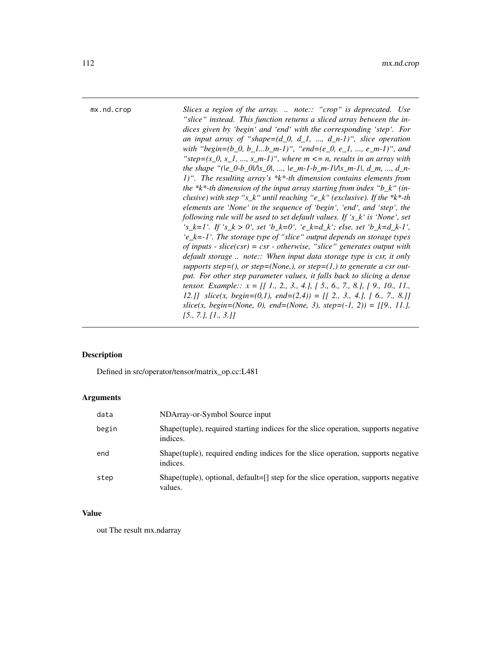mx.nd.crop *Slices a region of the array. .. note:: "crop" is deprecated. Use "slice" instead. This function returns a sliced array between the indices given by 'begin' and 'end' with the corresponding 'step'. For an input array of "shape=(d\_0, d\_1, ..., d\_n-1)", slice operation with "begin=(b\_0, b\_1...b\_m-1)", "end=(e\_0, e\_1, ..., e\_m-1)", and* " $step=(s_0, s_1, ..., s_m-1)$ ", where  $m \leq n$ , results in an array with *the shape "(|e\_0-b\_0|/|s\_0|, ..., |e\_m-1-b\_m-1|/|s\_m-1|, d\_m, ..., d\_n-1)". The resulting array's \*k\*-th dimension contains elements from the \*k\*-th dimension of the input array starting from index "b\_k" (inclusive) with step "s\_k" until reaching "e\_k" (exclusive). If the \*k\*-th elements are 'None' in the sequence of 'begin', 'end', and 'step', the following rule will be used to set default values. If 's\_k' is 'None', set 's\_k=1'. If 's\_k > 0', set 'b\_k=0', 'e\_k=d\_k'; else, set 'b\_k=d\_k-1', 'e\_k=-1'. The storage type of "slice" output depends on storage types of inputs - slice(csr) = csr - otherwise, "slice" generates output with default storage .. note:: When input data storage type is csr, it only supports step=(), or step=(None,), or step=(1,) to generate a csr output. For other step parameter values, it falls back to slicing a dense tensor. Example:: x = [[ 1., 2., 3., 4.], [ 5., 6., 7., 8.], [ 9., 10., 11., 12.]] slice(x, begin=(0,1), end=(2,4)) = [[ 2., 3., 4.], [ 6., 7., 8.]] slice(x, begin=(None, 0), end=(None, 3), step=(-1, 2)) = [[9., 11.], [5., 7.], [1., 3.]]*

#### **Description**

Defined in src/operator/tensor/matrix\_op.cc:L481

#### Arguments

| data  | NDArray-or-Symbol Source input                                                                  |
|-------|-------------------------------------------------------------------------------------------------|
| begin | Shape (tuple), required starting indices for the slice operation, supports negative<br>indices. |
| end   | Shape (tuple), required ending indices for the slice operation, supports negative<br>indices.   |
| step  | Shape(tuple), optional, default=[] step for the slice operation, supports negative<br>values.   |

#### Value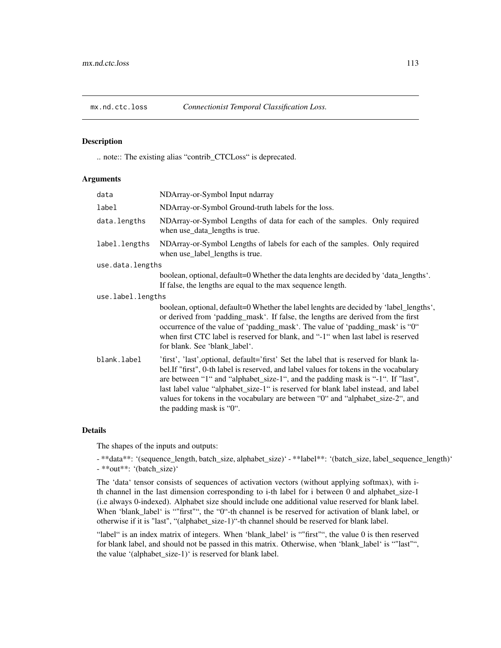## Description

.. note:: The existing alias "contrib\_CTCLoss" is deprecated.

## Arguments

| data              | NDArray-or-Symbol Input ndarray                                                                                                                                                                                                                                                                                                                                                                                                                                         |
|-------------------|-------------------------------------------------------------------------------------------------------------------------------------------------------------------------------------------------------------------------------------------------------------------------------------------------------------------------------------------------------------------------------------------------------------------------------------------------------------------------|
| label             | NDArray-or-Symbol Ground-truth labels for the loss.                                                                                                                                                                                                                                                                                                                                                                                                                     |
| data.lengths      | NDArray-or-Symbol Lengths of data for each of the samples. Only required<br>when use_data_lengths is true.                                                                                                                                                                                                                                                                                                                                                              |
| label.lengths     | NDArray-or-Symbol Lengths of labels for each of the samples. Only required<br>when use_label_lengths is true.                                                                                                                                                                                                                                                                                                                                                           |
| use.data.lengths  |                                                                                                                                                                                                                                                                                                                                                                                                                                                                         |
|                   | boolean, optional, default=0 Whether the data lenghts are decided by 'data_lengths'.<br>If false, the lengths are equal to the max sequence length.                                                                                                                                                                                                                                                                                                                     |
| use.label.lengths |                                                                                                                                                                                                                                                                                                                                                                                                                                                                         |
|                   | boolean, optional, default=0 Whether the label lenghts are decided by 'label_lengths',<br>or derived from 'padding_mask'. If false, the lengths are derived from the first<br>occurrence of the value of 'padding_mask'. The value of 'padding_mask' is "0"<br>when first CTC label is reserved for blank, and "-1" when last label is reserved<br>for blank. See 'blank label'.                                                                                        |
| blank.label       | 'first', 'last', optional, default='first' Set the label that is reserved for blank la-<br>bel. If "first", 0-th label is reserved, and label values for tokens in the vocabulary<br>are between "1" and "alphabet_size-1", and the padding mask is "-1". If "last",<br>last label value "alphabet_size-1" is reserved for blank label instead, and label<br>values for tokens in the vocabulary are between "0" and "alphabet_size-2", and<br>the padding mask is "0". |

## Details

The shapes of the inputs and outputs:

- \*\*data\*\*: '(sequence\_length, batch\_size, alphabet\_size)' - \*\*label\*\*: '(batch\_size, label\_sequence\_length)' - \*\*out\*\*: '(batch\_size)'

The 'data' tensor consists of sequences of activation vectors (without applying softmax), with ith channel in the last dimension corresponding to i-th label for i between 0 and alphabet\_size-1 (i.e always 0-indexed). Alphabet size should include one additional value reserved for blank label. When 'blank\_label' is ""first"", the "0"-th channel is be reserved for activation of blank label, or otherwise if it is "last", "(alphabet\_size-1)"-th channel should be reserved for blank label.

"label" is an index matrix of integers. When 'blank\_label' is ""first"", the value 0 is then reserved for blank label, and should not be passed in this matrix. Otherwise, when 'blank\_label' is ""last"", the value '(alphabet\_size-1)' is reserved for blank label.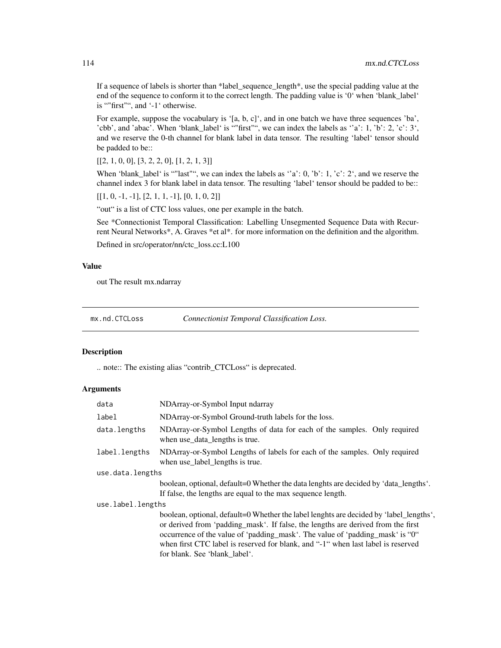If a sequence of labels is shorter than \*label\_sequence\_length\*, use the special padding value at the end of the sequence to conform it to the correct length. The padding value is '0' when 'blank\_label' is ""first"", and '-1' otherwise.

For example, suppose the vocabulary is '[a, b, c]', and in one batch we have three sequences 'ba', 'cbb', and 'abac'. When 'blank\_label' is ""first"", we can index the labels as ''a': 1, 'b': 2, 'c': 3', and we reserve the 0-th channel for blank label in data tensor. The resulting 'label' tensor should be padded to be::

 $[[2, 1, 0, 0], [3, 2, 2, 0], [1, 2, 1, 3]]$ 

When 'blank\_label' is ""last"", we can index the labels as  $a$  'a': 0, 'b': 1, 'c': 2', and we reserve the channel index 3 for blank label in data tensor. The resulting 'label' tensor should be padded to be::

 $[[1, 0, -1, -1], [2, 1, 1, -1], [0, 1, 0, 2]]$ 

"out" is a list of CTC loss values, one per example in the batch.

See \*Connectionist Temporal Classification: Labelling Unsegmented Sequence Data with Recurrent Neural Networks\*, A. Graves \*et al\*. for more information on the definition and the algorithm.

Defined in src/operator/nn/ctc\_loss.cc:L100

## Value

out The result mx.ndarray

mx.nd.CTCLoss *Connectionist Temporal Classification Loss.*

#### **Description**

.. note:: The existing alias "contrib\_CTCLoss" is deprecated.

## Arguments

| data              | NDArray-or-Symbol Input ndarray                                                                                                                                                                                                                                                                                                                                                  |
|-------------------|----------------------------------------------------------------------------------------------------------------------------------------------------------------------------------------------------------------------------------------------------------------------------------------------------------------------------------------------------------------------------------|
| label             | NDArray-or-Symbol Ground-truth labels for the loss.                                                                                                                                                                                                                                                                                                                              |
| data.lengths      | NDArray-or-Symbol Lengths of data for each of the samples. Only required<br>when use_data_lengths is true.                                                                                                                                                                                                                                                                       |
| label.lengths     | NDArray-or-Symbol Lengths of labels for each of the samples. Only required<br>when use_label_lengths is true.                                                                                                                                                                                                                                                                    |
| use.data.lengths  |                                                                                                                                                                                                                                                                                                                                                                                  |
|                   | boolean, optional, default=0 Whether the data lenghts are decided by 'data_lengths'.<br>If false, the lengths are equal to the max sequence length.                                                                                                                                                                                                                              |
| use.label.lengths |                                                                                                                                                                                                                                                                                                                                                                                  |
|                   | boolean, optional, default=0 Whether the label lenghts are decided by 'label_lengths',<br>or derived from 'padding_mask'. If false, the lengths are derived from the first<br>occurrence of the value of 'padding_mask'. The value of 'padding_mask' is "0"<br>when first CTC label is reserved for blank, and "-1" when last label is reserved<br>for blank. See 'blank_label'. |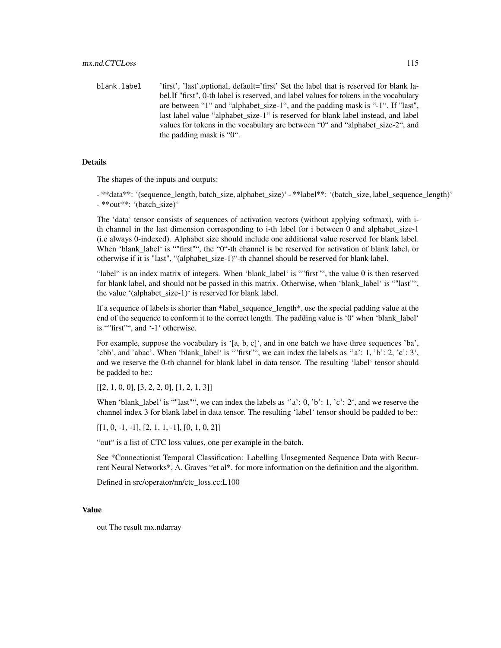blank.label 'first', 'last', optional, default='first' Set the label that is reserved for blank label.If "first", 0-th label is reserved, and label values for tokens in the vocabulary are between "1" and "alphabet\_size-1", and the padding mask is "-1". If "last", last label value "alphabet size-1" is reserved for blank label instead, and label values for tokens in the vocabulary are between "0" and "alphabet\_size-2", and the padding mask is "0".

## Details

The shapes of the inputs and outputs:

- \*\*data\*\*: '(sequence\_length, batch\_size, alphabet\_size)' - \*\*label\*\*: '(batch\_size, label\_sequence\_length)' - \*\*out\*\*: '(batch\_size)'

The 'data' tensor consists of sequences of activation vectors (without applying softmax), with ith channel in the last dimension corresponding to i-th label for i between 0 and alphabet\_size-1 (i.e always 0-indexed). Alphabet size should include one additional value reserved for blank label. When 'blank\_label' is ""first"", the "0"-th channel is be reserved for activation of blank label, or otherwise if it is "last", "(alphabet\_size-1)"-th channel should be reserved for blank label.

"label" is an index matrix of integers. When 'blank\_label' is ""first"", the value 0 is then reserved for blank label, and should not be passed in this matrix. Otherwise, when 'blank\_label' is ""last"", the value '(alphabet\_size-1)' is reserved for blank label.

If a sequence of labels is shorter than \*label sequence  $length^*$ , use the special padding value at the end of the sequence to conform it to the correct length. The padding value is '0' when 'blank\_label' is ""first"", and '-1' otherwise.

For example, suppose the vocabulary is '[a, b, c]', and in one batch we have three sequences 'ba', 'cbb', and 'abac'. When 'blank\_label' is ""first"", we can index the labels as ''a': 1, 'b': 2, 'c': 3', and we reserve the 0-th channel for blank label in data tensor. The resulting 'label' tensor should be padded to be::

 $[[2, 1, 0, 0], [3, 2, 2, 0], [1, 2, 1, 3]]$ 

When 'blank\_label' is ""last"", we can index the labels as  $a$  'a': 0, 'b': 1, 'c': 2', and we reserve the channel index 3 for blank label in data tensor. The resulting 'label' tensor should be padded to be::

 $[[1, 0, -1, -1], [2, 1, 1, -1], [0, 1, 0, 2]]$ 

"out" is a list of CTC loss values, one per example in the batch.

See \*Connectionist Temporal Classification: Labelling Unsegmented Sequence Data with Recurrent Neural Networks\*, A. Graves \*et al\*. for more information on the definition and the algorithm.

Defined in src/operator/nn/ctc\_loss.cc:L100

#### Value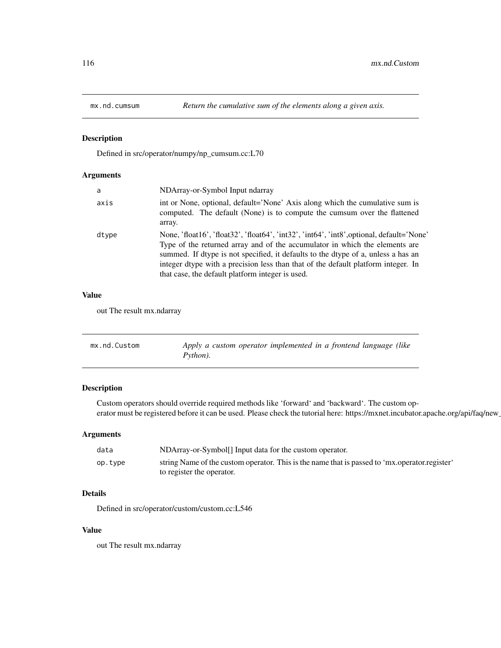## Description

Defined in src/operator/numpy/np\_cumsum.cc:L70

# Arguments

| a     | NDArray-or-Symbol Input ndarray                                                                                                                                                                                                                                                                                                                                                                        |
|-------|--------------------------------------------------------------------------------------------------------------------------------------------------------------------------------------------------------------------------------------------------------------------------------------------------------------------------------------------------------------------------------------------------------|
| axis  | int or None, optional, default='None' Axis along which the cumulative sum is<br>computed. The default (None) is to compute the cumsum over the flattened<br>array.                                                                                                                                                                                                                                     |
| dtype | None, 'float16', 'float32', 'float64', 'int32', 'int64', 'int8', optional, default='None'<br>Type of the returned array and of the accumulator in which the elements are<br>summed. If dtype is not specified, it defaults to the dtype of a, unless a has an<br>integer dtype with a precision less than that of the default platform integer. In<br>that case, the default platform integer is used. |

#### Value

out The result mx.ndarray

| mx.nd.Custom | Apply a custom operator implemented in a frontend language (like |
|--------------|------------------------------------------------------------------|
|              | Python).                                                         |

# Description

Custom operators should override required methods like 'forward' and 'backward'. The custom operator must be registered before it can be used. Please check the tutorial here: https://mxnet.incubator.apache.org/api/faq/new

## Arguments

| data    | NDArray-or-Symbol <sup>[]</sup> Input data for the custom operator.                             |
|---------|-------------------------------------------------------------------------------------------------|
| op.type | string Name of the custom operator. This is the name that is passed to 'mx, operator, register' |
|         | to register the operator.                                                                       |

## Details

Defined in src/operator/custom/custom.cc:L546

# Value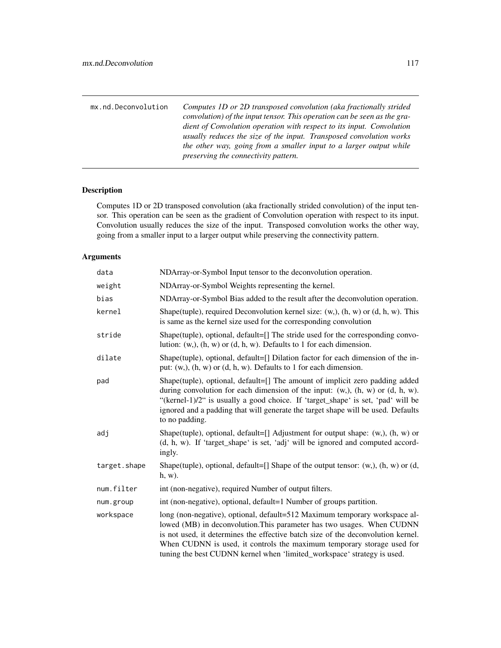| mx.nd.Deconvolution | Computes 1D or 2D transposed convolution (aka fractionally strided<br>convolution) of the input tensor. This operation can be seen as the gra-<br>dient of Convolution operation with respect to its input. Convolution<br>usually reduces the size of the input. Transposed convolution works<br>the other way, going from a smaller input to a larger output while<br>preserving the connectivity pattern. |
|---------------------|--------------------------------------------------------------------------------------------------------------------------------------------------------------------------------------------------------------------------------------------------------------------------------------------------------------------------------------------------------------------------------------------------------------|
|                     |                                                                                                                                                                                                                                                                                                                                                                                                              |

# Description

Computes 1D or 2D transposed convolution (aka fractionally strided convolution) of the input tensor. This operation can be seen as the gradient of Convolution operation with respect to its input. Convolution usually reduces the size of the input. Transposed convolution works the other way, going from a smaller input to a larger output while preserving the connectivity pattern.

# Arguments

| data         | NDArray-or-Symbol Input tensor to the deconvolution operation.                                                                                                                                                                                                                                                                                                                                |
|--------------|-----------------------------------------------------------------------------------------------------------------------------------------------------------------------------------------------------------------------------------------------------------------------------------------------------------------------------------------------------------------------------------------------|
| weight       | NDArray-or-Symbol Weights representing the kernel.                                                                                                                                                                                                                                                                                                                                            |
| bias         | NDArray-or-Symbol Bias added to the result after the deconvolution operation.                                                                                                                                                                                                                                                                                                                 |
| kernel       | Shape(tuple), required Deconvolution kernel size: $(w, )$ , $(h, w)$ or $(d, h, w)$ . This<br>is same as the kernel size used for the corresponding convolution                                                                                                                                                                                                                               |
| stride       | Shape(tuple), optional, default=[] The stride used for the corresponding convo-<br>lution: $(w, h, w)$ or $(d, h, w)$ . Defaults to 1 for each dimension.                                                                                                                                                                                                                                     |
| dilate       | Shape(tuple), optional, default=[] Dilation factor for each dimension of the in-<br>put: $(w, b, (h, w)$ or $(d, h, w)$ . Defaults to 1 for each dimension.                                                                                                                                                                                                                                   |
| pad          | Shape(tuple), optional, default=[] The amount of implicit zero padding added<br>during convolution for each dimension of the input: $(w, )$ , $(h, w)$ or $(d, h, w)$ .<br>"(kernel-1)/2" is usually a good choice. If 'target_shape' is set, 'pad' will be<br>ignored and a padding that will generate the target shape will be used. Defaults<br>to no padding.                             |
| adj          | Shape(tuple), optional, default=[] Adjustment for output shape: $(w, )$ , $(h, w)$ or<br>(d, h, w). If 'target_shape' is set, 'adj' will be ignored and computed accord-<br>ingly.                                                                                                                                                                                                            |
| target.shape | Shape(tuple), optional, default=[] Shape of the output tensor: (w,), (h, w) or (d,<br>$h, w$ ).                                                                                                                                                                                                                                                                                               |
| num.filter   | int (non-negative), required Number of output filters.                                                                                                                                                                                                                                                                                                                                        |
| num.group    | int (non-negative), optional, default=1 Number of groups partition.                                                                                                                                                                                                                                                                                                                           |
| workspace    | long (non-negative), optional, default=512 Maximum temporary workspace al-<br>lowed (MB) in deconvolution. This parameter has two usages. When CUDNN<br>is not used, it determines the effective batch size of the deconvolution kernel.<br>When CUDNN is used, it controls the maximum temporary storage used for<br>tuning the best CUDNN kernel when 'limited_workspace' strategy is used. |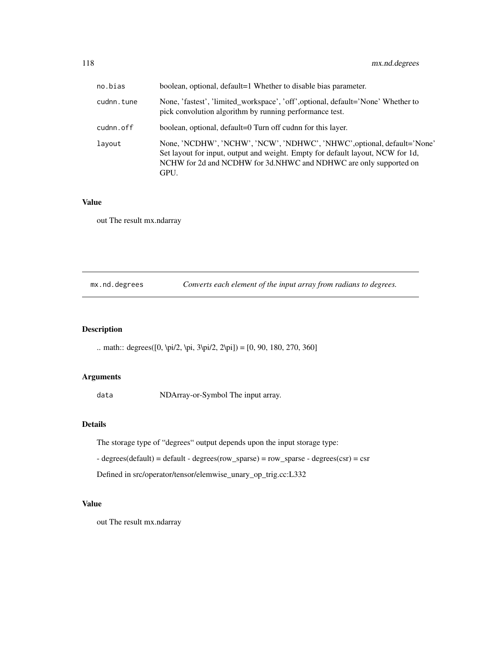| no.bias    | boolean, optional, default=1 Whether to disable bias parameter.                                                                                                                                                                        |
|------------|----------------------------------------------------------------------------------------------------------------------------------------------------------------------------------------------------------------------------------------|
| cudnn.tune | None, 'fastest', 'limited_workspace', 'off', optional, default='None' Whether to<br>pick convolution algorithm by running performance test.                                                                                            |
| cudnn.off  | boolean, optional, default=0 Turn off cudnn for this layer.                                                                                                                                                                            |
| layout     | None, 'NCDHW', 'NCHW', 'NCW', 'NDHWC', 'NHWC', optional, default='None'<br>Set layout for input, output and weight. Empty for default layout, NCW for 1d,<br>NCHW for 2d and NCDHW for 3d.NHWC and NDHWC are only supported on<br>GPU. |

# Value

out The result mx.ndarray

mx.nd.degrees *Converts each element of the input array from radians to degrees.*

# Description

.. math:: degrees([0, \pi/2, \pi, 3\pi/2, 2\pi]) = [0, 90, 180, 270, 360]

# Arguments

data NDArray-or-Symbol The input array.

# Details

The storage type of "degrees" output depends upon the input storage type:

- degrees(default) = default - degrees(row\_sparse) = row\_sparse - degrees(csr) = csr

Defined in src/operator/tensor/elemwise\_unary\_op\_trig.cc:L332

## Value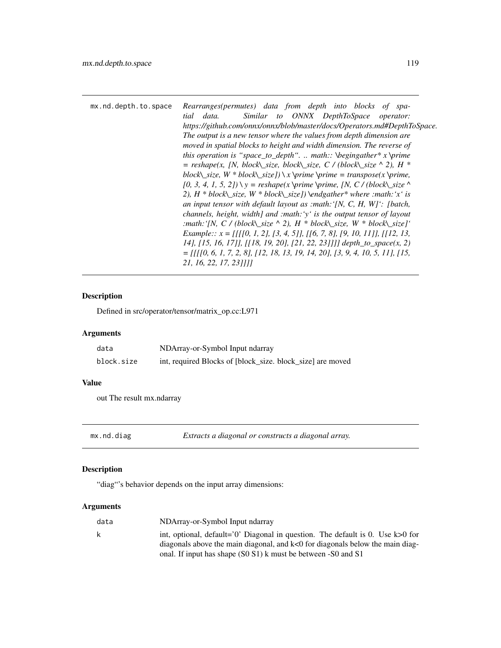| mx.nd.depth.to.space | Rearranges(permutes) data from depth into blocks of spa-<br>Similar to ONNX DepthToSpace operator:<br>data.<br>tial<br>https://github.com/onnx/onnx/blob/master/docs/Operators.md#DepthToSpace.<br>The output is a new tensor where the values from depth dimension are<br>moved in spatial blocks to height and width dimension. The reverse of<br>this operation is "space_to_depth".  math:: \begingather* $x \prime \prime$ \prime<br>= reshape(x, [N, block\_size, block\_size, C / (block\_size ^ 2), H * |
|----------------------|-----------------------------------------------------------------------------------------------------------------------------------------------------------------------------------------------------------------------------------------------------------------------------------------------------------------------------------------------------------------------------------------------------------------------------------------------------------------------------------------------------------------|

*block* $\subseteq$ *size, W \* block* $\subseteq$ *size])*  $\setminus$ *x*  $\setminus$ *prime*  $\setminus$ *prime = transpose(x*  $\setminus$ *prime,*  $[0, 3, 4, 1, 5, 2]$ ) \ y = reshape(x \prime \prime, [N, C / (block\\_size ^ *2), H \* block\\_size, W \* block\\_size]) \endgather\* where :math:'x' is an input tensor with default layout as :math:'[N, C, H, W]': [batch, channels, height, width] and :math:'y' is the output tensor of layout :math:'[N, C / (block\\_size ^ 2), H \* block\\_size, W \* block\\_size]' Example:: x = [[[[0, 1, 2], [3, 4, 5]], [[6, 7, 8], [9, 10, 11]], [[12, 13, 14], [15, 16, 17]], [[18, 19, 20], [21, 22, 23]]]] depth\_to\_space(x, 2) = [[[[0, 6, 1, 7, 2, 8], [12, 18, 13, 19, 14, 20], [3, 9, 4, 10, 5, 11], [15,*

# Description

Defined in src/operator/tensor/matrix\_op.cc:L971

## Arguments

| data       | NDArray-or-Symbol Input ndarray                            |
|------------|------------------------------------------------------------|
| block.size | int, required Blocks of [block_size. block_size] are moved |

*21, 16, 22, 17, 23]]]]*

## Value

out The result mx.ndarray

mx.nd.diag *Extracts a diagonal or constructs a diagonal array.*

## Description

"diag"'s behavior depends on the input array dimensions:

#### Arguments

| data | NDArray-or-Symbol Input ndarray                                                  |
|------|----------------------------------------------------------------------------------|
| k    | int, optional, default='0' Diagonal in question. The default is 0. Use $k>0$ for |
|      | diagonals above the main diagonal, and k<0 for diagonals below the main diag-    |
|      | onal. If input has shape (S0 S1) k must be between -S0 and S1                    |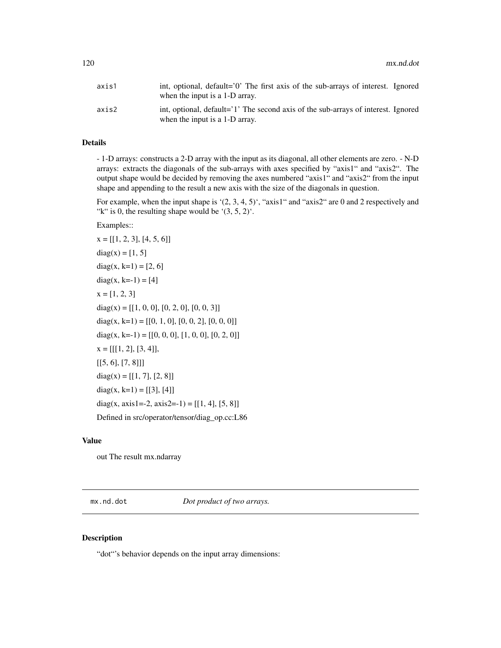| axis1 | int, optional, default='0' The first axis of the sub-arrays of interest. Ignored<br>when the input is a 1-D array.  |
|-------|---------------------------------------------------------------------------------------------------------------------|
| axis2 | int, optional, default='1' The second axis of the sub-arrays of interest. Ignored<br>when the input is a 1-D array. |

## Details

- 1-D arrays: constructs a 2-D array with the input as its diagonal, all other elements are zero. - N-D arrays: extracts the diagonals of the sub-arrays with axes specified by "axis1" and "axis2". The output shape would be decided by removing the axes numbered "axis1" and "axis2" from the input shape and appending to the result a new axis with the size of the diagonals in question.

For example, when the input shape is '(2, 3, 4, 5)', "axis1" and "axis2" are 0 and 2 respectively and "k" is 0, the resulting shape would be ' $(3, 5, 2)$ '.

## Examples::

 $x = [[1, 2, 3], [4, 5, 6]]$  $diag(x) = [1, 5]$ diag(x, k=1) =  $[2, 6]$  $diag(x, k=-1) = [4]$  $x = [1, 2, 3]$  $diag(x) = [[1, 0, 0], [0, 2, 0], [0, 0, 3]]$ diag(x, k=1) = [[0, 1, 0], [0, 0, 2], [0, 0, 0]] diag(x, k=-1) = [[0, 0, 0], [1, 0, 0], [0, 2, 0]]  $x = [[[1, 2], [3, 4]],$  $[[5, 6], [7, 8]]]$  $diag(x) = [[1, 7], [2, 8]]$ diag(x, k=1) = [[3], [4]] diag(x, axis1=-2, axis2=-1) =  $[[1, 4], [5, 8]]$ Defined in src/operator/tensor/diag\_op.cc:L86

## Value

out The result mx.ndarray

mx.nd.dot *Dot product of two arrays.*

#### Description

"dot"'s behavior depends on the input array dimensions: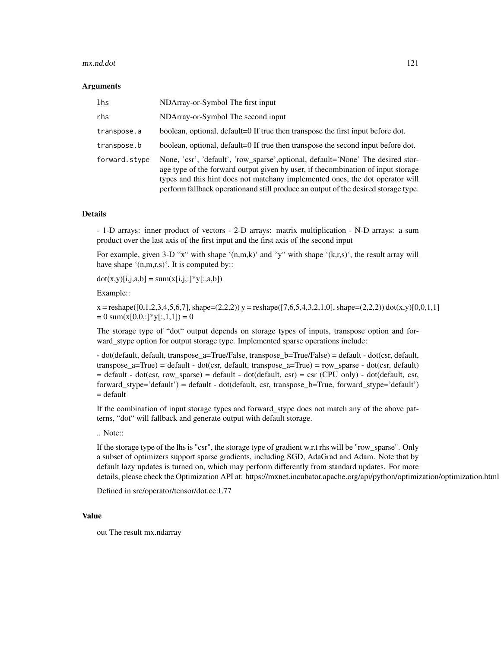#### mx.nd.dot 121

#### Arguments

| lhs           | NDArray-or-Symbol The first input                                                                                                                                                                                                                                                                                                           |
|---------------|---------------------------------------------------------------------------------------------------------------------------------------------------------------------------------------------------------------------------------------------------------------------------------------------------------------------------------------------|
| rhs           | NDArray-or-Symbol The second input                                                                                                                                                                                                                                                                                                          |
| transpose.a   | boolean, optional, default=0 If true then transpose the first input before dot.                                                                                                                                                                                                                                                             |
| transpose.b   | boolean, optional, default=0 If true then transpose the second input before dot.                                                                                                                                                                                                                                                            |
| forward.stype | None, 'csr', 'default', 'row_sparse',optional, default='None' The desired stor-<br>age type of the forward output given by user, if the combination of input storage<br>types and this hint does not matchany implemented ones, the dot operator will<br>perform fallback operationand still produce an output of the desired storage type. |

#### Details

- 1-D arrays: inner product of vectors - 2-D arrays: matrix multiplication - N-D arrays: a sum product over the last axis of the first input and the first axis of the second input

For example, given 3-D "x" with shape '(n,m,k)' and "y" with shape '(k,r,s)', the result array will have shape '(n,m,r,s)'. It is computed by::

 $dot(x,y)[i,j,a,b] = sum(x[i,j,:]*y[:,a,b])$ 

Example::

 $x =$ reshape([0,1,2,3,4,5,6,7], shape=(2,2,2)) y = reshape([7,6,5,4,3,2,1,0], shape=(2,2,2)) dot(x,y)[0,0,1,1]  $= 0 \text{ sum}(x[0,0,:]*y[:,1,1]) = 0$ 

The storage type of "dot" output depends on storage types of inputs, transpose option and forward\_stype option for output storage type. Implemented sparse operations include:

- dot(default, default, transpose\_a=True/False, transpose\_b=True/False) = default - dot(csr, default, transpose\_a=True) = default - dot(csr, default, transpose\_a=True) = row\_sparse - dot(csr, default)  $=$  default - dot(csr, row sparse) = default - dot(default, csr) = csr (CPU only) - dot(default, csr, forward stype='default') = default - dot(default, csr, transpose b=True, forward stype='default')  $=$  default

If the combination of input storage types and forward\_stype does not match any of the above patterns, "dot" will fallback and generate output with default storage.

## .. Note::

If the storage type of the lhs is "csr", the storage type of gradient w.r.t rhs will be "row\_sparse". Only a subset of optimizers support sparse gradients, including SGD, AdaGrad and Adam. Note that by default lazy updates is turned on, which may perform differently from standard updates. For more details, please check the Optimization API at: https://mxnet.incubator.apache.org/api/python/optimization/optimization.html

Defined in src/operator/tensor/dot.cc:L77

#### Value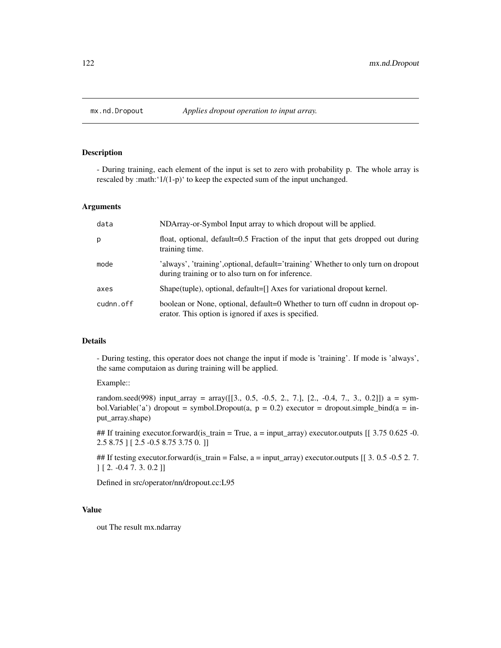# Description

- During training, each element of the input is set to zero with probability p. The whole array is rescaled by :math:'1/(1-p)' to keep the expected sum of the input unchanged.

## Arguments

| data      | NDArray-or-Symbol Input array to which dropout will be applied.                                                                         |
|-----------|-----------------------------------------------------------------------------------------------------------------------------------------|
| p         | float, optional, default=0.5 Fraction of the input that gets dropped out during<br>training time.                                       |
| mode      | 'always', 'training', optional, default='training' Whether to only turn on dropout<br>during training or to also turn on for inference. |
| axes      | Shape(tuple), optional, default=[] Axes for variational dropout kernel.                                                                 |
| cudnn.off | boolean or None, optional, default=0 Whether to turn off cudnn in dropout op-<br>erator. This option is ignored if axes is specified.   |

#### Details

- During testing, this operator does not change the input if mode is 'training'. If mode is 'always', the same computaion as during training will be applied.

## Example::

random.seed(998) input\_array = array([[3., 0.5, -0.5, 2., 7.], [2., -0.4, 7., 3., 0.2]]) a = symbol.Variable('a') dropout = symbol.Dropout(a,  $p = 0.2$ ) executor = dropout.simple\_bind(a = input\_array.shape)

## If training executor.forward(is\_train = True, a = input\_array) executor.outputs [[ 3.75 0.625 -0. 2.5 8.75 ] [ 2.5 -0.5 8.75 3.75 0. ]]

## If testing executor.forward(is\_train = False,  $a = input_{array}$ ) executor.outputs [[ 3. 0.5 -0.5 2. 7. ] [ 2. -0.4 7. 3. 0.2 ]]

Defined in src/operator/nn/dropout.cc:L95

#### Value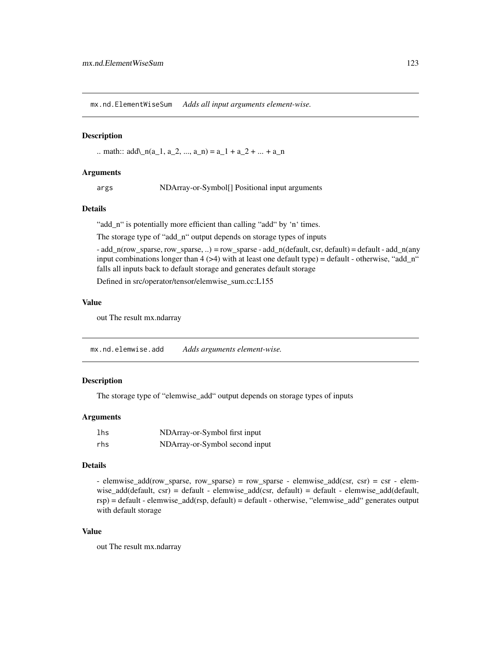mx.nd.ElementWiseSum *Adds all input arguments element-wise.*

#### **Description**

.. math::  $add\_{n}(a_1, a_2, ..., a_n) = a_1 + a_2 + ... + a_n$ 

#### Arguments

args NDArray-or-Symbol[] Positional input arguments

#### Details

"add\_n" is potentially more efficient than calling "add" by 'n' times.

The storage type of "add\_n" output depends on storage types of inputs

 $-$  add\_n(row\_sparse, row\_sparse, ..) = row\_sparse  $-$  add\_n(default, csr, default) = default  $-$  add\_n(any input combinations longer than  $4$  ( $>4$ ) with at least one default type) = default - otherwise, "add\_n" falls all inputs back to default storage and generates default storage

Defined in src/operator/tensor/elemwise\_sum.cc:L155

## Value

out The result mx.ndarray

mx.nd.elemwise.add *Adds arguments element-wise.*

# Description

The storage type of "elemwise\_add" output depends on storage types of inputs

#### Arguments

| 1 <sub>hs</sub> | NDArray-or-Symbol first input  |
|-----------------|--------------------------------|
| rhs             | NDArray-or-Symbol second input |

## Details

- elemwise\_add(row\_sparse, row\_sparse) = row\_sparse - elemwise\_add(csr, csr) = csr - elemwise\_add(default, csr) = default - elemwise\_add(csr, default) = default - elemwise\_add(default, rsp) = default - elemwise\_add(rsp, default) = default - otherwise, "elemwise\_add" generates output with default storage

## Value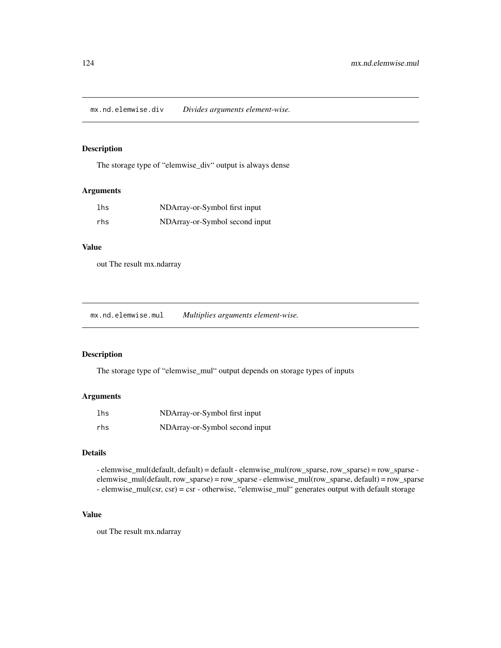mx.nd.elemwise.div *Divides arguments element-wise.*

## Description

The storage type of "elemwise\_div" output is always dense

## Arguments

| lhs | NDArray-or-Symbol first input  |
|-----|--------------------------------|
| rhs | NDArray-or-Symbol second input |

## Value

out The result mx.ndarray

mx.nd.elemwise.mul *Multiplies arguments element-wise.*

# Description

The storage type of "elemwise\_mul" output depends on storage types of inputs

## Arguments

| lhs | NDArray-or-Symbol first input  |
|-----|--------------------------------|
| rhs | NDArray-or-Symbol second input |

# Details

- elemwise\_mul(default, default) = default - elemwise\_mul(row\_sparse, row\_sparse) = row\_sparse elemwise\_mul(default, row\_sparse) = row\_sparse - elemwise\_mul(row\_sparse, default) = row\_sparse - elemwise\_mul(csr, csr) = csr - otherwise, "elemwise\_mul" generates output with default storage

# Value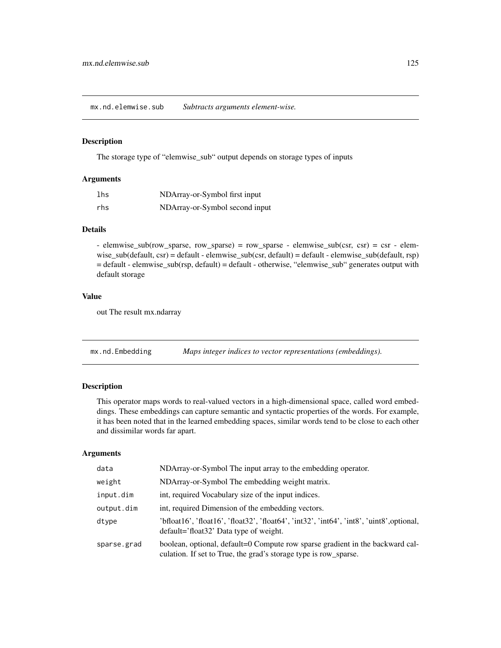mx.nd.elemwise.sub *Subtracts arguments element-wise.*

#### Description

The storage type of "elemwise\_sub" output depends on storage types of inputs

#### Arguments

| lhs | NDArray-or-Symbol first input  |
|-----|--------------------------------|
| rhs | NDArray-or-Symbol second input |

# Details

- elemwise\_sub(row\_sparse, row\_sparse) = row\_sparse - elemwise\_sub(csr, csr) = csr - elemwise\_sub(default, csr) = default - elemwise\_sub(csr, default) = default - elemwise\_sub(default, rsp) = default - elemwise\_sub(rsp, default) = default - otherwise, "elemwise\_sub" generates output with default storage

# Value

out The result mx.ndarray

mx.nd.Embedding *Maps integer indices to vector representations (embeddings).*

# Description

This operator maps words to real-valued vectors in a high-dimensional space, called word embeddings. These embeddings can capture semantic and syntactic properties of the words. For example, it has been noted that in the learned embedding spaces, similar words tend to be close to each other and dissimilar words far apart.

## Arguments

| data        | NDArray-or-Symbol The input array to the embedding operator.                                                                                      |
|-------------|---------------------------------------------------------------------------------------------------------------------------------------------------|
| weight      | NDArray-or-Symbol The embedding weight matrix.                                                                                                    |
| input.dim   | int, required Vocabulary size of the input indices.                                                                                               |
| output.dim  | int, required Dimension of the embedding vectors.                                                                                                 |
| dtype       | 'bfloat16', 'float16', 'float32', 'float64', 'int32', 'int64', 'int8', 'uint8', optional,<br>default='float32' Data type of weight.               |
| sparse.grad | boolean, optional, default=0 Compute row sparse gradient in the backward cal-<br>culation. If set to True, the grad's storage type is row_sparse. |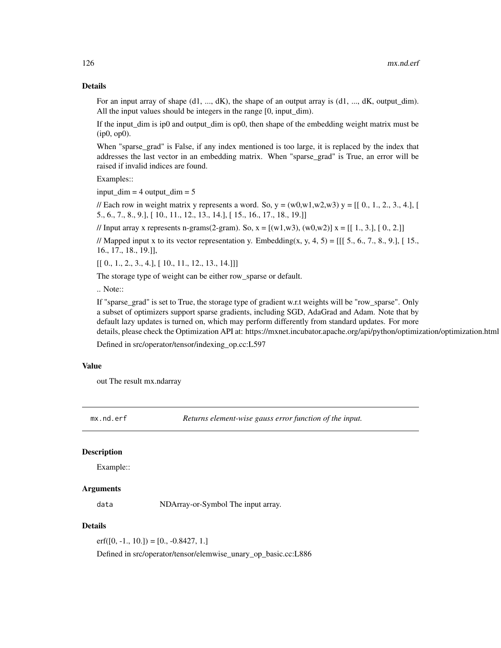## Details

For an input array of shape (d1, ..., dK), the shape of an output array is (d1, ..., dK, output dim). All the input values should be integers in the range [0, input\_dim).

If the input\_dim is ip0 and output\_dim is op0, then shape of the embedding weight matrix must be (ip0, op0).

When "sparse\_grad" is False, if any index mentioned is too large, it is replaced by the index that addresses the last vector in an embedding matrix. When "sparse\_grad" is True, an error will be raised if invalid indices are found.

Examples::

 $input\_dim = 4$  output $dim = 5$ 

// Each row in weight matrix y represents a word. So,  $y = (w0, w1, w2, w3)$  y =  $[$ [ 0, 1, 2, 3, 4.], [ 5., 6., 7., 8., 9.], [ 10., 11., 12., 13., 14.], [ 15., 16., 17., 18., 19.]]

// Input array x represents n-grams(2-gram). So,  $x = [(w1, w3), (w0, w2)]$   $x = [[1, 3, 1], [0, 2, 1]]$ 

// Mapped input x to its vector representation y. Embedding(x, y, 4, 5) =  $[[[5., 6., 7., 8., 9.], [15.,]$ 16., 17., 18., 19.]],

 $[[ 0., 1., 2., 3., 4.], [ 10., 11., 12., 13., 14.]]]$ 

The storage type of weight can be either row\_sparse or default.

.. Note::

If "sparse\_grad" is set to True, the storage type of gradient w.r.t weights will be "row\_sparse". Only a subset of optimizers support sparse gradients, including SGD, AdaGrad and Adam. Note that by default lazy updates is turned on, which may perform differently from standard updates. For more details, please check the Optimization API at: https://mxnet.incubator.apache.org/api/python/optimization/optimization.html

Defined in src/operator/tensor/indexing\_op.cc:L597

#### Value

out The result mx.ndarray

mx.nd.erf *Returns element-wise gauss error function of the input.*

## **Description**

Example::

## Arguments

data NDArray-or-Symbol The input array.

# Details

 $erf([0, -1., 10.]) = [0., -0.8427, 1.]$ 

Defined in src/operator/tensor/elemwise\_unary\_op\_basic.cc:L886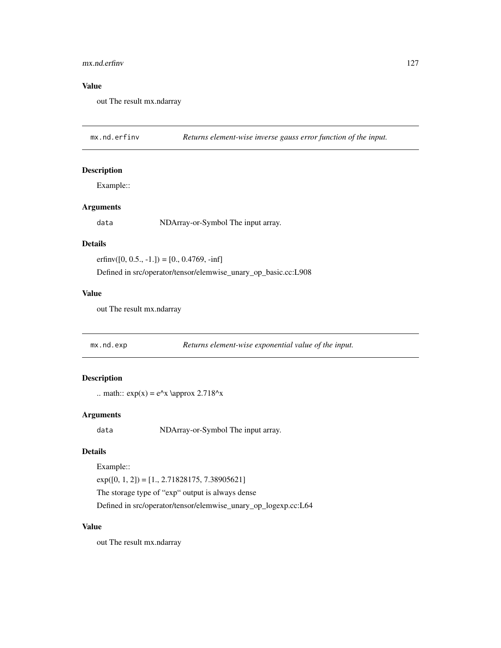#### mx.nd.erfinv 127

# Value

out The result mx.ndarray

mx.nd.erfinv *Returns element-wise inverse gauss error function of the input.*

## Description

Example::

## Arguments

data NDArray-or-Symbol The input array.

#### Details

erfinv $([0, 0.5., -1.]) = [0., 0.4769, -inf]$ 

Defined in src/operator/tensor/elemwise\_unary\_op\_basic.cc:L908

## Value

out The result mx.ndarray

| mx.nd.exp | Returns element-wise exponential value of the input. |  |
|-----------|------------------------------------------------------|--|
|           |                                                      |  |

# Description

.. math::  $exp(x) = e^x \approx 2.718^x$ 

## Arguments

data NDArray-or-Symbol The input array.

# Details

Example::

 $exp([0, 1, 2]) = [1., 2.71828175, 7.38905621]$ 

The storage type of "exp" output is always dense

Defined in src/operator/tensor/elemwise\_unary\_op\_logexp.cc:L64

## Value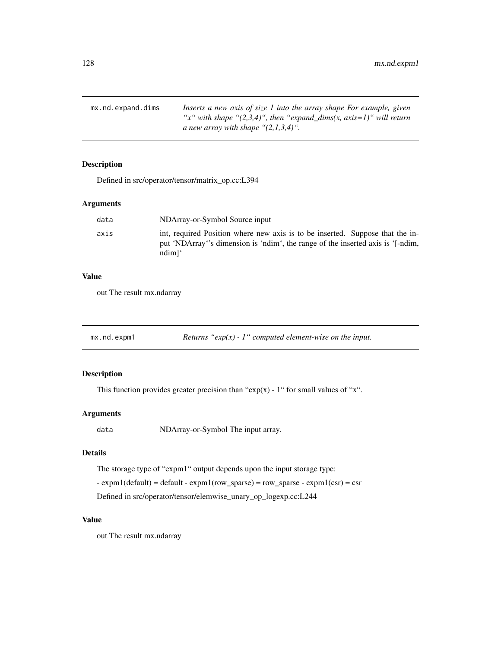mx.nd.expand.dims *Inserts a new axis of size 1 into the array shape For example, given "x" with shape "(2,3,4)", then "expand\_dims(x, axis=1)" will return a new array with shape "(2,1,3,4)".*

## Description

Defined in src/operator/tensor/matrix\_op.cc:L394

## Arguments

| data | NDArray-or-Symbol Source input                                                                                                                                                        |
|------|---------------------------------------------------------------------------------------------------------------------------------------------------------------------------------------|
| axis | int, required Position where new axis is to be inserted. Suppose that the in-<br>put 'NDArray''s dimension is 'ndim', the range of the inserted axis is '[-ndim,<br>ndim <sup>1</sup> |

## Value

out The result mx.ndarray

mx.nd.expm1 *Returns "exp(x) - 1" computed element-wise on the input.*

## Description

This function provides greater precision than " $exp(x)$  - 1" for small values of "x".

# Arguments

data NDArray-or-Symbol The input array.

# Details

The storage type of "expm1" output depends upon the input storage type:

 $-$  expm1(default) = default  $-$  expm1(row\_sparse) = row\_sparse  $-$  expm1(csr) = csr

Defined in src/operator/tensor/elemwise\_unary\_op\_logexp.cc:L244

## Value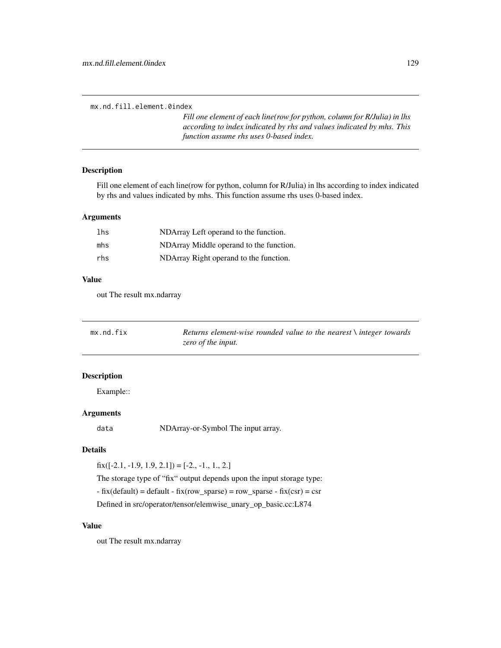mx.nd.fill.element.0index

*Fill one element of each line(row for python, column for R/Julia) in lhs according to index indicated by rhs and values indicated by mhs. This function assume rhs uses 0-based index.*

## Description

Fill one element of each line(row for python, column for R/Julia) in lhs according to index indicated by rhs and values indicated by mhs. This function assume rhs uses 0-based index.

## Arguments

| lhs | NDArray Left operand to the function.   |
|-----|-----------------------------------------|
| mhs | NDArray Middle operand to the function. |
| rhs | NDArray Right operand to the function.  |

## Value

out The result mx.ndarray

| mx.nd.fix | Returns element-wise rounded value to the nearest $\setminus$ integer towards |
|-----------|-------------------------------------------------------------------------------|
|           | zero of the input.                                                            |

#### Description

Example::

## Arguments

data NDArray-or-Symbol The input array.

# Details

 $fix([-2.1, -1.9, 1.9, 2.1]) = [-2., -1., 1., 2.]$ 

The storage type of "fix" output depends upon the input storage type:

 $-$  fix(default) = default  $-$  fix(row\_sparse) = row\_sparse  $-$  fix(csr) = csr

Defined in src/operator/tensor/elemwise\_unary\_op\_basic.cc:L874

## Value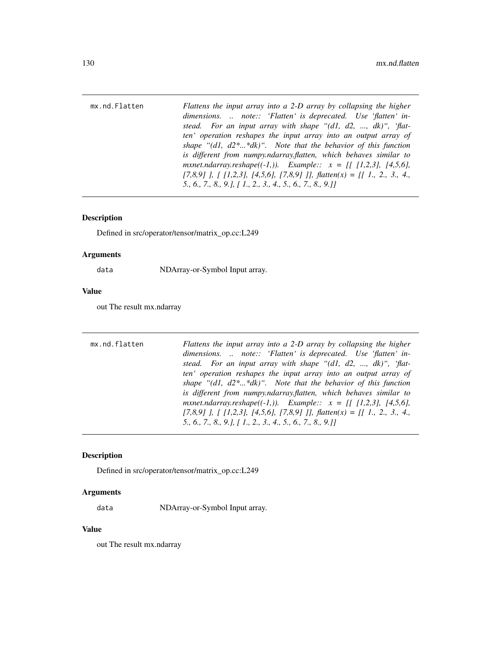mx.nd.Flatten *Flattens the input array into a 2-D array by collapsing the higher dimensions. .. note:: 'Flatten' is deprecated. Use 'flatten' instead. For an input array with shape "(d1, d2, ..., dk)", 'flatten' operation reshapes the input array into an output array of shape "(d1, d2\*...\*dk)". Note that the behavior of this function is different from numpy.ndarray.flatten, which behaves similar to mxnet.ndarray.reshape((-1,)). Example:: x = [[ [1,2,3], [4,5,6], [7,8,9] ], [ [1,2,3], [4,5,6], [7,8,9] ]], flatten(x) = [[ 1., 2., 3., 4., 5., 6., 7., 8., 9.], [ 1., 2., 3., 4., 5., 6., 7., 8., 9.]]*

#### **Description**

Defined in src/operator/tensor/matrix\_op.cc:L249

#### Arguments

data NDArray-or-Symbol Input array.

#### Value

out The result mx.ndarray

mx.nd.flatten *Flattens the input array into a 2-D array by collapsing the higher dimensions. .. note:: 'Flatten' is deprecated. Use 'flatten' instead. For an input array with shape "(d1, d2, ..., dk)", 'flatten' operation reshapes the input array into an output array of shape "(d1, d2\*...\*dk)". Note that the behavior of this function is different from numpy.ndarray.flatten, which behaves similar to mxnet.ndarray.reshape((-1,)). Example:: x = [[ [1,2,3], [4,5,6], [7,8,9] ], [ [1,2,3], [4,5,6], [7,8,9] ]], flatten(x) = [[ 1., 2., 3., 4., 5., 6., 7., 8., 9.], [ 1., 2., 3., 4., 5., 6., 7., 8., 9.]]*

## Description

Defined in src/operator/tensor/matrix\_op.cc:L249

#### Arguments

data NDArray-or-Symbol Input array.

## Value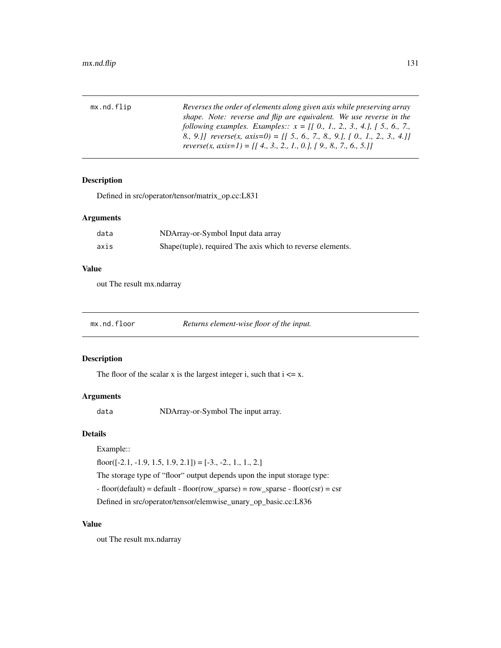| mx.nd.flip | Reverses the order of elements along given axis while preserving array      |
|------------|-----------------------------------------------------------------------------|
|            | shape. Note: reverse and flip are equivalent. We use reverse in the         |
|            | following examples. Examples:: $x = [[0, 1, 2, 3, 4, ], [5, 6, 7, ]$        |
|            | 8., 9.] reverse(x, axis=0) = [[ 5., 6., 7., 8., 9.], [ 0., 1., 2., 3., 4.]] |
|            | reverse(x, axis=1) = [[4., 3., 2., 1., 0.], [9., 8., 7., 6., 5.]]           |

# Description

Defined in src/operator/tensor/matrix\_op.cc:L831

# Arguments

| data | NDArray-or-Symbol Input data array                         |
|------|------------------------------------------------------------|
| axis | Shape(tuple), required The axis which to reverse elements. |

# Value

out The result mx.ndarray

| mx.nd.floor | Returns element-wise floor of the input. |
|-------------|------------------------------------------|
|-------------|------------------------------------------|

# Description

The floor of the scalar x is the largest integer i, such that  $i \leq x$ .

# Arguments

data NDArray-or-Symbol The input array.

# Details

## Example::

floor( $[-2.1, -1.9, 1.5, 1.9, 2.1]$ ) =  $[-3., -2., 1., 1., 2.]$ 

The storage type of "floor" output depends upon the input storage type:

- floor(default) = default - floor(row\_sparse) = row\_sparse - floor(csr) = csr

Defined in src/operator/tensor/elemwise\_unary\_op\_basic.cc:L836

# Value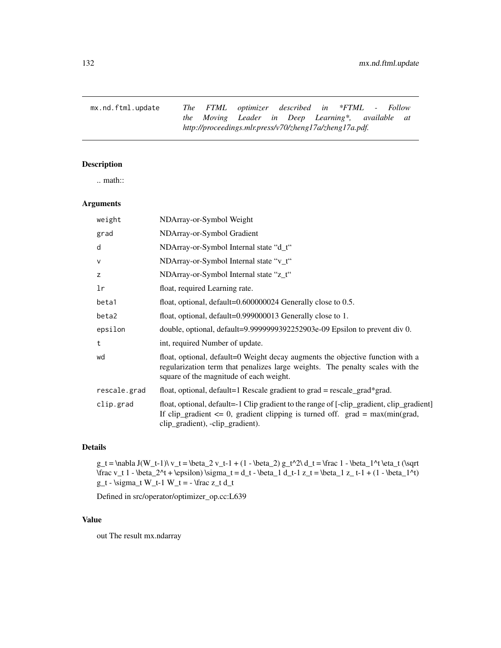mx.nd.ftml.update *The FTML optimizer described in \*FTML - Follow the Moving Leader in Deep Learning\*, available at http://proceedings.mlr.press/v70/zheng17a/zheng17a.pdf.*

# Description

.. math::

## Arguments

| weight       | NDArray-or-Symbol Weight                                                                                                                                                                                           |
|--------------|--------------------------------------------------------------------------------------------------------------------------------------------------------------------------------------------------------------------|
| grad         | NDArray-or-Symbol Gradient                                                                                                                                                                                         |
| d            | NDArray-or-Symbol Internal state "d_t"                                                                                                                                                                             |
| V            | NDArray-or-Symbol Internal state "v_t"                                                                                                                                                                             |
| z            | NDArray-or-Symbol Internal state "z_t"                                                                                                                                                                             |
| lr           | float, required Learning rate.                                                                                                                                                                                     |
| beta1        | float, optional, $default=0.600000024$ Generally close to 0.5.                                                                                                                                                     |
| beta2        | float, optional, default=0.999000013 Generally close to 1.                                                                                                                                                         |
| epsilon      | double, optional, default=9.9999999392252903e-09 Epsilon to prevent div 0.                                                                                                                                         |
| t            | int, required Number of update.                                                                                                                                                                                    |
| wd           | float, optional, default=0 Weight decay augments the objective function with a<br>regularization term that penalizes large weights. The penalty scales with the<br>square of the magnitude of each weight.         |
| rescale.grad | float, optional, default=1 Rescale gradient to grad = rescale_grad*grad.                                                                                                                                           |
| clip.grad    | float, optional, default=-1 Clip gradient to the range of [-clip_gradient, clip_gradient]<br>If clip_gradient $\leq 0$ , gradient clipping is turned off. grad = max(min(grad,<br>clip_gradient), -clip_gradient). |

## Details

g\_t = \nabla J(W\_t-1)\ v\_t = \beta\_2 v\_t-1 + (1 - \beta\_2) g\_t^2\ d\_t = \frac 1 - \beta\_1^t \eta\_t (\sqrt  $\frac{v_t 1 - \beta_2^t + \epsilon_0 \sigma_t = d_t - \beta_1 d_t - 1 z_t = \beta_1 z_t - 1 + (1 - \beta_1^t)$  $g_t - \sigma_t W_t - 1 W_t = - \frac{z_t d_t}{\sigma}$ 

Defined in src/operator/optimizer\_op.cc:L639

#### Value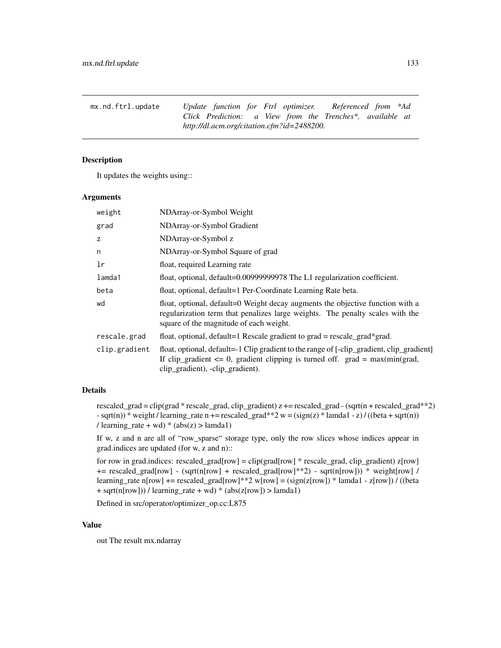mx.nd.ftrl.update *Update function for Ftrl optimizer. Referenced from \*Ad Click Prediction: a View from the Trenches\*, available at http://dl.acm.org/citation.cfm?id=2488200.*

## Description

It updates the weights using::

## Arguments

| weight        | NDArray-or-Symbol Weight                                                                                                                                                                                           |
|---------------|--------------------------------------------------------------------------------------------------------------------------------------------------------------------------------------------------------------------|
| grad          | NDArray-or-Symbol Gradient                                                                                                                                                                                         |
| z             | NDArray-or-Symbol z                                                                                                                                                                                                |
| n             | NDArray-or-Symbol Square of grad                                                                                                                                                                                   |
| 1r            | float, required Learning rate                                                                                                                                                                                      |
| lamda1        | float, optional, default=0.00999999978 The L1 regularization coefficient.                                                                                                                                          |
| beta          | float, optional, default=1 Per-Coordinate Learning Rate beta.                                                                                                                                                      |
| wd            | float, optional, default=0 Weight decay augments the objective function with a<br>regularization term that penalizes large weights. The penalty scales with the<br>square of the magnitude of each weight.         |
| rescale.grad  | float, optional, default=1 Rescale gradient to grad = rescale_grad*grad.                                                                                                                                           |
| clip.gradient | float, optional, default=-1 Clip gradient to the range of [-clip_gradient, clip_gradient]<br>If clip_gradient $\leq 0$ , gradient clipping is turned off. grad = max(min(grad,<br>clip_gradient), -clip_gradient). |

# Details

rescaled\_grad = clip(grad \* rescale\_grad, clip\_gradient) z += rescaled\_grad - (sqrt(n + rescaled\_grad\*\*2) - sqrt(n)) \* weight / learning\_rate n += rescaled\_grad\*\*2 w =  $(sign(z)$  \* lamda1 - z) / ((beta + sqrt(n)) / learning rate + wd) \* (abs(z) > lamda1)

If w, z and n are all of "row\_sparse" storage type, only the row slices whose indices appear in grad.indices are updated (for w, z and n)::

for row in grad.indices: rescaled\_grad[row] = clip(grad[row] \* rescale\_grad, clip\_gradient) z[row] += rescaled\_grad[row] - (sqrt(n[row] + rescaled\_grad[row]\*\*2) - sqrt(n[row])) \* weight[row] / learning\_rate n[row] += rescaled\_grad[row]\*\*2 w[row] = (sign(z[row]) \* lamda1 - z[row]) / ((beta + sqrt(n[row])) / learning\_rate + wd) \* (abs(z[row]) > lamda1)

Defined in src/operator/optimizer\_op.cc:L875

## Value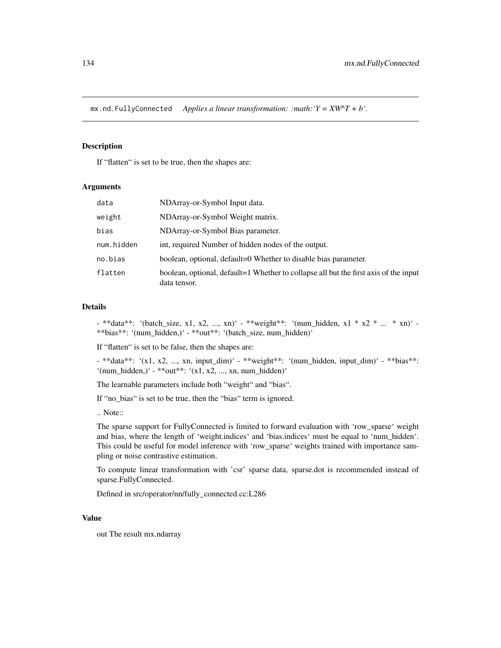mx.nd.FullyConnected *Applies a linear transformation: :math:'Y = XW^T + b'.*

#### Description

If "flatten" is set to be true, then the shapes are:

#### Arguments

| data       | NDArray-or-Symbol Input data.                                                                        |
|------------|------------------------------------------------------------------------------------------------------|
| weight     | NDArray-or-Symbol Weight matrix.                                                                     |
| bias       | NDArray-or-Symbol Bias parameter.                                                                    |
| num.hidden | int, required Number of hidden nodes of the output.                                                  |
| no.bias    | boolean, optional, default=0 Whether to disable bias parameter.                                      |
| flatten    | boolean, optional, default=1 Whether to collapse all but the first axis of the input<br>data tensor. |

#### Details

- \*\*data\*\*: '(batch\_size, x1, x2, ..., xn)' - \*\*weight\*\*: '(num\_hidden, x1 \* x2 \* ... \* xn)' - \*\*bias\*\*: '(num\_hidden,)' - \*\*out\*\*: '(batch\_size, num\_hidden)'

If "flatten" is set to be false, then the shapes are:

- \*\*data\*\*: '(x1, x2, ..., xn, input dim)' - \*\*weight\*\*: '(num\_hidden, input\_dim)' - \*\*bias\*\*: '(num\_hidden,)' - \*\*out\*\*: '(x1, x2, ..., xn, num\_hidden)'

The learnable parameters include both "weight" and "bias".

If "no\_bias" is set to be true, then the "bias" term is ignored.

.. Note::

The sparse support for FullyConnected is limited to forward evaluation with 'row\_sparse' weight and bias, where the length of 'weight.indices' and 'bias.indices' must be equal to 'num\_hidden'. This could be useful for model inference with 'row\_sparse' weights trained with importance sampling or noise contrastive estimation.

To compute linear transformation with 'csr' sparse data, sparse.dot is recommended instead of sparse.FullyConnected.

Defined in src/operator/nn/fully\_connected.cc:L286

#### Value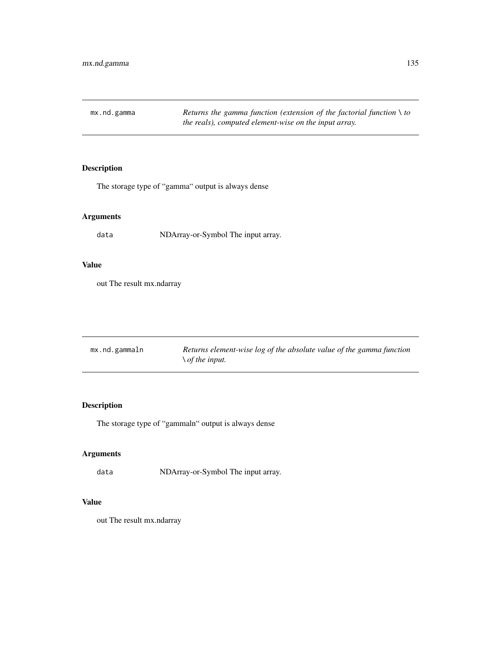mx.nd.gamma *Returns the gamma function (extension of the factorial function \ to the reals), computed element-wise on the input array.*

# Description

The storage type of "gamma" output is always dense

# Arguments

data NDArray-or-Symbol The input array.

# Value

out The result mx.ndarray

| mx.nd.gammaln | Returns element-wise log of the absolute value of the gamma function |
|---------------|----------------------------------------------------------------------|
|               | $\setminus$ of the input.                                            |

# Description

The storage type of "gammaln" output is always dense

# Arguments

data NDArray-or-Symbol The input array.

# Value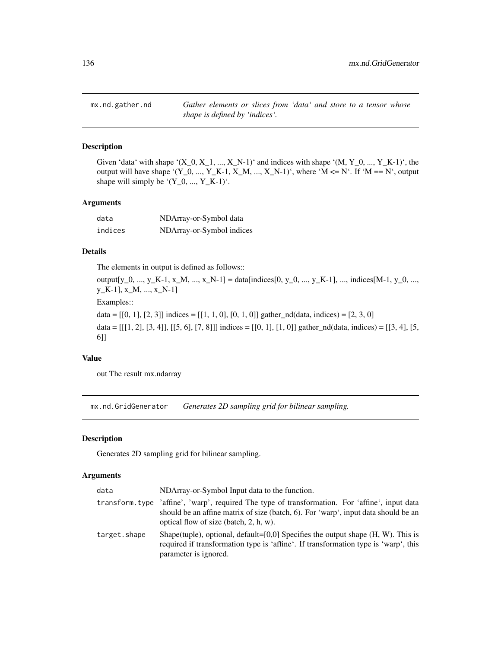mx.nd.gather.nd *Gather elements or slices from 'data' and store to a tensor whose shape is defined by 'indices'.*

## Description

Given 'data' with shape ' $(X_0, X_1, ..., X_N-1)$ ' and indices with shape ' $(M, Y_0, ..., Y_K-1)$ ', the output will have shape '(Y\_0, ..., Y\_K-1, X\_M, ..., X\_N-1)', where 'M  $\leq N'$ . If 'M == N', output shape will simply be  $'(Y_0, ..., Y_K-1)$ .

## Arguments

| data    | NDArray-or-Symbol data    |
|---------|---------------------------|
| indices | NDArray-or-Symbol indices |

# Details

The elements in output is defined as follows::

output[y\_0, ..., y\_K-1, x\_M, ..., x\_N-1] = data[indices[0, y\_0, ..., y\_K-1], ..., indices[M-1, y\_0, ..., y\_K-1], x\_M, ..., x\_N-1]

Examples::

data =  $[[0, 1], [2, 3]]$  indices =  $[[1, 1, 0], [0, 1, 0]]$  gather\_nd(data, indices) =  $[2, 3, 0]$ 

data =  $[[1, 2], [3, 4]], [[5, 6], [7, 8]]]$  indices =  $[[0, 1], [1, 0]]$  gather\_nd(data, indices) =  $[[3, 4], [5, 1]]$ 6]]

#### Value

out The result mx.ndarray

mx.nd.GridGenerator *Generates 2D sampling grid for bilinear sampling.*

#### Description

Generates 2D sampling grid for bilinear sampling.

## Arguments

| data         | NDArray-or-Symbol Input data to the function.                                                                                                                                                                                     |
|--------------|-----------------------------------------------------------------------------------------------------------------------------------------------------------------------------------------------------------------------------------|
|              | transform type 'affine', 'warp', required The type of transformation. For 'affine', input data<br>should be an affine matrix of size (batch, 6). For 'warp', input data should be an<br>optical flow of size (batch, $2$ , h, w). |
| target.shape | Shape(tuple), optional, default=[0,0] Specifies the output shape $(H, W)$ . This is<br>required if transformation type is 'affine'. If transformation type is 'warp', this<br>parameter is ignored.                               |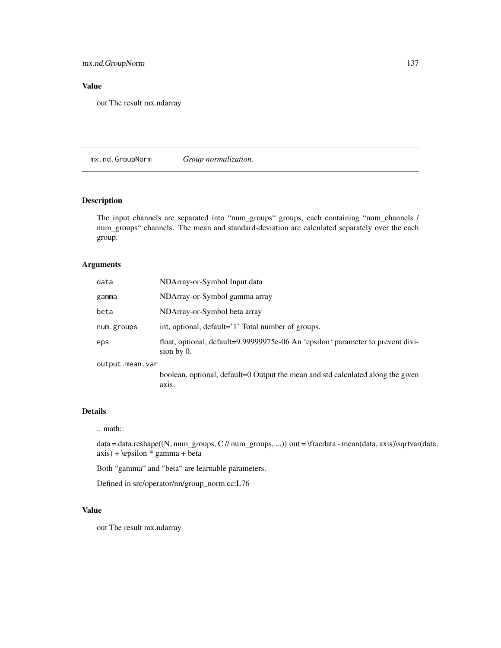# mx.nd.GroupNorm 137

# Value

out The result mx.ndarray

mx.nd.GroupNorm *Group normalization.*

# Description

The input channels are separated into "num\_groups" groups, each containing "num\_channels / num\_groups" channels. The mean and standard-deviation are calculated separately over the each group.

# Arguments

| data            | NDArray-or-Symbol Input data                                                                     |
|-----------------|--------------------------------------------------------------------------------------------------|
| gamma           | NDArray-or-Symbol gamma array                                                                    |
| beta            | NDArray-or-Symbol beta array                                                                     |
| num.groups      | int, optional, default='1' Total number of groups.                                               |
| eps             | float, optional, default=9.99999975e-06 An 'epsilon' parameter to prevent divi-<br>sion by $0$ . |
| output.mean.var |                                                                                                  |
|                 | boolean, optional, default=0 Output the mean and std calculated along the given<br>axis.         |

# Details

## .. math::

data = data.reshape((N, num\_groups, C // num\_groups, ...)) out = \fracdata - mean(data, axis)\sqrtvar(data, axis) + \epsilon \* gamma + beta

Both "gamma" and "beta" are learnable parameters.

Defined in src/operator/nn/group\_norm.cc:L76

## Value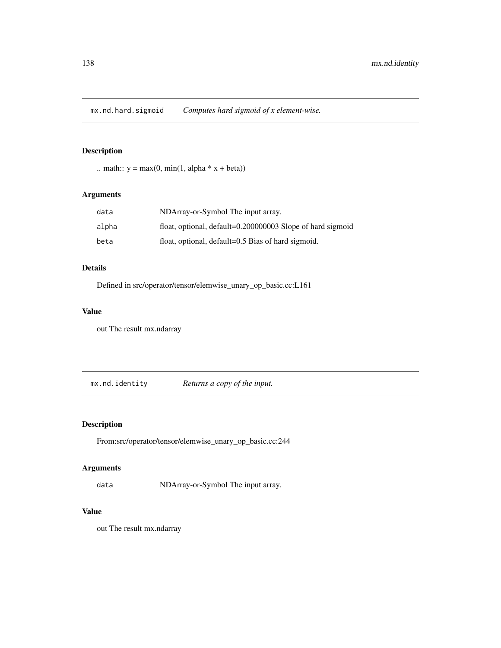mx.nd.hard.sigmoid *Computes hard sigmoid of x element-wise.*

# Description

.. math::  $y = max(0, min(1, alpha * x + beta))$ 

# Arguments

| data  | NDArray-or-Symbol The input array.                         |
|-------|------------------------------------------------------------|
| alpha | float, optional, default=0.200000003 Slope of hard sigmoid |
| beta  | float, optional, default=0.5 Bias of hard sigmoid.         |

## Details

Defined in src/operator/tensor/elemwise\_unary\_op\_basic.cc:L161

# Value

out The result mx.ndarray

mx.nd.identity *Returns a copy of the input.*

# Description

From:src/operator/tensor/elemwise\_unary\_op\_basic.cc:244

# Arguments

data NDArray-or-Symbol The input array.

#### Value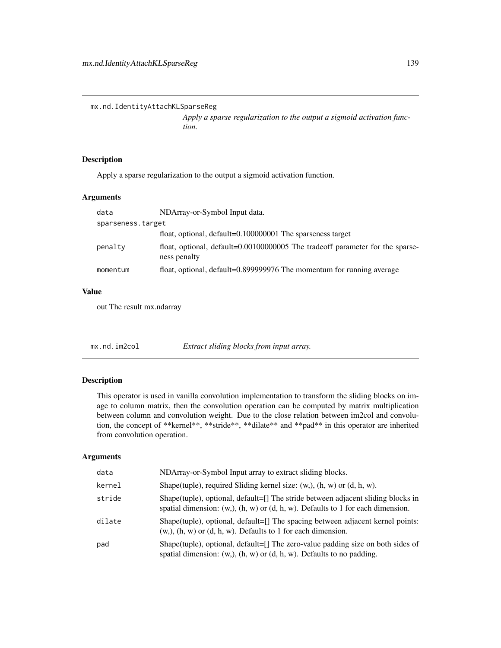mx.nd.IdentityAttachKLSparseReg

*Apply a sparse regularization to the output a sigmoid activation function.*

## Description

Apply a sparse regularization to the output a sigmoid activation function.

#### Arguments

| data              | NDArray-or-Symbol Input data.                                                                 |
|-------------------|-----------------------------------------------------------------------------------------------|
| sparseness.target |                                                                                               |
|                   | float, optional, default=0.100000001 The sparseness target                                    |
| penalty           | float, optional, default=0.00100000005 The tradeoff parameter for the sparse-<br>ness penalty |
| momentum          | float, optional, default=0.899999976 The momentum for running average                         |

#### Value

out The result mx.ndarray

mx.nd.im2col *Extract sliding blocks from input array.*

## Description

This operator is used in vanilla convolution implementation to transform the sliding blocks on image to column matrix, then the convolution operation can be computed by matrix multiplication between column and convolution weight. Due to the close relation between im2col and convolution, the concept of \*\*kernel\*\*, \*\*stride\*\*, \*\*dilate\*\* and \*\*pad\*\* in this operator are inherited from convolution operation.

#### Arguments

| data   | NDArray-or-Symbol Input array to extract sliding blocks.                                                                                                                 |
|--------|--------------------------------------------------------------------------------------------------------------------------------------------------------------------------|
| kernel | Shape(tuple), required Sliding kernel size: $(w, b)$ , $(h, w)$ or $(d, h, w)$ .                                                                                         |
| stride | Shape(tuple), optional, default=[] The stride between adjacent sliding blocks in<br>spatial dimension: $(w,), (h, w)$ or $(d, h, w)$ . Defaults to 1 for each dimension. |
| dilate | Shape(tuple), optional, default=[] The spacing between adjacent kernel points:<br>$(w, b, (h, w)$ or $(d, h, w)$ . Defaults to 1 for each dimension.                     |
| pad    | Shape(tuple), optional, default=[] The zero-value padding size on both sides of<br>spatial dimension: $(w,), (h, w)$ or $(d, h, w)$ . Defaults to no padding.            |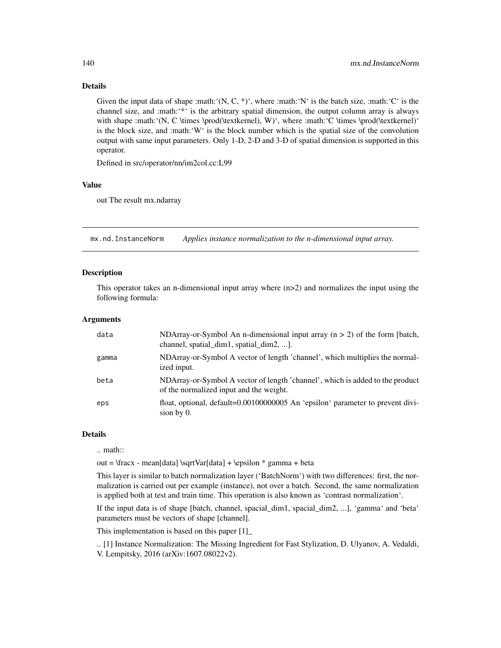## Details

Given the input data of shape :math: $(N, C, *)$ , where :math: $N'$  is the batch size, :math: $'C'$  is the channel size, and :math:'\*' is the arbitrary spatial dimension, the output column array is always with shape :math:'(N, C \times \prod(\textkernel), W)', where :math:'C \times \prod(\textkernel)' is the block size, and :math:'W' is the block number which is the spatial size of the convolution output with same input parameters. Only 1-D, 2-D and 3-D of spatial dimension is supported in this operator.

Defined in src/operator/nn/im2col.cc:L99

#### Value

out The result mx.ndarray

mx.nd.InstanceNorm *Applies instance normalization to the n-dimensional input array.*

## **Description**

This operator takes an n-dimensional input array where  $(n>2)$  and normalizes the input using the following formula:

## Arguments

| data  | NDArray-or-Symbol An n-dimensional input array $(n > 2)$ of the form [batch,<br>channel, spatial_dim1, spatial_dim2, ].  |
|-------|--------------------------------------------------------------------------------------------------------------------------|
| gamma | NDArray-or-Symbol A vector of length 'channel', which multiplies the normal-<br>ized input.                              |
| beta  | NDArray-or-Symbol A vector of length 'channel', which is added to the product<br>of the normalized input and the weight. |
| eps   | float, optional, default=0.00100000005 An 'epsilon' parameter to prevent divi-<br>sion by $0$ .                          |

#### Details

.. math::

out =  $\frac{\data}{\sqrt{\data} + \epsilon}$  = means data  $\sqrt{\data} + \epsilon$  \* gamma + beta

This layer is similar to batch normalization layer ('BatchNorm') with two differences: first, the normalization is carried out per example (instance), not over a batch. Second, the same normalization is applied both at test and train time. This operation is also known as 'contrast normalization'.

If the input data is of shape [batch, channel, spacial\_dim1, spacial\_dim2, ...], 'gamma' and 'beta' parameters must be vectors of shape [channel].

This implementation is based on this paper [1]\_

.. [1] Instance Normalization: The Missing Ingredient for Fast Stylization, D. Ulyanov, A. Vedaldi, V. Lempitsky, 2016 (arXiv:1607.08022v2).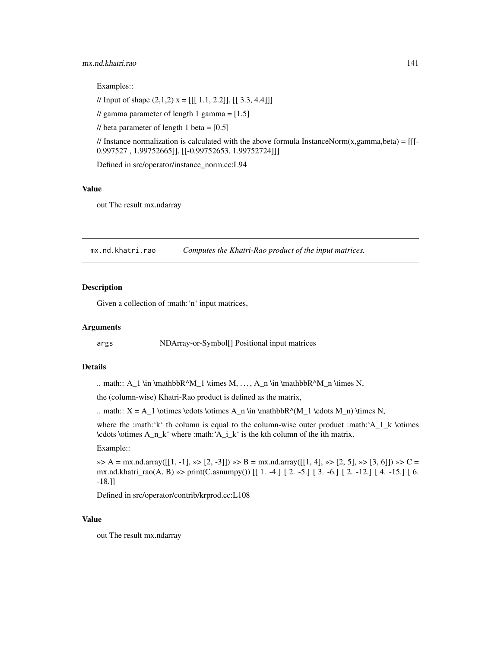## mx.nd.khatri.rao 141

Examples::

// Input of shape  $(2,1,2)$  x = [[[ 1.1, 2.2]], [[ 3.3, 4.4]]]

// gamma parameter of length 1 gamma =  $[1.5]$ 

// beta parameter of length 1 beta =  $[0.5]$ 

// Instance normalization is calculated with the above formula InstanceNorm $(x, gamma, beta) = [[$ 0.997527 , 1.99752665]], [[-0.99752653, 1.99752724]]]

Defined in src/operator/instance\_norm.cc:L94

## Value

out The result mx.ndarray

mx.nd.khatri.rao *Computes the Khatri-Rao product of the input matrices.*

## Description

Given a collection of :math:'n' input matrices,

## Arguments

args NDArray-or-Symbol[] Positional input matrices

#### Details

.. math::  $A_1 \in \mathbb{R}^M_1 \times M, \ldots, A_n \in \mathbb{R}^M_n \times N$ ,

the (column-wise) Khatri-Rao product is defined as the matrix,

.. math::  $X = A_1 \otimes \cdots \otimes A_n \in \mathbb{R}^M_1 \cdots M_n) \times N$ ,

where the :math:'k' th column is equal to the column-wise outer product :math: $A_1_k \otimes R$ \cdots \otimes A\_n\_k' where :math:'A\_i\_k' is the kth column of the ith matrix.

#### Example::

 $\gg$  A = mx.nd.array([[1, -1],  $\gg$  [2, -3]])  $\gg$  B = mx.nd.array([[1, 4],  $\gg$  [2, 5],  $\gg$  [3, 6]])  $\gg$  C = mx.nd.khatri\_rao(A, B) »> print(C.asnumpy()) [[ 1. -4.] [ 2. -5.] [ 3. -6.] [ 2. -12.] [ 4. -15.] [ 6. -18.]]

Defined in src/operator/contrib/krprod.cc:L108

## Value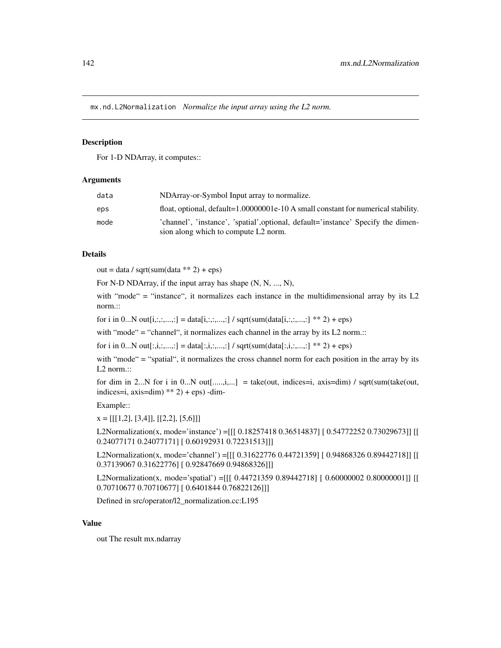mx.nd.L2Normalization *Normalize the input array using the L2 norm.*

## **Description**

For 1-D NDArray, it computes::

#### Arguments

| data | NDArray-or-Symbol Input array to normalize.                                                                               |
|------|---------------------------------------------------------------------------------------------------------------------------|
| eps  | float, optional, default=1.00000001e-10 A small constant for numerical stability.                                         |
| mode | 'channel', 'instance', 'spatial', optional, default='instance' Specify the dimen-<br>sion along which to compute L2 norm. |

#### Details

 $out = data / sqrt(sum(data ** 2) +eps)$ 

For N-D NDArray, if the input array has shape (N, N, ..., N),

with "mode" = "instance", it normalizes each instance in the multidimensional array by its L2 norm.::

for i in 0...N out[i,:,:,...,:] = data[i,:,:,...,:] / sqrt(sum(data[i,:,:,..,:] \*\* 2) + eps)

with "mode" = "channel", it normalizes each channel in the array by its L2 norm.::

for i in 0...N out[:,i,:,...,:] = data[:,i,:,...,:] / sqrt(sum(data[:,i,:,..,:] \*\* 2) + eps)

with "mode" = "spatial", it normalizes the cross channel norm for each position in the array by its L<sub>2</sub> norm.::

for dim in 2...N for i in 0...N out[.....,i,...] = take(out, indices=i, axis=dim) / sqrt(sum(take(out, indices=i,  $axis=dim$ )  $**$  2) + eps) -dim-

Example::

 $x = [[[1,2], [3,4]], [[2,2], [5,6]]]$ 

L2Normalization(x, mode='instance') =[[[ 0.18257418 0.36514837] [ 0.54772252 0.73029673]] [[ 0.24077171 0.24077171] [ 0.60192931 0.72231513]]]

L2Normalization(x, mode='channel') =[[[ 0.31622776 0.44721359] [ 0.94868326 0.89442718]] [[ 0.37139067 0.31622776] [ 0.92847669 0.94868326]]]

L2Normalization(x, mode='spatial') =[[[ 0.44721359 0.89442718] [ 0.60000002 0.80000001]] [[ 0.70710677 0.70710677] [ 0.6401844 0.76822126]]]

Defined in src/operator/l2\_normalization.cc:L195

# Value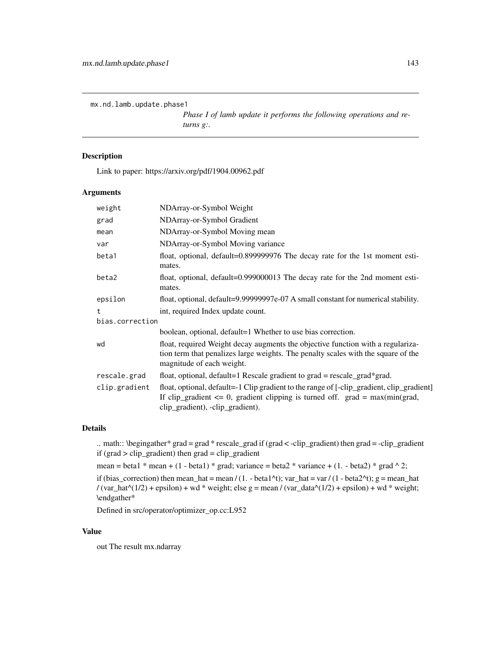mx.nd.lamb.update.phase1

*Phase I of lamb update it performs the following operations and returns g:.*

# Description

Link to paper: https://arxiv.org/pdf/1904.00962.pdf

## Arguments

| weight          | NDArray-or-Symbol Weight                                                                                                                                                                                           |
|-----------------|--------------------------------------------------------------------------------------------------------------------------------------------------------------------------------------------------------------------|
| grad            | NDArray-or-Symbol Gradient                                                                                                                                                                                         |
| mean            | NDArray-or-Symbol Moving mean                                                                                                                                                                                      |
| var             | NDArray-or-Symbol Moving variance                                                                                                                                                                                  |
| beta1           | float, optional, default=0.899999976 The decay rate for the 1st moment esti-<br>mates.                                                                                                                             |
| beta2           | float, optional, default=0.999000013 The decay rate for the 2nd moment esti-<br>mates.                                                                                                                             |
| epsilon         | float, optional, default=9.99999997e-07 A small constant for numerical stability.                                                                                                                                  |
| $^{\dagger}$    | int, required Index update count.                                                                                                                                                                                  |
| bias.correction |                                                                                                                                                                                                                    |
|                 | boolean, optional, default=1 Whether to use bias correction.                                                                                                                                                       |
| wd              | float, required Weight decay augments the objective function with a regulariza-<br>tion term that penalizes large weights. The penalty scales with the square of the<br>magnitude of each weight.                  |
| rescale.grad    | float, optional, default=1 Rescale gradient to grad = rescale_grad*grad.                                                                                                                                           |
| clip.gradient   | float, optional, default=-1 Clip gradient to the range of [-clip_gradient, clip_gradient]<br>If clip_gradient $\leq 0$ , gradient clipping is turned off. grad = max(min(grad,<br>clip_gradient), -clip_gradient). |

#### Details

.. math:: \begingather\* grad = grad \* rescale\_grad if (grad < -clip\_gradient) then grad = -clip\_gradient if (grad > clip\_gradient) then grad = clip\_gradient

```
mean = beta1 * mean + (1 - beta1) * grad; variance = beta2 * variance + (1. - beta2) * grad \wedge 2;
```
if (bias\_correction) then mean\_hat = mean / (1. - beta1^t); var\_hat = var / (1 - beta2^t); g = mean\_hat / (var\_hat^(1/2) + epsilon) + wd \* weight; else g = mean / (var\_data^(1/2) + epsilon) + wd \* weight; \endgather\*

Defined in src/operator/optimizer\_op.cc:L952

## Value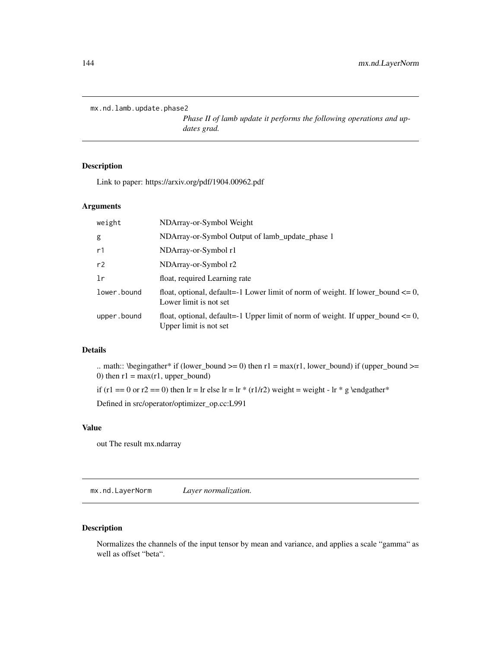```
mx.nd.lamb.update.phase2
```
*Phase II of lamb update it performs the following operations and updates grad.*

# Description

Link to paper: https://arxiv.org/pdf/1904.00962.pdf

## Arguments

| weight      | NDArray-or-Symbol Weight                                                                                       |
|-------------|----------------------------------------------------------------------------------------------------------------|
| g           | NDArray-or-Symbol Output of lamb_update_phase 1                                                                |
| r1          | NDArray-or-Symbol r1                                                                                           |
| r2          | NDArray-or-Symbol r2                                                                                           |
| 1r          | float, required Learning rate                                                                                  |
| lower.bound | float, optional, default=-1 Lower limit of norm of weight. If lower_bound $\leq 0$ ,<br>Lower limit is not set |
| upper.bound | float, optional, default=-1 Upper limit of norm of weight. If upper_bound $\leq 0$ ,<br>Upper limit is not set |

# Details

.. math:: \begingather\* if (lower\_bound >= 0) then  $r1 = max(r1, lower\_bound)$  if (upper\_bound >= 0) then  $r1 = max(r1, upper\_bound)$ 

if (r1 == 0 or r2 == 0) then lr = lr else lr = lr \* (r1/r2) weight = weight - lr \* g \endgather\*

Defined in src/operator/optimizer\_op.cc:L991

# Value

out The result mx.ndarray

mx.nd.LayerNorm *Layer normalization.*

## Description

Normalizes the channels of the input tensor by mean and variance, and applies a scale "gamma" as well as offset "beta".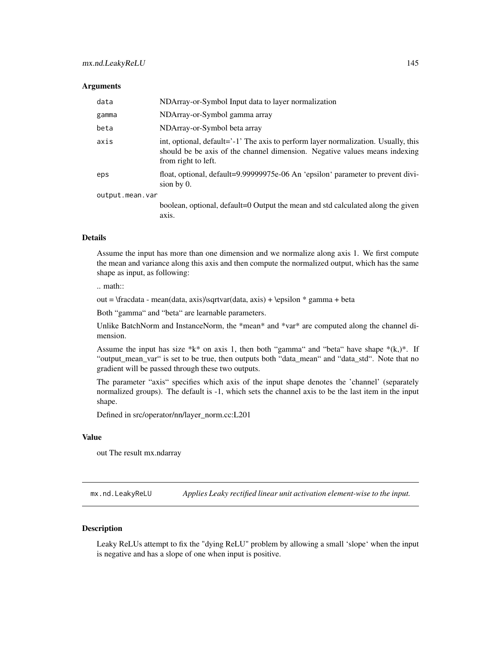#### **Arguments**

| data            | NDArray-or-Symbol Input data to layer normalization                                                                                                                                     |  |
|-----------------|-----------------------------------------------------------------------------------------------------------------------------------------------------------------------------------------|--|
| gamma           | NDArray-or-Symbol gamma array                                                                                                                                                           |  |
| beta            | NDArray-or-Symbol beta array                                                                                                                                                            |  |
| axis            | int, optional, default='-1' The axis to perform layer normalization. Usually, this<br>should be be axis of the channel dimension. Negative values means indexing<br>from right to left. |  |
| eps             | float, optional, default=9.99999975e-06 An 'epsilon' parameter to prevent divi-<br>sion by $0$ .                                                                                        |  |
| output.mean.var |                                                                                                                                                                                         |  |
|                 | boolean, optional, default=0 Output the mean and std calculated along the given                                                                                                         |  |

#### Details

Assume the input has more than one dimension and we normalize along axis 1. We first compute the mean and variance along this axis and then compute the normalized output, which has the same shape as input, as following:

.. math::

out =  $\frac{data - mean(data, axis)}sqrt(data, axis) + \epsilon * gamma + beta$ 

Both "gamma" and "beta" are learnable parameters.

axis.

Unlike BatchNorm and InstanceNorm, the \*mean\* and \*var\* are computed along the channel dimension.

Assume the input has size \*k\* on axis 1, then both "gamma" and "beta" have shape \*(k,)\*. If "output\_mean\_var" is set to be true, then outputs both "data\_mean" and "data\_std". Note that no gradient will be passed through these two outputs.

The parameter "axis" specifies which axis of the input shape denotes the 'channel' (separately normalized groups). The default is -1, which sets the channel axis to be the last item in the input shape.

Defined in src/operator/nn/layer\_norm.cc:L201

## Value

out The result mx.ndarray

mx.nd.LeakyReLU *Applies Leaky rectified linear unit activation element-wise to the input.*

#### **Description**

Leaky ReLUs attempt to fix the "dying ReLU" problem by allowing a small 'slope' when the input is negative and has a slope of one when input is positive.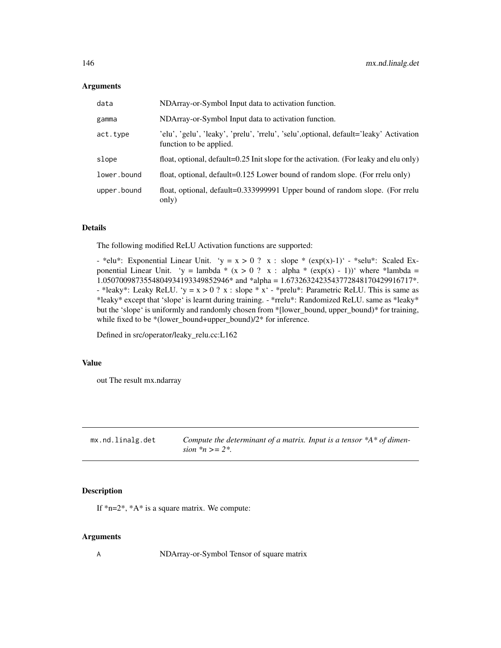#### **Arguments**

| data        | NDArray-or-Symbol Input data to activation function.                                                              |
|-------------|-------------------------------------------------------------------------------------------------------------------|
| gamma       | NDArray-or-Symbol Input data to activation function.                                                              |
| act.type    | 'elu', 'gelu', 'leaky', 'prelu', 'rrelu', 'selu', optional, default='leaky' Activation<br>function to be applied. |
| slope       | float, optional, default=0.25 Init slope for the activation. (For leaky and elu only)                             |
| lower.bound | float, optional, default=0.125 Lower bound of random slope. (For rrelu only)                                      |
| upper.bound | float, optional, default=0.333999991 Upper bound of random slope. (For rrelu<br>only)                             |

#### Details

The following modified ReLU Activation functions are supported:

- \*elu\*: Exponential Linear Unit. 'y = x > 0 ? x : slope \* (exp(x)-1)' - \*selu\*: Scaled Exponential Linear Unit. 'y = lambda \* (x > 0 ? x : alpha \* (exp(x) - 1))' where \*lambda = 1.0507009873554804934193349852946\* and \*alpha = 1.6732632423543772848170429916717\*. - \*leaky\*: Leaky ReLU. 'y =  $x > 0$  ?  $x$  : slope \*  $x'$  - \*prelu\*: Parametric ReLU. This is same as \*leaky\* except that 'slope' is learnt during training. - \*rrelu\*: Randomized ReLU. same as \*leaky\* but the 'slope' is uniformly and randomly chosen from \*[lower\_bound, upper\_bound)\* for training, while fixed to be \*(lower\_bound+upper\_bound)/2\* for inference.

Defined in src/operator/leaky\_relu.cc:L162

#### Value

out The result mx.ndarray

| mx.nd.linalg.det | Compute the determinant of a matrix. Input is a tensor $*A*$ of dimen- |
|------------------|------------------------------------------------------------------------|
|                  | sion $n \geq 2$ .                                                      |

## Description

If \*n=2\*, \*A\* is a square matrix. We compute:

#### Arguments

A NDArray-or-Symbol Tensor of square matrix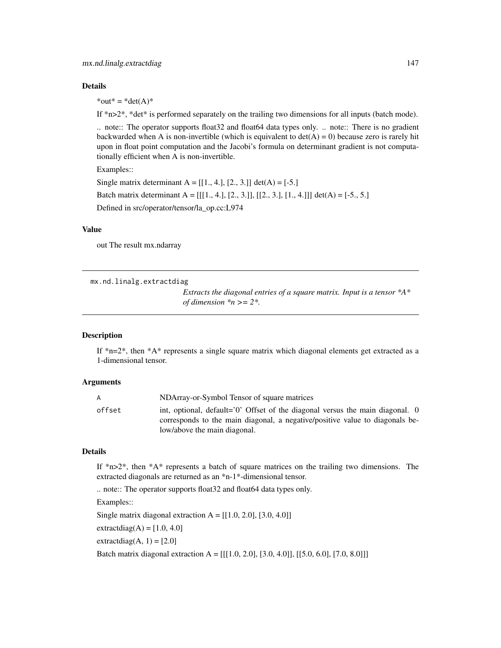#### Details

 $*$ out $* = *det(A)*$ 

If  $*n>2*$ ,  $*det*$  is performed separately on the trailing two dimensions for all inputs (batch mode).

.. note:: The operator supports float32 and float64 data types only. .. note:: There is no gradient backwarded when A is non-invertible (which is equivalent to  $det(A) = 0$ ) because zero is rarely hit upon in float point computation and the Jacobi's formula on determinant gradient is not computationally efficient when A is non-invertible.

Examples::

Single matrix determinant  $A = [[1., 4.], [2., 3.]] det(A) = [-5.]$ Batch matrix determinant A =  $[[1., 4.], [2., 3.]], [[2., 3.], [1., 4.]]]$  det(A) = [-5., 5.] Defined in src/operator/tensor/la\_op.cc:L974

## Value

out The result mx.ndarray

mx.nd.linalg.extractdiag

*Extracts the diagonal entries of a square matrix. Input is a tensor \*A\* of dimension \*n >= 2\*.*

#### Description

If  $n=2$ <sup>\*</sup>, then  $A^*$  represents a single square matrix which diagonal elements get extracted as a 1-dimensional tensor.

#### Arguments

| A      | NDArray-or-Symbol Tensor of square matrices                                                                                                                   |
|--------|---------------------------------------------------------------------------------------------------------------------------------------------------------------|
| offset | int, optional, default='0' Offset of the diagonal versus the main diagonal. 0<br>corresponds to the main diagonal, a negative/positive value to diagonals be- |
|        | low/above the main diagonal.                                                                                                                                  |

#### Details

If  $*n>2*$ , then  $*A*$  represents a batch of square matrices on the trailing two dimensions. The extracted diagonals are returned as an \*n-1\*-dimensional tensor.

.. note:: The operator supports float32 and float64 data types only.

Examples::

Single matrix diagonal extraction  $A = [[1.0, 2.0], [3.0, 4.0]]$ 

extractdiag $(A) = [1.0, 4.0]$ 

extractdiag(A, 1) =  $[2.0]$ 

Batch matrix diagonal extraction  $A = [[[1.0, 2.0], [3.0, 4.0]], [[5.0, 6.0], [7.0, 8.0]])$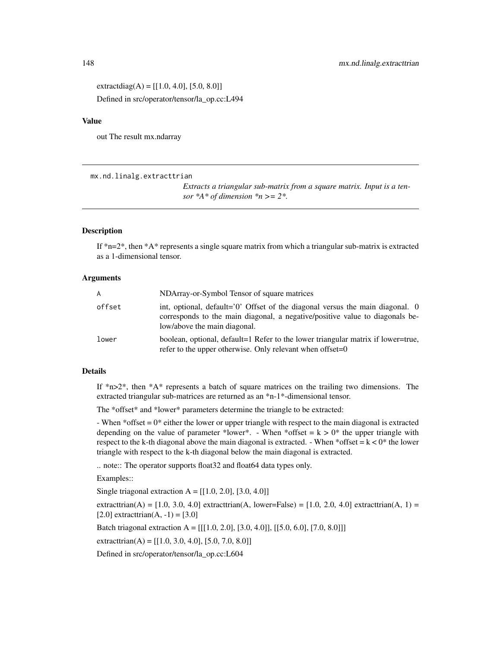extractdiag(A) =  $[[1.0, 4.0], [5.0, 8.0]]$ Defined in src/operator/tensor/la\_op.cc:L494

## Value

out The result mx.ndarray

mx.nd.linalg.extracttrian

*Extracts a triangular sub-matrix from a square matrix. Input is a tensor*  $*A*$  *of dimension*  $*n \geq 2*.$ 

#### Description

If  $*n=2*$ , then  $*A*$  represents a single square matrix from which a triangular sub-matrix is extracted as a 1-dimensional tensor.

#### Arguments

| $\mathsf{A}$ | NDArray-or-Symbol Tensor of square matrices                                                                                                                                                   |
|--------------|-----------------------------------------------------------------------------------------------------------------------------------------------------------------------------------------------|
| offset       | int, optional, default='0' Offset of the diagonal versus the main diagonal. 0<br>corresponds to the main diagonal, a negative/positive value to diagonals be-<br>low/above the main diagonal. |
| lower        | boolean, optional, default=1 Refer to the lower triangular matrix if lower=true,<br>refer to the upper otherwise. Only relevant when offset= $0$                                              |

## Details

If  $*n>2$ <sup>\*</sup>, then  $*A*$  represents a batch of square matrices on the trailing two dimensions. The extracted triangular sub-matrices are returned as an \*n-1\*-dimensional tensor.

The \*offset\* and \*lower\* parameters determine the triangle to be extracted:

- When  $*$ offset  $= 0*$  either the lower or upper triangle with respect to the main diagonal is extracted depending on the value of parameter \*lower\*. - When \*offset =  $k > 0$ \* the upper triangle with respect to the k-th diagonal above the main diagonal is extracted. - When \*offset =  $k < 0$ \* the lower triangle with respect to the k-th diagonal below the main diagonal is extracted.

.. note:: The operator supports float32 and float64 data types only.

Examples::

Single triagonal extraction  $A = [[1.0, 2.0], [3.0, 4.0]]$ 

extracttrian(A) =  $[1.0, 3.0, 4.0]$  extracttrian(A, lower=False) =  $[1.0, 2.0, 4.0]$  extracttrian(A, 1) =  $[2.0]$  extracttrian(A, -1) = [3.0]

Batch triagonal extraction  $A = [[[1.0, 2.0], [3.0, 4.0]], [[5.0, 6.0], [7.0, 8.0]]]$ 

extracttrian(A) =  $[[1.0, 3.0, 4.0], [5.0, 7.0, 8.0]]$ 

Defined in src/operator/tensor/la\_op.cc:L604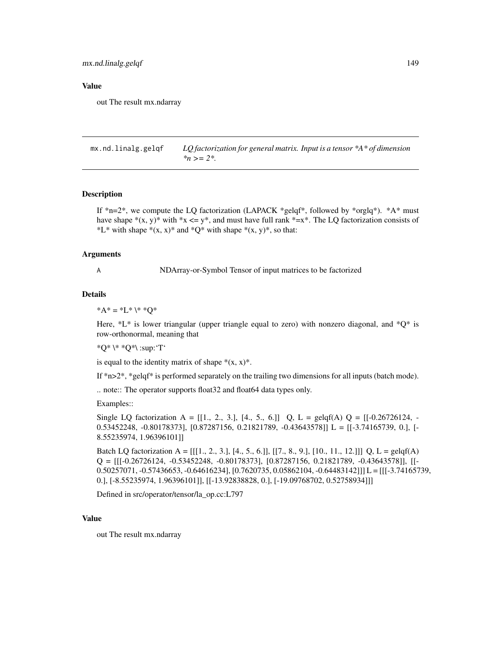mx.nd.linalg.gelqf 149

#### Value

out The result mx.ndarray

mx.nd.linalg.gelqf *LQ factorization for general matrix. Input is a tensor \*A\* of dimension \*n >= 2\*.*

#### **Description**

If  $*_{n=2}$ , we compute the LQ factorization (LAPACK  $*_{gelqf*}$ , followed by  $*_{orglq*}$ ).  $*A*$  must have shape  $*(x, y)*$  with  $*x \leq y*.$  and must have full rank  $*=x*.$  The LQ factorization consists of \*L\* with shape  $*(x, x)*$  and  $*Q*$  with shape  $*(x, y)*$ , so that:

#### Arguments

A NDArray-or-Symbol Tensor of input matrices to be factorized

#### Details

\* $A^* = *L^* \setminus * *Q^*$ 

Here,  $*L*$  is lower triangular (upper triangle equal to zero) with nonzero diagonal, and  $*Q*$  is row-orthonormal, meaning that

\*Q\* \\* \*Q\*\ :sup:'T'

is equal to the identity matrix of shape  $*(x, x)^*$ .

If  $*n>2^*$ ,  $*gelff*$  is performed separately on the trailing two dimensions for all inputs (batch mode).

.. note:: The operator supports float32 and float64 data types only.

Examples::

Single LQ factorization A = [[1., 2., 3.], [4., 5., 6.]] Q, L = gelqf(A) Q = [[-0.26726124, - 0.53452248, -0.80178373], [0.87287156, 0.21821789, -0.43643578]] L = [[-3.74165739, 0.], [- 8.55235974, 1.96396101]]

Batch LQ factorization A =  $[[[1, 2, 3, 3, 6, 6, 6, 6, 6, 9, 6, 9, 1, 10, 11, 12, 1]]]$  Q, L = gelqf(A)  $Q = [[[-0.26726124, -0.53452248, -0.80178373], [0.87287156, 0.21821789, -0.43643578]], [[-0.87287156, 0.21821789, -0.43643578]]]$ 0.50257071, -0.57436653, -0.64616234], [0.7620735, 0.05862104, -0.64483142]]] L = [[[-3.74165739, 0.], [-8.55235974, 1.96396101]], [[-13.92838828, 0.], [-19.09768702, 0.52758934]]]

Defined in src/operator/tensor/la\_op.cc:L797

#### Value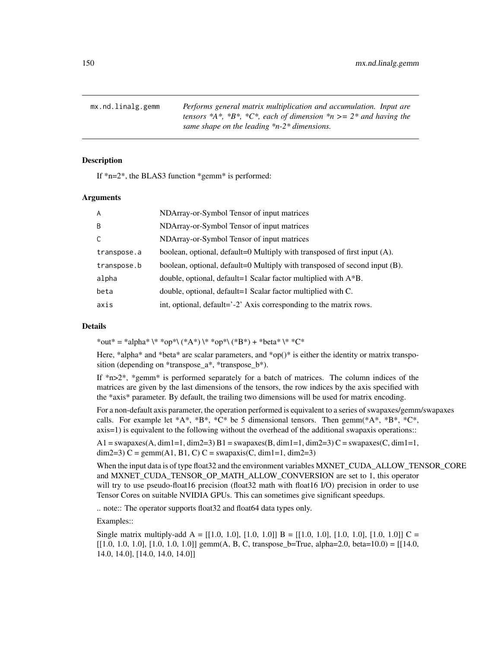mx.nd.linalg.gemm *Performs general matrix multiplication and accumulation. Input are tensors \*A\*, \*B\*, \*C\*, each of dimension \*n >= 2\* and having the same shape on the leading \*n-2\* dimensions.*

#### **Description**

If \*n=2\*, the BLAS3 function \*gemm\* is performed:

#### Arguments

| A           | NDArray-or-Symbol Tensor of input matrices                                 |
|-------------|----------------------------------------------------------------------------|
| B           | NDArray-or-Symbol Tensor of input matrices                                 |
| C           | NDArray-or-Symbol Tensor of input matrices                                 |
| transpose.a | boolean, optional, default=0 Multiply with transposed of first input (A).  |
| transpose.b | boolean, optional, default=0 Multiply with transposed of second input (B). |
| alpha       | double, optional, default=1 Scalar factor multiplied with $A^*B$ .         |
| beta        | double, optional, default=1 Scalar factor multiplied with C.               |
| axis        | int, optional, default='-2' Axis corresponding to the matrix rows.         |

## Details

\*out\* = \*alpha\* \\* \*op\*\ (\*A\*) \\* \*op\*\ (\*B\*) + \*beta\* \\* \*C\*

Here, \*alpha\* and \*beta\* are scalar parameters, and \*op()\* is either the identity or matrix transposition (depending on \*transpose\_a\*, \*transpose\_b\*).

If \*n>2\*, \*gemm\* is performed separately for a batch of matrices. The column indices of the matrices are given by the last dimensions of the tensors, the row indices by the axis specified with the \*axis\* parameter. By default, the trailing two dimensions will be used for matrix encoding.

For a non-default axis parameter, the operation performed is equivalent to a series of swapaxes/gemm/swapaxes calls. For example let  $*A^*, *B^*, *C^*$  be 5 dimensional tensors. Then gemm( $*A^*, *B^*, *C^*,$ axis=1) is equivalent to the following without the overhead of the additional swapaxis operations::

 $A1 = \text{swapaxes}(A, \text{dim}1=1, \text{dim}2=3)$   $B1 = \text{swapaxes}(B, \text{dim}1=1, \text{dim}2=3)$   $C = \text{swapaxes}(C, \text{dim}1=1,$ dim2=3) C = gemm(A1, B1, C) C = swapaxis(C, dim1=1, dim2=3)

When the input data is of type float32 and the environment variables MXNET\_CUDA\_ALLOW\_TENSOR\_CORE and MXNET\_CUDA\_TENSOR\_OP\_MATH\_ALLOW\_CONVERSION are set to 1, this operator will try to use pseudo-float16 precision (float32 math with float16 I/O) precision in order to use Tensor Cores on suitable NVIDIA GPUs. This can sometimes give significant speedups.

.. note:: The operator supports float32 and float64 data types only.

Examples::

Single matrix multiply-add  $A = [[1.0, 1.0], [1.0, 1.0]] B = [[1.0, 1.0], [1.0, 1.0], [1.0, 1.0]] C =$  $[[1.0, 1.0, 1.0], [1.0, 1.0, 1.0]]$  gemm(A, B, C, transpose\_b=True, alpha=2.0, beta=10.0) = [[14.0, 14.0, 14.0], [14.0, 14.0, 14.0]]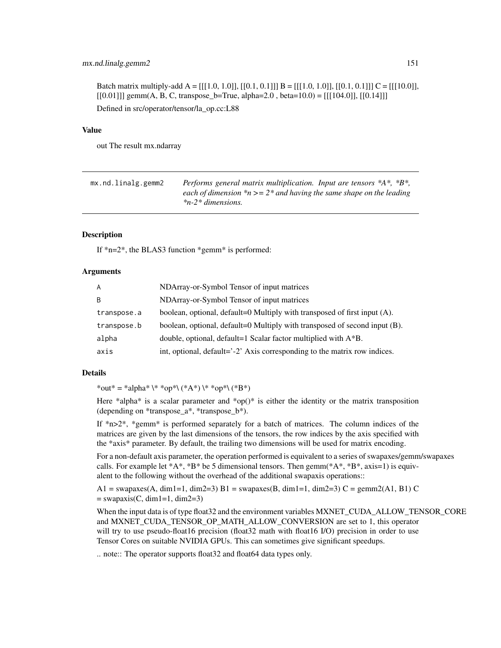#### mx.nd.linalg.gemm2 151

Batch matrix multiply-add  $A = [[[1.0, 1.0]], [[0.1, 0.1]]) B = [[[1.0, 1.0]], [[0.1, 0.1]]) C = [[[1.0, 0.0]],$  $[[0.01]]$ ] gemm(A, B, C, transpose\_b=True, alpha=2.0, beta=10.0) =  $[[[104.0]], [[0.14]]]$ Defined in src/operator/tensor/la\_op.cc:L88

## Value

out The result mx.ndarray

| mx.nd.linalg.gemm2 | Performs general matrix multiplication. Input are tensors $*A^*, *B^*,$ |
|--------------------|-------------------------------------------------------------------------|
|                    | each of dimension $m \geq 2$ and having the same shape on the leading   |
|                    | $*n-2*$ dimensions.                                                     |

## **Description**

If \*n=2\*, the BLAS3 function \*gemm\* is performed:

#### Arguments

| A           | NDArray-or-Symbol Tensor of input matrices                                 |
|-------------|----------------------------------------------------------------------------|
| B           | NDArray-or-Symbol Tensor of input matrices                                 |
| transpose.a | boolean, optional, default=0 Multiply with transposed of first input (A).  |
| transpose.b | boolean, optional, default=0 Multiply with transposed of second input (B). |
| alpha       | double, optional, default=1 Scalar factor multiplied with A*B.             |
| axis        | int, optional, default='-2' Axis corresponding to the matrix row indices.  |

#### Details

\*out\* = \*alpha\* \\* \*op\*\ (\*A\*) \\* \*op\*\ (\*B\*)

Here \*alpha\* is a scalar parameter and \*op()\* is either the identity or the matrix transposition (depending on \*transpose\_a\*, \*transpose\_b\*).

If  $*n>2*$ ,  $*gamma*$  is performed separately for a batch of matrices. The column indices of the matrices are given by the last dimensions of the tensors, the row indices by the axis specified with the \*axis\* parameter. By default, the trailing two dimensions will be used for matrix encoding.

For a non-default axis parameter, the operation performed is equivalent to a series of swapaxes/gemm/swapaxes calls. For example let  $*A^*$ ,  $*B^*$  be 5 dimensional tensors. Then gemm( $*A^*$ ,  $*B^*$ , axis=1) is equivalent to the following without the overhead of the additional swapaxis operations::

A1 = swapaxes(A, dim1=1, dim2=3) B1 = swapaxes(B, dim1=1, dim2=3) C = gemm2(A1, B1) C  $=$  swapaxis(C, dim1=1, dim2=3)

When the input data is of type float 32 and the environment variables MXNET\_CUDA\_ALLOW\_TENSOR\_CORE and MXNET\_CUDA\_TENSOR\_OP\_MATH\_ALLOW\_CONVERSION are set to 1, this operator will try to use pseudo-float16 precision (float32 math with float16 I/O) precision in order to use Tensor Cores on suitable NVIDIA GPUs. This can sometimes give significant speedups.

.. note:: The operator supports float32 and float64 data types only.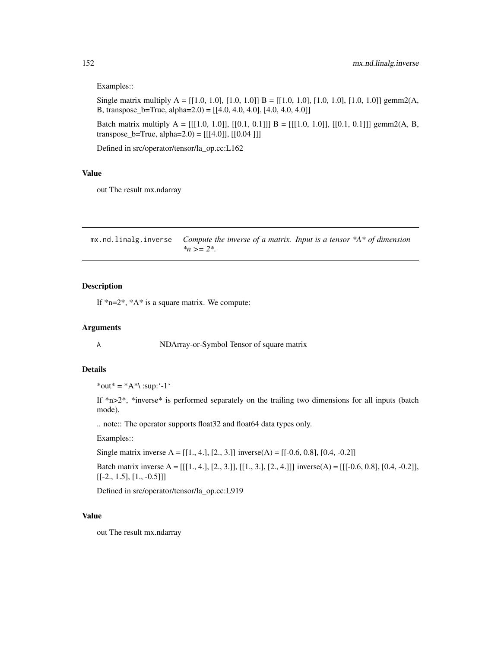#### Examples::

Single matrix multiply A =  $[[1.0, 1.0], [1.0, 1.0]]$  B =  $[[1.0, 1.0], [1.0, 1.0], [1.0, 1.0]]$  gemm2(A, B, transpose\_b=True, alpha=2.0) = [[4.0, 4.0, 4.0], [4.0, 4.0, 4.0]]

Batch matrix multiply A =  $[[[1.0, 1.0]], [[0.1, 0.1]]) B = [[[1.0, 1.0]], [[0.1, 0.1]])$  gemm2(A, B, transpose\_b=True, alpha=2.0) =  $[[[4.0]], [[0.04]])$ 

Defined in src/operator/tensor/la\_op.cc:L162

## Value

out The result mx.ndarray

mx.nd.linalg.inverse *Compute the inverse of a matrix. Input is a tensor \*A\* of dimension \*n >= 2\*.*

## Description

If  $*n=2^*$ ,  $*A^*$  is a square matrix. We compute:

#### Arguments

A NDArray-or-Symbol Tensor of square matrix

## Details

\*out\* =  $*A^*$ \:sup:'-1'

If \*n>2\*, \*inverse\* is performed separately on the trailing two dimensions for all inputs (batch mode).

.. note:: The operator supports float32 and float64 data types only.

Examples::

Single matrix inverse A =  $[[1., 4.], [2., 3.]]$  inverse(A) =  $[[-0.6, 0.8], [0.4, -0.2]]$ 

Batch matrix inverse A =  $[[[1., 4.], [2., 3.]], [[1., 3.], [2., 4.]]]$  inverse(A) =  $[[[-0.6, 0.8], [0.4, -0.2]],$  $[[-2., 1.5], [1., -0.5]]]$ 

Defined in src/operator/tensor/la\_op.cc:L919

#### Value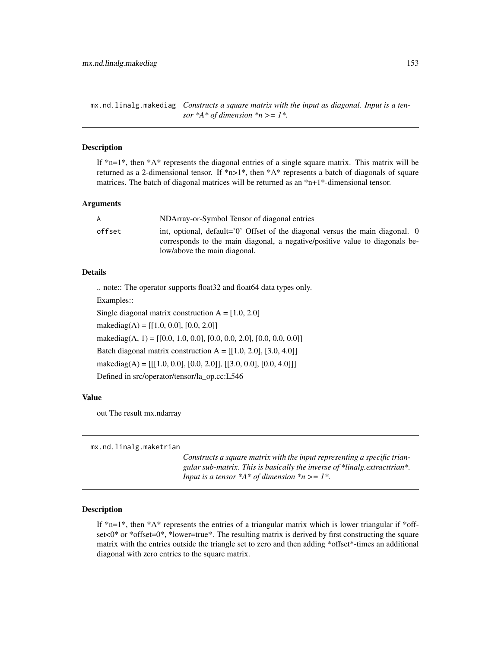mx.nd.linalg.makediag *Constructs a square matrix with the input as diagonal. Input is a tensor*  $*A$ <sup>\*</sup> *of dimension*  $*n$  >= *1*<sup>\*</sup>.

## Description

If  $n=1$ <sup>\*</sup>, then  $A^*$  represents the diagonal entries of a single square matrix. This matrix will be returned as a 2-dimensional tensor. If  $n=1$ <sup>\*</sup>, then  $A^*$  represents a batch of diagonals of square matrices. The batch of diagonal matrices will be returned as an \*n+1\*-dimensional tensor.

#### Arguments

| A      | NDArray-or-Symbol Tensor of diagonal entries                                                                                                                                                  |
|--------|-----------------------------------------------------------------------------------------------------------------------------------------------------------------------------------------------|
| offset | int, optional, default='0' Offset of the diagonal versus the main diagonal. 0<br>corresponds to the main diagonal, a negative/positive value to diagonals be-<br>low/above the main diagonal. |
|        |                                                                                                                                                                                               |

#### Details

.. note:: The operator supports float32 and float64 data types only.

Examples::

Single diagonal matrix construction  $A = [1.0, 2.0]$ 

makediag(A) =  $[[1.0, 0.0], [0.0, 2.0]]$ 

makediag(A, 1) =  $[[0.0, 1.0, 0.0], [0.0, 0.0, 2.0], [0.0, 0.0, 0.0]]$ 

Batch diagonal matrix construction  $A = [[1.0, 2.0], [3.0, 4.0]]$ 

makediag(A) = [[[1.0, 0.0], [0.0, 2.0]], [[3.0, 0.0], [0.0, 4.0]]]

Defined in src/operator/tensor/la\_op.cc:L546

#### Value

out The result mx.ndarray

mx.nd.linalg.maketrian

*Constructs a square matrix with the input representing a specific triangular sub-matrix. This is basically the inverse of \*linalg.extracttrian\*. Input is a tensor \*A\* of dimension \*n >= 1\*.*

#### Description

If  $*n=1*$ , then  $*A*$  represents the entries of a triangular matrix which is lower triangular if  $*$ offset<0\* or \*offset=0\*, \*lower=true\*. The resulting matrix is derived by first constructing the square matrix with the entries outside the triangle set to zero and then adding \*offset\*-times an additional diagonal with zero entries to the square matrix.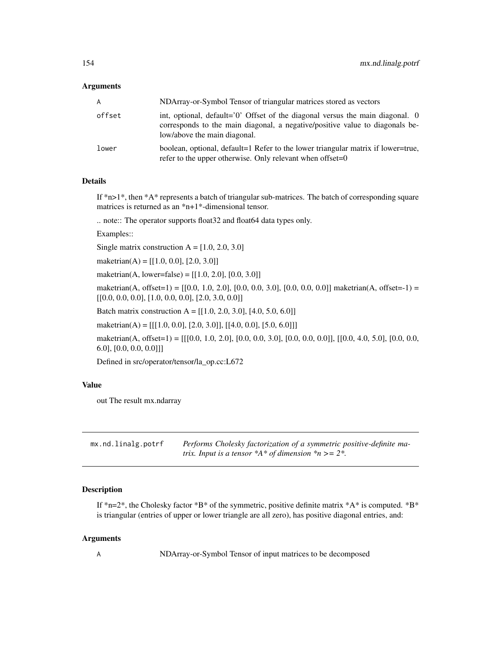#### **Arguments**

| A      | NDArray-or-Symbol Tensor of triangular matrices stored as vectors                                                                                                                               |
|--------|-------------------------------------------------------------------------------------------------------------------------------------------------------------------------------------------------|
| offset | int, optional, default= $0'$ Offset of the diagonal versus the main diagonal. 0<br>corresponds to the main diagonal, a negative/positive value to diagonals be-<br>low/above the main diagonal. |
| lower  | boolean, optional, default=1 Refer to the lower triangular matrix if lower=true,<br>refer to the upper otherwise. Only relevant when offset= $0$                                                |

## Details

If  $*n>1*$ , then  $*A*$  represents a batch of triangular sub-matrices. The batch of corresponding square matrices is returned as an \*n+1\*-dimensional tensor.

.. note:: The operator supports float32 and float64 data types only.

Examples::

Single matrix construction  $A = [1.0, 2.0, 3.0]$ 

maketrian(A) =  $[[1.0, 0.0], [2.0, 3.0]]$ 

maketrian(A, lower=false) =  $[[1.0, 2.0], [0.0, 3.0]]$ 

maketrian(A, offset=1) =  $[0.0, 1.0, 2.0]$ ,  $[0.0, 0.0, 3.0]$ ,  $[0.0, 0.0, 0.0]$ ] maketrian(A, offset=-1) =  $[[0.0, 0.0, 0.0], [1.0, 0.0, 0.0], [2.0, 3.0, 0.0]]$ 

Batch matrix construction A =  $[[1.0, 2.0, 3.0], [4.0, 5.0, 6.0]]$ 

maketrian(A) =  $[[[1.0, 0.0], [2.0, 3.0]], [[4.0, 0.0], [5.0, 6.0]]]$ 

maketrian(A, offset=1) = [[[0.0, 1.0, 2.0], [0.0, 0.0, 3.0], [0.0, 0.0, 0.0]], [[0.0, 4.0, 5.0], [0.0, 0.0, 6.0], [0.0, 0.0, 0.0]]]

Defined in src/operator/tensor/la\_op.cc:L672

#### Value

out The result mx.ndarray

| mx.nd.linalg.potrf | Performs Cholesky factorization of a symmetric positive-definite ma- |
|--------------------|----------------------------------------------------------------------|
|                    | trix. Input is a tensor $*A*$ of dimension $*n>=2*.$                 |

## Description

If \*n=2\*, the Cholesky factor \*B\* of the symmetric, positive definite matrix \*A\* is computed. \*B\* is triangular (entries of upper or lower triangle are all zero), has positive diagonal entries, and:

#### Arguments

A NDArray-or-Symbol Tensor of input matrices to be decomposed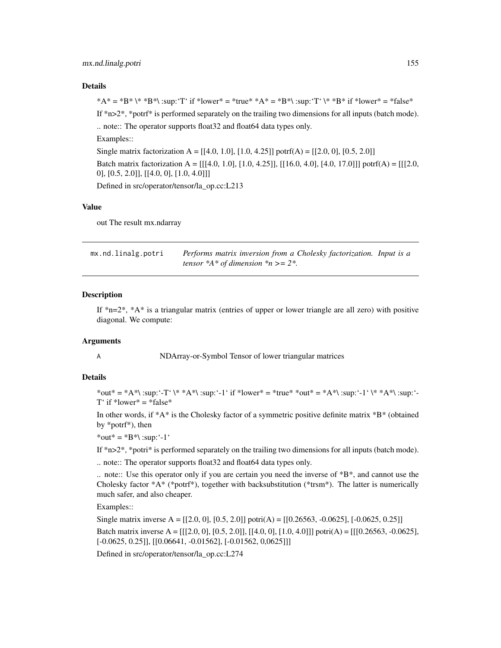#### mx.nd.linalg.potri 155

#### Details

\*A\* = \*B\* \\* \*B\*\ :sup:'T' if \*lower\* = \*true\* \*A\* = \*B\*\ :sup:'T' \\* \*B\* if \*lower\* = \*false\* If  $*n>2*$ ,  $*port*$  is performed separately on the trailing two dimensions for all inputs (batch mode). .. note:: The operator supports float32 and float64 data types only. Examples:: Single matrix factorization A =  $[[4.0, 1.0], [1.0, 4.25]]$  potrf(A) =  $[[2.0, 0], [0.5, 2.0]]$ Batch matrix factorization A =  $[[[4.0, 1.0], [1.0, 4.25]], [[16.0, 4.0], [4.0, 17.0]])$  potrf(A) =  $[[[2.0, 4.0], [4.0, 1.0]]]$ 0], [0.5, 2.0]], [[4.0, 0], [1.0, 4.0]]]

Defined in src/operator/tensor/la\_op.cc:L213

#### Value

out The result mx.ndarray

| mx.nd.linalg.potri | Performs matrix inversion from a Cholesky factorization. Input is a |  |
|--------------------|---------------------------------------------------------------------|--|
|                    | tensor $*A*$ of dimension $*n >= 2*.$                               |  |

#### Description

If  $n=2^*$ ,  $*A^*$  is a triangular matrix (entries of upper or lower triangle are all zero) with positive diagonal. We compute:

#### Arguments

A NDArray-or-Symbol Tensor of lower triangular matrices

## Details

\*out\* = \*A\*\ :sup:'-T' \\* \*A\*\ :sup:'-1' if \*lower\* = \*true\* \*out\* = \*A\*\ :sup:'-1' \\* \*A\*\ :sup:'- $T'$  if \*lower\* = \*false\*

In other words, if  $*A^*$  is the Cholesky factor of a symmetric positive definite matrix  $*B^*$  (obtained by \*potrf\*), then

\*out\* =  $*B^*$  :sup: '-1'

If \*n>2\*, \*potri\* is performed separately on the trailing two dimensions for all inputs (batch mode).

.. note:: The operator supports float32 and float64 data types only.

.. note:: Use this operator only if you are certain you need the inverse of \*B\*, and cannot use the Cholesky factor \*A\* (\*potrf\*), together with backsubstitution (\*trsm\*). The latter is numerically much safer, and also cheaper.

Examples::

Single matrix inverse A =  $[[2.0, 0], [0.5, 2.0]]$  potri $(A)$  =  $[[0.26563, -0.0625], [-0.0625, 0.25]]$ 

Batch matrix inverse A =  $[[[2.0, 0], [0.5, 2.0]], [[4.0, 0], [1.0, 4.0]])$  potri $(A) = [[[0.26563, -0.0625],$  $[-0.0625, 0.25]]$ ,  $[[0.06641, -0.01562]$ ,  $[-0.01562, 0.0625]]]$ 

Defined in src/operator/tensor/la\_op.cc:L274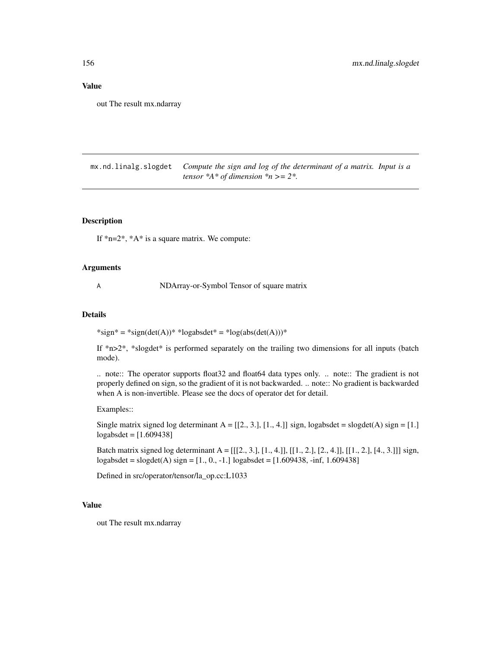#### Value

out The result mx.ndarray

mx.nd.linalg.slogdet *Compute the sign and log of the determinant of a matrix. Input is a tensor \*A\* of dimension \*n >= 2\*.*

## Description

If  $n=2^*$ ,  $*A^*$  is a square matrix. We compute:

## Arguments

A NDArray-or-Symbol Tensor of square matrix

#### Details

 $*sign* = *sign(det(A)) * *logabsdet* = *log(abs(det(A))) *$ 

If  $*n>2*$ ,  $*slogdet*$  is performed separately on the trailing two dimensions for all inputs (batch mode).

.. note:: The operator supports float32 and float64 data types only. .. note:: The gradient is not properly defined on sign, so the gradient of it is not backwarded. .. note:: No gradient is backwarded when A is non-invertible. Please see the docs of operator det for detail.

Examples::

Single matrix signed log determinant  $A = [[2, 3, 1], [1, 4, 1]]$  sign, logabsdet = slogdet(A) sign = [1.] logabsdet = [1.609438]

Batch matrix signed log determinant  $A = [[2, 3, 3, 1, 1, 4, 1], [[1, 2, 1, 2, 4, 1], [[1, 2, 1, 4, 3, 1]]$  sign,  $logabsdet = slogdet(A)$  sign =  $[1, 0, -1]$  logabsdet =  $[1.609438, -inf, 1.609438]$ 

Defined in src/operator/tensor/la\_op.cc:L1033

## Value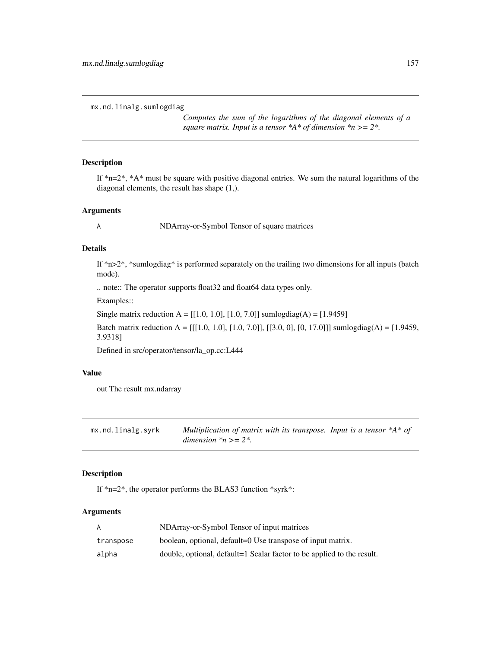mx.nd.linalg.sumlogdiag

*Computes the sum of the logarithms of the diagonal elements of a square matrix. Input is a tensor \*A\* of dimension \*n >= 2\*.*

## Description

If  $n=2^*$ ,  $A^*$  must be square with positive diagonal entries. We sum the natural logarithms of the diagonal elements, the result has shape (1,).

## Arguments

A NDArray-or-Symbol Tensor of square matrices

#### Details

If  $*n>2*$ ,  $*sumlogdiag*$  is performed separately on the trailing two dimensions for all inputs (batch mode).

.. note:: The operator supports float32 and float64 data types only.

Examples::

Single matrix reduction A =  $[[1.0, 1.0], [1.0, 7.0]]$  sumlogdiag(A) =  $[1.9459]$ 

Batch matrix reduction A =  $[[[1.0, 1.0], [1.0, 7.0]], [[3.0, 0], [0, 17.0]])$  sumlogdiag(A) =  $[1.9459,$ 3.9318]

Defined in src/operator/tensor/la\_op.cc:L444

## Value

out The result mx.ndarray

| mx.nd.linalg.syrk | Multiplication of matrix with its transpose. Input is a tensor $*A*$ of |  |
|-------------------|-------------------------------------------------------------------------|--|
|                   | dimension $n \geq 2$ .                                                  |  |

## Description

If \*n=2\*, the operator performs the BLAS3 function \*syrk\*:

| A         | NDArray-or-Symbol Tensor of input matrices                             |
|-----------|------------------------------------------------------------------------|
| transpose | boolean, optional, default=0 Use transpose of input matrix.            |
| alpha     | double, optional, default=1 Scalar factor to be applied to the result. |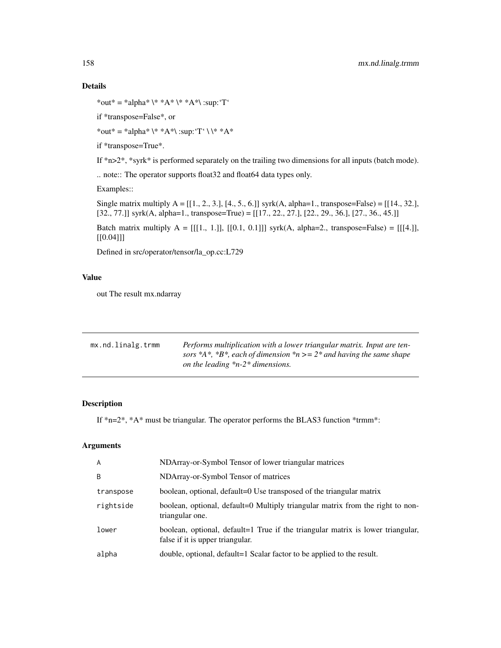## Details

```
*out* = *alpha* \* *A* \* *A*\ :sup: 'T'
```
if \*transpose=False\*, or

\*out\* = \*alpha\* \\* \*A\*\ :sup: 'T' \ \\* \*A\*

if \*transpose=True\*.

If \*n>2\*, \*syrk\* is performed separately on the trailing two dimensions for all inputs (batch mode).

.. note:: The operator supports float32 and float64 data types only.

Examples::

Single matrix multiply  $A = [[1., 2., 3.], [4., 5., 6.]] syrk(A, alpha=1., transpose=False) = [[14., 32.],$ [32., 77.]] syrk(A, alpha=1., transpose=True) = [[17., 22., 27.], [22., 29., 36.], [27., 36., 45.]]

Batch matrix multiply  $A = [[1, 1.]], [[0.1, 0.1]])$  syrk(A, alpha=2., transpose=False) = [[[4.]], [[0.04]]]

Defined in src/operator/tensor/la\_op.cc:L729

## Value

out The result mx.ndarray

| mx.nd.linalg.trmm | Performs multiplication with a lower triangular matrix. Input are ten-<br>sors *A*, *B*, each of dimension *n > = $2^*$ and having the same shape<br>on the leading $*n-2*$ dimensions. |
|-------------------|-----------------------------------------------------------------------------------------------------------------------------------------------------------------------------------------|
|                   |                                                                                                                                                                                         |

## Description

If \*n=2\*, \*A\* must be triangular. The operator performs the BLAS3 function \*trmm\*:

| NDArray-or-Symbol Tensor of matrices<br>B<br>boolean, optional, default=0 Use transposed of the triangular matrix<br>transpose<br>rightside<br>triangular one.<br>lower<br>false if it is upper triangular.<br>double, optional, default=1 Scalar factor to be applied to the result.<br>alpha | A | NDArray-or-Symbol Tensor of lower triangular matrices                           |
|------------------------------------------------------------------------------------------------------------------------------------------------------------------------------------------------------------------------------------------------------------------------------------------------|---|---------------------------------------------------------------------------------|
|                                                                                                                                                                                                                                                                                                |   |                                                                                 |
|                                                                                                                                                                                                                                                                                                |   |                                                                                 |
|                                                                                                                                                                                                                                                                                                |   | boolean, optional, default=0 Multiply triangular matrix from the right to non-  |
|                                                                                                                                                                                                                                                                                                |   | boolean, optional, default=1 True if the triangular matrix is lower triangular, |
|                                                                                                                                                                                                                                                                                                |   |                                                                                 |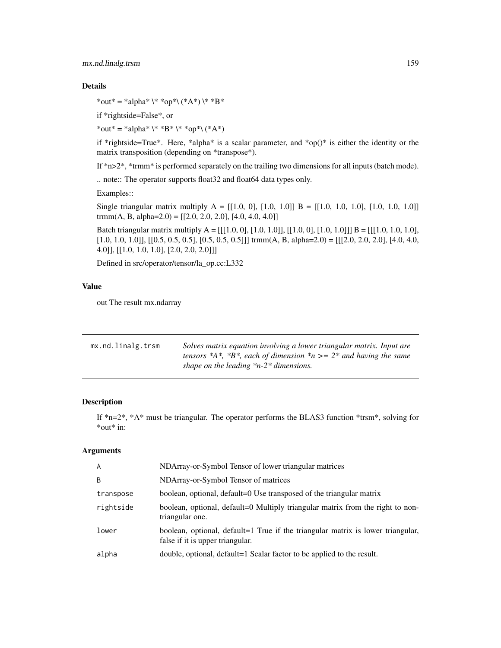## mx.nd.linalg.trsm 159

## Details

\*out\* = \*alpha\* \\* \*op\*\ (\*A\*) \\* \*B\*

if \*rightside=False\*, or

\*out\* = \*alpha\* \\* \*B\* \\* \*op\*\ (\*A\*)

if \*rightside=True\*. Here, \*alpha\* is a scalar parameter, and \*op()\* is either the identity or the matrix transposition (depending on \*transpose\*).

If \*n>2\*, \*trmm\* is performed separately on the trailing two dimensions for all inputs (batch mode).

.. note:: The operator supports float32 and float64 data types only.

Examples::

Single triangular matrix multiply  $A = [[1.0, 0], [1.0, 1.0]] B = [[1.0, 1.0, 1.0], [1.0, 1.0, 1.0]]$ trmm(A, B, alpha=2.0) =  $[[2.0, 2.0, 2.0], [4.0, 4.0, 4.0]]$ 

Batch triangular matrix multiply  $A = [[[1.0, 0], [1.0, 1.0]], [[1.0, 0], [1.0, 1.0]]]$  B =  $[[[1.0, 1.0, 1.0],$  $[1.0, 1.0, 1.0]$ ,  $[0.5, 0.5, 0.5]$ ,  $[0.5, 0.5, 0.5]$ ]] trmm(A, B, alpha=2.0) =  $[1.2.0, 2.0, 2.0]$ ,  $[4.0, 4.0, 4.0]$ 4.0]], [[1.0, 1.0, 1.0], [2.0, 2.0, 2.0]]]

Defined in src/operator/tensor/la\_op.cc:L332

## Value

out The result mx.ndarray

| mx.nd.linalg.trsm | Solves matrix equation involving a lower triangular matrix. Input are<br>tensors *A*, *B*, each of dimension *n >= $2^*$ and having the same |
|-------------------|----------------------------------------------------------------------------------------------------------------------------------------------|
|                   | shape on the leading $*n-2*$ dimensions.                                                                                                     |

## Description

If  $n=2^*$ ,  $*A^*$  must be triangular. The operator performs the BLAS3 function  $*$ trsm $*$ , solving for \*out\* in:

| A         | NDArray-or-Symbol Tensor of lower triangular matrices                                                               |
|-----------|---------------------------------------------------------------------------------------------------------------------|
| B         | NDArray-or-Symbol Tensor of matrices                                                                                |
| transpose | boolean, optional, default=0 Use transposed of the triangular matrix                                                |
| rightside | boolean, optional, default=0 Multiply triangular matrix from the right to non-<br>triangular one.                   |
| lower     | boolean, optional, default=1 True if the triangular matrix is lower triangular,<br>false if it is upper triangular. |
| alpha     | double, optional, default=1 Scalar factor to be applied to the result.                                              |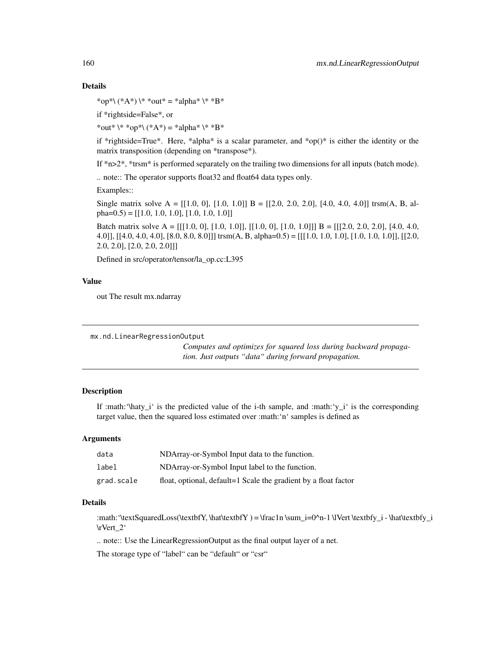## Details

\*op\*\  $(*A^*) \$  \* \*out\* = \*alpha\* \\* \*B\*

if \*rightside=False\*, or

\*out\* \\* \*op\*\ (\*A\*) = \*alpha\* \\* \*B\*

if \*rightside=True\*. Here, \*alpha\* is a scalar parameter, and \*op()\* is either the identity or the matrix transposition (depending on \*transpose\*).

If \*n>2\*, \*trsm\* is performed separately on the trailing two dimensions for all inputs (batch mode).

.. note:: The operator supports float32 and float64 data types only.

Examples::

Single matrix solve  $A = [[1.0, 0], [1.0, 1.0]] B = [[2.0, 2.0, 2.0], [4.0, 4.0, 4.0]]$  trsm(A, B, alpha= $(0.5)$  = [[1.0, 1.0, 1.0], [1.0, 1.0, 1.0]]

Batch matrix solve A =  $[[[1.0, 0], [1.0, 1.0]], [[1.0, 0], [1.0, 1.0]]]$  B =  $[[[2.0, 2.0, 2.0], [4.0, 4.0],]$ 4.0]], [[4.0, 4.0, 4.0], [8.0, 8.0, 8.0]]] trsm(A, B, alpha=0.5) = [[[1.0, 1.0, 1.0], [1.0, 1.0, 1.0]], [[2.0, 2.0, 2.0], [2.0, 2.0, 2.0]]]

Defined in src/operator/tensor/la\_op.cc:L395

## Value

out The result mx.ndarray

```
mx.nd.LinearRegressionOutput
```
*Computes and optimizes for squared loss during backward propagation. Just outputs "data" during forward propagation.*

## **Description**

If :math:' $\hat{\text{h}}$ aty\_i' is the predicted value of the i-th sample, and :math:' $y_i$ i' is the corresponding target value, then the squared loss estimated over :math:'n' samples is defined as

## Arguments

| data       | NDArray-or-Symbol Input data to the function.                   |
|------------|-----------------------------------------------------------------|
| label      | NDArray-or-Symbol Input label to the function.                  |
| grad.scale | float, optional, default=1 Scale the gradient by a float factor |

## Details

:math:'\textSquaredLoss(\textbfY, \hat\textbfY ) = \frac1n \sum\_i=0^n-1 \lVert \textbfy\_i - \hat\textbfy\_i \rVert\_2'

.. note:: Use the LinearRegressionOutput as the final output layer of a net.

The storage type of "label" can be "default" or "csr"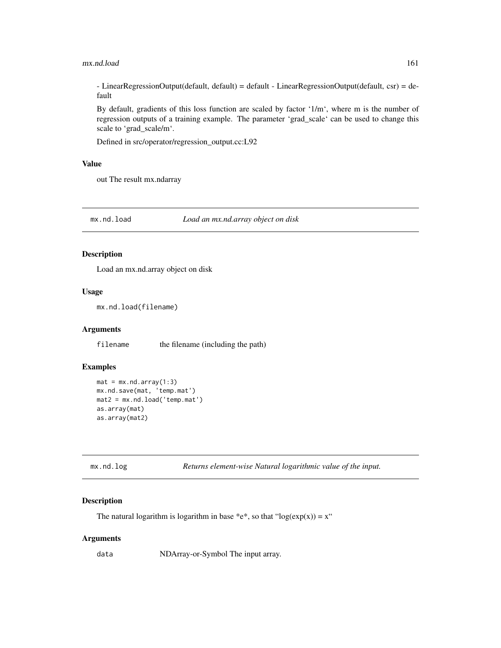#### mx.nd.load 161

 $-$  LinearRegressionOutput(default, default) = default  $-$  LinearRegressionOutput(default, csr) = default

By default, gradients of this loss function are scaled by factor '1/m', where m is the number of regression outputs of a training example. The parameter 'grad\_scale' can be used to change this scale to 'grad\_scale/m'.

Defined in src/operator/regression\_output.cc:L92

## Value

out The result mx.ndarray

mx.nd.load *Load an mx.nd.array object on disk*

## Description

Load an mx.nd.array object on disk

## Usage

mx.nd.load(filename)

#### Arguments

filename the filename (including the path)

#### Examples

```
mat = mx.nd.array(1:3)mx.nd.save(mat, 'temp.mat')
mat2 = mx.nd.load('temp.mat')
as.array(mat)
as.array(mat2)
```

| mx.nd.log |  |  |  |  |  |  |  |  |
|-----------|--|--|--|--|--|--|--|--|
|-----------|--|--|--|--|--|--|--|--|

Returns element-wise Natural logarithmic value of the input.

#### Description

The natural logarithm is logarithm in base \*e\*, so that "log( $exp(x)$ ) = x"

#### Arguments

data NDArray-or-Symbol The input array.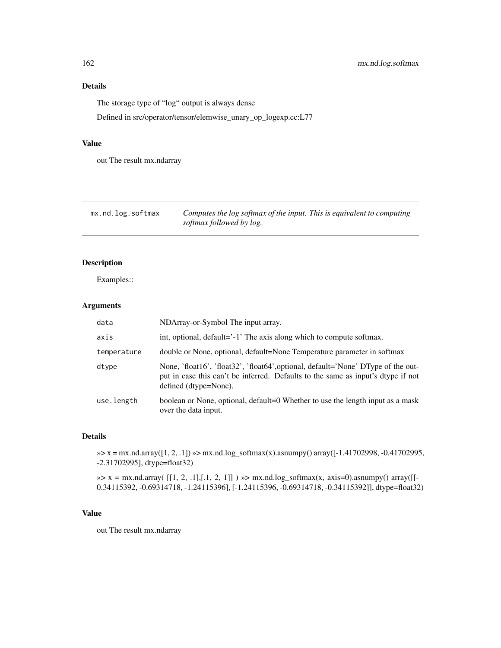# Details

The storage type of "log" output is always dense

Defined in src/operator/tensor/elemwise\_unary\_op\_logexp.cc:L77

## Value

out The result mx.ndarray

| mx.nd.log.softmax | Computes the log softmax of the input. This is equivalent to computing |
|-------------------|------------------------------------------------------------------------|
|                   | softmax followed by log.                                               |

## Description

Examples::

## Arguments

| data        | NDArray-or-Symbol The input array.                                                                                                                                                             |
|-------------|------------------------------------------------------------------------------------------------------------------------------------------------------------------------------------------------|
| axis        | int, optional, default='-1' The axis along which to compute softmax.                                                                                                                           |
| temperature | double or None, optional, default=None Temperature parameter in softmax                                                                                                                        |
| dtype       | None, 'float16', 'float32', 'float64', optional, default='None' DType of the out-<br>put in case this can't be inferred. Defaults to the same as input's dtype if not<br>defined (dtype=None). |
| use.length  | boolean or None, optional, default=0 Whether to use the length input as a mask<br>over the data input.                                                                                         |

## Details

»> x = mx.nd.array([1, 2, .1]) »> mx.nd.log\_softmax(x).asnumpy() array([-1.41702998, -0.41702995, -2.31702995], dtype=float32)

 $\gg$  x = mx.nd.array( [[1, 2, .1],[.1, 2, 1]])  $\gg$  mx.nd.log\_softmax(x, axis=0).asnumpy() array([[-0.34115392, -0.69314718, -1.24115396], [-1.24115396, -0.69314718, -0.34115392]], dtype=float32)

## Value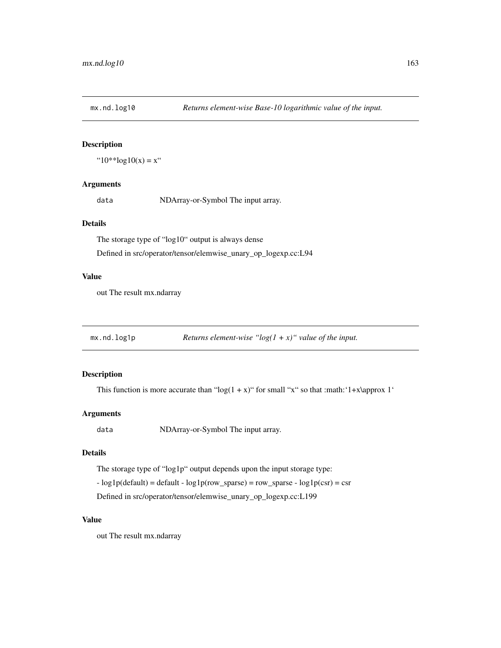## Description

" $10^{**}$ log $10(x) = x$ "

## Arguments

data NDArray-or-Symbol The input array.

## Details

The storage type of "log10" output is always dense Defined in src/operator/tensor/elemwise\_unary\_op\_logexp.cc:L94

#### Value

out The result mx.ndarray

mx.nd.log1p *Returns element-wise "log(1 + x)" value of the input.*

## Description

This function is more accurate than " $log(1 + x)$ " for small "x" so that :math: '1+x\approx 1'

## Arguments

data NDArray-or-Symbol The input array.

## Details

The storage type of "log1p" output depends upon the input storage type:  $-$  log1p(default) = default  $-$  log1p(row\_sparse) = row\_sparse  $-$  log1p(csr) = csr Defined in src/operator/tensor/elemwise\_unary\_op\_logexp.cc:L199

#### Value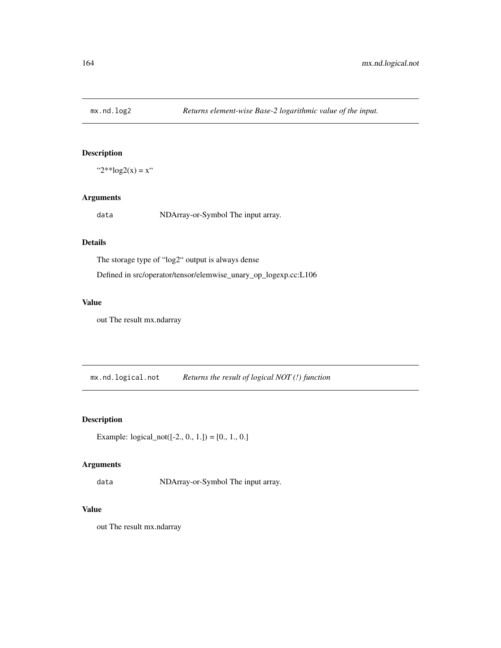## Description

" $2**\log 2(x) = x$ "

## Arguments

data NDArray-or-Symbol The input array.

# Details

The storage type of "log2" output is always dense

Defined in src/operator/tensor/elemwise\_unary\_op\_logexp.cc:L106

# Value

out The result mx.ndarray

mx.nd.logical.not *Returns the result of logical NOT (!) function*

# Description

Example:  $logical\_not([-2., 0., 1.]) = [0., 1., 0.]$ 

## Arguments

data NDArray-or-Symbol The input array.

## Value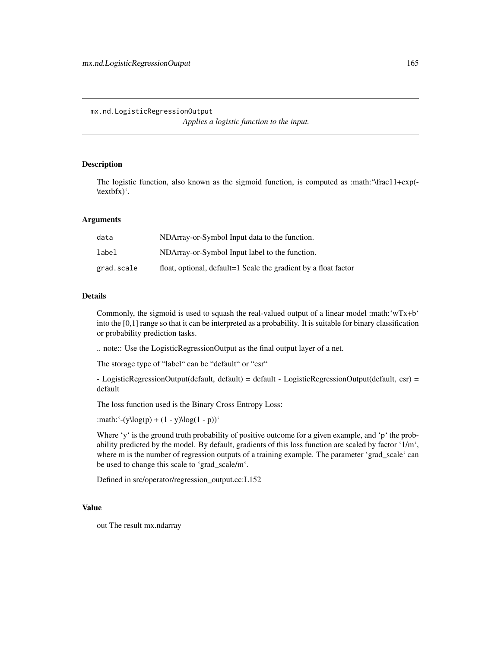mx.nd.LogisticRegressionOutput

*Applies a logistic function to the input.*

## Description

The logistic function, also known as the sigmoid function, is computed as :math:'\frac11+exp(- \textbfx)'.

#### Arguments

| data       | NDArray-or-Symbol Input data to the function.                   |
|------------|-----------------------------------------------------------------|
| label      | NDArray-or-Symbol Input label to the function.                  |
| grad.scale | float, optional, default=1 Scale the gradient by a float factor |

## Details

Commonly, the sigmoid is used to squash the real-valued output of a linear model :math: $wTx+b'$ into the [0,1] range so that it can be interpreted as a probability. It is suitable for binary classification or probability prediction tasks.

.. note:: Use the LogisticRegressionOutput as the final output layer of a net.

The storage type of "label" can be "default" or "csr"

 $-$  LogisticRegressionOutput(default, default) = default  $-$  LogisticRegressionOutput(default, csr) = default

The loss function used is the Binary Cross Entropy Loss:

:math:'-(y\log(p) + (1 - y)\log(1 - p))'

Where 'y' is the ground truth probability of positive outcome for a given example, and 'p' the probability predicted by the model. By default, gradients of this loss function are scaled by factor '1/m', where m is the number of regression outputs of a training example. The parameter 'grad\_scale' can be used to change this scale to 'grad\_scale/m'.

Defined in src/operator/regression\_output.cc:L152

## Value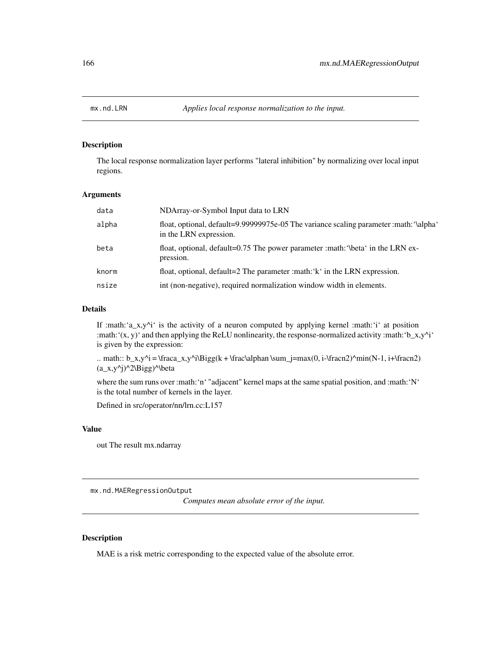## Description

The local response normalization layer performs "lateral inhibition" by normalizing over local input regions.

#### Arguments

| data  | NDArray-or-Symbol Input data to LRN                                                                              |
|-------|------------------------------------------------------------------------------------------------------------------|
| alpha | float, optional, default=9.99999975e-05 The variance scaling parameter :math: '\alpha'<br>in the LRN expression. |
| beta  | float, optional, default=0.75 The power parameter : math: '\beta' in the LRN ex-<br>pression.                    |
| knorm | float, optional, default=2 The parameter : math: 'k' in the LRN expression.                                      |
| nsize | int (non-negative), required normalization window width in elements.                                             |

#### Details

If :math:' $a_x$ ,y^i' is the activity of a neuron computed by applying kernel :math:'i' at position :math: $'(x, y)'$  and then applying the ReLU nonlinearity, the response-normalized activity :math: $'b_x, y'^i'$ is given by the expression:

.. math:: b\_x,y^i = \fraca\_x,y^i\Bigg(k + \frac\alphan \sum\_j=max(0, i-\fracn2)^min(N-1, i+\fracn2)  $(a_x,y^i)^2\Big\{ \begin{array}{c} a \to a \end{array} \Big\}$ 

where the sum runs over :math:'n' "adjacent" kernel maps at the same spatial position, and :math:'N' is the total number of kernels in the layer.

Defined in src/operator/nn/lrn.cc:L157

#### Value

out The result mx.ndarray

mx.nd.MAERegressionOutput

*Computes mean absolute error of the input.*

#### Description

MAE is a risk metric corresponding to the expected value of the absolute error.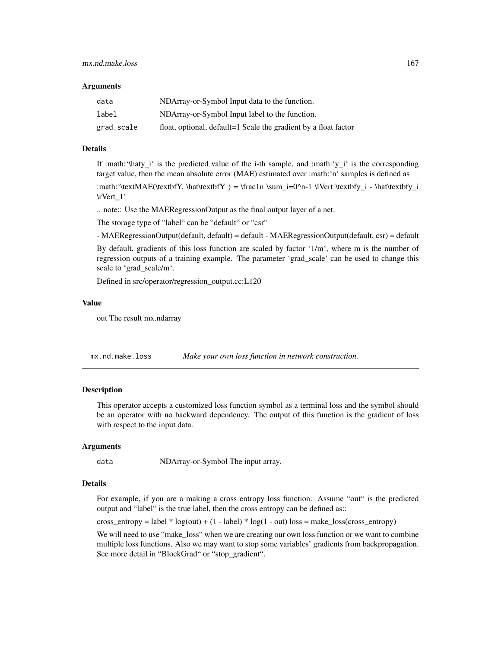#### **Arguments**

| data       | NDArray-or-Symbol Input data to the function.                   |
|------------|-----------------------------------------------------------------|
| label      | NDArray-or-Symbol Input label to the function.                  |
| grad.scale | float, optional, default=1 Scale the gradient by a float factor |

#### Details

If :math: $\hat{y}_i$  is the predicted value of the i-th sample, and :math: $\hat{y}_i$  is the corresponding target value, then the mean absolute error (MAE) estimated over :math:'n' samples is defined as

:math:'\textMAE(\textbfY, \hat\textbfY) = \frac1n \sum\_i=0^n-1 \lVert \textbfy\_i - \hat\textbfy\_i \rVert\_1'

.. note:: Use the MAERegressionOutput as the final output layer of a net.

The storage type of "label" can be "default" or "csr"

- MAERegressionOutput(default, default) = default - MAERegressionOutput(default, csr) = default

By default, gradients of this loss function are scaled by factor '1/m', where m is the number of regression outputs of a training example. The parameter 'grad\_scale' can be used to change this scale to 'grad\_scale/m'.

Defined in src/operator/regression\_output.cc:L120

#### Value

out The result mx.ndarray

mx.nd.make.loss *Make your own loss function in network construction.*

## Description

This operator accepts a customized loss function symbol as a terminal loss and the symbol should be an operator with no backward dependency. The output of this function is the gradient of loss with respect to the input data.

#### Arguments

data NDArray-or-Symbol The input array.

#### Details

For example, if you are a making a cross entropy loss function. Assume "out" is the predicted output and "label" is the true label, then the cross entropy can be defined as::

cross\_entropy = label  $* log(out) + (1 - label) * log(1 - out) loss = make_loss(cross_entropy)$ 

We will need to use "make\_loss" when we are creating our own loss function or we want to combine multiple loss functions. Also we may want to stop some variables' gradients from backpropagation. See more detail in "BlockGrad" or "stop\_gradient".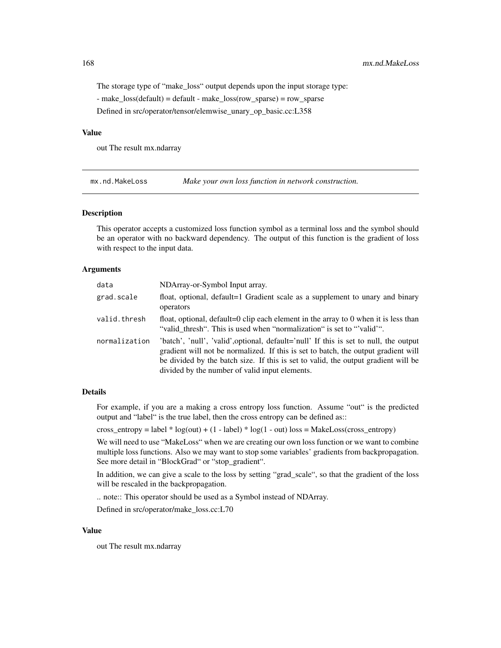The storage type of "make\_loss" output depends upon the input storage type:

- make\_loss(default) = default - make\_loss(row\_sparse) = row\_sparse

Defined in src/operator/tensor/elemwise\_unary\_op\_basic.cc:L358

#### Value

out The result mx.ndarray

mx.nd.MakeLoss *Make your own loss function in network construction.*

#### Description

This operator accepts a customized loss function symbol as a terminal loss and the symbol should be an operator with no backward dependency. The output of this function is the gradient of loss with respect to the input data.

#### Arguments

| data          | NDArray-or-Symbol Input array.                                                                                                                                                                                                                                                                                      |
|---------------|---------------------------------------------------------------------------------------------------------------------------------------------------------------------------------------------------------------------------------------------------------------------------------------------------------------------|
| grad.scale    | float, optional, default=1 Gradient scale as a supplement to unary and binary<br>operators                                                                                                                                                                                                                          |
| valid.thresh  | float, optional, default=0 clip each element in the array to 0 when it is less than<br>"valid_thresh". This is used when "normalization" is set to "valid"".                                                                                                                                                        |
| normalization | 'batch', 'null', 'valid', optional, default='null' If this is set to null, the output<br>gradient will not be normalized. If this is set to batch, the output gradient will<br>be divided by the batch size. If this is set to valid, the output gradient will be<br>divided by the number of valid input elements. |

#### Details

For example, if you are a making a cross entropy loss function. Assume "out" is the predicted output and "label" is the true label, then the cross entropy can be defined as::

cross\_entropy = label \* log(out) + (1 - label) \* log(1 - out) loss = MakeLoss(cross\_entropy)

We will need to use "MakeLoss" when we are creating our own loss function or we want to combine multiple loss functions. Also we may want to stop some variables' gradients from backpropagation. See more detail in "BlockGrad" or "stop\_gradient".

In addition, we can give a scale to the loss by setting "grad\_scale", so that the gradient of the loss will be rescaled in the backpropagation.

.. note:: This operator should be used as a Symbol instead of NDArray.

Defined in src/operator/make\_loss.cc:L70

#### Value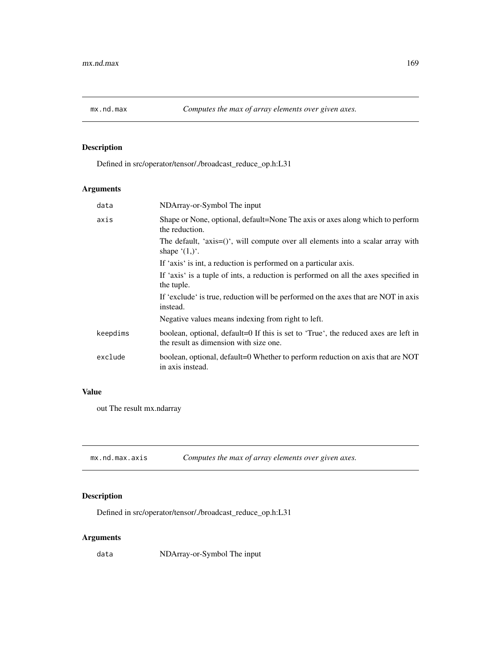# Description

Defined in src/operator/tensor/./broadcast\_reduce\_op.h:L31

# Arguments

| data     | NDArray-or-Symbol The input                                                                                                   |
|----------|-------------------------------------------------------------------------------------------------------------------------------|
| axis     | Shape or None, optional, default=None The axis or axes along which to perform<br>the reduction.                               |
|          | The default, 'axis= $()$ ', will compute over all elements into a scalar array with<br>shape $(1,)^{\prime}$ .                |
|          | If 'axis' is int, a reduction is performed on a particular axis.                                                              |
|          | If 'axis' is a tuple of ints, a reduction is performed on all the axes specified in<br>the tuple.                             |
|          | If 'exclude' is true, reduction will be performed on the axes that are NOT in axis<br>instead.                                |
|          | Negative values means indexing from right to left.                                                                            |
| keepdims | boolean, optional, default=0 If this is set to 'True', the reduced axes are left in<br>the result as dimension with size one. |
| exclude  | boolean, optional, default=0 Whether to perform reduction on axis that are NOT<br>in axis instead.                            |
|          |                                                                                                                               |

## Value

out The result mx.ndarray

| mx.nd.max.axis | Computes the max of array elements over given axes. |
|----------------|-----------------------------------------------------|
|----------------|-----------------------------------------------------|

# Description

Defined in src/operator/tensor/./broadcast\_reduce\_op.h:L31

# Arguments

data NDArray-or-Symbol The input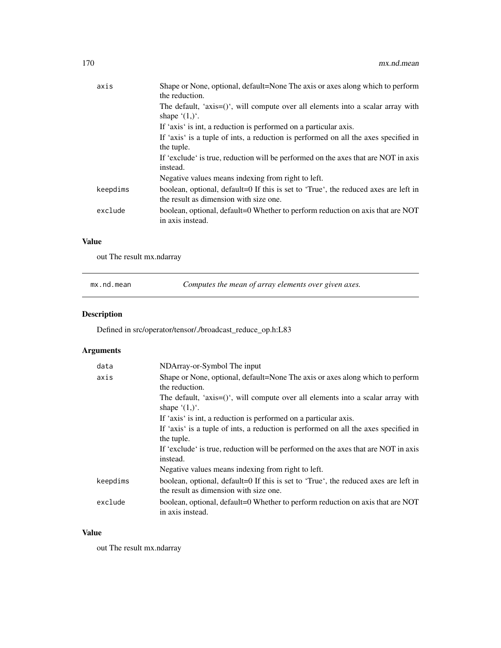| The default, 'axis= $()$ ', will compute over all elements into a scalar array with<br>shape $(1,)^{\prime}$ .<br>If 'axis' is int, a reduction is performed on a particular axis.<br>If 'axis' is a tuple of ints, a reduction is performed on all the axes specified in<br>the tuple.<br>If 'exclude' is true, reduction will be performed on the axes that are NOT in axis<br>instead.<br>Negative values means indexing from right to left.<br>keepdims<br>boolean, optional, default=0 If this is set to 'True', the reduced axes are left in<br>the result as dimension with size one.<br>boolean, optional, default=0 Whether to perform reduction on axis that are NOT<br>exclude | axis | Shape or None, optional, default=None The axis or axes along which to perform<br>the reduction. |
|-------------------------------------------------------------------------------------------------------------------------------------------------------------------------------------------------------------------------------------------------------------------------------------------------------------------------------------------------------------------------------------------------------------------------------------------------------------------------------------------------------------------------------------------------------------------------------------------------------------------------------------------------------------------------------------------|------|-------------------------------------------------------------------------------------------------|
|                                                                                                                                                                                                                                                                                                                                                                                                                                                                                                                                                                                                                                                                                           |      |                                                                                                 |
|                                                                                                                                                                                                                                                                                                                                                                                                                                                                                                                                                                                                                                                                                           |      |                                                                                                 |
|                                                                                                                                                                                                                                                                                                                                                                                                                                                                                                                                                                                                                                                                                           |      |                                                                                                 |
|                                                                                                                                                                                                                                                                                                                                                                                                                                                                                                                                                                                                                                                                                           |      |                                                                                                 |
|                                                                                                                                                                                                                                                                                                                                                                                                                                                                                                                                                                                                                                                                                           |      |                                                                                                 |
|                                                                                                                                                                                                                                                                                                                                                                                                                                                                                                                                                                                                                                                                                           |      |                                                                                                 |
|                                                                                                                                                                                                                                                                                                                                                                                                                                                                                                                                                                                                                                                                                           |      |                                                                                                 |
|                                                                                                                                                                                                                                                                                                                                                                                                                                                                                                                                                                                                                                                                                           |      | in axis instead.                                                                                |

# Value

out The result mx.ndarray

| Computes the mean of array elements over given axes.<br>mx.nd.mean |  |
|--------------------------------------------------------------------|--|
|--------------------------------------------------------------------|--|

# Description

Defined in src/operator/tensor/./broadcast\_reduce\_op.h:L83

# Arguments

| data     | NDArray-or-Symbol The input                                                                                                   |
|----------|-------------------------------------------------------------------------------------------------------------------------------|
| axis     | Shape or None, optional, default=None The axis or axes along which to perform<br>the reduction.                               |
|          | The default, 'axis= $()$ ', will compute over all elements into a scalar array with<br>shape $(1,)^{\prime}$ .                |
|          | If 'axis' is int, a reduction is performed on a particular axis.                                                              |
|          | If 'axis' is a tuple of ints, a reduction is performed on all the axes specified in                                           |
|          | the tuple.                                                                                                                    |
|          | If 'exclude' is true, reduction will be performed on the axes that are NOT in axis<br>instead.                                |
|          | Negative values means indexing from right to left.                                                                            |
| keepdims | boolean, optional, default=0 If this is set to 'True', the reduced axes are left in<br>the result as dimension with size one. |
| exclude  | boolean, optional, default=0 Whether to perform reduction on axis that are NOT<br>in axis instead.                            |

## Value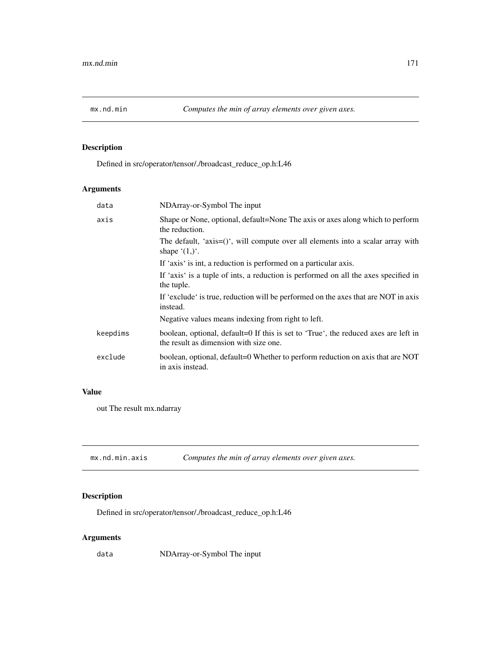# Description

Defined in src/operator/tensor/./broadcast\_reduce\_op.h:L46

# Arguments

| data     | NDArray-or-Symbol The input                                                                                                   |
|----------|-------------------------------------------------------------------------------------------------------------------------------|
| axis     | Shape or None, optional, default=None The axis or axes along which to perform<br>the reduction.                               |
|          | The default, 'axis= $()$ ', will compute over all elements into a scalar array with<br>shape $(1,)^{\prime}$ .                |
|          | If 'axis' is int, a reduction is performed on a particular axis.                                                              |
|          | If 'axis' is a tuple of ints, a reduction is performed on all the axes specified in<br>the tuple.                             |
|          | If 'exclude' is true, reduction will be performed on the axes that are NOT in axis<br>instead.                                |
|          | Negative values means indexing from right to left.                                                                            |
| keepdims | boolean, optional, default=0 If this is set to 'True', the reduced axes are left in<br>the result as dimension with size one. |
| exclude  | boolean, optional, default=0 Whether to perform reduction on axis that are NOT<br>in axis instead.                            |
|          |                                                                                                                               |

## Value

out The result mx.ndarray

| mx.nd.min.axis |  | Computes the min of array elements over given axes. |
|----------------|--|-----------------------------------------------------|
|----------------|--|-----------------------------------------------------|

# Description

Defined in src/operator/tensor/./broadcast\_reduce\_op.h:L46

# Arguments

data NDArray-or-Symbol The input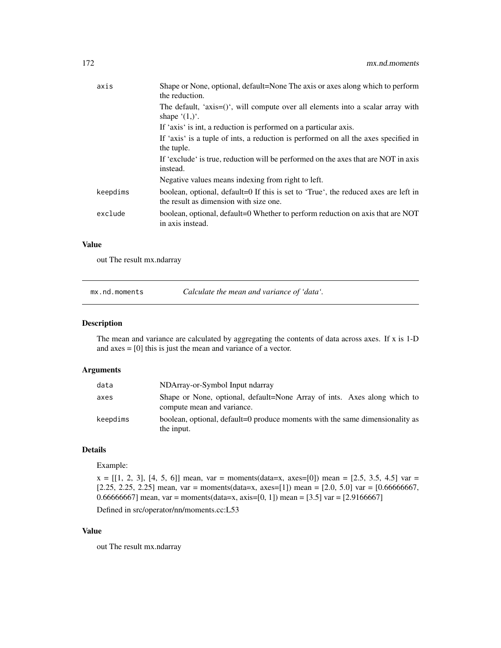| axis     | Shape or None, optional, default=None The axis or axes along which to perform<br>the reduction.                               |
|----------|-------------------------------------------------------------------------------------------------------------------------------|
|          | The default, 'axis= $()$ ', will compute over all elements into a scalar array with<br>shape $(1,)^{\prime}$ .                |
|          | If 'axis' is int, a reduction is performed on a particular axis.                                                              |
|          | If 'axis' is a tuple of ints, a reduction is performed on all the axes specified in<br>the tuple.                             |
|          | If 'exclude' is true, reduction will be performed on the axes that are NOT in axis<br>instead.                                |
|          | Negative values means indexing from right to left.                                                                            |
| keepdims | boolean, optional, default=0 If this is set to 'True', the reduced axes are left in<br>the result as dimension with size one. |
| exclude  | boolean, optional, default=0 Whether to perform reduction on axis that are NOT<br>in axis instead.                            |
|          |                                                                                                                               |

## Value

out The result mx.ndarray

mx.nd.moments *Calculate the mean and variance of 'data'.*

#### Description

The mean and variance are calculated by aggregating the contents of data across axes. If x is 1-D and axes = [0] this is just the mean and variance of a vector.

## Arguments

| data     | NDArray-or-Symbol Input ndarray                                                                        |
|----------|--------------------------------------------------------------------------------------------------------|
| axes     | Shape or None, optional, default=None Array of ints. Axes along which to<br>compute mean and variance. |
| keepdims | boolean, optional, default=0 produce moments with the same dimensionality as<br>the input.             |

# Details

Example:

 $x = [[1, 2, 3], [4, 5, 6]]$  mean, var = moments(data=x, axes=[0]) mean = [2.5, 3.5, 4.5] var = [2.25, 2.25, 2.25] mean, var = moments(data=x, axes=[1]) mean = [2.0, 5.0] var = [0.66666667, 0.66666667] mean, var = moments(data=x, axis=[0, 1]) mean = [3.5] var = [2.9166667]

Defined in src/operator/nn/moments.cc:L53

## Value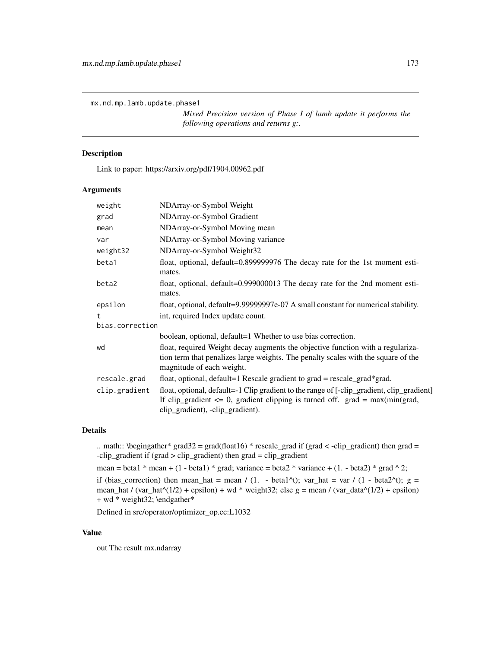mx.nd.mp.lamb.update.phase1

*Mixed Precision version of Phase I of lamb update it performs the following operations and returns g:.*

# Description

Link to paper: https://arxiv.org/pdf/1904.00962.pdf

#### Arguments

| weight          | NDArray-or-Symbol Weight                                                                                                                                                                                           |  |
|-----------------|--------------------------------------------------------------------------------------------------------------------------------------------------------------------------------------------------------------------|--|
| grad            | NDArray-or-Symbol Gradient                                                                                                                                                                                         |  |
| mean            | NDArray-or-Symbol Moving mean                                                                                                                                                                                      |  |
| var             | NDArray-or-Symbol Moving variance                                                                                                                                                                                  |  |
| weight32        | NDArray-or-Symbol Weight32                                                                                                                                                                                         |  |
| beta1           | float, optional, default=0.899999976 The decay rate for the 1st moment esti-<br>mates.                                                                                                                             |  |
| beta2           | float, optional, default=0.999000013 The decay rate for the 2nd moment esti-<br>mates.                                                                                                                             |  |
| epsilon         | float, optional, default=9.99999997e-07 A small constant for numerical stability.                                                                                                                                  |  |
| t.              | int, required Index update count.                                                                                                                                                                                  |  |
| bias.correction |                                                                                                                                                                                                                    |  |
|                 | boolean, optional, default=1 Whether to use bias correction.                                                                                                                                                       |  |
| wd              | float, required Weight decay augments the objective function with a regulariza-<br>tion term that penalizes large weights. The penalty scales with the square of the<br>magnitude of each weight.                  |  |
| rescale.grad    | float, optional, default=1 Rescale gradient to $grad = rescale\_grad*grad$ .                                                                                                                                       |  |
| clip.gradient   | float, optional, default=-1 Clip gradient to the range of [-clip_gradient, clip_gradient]<br>If clip_gradient $\leq 0$ , gradient clipping is turned off. grad = max(min(grad,<br>clip_gradient), -clip_gradient). |  |

## Details

.. math:: \begingather\* grad32 = grad(float16) \* rescale\_grad if (grad < -clip\_gradient) then grad = -clip\_gradient if (grad > clip\_gradient) then grad = clip\_gradient

```
mean = beta1 * mean + (1 - beta1) * grad; variance = beta2 * variance + (1. - beta2) * grad \wedge 2;
```
if (bias\_correction) then mean\_hat = mean / (1. - beta1^t); var\_hat = var / (1 - beta2^t); g = mean\_hat / (var\_hat $\land$ (1/2) + epsilon) + wd \* weight32; else g = mean / (var\_data $\land$ (1/2) + epsilon) + wd \* weight32; \endgather\*

Defined in src/operator/optimizer\_op.cc:L1032

#### Value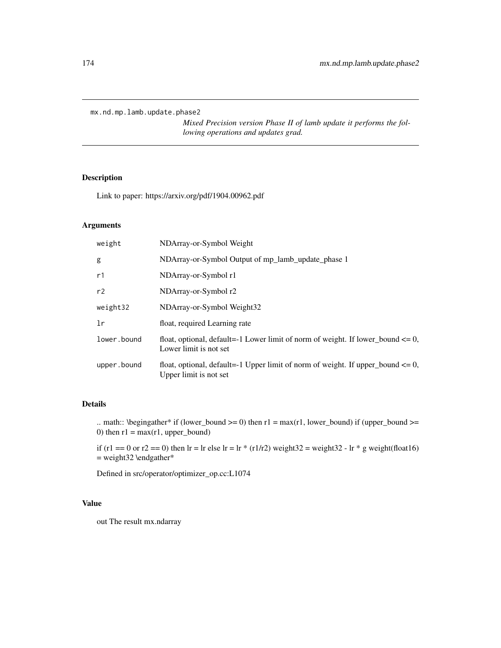mx.nd.mp.lamb.update.phase2

*Mixed Precision version Phase II of lamb update it performs the following operations and updates grad.*

## Description

Link to paper: https://arxiv.org/pdf/1904.00962.pdf

## Arguments

| weight      | NDArray-or-Symbol Weight                                                                                       |
|-------------|----------------------------------------------------------------------------------------------------------------|
| g           | NDArray-or-Symbol Output of mp_lamb_update_phase 1                                                             |
| r1          | NDArray-or-Symbol r1                                                                                           |
| r2          | NDArray-or-Symbol r2                                                                                           |
| weight32    | NDArray-or-Symbol Weight32                                                                                     |
| 1r          | float, required Learning rate                                                                                  |
| lower.bound | float, optional, default=-1 Lower limit of norm of weight. If lower bound $\leq 0$ ,<br>Lower limit is not set |
| upper.bound | float, optional, default=-1 Upper limit of norm of weight. If upper_bound $\leq 0$ ,<br>Upper limit is not set |

## Details

.. math:: \begingather\* if (lower\_bound >= 0) then  $r1 = max(r1, lower\_bound)$  if (upper\_bound >= 0) then  $r1 = max(r1, upper\_bound)$ 

if (r1 == 0 or r2 == 0) then lr = lr else lr = lr \* (r1/r2) weight32 = weight32 - lr \* g weight(float16)  $=$  weight 32 \endgather\*

Defined in src/operator/optimizer\_op.cc:L1074

#### Value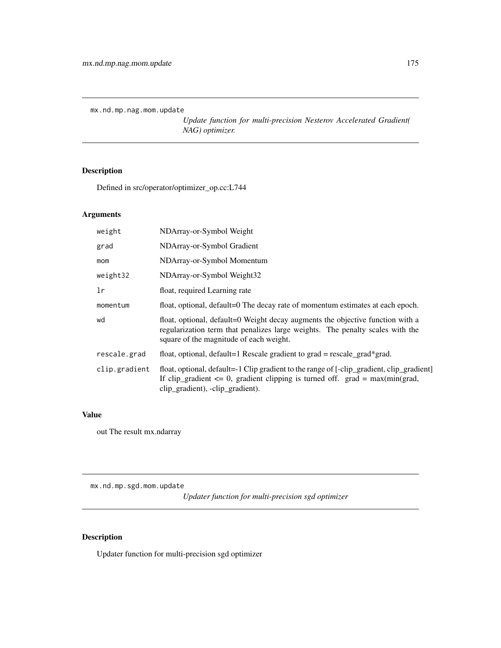mx.nd.mp.nag.mom.update

*Update function for multi-precision Nesterov Accelerated Gradient( NAG) optimizer.*

# Description

Defined in src/operator/optimizer\_op.cc:L744

## Arguments

| weight        | NDArray-or-Symbol Weight                                                                                                                                                                                           |
|---------------|--------------------------------------------------------------------------------------------------------------------------------------------------------------------------------------------------------------------|
| grad          | NDArray-or-Symbol Gradient                                                                                                                                                                                         |
| mom           | NDArray-or-Symbol Momentum                                                                                                                                                                                         |
| weight32      | NDArray-or-Symbol Weight32                                                                                                                                                                                         |
| 1r            | float, required Learning rate                                                                                                                                                                                      |
| momentum      | float, optional, default=0 The decay rate of momentum estimates at each epoch.                                                                                                                                     |
| wd            | float, optional, default=0 Weight decay augments the objective function with a<br>regularization term that penalizes large weights. The penalty scales with the<br>square of the magnitude of each weight.         |
| rescale.grad  | float, optional, default=1 Rescale gradient to grad = rescale_grad*grad.                                                                                                                                           |
| clip.gradient | float, optional, default=-1 Clip gradient to the range of [-clip_gradient, clip_gradient]<br>If clip_gradient $\leq 0$ , gradient clipping is turned off. grad = max(min(grad,<br>clip_gradient), -clip_gradient). |

# Value

out The result mx.ndarray

mx.nd.mp.sgd.mom.update

*Updater function for multi-precision sgd optimizer*

# Description

Updater function for multi-precision sgd optimizer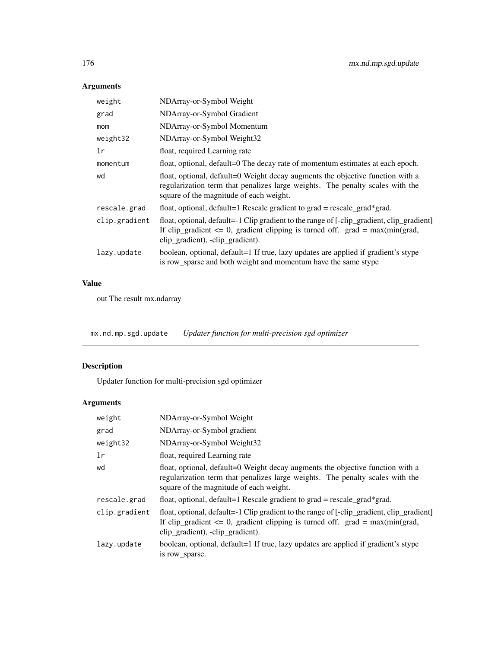# Arguments

| weight        | NDArray-or-Symbol Weight                                                                                                                                                                                           |
|---------------|--------------------------------------------------------------------------------------------------------------------------------------------------------------------------------------------------------------------|
| grad          | NDArray-or-Symbol Gradient                                                                                                                                                                                         |
| mom           | NDArray-or-Symbol Momentum                                                                                                                                                                                         |
| weight32      | NDArray-or-Symbol Weight32                                                                                                                                                                                         |
| 1r            | float, required Learning rate                                                                                                                                                                                      |
| momentum      | float, optional, default=0 The decay rate of momentum estimates at each epoch.                                                                                                                                     |
| wd            | float, optional, default=0 Weight decay augments the objective function with a<br>regularization term that penalizes large weights. The penalty scales with the<br>square of the magnitude of each weight.         |
| rescale.grad  | float, optional, default=1 Rescale gradient to $grad = rescale\_grad*grad$ .                                                                                                                                       |
| clip.gradient | float, optional, default=-1 Clip gradient to the range of [-clip_gradient, clip_gradient]<br>If clip_gradient $\leq 0$ , gradient clipping is turned off. grad = max(min(grad,<br>clip_gradient), -clip_gradient). |
| lazy.update   | boolean, optional, default=1 If true, lazy updates are applied if gradient's stype<br>is row_sparse and both weight and momentum have the same stype                                                               |

# Value

out The result mx.ndarray

mx.nd.mp.sgd.update *Updater function for multi-precision sgd optimizer*

# Description

Updater function for multi-precision sgd optimizer

| weight        | NDArray-or-Symbol Weight                                                                                                                                                                                           |
|---------------|--------------------------------------------------------------------------------------------------------------------------------------------------------------------------------------------------------------------|
| grad          | NDArray-or-Symbol gradient                                                                                                                                                                                         |
| weight32      | NDArray-or-Symbol Weight32                                                                                                                                                                                         |
| 1r            | float, required Learning rate                                                                                                                                                                                      |
| wd            | float, optional, default=0 Weight decay augments the objective function with a<br>regularization term that penalizes large weights. The penalty scales with the<br>square of the magnitude of each weight.         |
| rescale.grad  | float, optional, default=1 Rescale gradient to grad = rescale_grad*grad.                                                                                                                                           |
| clip.gradient | float, optional, default=-1 Clip gradient to the range of [-clip_gradient, clip_gradient]<br>If clip_gradient $\leq 0$ , gradient clipping is turned off. grad = max(min(grad,<br>clip_gradient), -clip_gradient). |
| lazy.update   | boolean, optional, default=1 If true, lazy updates are applied if gradient's stype<br>is row sparse.                                                                                                               |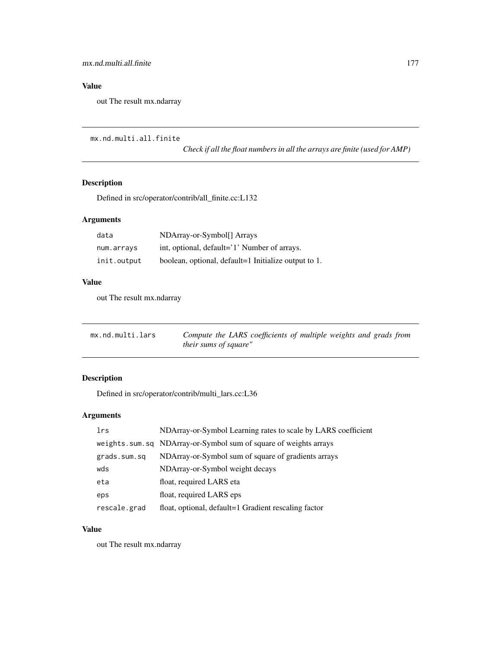# Value

out The result mx.ndarray

```
mx.nd.multi.all.finite
```
*Check if all the float numbers in all the arrays are finite (used for AMP)*

# Description

Defined in src/operator/contrib/all\_finite.cc:L132

## Arguments

| data        | NDArray-or-Symbol[] Arrays                           |
|-------------|------------------------------------------------------|
| num.arrays  | int, optional, default='1' Number of arrays.         |
| init.output | boolean, optional, default=1 Initialize output to 1. |

# Value

out The result mx.ndarray

| mx.nd.multi.lars | Compute the LARS coefficients of multiple weights and grads from |
|------------------|------------------------------------------------------------------|
|                  | <i>their sums of square"</i>                                     |

# Description

Defined in src/operator/contrib/multi\_lars.cc:L36

# Arguments

| lrs          | NDArray-or-Symbol Learning rates to scale by LARS coefficient    |
|--------------|------------------------------------------------------------------|
|              | weights.sum.sq NDArray-or-Symbol sum of square of weights arrays |
| grads.sum.sq | NDArray-or-Symbol sum of square of gradients arrays              |
| wds          | NDArray-or-Symbol weight decays                                  |
| eta          | float, required LARS eta                                         |
| eps          | float, required LARS eps.                                        |
| rescale.grad | float, optional, default=1 Gradient rescaling factor             |

## Value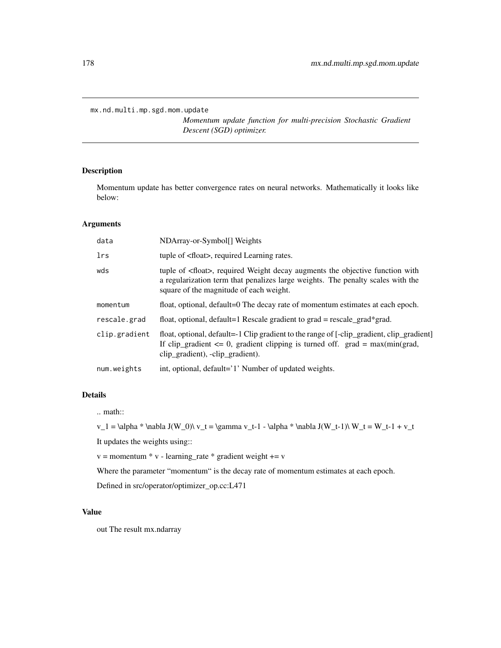mx.nd.multi.mp.sgd.mom.update

*Momentum update function for multi-precision Stochastic Gradient Descent (SGD) optimizer.*

## Description

Momentum update has better convergence rates on neural networks. Mathematically it looks like below:

#### Arguments

| data          | NDArray-or-Symbol[] Weights                                                                                                                                                                                          |
|---------------|----------------------------------------------------------------------------------------------------------------------------------------------------------------------------------------------------------------------|
| lrs           | tuple of <float>, required Learning rates.</float>                                                                                                                                                                   |
| wds           | tuple of <float>, required Weight decay augments the objective function with<br/>a regularization term that penalizes large weights. The penalty scales with the<br/>square of the magnitude of each weight.</float> |
| momentum      | float, optional, default=0 The decay rate of momentum estimates at each epoch.                                                                                                                                       |
| rescale.grad  | float, optional, default=1 Rescale gradient to $grad = rescale\_grad*grad$ .                                                                                                                                         |
| clip.gradient | float, optional, default=-1 Clip gradient to the range of [-clip_gradient, clip_gradient]<br>If clip_gradient $\leq 0$ , gradient clipping is turned off. grad = max(min(grad,<br>clip_gradient), -clip_gradient).   |
| num.weights   | int, optional, default='1' Number of updated weights.                                                                                                                                                                |

## Details

.. math::

v\_1 = \alpha \* \nabla J(W\_0)\ v\_t = \gamma v\_t-1 - \alpha \* \nabla J(W\_t-1)\ W\_t = W\_t-1 + v\_t

It updates the weights using::

 $v =$  momentum  $* v$  - learning\_rate  $*$  gradient weight  $+= v$ 

Where the parameter "momentum" is the decay rate of momentum estimates at each epoch.

Defined in src/operator/optimizer\_op.cc:L471

## Value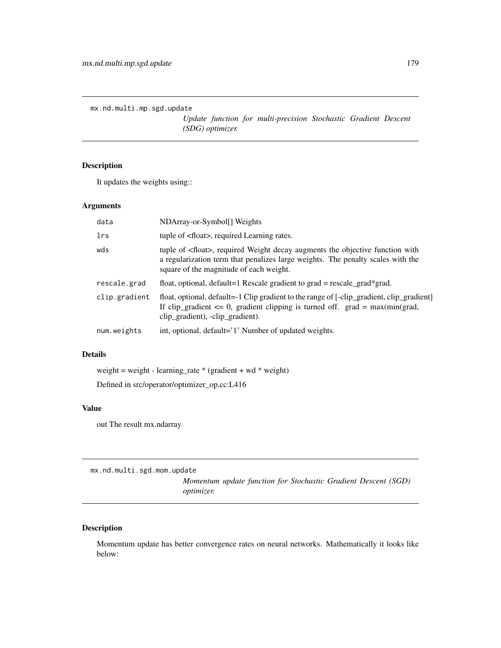```
mx.nd.multi.mp.sgd.update
```
*Update function for multi-precision Stochastic Gradient Descent (SDG) optimizer.*

# Description

It updates the weights using::

## Arguments

| data          | NDArray-or-Symbol[] Weights                                                                                                                                                                                          |
|---------------|----------------------------------------------------------------------------------------------------------------------------------------------------------------------------------------------------------------------|
| lrs           | tuple of <float>, required Learning rates.</float>                                                                                                                                                                   |
| wds           | tuple of <float>, required Weight decay augments the objective function with<br/>a regularization term that penalizes large weights. The penalty scales with the<br/>square of the magnitude of each weight.</float> |
| rescale.grad  | float, optional, default=1 Rescale gradient to $grad = rescale\_grad*grad$ .                                                                                                                                         |
| clip.gradient | float, optional, default=-1 Clip gradient to the range of [-clip_gradient, clip_gradient]<br>If clip_gradient $\leq 0$ , gradient clipping is turned off. grad = max(min(grad,<br>clip_gradient), -clip_gradient).   |
| num.weights   | int, optional, default='1' Number of updated weights.                                                                                                                                                                |

#### Details

weight = weight - learning\_rate \* (gradient + wd \* weight)

Defined in src/operator/optimizer\_op.cc:L416

#### Value

out The result mx.ndarray

mx.nd.multi.sgd.mom.update

*Momentum update function for Stochastic Gradient Descent (SGD) optimizer.*

# Description

Momentum update has better convergence rates on neural networks. Mathematically it looks like below: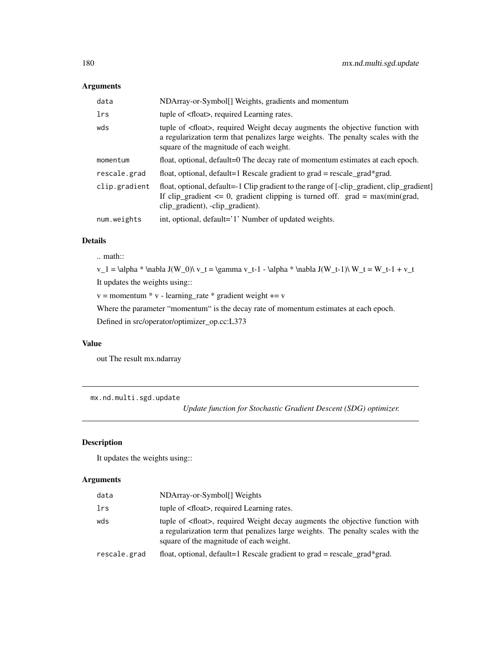## Arguments

| data          | NDArray-or-Symbol[] Weights, gradients and momentum                                                                                                                                                                  |
|---------------|----------------------------------------------------------------------------------------------------------------------------------------------------------------------------------------------------------------------|
| <b>lrs</b>    | tuple of <float>, required Learning rates.</float>                                                                                                                                                                   |
| wds           | tuple of <float>, required Weight decay augments the objective function with<br/>a regularization term that penalizes large weights. The penalty scales with the<br/>square of the magnitude of each weight.</float> |
| momentum      | float, optional, default=0 The decay rate of momentum estimates at each epoch.                                                                                                                                       |
| rescale.grad  | float, optional, default=1 Rescale gradient to $grad = rescale\_grad*grad$ .                                                                                                                                         |
| clip.gradient | float, optional, default=-1 Clip gradient to the range of [-clip_gradient, clip_gradient]<br>If clip_gradient $\leq 0$ , gradient clipping is turned off. grad = max(min(grad,<br>clip_gradient), -clip_gradient).   |
| num.weights   | int, optional, default='1' Number of updated weights.                                                                                                                                                                |

# Details

.. math::

v\_1 = \alpha \* \nabla J(W\_0)\ v\_t = \gamma v\_t-1 - \alpha \* \nabla J(W\_t-1)\ W\_t = W\_t-1 + v\_t

It updates the weights using::

```
v = momentum * v - learning_rate * gradient weight += v
```
Where the parameter "momentum" is the decay rate of momentum estimates at each epoch.

Defined in src/operator/optimizer\_op.cc:L373

## Value

out The result mx.ndarray

mx.nd.multi.sgd.update

*Update function for Stochastic Gradient Descent (SDG) optimizer.*

## Description

It updates the weights using::

| data         | NDArray-or-Symbol[] Weights                                                                                                                                                                                          |
|--------------|----------------------------------------------------------------------------------------------------------------------------------------------------------------------------------------------------------------------|
| lrs          | tuple of <float>, required Learning rates.</float>                                                                                                                                                                   |
| wds          | tuple of <float>, required Weight decay augments the objective function with<br/>a regularization term that penalizes large weights. The penalty scales with the<br/>square of the magnitude of each weight.</float> |
| rescale.grad | float, optional, default=1 Rescale gradient to grad = rescale grad*grad.                                                                                                                                             |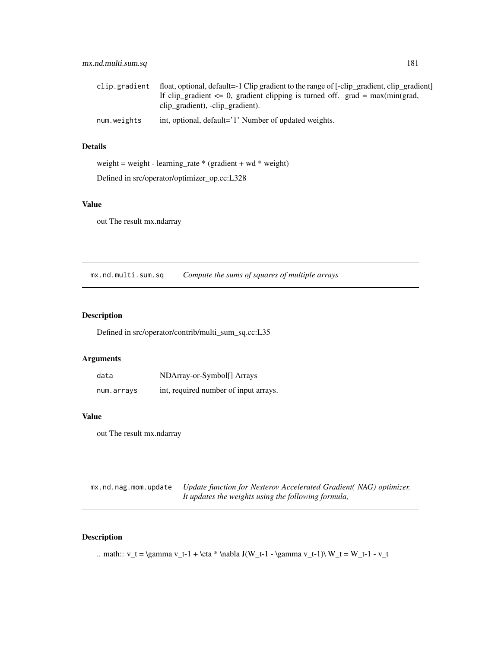| clip.gradient | float, optional, default=-1 Clip gradient to the range of [-clip_gradient, clip_gradient]<br>If clip_gradient $\leq 0$ , gradient clipping is turned off. grad = max(min(grad, |
|---------------|--------------------------------------------------------------------------------------------------------------------------------------------------------------------------------|
|               | clip gradient), -clip gradient).                                                                                                                                               |
| num.weights   | int, optional, default='1' Number of updated weights.                                                                                                                          |

## Details

weight = weight - learning\_rate \* (gradient + wd \* weight) Defined in src/operator/optimizer\_op.cc:L328

## Value

out The result mx.ndarray

mx.nd.multi.sum.sq *Compute the sums of squares of multiple arrays*

## Description

Defined in src/operator/contrib/multi\_sum\_sq.cc:L35

## Arguments

| data       | NDArray-or-Symbol[] Arrays            |
|------------|---------------------------------------|
| num.arrays | int, required number of input arrays. |

#### Value

out The result mx.ndarray

mx.nd.nag.mom.update *Update function for Nesterov Accelerated Gradient( NAG) optimizer. It updates the weights using the following formula,*

## Description

```
.. math:: v_t = \gamma v_t - 1 + \eta * \nabla J(W_t - 1 - \gamma v_t - 1)\nW_t = W_t - 1 - v_t
```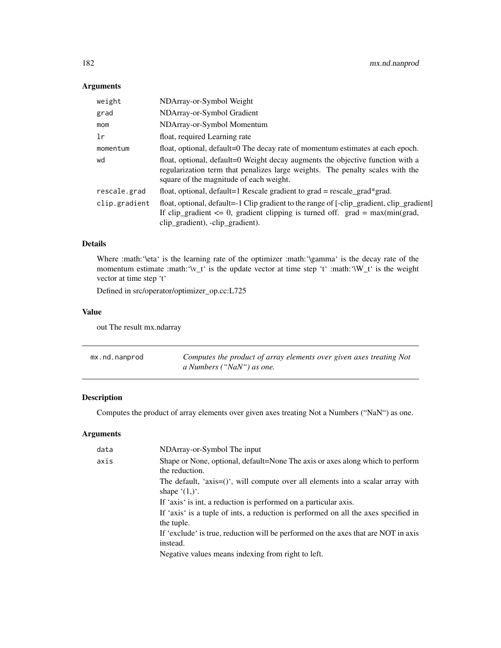## Arguments

| weight        | NDArray-or-Symbol Weight                                                                                                                                                                                           |
|---------------|--------------------------------------------------------------------------------------------------------------------------------------------------------------------------------------------------------------------|
| grad          | NDArray-or-Symbol Gradient                                                                                                                                                                                         |
| mom           | NDArray-or-Symbol Momentum                                                                                                                                                                                         |
| 1r            | float, required Learning rate                                                                                                                                                                                      |
| momentum      | float, optional, default=0 The decay rate of momentum estimates at each epoch.                                                                                                                                     |
| wd            | float, optional, default=0 Weight decay augments the objective function with a<br>regularization term that penalizes large weights. The penalty scales with the<br>square of the magnitude of each weight.         |
| rescale.grad  | float, optional, default=1 Rescale gradient to $grad = rescale\_grad*grad$ .                                                                                                                                       |
| clip.gradient | float, optional, default=-1 Clip gradient to the range of [-clip_gradient, clip_gradient]<br>If clip_gradient $\leq 0$ , gradient clipping is turned off. grad = max(min(grad,<br>clip_gradient), -clip_gradient). |

## Details

Where :math:'\eta' is the learning rate of the optimizer :math:'\gamma' is the decay rate of the momentum estimate :math:'\v\_t' is the update vector at time step 't' :math:'\W\_t' is the weight vector at time step 't'

Defined in src/operator/optimizer\_op.cc:L725

## Value

out The result mx.ndarray

| mx.nd.nanprod | Computes the product of array elements over given axes treating Not |
|---------------|---------------------------------------------------------------------|
|               | a Numbers ("NaN") as one.                                           |

## Description

Computes the product of array elements over given axes treating Not a Numbers ("NaN") as one.

| data | NDArray-or-Symbol The input                                                                                    |
|------|----------------------------------------------------------------------------------------------------------------|
| axis | Shape or None, optional, default=None The axis or axes along which to perform<br>the reduction.                |
|      | The default, 'axis= $()$ ', will compute over all elements into a scalar array with<br>shape $(1,)^{\prime}$ . |
|      | If 'axis' is int, a reduction is performed on a particular axis.                                               |
|      | If 'axis' is a tuple of ints, a reduction is performed on all the axes specified in<br>the tuple.              |
|      | If 'exclude' is true, reduction will be performed on the axes that are NOT in axis<br>instead.                 |
|      | Negative values means indexing from right to left.                                                             |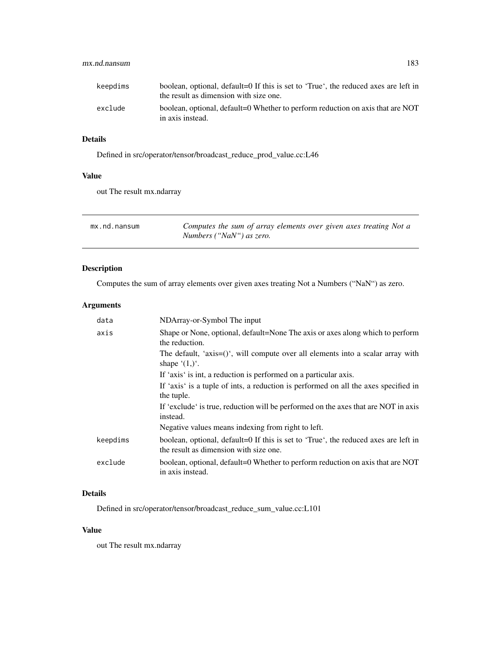| keepdims | boolean, optional, default=0 If this is set to 'True', the reduced axes are left in<br>the result as dimension with size one. |
|----------|-------------------------------------------------------------------------------------------------------------------------------|
| exclude  | boolean, optional, default=0 Whether to perform reduction on axis that are NOT<br>in axis instead.                            |

## Details

Defined in src/operator/tensor/broadcast\_reduce\_prod\_value.cc:L46

## Value

out The result mx.ndarray

| mx.nd.nansum | Computes the sum of array elements over given axes treating Not a |
|--------------|-------------------------------------------------------------------|
|              | Numbers ("NaN") as zero.                                          |

## Description

Computes the sum of array elements over given axes treating Not a Numbers ("NaN") as zero.

## Arguments

| NDArray-or-Symbol The input                                                                                                   |
|-------------------------------------------------------------------------------------------------------------------------------|
| Shape or None, optional, default=None The axis or axes along which to perform<br>the reduction.                               |
| The default, 'axis= $()$ ', will compute over all elements into a scalar array with<br>shape $(1,)^{\prime}$ .                |
| If 'axis' is int, a reduction is performed on a particular axis.                                                              |
| If 'axis' is a tuple of ints, a reduction is performed on all the axes specified in<br>the tuple.                             |
| If 'exclude' is true, reduction will be performed on the axes that are NOT in axis<br>instead.                                |
| Negative values means indexing from right to left.                                                                            |
| boolean, optional, default=0 If this is set to 'True', the reduced axes are left in<br>the result as dimension with size one. |
| boolean, optional, default=0 Whether to perform reduction on axis that are NOT<br>in axis instead.                            |
|                                                                                                                               |

## Details

Defined in src/operator/tensor/broadcast\_reduce\_sum\_value.cc:L101

## Value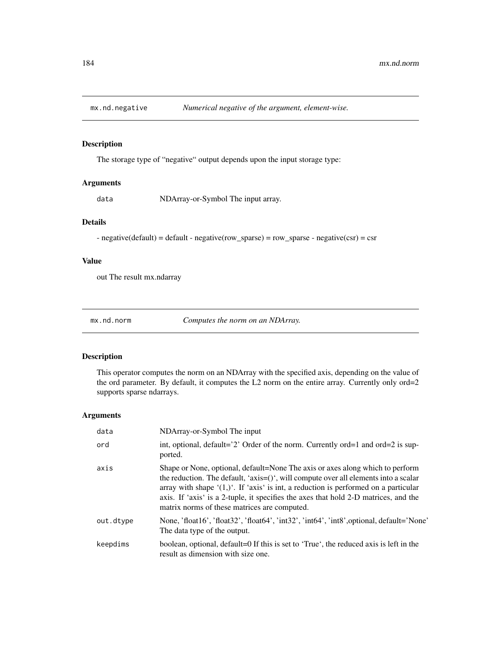The storage type of "negative" output depends upon the input storage type:

## Arguments

data NDArray-or-Symbol The input array.

## Details

- negative(default) = default - negative(row\_sparse) = row\_sparse - negative(csr) = csr

## Value

out The result mx.ndarray

mx.nd.norm *Computes the norm on an NDArray.*

#### Description

This operator computes the norm on an NDArray with the specified axis, depending on the value of the ord parameter. By default, it computes the L2 norm on the entire array. Currently only ord=2 supports sparse ndarrays.

| data      | NDArray-or-Symbol The input                                                                                                                                                                                                                                                                                                                                                                                 |
|-----------|-------------------------------------------------------------------------------------------------------------------------------------------------------------------------------------------------------------------------------------------------------------------------------------------------------------------------------------------------------------------------------------------------------------|
| ord       | int, optional, default= $2$ ? Order of the norm. Currently ord=1 and ord=2 is sup-<br>ported.                                                                                                                                                                                                                                                                                                               |
| axis      | Shape or None, optional, default=None The axis or axes along which to perform<br>the reduction. The default, 'axis= $()$ ', will compute over all elements into a scalar<br>array with shape $(1,)^{t}$ . If 'axis' is int, a reduction is performed on a particular<br>axis. If 'axis' is a 2-tuple, it specifies the axes that hold 2-D matrices, and the<br>matrix norms of these matrices are computed. |
| out.dtype | None, 'float16', 'float32', 'float64', 'int32', 'int64', 'int8', optional, default='None'<br>The data type of the output.                                                                                                                                                                                                                                                                                   |
| keepdims  | boolean, optional, default=0 If this is set to 'True', the reduced axis is left in the<br>result as dimension with size one.                                                                                                                                                                                                                                                                                |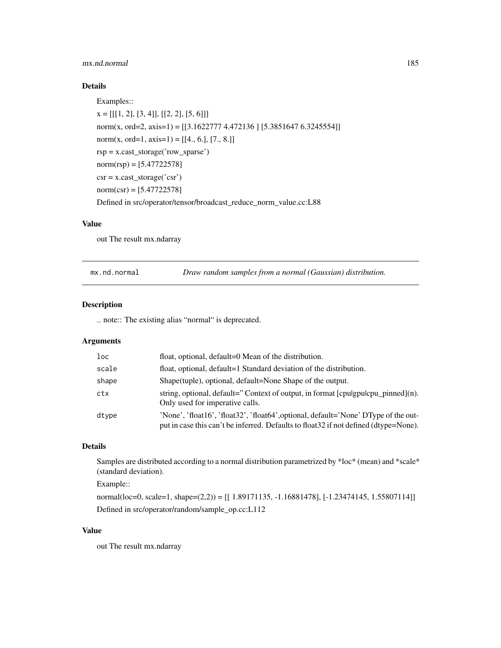## mx.nd.normal 185

## Details

```
Examples::
x = [[[1, 2], [3, 4]], [[2, 2], [5, 6]]]
```

```
norm(x, ord=2, axis=1) = [[3.1622777 4.472136] [5.3851647 6.3245554]]
norm(x, ord=1, axis=1) = [[4., 6.], [7., 8.]]rsp = x.cast_storage('row_sparse')
norm(rsp) = [5.47722578]\text{csr} = \text{x}.\text{cast\_storage}('\text{csr'})norm(csr) = [5.47722578]Defined in src/operator/tensor/broadcast_reduce_norm_value.cc:L88
```
#### Value

out The result mx.ndarray

mx.nd.normal *Draw random samples from a normal (Gaussian) distribution.*

#### Description

.. note:: The existing alias "normal" is deprecated.

#### Arguments

| $1$ oc | float, optional, default=0 Mean of the distribution.                                                                                                                         |
|--------|------------------------------------------------------------------------------------------------------------------------------------------------------------------------------|
| scale  | float, optional, default=1 Standard deviation of the distribution.                                                                                                           |
| shape  | Shape (tuple), optional, default=None Shape of the output.                                                                                                                   |
| ctx    | string, optional, default="Context of output, in format [cpulgpulcpu_pinned](n).<br>Only used for imperative calls.                                                          |
| dtype  | 'None', 'float16', 'float32', 'float64', optional, default='None' DType of the out-<br>put in case this can't be inferred. Defaults to float 32 if not defined (dtype=None). |

## Details

Samples are distributed according to a normal distribution parametrized by \*loc\* (mean) and \*scale\* (standard deviation).

Example::

normal(loc=0, scale=1, shape=(2,2)) = [[ 1.89171135, -1.16881478], [-1.23474145, 1.55807114]] Defined in src/operator/random/sample\_op.cc:L112

#### Value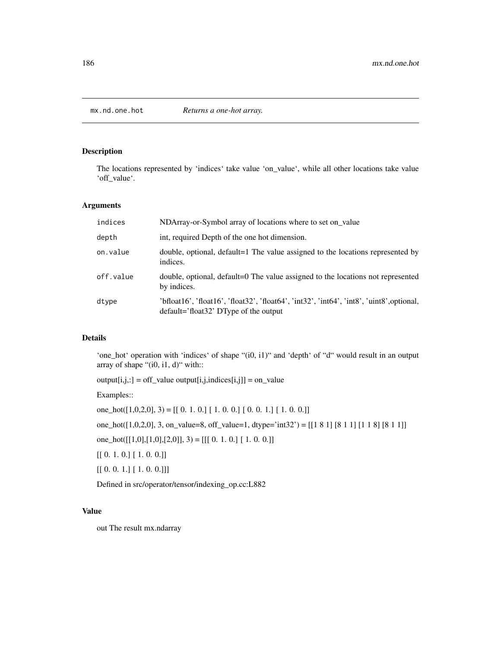The locations represented by 'indices' take value 'on\_value', while all other locations take value 'off\_value'.

#### Arguments

| indices   | NDArray-or-Symbol array of locations where to set on_value                                                                           |
|-----------|--------------------------------------------------------------------------------------------------------------------------------------|
| depth     | int, required Depth of the one hot dimension.                                                                                        |
| on.value  | double, optional, default=1 The value assigned to the locations represented by<br>indices.                                           |
| off.value | double, optional, default=0 The value assigned to the locations not represented<br>by indices.                                       |
| dtype     | 'bfloat16', 'float16', 'float32', 'float64', 'int32', 'int64', 'int8', 'uint8', optional,<br>$default='float32' DType of the output$ |

## Details

'one\_hot' operation with 'indices' of shape "(i0, i1)" and 'depth' of "d" would result in an output array of shape " $(i0, i1, d)$ " with::

 $output[i,j,:] = off_value output[i,j,indices[i,j]] = on_value$ 

Examples::

one\_hot( $[1,0,2,0]$ , 3) =  $[[ 0. 1. 0.] [ 1. 0. 0.] [ 0. 0. 1.] [ 1. 0. 0.]]$ one\_hot([1,0,2,0], 3, on\_value=8, off\_value=1, dtype='int32') = [[1 8 1] [8 1 1] [1 1 8] [8 1 1]] one\_hot( $[[1,0],[1,0],[2,0]],$  3) =  $[[[ 0. 1. 0.] [ 1. 0. 0.]]]$ [[ 0. 1. 0.] [ 1. 0. 0.]]  $[[ [ 0. 0. 1.] [ 1. 0. 0.]]]$ 

Defined in src/operator/tensor/indexing\_op.cc:L882

#### Value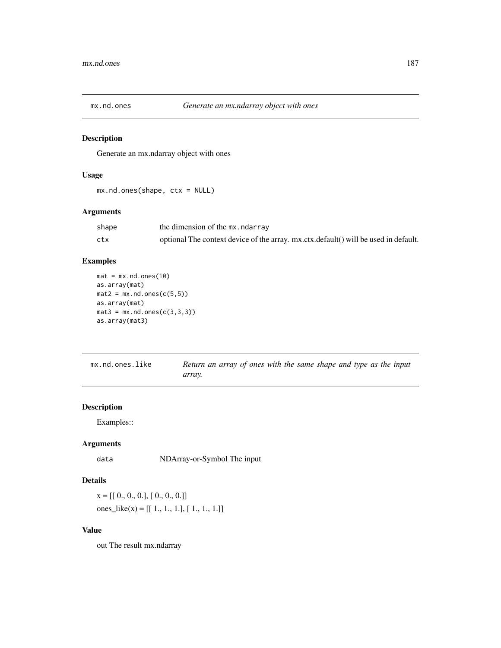Generate an mx.ndarray object with ones

## Usage

```
mx.nd.ones(shape, ctx = NULL)
```
## Arguments

| shape | the dimension of the mx, ndarray                                                    |
|-------|-------------------------------------------------------------------------------------|
| ctx   | optional The context device of the array. mx.ctx.default() will be used in default. |

## Examples

```
mat = mx.nd.ones(10)as.array(mat)
mat2 = mx .nd.ones(c(5,5))as.array(mat)
mat3 = mx .nd.ones(c(3,3,3))as.array(mat3)
```

| mx.nd.ones.like | Return an array of ones with the same shape and type as the input |  |  |  |  |  |
|-----------------|-------------------------------------------------------------------|--|--|--|--|--|
|                 | array.                                                            |  |  |  |  |  |

## Description

Examples::

## Arguments

data NDArray-or-Symbol The input

## Details

 $x = [[0., 0., 0.], [0., 0., 0.]]$ ones\_like(x) =  $[[ 1., 1., 1.], [ 1., 1., 1.]]$ 

## Value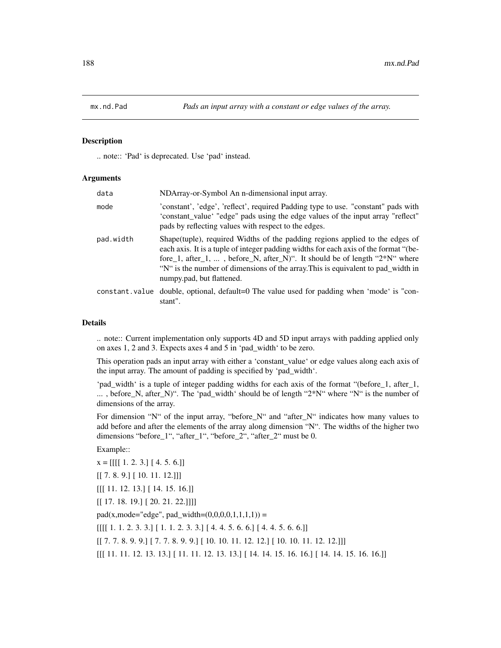.. note:: 'Pad' is deprecated. Use 'pad' instead.

#### Arguments

| data      | NDArray-or-Symbol An n-dimensional input array.                                                                                                                                                                                                                                                                                                                          |
|-----------|--------------------------------------------------------------------------------------------------------------------------------------------------------------------------------------------------------------------------------------------------------------------------------------------------------------------------------------------------------------------------|
| mode      | 'constant', 'edge', 'reflect', required Padding type to use. "constant" pads with<br>'constant_value' "edge" pads using the edge values of the input array "reflect"<br>pads by reflecting values with respect to the edges.                                                                                                                                             |
| pad.width | Shape (tuple), required Widths of the padding regions applied to the edges of<br>each axis. It is a tuple of integer padding widths for each axis of the format "(be-<br>fore_1, after_1, , before_N, after_N)". It should be of length " $2*N$ " where<br>"N" is the number of dimensions of the array. This is equivalent to pad_width in<br>numpy.pad, but flattened. |
|           | constant value double, optional, default=0 The value used for padding when 'mode' is "con-<br>stant".                                                                                                                                                                                                                                                                    |

#### Details

.. note:: Current implementation only supports 4D and 5D input arrays with padding applied only on axes 1, 2 and 3. Expects axes 4 and 5 in 'pad\_width' to be zero.

This operation pads an input array with either a 'constant\_value' or edge values along each axis of the input array. The amount of padding is specified by 'pad\_width'.

'pad\_width' is a tuple of integer padding widths for each axis of the format "(before\_1, after\_1, ... , before\_N, after\_N)". The 'pad\_width' should be of length "2\*N" where "N" is the number of dimensions of the array.

For dimension "N" of the input array, "before\_N" and "after\_N" indicates how many values to add before and after the elements of the array along dimension "N". The widths of the higher two dimensions "before\_1", "after\_1", "before\_2", "after\_2" must be 0.

Example::

 $x = [[[[ 1. 2. 3. ] [ 4. 5. 6.]]]$  $[[ 7. 8. 9.] [ 10. 11. 12.]]]$ [[[ 11. 12. 13.] [ 14. 15. 16.]] [[ 17. 18. 19.] [ 20. 21. 22.]]]]  $pad(x, mode='edge", pad\_width=(0,0,0,0,1,1,1,1)) =$  $[[[[ 1. 1. 2. 3. 3.] [ 1. 1. 2. 3. 3.] [ 4. 4. 5. 6. 6.] [ 4. 4. 5. 6. 6.]]$ [[ 7. 7. 8. 9. 9.] [ 7. 7. 8. 9. 9.] [ 10. 10. 11. 12. 12.] [ 10. 10. 11. 12. 12.]]]

[[[ 11. 11. 12. 13. 13.] [ 11. 11. 12. 13. 13.] [ 14. 14. 15. 16. 16.] [ 14. 14. 15. 16. 16.]]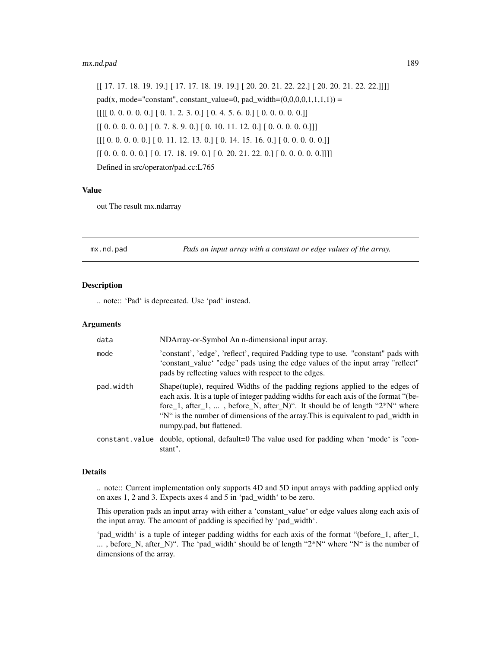#### mx.nd.pad 189

[[ 17. 17. 18. 19. 19.] [ 17. 17. 18. 19. 19.] [ 20. 20. 21. 22. 22.] [ 20. 20. 21. 22. 22.]]]] pad(x, mode="constant", constant\_value=0, pad\_width= $(0,0,0,0,1,1,1,1)$ ) =  $[[[[0. 0. 0. 0. 0. 0.]] [0. 1. 2. 3. 0.]] [0. 4. 5. 6. 0.]] [0. 0. 0. 0. 0.]]$  $[[0. 0. 0. 0. 0.]] [0. 7. 8. 9. 0.] [0. 10. 11. 12. 0.] [0. 0. 0. 0. 0.]]]$  $[[[ 0. 0. 0. 0. 0. ] [ 0. 11. 12. 13. 0. ] [ 0. 14. 15. 16. 0.] [ 0. 0. 0. 0. 0. ]]$  $[[ 0. 0. 0. 0. 0.]  
 [ 0. 17. 18. 19. 0.] [ 0. 20. 21. 22. 0.] [ 0. 0. 0. 0. 0.]]]]$ Defined in src/operator/pad.cc:L765

#### Value

out The result mx.ndarray

mx.nd.pad *Pads an input array with a constant or edge values of the array.*

#### Description

.. note:: 'Pad' is deprecated. Use 'pad' instead.

#### Arguments

| data      | NDArray-or-Symbol An n-dimensional input array.                                                                                                                                                                                                                                                                                                                          |
|-----------|--------------------------------------------------------------------------------------------------------------------------------------------------------------------------------------------------------------------------------------------------------------------------------------------------------------------------------------------------------------------------|
| mode      | 'constant', 'edge', 'reflect', required Padding type to use. "constant" pads with<br>'constant_value' "edge" pads using the edge values of the input array "reflect"<br>pads by reflecting values with respect to the edges.                                                                                                                                             |
| pad.width | Shape (tuple), required Widths of the padding regions applied to the edges of<br>each axis. It is a tuple of integer padding widths for each axis of the format "(be-<br>fore_1, after_1, , before_N, after_N)". It should be of length " $2*N$ " where<br>"N" is the number of dimensions of the array. This is equivalent to pad_width in<br>numpy.pad, but flattened. |
|           | constant value double, optional, default=0 The value used for padding when 'mode' is "con-<br>stant".                                                                                                                                                                                                                                                                    |

#### Details

.. note:: Current implementation only supports 4D and 5D input arrays with padding applied only on axes 1, 2 and 3. Expects axes 4 and 5 in 'pad\_width' to be zero.

This operation pads an input array with either a 'constant\_value' or edge values along each axis of the input array. The amount of padding is specified by 'pad\_width'.

'pad\_width' is a tuple of integer padding widths for each axis of the format "(before\_1, after\_1, ... , before\_N, after\_N)". The 'pad\_width' should be of length "2\*N" where "N" is the number of dimensions of the array.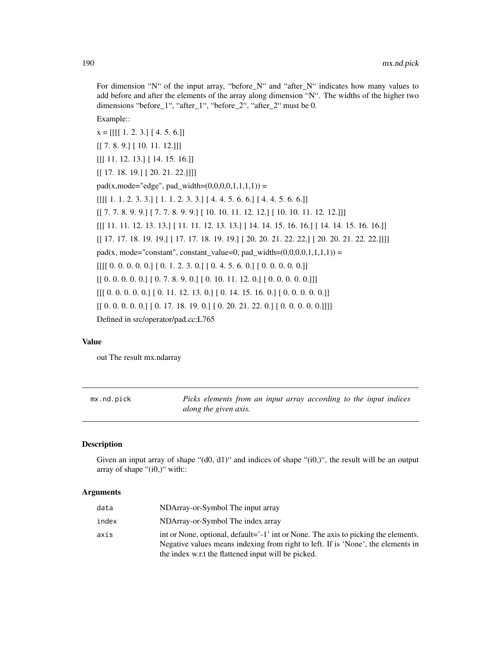For dimension "N" of the input array, "before\_N" and "after\_N" indicates how many values to add before and after the elements of the array along dimension "N". The widths of the higher two dimensions "before\_1", "after\_1", "before\_2", "after\_2" must be 0.

Example::

 $x = [[[[1. 2. 3.][4. 5. 6.]]]$ [[ 7. 8. 9.] [ 10. 11. 12.]]] [[[ 11. 12. 13.] [ 14. 15. 16.]] [[ 17. 18. 19.] [ 20. 21. 22.]]]]  $pad(x, mode='edge", pad\_width=(0,0,0,0,1,1,1,1)) =$  $[[[[ 1. 1. 2. 3. 3.] [ 1. 1. 2. 3. 3.] [ 4. 4. 5. 6. 6.] [ 4. 4. 5. 6. 6.]]$ [[ 7. 7. 8. 9. 9.] [ 7. 7. 8. 9. 9.] [ 10. 10. 11. 12. 12.] [ 10. 10. 11. 12. 12.]]] [[[ 11. 11. 12. 13. 13.] [ 11. 11. 12. 13. 13.] [ 14. 14. 15. 16. 16.] [ 14. 14. 15. 16. 16.]] [[ 17. 17. 18. 19. 19.] [ 17. 17. 18. 19. 19.] [ 20. 20. 21. 22. 22.] [ 20. 20. 21. 22. 22.]]]] pad(x, mode="constant", constant\_value=0, pad\_width= $(0,0,0,0,1,1,1,1)$ ) =  $[[[[0. 0. 0. 0. 0. 0.]] [0. 1. 2. 3. 0.]] [0. 4. 5. 6. 0.]] [0. 0. 0. 0. 0.]]$  $[[0. 0. 0. 0. 0.]**[0. 7. 8. 9. 0.**] [0. 10. 11. 12. 0.] [0. 0. 0. 0. 0.]]$  $[[[ 0. 0. 0. 0. 0.]] [ 0. 11. 12. 13. 0.]] [ 0. 14. 15. 16. 0.]] [ 0. 0. 0. 0. 0.]]$  $[[ [ 0. 0. 0. 0. 0.] [ 0. 17. 18. 19. 0.] [ 0. 20. 21. 22. 0.] [ 0. 0. 0. 0.]]]]$ Defined in src/operator/pad.cc:L765

## Value

out The result mx.ndarray

mx.nd.pick *Picks elements from an input array according to the input indices along the given axis.*

#### Description

Given an input array of shape " $(d0, d1)$ " and indices of shape " $(i0, 1)$ ", the result will be an output array of shape "(i0,)" with::

| data  | NDArray-or-Symbol The input array                                                                                                                                      |
|-------|------------------------------------------------------------------------------------------------------------------------------------------------------------------------|
| index | NDArray-or-Symbol The index array                                                                                                                                      |
| axis  | int or None, optional, default='-1' int or None. The axis to picking the elements.<br>Negative values means indexing from right to left. If is 'None', the elements in |
|       | the index w.r.t the flattened input will be picked.                                                                                                                    |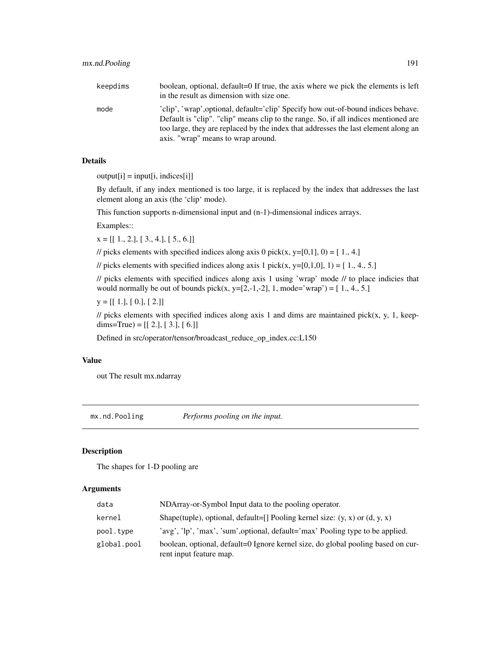| keepdims | boolean, optional, default=0 If true, the axis where we pick the elements is left<br>in the result as dimension with size one. |
|----------|--------------------------------------------------------------------------------------------------------------------------------|
| mode     | 'clip', 'wrap', optional, default='clip' Specify how out-of-bound indices behave.                                              |
|          | Default is "clip". "clip" means clip to the range. So, if all indices mentioned are                                            |

too large, they are replaced by the index that addresses the last element along an

#### Details

 $output[i] = input[i, indices[i]]$ 

By default, if any index mentioned is too large, it is replaced by the index that addresses the last element along an axis (the 'clip' mode).

This function supports n-dimensional input and (n-1)-dimensional indices arrays.

axis. "wrap" means to wrap around.

Examples::

 $x = [[1., 2.], [3., 4.], [5., 6.]]$ 

// picks elements with specified indices along axis 0 pick(x, y=[0,1], 0) = [1., 4.]

// picks elements with specified indices along axis 1 pick(x, y=[0,1,0], 1) =  $[1., 4., 5.]$ 

// picks elements with specified indices along axis 1 using 'wrap' mode // to place indicies that would normally be out of bounds pick(x, y=[2,-1,-2], 1, mode='wrap') =  $[1., 4., 5.]$ 

 $y = [[1.], [0.], [2.]]$ 

 $\ell$  picks elements with specified indices along axis 1 and dims are maintained pick(x, y, 1, keepdims=True) =  $[[2.], [3.], [6.]]$ 

Defined in src/operator/tensor/broadcast\_reduce\_op\_index.cc:L150

### Value

out The result mx.ndarray

mx.nd.Pooling *Performs pooling on the input.*

## Description

The shapes for 1-D pooling are

| data        | NDArray-or-Symbol Input data to the pooling operator.                                                       |
|-------------|-------------------------------------------------------------------------------------------------------------|
| kernel      | Shape(tuple), optional, default=[] Pooling kernel size: $(y, x)$ or $(d, y, x)$                             |
| pool.type   | 'avg', 'lp', 'max', 'sum', optional, default='max' Pooling type to be applied.                              |
| global.pool | boolean, optional, default=0 Ignore kernel size, do global pooling based on cur-<br>rent input feature map. |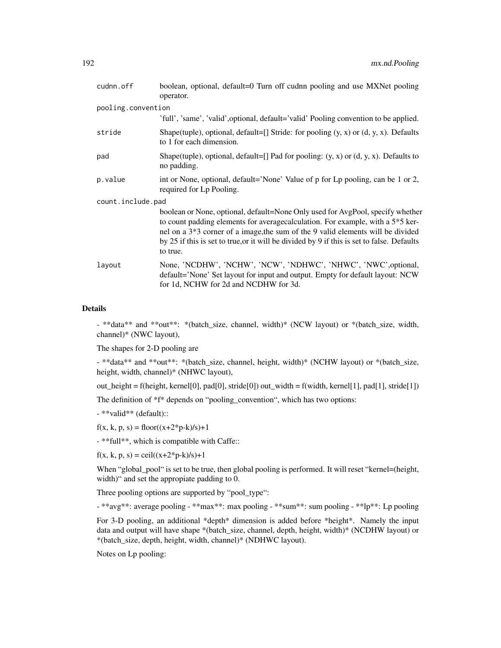| cudnn.off          | boolean, optional, default=0 Turn off cudnn pooling and use MXNet pooling<br>operator.                                                                                                                                                                                                                                                                                     |
|--------------------|----------------------------------------------------------------------------------------------------------------------------------------------------------------------------------------------------------------------------------------------------------------------------------------------------------------------------------------------------------------------------|
| pooling.convention |                                                                                                                                                                                                                                                                                                                                                                            |
|                    | 'full', 'same', 'valid', optional, default='valid' Pooling convention to be applied.                                                                                                                                                                                                                                                                                       |
| stride             | Shape(tuple), optional, default=[] Stride: for pooling $(y, x)$ or $(d, y, x)$ . Defaults<br>to 1 for each dimension.                                                                                                                                                                                                                                                      |
| pad                | Shape(tuple), optional, default=[] Pad for pooling: $(y, x)$ or $(d, y, x)$ . Defaults to<br>no padding.                                                                                                                                                                                                                                                                   |
| p.value            | int or None, optional, default='None' Value of p for Lp pooling, can be 1 or 2,<br>required for Lp Pooling.                                                                                                                                                                                                                                                                |
| count.include.pad  |                                                                                                                                                                                                                                                                                                                                                                            |
|                    | boolean or None, optional, default=None Only used for AvgPool, specify whether<br>to count padding elements for average calculation. For example, with a 5 <sup>*5</sup> ker-<br>nel on a 3*3 corner of a image, the sum of the 9 valid elements will be divided<br>by 25 if this is set to true, or it will be divided by 9 if this is set to false. Defaults<br>to true. |
| layout             | None, 'NCDHW', 'NCHW', 'NCW', 'NDHWC', 'NHWC', 'NWC', optional,<br>default='None' Set layout for input and output. Empty for default layout: NCW<br>for 1d, NCHW for 2d and NCDHW for 3d.                                                                                                                                                                                  |

#### Details

- \*\*data\*\* and \*\*out\*\*: \*(batch\_size, channel, width)\* (NCW layout) or \*(batch\_size, width, channel)\* (NWC layout),

The shapes for 2-D pooling are

- \*\*data\*\* and \*\*out\*\*: \*(batch\_size, channel, height, width)\* (NCHW layout) or \*(batch\_size, height, width, channel)\* (NHWC layout),

out\_height = f(height, kernel[0], pad[0], stride[0]) out\_width = f(width, kernel[1], pad[1], stride[1])

The definition of \*f\* depends on "pooling\_convention", which has two options:

- \*\*valid\*\* (default)::

 $f(x, k, p, s) = floor((x+2*p-k)/s)+1$ 

- \*\*full\*\*, which is compatible with Caffe::

 $f(x, k, p, s) = \text{ceil}((x+2*p-k)/s)+1$ 

When "global\_pool" is set to be true, then global pooling is performed. It will reset "kernel=(height, width)" and set the appropiate padding to 0.

Three pooling options are supported by "pool\_type":

- \*\*avg\*\*: average pooling - \*\*max\*\*: max pooling - \*\*sum\*\*: sum pooling - \*\*lp\*\*: Lp pooling

For 3-D pooling, an additional \*depth\* dimension is added before \*height\*. Namely the input data and output will have shape \*(batch\_size, channel, depth, height, width)\* (NCDHW layout) or \*(batch\_size, depth, height, width, channel)\* (NDHWC layout).

Notes on Lp pooling: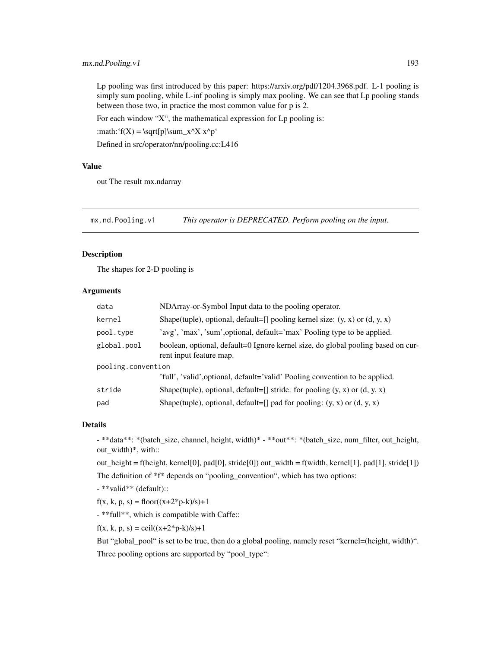Lp pooling was first introduced by this paper: https://arxiv.org/pdf/1204.3968.pdf. L-1 pooling is simply sum pooling, while L-inf pooling is simply max pooling. We can see that Lp pooling stands between those two, in practice the most common value for p is 2.

For each window "X", the mathematical expression for Lp pooling is:

:math: $f(X) = \sqrt{p}\sum_x^X x^p'$ 

Defined in src/operator/nn/pooling.cc:L416

#### Value

out The result mx.ndarray

mx.nd.Pooling.v1 *This operator is DEPRECATED. Perform pooling on the input.*

#### Description

The shapes for 2-D pooling is

#### Arguments

| data               | NDArray-or-Symbol Input data to the pooling operator.                                                       |
|--------------------|-------------------------------------------------------------------------------------------------------------|
| kernel             | Shape(tuple), optional, default=[] pooling kernel size: $(y, x)$ or $(d, y, x)$                             |
| pool.type          | 'avg', 'max', 'sum', optional, default='max' Pooling type to be applied.                                    |
| global.pool        | boolean, optional, default=0 Ignore kernel size, do global pooling based on cur-<br>rent input feature map. |
| pooling.convention |                                                                                                             |
|                    | 'full', 'valid', optional, default='valid' Pooling convention to be applied.                                |
| stride             | Shape(tuple), optional, default=[] stride: for pooling $(y, x)$ or $(d, y, x)$                              |
| pad                | Shape(tuple), optional, default=[] pad for pooling: $(y, x)$ or $(d, y, x)$                                 |

#### Details

- \*\*data\*\*: \*(batch\_size, channel, height, width)\* - \*\*out\*\*: \*(batch\_size, num\_filter, out\_height, out\_width)\*, with::

out\_height = f(height, kernel[0], pad[0], stride[0]) out\_width = f(width, kernel[1], pad[1], stride[1]) The definition of \*f\* depends on "pooling\_convention", which has two options:

- \*\*valid\*\* (default)::

 $f(x, k, p, s) = floor((x+2*p-k)/s)+1$ 

- \*\*full\*\*, which is compatible with Caffe::

 $f(x, k, p, s) = \text{ceil}((x+2*p-k)/s)+1$ 

But "global\_pool" is set to be true, then do a global pooling, namely reset "kernel=(height, width)". Three pooling options are supported by "pool\_type":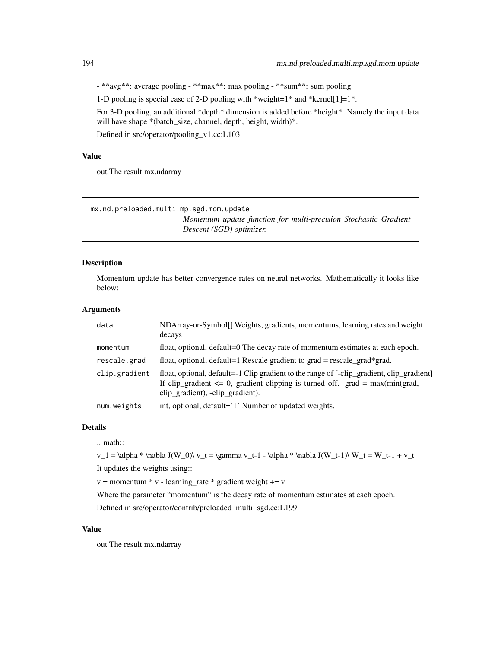- \*\*avg\*\*: average pooling - \*\*max\*\*: max pooling - \*\*sum\*\*: sum pooling

1-D pooling is special case of 2-D pooling with \*weight=1\* and \*kernel[1]=1\*.

For 3-D pooling, an additional \*depth\* dimension is added before \*height\*. Namely the input data will have shape \*(batch\_size, channel, depth, height, width)\*.

Defined in src/operator/pooling\_v1.cc:L103

#### Value

out The result mx.ndarray

mx.nd.preloaded.multi.mp.sgd.mom.update

*Momentum update function for multi-precision Stochastic Gradient Descent (SGD) optimizer.*

#### Description

Momentum update has better convergence rates on neural networks. Mathematically it looks like below:

## Arguments

| data          | NDArray-or-Symbol[] Weights, gradients, momentums, learning rates and weight<br>decays                                                                                                                             |
|---------------|--------------------------------------------------------------------------------------------------------------------------------------------------------------------------------------------------------------------|
| momentum      | float, optional, default=0 The decay rate of momentum estimates at each epoch.                                                                                                                                     |
| rescale.grad  | float, optional, default=1 Rescale gradient to grad = rescale_grad*grad.                                                                                                                                           |
| clip.gradient | float, optional, default=-1 Clip gradient to the range of [-clip_gradient, clip_gradient]<br>If clip_gradient $\leq 0$ , gradient clipping is turned off. grad = max(min(grad,<br>clip_gradient), -clip_gradient). |
| num.weights   | int, optional, default='1' Number of updated weights.                                                                                                                                                              |

#### Details

.. math::

 $v_1 = \alpha * \nabla J(W_0) \ v_t = \gamma v_t-1 - \alpha * \nabla J(W_t-1) \ W_t = W_t-1 + v_t$ 

It updates the weights using::

 $v =$  momentum  $* v$  - learning\_rate  $*$  gradient weight  $+= v$ 

Where the parameter "momentum" is the decay rate of momentum estimates at each epoch.

Defined in src/operator/contrib/preloaded\_multi\_sgd.cc:L199

#### Value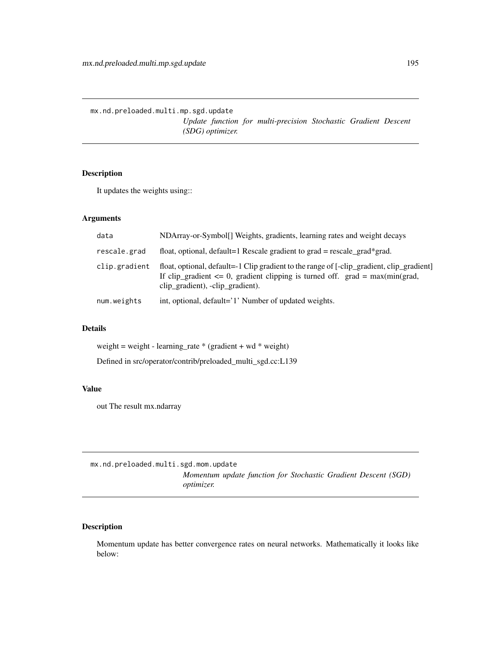mx.nd.preloaded.multi.mp.sgd.update *Update function for multi-precision Stochastic Gradient Descent (SDG) optimizer.*

## Description

It updates the weights using::

### Arguments

| data          | NDArray-or-Symbol[] Weights, gradients, learning rates and weight decays                                                                                                                                           |
|---------------|--------------------------------------------------------------------------------------------------------------------------------------------------------------------------------------------------------------------|
| rescale.grad  | float, optional, default=1 Rescale gradient to grad = rescale grad*grad.                                                                                                                                           |
| clip.gradient | float, optional, default=-1 Clip gradient to the range of [-clip_gradient, clip_gradient]<br>If clip_gradient $\leq 0$ , gradient clipping is turned off. grad = max(min(grad,<br>clip_gradient), -clip_gradient). |
| num.weights   | int, optional, default='1' Number of updated weights.                                                                                                                                                              |

## Details

weight = weight - learning\_rate \* (gradient + wd \* weight)

Defined in src/operator/contrib/preloaded\_multi\_sgd.cc:L139

#### Value

out The result mx.ndarray

mx.nd.preloaded.multi.sgd.mom.update *Momentum update function for Stochastic Gradient Descent (SGD) optimizer.*

# Description

Momentum update has better convergence rates on neural networks. Mathematically it looks like below: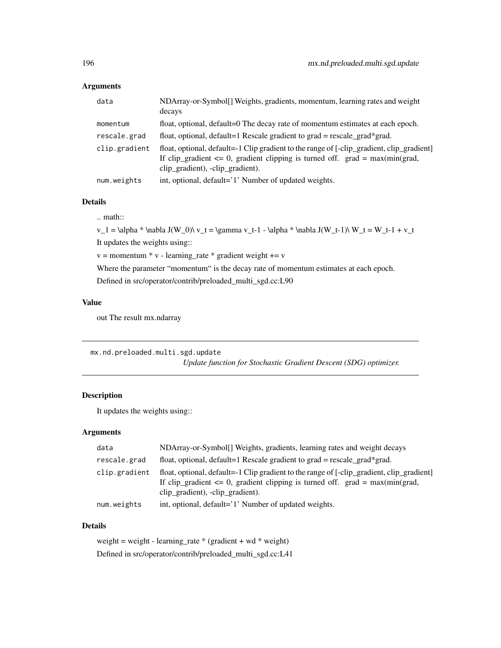## Arguments

| data          | NDArray-or-Symbol[] Weights, gradients, momentum, learning rates and weight<br>decays                                                                                                                              |
|---------------|--------------------------------------------------------------------------------------------------------------------------------------------------------------------------------------------------------------------|
| momentum      | float, optional, default=0 The decay rate of momentum estimates at each epoch.                                                                                                                                     |
| rescale.grad  | float, optional, default=1 Rescale gradient to grad = rescale_grad*grad.                                                                                                                                           |
| clip.gradient | float, optional, default=-1 Clip gradient to the range of [-clip_gradient, clip_gradient]<br>If clip_gradient $\leq 0$ , gradient clipping is turned off. grad = max(min(grad,<br>clip_gradient), -clip_gradient). |
| num.weights   | int, optional, default='1' Number of updated weights.                                                                                                                                                              |

#### Details

.. math::

 $v_1 = \alpha * \nabla J(W_0) \ v_t = \gamma v_t-1 - \alpha * \nabla J(W_t-1) \ W_t = W_t-1 + v_t$ It updates the weights using::

 $v =$  momentum  $* v$  - learning\_rate  $*$  gradient weight  $+= v$ 

Where the parameter "momentum" is the decay rate of momentum estimates at each epoch.

Defined in src/operator/contrib/preloaded\_multi\_sgd.cc:L90

## Value

out The result mx.ndarray

mx.nd.preloaded.multi.sgd.update *Update function for Stochastic Gradient Descent (SDG) optimizer.*

## Description

It updates the weights using::

## Arguments

| data          | NDArray-or-Symbol[] Weights, gradients, learning rates and weight decays                                                                                                                                           |
|---------------|--------------------------------------------------------------------------------------------------------------------------------------------------------------------------------------------------------------------|
| rescale.grad  | float, optional, default=1 Rescale gradient to grad = rescale_grad*grad.                                                                                                                                           |
| clip.gradient | float, optional, default=-1 Clip gradient to the range of [-clip_gradient, clip_gradient]<br>If clip_gradient $\leq 0$ , gradient clipping is turned off. grad = max(min(grad,<br>clip_gradient), -clip_gradient). |
| num.weights   | int, optional, default='1' Number of updated weights.                                                                                                                                                              |

## Details

weight = weight - learning\_rate  $*(gradient + wd * weight)$ Defined in src/operator/contrib/preloaded\_multi\_sgd.cc:L41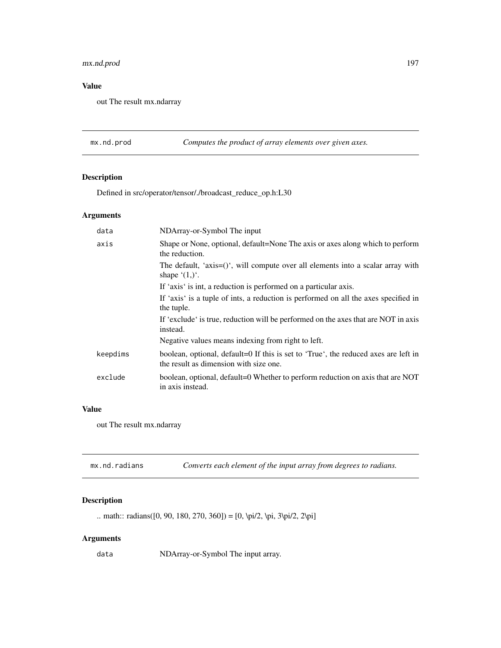## mx.nd.prod 197

## Value

out The result mx.ndarray

mx.nd.prod *Computes the product of array elements over given axes.*

## Description

Defined in src/operator/tensor/./broadcast\_reduce\_op.h:L30

## Arguments

| data     | NDArray-or-Symbol The input                                                                                                   |  |
|----------|-------------------------------------------------------------------------------------------------------------------------------|--|
| axis     | Shape or None, optional, default=None The axis or axes along which to perform<br>the reduction.                               |  |
|          | The default, 'axis= $()$ ', will compute over all elements into a scalar array with<br>shape $(1,)^{\prime}$ .                |  |
|          | If 'axis' is int, a reduction is performed on a particular axis.                                                              |  |
|          | If 'axis' is a tuple of ints, a reduction is performed on all the axes specified in<br>the tuple.                             |  |
|          | If 'exclude' is true, reduction will be performed on the axes that are NOT in axis<br>instead.                                |  |
|          | Negative values means indexing from right to left.                                                                            |  |
| keepdims | boolean, optional, default=0 If this is set to 'True', the reduced axes are left in<br>the result as dimension with size one. |  |
| exclude  | boolean, optional, default=0 Whether to perform reduction on axis that are NOT<br>in axis instead.                            |  |
|          |                                                                                                                               |  |

## Value

out The result mx.ndarray

| mx.nd.radians | Converts each element of the input array from degrees to radians. |
|---------------|-------------------------------------------------------------------|
|---------------|-------------------------------------------------------------------|

# Description

.. math:: radians([0, 90, 180, 270, 360]) = [0, \pi/2, \pi, 3\pi/2, 2\pi]

## Arguments

data NDArray-or-Symbol The input array.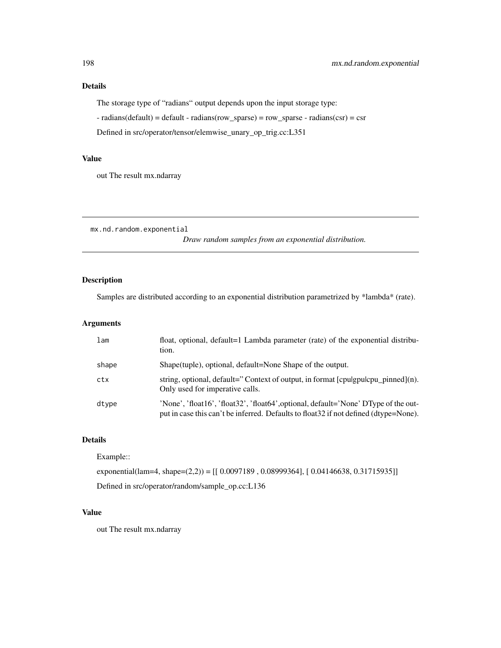#### Details

The storage type of "radians" output depends upon the input storage type:

 $-$  radians(default) = default - radians(row\_sparse) = row\_sparse - radians(csr) = csr

Defined in src/operator/tensor/elemwise\_unary\_op\_trig.cc:L351

## Value

out The result mx.ndarray

mx.nd.random.exponential

*Draw random samples from an exponential distribution.*

## Description

Samples are distributed according to an exponential distribution parametrized by \*lambda\* (rate).

## Arguments

| lam   | float, optional, default=1 Lambda parameter (rate) of the exponential distribu-<br>tion.                                                                                     |
|-------|------------------------------------------------------------------------------------------------------------------------------------------------------------------------------|
| shape | Shape(tuple), optional, default=None Shape of the output.                                                                                                                    |
| ctx   | string, optional, default="Context of output, in format $[$ cpulgpulcpu_pinned $]$ (n).<br>Only used for imperative calls.                                                   |
| dtype | 'None', 'float16', 'float32', 'float64', optional, default='None' DType of the out-<br>put in case this can't be inferred. Defaults to float 32 if not defined (dtype=None). |

#### Details

Example::

exponential(lam=4, shape=(2,2)) = [[ 0.0097189 , 0.08999364], [ 0.04146638, 0.31715935]]

Defined in src/operator/random/sample\_op.cc:L136

## Value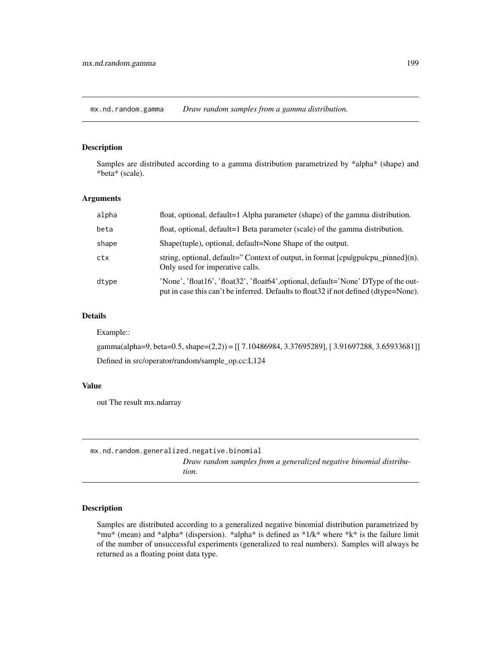mx.nd.random.gamma *Draw random samples from a gamma distribution.*

#### Description

Samples are distributed according to a gamma distribution parametrized by \*alpha\* (shape) and \*beta\* (scale).

## Arguments

| alpha | float, optional, default=1 Alpha parameter (shape) of the gamma distribution.                                                                                                |
|-------|------------------------------------------------------------------------------------------------------------------------------------------------------------------------------|
| beta  | float, optional, default=1 Beta parameter (scale) of the gamma distribution.                                                                                                 |
| shape | Shape (tuple), optional, default=None Shape of the output.                                                                                                                   |
| ctx   | string, optional, default="Context of output, in format [cpulgpulcpu_pinned](n).<br>Only used for imperative calls.                                                          |
| dtype | 'None', 'float16', 'float32', 'float64', optional, default='None' DType of the out-<br>put in case this can't be inferred. Defaults to float 32 if not defined (dtype=None). |

## Details

Example::

gamma(alpha=9, beta=0.5, shape=(2,2)) = [[ 7.10486984, 3.37695289], [ 3.91697288, 3.65933681]] Defined in src/operator/random/sample\_op.cc:L124

#### Value

out The result mx.ndarray

mx.nd.random.generalized.negative.binomial *Draw random samples from a generalized negative binomial distribution.*

## Description

Samples are distributed according to a generalized negative binomial distribution parametrized by \*mu\* (mean) and \*alpha\* (dispersion). \*alpha\* is defined as \*1/k\* where \*k\* is the failure limit of the number of unsuccessful experiments (generalized to real numbers). Samples will always be returned as a floating point data type.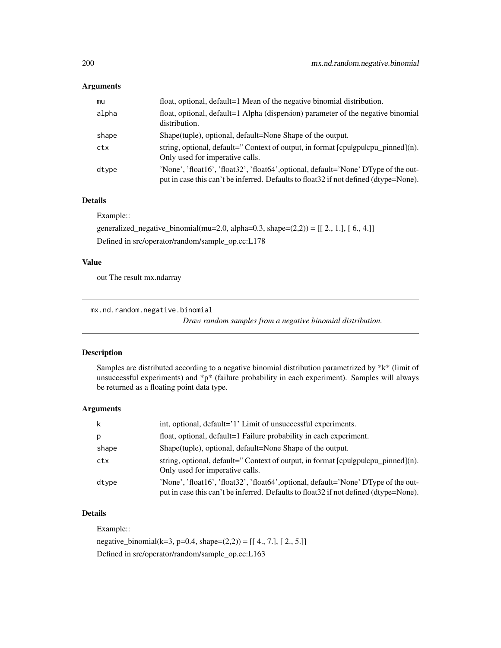#### Arguments

| mu    | float, optional, default=1 Mean of the negative binomial distribution.                                                                                                       |
|-------|------------------------------------------------------------------------------------------------------------------------------------------------------------------------------|
| alpha | float, optional, default=1 Alpha (dispersion) parameter of the negative binomial<br>distribution.                                                                            |
| shape | Shape(tuple), optional, default=None Shape of the output.                                                                                                                    |
| ctx   | string, optional, default=" Context of output, in format $[$ cpulgpulcpu_pinned $]$ (n).<br>Only used for imperative calls.                                                  |
| dtype | 'None', 'float16', 'float32', 'float64', optional, default='None' DType of the out-<br>put in case this can't be inferred. Defaults to float 32 if not defined (dtype=None). |

#### Details

Example::

generalized\_negative\_binomial(mu=2.0, alpha=0.3, shape= $(2,2)$ ) = [[ 2., 1.], [ 6., 4.]] Defined in src/operator/random/sample\_op.cc:L178

## Value

out The result mx.ndarray

mx.nd.random.negative.binomial

*Draw random samples from a negative binomial distribution.*

#### Description

Samples are distributed according to a negative binomial distribution parametrized by \*k\* (limit of unsuccessful experiments) and \*p\* (failure probability in each experiment). Samples will always be returned as a floating point data type.

#### Arguments

| -k    | int, optional, default='1' Limit of unsuccessful experiments.                                                                                                                |
|-------|------------------------------------------------------------------------------------------------------------------------------------------------------------------------------|
| p     | float, optional, default=1 Failure probability in each experiment.                                                                                                           |
| shape | Shape (tuple), optional, default=None Shape of the output.                                                                                                                   |
| ctx   | string, optional, default="Context of output, in format $[$ cpulgpulcpu_pinned $]$ (n).<br>Only used for imperative calls.                                                   |
| dtype | 'None', 'float16', 'float32', 'float64', optional, default='None' DType of the out-<br>put in case this can't be inferred. Defaults to float 32 if not defined (dtype=None). |

## Details

Example::

negative\_binomial(k=3, p=0.4, shape= $(2,2)$ ) = [[ 4., 7.], [ 2., 5.]] Defined in src/operator/random/sample\_op.cc:L163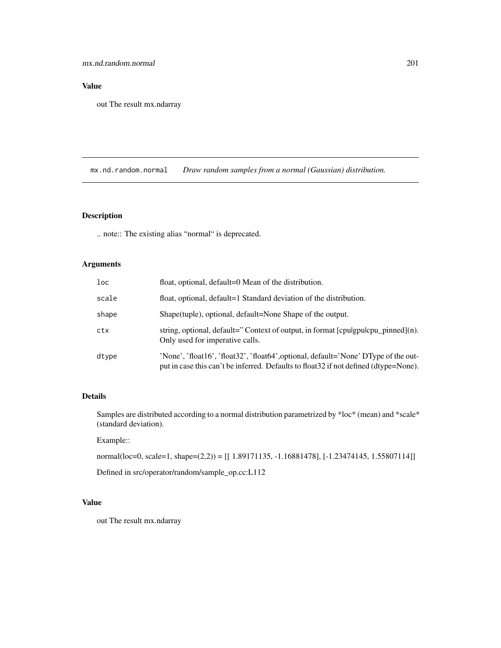## Value

out The result mx.ndarray

mx.nd.random.normal *Draw random samples from a normal (Gaussian) distribution.*

## Description

.. note:: The existing alias "normal" is deprecated.

## Arguments

| loc   | float, optional, default=0 Mean of the distribution.                                                                                                                         |
|-------|------------------------------------------------------------------------------------------------------------------------------------------------------------------------------|
| scale | float, optional, default=1 Standard deviation of the distribution.                                                                                                           |
| shape | Shape (tuple), optional, default=None Shape of the output.                                                                                                                   |
| ctx   | string, optional, default="Context of output, in format [cpulgpulcpu_pinned](n).<br>Only used for imperative calls.                                                          |
| dtype | 'None', 'float16', 'float32', 'float64', optional, default='None' DType of the out-<br>put in case this can't be inferred. Defaults to float 32 if not defined (dtype=None). |

## Details

Samples are distributed according to a normal distribution parametrized by \*loc\* (mean) and \*scale\* (standard deviation).

#### Example::

normal(loc=0, scale=1, shape=(2,2)) = [[ 1.89171135, -1.16881478], [-1.23474145, 1.55807114]]

Defined in src/operator/random/sample\_op.cc:L112

## Value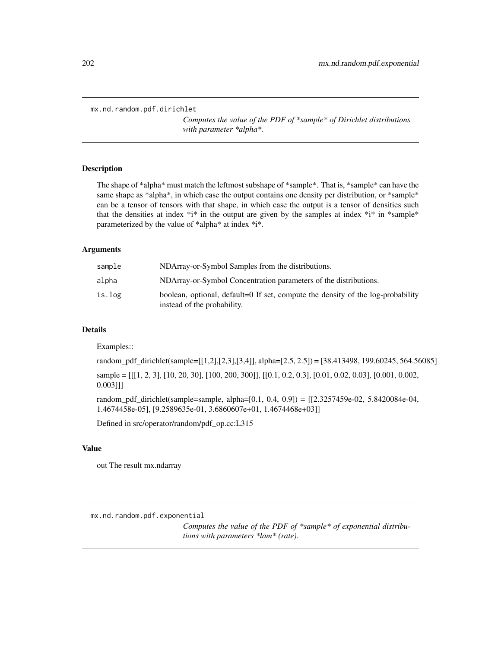```
mx.nd.random.pdf.dirichlet
```
*Computes the value of the PDF of \*sample\* of Dirichlet distributions with parameter \*alpha\*.*

#### Description

The shape of \*alpha\* must match the leftmost subshape of \*sample\*. That is, \*sample\* can have the same shape as \*alpha\*, in which case the output contains one density per distribution, or \*sample\* can be a tensor of tensors with that shape, in which case the output is a tensor of densities such that the densities at index  $*$ i $*$  in the output are given by the samples at index  $*$ i $*$  in  $*$ sample $*$ parameterized by the value of \*alpha\* at index \*i\*.

#### Arguments

| sample | NDArray-or-Symbol Samples from the distributions.                                                              |
|--------|----------------------------------------------------------------------------------------------------------------|
| alpha  | NDArray-or-Symbol Concentration parameters of the distributions.                                               |
| is.log | boolean, optional, default=0 If set, compute the density of the log-probability<br>instead of the probability. |

#### Details

Examples::

random\_pdf\_dirichlet(sample=[[1,2],[2,3],[3,4]], alpha=[2.5, 2.5]) = [38.413498, 199.60245, 564.56085]

sample = [[[1, 2, 3], [10, 20, 30], [100, 200, 300]], [[0.1, 0.2, 0.3], [0.01, 0.02, 0.03], [0.001, 0.002, 0.003]]]

random\_pdf\_dirichlet(sample=sample, alpha=[0.1, 0.4, 0.9]) = [[2.3257459e-02, 5.8420084e-04, 1.4674458e-05], [9.2589635e-01, 3.6860607e+01, 1.4674468e+03]]

Defined in src/operator/random/pdf\_op.cc:L315

#### Value

out The result mx.ndarray

mx.nd.random.pdf.exponential

*Computes the value of the PDF of \*sample\* of exponential distributions with parameters \*lam\* (rate).*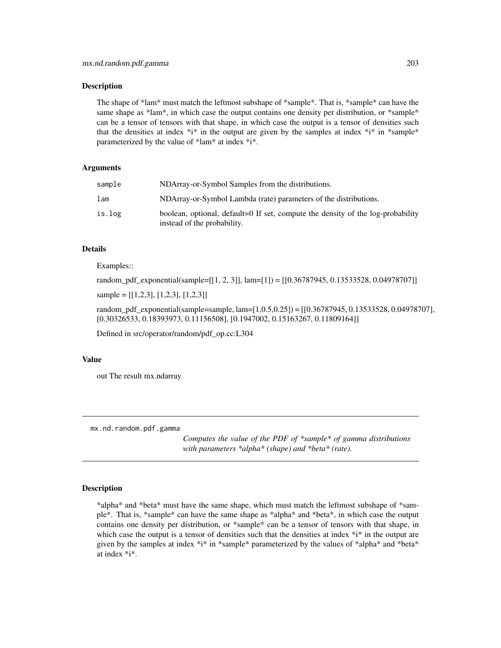The shape of \*lam\* must match the leftmost subshape of \*sample\*. That is, \*sample\* can have the same shape as \*lam\*, in which case the output contains one density per distribution, or \*sample\* can be a tensor of tensors with that shape, in which case the output is a tensor of densities such that the densities at index  $*i^*$  in the output are given by the samples at index  $*i^*$  in  $*$ sample $*$ parameterized by the value of \*lam\* at index \*i\*.

#### Arguments

| sample | NDArray-or-Symbol Samples from the distributions.                                                              |
|--------|----------------------------------------------------------------------------------------------------------------|
| lam    | NDArray-or-Symbol Lambda (rate) parameters of the distributions.                                               |
| is.log | boolean, optional, default=0 If set, compute the density of the log-probability<br>instead of the probability. |

## Details

#### Examples::

random\_pdf\_exponential(sample=[[1, 2, 3]], lam=[1]) = [[0.36787945, 0.13533528, 0.04978707]]

sample = [[1,2,3], [1,2,3], [1,2,3]]

random\_pdf\_exponential(sample=sample, lam=[1,0.5,0.25]) = [[0.36787945, 0.13533528, 0.04978707], [0.30326533, 0.18393973, 0.11156508], [0.1947002, 0.15163267, 0.11809164]]

Defined in src/operator/random/pdf\_op.cc:L304

#### Value

out The result mx.ndarray

mx.nd.random.pdf.gamma

*Computes the value of the PDF of \*sample\* of gamma distributions with parameters \*alpha\* (shape) and \*beta\* (rate).*

#### **Description**

\*alpha\* and \*beta\* must have the same shape, which must match the leftmost subshape of \*sample\*. That is, \*sample\* can have the same shape as \*alpha\* and \*beta\*, in which case the output contains one density per distribution, or \*sample\* can be a tensor of tensors with that shape, in which case the output is a tensor of densities such that the densities at index  $*$ i $*$  in the output are given by the samples at index \*i\* in \*sample\* parameterized by the values of \*alpha\* and \*beta\* at index \*i\*.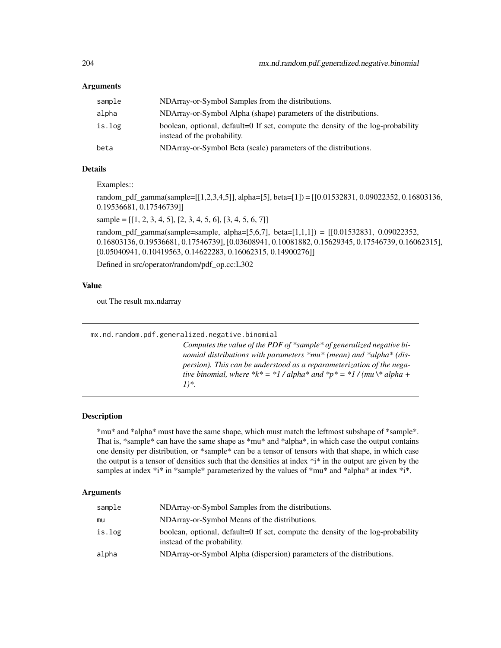### Arguments

| sample | NDArray-or-Symbol Samples from the distributions.                                                              |
|--------|----------------------------------------------------------------------------------------------------------------|
| alpha  | NDArray-or-Symbol Alpha (shape) parameters of the distributions.                                               |
| is.log | boolean, optional, default=0 If set, compute the density of the log-probability<br>instead of the probability. |
| beta   | NDArray-or-Symbol Beta (scale) parameters of the distributions.                                                |

## Details

Examples::

random\_pdf\_gamma(sample=[[1,2,3,4,5]], alpha=[5], beta=[1]) = [[0.01532831, 0.09022352, 0.16803136, 0.19536681, 0.17546739]]

sample =  $[[1, 2, 3, 4, 5], [2, 3, 4, 5, 6], [3, 4, 5, 6, 7]]$ 

random\_pdf\_gamma(sample=sample, alpha= $[5,6,7]$ , beta= $[1,1,1]$ ) =  $[0.01532831, 0.09022352,$ 0.16803136, 0.19536681, 0.17546739], [0.03608941, 0.10081882, 0.15629345, 0.17546739, 0.16062315], [0.05040941, 0.10419563, 0.14622283, 0.16062315, 0.14900276]]

Defined in src/operator/random/pdf\_op.cc:L302

## Value

out The result mx.ndarray

| mx.nd.random.pdf.generalized.negative.binomial                                                                                                                                                                                                                                                                      |
|---------------------------------------------------------------------------------------------------------------------------------------------------------------------------------------------------------------------------------------------------------------------------------------------------------------------|
| Computes the value of the PDF of $*$ sample $*$ of generalized negative bi-<br>nomial distributions with parameters *mu* (mean) and *alpha* (dis-<br>persion). This can be understood as a reparameterization of the nega-<br>tive binomial, where *k* = *1/alpha* and *p* = *1/(mu\* alpha +<br>$1$ <sup>*</sup> . |

#### Description

\*mu\* and \*alpha\* must have the same shape, which must match the leftmost subshape of \*sample\*. That is, \*sample\* can have the same shape as \*mu\* and \*alpha\*, in which case the output contains one density per distribution, or \*sample\* can be a tensor of tensors with that shape, in which case the output is a tensor of densities such that the densities at index  $*$ <sup>i</sup> in the output are given by the samples at index  $*i*$  in  $*$ sample\* parameterized by the values of  $*mu*$  and  $*alpha*$  at index  $*i*$ .

| sample | NDArray-or-Symbol Samples from the distributions.                                                              |  |
|--------|----------------------------------------------------------------------------------------------------------------|--|
| mu     | NDArray-or-Symbol Means of the distributions.                                                                  |  |
| is.log | boolean, optional, default=0 If set, compute the density of the log-probability<br>instead of the probability. |  |
| alpha  | NDArray-or-Symbol Alpha (dispersion) parameters of the distributions.                                          |  |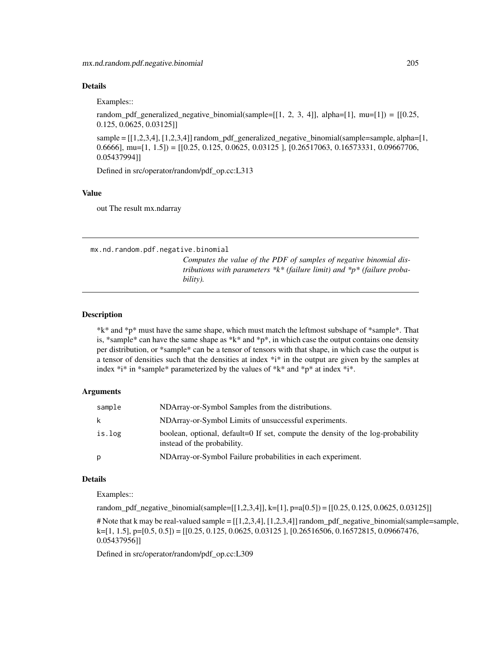#### Details

Examples::

random\_pdf\_generalized\_negative\_binomial(sample=[[1, 2, 3, 4]], alpha=[1], mu=[1]) = [[0.25, 0.125, 0.0625, 0.03125]]

sample =  $[[1,2,3,4], [1,2,3,4]]$  random\_pdf\_generalized\_negative\_binomial(sample=sample, alpha= $[1,$ 0.6666], mu=[1, 1.5]) = [[0.25, 0.125, 0.0625, 0.03125 ], [0.26517063, 0.16573331, 0.09667706, 0.05437994]]

Defined in src/operator/random/pdf\_op.cc:L313

#### Value

out The result mx.ndarray

mx.nd.random.pdf.negative.binomial

*Computes the value of the PDF of samples of negative binomial distributions with parameters \*k\* (failure limit) and \*p\* (failure probability).*

#### **Description**

\*k\* and \*p\* must have the same shape, which must match the leftmost subshape of \*sample\*. That is, \*sample\* can have the same shape as \*k\* and \*p\*, in which case the output contains one density per distribution, or \*sample\* can be a tensor of tensors with that shape, in which case the output is a tensor of densities such that the densities at index \*i\* in the output are given by the samples at index  $*$ i\* in \*sample\* parameterized by the values of  $*$ k\* and  $*$ p\* at index  $*$ i\*.

## Arguments

| sample | NDArray-or-Symbol Samples from the distributions.                                                              |
|--------|----------------------------------------------------------------------------------------------------------------|
| k      | NDArray-or-Symbol Limits of unsuccessful experiments.                                                          |
| is.log | boolean, optional, default=0 If set, compute the density of the log-probability<br>instead of the probability. |
| р      | NDArray-or-Symbol Failure probabilities in each experiment.                                                    |

#### Details

Examples::

random\_pdf\_negative\_binomial(sample=[[1,2,3,4]], k=[1], p=a[0.5]) = [[0.25, 0.125, 0.0625, 0.03125]]

# Note that k may be real-valued sample = [[1,2,3,4], [1,2,3,4]] random\_pdf\_negative\_binomial(sample=sample, k=[1, 1.5], p=[0.5, 0.5]) = [[0.25, 0.125, 0.0625, 0.03125 ], [0.26516506, 0.16572815, 0.09667476, 0.05437956]]

Defined in src/operator/random/pdf\_op.cc:L309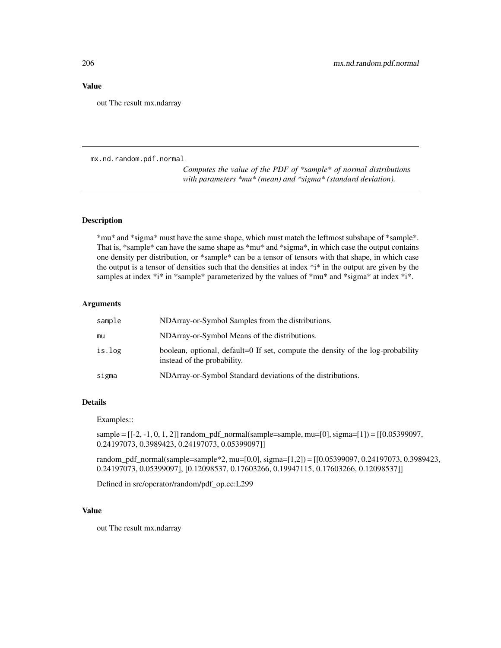#### Value

out The result mx.ndarray

mx.nd.random.pdf.normal

*Computes the value of the PDF of \*sample\* of normal distributions with parameters \*mu\* (mean) and \*sigma\* (standard deviation).*

## Description

\*mu\* and \*sigma\* must have the same shape, which must match the leftmost subshape of \*sample\*. That is, \*sample\* can have the same shape as \*mu\* and \*sigma\*, in which case the output contains one density per distribution, or \*sample\* can be a tensor of tensors with that shape, in which case the output is a tensor of densities such that the densities at index  $*$ i $*$  in the output are given by the samples at index  $*$ i $*$  in  $*$ sample $*$  parameterized by the values of  $*mu*$  and  $*sigma*$  at index  $*$ i $*$ .

#### Arguments

| sample | NDArray-or-Symbol Samples from the distributions.                                                              |
|--------|----------------------------------------------------------------------------------------------------------------|
| mu     | NDArray-or-Symbol Means of the distributions.                                                                  |
| is.log | boolean, optional, default=0 If set, compute the density of the log-probability<br>instead of the probability. |
| sigma  | NDArray-or-Symbol Standard deviations of the distributions.                                                    |
|        |                                                                                                                |

## Details

Examples::

sample =  $[-2, -1, 0, 1, 2]$ ] random\_pdf\_normal(sample=sample, mu=[0], sigma=[1]) = [[0.05399097, 0.24197073, 0.3989423, 0.24197073, 0.05399097]]

random\_pdf\_normal(sample=sample\*2, mu=[0,0], sigma=[1,2]) = [[0.05399097, 0.24197073, 0.3989423, 0.24197073, 0.05399097], [0.12098537, 0.17603266, 0.19947115, 0.17603266, 0.12098537]]

Defined in src/operator/random/pdf\_op.cc:L299

#### Value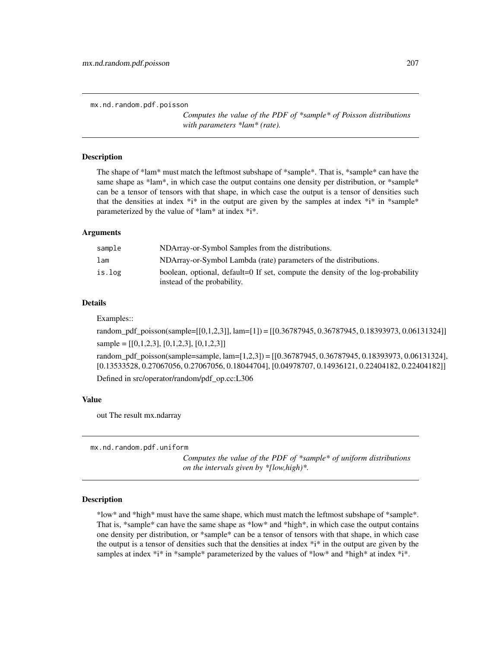mx.nd.random.pdf.poisson

*Computes the value of the PDF of \*sample\* of Poisson distributions with parameters \*lam\* (rate).*

#### Description

The shape of \*lam\* must match the leftmost subshape of \*sample\*. That is, \*sample\* can have the same shape as \*lam\*, in which case the output contains one density per distribution, or \*sample\* can be a tensor of tensors with that shape, in which case the output is a tensor of densities such that the densities at index  $*i*$  in the output are given by the samples at index  $*i*$  in  $*$ sample\* parameterized by the value of \*lam\* at index \*i\*.

#### Arguments

| sample | NDArray-or-Symbol Samples from the distributions.                                                              |
|--------|----------------------------------------------------------------------------------------------------------------|
| lam    | NDArray-or-Symbol Lambda (rate) parameters of the distributions.                                               |
| is.log | boolean, optional, default=0 If set, compute the density of the log-probability<br>instead of the probability. |

## Details

Examples::

random\_pdf\_poisson(sample=[[0,1,2,3]], lam=[1]) = [[0.36787945, 0.36787945, 0.18393973, 0.06131324]] sample =  $[[0,1,2,3], [0,1,2,3], [0,1,2,3]]$ 

random\_pdf\_poisson(sample=sample, lam=[1,2,3]) = [[0.36787945, 0.36787945, 0.18393973, 0.06131324], [0.13533528, 0.27067056, 0.27067056, 0.18044704], [0.04978707, 0.14936121, 0.22404182, 0.22404182]] Defined in src/operator/random/pdf\_op.cc:L306

#### Value

out The result mx.ndarray

mx.nd.random.pdf.uniform

*Computes the value of the PDF of \*sample\* of uniform distributions on the intervals given by \*[low,high)\*.*

#### Description

\*low\* and \*high\* must have the same shape, which must match the leftmost subshape of \*sample\*. That is, \*sample\* can have the same shape as \*low\* and \*high\*, in which case the output contains one density per distribution, or \*sample\* can be a tensor of tensors with that shape, in which case the output is a tensor of densities such that the densities at index  $*$ i $*$  in the output are given by the samples at index \*i\* in \*sample\* parameterized by the values of \*low\* and \*high\* at index \*i\*.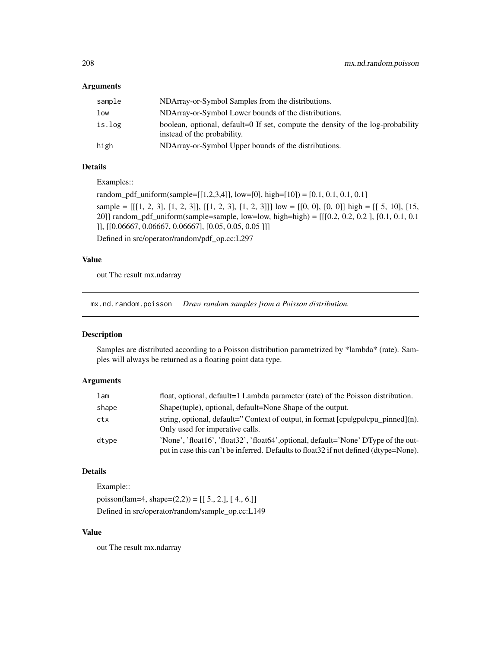#### Arguments

| sample | NDArray-or-Symbol Samples from the distributions.                                                              |
|--------|----------------------------------------------------------------------------------------------------------------|
| low    | NDArray-or-Symbol Lower bounds of the distributions.                                                           |
| is.log | boolean, optional, default=0 If set, compute the density of the log-probability<br>instead of the probability. |
| high   | NDArray-or-Symbol Upper bounds of the distributions.                                                           |

## Details

Examples::

random\_pdf\_uniform(sample=[[1,2,3,4]], low=[0], high=[10]) = [0.1, 0.1, 0.1, 0.1] sample =  $[[[1, 2, 3], [1, 2, 3]], [[1, 2, 3], [1, 2, 3]]]$  low =  $[[0, 0], [0, 0]]$  high =  $[[ 5, 10], [15, 10]]$ 20]] random\_pdf\_uniform(sample=sample, low=low, high=high) = [[[0.2, 0.2, 0.2 ], [0.1, 0.1, 0.1 ]], [[0.06667, 0.06667, 0.06667], [0.05, 0.05, 0.05 ]]]

Defined in src/operator/random/pdf\_op.cc:L297

#### Value

out The result mx.ndarray

mx.nd.random.poisson *Draw random samples from a Poisson distribution.*

## Description

Samples are distributed according to a Poisson distribution parametrized by \*lambda\* (rate). Samples will always be returned as a floating point data type.

#### Arguments

| lam   | float, optional, default=1 Lambda parameter (rate) of the Poisson distribution.                                                                                              |
|-------|------------------------------------------------------------------------------------------------------------------------------------------------------------------------------|
| shape | Shape(tuple), optional, default=None Shape of the output.                                                                                                                    |
| ctx   | string, optional, default="Context of output, in format $[$ cpulgpulcpu_pinned $]$ (n).<br>Only used for imperative calls.                                                   |
| dtype | 'None', 'float16', 'float32', 'float64', optional, default='None' DType of the out-<br>put in case this can't be inferred. Defaults to float 32 if not defined (dtype=None). |

#### Details

Example:: poisson(lam=4, shape= $(2,2)$ ) = [[ 5., 2.], [ 4., 6.]] Defined in src/operator/random/sample\_op.cc:L149

## Value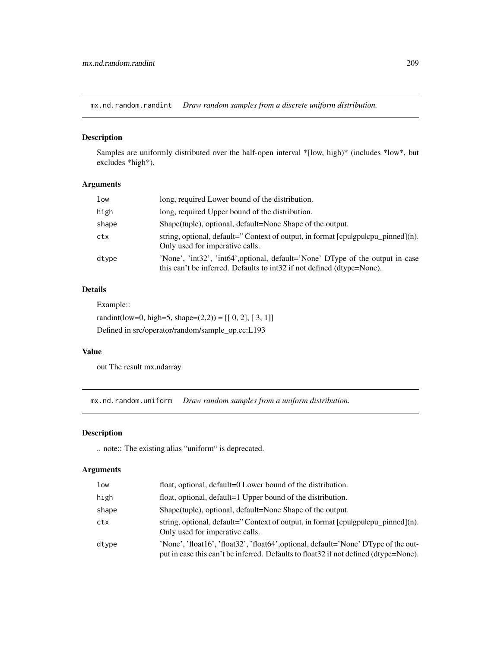mx.nd.random.randint *Draw random samples from a discrete uniform distribution.*

### Description

Samples are uniformly distributed over the half-open interval \*[low, high)\* (includes \*low\*, but excludes \*high\*).

## Arguments

| low   | long, required Lower bound of the distribution.                                                                                                          |
|-------|----------------------------------------------------------------------------------------------------------------------------------------------------------|
| high  | long, required Upper bound of the distribution.                                                                                                          |
| shape | Shape(tuple), optional, default=None Shape of the output.                                                                                                |
| ctx   | string, optional, default="Context of output, in format [cpulgpulcpu_pinned](n).<br>Only used for imperative calls.                                      |
| dtype | 'None', 'int32', 'int64', optional, default='None' DType of the output in case<br>this can't be inferred. Defaults to int32 if not defined (dtype=None). |

## Details

Example::

randint(low=0, high=5, shape= $(2,2)$ ) = [[ 0, 2], [ 3, 1]] Defined in src/operator/random/sample\_op.cc:L193

## Value

out The result mx.ndarray

mx.nd.random.uniform *Draw random samples from a uniform distribution.*

## Description

.. note:: The existing alias "uniform" is deprecated.

| low   | float, optional, default=0 Lower bound of the distribution.                                                                                                                  |
|-------|------------------------------------------------------------------------------------------------------------------------------------------------------------------------------|
| high  | float, optional, default=1 Upper bound of the distribution.                                                                                                                  |
| shape | Shape(tuple), optional, default=None Shape of the output.                                                                                                                    |
| ctx   | string, optional, default="Context of output, in format $[$ cpulgpulcpu_pinned $]$ (n).<br>Only used for imperative calls.                                                   |
| dtype | 'None', 'float16', 'float32', 'float64', optional, default='None' DType of the out-<br>put in case this can't be inferred. Defaults to float 32 if not defined (dtype=None). |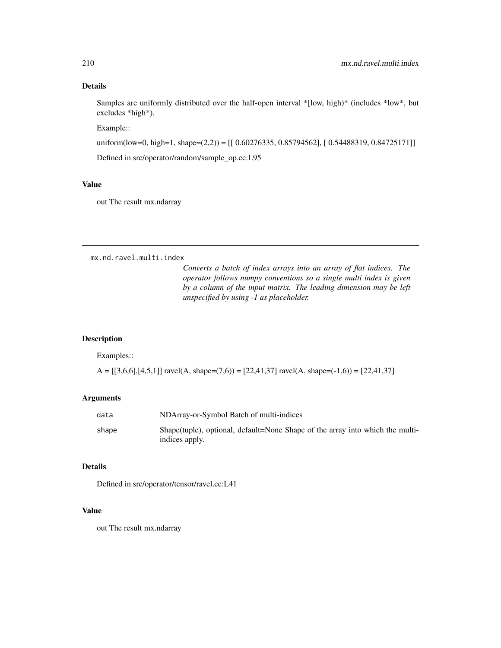## Details

Samples are uniformly distributed over the half-open interval \*[low, high)\* (includes \*low\*, but excludes \*high\*).

Example::

uniform(low=0, high=1, shape=(2,2)) = [[ 0.60276335, 0.85794562], [ 0.54488319, 0.84725171]]

Defined in src/operator/random/sample\_op.cc:L95

## Value

out The result mx.ndarray

mx.nd.ravel.multi.index

*Converts a batch of index arrays into an array of flat indices. The operator follows numpy conventions so a single multi index is given by a column of the input matrix. The leading dimension may be left unspecified by using -1 as placeholder.*

#### Description

Examples::

 $A = [[3,6,6],[4,5,1]]$  ravel(A, shape=(7,6)) = [22,41,37] ravel(A, shape=(-1,6)) = [22,41,37]

## Arguments

| data  | NDArray-or-Symbol Batch of multi-indices                                                         |  |
|-------|--------------------------------------------------------------------------------------------------|--|
| shape | Shape (tuple), optional, default=None Shape of the array into which the multi-<br>indices apply. |  |

#### Details

Defined in src/operator/tensor/ravel.cc:L41

#### Value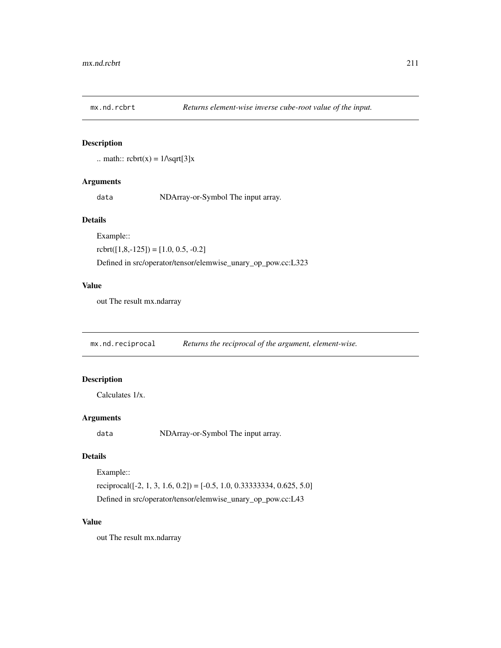.. math::  $\text{rbrt}(x) = 1/\sqrt{3}x$ 

## Arguments

data NDArray-or-Symbol The input array.

## Details

Example::

 $rot([1,8,-125]) = [1.0, 0.5, -0.2]$ 

Defined in src/operator/tensor/elemwise\_unary\_op\_pow.cc:L323

## Value

out The result mx.ndarray

mx.nd.reciprocal *Returns the reciprocal of the argument, element-wise.*

## Description

Calculates 1/x.

## Arguments

data NDArray-or-Symbol The input array.

## Details

Example::

reciprocal( $[-2, 1, 3, 1.6, 0.2]$ ) =  $[-0.5, 1.0, 0.33333334, 0.625, 5.0]$ Defined in src/operator/tensor/elemwise\_unary\_op\_pow.cc:L43

## Value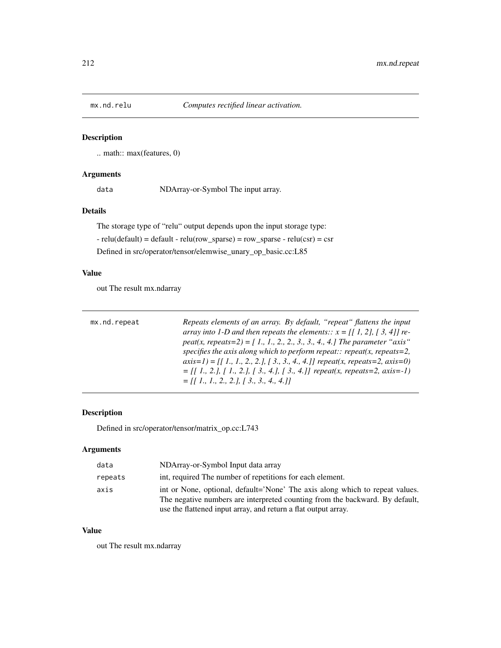.. math:: max(features, 0)

## Arguments

data NDArray-or-Symbol The input array.

## Details

The storage type of "relu" output depends upon the input storage type:  $-$  relu(default) = default  $-$  relu(row\_sparse) = row\_sparse  $-$  relu(csr) = csr Defined in src/operator/tensor/elemwise\_unary\_op\_basic.cc:L85

## Value

out The result mx.ndarray

| mx.nd.repeat | Repeats elements of an array. By default, "repeat" flattens the input                                                                            |
|--------------|--------------------------------------------------------------------------------------------------------------------------------------------------|
|              | array into 1-D and then repeats the elements:: $x = \begin{bmatrix} 1 \\ 2 \\ 1 \end{bmatrix}$ , $\begin{bmatrix} 3 \\ 4 \\ 1 \end{bmatrix}$ re- |
|              | peat(x, repeats=2) = [1, 1, 2, 2, 3, 3, 4, 4.] The parameter "axis"                                                                              |
|              | specifies the axis along which to perform repeat:: repeat(x, repeats=2,                                                                          |
|              | $axis=1$ = [[1, 1, 2, 2, ], [3, 3, 4, 4.]] repeat(x, repeats=2, axis=0)                                                                          |
|              | $=[[1, 2, 1, 1, 2, 1, 2, 1, 3, 4, 1, 3, 4, 1]$ repeat(x, repeats=2, axis=-1)                                                                     |
|              | $=$ [[ 1, 1, 2, 2, 1, [ 3, 3, 4, 4, 1]]                                                                                                          |

#### Description

Defined in src/operator/tensor/matrix\_op.cc:L743

## Arguments

| data    | NDArray-or-Symbol Input data array                                                                                                                           |
|---------|--------------------------------------------------------------------------------------------------------------------------------------------------------------|
| repeats | int, required The number of repetitions for each element.                                                                                                    |
| axis    | int or None, optional, default='None' The axis along which to repeat values.<br>The negative numbers are interpreted counting from the backward. By default, |
|         | use the flattened input array, and return a flat output array.                                                                                               |

#### Value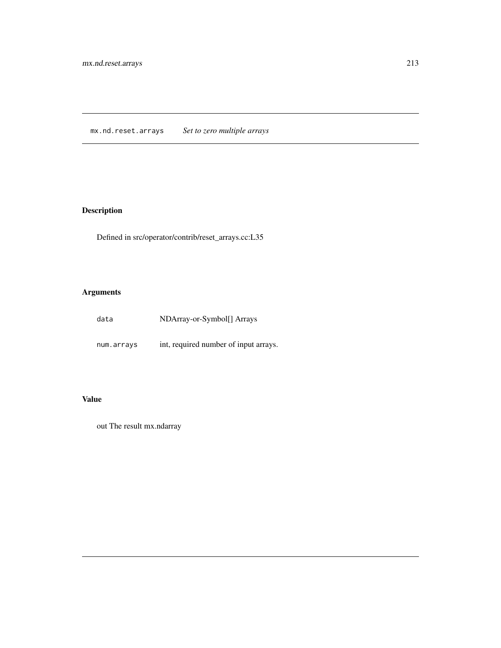mx.nd.reset.arrays *Set to zero multiple arrays*

# Description

Defined in src/operator/contrib/reset\_arrays.cc:L35

# Arguments

| data | NDArray-or-Symbol[] Arrays |
|------|----------------------------|
|      |                            |

num.arrays int, required number of input arrays.

## Value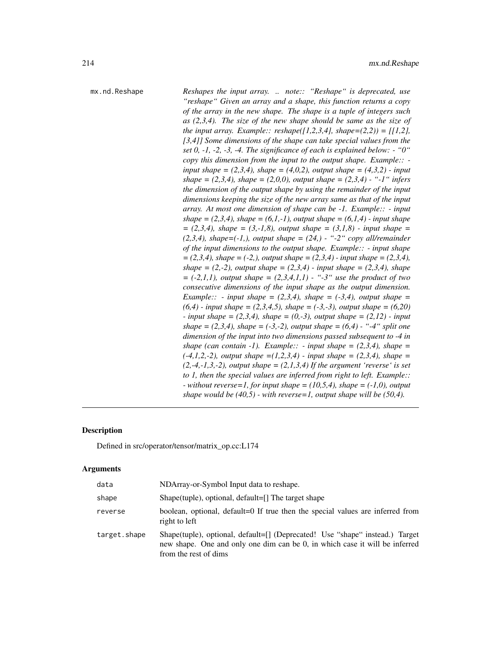mx.nd.Reshape *Reshapes the input array. .. note:: "Reshape" is deprecated, use "reshape" Given an array and a shape, this function returns a copy of the array in the new shape. The shape is a tuple of integers such as (2,3,4). The size of the new shape should be same as the size of the input array. Example:: reshape*( $[1,2,3,4]$ *, shape*= $(2,2)$ ) =  $[1,2]$ *, [3,4]] Some dimensions of the shape can take special values from the set 0, -1, -2, -3, -4. The significance of each is explained below: - "0" copy this dimension from the input to the output shape. Example:: input shape* =  $(2,3,4)$ *, shape* =  $(4,0,2)$ *, output shape* =  $(4,3,2)$  *- input shape = (2,3,4), shape = (2,0,0), output shape = (2,3,4) - "-1" infers the dimension of the output shape by using the remainder of the input dimensions keeping the size of the new array same as that of the input array. At most one dimension of shape can be -1. Example:: - input shape* =  $(2,3,4)$ *, shape* =  $(6,1,-1)$ *, output shape* =  $(6,1,4)$  - *input shape = (2,3,4), shape = (3,-1,8), output shape = (3,1,8) - input shape = (2,3,4), shape=(-1,), output shape = (24,) - "-2" copy all/remainder of the input dimensions to the output shape. Example:: - input shape = (2,3,4), shape = (-2,), output shape = (2,3,4) - input shape = (2,3,4),*  $shape = (2,-2)$ , *output shape* =  $(2,3,4)$  - *input shape* =  $(2,3,4)$ , *shape = (-2,1,1), output shape = (2,3,4,1,1) - "-3" use the product of two consecutive dimensions of the input shape as the output dimension. Example:: - input shape =*  $(2,3,4)$ *, shape =*  $(-3,4)$ *, output shape = (6,4) - input shape = (2,3,4,5), shape = (-3,-3), output shape = (6,20) - input shape = (2,3,4), shape = (0,-3), output shape = (2,12) - input shape* =  $(2,3,4)$ *, shape* =  $(-3,-2)$ *, output shape* =  $(6,4)$  - "-4" *split one dimension of the input into two dimensions passed subsequent to -4 in shape (can contain -1). Example:: - input shape =*  $(2,3,4)$ *, shape = (-4,1,2,-2), output shape =(1,2,3,4) - input shape = (2,3,4), shape = (2,-4,-1,3,-2), output shape = (2,1,3,4) If the argument 'reverse' is set to 1, then the special values are inferred from right to left. Example:: - without reverse=1, for input shape = (10,5,4), shape = (-1,0), output shape would be (40,5) - with reverse=1, output shape will be (50,4).*

#### Description

Defined in src/operator/tensor/matrix\_op.cc:L174

| data         | NDArray-or-Symbol Input data to reshape.                                                                                                                                             |
|--------------|--------------------------------------------------------------------------------------------------------------------------------------------------------------------------------------|
| shape        | Shape (tuple), optional, default=[] The target shape                                                                                                                                 |
| reverse      | boolean, optional, default=0 If true then the special values are inferred from<br>right to left                                                                                      |
| target.shape | Shape(tuple), optional, default=[] (Deprecated! Use "shape" instead.) Target<br>new shape. One and only one dim can be 0, in which case it will be inferred<br>from the rest of dims |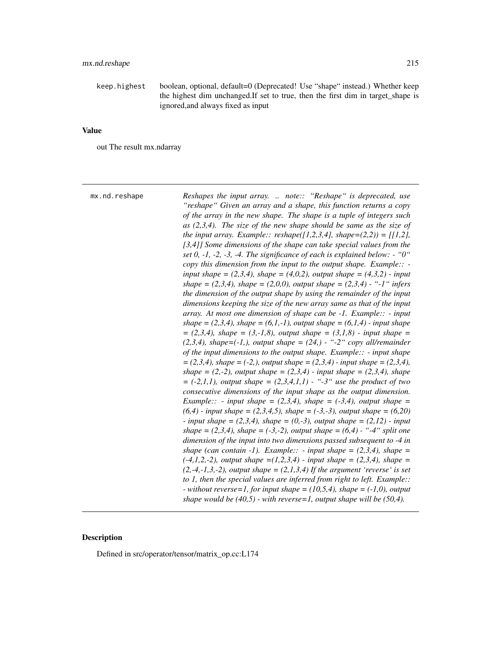keep.highest boolean, optional, default=0 (Deprecated! Use "shape" instead.) Whether keep the highest dim unchanged.If set to true, then the first dim in target\_shape is ignored,and always fixed as input

## Value

out The result mx.ndarray

| mx.nd.reshape | Reshapes the input array.  note:: "Reshape" is deprecated, use<br>"reshape" Given an array and a shape, this function returns a copy<br>of the array in the new shape. The shape is a tuple of integers such<br>as $(2,3,4)$ . The size of the new shape should be same as the size of<br>the input array. Example:: reshape([1,2,3,4], shape= $(2,2)$ ) = [[1,2],<br>[3,4]] Some dimensions of the shape can take special values from the<br>set 0, -1, -2, -3, -4. The significance of each is explained below: $-$ "0"<br>copy this dimension from the input to the output shape. Example:: $-\cdot$<br>input shape = $(2,3,4)$ , shape = $(4,0,2)$ , output shape = $(4,3,2)$ - input<br>shape = $(2,3,4)$ , shape = $(2,0,0)$ , output shape = $(2,3,4)$ - "-1" infers<br>the dimension of the output shape by using the remainder of the input<br>dimensions keeping the size of the new array same as that of the input<br>array. At most one dimension of shape can be $-1$ . Example:: $-$ input<br>shape = $(2,3,4)$ , shape = $(6,1,-1)$ , output shape = $(6,1,4)$ - input shape<br>$= (2,3,4)$ , shape $= (3,-1,8)$ , output shape $= (3,1,8)$ - input shape $=$<br>$(2,3,4)$ , shape= $(-1,$ ), output shape = $(24, )$ - "-2" copy all/remainder<br>of the input dimensions to the output shape. Example: $\cdot$ - input shape<br>$=(2,3,4)$ , shape = (-2,), output shape = (2,3,4) - input shape = (2,3,4),<br>shape = $(2,-2)$ , output shape = $(2,3,4)$ - input shape = $(2,3,4)$ , shape<br>$= (-2,1,1)$ , output shape $= (2,3,4,1,1)$ - "-3" use the product of two<br>consecutive dimensions of the input shape as the output dimension.<br><i>Example::</i> - <i>input shape</i> = $(2,3,4)$ <i>, shape</i> = $(-3,4)$ <i>, output shape</i> =<br>$(6,4)$ - input shape = $(2,3,4,5)$ , shape = $(-3,-3)$ , output shape = $(6,20)$<br>- input shape = $(2,3,4)$ , shape = $(0,-3)$ , output shape = $(2,12)$ - input<br>shape = $(2,3,4)$ , shape = $(-3,-2)$ , output shape = $(6,4)$ - "-4" split one<br>dimension of the input into two dimensions passed subsequent to -4 in<br>shape (can contain -1). Example:: - input shape = $(2,3,4)$ , shape =<br>$(-4,1,2,-2)$ , output shape = $(1,2,3,4)$ - input shape = $(2,3,4)$ , shape =<br>$(2,-4,-1,3,-2)$ , output shape = $(2,1,3,4)$ If the argument 'reverse' is set |
|---------------|----------------------------------------------------------------------------------------------------------------------------------------------------------------------------------------------------------------------------------------------------------------------------------------------------------------------------------------------------------------------------------------------------------------------------------------------------------------------------------------------------------------------------------------------------------------------------------------------------------------------------------------------------------------------------------------------------------------------------------------------------------------------------------------------------------------------------------------------------------------------------------------------------------------------------------------------------------------------------------------------------------------------------------------------------------------------------------------------------------------------------------------------------------------------------------------------------------------------------------------------------------------------------------------------------------------------------------------------------------------------------------------------------------------------------------------------------------------------------------------------------------------------------------------------------------------------------------------------------------------------------------------------------------------------------------------------------------------------------------------------------------------------------------------------------------------------------------------------------------------------------------------------------------------------------------------------------------------------------------------------------------------------------------------------------------------------------------------------------------------------------------------------------------------------------------------------------------------------------------------------------------------------------------------------------------------------------------------------------------|
|               | to 1, then the special values are inferred from right to left. Example::<br>- without reverse=1, for input shape = $(10,5,4)$ , shape = $(-1,0)$ , output<br>shape would be $(40,5)$ - with reverse=1, output shape will be $(50,4)$ .                                                                                                                                                                                                                                                                                                                                                                                                                                                                                                                                                                                                                                                                                                                                                                                                                                                                                                                                                                                                                                                                                                                                                                                                                                                                                                                                                                                                                                                                                                                                                                                                                                                                                                                                                                                                                                                                                                                                                                                                                                                                                                                   |
|               |                                                                                                                                                                                                                                                                                                                                                                                                                                                                                                                                                                                                                                                                                                                                                                                                                                                                                                                                                                                                                                                                                                                                                                                                                                                                                                                                                                                                                                                                                                                                                                                                                                                                                                                                                                                                                                                                                                                                                                                                                                                                                                                                                                                                                                                                                                                                                          |

## Description

Defined in src/operator/tensor/matrix\_op.cc:L174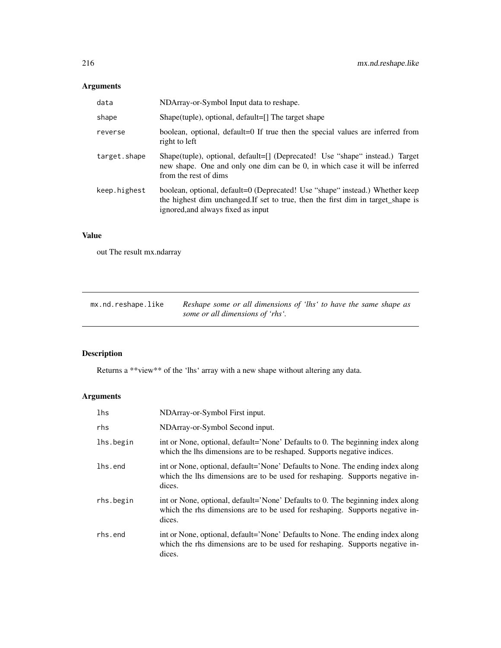# Arguments

| data         | NDArray-or-Symbol Input data to reshape.                                                                                                                                                               |
|--------------|--------------------------------------------------------------------------------------------------------------------------------------------------------------------------------------------------------|
| shape        | Shape(tuple), optional, default=[] The target shape                                                                                                                                                    |
| reverse      | boolean, optional, default=0 If true then the special values are inferred from<br>right to left                                                                                                        |
| target.shape | Shape(tuple), optional, default=[] (Deprecated! Use "shape" instead.) Target<br>new shape. One and only one dim can be 0, in which case it will be inferred<br>from the rest of dims                   |
| keep.highest | boolean, optional, default=0 (Deprecated! Use "shape" instead.) Whether keep<br>the highest dim unchanged. If set to true, then the first dim in target_shape is<br>ignored, and always fixed as input |

# Value

out The result mx.ndarray

| mx.nd.reshape.like | Reshape some or all dimensions of 'lhs' to have the same shape as |
|--------------------|-------------------------------------------------------------------|
|                    | some or all dimensions of 'rhs'.                                  |

# Description

Returns a \*\*view\*\* of the 'lhs' array with a new shape without altering any data.

| lhs       | NDArray-or-Symbol First input.                                                                                                                                           |
|-----------|--------------------------------------------------------------------------------------------------------------------------------------------------------------------------|
| rhs       | NDArray-or-Symbol Second input.                                                                                                                                          |
| lhs.begin | int or None, optional, default='None' Defaults to 0. The beginning index along<br>which the lhs dimensions are to be reshaped. Supports negative indices.                |
| lhs.end   | int or None, optional, default='None' Defaults to None. The ending index along<br>which the lhs dimensions are to be used for reshaping. Supports negative in-<br>dices. |
| rhs.begin | int or None, optional, default='None' Defaults to 0. The beginning index along<br>which the rhs dimensions are to be used for reshaping. Supports negative in-<br>dices. |
| rhs.end   | int or None, optional, default='None' Defaults to None. The ending index along<br>which the rhs dimensions are to be used for reshaping. Supports negative in-<br>dices. |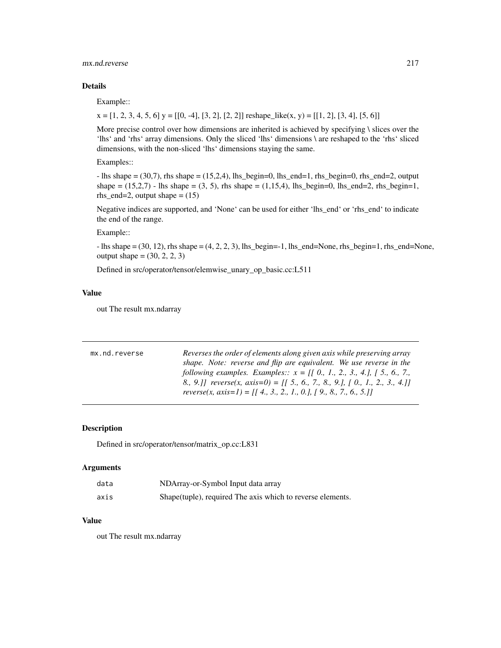## mx.nd.reverse 217

## Details

Example::

 $x = [1, 2, 3, 4, 5, 6]$   $y = [[0, -4], [3, 2], [2, 2]]$  reshape\_like(x, y) = [[1, 2], [3, 4], [5, 6]]

More precise control over how dimensions are inherited is achieved by specifying  $\setminus$  slices over the 'lhs' and 'rhs' array dimensions. Only the sliced 'lhs' dimensions \ are reshaped to the 'rhs' sliced dimensions, with the non-sliced 'lhs' dimensions staying the same.

Examples::

 $-$  lhs shape  $= (30,7)$ , rhs shape  $= (15,2,4)$ , lhs\_begin=0, lhs\_end=1, rhs\_begin=0, rhs\_end=2, output shape  $= (15,2,7)$  - lhs shape  $= (3, 5)$ , rhs shape  $= (1,15,4)$ , lhs\_begin=0, lhs\_end=2, rhs\_begin=1, rhs\_end=2, output shape  $=(15)$ 

Negative indices are supported, and 'None' can be used for either 'lhs\_end' or 'rhs\_end' to indicate the end of the range.

#### Example::

 $-$  lhs shape  $= (30, 12)$ , rhs shape  $= (4, 2, 2, 3)$ , lhs\_begin=-1, lhs\_end=None, rhs\_begin=1, rhs\_end=None, output shape =  $(30, 2, 2, 3)$ 

Defined in src/operator/tensor/elemwise\_unary\_op\_basic.cc:L511

## Value

out The result mx.ndarray

| Reverses the order of elements along given axis while preserving array       |
|------------------------------------------------------------------------------|
| shape. Note: reverse and flip are equivalent. We use reverse in the          |
| following examples. Examples:: $x = [[0, 1, 2, 3, 4, ], [5, 6, 7, ]$         |
| 8., 9.]] reverse(x, axis=0) = [[ 5., 6., 7., 8., 9.], [ 0., 1., 2., 3., 4.]] |
| reverse(x, axis=1) = [[4., 3., 2., 1., 0.], [9., 8., 7., 6., 5.]]            |
|                                                                              |

## Description

Defined in src/operator/tensor/matrix\_op.cc:L831

## Arguments

| data | NDArray-or-Symbol Input data array                         |
|------|------------------------------------------------------------|
| axis | Shape(tuple), required The axis which to reverse elements. |

#### Value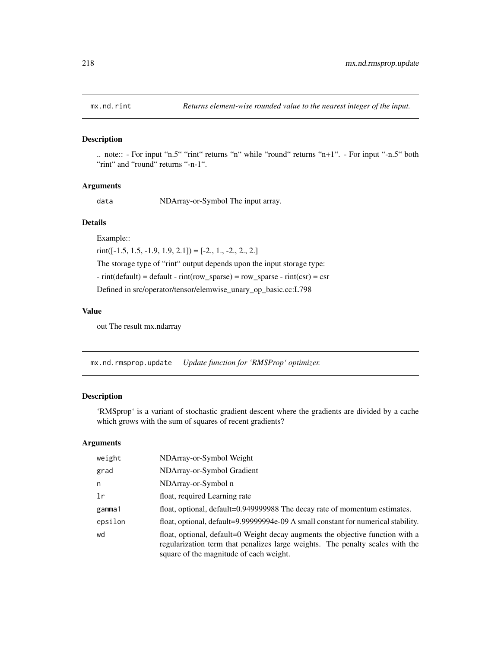# Description

.. note:: - For input "n.5" "rint" returns "n" while "round" returns "n+1". - For input "-n.5" both "rint" and "round" returns "-n-1".

#### Arguments

data NDArray-or-Symbol The input array.

## Details

Example::

 $rint([-1.5, 1.5, -1.9, 1.9, 2.1]) = [-2., 1., -2., 2., 2.]$ 

The storage type of "rint" output depends upon the input storage type:

 $-$  rint(default) = default  $-$  rint(row\_sparse) = row\_sparse  $-$  rint(csr) = csr

Defined in src/operator/tensor/elemwise\_unary\_op\_basic.cc:L798

## Value

out The result mx.ndarray

mx.nd.rmsprop.update *Update function for 'RMSProp' optimizer.*

## Description

'RMSprop' is a variant of stochastic gradient descent where the gradients are divided by a cache which grows with the sum of squares of recent gradients?

| weight  | NDArray-or-Symbol Weight                                                                                                                                                                                   |
|---------|------------------------------------------------------------------------------------------------------------------------------------------------------------------------------------------------------------|
| grad    | NDArray-or-Symbol Gradient                                                                                                                                                                                 |
| n       | NDArray-or-Symbol n                                                                                                                                                                                        |
| 1r      | float, required Learning rate                                                                                                                                                                              |
| gamma1  | float, optional, default=0.949999988 The decay rate of momentum estimates.                                                                                                                                 |
| epsilon | float, optional, default=9.99999994e-09 A small constant for numerical stability.                                                                                                                          |
| wd      | float, optional, default=0 Weight decay augments the objective function with a<br>regularization term that penalizes large weights. The penalty scales with the<br>square of the magnitude of each weight. |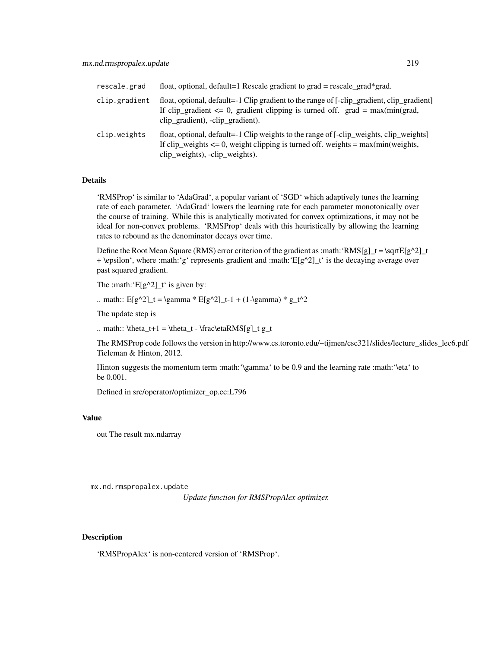| rescale.grad  | float, optional, default=1 Rescale gradient to $grad = rescale\_grad*grad$ .                                                                                                                                       |
|---------------|--------------------------------------------------------------------------------------------------------------------------------------------------------------------------------------------------------------------|
| clip.gradient | float, optional, default=-1 Clip gradient to the range of [-clip_gradient, clip_gradient]<br>If clip_gradient $\leq 0$ , gradient clipping is turned off. grad = max(min(grad,<br>clip_gradient), -clip_gradient). |
| clip.weights  | float, optional, default=-1 Clip weights to the range of [-clip_weights, clip_weights]<br>If clip_weights $\leq 0$ , weight clipping is turned off. weights = max(min(weights,<br>clip_weights), -clip_weights).   |

'RMSProp' is similar to 'AdaGrad', a popular variant of 'SGD' which adaptively tunes the learning rate of each parameter. 'AdaGrad' lowers the learning rate for each parameter monotonically over the course of training. While this is analytically motivated for convex optimizations, it may not be ideal for non-convex problems. 'RMSProp' deals with this heuristically by allowing the learning rates to rebound as the denominator decays over time.

Define the Root Mean Square (RMS) error criterion of the gradient as :math: 'RMS[g]\_t = \sqrtE[g^2]\_t + \epsilon', where :math:'g' represents gradient and :math:' $E[g^{\wedge}2]_t'$  is the decaying average over past squared gradient.

The :math: ' $E[g^2]$  t' is given by:

.. math::  $E[g^2]_t = \gamma * E[g^2]_t-1 + (1-\gamma)* g_t^2$ 

The update step is

.. math::  $theta_t+1 = \theta_t - \frac\eta\text{MS[g]}_t g_t$ 

The RMSProp code follows the version in http://www.cs.toronto.edu/~tijmen/csc321/slides/lecture\_slides\_lec6.pdf Tieleman & Hinton, 2012.

Hinton suggests the momentum term :math:'\gamma' to be 0.9 and the learning rate :math:'\eta' to be 0.001.

Defined in src/operator/optimizer\_op.cc:L796

## Value

out The result mx.ndarray

mx.nd.rmspropalex.update

*Update function for RMSPropAlex optimizer.*

## Description

'RMSPropAlex' is non-centered version of 'RMSProp'.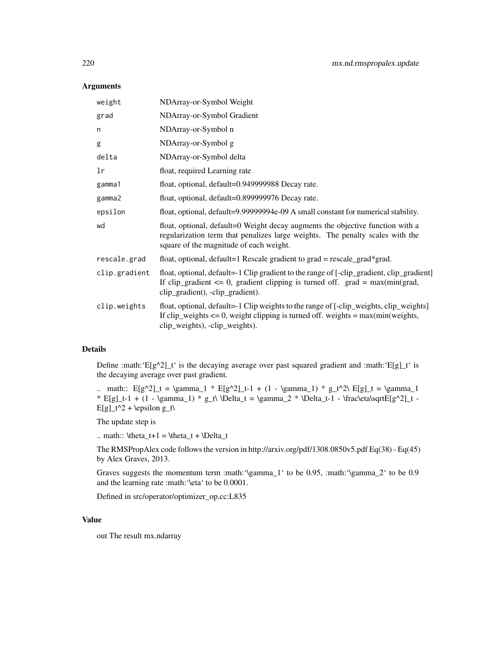# Arguments

| weight        | NDArray-or-Symbol Weight                                                                                                                                                                                           |
|---------------|--------------------------------------------------------------------------------------------------------------------------------------------------------------------------------------------------------------------|
| grad          | NDArray-or-Symbol Gradient                                                                                                                                                                                         |
| n             | NDArray-or-Symbol n                                                                                                                                                                                                |
| g             | NDArray-or-Symbol g                                                                                                                                                                                                |
| delta         | NDArray-or-Symbol delta                                                                                                                                                                                            |
| lr            | float, required Learning rate                                                                                                                                                                                      |
| gamma1        | float, optional, default=0.949999988 Decay rate.                                                                                                                                                                   |
| gamma2        | float, optional, default=0.899999976 Decay rate.                                                                                                                                                                   |
| epsilon       | float, optional, default=9.99999994e-09 A small constant for numerical stability.                                                                                                                                  |
| wd            | float, optional, default=0 Weight decay augments the objective function with a<br>regularization term that penalizes large weights. The penalty scales with the<br>square of the magnitude of each weight.         |
| rescale.grad  | float, optional, default=1 Rescale gradient to grad = rescale_grad*grad.                                                                                                                                           |
| clip.gradient | float, optional, default=-1 Clip gradient to the range of [-clip_gradient, clip_gradient]<br>If clip_gradient $\leq 0$ , gradient clipping is turned off. grad = max(min(grad,<br>clip_gradient), -clip_gradient). |
| clip.weights  | float, optional, default=-1 Clip weights to the range of [-clip_weights, clip_weights]<br>If $clip\_weights \le 0$ , weight clipping is turned off. weights = $max(min(weights,$<br>clip_weights), -clip_weights). |
|               |                                                                                                                                                                                                                    |

## Details

Define :math:' $E[g^2]_t'$  is the decaying average over past squared gradient and :math:' $E[g]_t'$  is the decaying average over past gradient.

.. math::  $E[g^2]_t = \gamma_1 * E[g^2]_t-1 + (1 - \gamma_1) * g_t^2\ E[g]_t = \gamma_1$ \* E[g]\_t-1 + (1 - \gamma\_1) \* g\_t\ \Delta\_t = \gamma\_2 \* \Delta\_t-1 - \frac\eta\sqrtE[g^2]\_t - $E[g]_t^2 + \epsilon \$ 

The update step is

.. math::  $\theta_t+1 = \theta_t + \Delta_t$ 

The RMSPropAlex code follows the version in http://arxiv.org/pdf/1308.0850v5.pdf Eq(38) - Eq(45) by Alex Graves, 2013.

Graves suggests the momentum term :math:'\gamma\_1' to be 0.95, :math:'\gamma\_2' to be 0.9 and the learning rate :math:'\eta' to be 0.0001.

Defined in src/operator/optimizer\_op.cc:L835

#### Value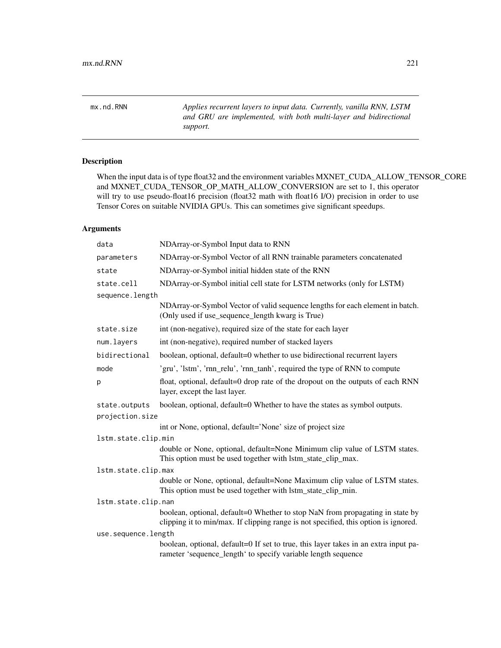mx.nd.RNN *Applies recurrent layers to input data. Currently, vanilla RNN, LSTM and GRU are implemented, with both multi-layer and bidirectional support.*

# Description

When the input data is of type float32 and the environment variables MXNET\_CUDA\_ALLOW\_TENSOR\_CORE and MXNET\_CUDA\_TENSOR\_OP\_MATH\_ALLOW\_CONVERSION are set to 1, this operator will try to use pseudo-float16 precision (float32 math with float16 I/O) precision in order to use Tensor Cores on suitable NVIDIA GPUs. This can sometimes give significant speedups.

| data                | NDArray-or-Symbol Input data to RNN                                                                                                                                  |
|---------------------|----------------------------------------------------------------------------------------------------------------------------------------------------------------------|
| parameters          | NDArray-or-Symbol Vector of all RNN trainable parameters concatenated                                                                                                |
| state               | NDArray-or-Symbol initial hidden state of the RNN                                                                                                                    |
| state.cell          | NDArray-or-Symbol initial cell state for LSTM networks (only for LSTM)                                                                                               |
| sequence.length     |                                                                                                                                                                      |
|                     | NDArray-or-Symbol Vector of valid sequence lengths for each element in batch.<br>(Only used if use_sequence_length kwarg is True)                                    |
| state.size          | int (non-negative), required size of the state for each layer                                                                                                        |
| num.layers          | int (non-negative), required number of stacked layers                                                                                                                |
| bidirectional       | boolean, optional, default=0 whether to use bidirectional recurrent layers                                                                                           |
| mode                | 'gru', 'lstm', 'rnn_relu', 'rnn_tanh', required the type of RNN to compute                                                                                           |
| p                   | float, optional, default=0 drop rate of the dropout on the outputs of each RNN<br>layer, except the last layer.                                                      |
| state.outputs       | boolean, optional, default=0 Whether to have the states as symbol outputs.                                                                                           |
| projection.size     |                                                                                                                                                                      |
|                     | int or None, optional, default='None' size of project size                                                                                                           |
| lstm.state.clip.min |                                                                                                                                                                      |
|                     | double or None, optional, default=None Minimum clip value of LSTM states.<br>This option must be used together with lstm_state_clip_max.                             |
| lstm.state.clip.max |                                                                                                                                                                      |
|                     | double or None, optional, default=None Maximum clip value of LSTM states.<br>This option must be used together with lstm_state_clip_min.                             |
| lstm.state.clip.nan |                                                                                                                                                                      |
|                     | boolean, optional, default=0 Whether to stop NaN from propagating in state by<br>clipping it to min/max. If clipping range is not specified, this option is ignored. |
| use.sequence.length |                                                                                                                                                                      |
|                     | boolean, optional, default=0 If set to true, this layer takes in an extra input pa-<br>rameter 'sequence_length' to specify variable length sequence                 |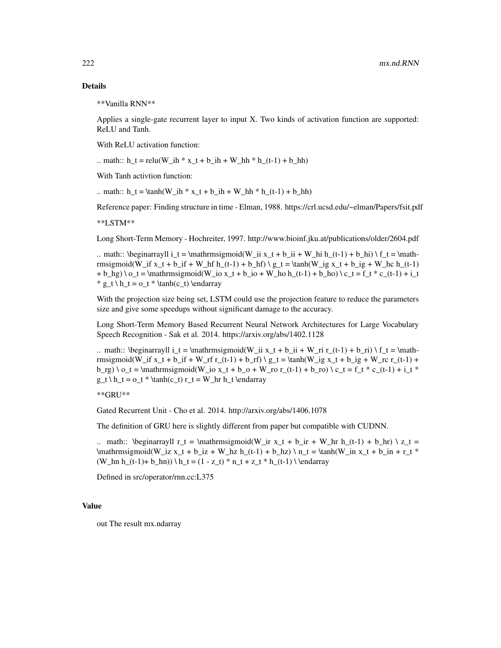\*\*Vanilla RNN\*\*

Applies a single-gate recurrent layer to input X. Two kinds of activation function are supported: ReLU and Tanh.

With ReLU activation function:

.. math::  $h_t = relu(W_i h * x_t + b_i h + W_h h * h_t(t-1) + b_h h)$ 

With Tanh activtion function:

.. math::  $h_t = \tanh(W_ih * x_t + b_ih + W_h * h_t-t-1) + b_hh$ 

Reference paper: Finding structure in time - Elman, 1988. https://crl.ucsd.edu/~elman/Papers/fsit.pdf

\*\*LSTM\*\*

Long Short-Term Memory - Hochreiter, 1997. http://www.bioinf.jku.at/publications/older/2604.pdf

.. math:: \beginarrayll i\_t = \mathrmsigmoid(W\_ii x\_t + b\_ii + W\_hi h\_(t-1) + b\_hi) \ f\_t = \mathrmsigmoid(W\_if x\_t + b\_if + W\_hf h\_(t-1) + b\_hf) \ g\_t = \tanh(W\_ig x\_t + b\_ig + W\_hc h\_(t-1)  $+ b_hg$ ) \  $o_t = \mathrm{mathrmsigmoid}(W_io x_t + b_io + W_ho h_t(t-1) + b_ho) \ c_t = f_t * c_t(t-1) + i_t$  $* g_t \ h_t = o_t * \tanh(c_t) \end{array}$ 

With the projection size being set, LSTM could use the projection feature to reduce the parameters size and give some speedups without significant damage to the accuracy.

Long Short-Term Memory Based Recurrent Neural Network Architectures for Large Vocabulary Speech Recognition - Sak et al. 2014. https://arxiv.org/abs/1402.1128

.. math:: \beginarrayll i\_t = \mathrmsigmoid(W\_ii x\_t + b\_ii + W\_ri r\_(t-1) + b\_ri) \ f\_t = \mathrmsigmoid(W\_if x\_t + b\_if + W\_rf r\_(t-1) + b\_rf) \ g\_t = \tanh(W\_ig x\_t + b\_ig + W\_rc r\_(t-1) +  $b_rg) \ o_t = \mathrm{mathrmsigmoid}(W_io x_t + b_o + W_iro r_i(t-1) + b_iro) \ c_t = f_t * c_i(t-1) + i_t *$  $g_t \ h_t = o_t * \tanh(c_t) r_t = W_hr h_t \end{array}$ 

\*\*GRU\*\*

Gated Recurrent Unit - Cho et al. 2014. http://arxiv.org/abs/1406.1078

The definition of GRU here is slightly different from paper but compatible with CUDNN.

.. math:: \beginarrayll r\_t = \mathrmsigmoid(W\_ir x\_t + b\_ir + W\_hr h\_(t-1) + b\_hr) \ z\_t =  $\mathrm{sum}\mathrm{imoid}(W_iz x t + b_iz + W_hz h(t-1) + b_hz) \ n t = \tanh(W_inz t + b_in + r_t *$  $(W_hn h_{t-1)+ b_hn) \ h_t = (1 - z_t) * n_t + z_t * h_{t-1} \ \end{math}$ 

Defined in src/operator/rnn.cc:L375

## Value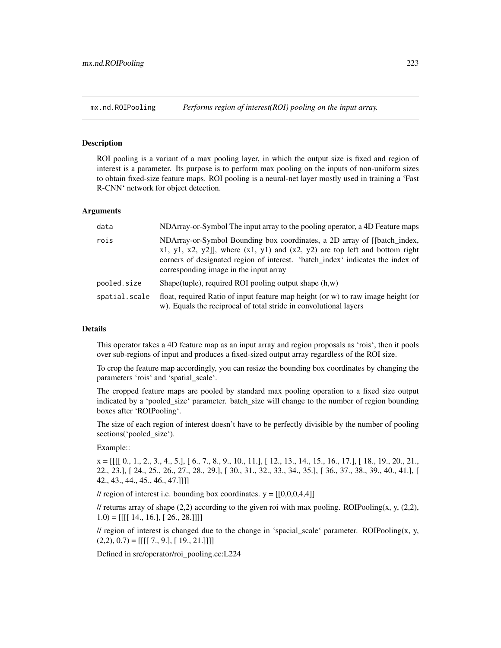## Description

ROI pooling is a variant of a max pooling layer, in which the output size is fixed and region of interest is a parameter. Its purpose is to perform max pooling on the inputs of non-uniform sizes to obtain fixed-size feature maps. ROI pooling is a neural-net layer mostly used in training a 'Fast R-CNN' network for object detection.

#### Arguments

| data          | NDArray-or-Symbol The input array to the pooling operator, a 4D Feature maps                                                                                                                                                                                                               |
|---------------|--------------------------------------------------------------------------------------------------------------------------------------------------------------------------------------------------------------------------------------------------------------------------------------------|
| rois          | NDArray-or-Symbol Bounding box coordinates, a 2D array of [[batch_index,<br>$x1, y1, x2, y2$ ]], where $(x1, y1)$ and $(x2, y2)$ are top left and bottom right<br>corners of designated region of interest. 'batch_index' indicates the index of<br>corresponding image in the input array |
| pooled.size   | Shape(tuple), required ROI pooling output shape $(h, w)$                                                                                                                                                                                                                                   |
| spatial.scale | float, required Ratio of input feature map height (or w) to raw image height (or<br>w). Equals the reciprocal of total stride in convolutional layers                                                                                                                                      |

## Details

This operator takes a 4D feature map as an input array and region proposals as 'rois', then it pools over sub-regions of input and produces a fixed-sized output array regardless of the ROI size.

To crop the feature map accordingly, you can resize the bounding box coordinates by changing the parameters 'rois' and 'spatial\_scale'.

The cropped feature maps are pooled by standard max pooling operation to a fixed size output indicated by a 'pooled\_size' parameter. batch\_size will change to the number of region bounding boxes after 'ROIPooling'.

The size of each region of interest doesn't have to be perfectly divisible by the number of pooling sections('pooled\_size').

Example::

 $x = [[[[ 0., 1., 2., 3., 4., 5.], [ 6., 7., 8., 9., 10., 11.], [ 12., 13., 14., 15., 16., 17.], [ 18., 19., 20., 21.,]$ 22., 23.], [ 24., 25., 26., 27., 28., 29.], [ 30., 31., 32., 33., 34., 35.], [ 36., 37., 38., 39., 40., 41.], [ 42., 43., 44., 45., 46., 47.]]]]

// region of interest i.e. bounding box coordinates.  $y = [[0,0,0,4,4]]$ 

// returns array of shape (2,2) according to the given roi with max pooling. ROIPooling(x, y, (2,2),  $1.0$ ) = [[[[ 14., 16.], [ 26., 28.]]]]

// region of interest is changed due to the change in 'spacial\_scale' parameter. ROIPooling $(x, y, z)$  $(2,2), 0.7$  = [[[[ 7., 9.], [ 19., 21.]]]]

Defined in src/operator/roi\_pooling.cc:L224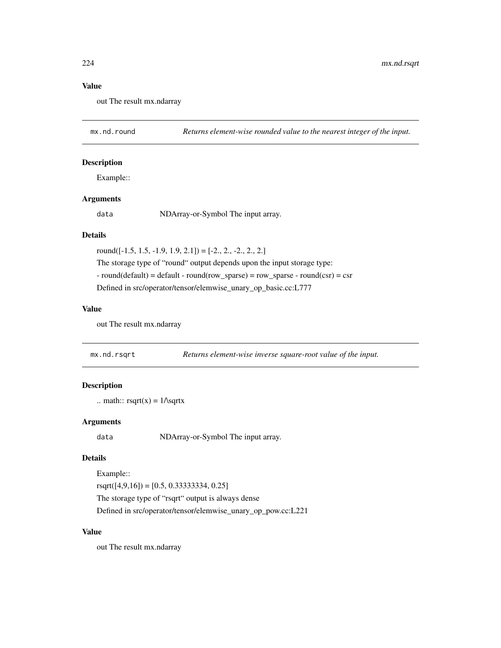## Value

out The result mx.ndarray

mx.nd.round *Returns element-wise rounded value to the nearest integer of the input.*

## Description

Example::

## Arguments

data NDArray-or-Symbol The input array.

# Details

round( $[-1.5, 1.5, -1.9, 1.9, 2.1]$ ) =  $[-2., 2., -2., 2., 2.]$ The storage type of "round" output depends upon the input storage type:  $-$  round(default) = default  $-$  round(row\_sparse) = row\_sparse  $-$  round(csr) = csr Defined in src/operator/tensor/elemwise\_unary\_op\_basic.cc:L777

#### Value

out The result mx.ndarray

mx.nd.rsqrt *Returns element-wise inverse square-root value of the input.*

# Description

```
.. math:: \text{rsqrt}(x) = 1/\text{sqrt}x
```
## Arguments

data NDArray-or-Symbol The input array.

#### Details

Example::

 $rsqrt([4,9,16]) = [0.5, 0.33333334, 0.25]$ 

The storage type of "rsqrt" output is always dense Defined in src/operator/tensor/elemwise\_unary\_op\_pow.cc:L221

## Value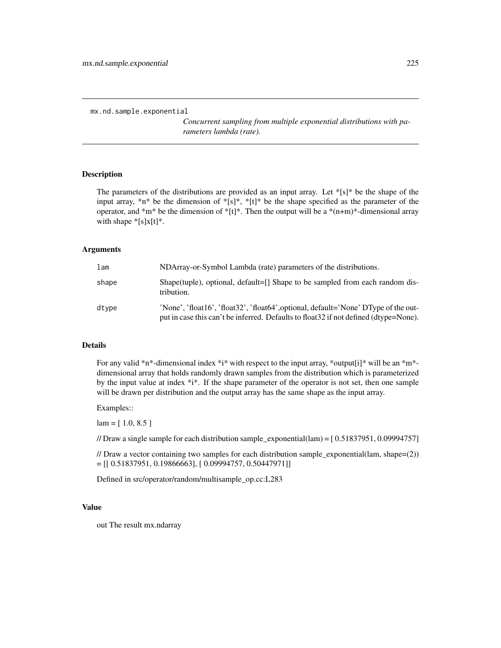```
mx.nd.sample.exponential
```
*Concurrent sampling from multiple exponential distributions with parameters lambda (rate).*

#### Description

The parameters of the distributions are provided as an input array. Let  $*[s]^*$  be the shape of the input array, \*n\* be the dimension of \*[s]\*, \*[t]\* be the shape specified as the parameter of the operator, and \*m\* be the dimension of \*[t]\*. Then the output will be a \*(n+m)\*-dimensional array with shape  $*[s]x[t]^*$ .

#### Arguments

| lam   | NDArray-or-Symbol Lambda (rate) parameters of the distributions.                                                                                                             |
|-------|------------------------------------------------------------------------------------------------------------------------------------------------------------------------------|
| shape | Shape(tuple), optional, default= $\lceil \rceil$ Shape to be sampled from each random dis-<br>tribution.                                                                     |
| dtype | 'None', 'float16', 'float32', 'float64', optional, default='None' DType of the out-<br>put in case this can't be inferred. Defaults to float 32 if not defined (dtype=None). |

## Details

For any valid \*n\*-dimensional index \*i\* with respect to the input array, \*output[i]\* will be an \*m\*dimensional array that holds randomly drawn samples from the distribution which is parameterized by the input value at index  $*i*$ . If the shape parameter of the operator is not set, then one sample will be drawn per distribution and the output array has the same shape as the input array.

Examples::

 $lam = [ 1.0, 8.5 ]$ 

// Draw a single sample for each distribution sample\_exponential(lam) = [ 0.51837951, 0.09994757]

// Draw a vector containing two samples for each distribution sample\_exponential(lam, shape= $(2)$ )  $=[[ 0.51837951, 0.19866663], [ 0.09994757, 0.50447971]]$ 

Defined in src/operator/random/multisample\_op.cc:L283

#### Value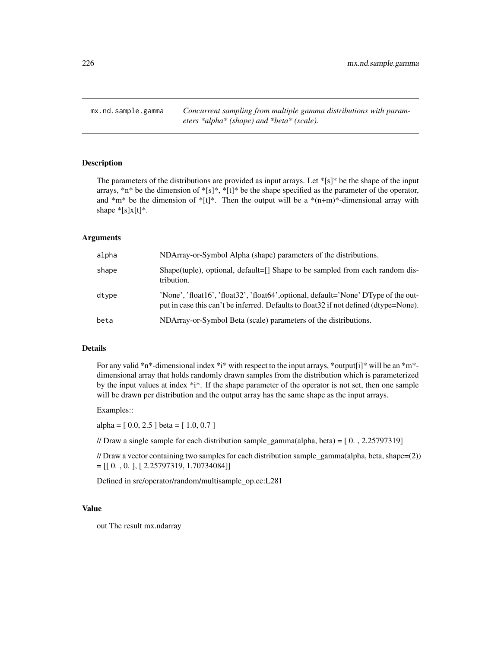mx.nd.sample.gamma *Concurrent sampling from multiple gamma distributions with parameters \*alpha\* (shape) and \*beta\* (scale).*

## Description

The parameters of the distributions are provided as input arrays. Let  $\frac{1}{s}[s]^*$  be the shape of the input arrays, \*n\* be the dimension of \*[s]\*, \*[t]\* be the shape specified as the parameter of the operator, and  $*m*$  be the dimension of  $*[t]^*$ . Then the output will be a  $*(n+m)*$ -dimensional array with shape  $*[s]x[t]^*$ .

## Arguments

| alpha | NDArray-or-Symbol Alpha (shape) parameters of the distributions.                                                                                                             |
|-------|------------------------------------------------------------------------------------------------------------------------------------------------------------------------------|
| shape | Shape(tuple), optional, default=[] Shape to be sampled from each random dis-<br>tribution.                                                                                   |
| dtype | 'None', 'float16', 'float32', 'float64', optional, default='None' DType of the out-<br>put in case this can't be inferred. Defaults to float 32 if not defined (dtype=None). |
| beta  | NDArray-or-Symbol Beta (scale) parameters of the distributions.                                                                                                              |

## Details

For any valid \*n\*-dimensional index \*i\* with respect to the input arrays, \*output[i]\* will be an \*m\*dimensional array that holds randomly drawn samples from the distribution which is parameterized by the input values at index \*i\*. If the shape parameter of the operator is not set, then one sample will be drawn per distribution and the output array has the same shape as the input arrays.

#### Examples::

alpha = [ 0.0, 2.5 ] beta = [ 1.0, 0.7 ]

// Draw a single sample for each distribution sample\_gamma(alpha, beta) =  $[0, 2.25797319]$ 

// Draw a vector containing two samples for each distribution sample\_gamma(alpha, beta, shape=(2))  $=[[ 0. , 0. ], [ 2.25797319, 1.70734084 ]]$ 

Defined in src/operator/random/multisample\_op.cc:L281

## Value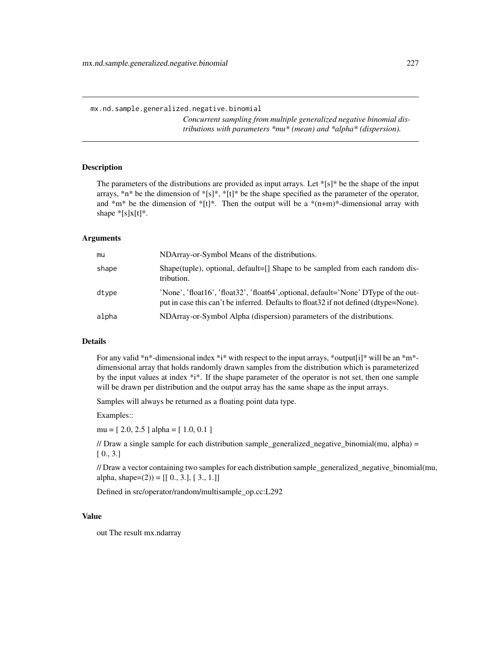*Concurrent sampling from multiple generalized negative binomial distributions with parameters \*mu\* (mean) and \*alpha\* (dispersion).*

# **Description**

The parameters of the distributions are provided as input arrays. Let  $\kappa s$ [s] $\kappa$  be the shape of the input arrays,  $*n*$  be the dimension of  $*[s]*$ ,  $*[t]*$  be the shape specified as the parameter of the operator, and  $*m*$  be the dimension of  $*[t]^*$ . Then the output will be a  $*(n+m)*$ -dimensional array with shape  $*[s]x[t]^*$ .

# Arguments

| mu    | NDArray-or-Symbol Means of the distributions.                                                                                                                                |
|-------|------------------------------------------------------------------------------------------------------------------------------------------------------------------------------|
| shape | Shape(tuple), optional, default=[] Shape to be sampled from each random dis-<br>tribution.                                                                                   |
| dtype | 'None', 'float16', 'float32', 'float64', optional, default='None' DType of the out-<br>put in case this can't be inferred. Defaults to float 32 if not defined (dtype=None). |
| alpha | NDArray-or-Symbol Alpha (dispersion) parameters of the distributions.                                                                                                        |

# Details

For any valid \*n\*-dimensional index \*i\* with respect to the input arrays, \*output[i]\* will be an \*m\*dimensional array that holds randomly drawn samples from the distribution which is parameterized by the input values at index \*i\*. If the shape parameter of the operator is not set, then one sample will be drawn per distribution and the output array has the same shape as the input arrays.

Samples will always be returned as a floating point data type.

Examples::

mu = [ 2.0, 2.5 ] alpha = [ 1.0, 0.1 ]

// Draw a single sample for each distribution sample\_generalized\_negative\_binomial(mu, alpha) = [ 0., 3.]

// Draw a vector containing two samples for each distribution sample\_generalized\_negative\_binomial(mu, alpha, shape= $(2)$ ) = [[ 0., 3.], [ 3., 1.]]

Defined in src/operator/random/multisample\_op.cc:L292

#### Value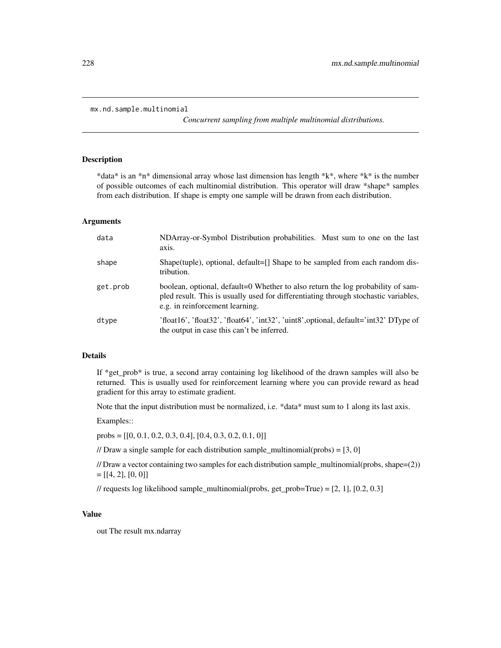```
mx.nd.sample.multinomial
```
*Concurrent sampling from multiple multinomial distributions.*

#### Description

\*data\* is an \*n\* dimensional array whose last dimension has length \*k\*, where \*k\* is the number of possible outcomes of each multinomial distribution. This operator will draw \*shape\* samples from each distribution. If shape is empty one sample will be drawn from each distribution.

#### Arguments

| data     | NDArray-or-Symbol Distribution probabilities. Must sum to one on the last<br>axis.                                                                                                                        |
|----------|-----------------------------------------------------------------------------------------------------------------------------------------------------------------------------------------------------------|
| shape    | Shape(tuple), optional, default=[] Shape to be sampled from each random dis-<br>tribution.                                                                                                                |
| get.prob | boolean, optional, default=0 Whether to also return the log probability of sam-<br>pled result. This is usually used for differentiating through stochastic variables,<br>e.g. in reinforcement learning. |
| dtype    | 'float16', 'float32', 'float64', 'int32', 'uint8', optional, default='int32' DType of<br>the output in case this can't be inferred.                                                                       |

## Details

If \*get\_prob\* is true, a second array containing log likelihood of the drawn samples will also be returned. This is usually used for reinforcement learning where you can provide reward as head gradient for this array to estimate gradient.

Note that the input distribution must be normalized, i.e. \*data\* must sum to 1 along its last axis.

Examples::

probs =  $[[0, 0.1, 0.2, 0.3, 0.4], [0.4, 0.3, 0.2, 0.1, 0]]$ 

// Draw a single sample for each distribution sample\_multinomial(probs) =  $[3, 0]$ 

// Draw a vector containing two samples for each distribution sample multinomial(probs, shape=(2))  $=[[4, 2], [0, 0]]$ 

// requests log likelihood sample\_multinomial(probs, get\_prob=True) =  $[2, 1]$ ,  $[0.2, 0.3]$ 

#### Value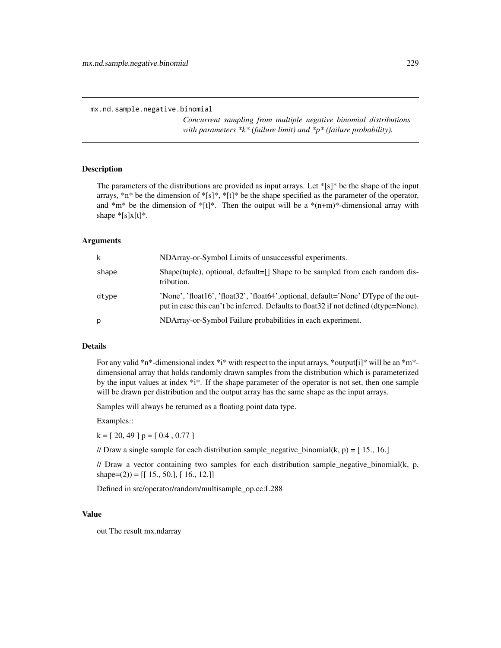*Concurrent sampling from multiple negative binomial distributions with parameters \*k\* (failure limit) and \*p\* (failure probability).*

#### Description

The parameters of the distributions are provided as input arrays. Let  $\frac{1}{s}[s]^*$  be the shape of the input arrays,  $*n*$  be the dimension of  $*[s]*$ ,  $*[t]*$  be the shape specified as the parameter of the operator, and  $*m*$  be the dimension of  $*[t]^*.$  Then the output will be a  $*(n+m)*$ -dimensional array with shape  $*[s]x[t]*$ .

#### Arguments

| k     | NDArray-or-Symbol Limits of unsuccessful experiments.                                                                                                                        |
|-------|------------------------------------------------------------------------------------------------------------------------------------------------------------------------------|
| shape | Shape(tuple), optional, default=[] Shape to be sampled from each random dis-<br>tribution.                                                                                   |
| dtype | 'None', 'float16', 'float32', 'float64', optional, default='None' DType of the out-<br>put in case this can't be inferred. Defaults to float 32 if not defined (dtype=None). |
| p     | NDArray-or-Symbol Failure probabilities in each experiment.                                                                                                                  |

## Details

For any valid \*n\*-dimensional index \*i\* with respect to the input arrays, \*output[i]\* will be an \*m\*dimensional array that holds randomly drawn samples from the distribution which is parameterized by the input values at index \*i\*. If the shape parameter of the operator is not set, then one sample will be drawn per distribution and the output array has the same shape as the input arrays.

Samples will always be returned as a floating point data type.

Examples::

 $k = [20, 49]$  p = [0.4, 0.77]

// Draw a single sample for each distribution sample\_negative\_binomial(k, p) =  $[15., 16.]$ 

// Draw a vector containing two samples for each distribution sample negative binomial(k, p, shape=(2)) =  $[[15., 50.], [16., 12.]]$ 

Defined in src/operator/random/multisample\_op.cc:L288

#### Value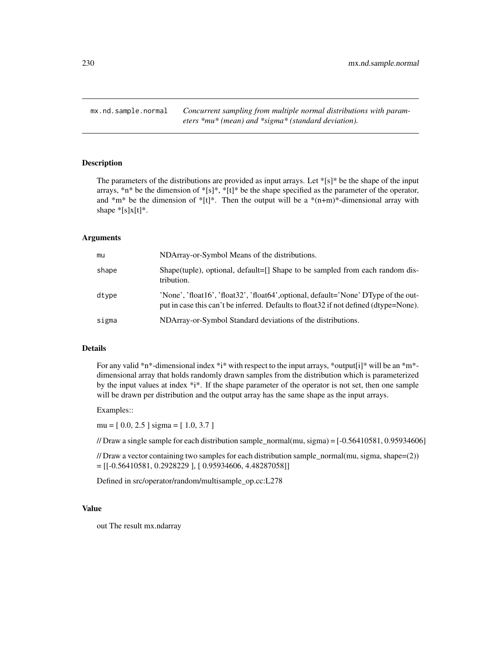mx.nd.sample.normal *Concurrent sampling from multiple normal distributions with parameters \*mu\* (mean) and \*sigma\* (standard deviation).*

## Description

The parameters of the distributions are provided as input arrays. Let  $\frac{1}{s}[s]^*$  be the shape of the input arrays, \*n\* be the dimension of \*[s]\*, \*[t]\* be the shape specified as the parameter of the operator, and  $*m*$  be the dimension of  $*[t]^*$ . Then the output will be a  $*(n+m)*$ -dimensional array with shape  $*[s]x[t]^*$ .

## Arguments

| mu    | NDArray-or-Symbol Means of the distributions.                                                                                                                                |  |
|-------|------------------------------------------------------------------------------------------------------------------------------------------------------------------------------|--|
| shape | Shape(tuple), optional, default=[] Shape to be sampled from each random dis-<br>tribution.                                                                                   |  |
| dtype | 'None', 'float16', 'float32', 'float64', optional, default='None' DType of the out-<br>put in case this can't be inferred. Defaults to float 32 if not defined (dtype=None). |  |
| sigma | NDArray-or-Symbol Standard deviations of the distributions.                                                                                                                  |  |

## Details

For any valid \*n\*-dimensional index \*i\* with respect to the input arrays, \*output[i]\* will be an \*m\*dimensional array that holds randomly drawn samples from the distribution which is parameterized by the input values at index \*i\*. If the shape parameter of the operator is not set, then one sample will be drawn per distribution and the output array has the same shape as the input arrays.

#### Examples::

mu = [ 0.0, 2.5 ] sigma = [ 1.0, 3.7 ]

// Draw a single sample for each distribution sample\_normal(mu, sigma) =  $[-0.56410581, 0.95934606]$ 

// Draw a vector containing two samples for each distribution sample\_normal(mu, sigma, shape=(2))  $=[[-0.56410581, 0.2928229], [0.95934606, 4.48287058]]$ 

Defined in src/operator/random/multisample\_op.cc:L278

## Value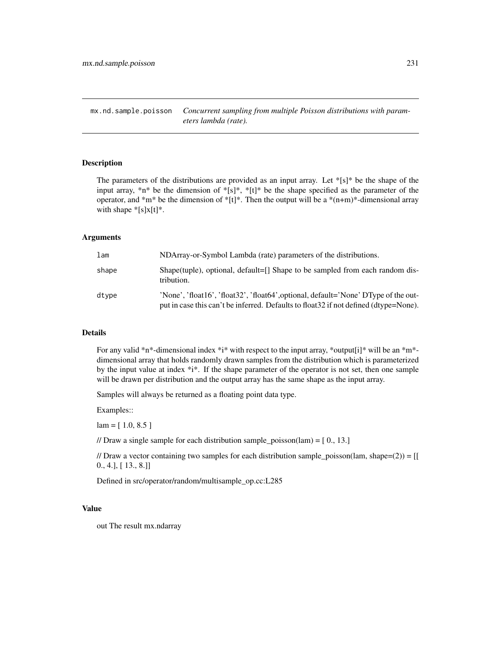mx.nd.sample.poisson *Concurrent sampling from multiple Poisson distributions with parameters lambda (rate).*

# Description

The parameters of the distributions are provided as an input array. Let  $|[s]|^*$  be the shape of the input array, \*n\* be the dimension of \*[s]\*, \*[t]\* be the shape specified as the parameter of the operator, and  $\text{*}^m\text{*}$  be the dimension of  $\text{*}[t]\text{*}$ . Then the output will be a  $\text{*}(n+m)\text{*}-dimensional$  array with shape  $*[s]x[t]^*$ .

#### Arguments

| lam   | NDArray-or-Symbol Lambda (rate) parameters of the distributions.                                                                                                             |  |
|-------|------------------------------------------------------------------------------------------------------------------------------------------------------------------------------|--|
| shape | Shape(tuple), optional, default=[] Shape to be sampled from each random dis-<br>tribution.                                                                                   |  |
| dtype | 'None', 'float16', 'float32', 'float64', optional, default='None' DType of the out-<br>put in case this can't be inferred. Defaults to float 32 if not defined (dtype=None). |  |

# Details

For any valid \*n\*-dimensional index \*i\* with respect to the input array, \*output[i]\* will be an \*m\*dimensional array that holds randomly drawn samples from the distribution which is parameterized by the input value at index  $*i*$ . If the shape parameter of the operator is not set, then one sample will be drawn per distribution and the output array has the same shape as the input array.

Samples will always be returned as a floating point data type.

Examples::

 $lam = [ 1.0, 8.5 ]$ 

// Draw a single sample for each distribution sample\_poisson(lam) =  $[0, 13.]$ 

// Draw a vector containing two samples for each distribution sample poisson(lam, shape=(2)) =  $[[$ 0., 4.], [ 13., 8.]]

Defined in src/operator/random/multisample\_op.cc:L285

## Value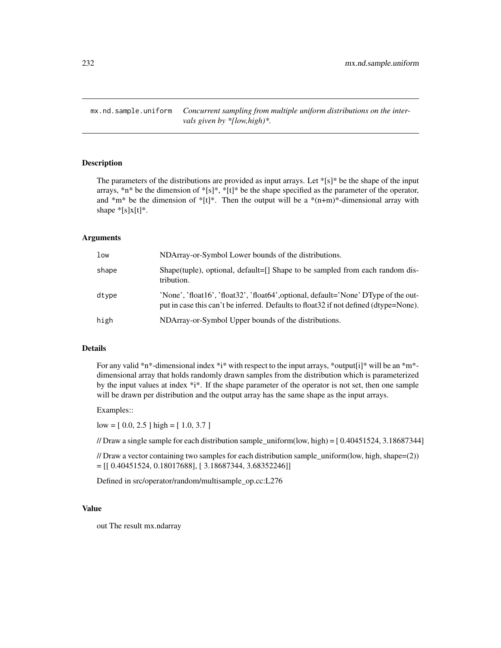mx.nd.sample.uniform *Concurrent sampling from multiple uniform distributions on the intervals given by \*[low,high)\*.*

# Description

The parameters of the distributions are provided as input arrays. Let  $\frac{1}{s}[s]^*$  be the shape of the input arrays, \*n\* be the dimension of \*[s]\*, \*[t]\* be the shape specified as the parameter of the operator, and  $*m*$  be the dimension of  $*[t]^*$ . Then the output will be a  $*(n+m)*$ -dimensional array with shape  $*[s]x[t]^*$ .

## Arguments

| low   | NDArray-or-Symbol Lower bounds of the distributions.                                                                                                                         |  |
|-------|------------------------------------------------------------------------------------------------------------------------------------------------------------------------------|--|
| shape | Shape(tuple), optional, default=[] Shape to be sampled from each random dis-<br>tribution.                                                                                   |  |
| dtype | 'None', 'float16', 'float32', 'float64', optional, default='None' DType of the out-<br>put in case this can't be inferred. Defaults to float 32 if not defined (dtype=None). |  |
| high  | NDArray-or-Symbol Upper bounds of the distributions.                                                                                                                         |  |

## Details

For any valid \*n\*-dimensional index \*i\* with respect to the input arrays, \*output[i]\* will be an \*m\*dimensional array that holds randomly drawn samples from the distribution which is parameterized by the input values at index \*i\*. If the shape parameter of the operator is not set, then one sample will be drawn per distribution and the output array has the same shape as the input arrays.

#### Examples::

 $low = [0.0, 2.5] high = [1.0, 3.7]$ 

// Draw a single sample for each distribution sample\_uniform(low, high) =  $[0.40451524, 3.18687344]$ 

// Draw a vector containing two samples for each distribution sample uniform(low, high, shape=(2))  $= [[ 0.40451524, 0.18017688], [ 3.18687344, 3.68352246]]$ 

Defined in src/operator/random/multisample\_op.cc:L276

## Value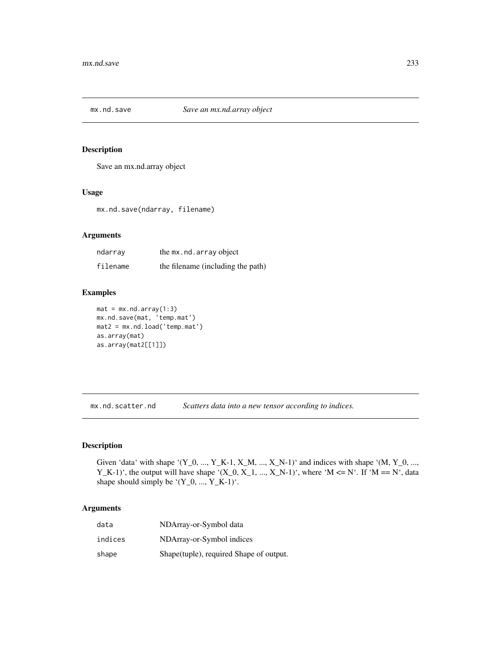## Description

Save an mx.nd.array object

#### Usage

mx.nd.save(ndarray, filename)

# Arguments

| ndarrav  | the mx.nd.array object            |
|----------|-----------------------------------|
| filename | the filename (including the path) |

# Examples

```
mat = mx.nd.array(1:3)mx.nd.save(mat, 'temp.mat')
mat2 = mx.nd.load('temp.mat')
as.array(mat)
as.array(mat2[[1]])
```
mx.nd.scatter.nd *Scatters data into a new tensor according to indices.*

# Description

Given 'data' with shape '(Y\_0, ..., Y\_K-1, X\_M, ..., X\_N-1)' and indices with shape '(M, Y\_0, ..., Y\_K-1)', the output will have shape '(X\_0, X\_1, ..., X\_N-1)', where 'M <= N'. If 'M == N', data shape should simply be  $'(Y_0, ..., Y_K-1)$ .

| data    | NDArray-or-Symbol data                   |
|---------|------------------------------------------|
| indices | NDArray-or-Symbol indices                |
| shape   | Shape (tuple), required Shape of output. |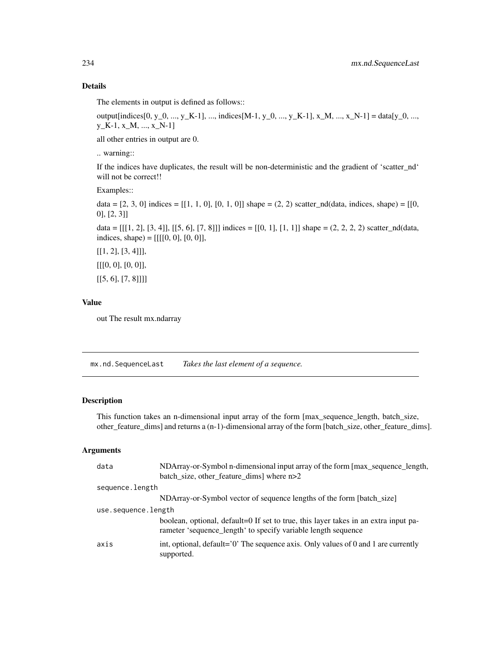The elements in output is defined as follows::

output[indices[0, y\_0, ..., y\_K-1], ..., indices[M-1, y\_0, ..., y\_K-1], x\_M, ..., x\_N-1] = data[y\_0, ..., y\_K-1, x\_M, ..., x\_N-1]

all other entries in output are 0.

.. warning::

If the indices have duplicates, the result will be non-deterministic and the gradient of 'scatter\_nd' will not be correct!!

Examples::

data =  $[2, 3, 0]$  indices =  $[[1, 1, 0], [0, 1, 0]]$  shape =  $(2, 2)$  scatter\_nd(data, indices, shape) =  $[[0, 1, 0]]$ 0], [2, 3]]

data =  $[[1, 2], [3, 4]], [[5, 6], [7, 8]]]$  indices =  $[[0, 1], [1, 1]]$  shape =  $(2, 2, 2, 2)$  scatter\_nd(data, indices, shape) =  $[[[[0, 0], [0, 0]],$ 

 $[[1, 2], [3, 4]]],$ [[[0, 0], [0, 0]],

 $[[5, 6], [7, 8]]]$ 

## Value

out The result mx.ndarray

mx.nd.SequenceLast *Takes the last element of a sequence.*

# Description

This function takes an n-dimensional input array of the form [max\_sequence\_length, batch\_size, other\_feature\_dims] and returns a (n-1)-dimensional array of the form [batch\_size, other\_feature\_dims].

| data                | NDArray-or-Symbol n-dimensional input array of the form [max_sequence_length,                                                                        |
|---------------------|------------------------------------------------------------------------------------------------------------------------------------------------------|
|                     | batch_size, other_feature_dims] where n>2                                                                                                            |
| sequence.length     |                                                                                                                                                      |
|                     | NDArray-or-Symbol vector of sequence lengths of the form [batch_size]                                                                                |
| use.sequence.length |                                                                                                                                                      |
|                     | boolean, optional, default=0 If set to true, this layer takes in an extra input pa-<br>rameter 'sequence_length' to specify variable length sequence |
| axis                | int, optional, default= $'0'$ . The sequence axis. Only values of 0 and 1 are currently<br>supported.                                                |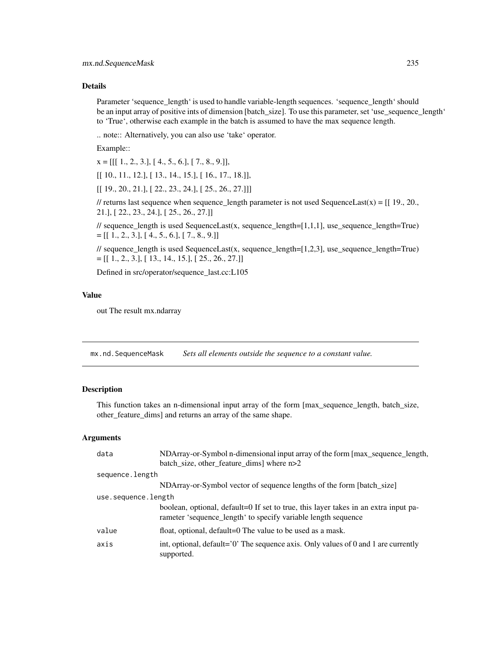Parameter 'sequence\_length' is used to handle variable-length sequences. 'sequence\_length' should be an input array of positive ints of dimension [batch\_size]. To use this parameter, set 'use\_sequence\_length' to 'True', otherwise each example in the batch is assumed to have the max sequence length.

.. note:: Alternatively, you can also use 'take' operator.

Example::

 $x = [[1., 2., 3.], [4., 5., 6.], [7., 8., 9.]],$ 

[[ 10., 11., 12.], [ 13., 14., 15.], [ 16., 17., 18.]],

[[ 19., 20., 21.], [ 22., 23., 24.], [ 25., 26., 27.]]]

// returns last sequence when sequence\_length parameter is not used SequenceLast(x) =  $[[19, 20, 16, 20, 16, 20, 16, 20, 16, 20, 16, 20, 16, 20, 16, 20, 16, 20, 16, 20, 16, 20, 16, 20, 16, 20, 16, 20, 16, 20, 16, 20, 20, 3$ 21.], [ 22., 23., 24.], [ 25., 26., 27.]]

// sequence\_length is used SequenceLast(x, sequence\_length=[1,1,1], use\_sequence\_length=True)  $=[[1., 2., 3.], [4., 5., 6.], [7., 8., 9.]]]$ 

// sequence\_length is used SequenceLast(x, sequence\_length=[1,2,3], use\_sequence\_length=True)  $=[[1., 2., 3.], [13., 14., 15.], [25., 26., 27.]]$ 

Defined in src/operator/sequence\_last.cc:L105

#### Value

out The result mx.ndarray

mx.nd.SequenceMask *Sets all elements outside the sequence to a constant value.*

## Description

This function takes an n-dimensional input array of the form [max\_sequence\_length, batch\_size, other\_feature\_dims] and returns an array of the same shape.

| data                | NDArray-or-Symbol n-dimensional input array of the form [max_sequence_length,                                                                        |  |
|---------------------|------------------------------------------------------------------------------------------------------------------------------------------------------|--|
|                     | batch size, other feature dims where n>2                                                                                                             |  |
| sequence.length     |                                                                                                                                                      |  |
|                     | NDArray-or-Symbol vector of sequence lengths of the form [batch_size]                                                                                |  |
| use.sequence.length |                                                                                                                                                      |  |
|                     | boolean, optional, default=0 If set to true, this layer takes in an extra input pa-<br>rameter 'sequence_length' to specify variable length sequence |  |
| value               | float, optional, default=0 The value to be used as a mask.                                                                                           |  |
| axis                | int, optional, default= $'0'$ . The sequence axis. Only values of 0 and 1 are currently<br>supported.                                                |  |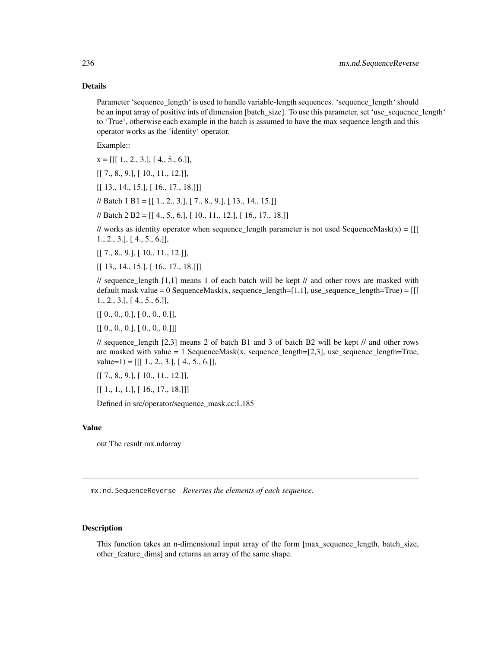Parameter 'sequence\_length' is used to handle variable-length sequences. 'sequence\_length' should be an input array of positive ints of dimension [batch\_size]. To use this parameter, set 'use\_sequence\_length' to 'True', otherwise each example in the batch is assumed to have the max sequence length and this operator works as the 'identity' operator.

Example::

 $x = [[1., 2., 3.], [4., 5., 6.]]$ 

[[ 7., 8., 9.], [ 10., 11., 12.]],

[[ 13., 14., 15.], [ 16., 17., 18.]]]

// Batch 1 B1 = [[ 1., 2., 3.], [ 7., 8., 9.], [ 13., 14., 15.]]

// Batch 2 B2 = [[ 4., 5., 6.], [ 10., 11., 12.], [ 16., 17., 18.]]

// works as identity operator when sequence\_length parameter is not used SequenceMask(x) =  $[[$ 1., 2., 3.], [ 4., 5., 6.]],

[[ 7., 8., 9.], [ 10., 11., 12.]],

[[ 13., 14., 15.], [ 16., 17., 18.]]]

// sequence length  $[1,1]$  means 1 of each batch will be kept // and other rows are masked with default mask value = 0 SequenceMask(x, sequence\_length=[1,1], use\_sequence\_length=True) =  $[[$ 1., 2., 3.], [ 4., 5., 6.]],

 $[[ [ 0., 0., 0.], [ 0., 0., 0.]]$ 

 $[[ [ 0., 0., 0.], [ 0., 0., 0.]]]$ 

// sequence\_length [2,3] means 2 of batch B1 and 3 of batch B2 will be kept // and other rows are masked with value  $= 1$  SequenceMask(x, sequence\_length=[2,3], use\_sequence\_length=True,  $value=1$ ) = [[[ 1., 2., 3.], [ 4., 5., 6.]],

[[ 7., 8., 9.], [ 10., 11., 12.]],

 $[[ 1., 1., 1.], [ 16., 17., 18.]]$ 

Defined in src/operator/sequence\_mask.cc:L185

#### Value

out The result mx.ndarray

mx.nd.SequenceReverse *Reverses the elements of each sequence.*

#### **Description**

This function takes an n-dimensional input array of the form [max\_sequence\_length, batch\_size, other\_feature\_dims] and returns an array of the same shape.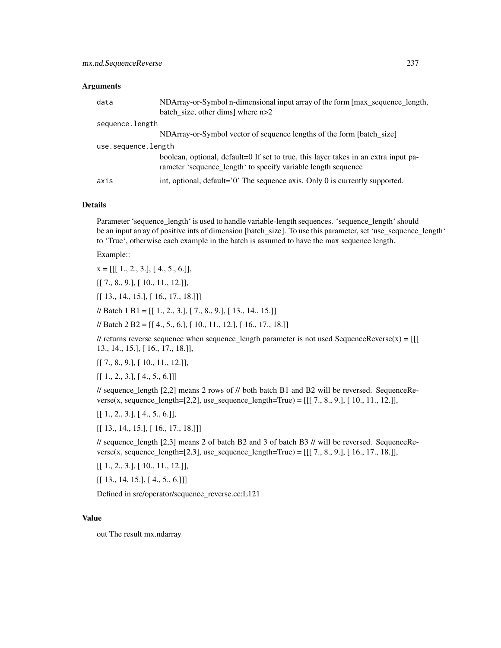#### Arguments

| data                | NDArray-or-Symbol n-dimensional input array of the form [max_sequence_length,<br>batch size, other dims where n>2                                    |  |
|---------------------|------------------------------------------------------------------------------------------------------------------------------------------------------|--|
| sequence.length     |                                                                                                                                                      |  |
|                     | NDArray-or-Symbol vector of sequence lengths of the form [batch_size]                                                                                |  |
| use.sequence.length |                                                                                                                                                      |  |
|                     | boolean, optional, default=0 If set to true, this layer takes in an extra input pa-<br>rameter 'sequence_length' to specify variable length sequence |  |
| axis                | int, optional, $default='0'$ The sequence axis. Only 0 is currently supported.                                                                       |  |

#### Details

Parameter 'sequence\_length' is used to handle variable-length sequences. 'sequence\_length' should be an input array of positive ints of dimension [batch\_size]. To use this parameter, set 'use\_sequence\_length' to 'True', otherwise each example in the batch is assumed to have the max sequence length.

Example::

 $x = [[1., 2., 3.], [4., 5., 6.]],$ 

[[ 7., 8., 9.], [ 10., 11., 12.]],

[[ 13., 14., 15.], [ 16., 17., 18.]]]

// Batch 1 B1 = [[ 1., 2., 3.], [ 7., 8., 9.], [ 13., 14., 15.]]

// Batch 2 B2 = [[ 4., 5., 6.], [ 10., 11., 12.], [ 16., 17., 18.]]

// returns reverse sequence when sequence\_length parameter is not used SequenceReverse(x) =  $[[$ 13., 14., 15.], [ 16., 17., 18.]],

[[ 7., 8., 9.], [ 10., 11., 12.]],

 $[[ 1., 2., 3.], [ 4., 5., 6.]]]$ 

 $\ell$  sequence\_length [2,2] means 2 rows of  $\ell$  both batch B1 and B2 will be reversed. SequenceReverse(x, sequence\_length=[2,2], use\_sequence\_length=True) =  $[[[ 7, 8, 9, ], [ 10, 11, 12, ]]$ ,

 $[[ 1., 2., 3.], [ 4., 5., 6.]]$ 

[[ 13., 14., 15.], [ 16., 17., 18.]]]

// sequence length  $[2,3]$  means 2 of batch B2 and 3 of batch B3 // will be reversed. SequenceReverse(x, sequence\_length=[2,3], use\_sequence\_length=True) =  $[[[ 7., 8., 9.], [ 16., 17., 18.]],$ 

[[ 1., 2., 3.], [ 10., 11., 12.]],

 $[[ 13., 14, 15.], [ 4., 5., 6.]]]$ 

Defined in src/operator/sequence\_reverse.cc:L121

#### Value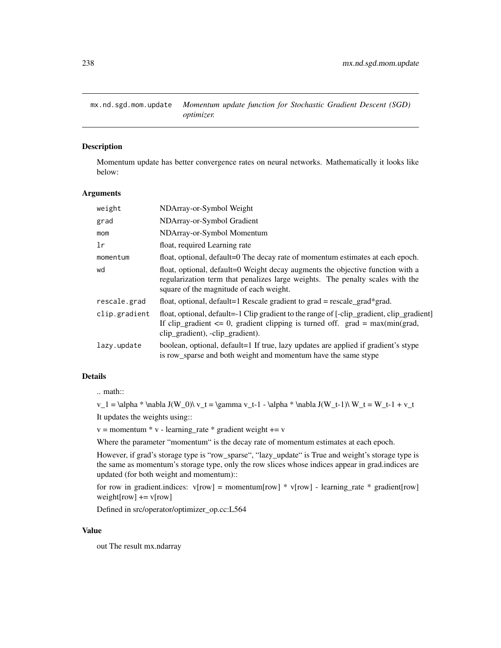mx.nd.sgd.mom.update *Momentum update function for Stochastic Gradient Descent (SGD) optimizer.*

#### Description

Momentum update has better convergence rates on neural networks. Mathematically it looks like below:

## Arguments

| weight        | NDArray-or-Symbol Weight                                                                                                                                                                                           |  |
|---------------|--------------------------------------------------------------------------------------------------------------------------------------------------------------------------------------------------------------------|--|
| grad          | NDArray-or-Symbol Gradient                                                                                                                                                                                         |  |
| mom           | NDArray-or-Symbol Momentum                                                                                                                                                                                         |  |
| 1r            | float, required Learning rate                                                                                                                                                                                      |  |
| momentum      | float, optional, default=0 The decay rate of momentum estimates at each epoch.                                                                                                                                     |  |
| wd            | float, optional, default=0 Weight decay augments the objective function with a<br>regularization term that penalizes large weights. The penalty scales with the<br>square of the magnitude of each weight.         |  |
| rescale.grad  | float, optional, default=1 Rescale gradient to $grad = rescale\_grad*grad$ .                                                                                                                                       |  |
| clip.gradient | float, optional, default=-1 Clip gradient to the range of [-clip_gradient, clip_gradient]<br>If clip_gradient $\leq 0$ , gradient clipping is turned off. grad = max(min(grad,<br>clip_gradient), -clip_gradient). |  |
| lazy.update   | boolean, optional, default=1 If true, lazy updates are applied if gradient's stype<br>is row_sparse and both weight and momentum have the same stype                                                               |  |

## Details

.. math::

 $v_1 = \alpha * \nabla J(W_0) \ v_t = \gamma v_t-1 - \alpha * \nabla J(W_t-1) \ W_t = W_t-1 + v_t$ 

It updates the weights using::

 $v =$  momentum  $* v$  - learning\_rate  $*$  gradient weight  $+= v$ 

Where the parameter "momentum" is the decay rate of momentum estimates at each epoch.

However, if grad's storage type is "row\_sparse", "lazy\_update" is True and weight's storage type is the same as momentum's storage type, only the row slices whose indices appear in grad.indices are updated (for both weight and momentum)::

for row in gradient.indices:  $v[row] = momentum[row] * v[row] - learning_rate * gradient[row]$ weight[row]  $+= v[row]$ 

Defined in src/operator/optimizer\_op.cc:L564

## Value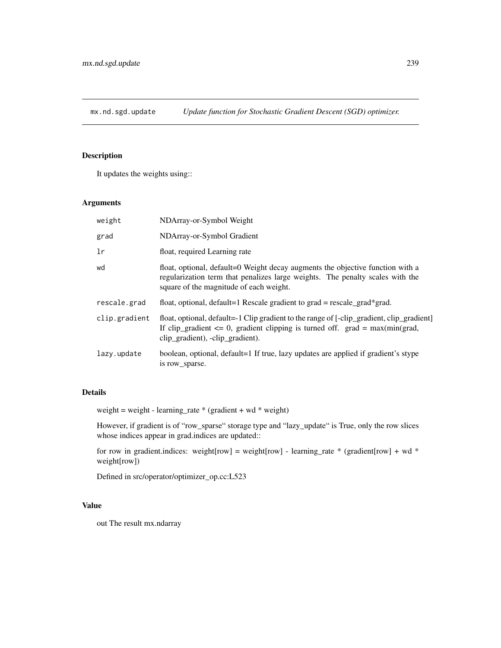# Description

It updates the weights using::

# Arguments

| weight        | NDArray-or-Symbol Weight                                                                                                                                                                                           |  |
|---------------|--------------------------------------------------------------------------------------------------------------------------------------------------------------------------------------------------------------------|--|
| grad          | NDArray-or-Symbol Gradient                                                                                                                                                                                         |  |
| 1r            | float, required Learning rate                                                                                                                                                                                      |  |
| wd            | float, optional, default=0 Weight decay augments the objective function with a<br>regularization term that penalizes large weights. The penalty scales with the<br>square of the magnitude of each weight.         |  |
| rescale.grad  | float, optional, default=1 Rescale gradient to $grad = rescale\_grad*grad$ .                                                                                                                                       |  |
| clip.gradient | float, optional, default=-1 Clip gradient to the range of [-clip_gradient, clip_gradient]<br>If clip_gradient $\leq 0$ , gradient clipping is turned off. grad = max(min(grad,<br>clip_gradient), -clip_gradient). |  |
| lazy.update   | boolean, optional, default=1 If true, lazy updates are applied if gradient's stype<br>is row sparse.                                                                                                               |  |

# Details

weight = weight - learning\_rate  $*$  (gradient + wd  $*$  weight)

However, if gradient is of "row\_sparse" storage type and "lazy\_update" is True, only the row slices whose indices appear in grad.indices are updated::

for row in gradient.indices: weight[row] = weight[row] - learning\_rate \* (gradient[row] + wd \* weight[row])

Defined in src/operator/optimizer\_op.cc:L523

#### Value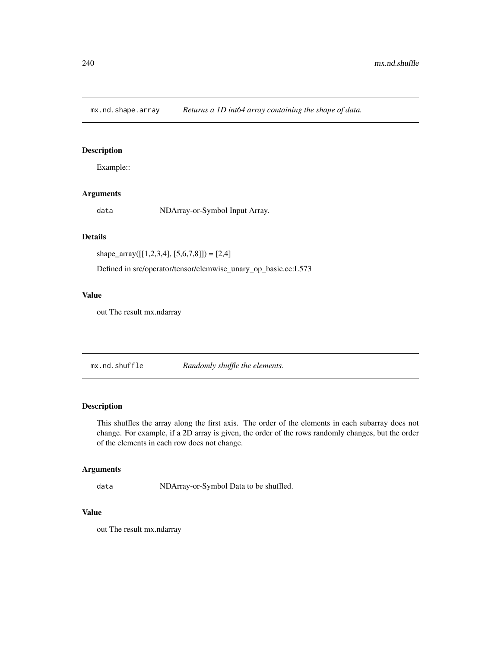mx.nd.shape.array *Returns a 1D int64 array containing the shape of data.*

## Description

Example::

## Arguments

data NDArray-or-Symbol Input Array.

## Details

shape\_array( $[[1,2,3,4], [5,6,7,8]]) = [2,4]$ 

Defined in src/operator/tensor/elemwise\_unary\_op\_basic.cc:L573

## Value

out The result mx.ndarray

mx.nd.shuffle *Randomly shuffle the elements.*

## Description

This shuffles the array along the first axis. The order of the elements in each subarray does not change. For example, if a 2D array is given, the order of the rows randomly changes, but the order of the elements in each row does not change.

## Arguments

data NDArray-or-Symbol Data to be shuffled.

## Value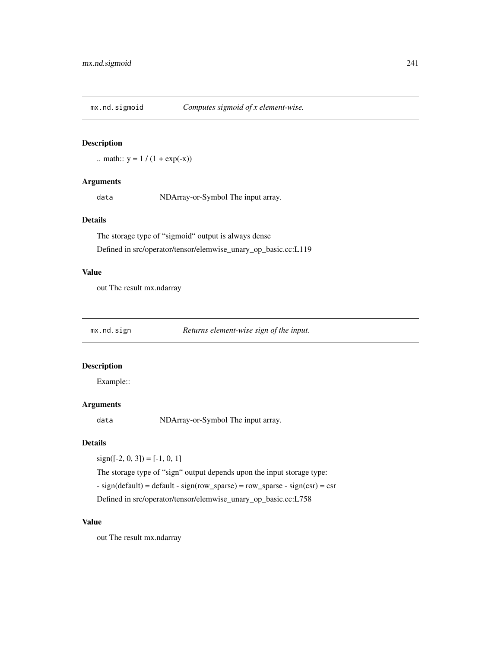# Description

.. math::  $y = 1 / (1 + \exp(-x))$ 

# Arguments

data NDArray-or-Symbol The input array.

# Details

The storage type of "sigmoid" output is always dense Defined in src/operator/tensor/elemwise\_unary\_op\_basic.cc:L119

#### Value

out The result mx.ndarray

| mx.nd.sign | Returns element-wise sign of the input. |  |
|------------|-----------------------------------------|--|
|            |                                         |  |

## Description

Example::

# Arguments

data NDArray-or-Symbol The input array.

## Details

 $sign([-2, 0, 3]) = [-1, 0, 1]$ 

The storage type of "sign" output depends upon the input storage type:

- sign(default) = default - sign(row\_sparse) = row\_sparse - sign(csr) = csr

Defined in src/operator/tensor/elemwise\_unary\_op\_basic.cc:L758

# Value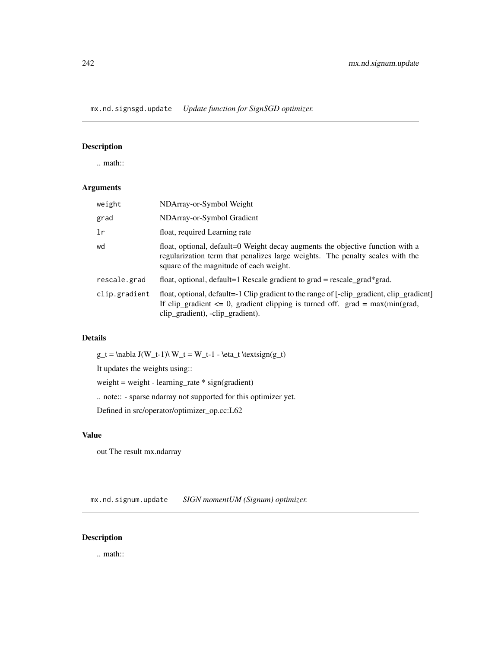mx.nd.signsgd.update *Update function for SignSGD optimizer.*

# Description

.. math::

## Arguments

| NDArray-or-Symbol Weight                                                                                                                                                                                           |  |
|--------------------------------------------------------------------------------------------------------------------------------------------------------------------------------------------------------------------|--|
| NDArray-or-Symbol Gradient                                                                                                                                                                                         |  |
| float, required Learning rate                                                                                                                                                                                      |  |
| float, optional, default=0 Weight decay augments the objective function with a<br>regularization term that penalizes large weights. The penalty scales with the<br>square of the magnitude of each weight.         |  |
| float, optional, default=1 Rescale gradient to grad = rescale_grad*grad.                                                                                                                                           |  |
| float, optional, default=-1 Clip gradient to the range of [-clip_gradient, clip_gradient]<br>If clip_gradient $\leq 0$ , gradient clipping is turned off. grad = max(min(grad,<br>clip_gradient), -clip_gradient). |  |
|                                                                                                                                                                                                                    |  |

# Details

 $g_t = \nabla J(W_t-1) \ W_t = W_t-1 - \eta_t \textrm{argn}(g_t)$ 

It updates the weights using::

weight = weight - learning\_rate \* sign(gradient)

.. note:: - sparse ndarray not supported for this optimizer yet.

Defined in src/operator/optimizer\_op.cc:L62

# Value

out The result mx.ndarray

mx.nd.signum.update *SIGN momentUM (Signum) optimizer.*

# Description

.. math::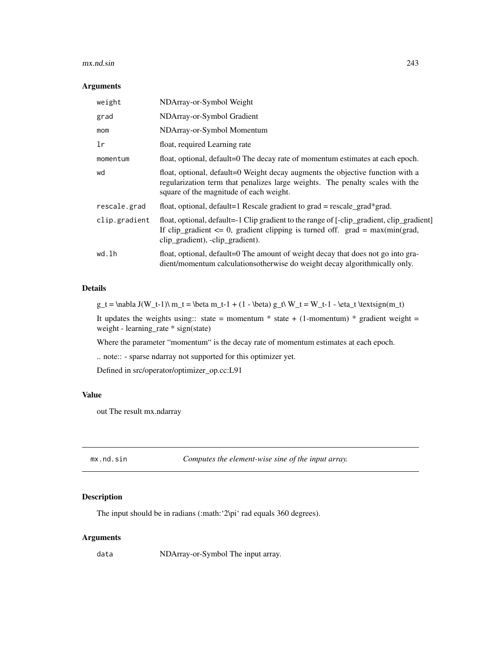#### mx.nd.sin 243

#### Arguments

| weight        | NDArray-or-Symbol Weight                                                                                                                                                                                           |
|---------------|--------------------------------------------------------------------------------------------------------------------------------------------------------------------------------------------------------------------|
| grad          | NDArray-or-Symbol Gradient                                                                                                                                                                                         |
| mom           | NDArray-or-Symbol Momentum                                                                                                                                                                                         |
| lr            | float, required Learning rate                                                                                                                                                                                      |
| momentum      | float, optional, default=0 The decay rate of momentum estimates at each epoch.                                                                                                                                     |
| wd            | float, optional, default=0 Weight decay augments the objective function with a<br>regularization term that penalizes large weights. The penalty scales with the<br>square of the magnitude of each weight.         |
| rescale.grad  | float, optional, default=1 Rescale gradient to $grad = rescale\_grad*grad$ .                                                                                                                                       |
| clip.gradient | float, optional, default=-1 Clip gradient to the range of [-clip_gradient, clip_gradient]<br>If clip_gradient $\leq 0$ , gradient clipping is turned off. grad = max(min(grad,<br>clip_gradient), -clip_gradient). |
| wd.lh         | float, optional, default=0 The amount of weight decay that does not go into gra-<br>dient/momentum calculations otherwise do weight decay algorithmically only.                                                    |

# Details

 $g_t = \nabla J(W_t-1)\ m_t = \beta m_t-1 + (1 - \beta) g_t\ W_t = W_t-1 - \eta_t \textrm{ for any } t \geq 0$ 

It updates the weights using:: state = momentum  $*$  state + (1-momentum)  $*$  gradient weight = weight - learning\_rate \* sign(state)

Where the parameter "momentum" is the decay rate of momentum estimates at each epoch.

.. note:: - sparse ndarray not supported for this optimizer yet.

Defined in src/operator/optimizer\_op.cc:L91

#### Value

out The result mx.ndarray

mx.nd.sin *Computes the element-wise sine of the input array.*

## Description

The input should be in radians (:math: '2\pi' rad equals 360 degrees).

#### Arguments

data NDArray-or-Symbol The input array.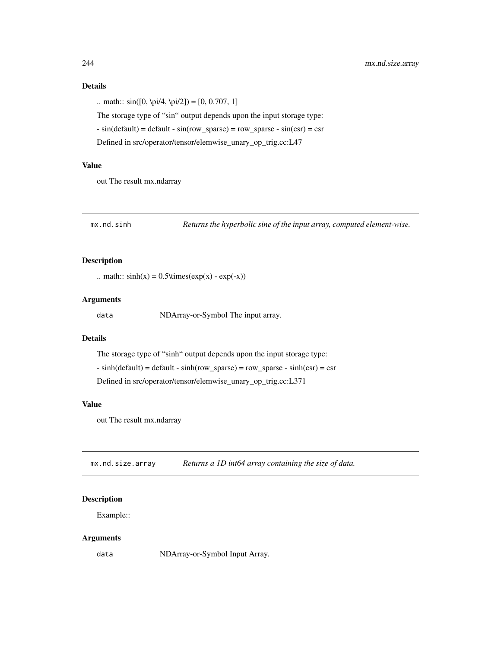.. math::  $sin([0, \pi/4, \pi/2]) = [0, 0.707, 1]$ The storage type of "sin" output depends upon the input storage type:  $- \sin(\text{default}) = \text{default} - \sin(\text{row\_sparse}) = \text{row\_sparse} - \sin(\text{csr}) = \text{csr}$ Defined in src/operator/tensor/elemwise\_unary\_op\_trig.cc:L47

# Value

out The result mx.ndarray

mx.nd.sinh *Returns the hyperbolic sine of the input array, computed element-wise.*

# Description

.. math::  $sinh(x) = 0.5 \times (exp(x) - exp(-x))$ 

#### Arguments

data NDArray-or-Symbol The input array.

#### Details

The storage type of "sinh" output depends upon the input storage type:

 $- \sinh(\text{default}) = \text{default} - \sinh(\text{row\_sparse}) = \text{row\_sparse} - \sinh(\text{csr}) = \text{csr}$ 

Defined in src/operator/tensor/elemwise\_unary\_op\_trig.cc:L371

#### Value

out The result mx.ndarray

mx.nd.size.array *Returns a 1D int64 array containing the size of data.*

# Description

Example::

#### Arguments

data NDArray-or-Symbol Input Array.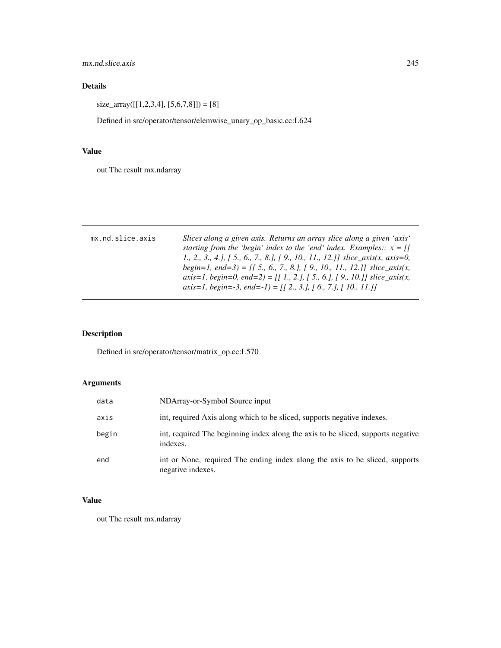mx.nd.slice.axis 245

# Details

 $size\_array([[1,2,3,4],[5,6,7,8]]) = [8]$ 

Defined in src/operator/tensor/elemwise\_unary\_op\_basic.cc:L624

## Value

out The result mx.ndarray

| mx.nd.slice.axis | Slices along a given axis. Returns an array slice along a given 'axis'<br>starting from the 'begin' index to the 'end' index. Examples:: $x = \iint$<br>1., 2., 3., 4.], [ 5., 6., 7., 8.], [ 9., 10., 11., 12.]] slice_axis(x, axis=0,<br>begin=1, end=3) = [[ 5., 6., 7., 8.], [ 9., 10., 11., 12.]] slice_axis(x,<br>axis=1, begin=0, end=2) = [[1., 2.], [5., 6.], [9., 10.]] slice_axis(x,<br>axis=1, begin=-3, end=-1) = $[$ [ 2., 3.], [ 6., 7.], [ 10., 11.]] |
|------------------|-----------------------------------------------------------------------------------------------------------------------------------------------------------------------------------------------------------------------------------------------------------------------------------------------------------------------------------------------------------------------------------------------------------------------------------------------------------------------|
|                  |                                                                                                                                                                                                                                                                                                                                                                                                                                                                       |

# Description

Defined in src/operator/tensor/matrix\_op.cc:L570

# Arguments

| data  | NDArray-or-Symbol Source input                                                                    |
|-------|---------------------------------------------------------------------------------------------------|
| axis  | int, required Axis along which to be sliced, supports negative indexes.                           |
| begin | int, required The beginning index along the axis to be sliced, supports negative<br>indexes.      |
| end   | int or None, required The ending index along the axis to be sliced, supports<br>negative indexes. |

# Value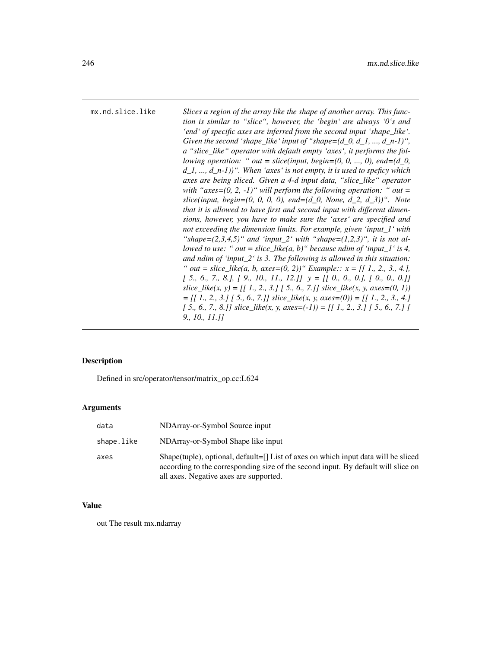mx.nd.slice.like *Slices a region of the array like the shape of another array. This function is similar to "slice", however, the 'begin' are always '0's and 'end' of specific axes are inferred from the second input 'shape\_like'. Given the second 'shape\_like' input of "shape=(d\_0, d\_1, ..., d\_n-1)", a "slice\_like" operator with default empty 'axes', it performs the following operation: " out = slice(input, begin=(0, 0, ..., 0), end=(d\_0, d\_1, ..., d\_n-1))". When 'axes' is not empty, it is used to speficy which axes are being sliced. Given a 4-d input data, "slice\_like" operator with "axes=(0, 2, -1)" will perform the following operation: " out = slice(input, begin=(0, 0, 0, 0), end=(d\_0, None, d\_2, d\_3))". Note that it is allowed to have first and second input with different dimensions, however, you have to make sure the 'axes' are specified and not exceeding the dimension limits. For example, given 'input\_1' with* "shape= $(2,3,4,5)$ " and 'input\_2' with "shape= $(1,2,3)$ ", it is not al*lowed to use: " out = slice\_like(a, b)" because ndim of 'input\_1' is 4, and ndim of 'input\_2' is 3. The following is allowed in this situation: " out = slice\_like(a, b, axes=(0, 2))" Example:: x = [[ 1., 2., 3., 4.], [ 5., 6., 7., 8.], [ 9., 10., 11., 12.]] y = [[ 0., 0., 0.], [ 0., 0., 0.]]*  $slice\_like(x, y) = [[ 1., 2., 3.] [ 5., 6., 7.]] slice\_like(x, y, axes=(0, 1))$ *= [[ 1., 2., 3.] [ 5., 6., 7.]] slice\_like(x, y, axes=(0)) = [[ 1., 2., 3., 4.] [ 5., 6., 7., 8.]] slice\_like(x, y, axes=(-1)) = [[ 1., 2., 3.] [ 5., 6., 7.] [ 9., 10., 11.]]*

#### Description

Defined in src/operator/tensor/matrix\_op.cc:L624

#### Arguments

| data       | NDArray-or-Symbol Source input                                                                                                                                                                                        |
|------------|-----------------------------------------------------------------------------------------------------------------------------------------------------------------------------------------------------------------------|
| shape.like | NDArray-or-Symbol Shape like input                                                                                                                                                                                    |
| axes       | Shape(tuple), optional, $default = []$ List of axes on which input data will be sliced<br>according to the corresponding size of the second input. By default will slice on<br>all axes. Negative axes are supported. |

#### Value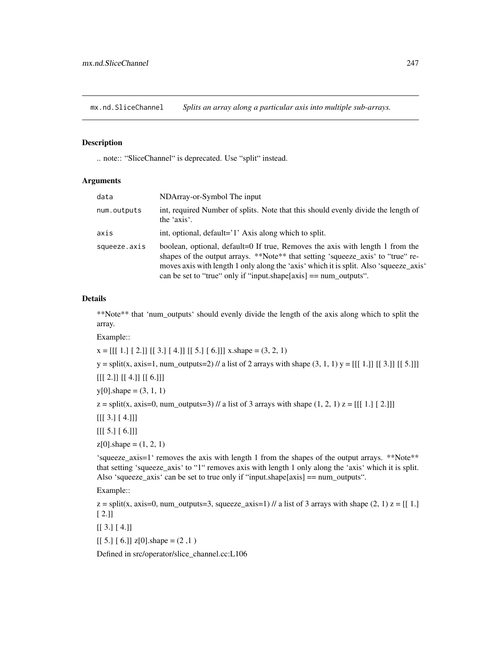mx.nd.SliceChannel *Splits an array along a particular axis into multiple sub-arrays.*

#### Description

.. note:: "SliceChannel" is deprecated. Use "split" instead.

#### Arguments

| data         | NDArray-or-Symbol The input                                                                                                                                                                                                                                                                                                       |
|--------------|-----------------------------------------------------------------------------------------------------------------------------------------------------------------------------------------------------------------------------------------------------------------------------------------------------------------------------------|
| num.outputs  | int, required Number of splits. Note that this should evenly divide the length of<br>the 'axis'.                                                                                                                                                                                                                                  |
| axis         | int, optional, default='1' Axis along which to split.                                                                                                                                                                                                                                                                             |
| squeeze.axis | boolean, optional, default=0 If true, Removes the axis with length 1 from the<br>shapes of the output arrays. **Note** that setting 'squeeze_axis' to "true" re-<br>moves axis with length 1 only along the 'axis' which it is split. Also 'squeeze_axis'<br>can be set to "true" only if "input.shape $[axis] == num_outputs$ ". |

#### Details

\*\*Note\*\* that 'num\_outputs' should evenly divide the length of the axis along which to split the array.

Example::

 $x = [[1.][2.]] [[3.][4.]] [[5.][6.]]] x.shape = (3, 2, 1)$ 

 $y = split(x, axis=1, num\_outputs=2)$  // a list of 2 arrays with shape  $(3, 1, 1)$   $y = [[[1.]] [[3.]] [[5.]]]$ 

[[[ 2.]] [[ 4.]] [[ 6.]]]

 $y[0]$ .shape =  $(3, 1, 1)$ 

 $z = split(x, axis=0, num\_outputs=3)$  // a list of 3 arrays with shape  $(1, 2, 1)$   $z = [[1, 1, 2, 1]]$ 

[[[ 3.] [ 4.]]]

 $[[[ 5.] [ 6.]]]$ 

 $z[0]$ .shape =  $(1, 2, 1)$ 

'squeeze\_axis=1' removes the axis with length 1 from the shapes of the output arrays. \*\*Note\*\* that setting 'squeeze\_axis' to "1" removes axis with length 1 only along the 'axis' which it is split. Also 'squeeze\_axis' can be set to true only if "input.shape[axis] == num\_outputs".

Example::

 $z =$  split(x, axis=0, num\_outputs=3, squeeze\_axis=1) // a list of 3 arrays with shape (2, 1)  $z = [[1.]$ [ 2.]]

 $[$ [ 3.] [ 4.]]

 $[$ [ 5.]  $[$  6.]]  $z[0]$ .shape =  $(2,1)$ 

Defined in src/operator/slice\_channel.cc:L106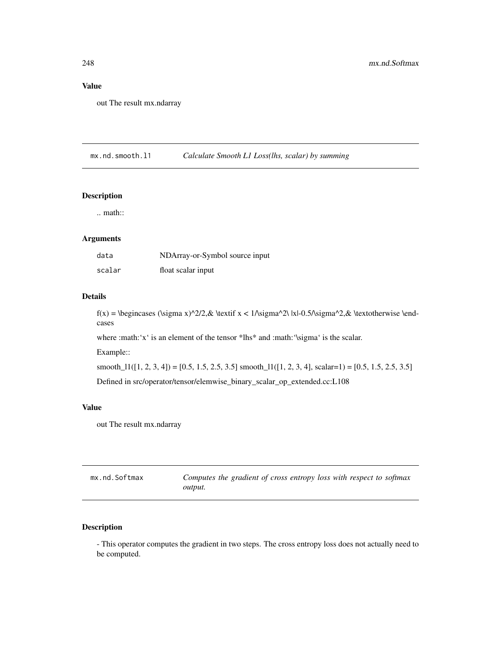# Value

out The result mx.ndarray

mx.nd.smooth.l1 *Calculate Smooth L1 Loss(lhs, scalar) by summing*

#### Description

.. math::

# Arguments

| data   | NDArray-or-Symbol source input |
|--------|--------------------------------|
| scalar | float scalar input             |

## Details

f(x) = \begincases (\sigma x)^2/2,& \textif x < 1/\sigma^2\ |x|-0.5/\sigma^2,& \textotherwise \endcases

where :math:'x' is an element of the tensor \*lhs\* and :math:'\sigma' is the scalar.

Example::

smooth\_ $11([1, 2, 3, 4]) = [0.5, 1.5, 2.5, 3.5]$  smooth\_ $11([1, 2, 3, 4],$  scalar=1) = [0.5, 1.5, 2.5, 3.5] Defined in src/operator/tensor/elemwise\_binary\_scalar\_op\_extended.cc:L108

#### Value

out The result mx.ndarray

| mx.nd.Softmax | Computes the gradient of cross entropy loss with respect to softmax |
|---------------|---------------------------------------------------------------------|
|               | output.                                                             |

# Description

- This operator computes the gradient in two steps. The cross entropy loss does not actually need to be computed.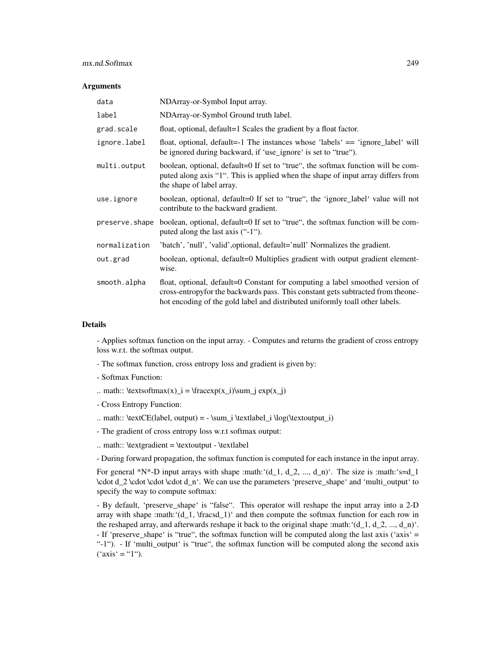## mx.nd.Softmax 249

#### Arguments

| data           | NDArray-or-Symbol Input array.                                                                                                                                                                                                                   |
|----------------|--------------------------------------------------------------------------------------------------------------------------------------------------------------------------------------------------------------------------------------------------|
| label          | NDArray-or-Symbol Ground truth label.                                                                                                                                                                                                            |
| grad.scale     | float, optional, default=1 Scales the gradient by a float factor.                                                                                                                                                                                |
| ignore.label   | float, optional, default=-1 The instances whose 'labels' == 'ignore_label' will<br>be ignored during backward, if 'use_ignore' is set to "true").                                                                                                |
| multi.output   | boolean, optional, default=0 If set to "true", the softmax function will be com-<br>puted along axis "1". This is applied when the shape of input array differs from<br>the shape of label array.                                                |
| use.ignore     | boolean, optional, default=0 If set to "true", the 'ignore_label' value will not<br>contribute to the backward gradient.                                                                                                                         |
| preserve.shape | boolean, optional, default=0 If set to "true", the softmax function will be com-<br>puted along the last axis $(4.1)$ .                                                                                                                          |
| normalization  | 'batch', 'null', 'valid', optional, default='null' Normalizes the gradient.                                                                                                                                                                      |
| out.grad       | boolean, optional, default=0 Multiplies gradient with output gradient element-<br>wise.                                                                                                                                                          |
| smooth.alpha   | float, optional, default=0 Constant for computing a label smoothed version of<br>cross-entropyfor the backwards pass. This constant gets subtracted from theone-<br>hot encoding of the gold label and distributed uniformly toall other labels. |

## Details

- Applies softmax function on the input array. - Computes and returns the gradient of cross entropy loss w.r.t. the softmax output.

- The softmax function, cross entropy loss and gradient is given by:
- Softmax Function:
- .. math::  $\text{S} = \frac{x_1}{\sum j} \exp(x_j)$
- Cross Entropy Function:
- .. math:: \textCE(label, output) = \sum\_i \textlabel\_i \log(\textoutput\_i)
- The gradient of cross entropy loss w.r.t softmax output:
- .. math::  $\text{gradient} = \text{output} \text{table}$

- During forward propagation, the softmax function is computed for each instance in the input array.

For general \*N\*-D input arrays with shape :math: ' $(d_1, d_2, ..., d_n)$ '. The size is :math: 's=d\_1 \cdot d\_2 \cdot \cdot \cdot d\_n'. We can use the parameters 'preserve\_shape' and 'multi\_output' to specify the way to compute softmax:

- By default, 'preserve\_shape' is "false". This operator will reshape the input array into a 2-D array with shape :math:' $(d_1, \frac{1}{\text{arcsd}})^2$ ' and then compute the softmax function for each row in the reshaped array, and afterwards reshape it back to the original shape :math: $(d_1, d_2, ..., d_n)$ . - If 'preserve\_shape' is "true", the softmax function will be computed along the last axis ('axis' = "-1"). - If 'multi\_output' is "true", the softmax function will be computed along the second axis  $('axis' = "1")$ .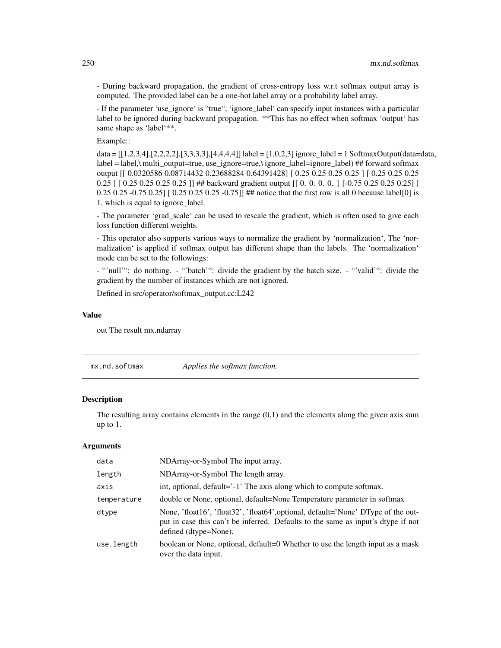- During backward propagation, the gradient of cross-entropy loss w.r.t softmax output array is computed. The provided label can be a one-hot label array or a probability label array.

- If the parameter 'use\_ignore' is "true", 'ignore\_label' can specify input instances with a particular label to be ignored during backward propagation. \*\*This has no effect when softmax 'output' has same shape as 'label'\*\*.

Example::

data = [[1,2,3,4],[2,2,2,2],[3,3,3,3],[4,4,4,4]] label = [1,0,2,3] ignore\_label = 1 SoftmaxOutput(data=data,  $label = label - label, multi-output=true, use ignore = true, light of the original line.$ output [[ 0.0320586 0.08714432 0.23688284 0.64391428] [ 0.25 0.25 0.25 0.25 ] [ 0.25 0.25 0.25 0.25 ] [ 0.25 0.25 0.25 0.25 ]] ## backward gradient output [[ 0. 0. 0. 0. ] [-0.75 0.25 0.25 0.25] [ 0.25 0.25 -0.75 0.25] [ 0.25 0.25 0.25 -0.75]] ## notice that the first row is all 0 because label[0] is 1, which is equal to ignore\_label.

- The parameter 'grad\_scale' can be used to rescale the gradient, which is often used to give each loss function different weights.

- This operator also supports various ways to normalize the gradient by 'normalization', The 'normalization' is applied if softmax output has different shape than the labels. The 'normalization' mode can be set to the followings:

- "'null'": do nothing. - "'batch'": divide the gradient by the batch size. - "'valid'": divide the gradient by the number of instances which are not ignored.

Defined in src/operator/softmax\_output.cc:L242

#### Value

out The result mx.ndarray

mx.nd.softmax *Applies the softmax function.*

## Description

The resulting array contains elements in the range (0,1) and the elements along the given axis sum up to 1.

| data        | NDArray-or-Symbol The input array.                                                                                                                                                             |
|-------------|------------------------------------------------------------------------------------------------------------------------------------------------------------------------------------------------|
| length      | NDArray-or-Symbol The length array.                                                                                                                                                            |
| axis        | int, optional, default='-1' The axis along which to compute softmax.                                                                                                                           |
| temperature | double or None, optional, default=None Temperature parameter in softmax                                                                                                                        |
| dtype       | None, 'float16', 'float32', 'float64', optional, default='None' DType of the out-<br>put in case this can't be inferred. Defaults to the same as input's dtype if not<br>defined (dtype=None). |
| use.length  | boolean or None, optional, default=0 Whether to use the length input as a mask<br>over the data input.                                                                                         |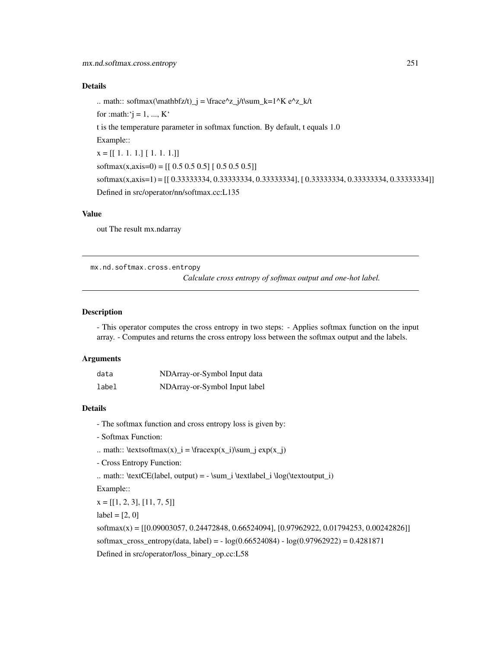.. math:: softmax(\mathbfz/t)\_j = \frace^z\_j/t\sum\_k=1^K e^z\_k/t for :math: ' $j = 1, ..., K$ ' t is the temperature parameter in softmax function. By default, t equals 1.0 Example:: x = [[ 1. 1. 1.] [ 1. 1. 1.]] softmax(x,axis=0) =  $[$ [ 0.5 0.5 0.5] [ 0.5 0.5 0.5]] softmax(x,axis=1) = [[ 0.33333334, 0.33333334, 0.33333334], [ 0.33333334, 0.33333334, 0.33333334]] Defined in src/operator/nn/softmax.cc:L135

#### Value

out The result mx.ndarray

mx.nd.softmax.cross.entropy

*Calculate cross entropy of softmax output and one-hot label.*

#### Description

- This operator computes the cross entropy in two steps: - Applies softmax function on the input array. - Computes and returns the cross entropy loss between the softmax output and the labels.

#### Arguments

| data  | NDArray-or-Symbol Input data  |
|-------|-------------------------------|
| label | NDArray-or-Symbol Input label |

#### Details

- The softmax function and cross entropy loss is given by:
- Softmax Function:
- .. math::  $\text{totmax}(x)_i = \frac{x_i}{\sum j} \exp(x_j)$
- Cross Entropy Function:
- .. math:: \textCE(label, output) = \sum\_i \textlabel\_i \log(\textoutput\_i)

Example::

 $x = [[1, 2, 3], [11, 7, 5]]$ 

 $label = [2, 0]$ 

softmax(x) = [[0.09003057, 0.24472848, 0.66524094], [0.97962922, 0.01794253, 0.00242826]] softmax\_cross\_entropy(data, label) = - log(0.66524084) - log(0.97962922) = 0.4281871 Defined in src/operator/loss\_binary\_op.cc:L58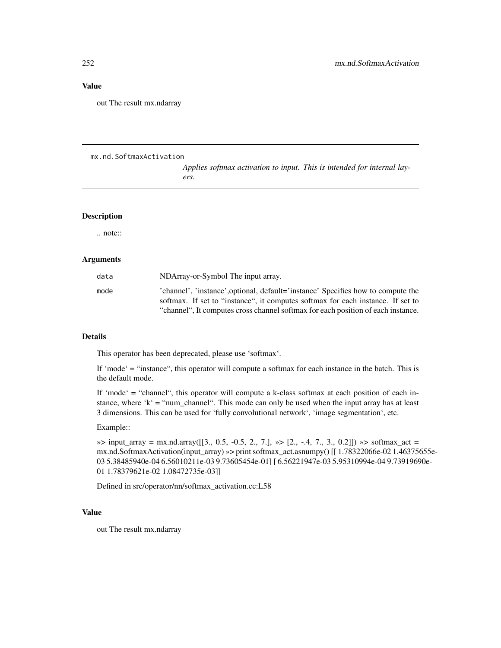## Value

out The result mx.ndarray

#### mx.nd.SoftmaxActivation

*Applies softmax activation to input. This is intended for internal layers.*

# Description

.. note::

#### Arguments

| data | NDArray-or-Symbol The input array.                                               |
|------|----------------------------------------------------------------------------------|
| mode | 'channel', 'instance', optional, default='instance' Specifies how to compute the |
|      | softmax. If set to "instance", it computes softmax for each instance. If set to  |
|      | "channel", It computes cross channel softmax for each position of each instance. |

#### Details

This operator has been deprecated, please use 'softmax'.

If 'mode' = "instance", this operator will compute a softmax for each instance in the batch. This is the default mode.

If 'mode' = "channel", this operator will compute a k-class softmax at each position of each instance, where 'k' = "num\_channel". This mode can only be used when the input array has at least 3 dimensions. This can be used for 'fully convolutional network', 'image segmentation', etc.

#### Example::

 $\gg$  input\_array = mx.nd.array([[3., 0.5, -0.5, 2., 7.],  $\gg$  [2., -.4, 7., 3., 0.2]])  $\gg$  softmax\_act = mx.nd.SoftmaxActivation(input\_array) »> print softmax\_act.asnumpy() [[ 1.78322066e-02 1.46375655e-03 5.38485940e-04 6.56010211e-03 9.73605454e-01] [ 6.56221947e-03 5.95310994e-04 9.73919690e-01 1.78379621e-02 1.08472735e-03]]

Defined in src/operator/nn/softmax\_activation.cc:L58

## Value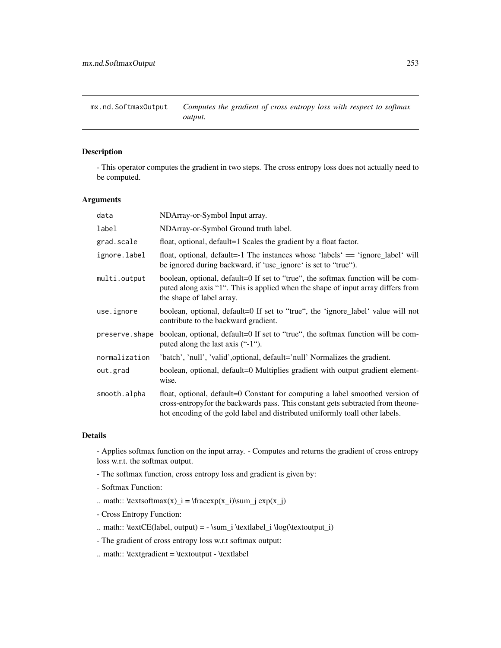mx.nd.SoftmaxOutput *Computes the gradient of cross entropy loss with respect to softmax output.*

# Description

- This operator computes the gradient in two steps. The cross entropy loss does not actually need to be computed.

## Arguments

| data           | NDArray-or-Symbol Input array.                                                                                                                                                                                                                    |
|----------------|---------------------------------------------------------------------------------------------------------------------------------------------------------------------------------------------------------------------------------------------------|
| label          | NDArray-or-Symbol Ground truth label.                                                                                                                                                                                                             |
| grad.scale     | float, optional, default=1 Scales the gradient by a float factor.                                                                                                                                                                                 |
| ignore.label   | float, optional, default=-1 The instances whose 'labels' == 'ignore_label' will<br>be ignored during backward, if 'use_ignore' is set to "true").                                                                                                 |
| multi.output   | boolean, optional, default=0 If set to "true", the softmax function will be com-<br>puted along axis "1". This is applied when the shape of input array differs from<br>the shape of label array.                                                 |
| use.ignore     | boolean, optional, default=0 If set to "true", the 'ignore_label' value will not<br>contribute to the backward gradient.                                                                                                                          |
| preserve.shape | boolean, optional, default=0 If set to "true", the softmax function will be com-<br>puted along the last axis $(4.1)$ .                                                                                                                           |
| normalization  | 'batch', 'null', 'valid', optional, default='null' Normalizes the gradient.                                                                                                                                                                       |
| out.grad       | boolean, optional, default=0 Multiplies gradient with output gradient element-<br>wise.                                                                                                                                                           |
| smooth.alpha   | float, optional, default=0 Constant for computing a label smoothed version of<br>cross-entropy for the backwards pass. This constant gets subtracted from theone-<br>hot encoding of the gold label and distributed uniformly toall other labels. |

## Details

- Applies softmax function on the input array. - Computes and returns the gradient of cross entropy loss w.r.t. the softmax output.

- The softmax function, cross entropy loss and gradient is given by:
- Softmax Function:
- .. math::  $\text{testsoftmax}(x) = \frac{r(x_i)}{\sum j} \exp(x_j)$
- Cross Entropy Function:
- .. math:: \textCE(label, output) = \sum\_i \textlabel\_i \log(\textoutput\_i)
- The gradient of cross entropy loss w.r.t softmax output:
- .. math:: \textgradient = \textoutput \textlabel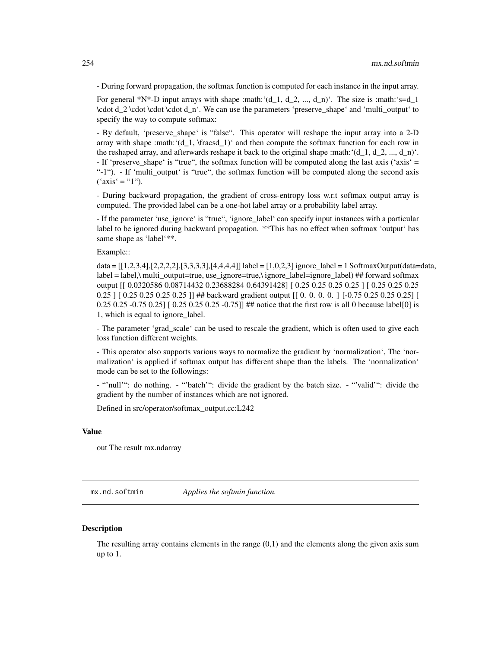- During forward propagation, the softmax function is computed for each instance in the input array.

For general \*N\*-D input arrays with shape :math:' $(d_1, d_2, ..., d_n)$ '. The size is :math:'s=d\_1 \cdot d\_2 \cdot \cdot \cdot d\_n'. We can use the parameters 'preserve\_shape' and 'multi\_output' to specify the way to compute softmax:

- By default, 'preserve\_shape' is "false". This operator will reshape the input array into a 2-D array with shape :math:' $(d_1, \frac{1}{\rceil})'$  and then compute the softmax function for each row in the reshaped array, and afterwards reshape it back to the original shape :math:  $(d_1, d_2, ..., d_n)$ . - If 'preserve\_shape' is "true", the softmax function will be computed along the last axis ('axis' = "-1"). - If 'multi\_output' is "true", the softmax function will be computed along the second axis  $("axis' = "1")$ .

- During backward propagation, the gradient of cross-entropy loss w.r.t softmax output array is computed. The provided label can be a one-hot label array or a probability label array.

- If the parameter 'use\_ignore' is "true", 'ignore\_label' can specify input instances with a particular label to be ignored during backward propagation. \*\*This has no effect when softmax 'output' has same shape as 'label'\*\*.

## Example::

data = [[1,2,3,4],[2,2,2,2],[3,3,3,3],[4,4,4,4]] label = [1,0,2,3] ignore\_label = 1 SoftmaxOutput(data=data, label = label,\ multi\_output=true, use\_ignore=true,\ ignore\_label=ignore\_label) ## forward softmax output [[ 0.0320586 0.08714432 0.23688284 0.64391428] [ 0.25 0.25 0.25 0.25 ] [ 0.25 0.25 0.25 0.25 ] [ 0.25 0.25 0.25 0.25 ]] ## backward gradient output [ [ 0. 0. 0. 0. ] [-0.75 0.25 0.25 0.25] [ 0.25 0.25 -0.75 0.25] [0.25 0.25 0.25 -0.75]] ## notice that the first row is all 0 because label[0] is 1, which is equal to ignore\_label.

- The parameter 'grad\_scale' can be used to rescale the gradient, which is often used to give each loss function different weights.

- This operator also supports various ways to normalize the gradient by 'normalization', The 'normalization' is applied if softmax output has different shape than the labels. The 'normalization' mode can be set to the followings:

- "'null'": do nothing. - "'batch'": divide the gradient by the batch size. - "'valid'": divide the gradient by the number of instances which are not ignored.

Defined in src/operator/softmax\_output.cc:L242

## Value

out The result mx.ndarray

mx.nd.softmin *Applies the softmin function.*

## **Description**

The resulting array contains elements in the range (0,1) and the elements along the given axis sum up to 1.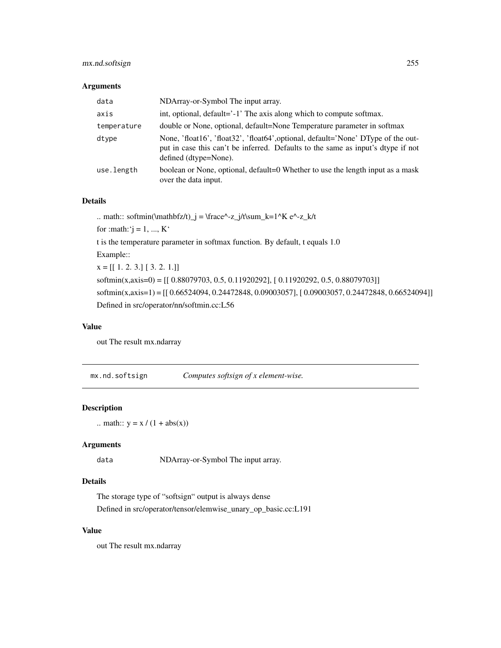# mx.nd.softsign 255

## Arguments

| data        | NDArray-or-Symbol The input array.                                                                                                                                                             |
|-------------|------------------------------------------------------------------------------------------------------------------------------------------------------------------------------------------------|
| axis        | int, optional, default='-1' The axis along which to compute softmax.                                                                                                                           |
| temperature | double or None, optional, default=None Temperature parameter in softmax                                                                                                                        |
| dtype       | None, 'float16', 'float32', 'float64', optional, default='None' DType of the out-<br>put in case this can't be inferred. Defaults to the same as input's dtype if not<br>defined (dtype=None). |
| use.length  | boolean or None, optional, default=0 Whether to use the length input as a mask<br>over the data input.                                                                                         |

## Details

.. math:: softmin(\mathbfz/t)\_j = \frace^-z\_j/t\sum\_k=1^K e^-z\_k/t for :math:' $j = 1, ..., K'$ t is the temperature parameter in softmax function. By default, t equals 1.0 Example::  $x = [[1, 2, 3.] [3, 2, 1.]]$ softmin(x,axis=0) =  $[$ [ 0.88079703, 0.5, 0.11920292], [ 0.11920292, 0.5, 0.88079703]] softmin(x,axis=1) = [[ 0.66524094, 0.24472848, 0.09003057], [ 0.09003057, 0.24472848, 0.66524094]] Defined in src/operator/nn/softmin.cc:L56

## Value

out The result mx.ndarray

mx.nd.softsign *Computes softsign of x element-wise.*

## Description

.. math::  $y = x / (1 + abs(x))$ 

## Arguments

data NDArray-or-Symbol The input array.

# Details

The storage type of "softsign" output is always dense Defined in src/operator/tensor/elemwise\_unary\_op\_basic.cc:L191

## Value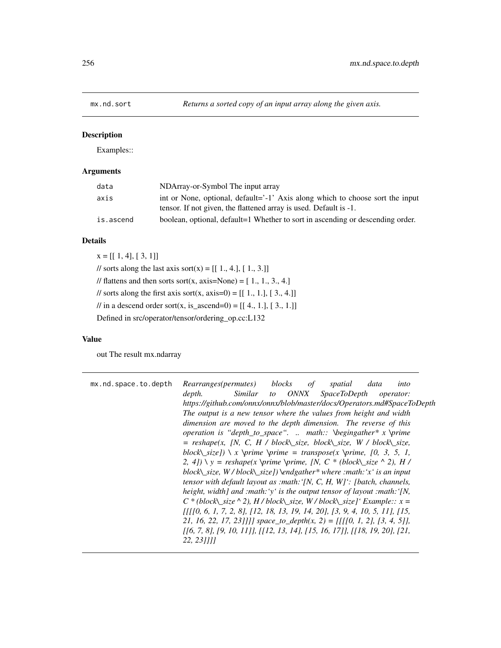Examples::

# Arguments

| data      | NDArray-or-Symbol The input array                                                                                                                  |
|-----------|----------------------------------------------------------------------------------------------------------------------------------------------------|
| axis      | int or None, optional, default='-1' Axis along which to choose sort the input<br>tensor. If not given, the flattened array is used. Default is -1. |
| is.ascend | boolean, optional, default=1 Whether to sort in ascending or descending order.                                                                     |

# Details

 $x = [[1, 4], [3, 1]]$ // sorts along the last axis sort(x) =  $[[ 1., 4.]$ ,  $[ 1., 3.]$ // flattens and then sorts sort $(x, axis=None) = [1, 1, 3, 4.]$ // sorts along the first axis sort(x, axis=0) =  $[[ 1., 1.]$ ,  $[ 3., 4.]$ // in a descend order sort(x, is\_ascend=0) =  $[[ 4., 1.], [ 3., 1.]]$ Defined in src/operator/tensor/ordering\_op.cc:L132

## Value

| mx.nd.space.to.depth | Rearranges(permutes)<br>blocks<br>data<br>of<br>spatial<br>into                  |
|----------------------|----------------------------------------------------------------------------------|
|                      | Similar to ONNX<br><i>SpaceToDepth</i><br>depth.<br><i>operator:</i>             |
|                      | https://github.com/onnx/onnx/blob/master/docs/Operators.md#SpaceToDepth          |
|                      | The output is a new tensor where the values from height and width                |
|                      | dimension are moved to the depth dimension. The reverse of this                  |
|                      | <i>operation is "depth_to_space" math:: \begingather* x \prime</i>               |
|                      | $=$ reshape(x, [N, C, H / block\_size, block\_size, W / block\_size,             |
|                      | block\_size]) \ x \prime \prime = transpose(x \prime, [0, 3, 5, 1,               |
|                      | 2, 4] $\ y = reshape(x \ prime \ prime, [N, C * (block \ size \ \ 2), H /$       |
|                      | block\_size, $W/block\text{size}$ ]) \endgather* where :math: 'x' is an input    |
|                      | tensor with default layout as : math: $\{N, C, H, W\}$ : [batch, channels,       |
|                      | height, width] and :math: 'y' is the output tensor of layout :math: '[N,         |
|                      | $C^*$ (block size $\wedge$ 2), H / block size, W / block size] ' Example:: $x =$ |
|                      | $[ 1 ]$ [0, 6, 1, 7, 2, 8], [12, 18, 13, 19, 14, 20], [3, 9, 4, 10, 5, 11], [15, |
|                      | 21, 16, 22, 17, 23]]]] space_to_depth(x, 2) = [[[[0, 1, 2], [3, 4, 5]],          |
|                      | $[16, 7, 8], [9, 10, 11], [112, 13, 14], [15, 16, 17], [118, 19, 20], [21,$      |
|                      | 22, 231111                                                                       |
|                      |                                                                                  |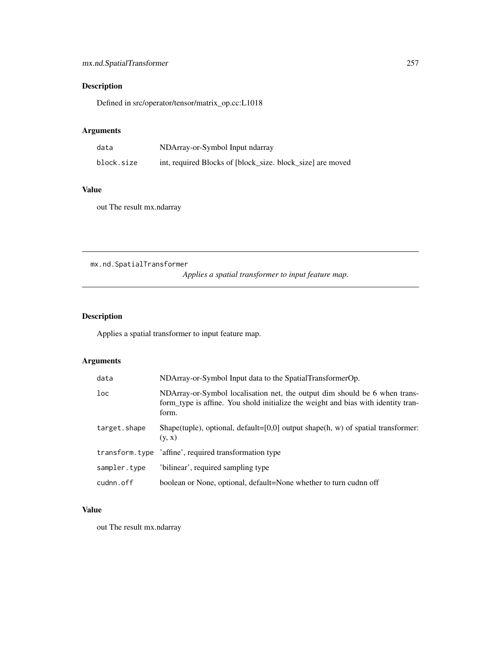Defined in src/operator/tensor/matrix\_op.cc:L1018

# Arguments

| data       | NDArray-or-Symbol Input ndarray                            |
|------------|------------------------------------------------------------|
| block.size | int, required Blocks of [block size, block size] are moved |

# Value

out The result mx.ndarray

mx.nd.SpatialTransformer

*Applies a spatial transformer to input feature map.*

# Description

Applies a spatial transformer to input feature map.

# Arguments

| data         | NDArray-or-Symbol Input data to the SpatialTransformerOp.                                                                                                                |
|--------------|--------------------------------------------------------------------------------------------------------------------------------------------------------------------------|
| loc          | NDArray-or-Symbol localisation net, the output dim should be 6 when trans-<br>form type is affine. You shold initialize the weight and bias with identity tran-<br>form. |
| target.shape | Shape(tuple), optional, default=[0,0] output shape(h, w) of spatial transformer:<br>(y, x)                                                                               |
|              | transform.type 'affine', required transformation type                                                                                                                    |
| sampler.type | 'bilinear', required sampling type                                                                                                                                       |
| cudnn.off    | boolean or None, optional, default=None whether to turn cudnn off                                                                                                        |

# Value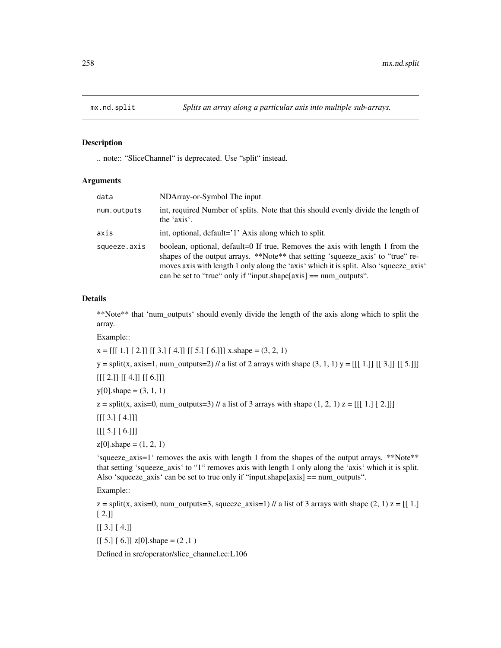.. note:: "SliceChannel" is deprecated. Use "split" instead.

#### Arguments

| data         | NDArray-or-Symbol The input                                                                                                                                                                                                                                                                                                       |
|--------------|-----------------------------------------------------------------------------------------------------------------------------------------------------------------------------------------------------------------------------------------------------------------------------------------------------------------------------------|
| num.outputs  | int, required Number of splits. Note that this should evenly divide the length of<br>the 'axis'.                                                                                                                                                                                                                                  |
| axis         | int, optional, default='1' Axis along which to split.                                                                                                                                                                                                                                                                             |
| squeeze.axis | boolean, optional, default=0 If true, Removes the axis with length 1 from the<br>shapes of the output arrays. **Note** that setting 'squeeze_axis' to "true" re-<br>moves axis with length 1 only along the 'axis' which it is split. Also 'squeeze_axis'<br>can be set to "true" only if "input.shape $[axis] == num_outputs$ ". |

## Details

\*\*Note\*\* that 'num\_outputs' should evenly divide the length of the axis along which to split the array.

Example::

 $x = [[1.][2.]] [[3.][4.]] [[5.][6.]]] x.shape = (3, 2, 1)$ 

 $y = split(x, axis=1, num\_outputs=2)$  // a list of 2 arrays with shape  $(3, 1, 1)$   $y = [[[1.]] [[3.]] [[5.]]]$ 

[[[ 2.]] [[ 4.]] [[ 6.]]]

 $y[0]$ .shape =  $(3, 1, 1)$ 

 $z = split(x, axis=0, num\_outputs=3)$  // a list of 3 arrays with shape  $(1, 2, 1)$   $z = [[1, 1, 2, 1]]$ 

[[[ 3.] [ 4.]]]

 $[[[ 5.] [ 6.]]]$ 

 $z[0]$ .shape =  $(1, 2, 1)$ 

'squeeze\_axis=1' removes the axis with length 1 from the shapes of the output arrays. \*\*Note\*\* that setting 'squeeze\_axis' to "1" removes axis with length 1 only along the 'axis' which it is split. Also 'squeeze\_axis' can be set to true only if "input.shape[axis] == num\_outputs".

Example::

 $z =$  split(x, axis=0, num\_outputs=3, squeeze\_axis=1) // a list of 3 arrays with shape (2, 1)  $z = [[1.]$ [ 2.]]

 $[$ [ 3.] [ 4.]]

 $[$ [ 5.]  $[$  6.]]  $z[0]$ .shape =  $(2,1)$ 

Defined in src/operator/slice\_channel.cc:L106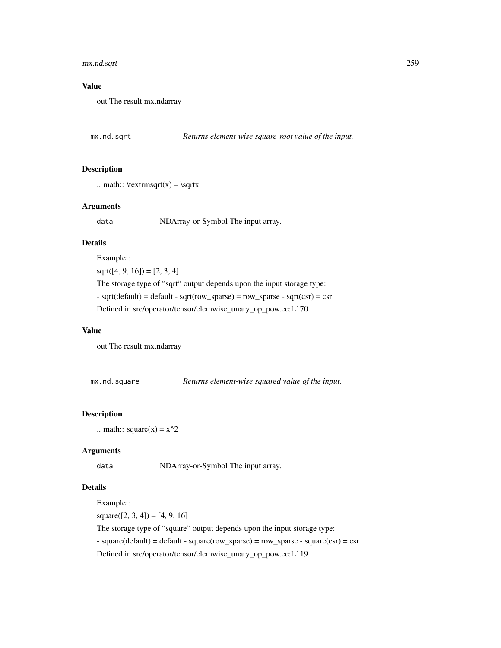# mx.nd.sqrt 259

## Value

out The result mx.ndarray

mx.nd.sqrt *Returns element-wise square-root value of the input.*

## Description

```
.. math:: \text{argrt}(x) = \sqrt{x}
```
## Arguments

data NDArray-or-Symbol The input array.

# Details

Example::

 $sqrt([4, 9, 16]) = [2, 3, 4]$ The storage type of "sqrt" output depends upon the input storage type:  $-$  sqrt(default) = default  $-$  sqrt(row\_sparse) = row\_sparse  $-$  sqrt(csr) = csr Defined in src/operator/tensor/elemwise\_unary\_op\_pow.cc:L170

#### Value

out The result mx.ndarray

mx.nd.square *Returns element-wise squared value of the input.*

## Description

.. math::  $square(x) = x^2$ 

## Arguments

data NDArray-or-Symbol The input array.

## Details

Example::

 $square([2, 3, 4]) = [4, 9, 16]$ 

The storage type of "square" output depends upon the input storage type:

 $-$  square(default) = default  $-$  square(row\_sparse) = row\_sparse  $-$  square(csr) = csr

Defined in src/operator/tensor/elemwise\_unary\_op\_pow.cc:L119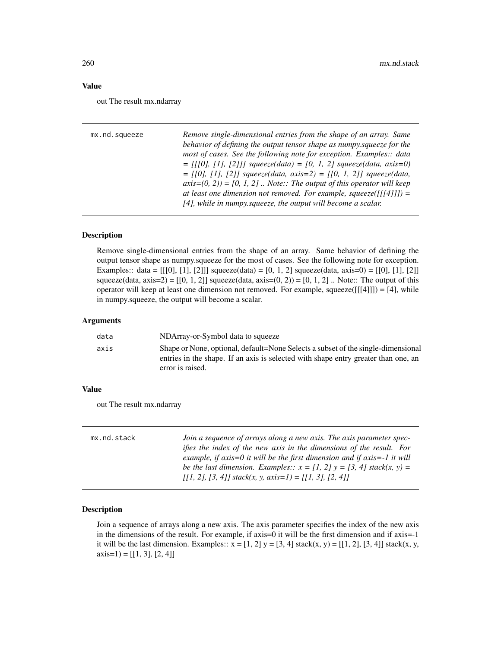## Value

out The result mx.ndarray

| mx.nd.squeeze | Remove single-dimensional entries from the shape of an array. Same                                          |
|---------------|-------------------------------------------------------------------------------------------------------------|
|               | behavior of defining the output tensor shape as numpy, squeeze for the                                      |
|               | most of cases. See the following note for exception. Examples:: data                                        |
|               | $=$ [[[0], [1], [2]]] squeeze(data) = [0, 1, 2] squeeze(data, axis=0)                                       |
|               | $=$ [[0], [1], [2]] squeeze(data, axis=2) = [[0, 1, 2]] squeeze(data,                                       |
|               | $axis=(0, 2)$ = [0, 1, 2]. Note:: The output of this operator will keep                                     |
|               | at least one dimension not removed. For example, squeeze( $\lceil \lceil \lceil 4 \rceil \rceil \rceil$ ) = |
|               | $[4]$ , while in numpy squeeze, the output will become a scalar.                                            |
|               |                                                                                                             |

## Description

Remove single-dimensional entries from the shape of an array. Same behavior of defining the output tensor shape as numpy.squeeze for the most of cases. See the following note for exception. Examples:: data =  $[[0], [1], [2]]$  squeeze(data) =  $[0, 1, 2]$  squeeze(data, axis=0) =  $[[0], [1], [2]]$ squeeze(data,  $axis=2$ ) = [[0, 1, 2]] squeeze(data,  $axis=(0, 2)$ ) = [0, 1, 2]. Note:: The output of this operator will keep at least one dimension not removed. For example, squeeze( $[[[4]]]$ ) = [4], while in numpy.squeeze, the output will become a scalar.

#### Arguments

| data | NDArray-or-Symbol data to squeeze                                                                                                                                                          |
|------|--------------------------------------------------------------------------------------------------------------------------------------------------------------------------------------------|
| axis | Shape or None, optional, default=None Selects a subset of the single-dimensional<br>entries in the shape. If an axis is selected with shape entry greater than one, an<br>error is raised. |
|      |                                                                                                                                                                                            |

## Value

out The result mx.ndarray

| mx.nd.stack | Join a sequence of arrays along a new axis. The axis parameter spec-         |
|-------------|------------------------------------------------------------------------------|
|             | <i>ifies the index of the new axis in the dimensions of the result. For</i>  |
|             | example, if $axis=0$ it will be the first dimension and if $axis=-1$ it will |
|             | be the last dimension. Examples:: $x = [1, 2]$ $y = [3, 4]$ stack(x, y) =    |
|             | $[1, 2], [3, 4]$ stack(x, y, axis=1) = $[1, 3], [2, 4]$                      |

## Description

Join a sequence of arrays along a new axis. The axis parameter specifies the index of the new axis in the dimensions of the result. For example, if axis=0 it will be the first dimension and if axis=-1 it will be the last dimension. Examples::  $x = [1, 2]$   $y = [3, 4]$  stack(x, y) = [[1, 2], [3, 4]] stack(x, y,  $axis=1) = [[1, 3], [2, 4]]$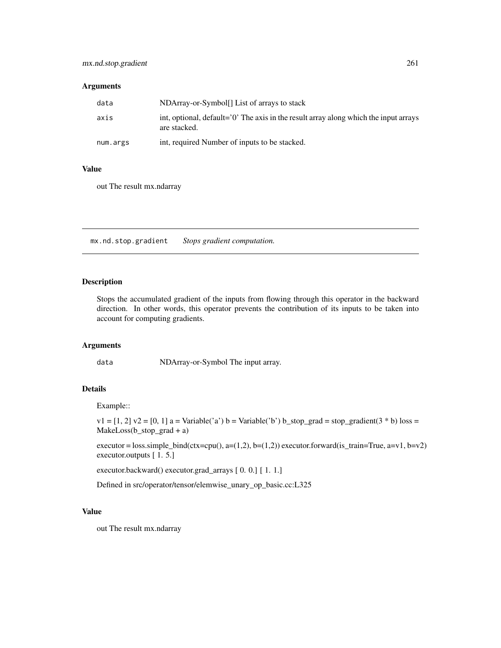# mx.nd.stop.gradient 261

## Arguments

| data     | NDArray-or-Symbol <sup>[]</sup> List of arrays to stack                                              |
|----------|------------------------------------------------------------------------------------------------------|
| axis     | int, optional, default='0' The axis in the result array along which the input arrays<br>are stacked. |
| num.args | int, required Number of inputs to be stacked.                                                        |

## Value

out The result mx.ndarray

mx.nd.stop.gradient *Stops gradient computation.*

# Description

Stops the accumulated gradient of the inputs from flowing through this operator in the backward direction. In other words, this operator prevents the contribution of its inputs to be taken into account for computing gradients.

## Arguments

data NDArray-or-Symbol The input array.

#### Details

Example::

 $v1 = [1, 2]$   $v2 = [0, 1]$  a = Variable('a') b = Variable('b') b\_stop\_grad = stop\_gradient(3  $*$  b) loss = MakeLoss(b\_stop\_grad + a)

executor = loss.simple\_bind(ctx=cpu(), a=(1,2), b=(1,2)) executor.forward(is\_train=True, a=v1, b=v2) executor.outputs [ 1. 5.]

executor.backward() executor.grad\_arrays [ 0. 0.] [ 1. 1.]

Defined in src/operator/tensor/elemwise\_unary\_op\_basic.cc:L325

## Value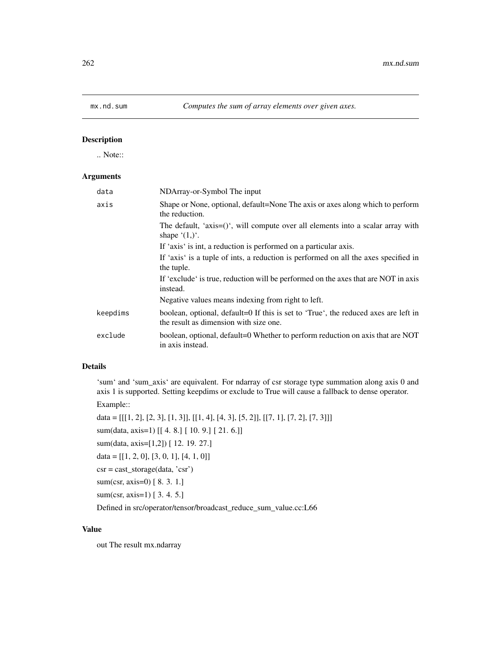.. Note::

## Arguments

| data     | NDArray-or-Symbol The input                                                                                                   |
|----------|-------------------------------------------------------------------------------------------------------------------------------|
| axis     | Shape or None, optional, default=None The axis or axes along which to perform<br>the reduction.                               |
|          | The default, 'axis= $()$ ', will compute over all elements into a scalar array with<br>shape $(1,)^{\prime}$ .                |
|          | If 'axis' is int, a reduction is performed on a particular axis.                                                              |
|          | If 'axis' is a tuple of ints, a reduction is performed on all the axes specified in<br>the tuple.                             |
|          | If 'exclude' is true, reduction will be performed on the axes that are NOT in axis<br>instead.                                |
|          | Negative values means indexing from right to left.                                                                            |
| keepdims | boolean, optional, default=0 If this is set to 'True', the reduced axes are left in<br>the result as dimension with size one. |
| exclude  | boolean, optional, default=0 Whether to perform reduction on axis that are NOT<br>in axis instead.                            |

## Details

'sum' and 'sum\_axis' are equivalent. For ndarray of csr storage type summation along axis 0 and axis 1 is supported. Setting keepdims or exclude to True will cause a fallback to dense operator.

Example::

data = [[[1, 2], [2, 3], [1, 3]], [[1, 4], [4, 3], [5, 2]], [[7, 1], [7, 2], [7, 3]]] sum(data, axis=1) [[ 4. 8.] [ 10. 9.] [ 21. 6.]] sum(data, axis=[1,2]) [ 12. 19. 27.]  $data = [[1, 2, 0], [3, 0, 1], [4, 1, 0]]$  $\text{csr} = \text{cast\_storage}(\text{data}, \text{'csr'})$ sum(csr, axis=0) [ 8. 3. 1.] sum(csr, axis=1) [ 3. 4. 5.]

Defined in src/operator/tensor/broadcast\_reduce\_sum\_value.cc:L66

## Value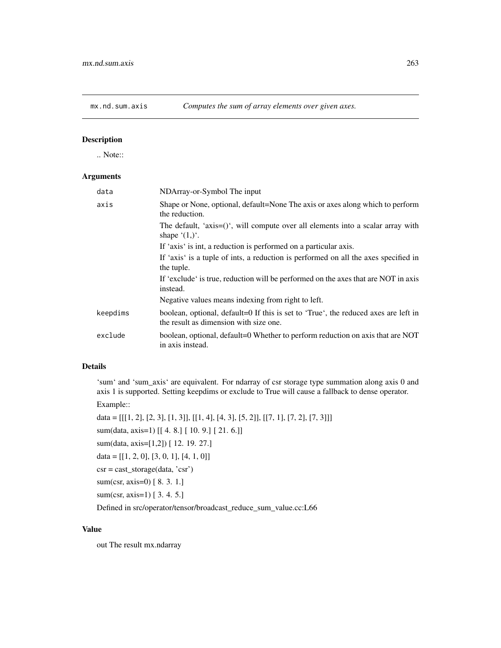.. Note::

## Arguments

| data     | NDArray-or-Symbol The input                                                                                                   |
|----------|-------------------------------------------------------------------------------------------------------------------------------|
| axis     | Shape or None, optional, default=None The axis or axes along which to perform<br>the reduction.                               |
|          | The default, 'axis= $()$ ', will compute over all elements into a scalar array with<br>shape $(1,)^{\prime}$ .                |
|          | If 'axis' is int, a reduction is performed on a particular axis.                                                              |
|          | If 'axis' is a tuple of ints, a reduction is performed on all the axes specified in<br>the tuple.                             |
|          | If 'exclude' is true, reduction will be performed on the axes that are NOT in axis<br>instead.                                |
|          | Negative values means indexing from right to left.                                                                            |
| keepdims | boolean, optional, default=0 If this is set to 'True', the reduced axes are left in<br>the result as dimension with size one. |
| exclude  | boolean, optional, default=0 Whether to perform reduction on axis that are NOT<br>in axis instead.                            |

## Details

'sum' and 'sum\_axis' are equivalent. For ndarray of csr storage type summation along axis 0 and axis 1 is supported. Setting keepdims or exclude to True will cause a fallback to dense operator.

Example::

data = [[[1, 2], [2, 3], [1, 3]], [[1, 4], [4, 3], [5, 2]], [[7, 1], [7, 2], [7, 3]]] sum(data, axis=1) [[ 4. 8.] [ 10. 9.] [ 21. 6.]] sum(data, axis=[1,2]) [ 12. 19. 27.]  $data = [[1, 2, 0], [3, 0, 1], [4, 1, 0]]$ csr = cast\_storage(data, 'csr') sum(csr, axis=0) [ 8. 3. 1.] sum(csr, axis=1) [ 3. 4. 5.]

Defined in src/operator/tensor/broadcast\_reduce\_sum\_value.cc:L66

## Value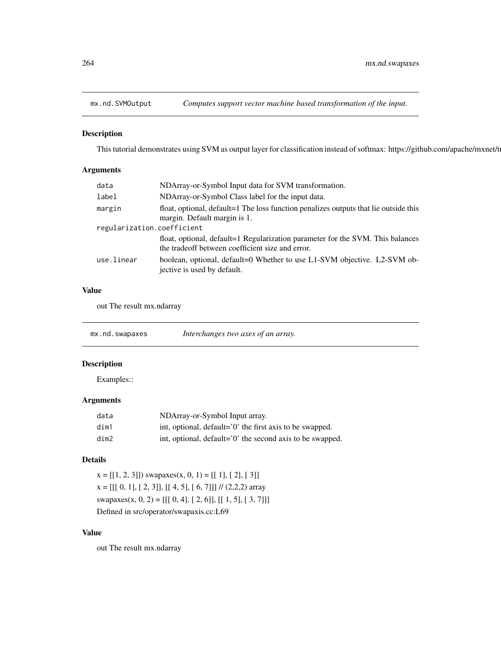This tutorial demonstrates using SVM as output layer for classification instead of softmax: https://github.com/apache/mxnet/t

# Arguments

| data                       | NDArray-or-Symbol Input data for SVM transformation.                                                                               |  |
|----------------------------|------------------------------------------------------------------------------------------------------------------------------------|--|
| label                      | NDArray-or-Symbol Class label for the input data.                                                                                  |  |
| margin                     | float, optional, default=1 The loss function penalizes outputs that lie outside this<br>margin. Default margin is 1.               |  |
| regularization.coefficient |                                                                                                                                    |  |
|                            | float, optional, default=1 Regularization parameter for the SVM. This balances<br>the tradeoff between coefficient size and error. |  |
| use.linear                 | boolean, optional, default=0 Whether to use L1-SVM objective. L2-SVM ob-<br>jective is used by default.                            |  |

## Value

out The result mx.ndarray

| mx.nd.swapaxes | Interchanges two axes of an array. |  |
|----------------|------------------------------------|--|
|----------------|------------------------------------|--|

# Description

Examples::

# Arguments

| data | NDArray-or-Symbol Input array.                            |
|------|-----------------------------------------------------------|
| dim1 | int, optional, default='0' the first axis to be swapped.  |
| dim2 | int, optional, default='0' the second axis to be swapped. |

# Details

 $x = [[1, 2, 3]])$  swapaxes $(x, 0, 1) = [[1], [2], [3]]$  $x = [[[ 0, 1], [ 2, 3]], [[ 4, 5], [ 6, 7]]]$  // (2,2,2) array swapaxes(x, 0, 2) = [[[ 0, 4], [ 2, 6]], [[ 1, 5], [ 3, 7]]] Defined in src/operator/swapaxis.cc:L69

## Value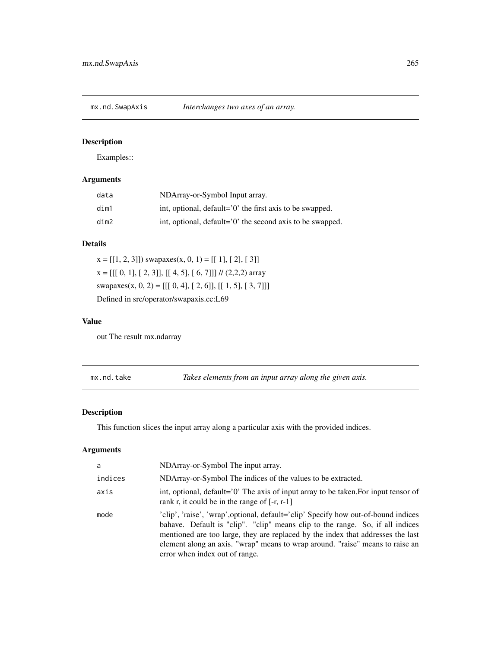Examples::

# Arguments

| data | NDArray-or-Symbol Input array.                            |
|------|-----------------------------------------------------------|
| dim1 | int, optional, default='0' the first axis to be swapped.  |
| dim2 | int, optional, default='0' the second axis to be swapped. |

## Details

 $x = [[1, 2, 3]])$  swapaxes $(x, 0, 1) = [[1], [2], [3]]$  $x = [[[ 0, 1], [ 2, 3]], [[ 4, 5], [ 6, 7]]]$  // (2,2,2) array swapaxes(x, 0, 2) = [[[ 0, 4], [ 2, 6]], [[ 1, 5], [ 3, 7]]] Defined in src/operator/swapaxis.cc:L69

## Value

out The result mx.ndarray

mx.nd.take *Takes elements from an input array along the given axis.*

# Description

This function slices the input array along a particular axis with the provided indices.

| a       | NDArray-or-Symbol The input array.                                                                                                                                                                                                                                                                                                                                        |
|---------|---------------------------------------------------------------------------------------------------------------------------------------------------------------------------------------------------------------------------------------------------------------------------------------------------------------------------------------------------------------------------|
| indices | NDArray-or-Symbol The indices of the values to be extracted.                                                                                                                                                                                                                                                                                                              |
| axis    | int, optional, default='0' The axis of input array to be taken. For input tensor of<br>rank r, it could be in the range of $[-r, r-1]$                                                                                                                                                                                                                                    |
| mode    | 'clip', 'raise', 'wrap', optional, default='clip' Specify how out-of-bound indices<br>bahave. Default is "clip". "clip" means clip to the range. So, if all indices<br>mentioned are too large, they are replaced by the index that addresses the last<br>element along an axis. "wrap" means to wrap around. "raise" means to raise an<br>error when index out of range. |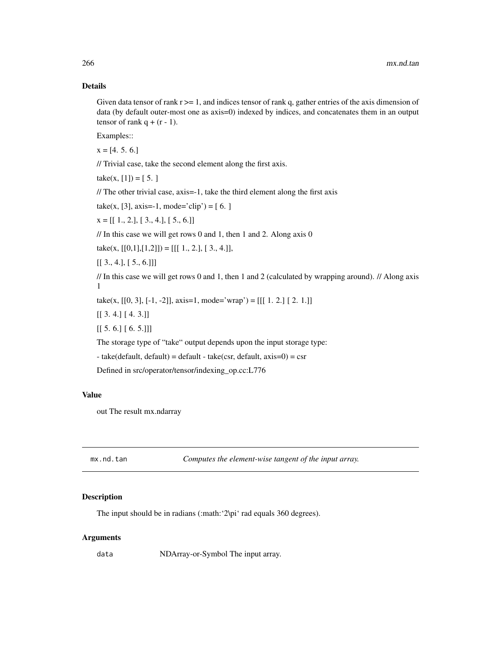## Details

Given data tensor of rank  $r \geq 1$ , and indices tensor of rank q, gather entries of the axis dimension of data (by default outer-most one as axis=0) indexed by indices, and concatenates them in an output tensor of rank  $q + (r - 1)$ .

Examples::

 $x = [4, 5, 6.]$ 

// Trivial case, take the second element along the first axis.

 $take(x, [1]) = [5, ]$ 

// The other trivial case, axis=-1, take the third element along the first axis

take(x, [3], axis=-1, mode='clip') = [6.]

 $x = [[1., 2.], [3., 4.], [5., 6.]]$ 

// In this case we will get rows 0 and 1, then 1 and 2. Along axis 0

take(x,  $[[0,1],[1,2]]) = [[1., 2.], [3., 4.]],$ 

 $[[ 3., 4.], [ 5., 6.]]]$ 

// In this case we will get rows 0 and 1, then 1 and 2 (calculated by wrapping around). // Along axis 1

take(x, [[0, 3], [-1, -2]], axis=1, mode='wrap') = [[[ 1. 2.] [ 2. 1.]]

[[ 3. 4.] [ 4. 3.]]

 $[[ 5. 6.] [ 6. 5.]]$ 

The storage type of "take" output depends upon the input storage type:

 $-$  take(default, default) = default - take(csr, default, axis=0) = csr

Defined in src/operator/tensor/indexing\_op.cc:L776

## Value

out The result mx.ndarray

mx.nd.tan *Computes the element-wise tangent of the input array.*

#### Description

The input should be in radians (:math: '2\pi' rad equals 360 degrees).

## Arguments

data NDArray-or-Symbol The input array.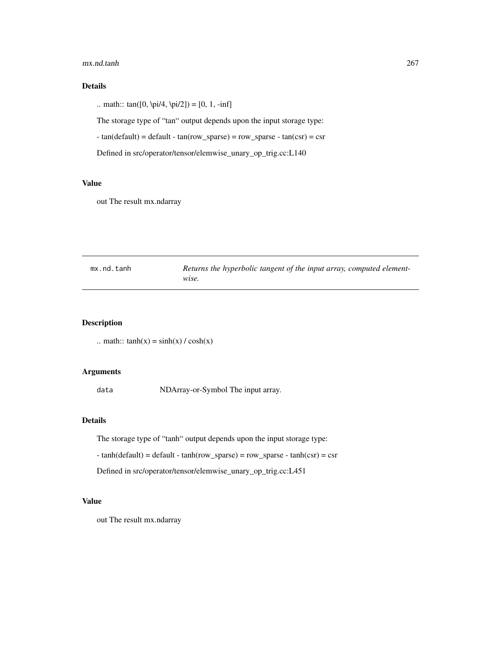#### mx.nd.tanh 267

# Details

.. math::  $tan([0, \pi/4, \pi/2]) = [0, 1, -inf]$ 

The storage type of "tan" output depends upon the input storage type:

- tan(default) = default - tan(row\_sparse) = row\_sparse - tan(csr) = csr

Defined in src/operator/tensor/elemwise\_unary\_op\_trig.cc:L140

#### Value

out The result mx.ndarray

| mx.nd.tanh | Returns the hyperbolic tangent of the input array, computed element- |
|------------|----------------------------------------------------------------------|
|            | wise.                                                                |

# Description

.. math::  $tanh(x) = sinh(x) / cosh(x)$ 

# Arguments

data NDArray-or-Symbol The input array.

# Details

The storage type of "tanh" output depends upon the input storage type:

 $-$  tanh(default) = default  $-$  tanh(row\_sparse) = row\_sparse  $-$  tanh(csr) = csr

Defined in src/operator/tensor/elemwise\_unary\_op\_trig.cc:L451

## Value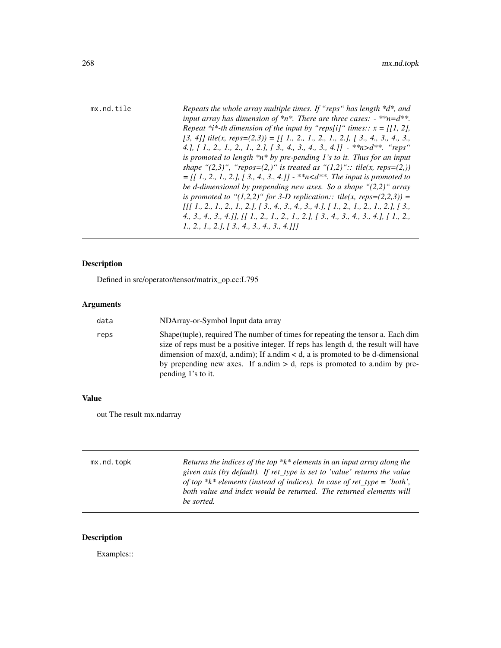| mx.nd.tile | Repeats the whole array multiple times. If "reps" has length *d*, and<br>input array has dimension of $*n*.$ There are three cases: $-**n=d**$ . |
|------------|--------------------------------------------------------------------------------------------------------------------------------------------------|
|            | Repeat *i*-th dimension of the input by "reps[i]" times:: $x = [[1, 2],$                                                                         |
|            | [3, 4]] tile(x, reps=(2,3)) = [[1, 2, 1, 2, 1, 2,], [3, 4, 3, 4, 3,                                                                              |
|            | 4.], [1., 2., 1., 2., 1., 2.], [3., 4., 3., 4., 3., 4.]] - ** $n>d**$ . "reps"                                                                   |
|            | is promoted to length $*n*$ by pre-pending 1's to it. Thus for an input                                                                          |
|            | shape " $(2,3)$ ", "repos= $(2,)$ " is treated as " $(1,2)$ ":: tile(x, reps= $(2,1)$ )                                                          |
|            | $=$ [[1, 2, 1, 2,], [3, 4, 3, 4,]] - **n <d**. input="" is="" promoted="" td="" the="" to<=""></d**.>                                            |
|            | be d-dimensional by prepending new axes. So a shape " $(2,2)$ " array                                                                            |
|            | is promoted to " $(1,2,2)$ " for 3-D replication:: tile(x, reps= $(2,2,3)$ ) =                                                                   |
|            | $\iiint 1_{1}^{1}$ , 2, 1, 2, 1, 2, 1, 3, 1, 3, 4, 3, 4, 3, 4, 1, 1, 2, 1, 2, 1, 2, 1, 2, 1, 3,                                                  |
|            | 4, 3, 4, 3, 4, 1], [[ 1, 2, 1, 2, 1, 2, 1, 3, 4, 3, 4, 3, 4, 1, [ 1, 2,                                                                          |
|            | 1., 2., 1., 2.1, 1 3., 4., 3., 4., 3., 4.111                                                                                                     |

Defined in src/operator/tensor/matrix\_op.cc:L795

# Arguments

| data | NDArray-or-Symbol Input data array                                                                                                                                                                                                                                                                                                                                  |
|------|---------------------------------------------------------------------------------------------------------------------------------------------------------------------------------------------------------------------------------------------------------------------------------------------------------------------------------------------------------------------|
| reps | Shape (tuple), required The number of times for repeating the tensor a. Each dim<br>size of reps must be a positive integer. If reps has length d, the result will have<br>dimension of max(d, a.ndim); If a.ndim $\lt d$ , a is promoted to be d-dimensional<br>by prepending new axes. If a.ndim $> d$ , reps is promoted to a.ndim by pre-<br>pending 1's to it. |

# Value

out The result mx.ndarray

| mx.nd.topk | Returns the indices of the top $*k*$ elements in an input array along the<br>given axis (by default). If ret_type is set to 'value' returns the value<br>of top *k* elements (instead of indices). In case of ret_type = 'both',<br>both value and index would be returned. The returned elements will<br>be sorted. |
|------------|----------------------------------------------------------------------------------------------------------------------------------------------------------------------------------------------------------------------------------------------------------------------------------------------------------------------|
|            |                                                                                                                                                                                                                                                                                                                      |

# Description

Examples::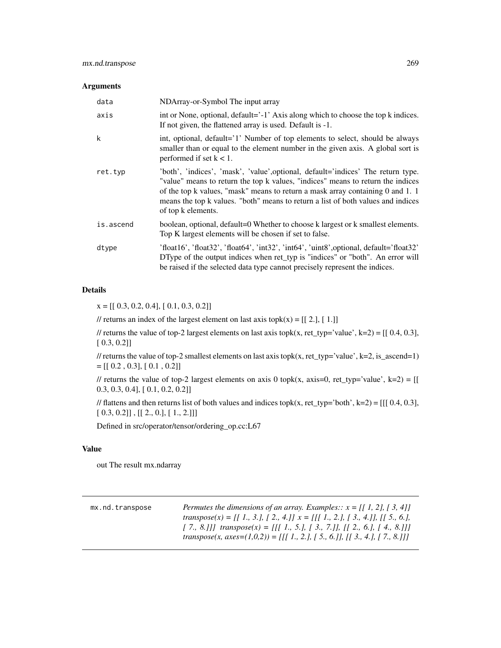## Arguments

| data      | NDArray-or-Symbol The input array                                                                                                                                                                                                                                                                                                                                    |
|-----------|----------------------------------------------------------------------------------------------------------------------------------------------------------------------------------------------------------------------------------------------------------------------------------------------------------------------------------------------------------------------|
| axis      | int or None, optional, default='-1' Axis along which to choose the top k indices.<br>If not given, the flattened array is used. Default is -1.                                                                                                                                                                                                                       |
| k         | int, optional, default='1' Number of top elements to select, should be always<br>smaller than or equal to the element number in the given axis. A global sort is<br>performed if set $k < 1$ .                                                                                                                                                                       |
| ret.typ   | 'both', 'indices', 'mask', 'value', optional, default='indices' The return type.<br>"value" means to return the top k values, "indices" means to return the indices<br>of the top k values, "mask" means to return a mask array containing $0$ and $1$ . 1<br>means the top k values. "both" means to return a list of both values and indices<br>of top k elements. |
| is.ascend | boolean, optional, default=0 Whether to choose k largest or k smallest elements.<br>Top K largest elements will be chosen if set to false.                                                                                                                                                                                                                           |
| dtype     | 'float16', 'float32', 'float64', 'int32', 'int64', 'uint8', optional, default='float32'<br>DType of the output indices when ret_typ is "indices" or "both". An error will<br>be raised if the selected data type cannot precisely represent the indices.                                                                                                             |

## Details

 $x = [[ 0.3, 0.2, 0.4], [ 0.1, 0.3, 0.2]]$ 

// returns an index of the largest element on last axis topk $(x) = [[2.], [1.]]$ 

// returns the value of top-2 largest elements on last axis topk(x, ret\_typ='value', k=2) =  $[[0.4, 0.3]$ , [ 0.3, 0.2]]

// returns the value of top-2 smallest elements on last axis topk(x, ret\_typ='value', k=2, is\_ascend=1)  $=[[ 0.2, 0.3], [ 0.1, 0.2]]$ 

// returns the value of top-2 largest elements on axis 0 topk(x, axis=0, ret\_typ='value', k=2) = [[ 0.3, 0.3, 0.4], [ 0.1, 0.2, 0.2]]

// flattens and then returns list of both values and indices topk(x, ret\_typ='both', k=2) = [[[  $0.4, 0.3$ ],  $[0.3, 0.2]]$ ,  $[[2., 0.], [1., 2.]]]$ 

Defined in src/operator/tensor/ordering\_op.cc:L67

## Value

| mx.nd.transpose | Permutes the dimensions of an array. Examples:: $x = \{ \begin{bmatrix} 1 \\ 2 \end{bmatrix}, \begin{bmatrix} 3 \\ 4 \end{bmatrix} \}$<br>transpose(x) = [[ 1., 3.], [ 2., 4.]] $x = [[1., 2.], [3., 4.]]$ , [[ 5., 6.], |
|-----------------|--------------------------------------------------------------------------------------------------------------------------------------------------------------------------------------------------------------------------|
|                 | [7., 8.]]] transpose(x) = [[[1., 5.], [3., 7.]], [[2., 6.], [4., 8.]]]<br>transpose(x, axes=(1,0,2)) = [[[ 1., 2.], [ 5., 6.]], [[ 3., 4.], [ 7., 8.]]]                                                                  |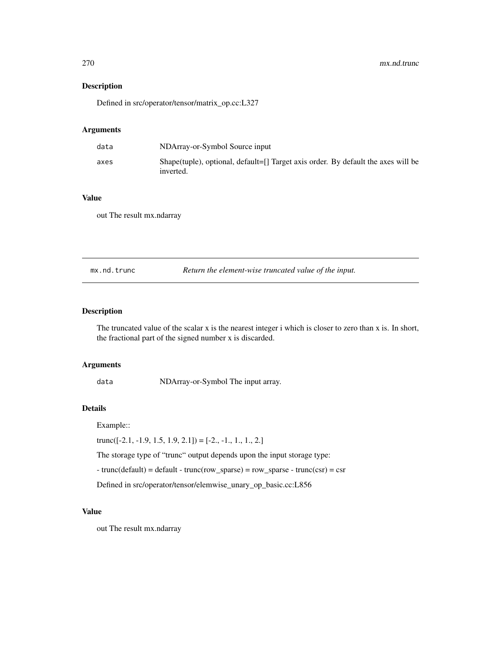Defined in src/operator/tensor/matrix\_op.cc:L327

# Arguments

| data | NDArray-or-Symbol Source input                                                                 |
|------|------------------------------------------------------------------------------------------------|
| axes | Shape(tuple), optional, default=[] Target axis order. By default the axes will be<br>inverted. |

# Value

out The result mx.ndarray

mx.nd.trunc *Return the element-wise truncated value of the input.*

# Description

The truncated value of the scalar x is the nearest integer i which is closer to zero than x is. In short, the fractional part of the signed number x is discarded.

# Arguments

data NDArray-or-Symbol The input array.

#### Details

Example::

 $trunc([-2.1, -1.9, 1.5, 1.9, 2.1]) = [-2., -1., 1., 1., 2.]$ 

The storage type of "trunc" output depends upon the input storage type:

 $-$  trunc(default) = default  $-$  trunc(row\_sparse) = row\_sparse  $-$  trunc(csr) = csr

Defined in src/operator/tensor/elemwise\_unary\_op\_basic.cc:L856

#### Value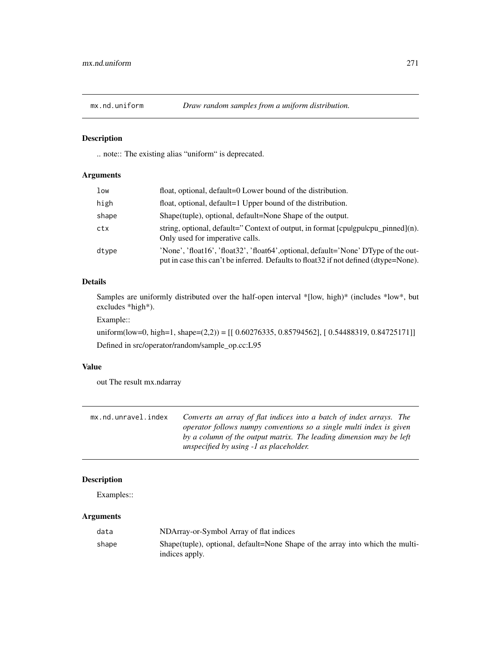.. note:: The existing alias "uniform" is deprecated.

# Arguments

| low   | float, optional, default=0 Lower bound of the distribution.                                                                                                                  |
|-------|------------------------------------------------------------------------------------------------------------------------------------------------------------------------------|
| high  | float, optional, default=1 Upper bound of the distribution.                                                                                                                  |
| shape | Shape(tuple), optional, default=None Shape of the output.                                                                                                                    |
| ctx   | string, optional, default="Context of output, in format [cpulgpulcpu_pinned](n).<br>Only used for imperative calls.                                                          |
| dtype | 'None', 'float16', 'float32', 'float64', optional, default='None' DType of the out-<br>put in case this can't be inferred. Defaults to float 32 if not defined (dtype=None). |

# Details

Samples are uniformly distributed over the half-open interval \*[low, high)\* (includes \*low\*, but excludes \*high\*).

Example::

uniform(low=0, high=1, shape=(2,2)) = [[ 0.60276335, 0.85794562], [ 0.54488319, 0.84725171]] Defined in src/operator/random/sample\_op.cc:L95

## Value

out The result mx.ndarray

| mx.nd.unravel.index | Converts an array of flat indices into a batch of index arrays. The |
|---------------------|---------------------------------------------------------------------|
|                     | operator follows numpy conventions so a single multi index is given |
|                     | by a column of the output matrix. The leading dimension may be left |
|                     | unspecified by using -1 as placeholder.                             |

# Description

Examples::

|                | data  | NDArray-or-Symbol Array of flat indices                                        |
|----------------|-------|--------------------------------------------------------------------------------|
| indices apply. | shape | Shape (tuple), optional, default=None Shape of the array into which the multi- |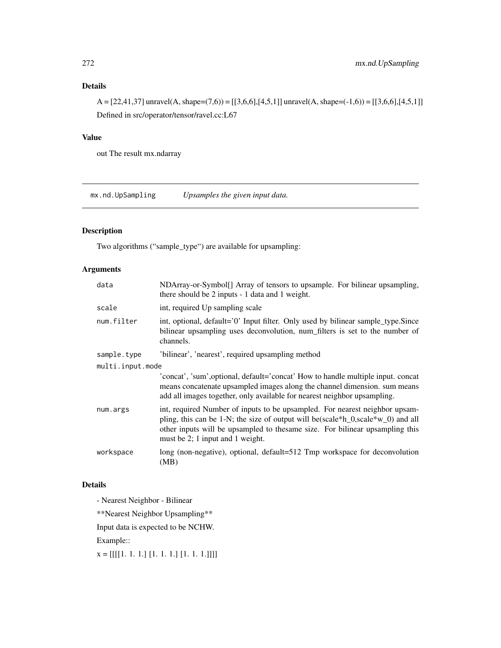# Details

 $A = [22, 41, 37]$  unravel $(A, shape=(7,6)) = [[3, 6, 6], [4, 5, 1]]$  unravel $(A, shape=(-1,6)) = [[3, 6, 6], [4, 5, 1]]$ Defined in src/operator/tensor/ravel.cc:L67

# Value

out The result mx.ndarray

mx.nd.UpSampling *Upsamples the given input data.*

# Description

Two algorithms ("sample\_type") are available for upsampling:

# Arguments

| data             | NDArray-or-Symbol[] Array of tensors to upsample. For bilinear upsampling,<br>there should be 2 inputs - 1 data and 1 weight.                                                                                                                                                        |  |
|------------------|--------------------------------------------------------------------------------------------------------------------------------------------------------------------------------------------------------------------------------------------------------------------------------------|--|
| scale            | int, required Up sampling scale                                                                                                                                                                                                                                                      |  |
| num.filter       | int, optional, default='0' Input filter. Only used by bilinear sample_type.Since<br>bilinear upsampling uses deconvolution, num_filters is set to the number of<br>channels.                                                                                                         |  |
| sample.type      | 'bilinear', 'nearest', required upsampling method                                                                                                                                                                                                                                    |  |
| multi.input.mode |                                                                                                                                                                                                                                                                                      |  |
|                  | 'concat', 'sum', optional, default='concat' How to handle multiple input. concat<br>means concatenate upsampled images along the channel dimension. sum means<br>add all images together, only available for nearest neighbor upsampling.                                            |  |
| num.args         | int, required Number of inputs to be upsampled. For nearest neighbor upsam-<br>pling, this can be 1-N; the size of output will be (scale*h_0,scale*w_0) and all<br>other inputs will be upsampled to the same size. For bilinear upsampling this<br>must be 2; 1 input and 1 weight. |  |
| workspace        | long (non-negative), optional, default=512 Tmp workspace for deconvolution<br>(MB)                                                                                                                                                                                                   |  |

# Details

- Nearest Neighbor - Bilinear

\*\*Nearest Neighbor Upsampling\*\*

Input data is expected to be NCHW.

Example::

 $x = [[[[1, 1, 1, ][[1, 1, 1, ][[1, 1, 1, ]]]]]$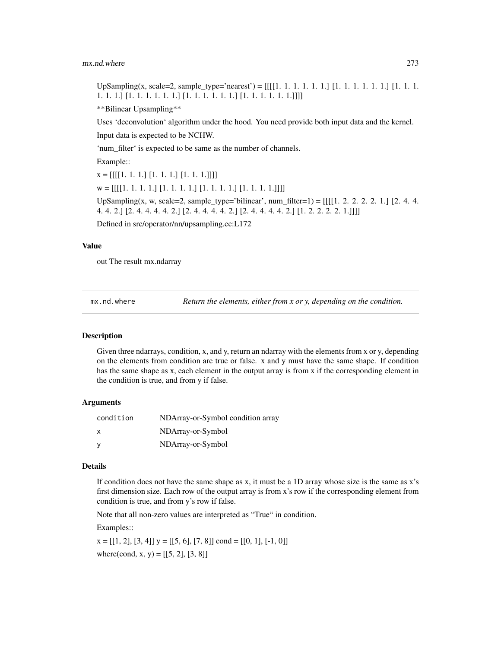#### mx.nd.where 273

UpSampling(x, scale=2, sample\_type='nearest') = [[[[1. 1. 1. 1. 1. 1.] [1. 1. 1. 1. 1. 1.] [1. 1. 1. 1. 1. 1.] [1. 1. 1. 1. 1. 1.] [1. 1. 1. 1. 1. 1.] [1. 1. 1. 1. 1. 1.]]]]

\*\*Bilinear Upsampling\*\*

Uses 'deconvolution' algorithm under the hood. You need provide both input data and the kernel.

Input data is expected to be NCHW.

'num\_filter' is expected to be same as the number of channels.

Example::

x = [[[[1. 1. 1.] [1. 1. 1.] [1. 1. 1.]]]]

 $w = [[[[1, 1, 1, 1, ][[1, 1, 1, 1, ][[1, 1, 1, 1, 1, ]]]]]$ 

UpSampling(x, w, scale=2, sample\_type='bilinear', num\_filter=1) =  $[[[1. 2. 2. 2. 2. 1.] [2. 4. 4. ]$ 4. 4. 2.] [2. 4. 4. 4. 4. 2.] [2. 4. 4. 4. 4. 2.] [2. 4. 4. 4. 4. 2.] [1. 2. 2. 2. 2. 1.]]]]

Defined in src/operator/nn/upsampling.cc:L172

#### Value

out The result mx.ndarray

mx.nd.where *Return the elements, either from x or y, depending on the condition.*

#### Description

Given three ndarrays, condition, x, and y, return an ndarray with the elements from x or y, depending on the elements from condition are true or false. x and y must have the same shape. If condition has the same shape as x, each element in the output array is from x if the corresponding element in the condition is true, and from y if false.

## Arguments

| condition    | NDArray-or-Symbol condition array |
|--------------|-----------------------------------|
| $\mathsf{x}$ | NDArray-or-Symbol                 |
| <b>V</b>     | NDArray-or-Symbol                 |

#### Details

If condition does not have the same shape as x, it must be a 1D array whose size is the same as x's first dimension size. Each row of the output array is from x's row if the corresponding element from condition is true, and from y's row if false.

Note that all non-zero values are interpreted as "True" in condition.

Examples::

 $x = [[1, 2], [3, 4]]$   $y = [[5, 6], [7, 8]]$  cond =  $[[0, 1], [-1, 0]]$ where(cond, x, y) =  $[[5, 2], [3, 8]]$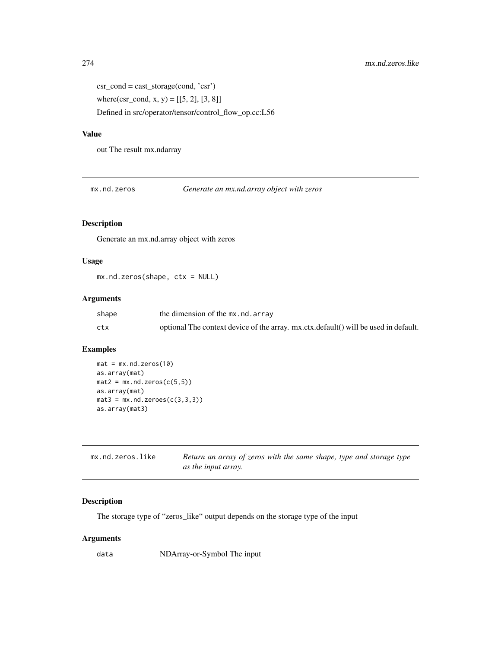$\text{csr\_cond} = \text{cast\_storage}(\text{cond}, \text{'csr'})$ 

where(csr\_cond, x, y) =  $[[5, 2], [3, 8]]$ 

Defined in src/operator/tensor/control\_flow\_op.cc:L56

## Value

out The result mx.ndarray

mx.nd.zeros *Generate an mx.nd.array object with zeros*

# Description

Generate an mx.nd.array object with zeros

# Usage

mx.nd.zeros(shape, ctx = NULL)

## Arguments

| shape | the dimension of the mx.nd.array                                                    |
|-------|-------------------------------------------------------------------------------------|
| ctx   | optional The context device of the array. mx.ctx.default() will be used in default. |

# Examples

```
mat = mx.nd.zeros(10)
as.array(mat)
mat2 = mx}.nd.zeros(c(5,5))as.array(mat)
mat3 = mx}.nd.zeroes(c(3,3,3))as.array(mat3)
```

| mx.nd.zeros.like | Return an array of zeros with the same shape, type and storage type |
|------------------|---------------------------------------------------------------------|
|                  | <i>as the input array.</i>                                          |

# Description

The storage type of "zeros\_like" output depends on the storage type of the input

# Arguments

data NDArray-or-Symbol The input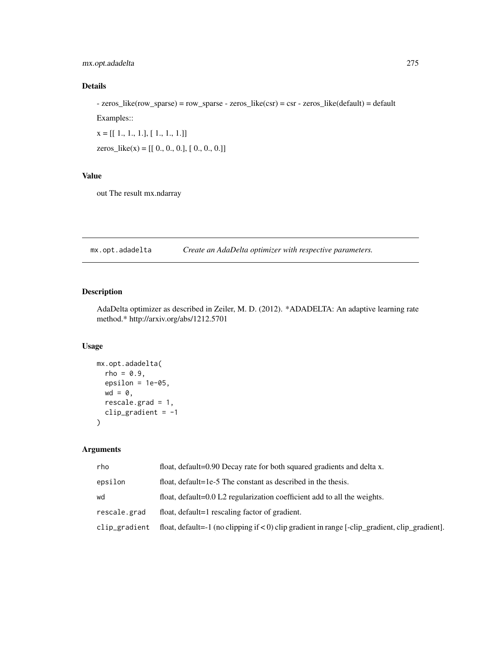# mx.opt.adadelta 275

# Details

- zeros\_like(row\_sparse) = row\_sparse - zeros\_like(csr) = csr - zeros\_like(default) = default Examples::

 $x = [[1., 1., 1.], [1., 1., 1.]]$ 

zeros\_like(x) =  $[[ 0., 0., 0.], [ 0., 0., 0.]]$ 

# Value

out The result mx.ndarray

mx.opt.adadelta *Create an AdaDelta optimizer with respective parameters.*

# Description

AdaDelta optimizer as described in Zeiler, M. D. (2012). \*ADADELTA: An adaptive learning rate method.\* http://arxiv.org/abs/1212.5701

# Usage

```
mx.opt.adadelta(
 rho = 0.9,
 epsilon = 1e-05,
 wd = 0,
 rescale.grad = 1,
 clip_gradient = -1)
```

| rho           | float, default=0.90 Decay rate for both squared gradients and delta x.                              |
|---------------|-----------------------------------------------------------------------------------------------------|
| epsilon       | float, default=1e-5 The constant as described in the thesis.                                        |
| wd            | float, default=0.0 L2 regularization coefficient add to all the weights.                            |
| rescale.grad  | float, default=1 rescaling factor of gradient.                                                      |
| clip_gradient | float, default=-1 (no clipping if $\lt 0$ ) clip gradient in range [-clip_gradient, clip_gradient]. |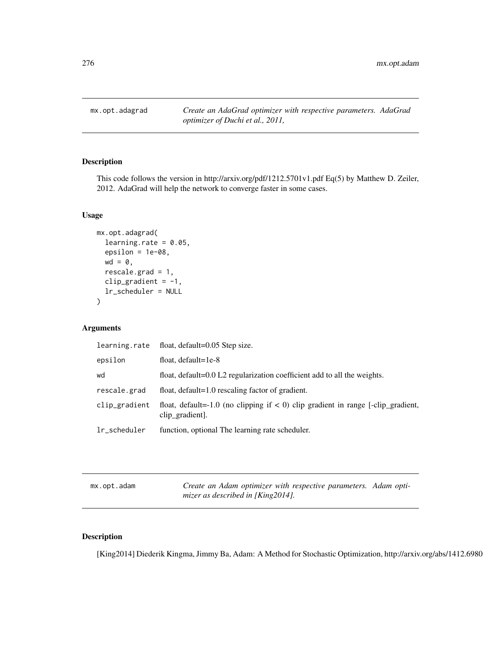mx.opt.adagrad *Create an AdaGrad optimizer with respective parameters. AdaGrad optimizer of Duchi et al., 2011,*

# Description

This code follows the version in http://arxiv.org/pdf/1212.5701v1.pdf Eq(5) by Matthew D. Zeiler, 2012. AdaGrad will help the network to converge faster in some cases.

## Usage

```
mx.opt.adagrad(
  learning.rate = 0.05,
  epsilon = 1e-08,
  wd = 0,
  rescale.grad = 1,
  clip_gradient = -1,
  lr_scheduler = NULL
\mathcal{E}
```
## Arguments

| learning.rate | float, default=0.05 Step size.                                                                                     |
|---------------|--------------------------------------------------------------------------------------------------------------------|
| epsilon       | float, $default=1e-8$                                                                                              |
| wd            | float, default=0.0 L2 regularization coefficient add to all the weights.                                           |
| rescale.grad  | float, default=1.0 rescaling factor of gradient.                                                                   |
| clip_gradient | float, default=-1.0 (no clipping if $\langle 0 \rangle$ clip gradient in range [-clip_gradient,<br>clip_gradient]. |
| lr_scheduler  | function, optional The learning rate scheduler.                                                                    |

mx.opt.adam *Create an Adam optimizer with respective parameters. Adam optimizer as described in [King2014].*

## Description

[King2014] Diederik Kingma, Jimmy Ba, Adam: A Method for Stochastic Optimization, http://arxiv.org/abs/1412.6980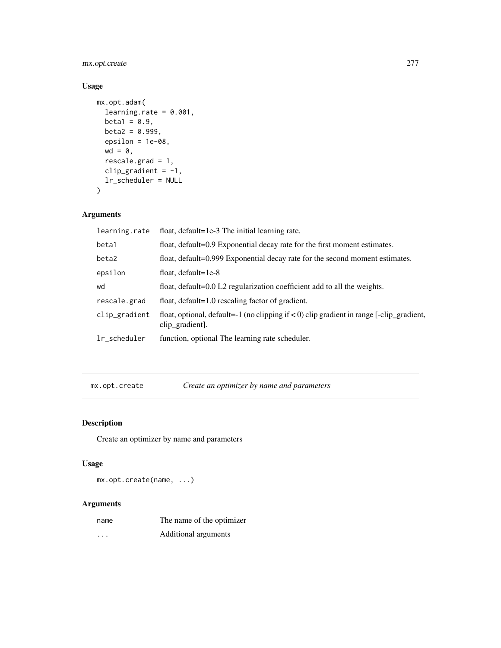mx.opt.create 277

# Usage

```
mx.opt.adam(
  learning.rate = 0.001,
  beta1 = 0.9,
  beta2 = 0.999,
  epsilon = 1e-08,
  wd = 0,
  rescale.grad = 1,
  clip_gradient = -1,
  lr_scheduler = NULL
\mathcal{L}
```
# Arguments

| learning.rate | float, default=1e-3 The initial learning rate.                                                                   |
|---------------|------------------------------------------------------------------------------------------------------------------|
| beta1         | float, default=0.9 Exponential decay rate for the first moment estimates.                                        |
| beta2         | float, default=0.999 Exponential decay rate for the second moment estimates.                                     |
| epsilon       | float, $default=1e-8$                                                                                            |
| wd            | float, default=0.0 L2 regularization coefficient add to all the weights.                                         |
| rescale.grad  | float, default=1.0 rescaling factor of gradient.                                                                 |
| clip_gradient | float, optional, default=-1 (no clipping if $\lt 0$ ) clip gradient in range [-clip_gradient,<br>clip_gradient]. |
| lr_scheduler  | function, optional The learning rate scheduler.                                                                  |
|               |                                                                                                                  |

mx.opt.create *Create an optimizer by name and parameters*

# Description

Create an optimizer by name and parameters

# Usage

mx.opt.create(name, ...)

| name     | The name of the optimizer |
|----------|---------------------------|
| $\cdots$ | Additional arguments      |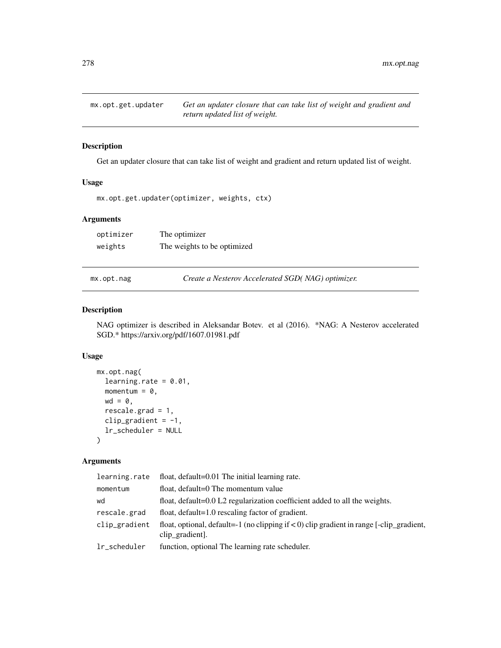Get an updater closure that can take list of weight and gradient and return updated list of weight.

## Usage

```
mx.opt.get.updater(optimizer, weights, ctx)
```
## Arguments

| optimizer | The optimizer               |
|-----------|-----------------------------|
| weights   | The weights to be optimized |

mx.opt.nag *Create a Nesterov Accelerated SGD( NAG) optimizer.*

# Description

NAG optimizer is described in Aleksandar Botev. et al (2016). \*NAG: A Nesterov accelerated SGD.\* https://arxiv.org/pdf/1607.01981.pdf

## Usage

```
mx.opt.nag(
  learning.rate = 0.01,
 momentum = 0,
 wd = 0,
  rescale.grad = 1,
  clip_gradient = -1,
  lr_scheduler = NULL
)
```

| float, default=0.01 The initial learning rate.<br>learning.rate                                                                   |  |
|-----------------------------------------------------------------------------------------------------------------------------------|--|
| float, default=0 The momentum value<br>momentum                                                                                   |  |
| float, default=0.0 L2 regularization coefficient added to all the weights.<br>wd                                                  |  |
| float, default=1.0 rescaling factor of gradient.<br>rescale.grad                                                                  |  |
| float, optional, default=-1 (no clipping if $\lt 0$ ) clip gradient in range [-clip_gradient,<br>clip_gradient<br>clip_gradient]. |  |
| function, optional The learning rate scheduler.<br>lr_scheduler                                                                   |  |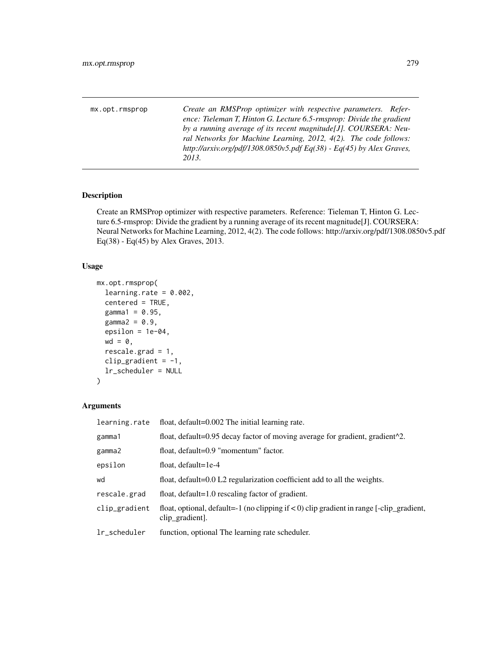mx.opt.rmsprop *Create an RMSProp optimizer with respective parameters. Reference: Tieleman T, Hinton G. Lecture 6.5-rmsprop: Divide the gradient by a running average of its recent magnitude[J]. COURSERA: Neural Networks for Machine Learning, 2012, 4(2). The code follows: http://arxiv.org/pdf/1308.0850v5.pdf Eq(38) - Eq(45) by Alex Graves, 2013.*

# Description

Create an RMSProp optimizer with respective parameters. Reference: Tieleman T, Hinton G. Lecture 6.5-rmsprop: Divide the gradient by a running average of its recent magnitude[J]. COURSERA: Neural Networks for Machine Learning, 2012, 4(2). The code follows: http://arxiv.org/pdf/1308.0850v5.pdf  $Eq(38)$  - Eq(45) by Alex Graves, 2013.

## Usage

```
mx.opt.rmsprop(
  learning.rate = 0.002,
  centered = TRUE,
  gamma1 = 0.95,
  gamma2 = 0.9,
  epsilon = 1e-04,
  wd = 0,
  rescale.grad = 1,
  clip_gradient = -1,
  lr_scheduler = NULL
)
```

| learning.rate | float, default=0.002 The initial learning rate.                                                                  |
|---------------|------------------------------------------------------------------------------------------------------------------|
| gamma1        | float, default=0.95 decay factor of moving average for gradient, gradient^2.                                     |
| gamma2        | float, default=0.9 "momentum" factor.                                                                            |
| epsilon       | float, $default=1e-4$                                                                                            |
| wd            | float, default=0.0 L2 regularization coefficient add to all the weights.                                         |
| rescale.grad  | float, default=1.0 rescaling factor of gradient.                                                                 |
| clip_gradient | float, optional, default=-1 (no clipping if $\lt 0$ ) clip gradient in range [-clip_gradient,<br>clip_gradient]. |
| lr_scheduler  | function, optional The learning rate scheduler.                                                                  |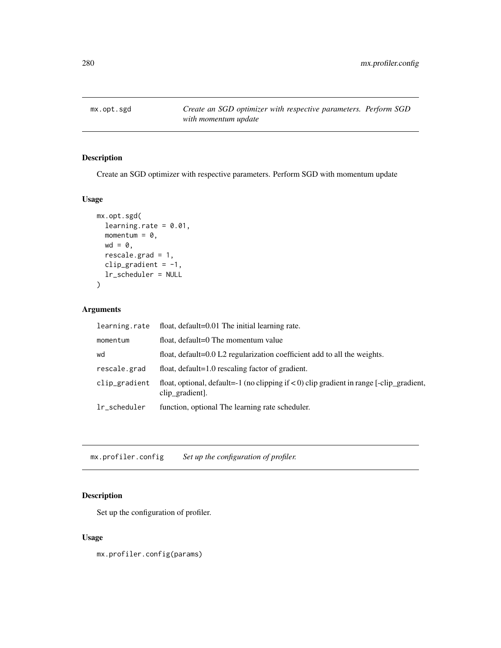Create an SGD optimizer with respective parameters. Perform SGD with momentum update

## Usage

```
mx.opt.sgd(
  learning.rate = 0.01,
 momentum = 0,
 wd = 0,
 rescale.grad = 1,
 clip_gradient = -1,
 lr_scheduler = NULL
)
```
# Arguments

| learning.rate | float, default=0.01 The initial learning rate.                                                                   |
|---------------|------------------------------------------------------------------------------------------------------------------|
| momentum      | float, default=0 The momentum value                                                                              |
| wd            | float, default=0.0 L2 regularization coefficient add to all the weights.                                         |
| rescale.grad  | float, default=1.0 rescaling factor of gradient.                                                                 |
| clip_gradient | float, optional, default=-1 (no clipping if $\lt 0$ ) clip gradient in range [-clip_gradient,<br>clip_gradient]. |
| lr_scheduler  | function, optional The learning rate scheduler.                                                                  |

mx.profiler.config *Set up the configuration of profiler.*

# Description

Set up the configuration of profiler.

## Usage

mx.profiler.config(params)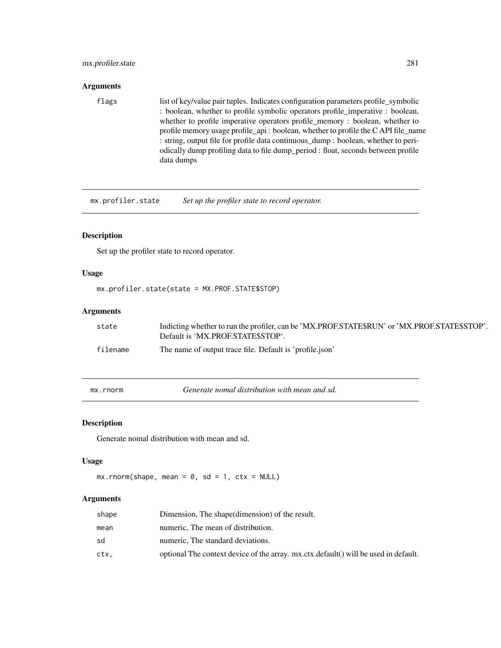# mx.profiler.state 281

## Arguments

flags list of key/value pair tuples. Indicates configuration parameters profile\_symbolic : boolean, whether to profile symbolic operators profile\_imperative : boolean, whether to profile imperative operators profile\_memory : boolean, whether to profile memory usage profile\_api : boolean, whether to profile the C API file\_name : string, output file for profile data continuous\_dump : boolean, whether to periodically dump profiling data to file dump\_period : float, seconds between profile data dumps

mx.profiler.state *Set up the profiler state to record operator.*

## Description

Set up the profiler state to record operator.

## Usage

```
mx.profiler.state(state = MX.PROF.STATE$STOP)
```
# Arguments

| state    | Indicting whether to run the profiler, can be 'MX.PROF.STATE\$RUN' or 'MX.PROF.STATE\$STOP'.<br>Default is 'MX.PROF.STATE\$STOP'. |
|----------|-----------------------------------------------------------------------------------------------------------------------------------|
| filename | The name of output trace file. Default is 'profile.json'                                                                          |

mx.rnorm *Generate nomal distribution with mean and sd.*

## Description

Generate nomal distribution with mean and sd.

#### Usage

```
mx.rnorm(shape, mean = 0, sd = 1, ctx = NULL)
```

| shape | Dimension, The shape (dimension) of the result.                                     |
|-------|-------------------------------------------------------------------------------------|
| mean  | numeric, The mean of distribution.                                                  |
| sd    | numeric, The standard deviations.                                                   |
| ctx.  | optional The context device of the array. mx.ctx.default() will be used in default. |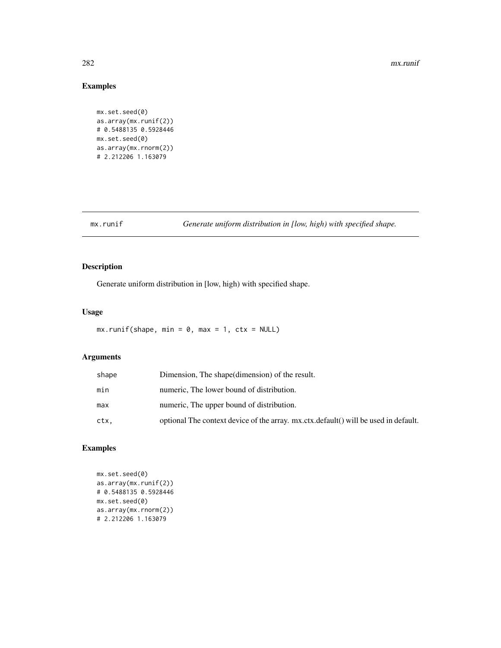#### 282 mx.runif

# Examples

```
mx.set.seed(0)
as.array(mx.runif(2))
# 0.5488135 0.5928446
mx.set.seed(0)
as.array(mx.rnorm(2))
# 2.212206 1.163079
```
mx.runif *Generate uniform distribution in [low, high) with specified shape.*

# Description

Generate uniform distribution in [low, high) with specified shape.

## Usage

```
mx.runif(shape, min = 0, max = 1, ctx = NULL)
```
# Arguments

| shape | Dimension, The shape (dimension) of the result.                                     |
|-------|-------------------------------------------------------------------------------------|
| min   | numeric, The lower bound of distribution.                                           |
| max   | numeric, The upper bound of distribution.                                           |
| ctx.  | optional The context device of the array. mx.ctx.default() will be used in default. |

# Examples

```
mx.set.seed(0)
as.array(mx.runif(2))
# 0.5488135 0.5928446
mx.set.seed(0)
as.array(mx.rnorm(2))
# 2.212206 1.163079
```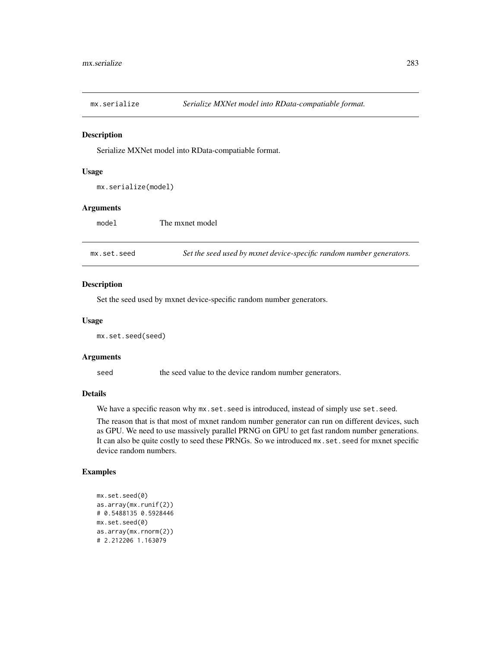Serialize MXNet model into RData-compatiable format.

#### Usage

```
mx.serialize(model)
```
## Arguments

| model       | The mxnet model                                                      |
|-------------|----------------------------------------------------------------------|
|             |                                                                      |
| mx.set.seed | Set the seed used by mxnet device-specific random number generators. |

## Description

Set the seed used by mxnet device-specific random number generators.

#### Usage

mx.set.seed(seed)

#### Arguments

seed the seed value to the device random number generators.

## Details

We have a specific reason why  $mx.set.$  seed is introduced, instead of simply use set. seed.

The reason that is that most of mxnet random number generator can run on different devices, such as GPU. We need to use massively parallel PRNG on GPU to get fast random number generations. It can also be quite costly to seed these PRNGs. So we introduced mx.set.seed for mxnet specific device random numbers.

# Examples

```
mx.set.seed(0)
as.array(mx.runif(2))
# 0.5488135 0.5928446
mx.set.seed(0)
as.array(mx.rnorm(2))
# 2.212206 1.163079
```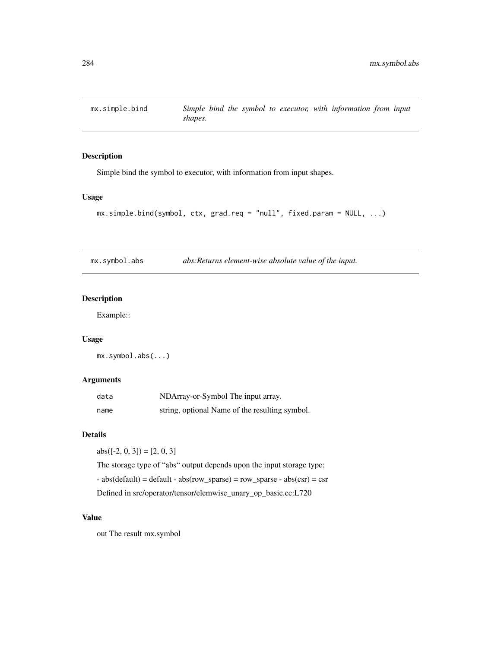Simple bind the symbol to executor, with information from input shapes.

#### Usage

```
mx \nsim simple.bind(symbol, ctx, grad.req = "null", fixed.param = NULL, ...)
```
mx.symbol.abs *abs:Returns element-wise absolute value of the input.*

## Description

Example::

# Usage

mx.symbol.abs(...)

## Arguments

| data | NDArray-or-Symbol The input array.             |
|------|------------------------------------------------|
| name | string, optional Name of the resulting symbol. |

#### Details

 $abs([-2, 0, 3]) = [2, 0, 3]$ 

The storage type of "abs" output depends upon the input storage type: - abs(default) = default - abs(row\_sparse) = row\_sparse - abs(csr) = csr Defined in src/operator/tensor/elemwise\_unary\_op\_basic.cc:L720

# Value

out The result mx.symbol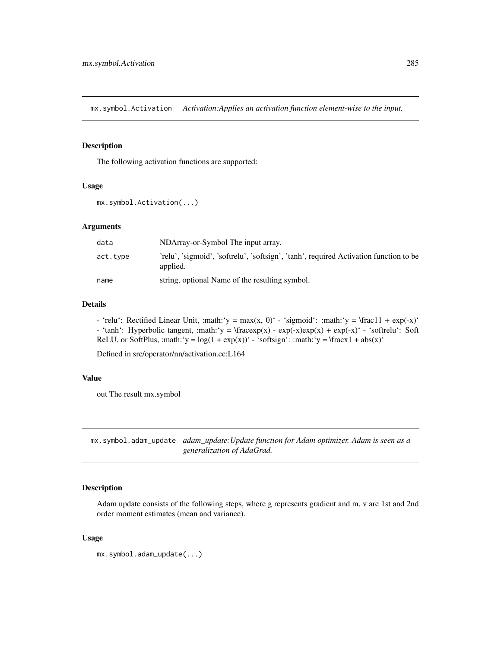mx.symbol.Activation *Activation:Applies an activation function element-wise to the input.*

## Description

The following activation functions are supported:

#### Usage

```
mx.symbol.Activation(...)
```
#### Arguments

| data     | NDArray-or-Symbol The input array.                                                                |
|----------|---------------------------------------------------------------------------------------------------|
| act.type | 'relu', 'sigmoid', 'softrelu', 'softsign', 'tanh', required Activation function to be<br>applied. |
| name     | string, optional Name of the resulting symbol.                                                    |

#### Details

- 'relu': Rectified Linear Unit, :math:'y = max(x, 0)' - 'sigmoid': :math:'y =  $\frac{\text{d}}{\text{d}}$  + exp(-x)' - 'tanh': Hyperbolic tangent, :math:'y =  $\frac{exp(x) - exp(-x)exp(x) + exp(-x)^{2} - 'softrelu'$ : Soft ReLU, or SoftPlus, :math:'y =  $log(1 + exp(x))$ ' - 'softsign': :math:'y = \fracx1 + abs(x)'

Defined in src/operator/nn/activation.cc:L164

## Value

out The result mx.symbol

mx.symbol.adam\_update *adam\_update:Update function for Adam optimizer. Adam is seen as a generalization of AdaGrad.*

## Description

Adam update consists of the following steps, where g represents gradient and m, v are 1st and 2nd order moment estimates (mean and variance).

## Usage

```
mx.symbol.adam_update(...)
```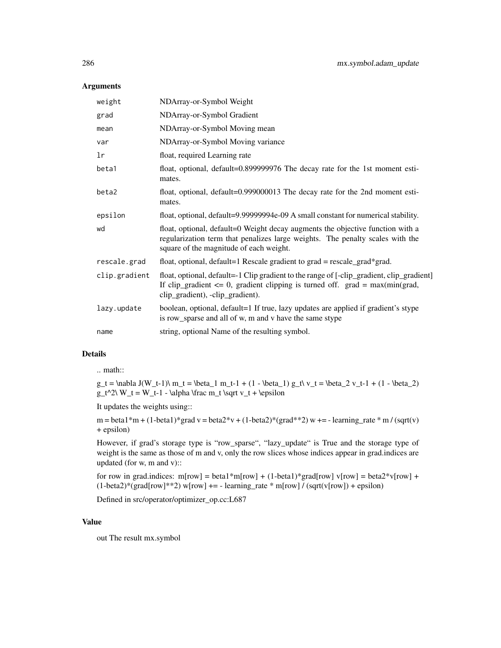## Arguments

| weight        | NDArray-or-Symbol Weight                                                                                                                                                                                           |
|---------------|--------------------------------------------------------------------------------------------------------------------------------------------------------------------------------------------------------------------|
| grad          | NDArray-or-Symbol Gradient                                                                                                                                                                                         |
| mean          | NDArray-or-Symbol Moving mean                                                                                                                                                                                      |
| var           | NDArray-or-Symbol Moving variance                                                                                                                                                                                  |
| lr            | float, required Learning rate                                                                                                                                                                                      |
| beta1         | float, optional, default=0.899999976 The decay rate for the 1st moment esti-<br>mates.                                                                                                                             |
| beta2         | float, optional, default=0.999000013 The decay rate for the 2nd moment esti-<br>mates.                                                                                                                             |
| epsilon       | float, optional, default=9.99999994e-09 A small constant for numerical stability.                                                                                                                                  |
| wd            | float, optional, default=0 Weight decay augments the objective function with a<br>regularization term that penalizes large weights. The penalty scales with the<br>square of the magnitude of each weight.         |
| rescale.grad  | float, optional, default=1 Rescale gradient to grad = rescale_grad*grad.                                                                                                                                           |
| clip.gradient | float, optional, default=-1 Clip gradient to the range of [-clip_gradient, clip_gradient]<br>If clip_gradient $\leq 0$ , gradient clipping is turned off. grad = max(min(grad,<br>clip_gradient), -clip_gradient). |
| lazy.update   | boolean, optional, default=1 If true, lazy updates are applied if gradient's stype<br>is row_sparse and all of w, m and v have the same stype                                                                      |
| name          | string, optional Name of the resulting symbol.                                                                                                                                                                     |

#### Details

.. math::

 $g_t = \nabla J(W_t-1)\n m_t = \beta_1 m_t-1 + (1 - \beta_1) g_t\n v_t = \beta_2 v_t-1 + (1 - \beta_2)$  $g_t^2\ W_t = W_t-1$  - \alpha \frac m\_t \sqrt v\_t + \epsilon

It updates the weights using::

m = beta1\*m + (1-beta1)\*grad v = beta2\*v + (1-beta2)\*(grad\*\*2) w += - learning\_rate \* m / (sqrt(v) + epsilon)

However, if grad's storage type is "row\_sparse", "lazy\_update" is True and the storage type of weight is the same as those of m and v, only the row slices whose indices appear in grad.indices are updated (for w, m and v)::

for row in grad.indices:  $m[row] = beta1*m[row] + (1-beta1)*grad[row] v[row] = beta2*v[row] +$  $(1-\beta)$  (grad[row]\*\*2) w[row] + = - learning\_rate \* m[row] / (sqrt(v[row]) + epsilon)

Defined in src/operator/optimizer\_op.cc:L687

# Value

out The result mx.symbol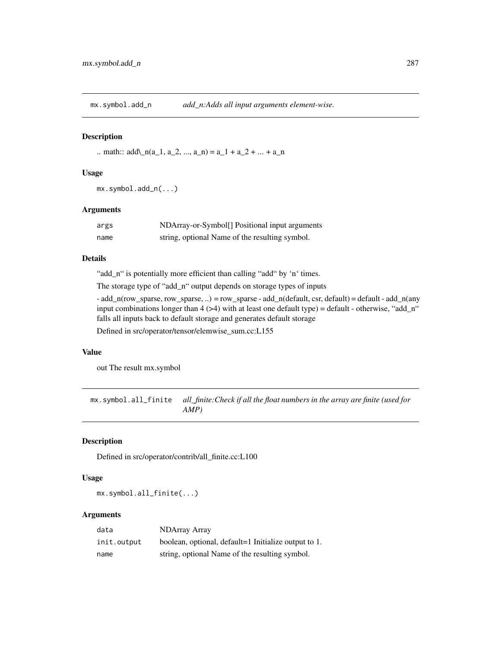mx.symbol.add\_n *add\_n:Adds all input arguments element-wise.*

#### Description

.. math::  $add\_{n}(a_1, a_2, ..., a_n) = a_1 + a_2 + ... + a_n$ 

## Usage

mx.symbol.add\_n(...)

#### Arguments

| args | NDArray-or-Symbol <sup>[]</sup> Positional input arguments |
|------|------------------------------------------------------------|
| name | string, optional Name of the resulting symbol.             |

## Details

"add\_n" is potentially more efficient than calling "add" by 'n' times.

The storage type of "add\_n" output depends on storage types of inputs

 $-$  add\_n(row\_sparse, row\_sparse, ..) = row\_sparse  $-$  add\_n(default, csr, default) = default  $-$  add\_n(any input combinations longer than  $4$  ( $>4$ ) with at least one default type) = default - otherwise, "add\_n" falls all inputs back to default storage and generates default storage

Defined in src/operator/tensor/elemwise\_sum.cc:L155

## Value

out The result mx.symbol

mx.symbol.all\_finite *all\_finite:Check if all the float numbers in the array are finite (used for AMP)*

# Description

Defined in src/operator/contrib/all\_finite.cc:L100

## Usage

mx.symbol.all\_finite(...)

| data        | NDArray Array                                        |
|-------------|------------------------------------------------------|
| init.output | boolean, optional, default=1 Initialize output to 1. |
| name        | string, optional Name of the resulting symbol.       |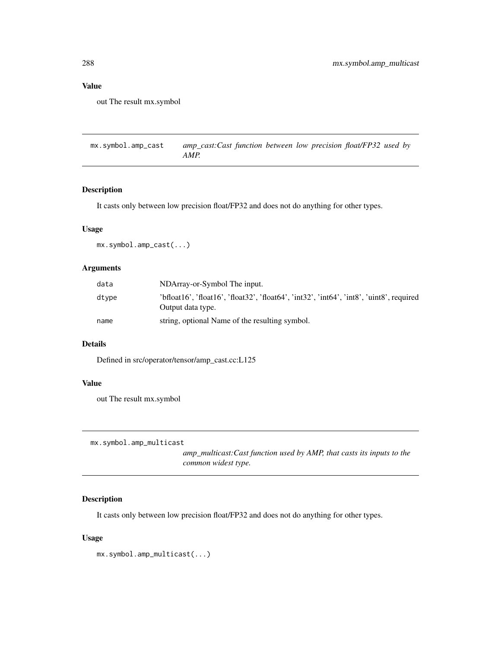## Value

out The result mx.symbol

mx.symbol.amp\_cast *amp\_cast:Cast function between low precision float/FP32 used by AMP.*

## Description

It casts only between low precision float/FP32 and does not do anything for other types.

# Usage

mx.symbol.amp\_cast(...)

# Arguments

| data  | NDArray-or-Symbol The input.                                                                                  |
|-------|---------------------------------------------------------------------------------------------------------------|
| dtype | 'bfloat16', 'float16', 'float32', 'float64', 'int32', 'int64', 'int8', 'uint8', required<br>Output data type. |
| name  | string, optional Name of the resulting symbol.                                                                |

## Details

Defined in src/operator/tensor/amp\_cast.cc:L125

# Value

out The result mx.symbol

mx.symbol.amp\_multicast

*amp\_multicast:Cast function used by AMP, that casts its inputs to the common widest type.*

# Description

It casts only between low precision float/FP32 and does not do anything for other types.

## Usage

mx.symbol.amp\_multicast(...)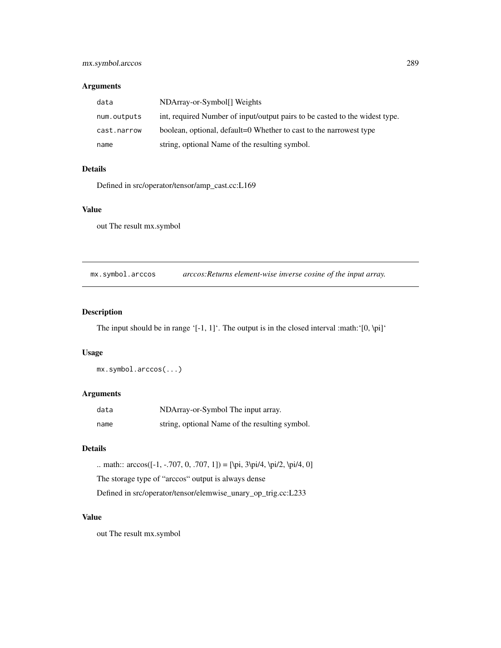## mx.symbol.arccos 289

#### Arguments

| data        | NDArray-or-Symbol <sup>[]</sup> Weights                                     |
|-------------|-----------------------------------------------------------------------------|
| num.outputs | int, required Number of input/output pairs to be casted to the widest type. |
| cast.narrow | boolean, optional, default=0 Whether to cast to the narrowest type          |
| name        | string, optional Name of the resulting symbol.                              |

## Details

Defined in src/operator/tensor/amp\_cast.cc:L169

## Value

out The result mx.symbol

mx.symbol.arccos *arccos:Returns element-wise inverse cosine of the input array.*

# Description

The input should be in range '[-1, 1]'. The output is in the closed interval :math:'[0, \pi]'

## Usage

mx.symbol.arccos(...)

## Arguments

| data | NDArray-or-Symbol The input array.             |
|------|------------------------------------------------|
| name | string, optional Name of the resulting symbol. |

## Details

.. math:: arccos([-1, -.707, 0, .707, 1]) = [\pi, 3\pi/4, \pi/2, \pi/4, 0] The storage type of "arccos" output is always dense Defined in src/operator/tensor/elemwise\_unary\_op\_trig.cc:L233

# Value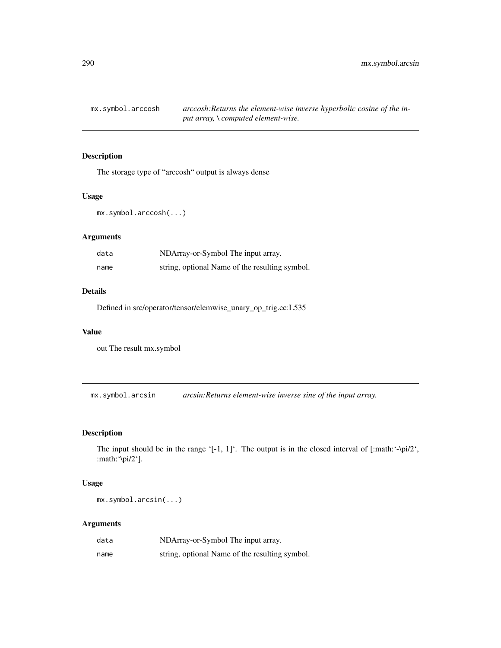mx.symbol.arccosh *arccosh:Returns the element-wise inverse hyperbolic cosine of the input array, \ computed element-wise.*

## Description

The storage type of "arccosh" output is always dense

#### Usage

mx.symbol.arccosh(...)

#### Arguments

| data | NDArray-or-Symbol The input array.             |
|------|------------------------------------------------|
| name | string, optional Name of the resulting symbol. |

#### Details

Defined in src/operator/tensor/elemwise\_unary\_op\_trig.cc:L535

#### Value

out The result mx.symbol

mx.symbol.arcsin *arcsin:Returns element-wise inverse sine of the input array.*

## Description

The input should be in the range '[-1, 1]'. The output is in the closed interval of [:math:'- $\pi/2$ ', :math:'\pi/2'].

#### Usage

mx.symbol.arcsin(...)

#### Arguments

| data | NDArray-or-Symbol The input array.             |
|------|------------------------------------------------|
| name | string, optional Name of the resulting symbol. |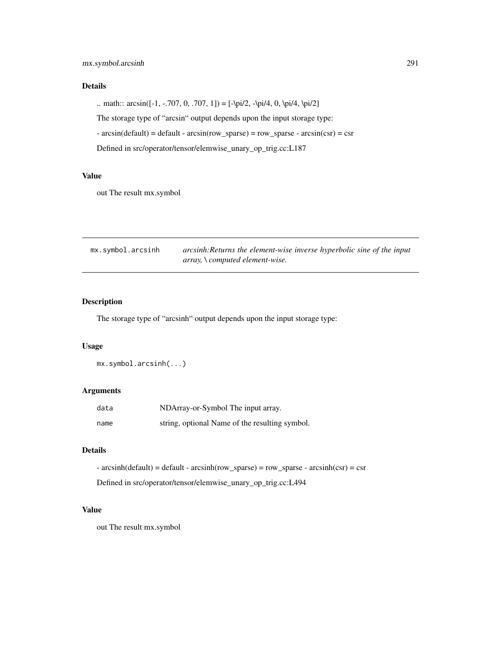# Details

.. math::  $arcsin([-1, -.707, 0, .707, 1]) = [-\pi/2, -\pi/4, 0, \pi/4, \pi/2]$ 

The storage type of "arcsin" output depends upon the input storage type:

 $\arcsin(\text{default}) = \text{default} - \arcsin(\text{row\_sparse}) = \text{row\_sparse} - \arcsin(\text{csr}) = \text{csr}$ 

Defined in src/operator/tensor/elemwise\_unary\_op\_trig.cc:L187

## Value

out The result mx.symbol

| mx.symbol.arcsinh | arcsinh: Returns the element-wise inverse hyperbolic sine of the input |
|-------------------|------------------------------------------------------------------------|
|                   | array, \ computed element-wise.                                        |

# Description

The storage type of "arcsinh" output depends upon the input storage type:

## Usage

mx.symbol.arcsinh(...)

## Arguments

| data | NDArray-or-Symbol The input array.             |
|------|------------------------------------------------|
| name | string, optional Name of the resulting symbol. |

# Details

- arcsinh(default) = default - arcsinh(row\_sparse) = row\_sparse - arcsinh(csr) = csr

Defined in src/operator/tensor/elemwise\_unary\_op\_trig.cc:L494

#### Value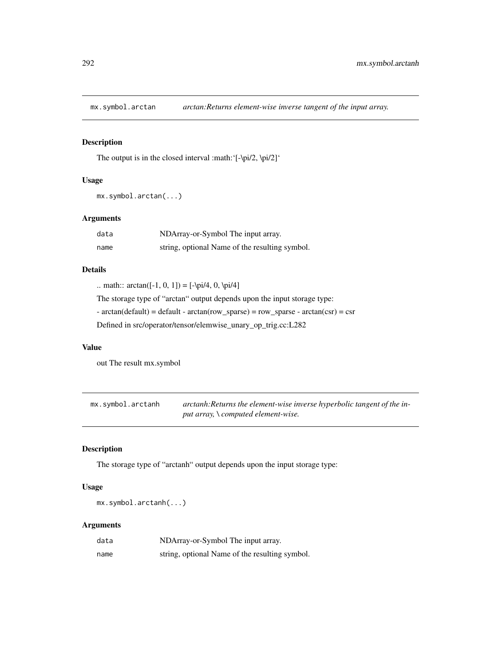# Description

The output is in the closed interval :math:'[-\pi/2, \pi/2]'

# Usage

```
mx.symbol.arctan(...)
```
## Arguments

| data | NDArray-or-Symbol The input array.             |
|------|------------------------------------------------|
| name | string, optional Name of the resulting symbol. |

## Details

.. math::  $\arctan([-1, 0, 1]) = [-\pi/4, 0, \pi/4]$ 

The storage type of "arctan" output depends upon the input storage type:

 $\text{-} \arctan(\text{default}) = \text{default} - \arctan(\text{row\_sparse}) = \text{row\_sparse} - \arctan(\text{csr}) = \text{csr}$ 

Defined in src/operator/tensor/elemwise\_unary\_op\_trig.cc:L282

#### Value

out The result mx.symbol

mx.symbol.arctanh *arctanh:Returns the element-wise inverse hyperbolic tangent of the input array, \ computed element-wise.*

#### Description

The storage type of "arctanh" output depends upon the input storage type:

## Usage

mx.symbol.arctanh(...)

#### Arguments

| data | NDArray-or-Symbol The input array.             |
|------|------------------------------------------------|
| name | string, optional Name of the resulting symbol. |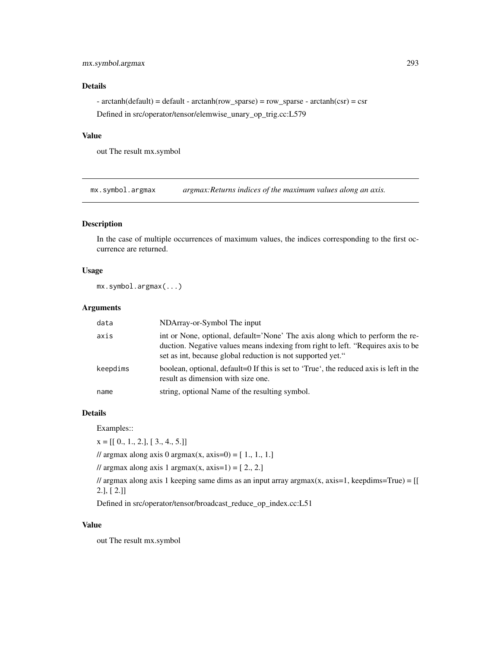# Details

 $\text{-} \arctanh(\text{default}) = \text{default} - \arctanh(\text{row\_sparse}) = \text{row\_sparse} - \arctanh(\text{csr}) = \text{csr}$ Defined in src/operator/tensor/elemwise\_unary\_op\_trig.cc:L579

#### Value

out The result mx.symbol

mx.symbol.argmax *argmax:Returns indices of the maximum values along an axis.*

## Description

In the case of multiple occurrences of maximum values, the indices corresponding to the first occurrence are returned.

# Usage

mx.symbol.argmax(...)

### Arguments

| data     | NDArray-or-Symbol The input                                                                                                                                                                                                      |
|----------|----------------------------------------------------------------------------------------------------------------------------------------------------------------------------------------------------------------------------------|
| axis     | int or None, optional, default='None' The axis along which to perform the re-<br>duction. Negative values means indexing from right to left. "Requires axis to be<br>set as int, because global reduction is not supported yet." |
| keepdims | boolean, optional, default=0 If this is set to 'True', the reduced axis is left in the<br>result as dimension with size one.                                                                                                     |
| name     | string, optional Name of the resulting symbol.                                                                                                                                                                                   |

#### Details

Examples::

 $x = [[0., 1., 2.], [3., 4., 5.]]$ 

// argmax along axis 0 argmax(x, axis=0) =  $[1., 1., 1.]$ 

// argmax along axis 1 argmax(x, axis=1) =  $[2., 2.]$ 

 $\ell$  argmax along axis 1 keeping same dims as an input array argmax(x, axis=1, keepdims=True) = [[ 2.], [ 2.]]

Defined in src/operator/tensor/broadcast\_reduce\_op\_index.cc:L51

#### Value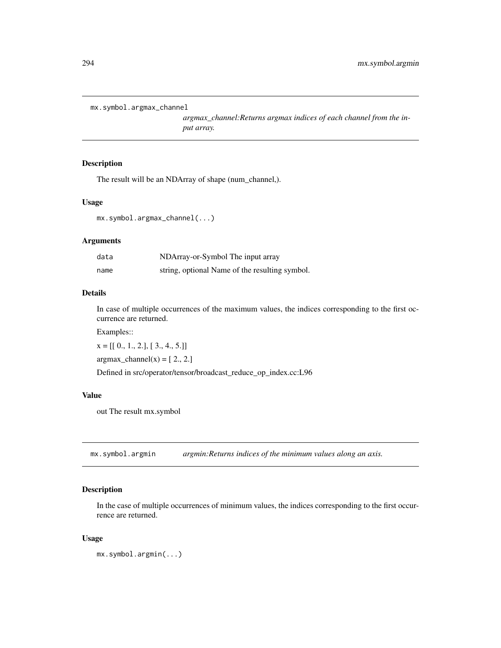```
mx.symbol.argmax_channel
```
*argmax\_channel:Returns argmax indices of each channel from the input array.*

#### Description

The result will be an NDArray of shape (num\_channel,).

## Usage

```
mx.symbol.argmax_channel(...)
```
## Arguments

| data | NDArray-or-Symbol The input array              |
|------|------------------------------------------------|
| name | string, optional Name of the resulting symbol. |

#### Details

In case of multiple occurrences of the maximum values, the indices corresponding to the first occurrence are returned.

Examples::

 $x = [[0., 1., 2.], [3., 4., 5.]]$ 

 $argmax_{\text{channel}}(x) = [2., 2.]$ 

Defined in src/operator/tensor/broadcast\_reduce\_op\_index.cc:L96

#### Value

out The result mx.symbol

mx.symbol.argmin *argmin:Returns indices of the minimum values along an axis.*

### Description

In the case of multiple occurrences of minimum values, the indices corresponding to the first occurrence are returned.

#### Usage

```
mx.symbol.argmin(...)
```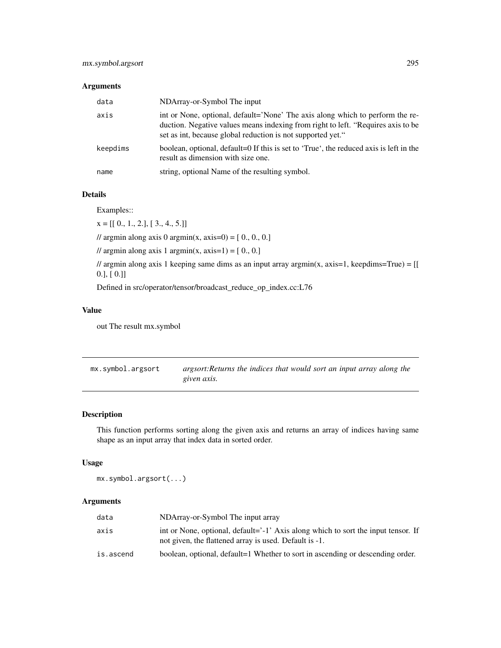#### Arguments

| data     | NDArray-or-Symbol The input                                                                                                                                                                                                      |
|----------|----------------------------------------------------------------------------------------------------------------------------------------------------------------------------------------------------------------------------------|
| axis     | int or None, optional, default='None' The axis along which to perform the re-<br>duction. Negative values means indexing from right to left. "Requires axis to be<br>set as int, because global reduction is not supported yet." |
| keepdims | boolean, optional, default=0 If this is set to 'True', the reduced axis is left in the<br>result as dimension with size one.                                                                                                     |
| name     | string, optional Name of the resulting symbol.                                                                                                                                                                                   |

#### Details

Examples::

 $x = [[0., 1., 2.], [3., 4., 5.]]$ 

// argmin along axis 0 argmin(x, axis=0) =  $[0., 0., 0.]$ 

// argmin along axis 1 argmin(x, axis=1) =  $[0., 0.]$ 

 $\ell$  argmin along axis 1 keeping same dims as an input array argmin(x, axis=1, keepdims=True) = [[ 0.], [ 0.]]

Defined in src/operator/tensor/broadcast\_reduce\_op\_index.cc:L76

# Value

out The result mx.symbol

| mx.symbol.argsort | argsort: Returns the indices that would sort an input array along the |  |  |  |  |  |
|-------------------|-----------------------------------------------------------------------|--|--|--|--|--|
|                   | given axis.                                                           |  |  |  |  |  |

## Description

This function performs sorting along the given axis and returns an array of indices having same shape as an input array that index data in sorted order.

## Usage

mx.symbol.argsort(...)

## Arguments

| data      | NDArray-or-Symbol The input array                                                                                                           |
|-----------|---------------------------------------------------------------------------------------------------------------------------------------------|
| axis      | int or None, optional, default='-1' Axis along which to sort the input tensor. If<br>not given, the flattened array is used. Default is -1. |
| is.ascend | boolean, optional, default=1 Whether to sort in ascending or descending order.                                                              |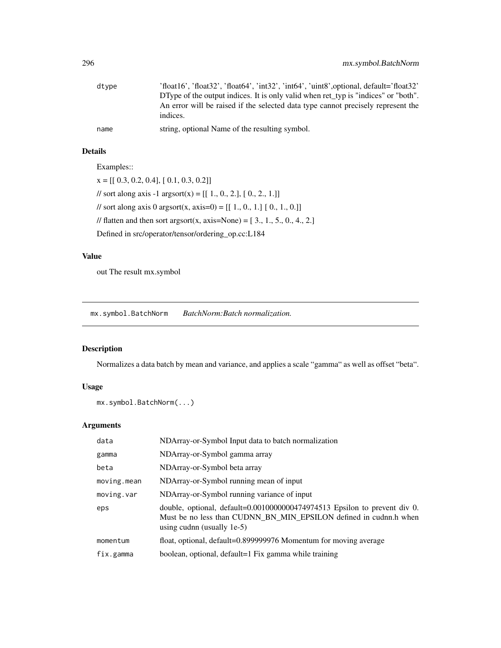| dtype | 'float16', 'float32', 'float64', 'int32', 'int64', 'uint8', optional, default='float32'      |
|-------|----------------------------------------------------------------------------------------------|
|       | DType of the output indices. It is only valid when ret_typ is "indices" or "both".           |
|       | An error will be raised if the selected data type cannot precisely represent the<br>indices. |
| name  | string, optional Name of the resulting symbol.                                               |

# Details

Examples::

 $x = [[ 0.3, 0.2, 0.4], [ 0.1, 0.3, 0.2]]$ // sort along axis -1 argsort(x) =  $[[ 1., 0., 2.], [ 0., 2., 1.]]$ // sort along axis 0 argsort(x, axis=0) =  $[[ 1., 0., 1.] [ 0., 1., 0.]]$ // flatten and then sort argsort(x, axis=None) =  $[3, 1, 5, 0, 4, 2]$ Defined in src/operator/tensor/ordering\_op.cc:L184

# Value

out The result mx.symbol

mx.symbol.BatchNorm *BatchNorm:Batch normalization.*

## Description

Normalizes a data batch by mean and variance, and applies a scale "gamma" as well as offset "beta".

# Usage

```
mx.symbol.BatchNorm(...)
```
# Arguments

| data        | NDArray-or-Symbol Input data to batch normalization                                                                                                                             |
|-------------|---------------------------------------------------------------------------------------------------------------------------------------------------------------------------------|
| gamma       | NDArray-or-Symbol gamma array                                                                                                                                                   |
| beta        | NDArray-or-Symbol beta array                                                                                                                                                    |
| moving.mean | NDArray-or-Symbol running mean of input                                                                                                                                         |
| moving.var  | NDArray-or-Symbol running variance of input                                                                                                                                     |
| eps         | double, optional, default=0.0010000000474974513 Epsilon to prevent div 0.<br>Must be no less than CUDNN_BN_MIN_EPSILON defined in cudnn.h when<br>using cudnn (usually $1e-5$ ) |
| momentum    | float, optional, default=0.899999976 Momentum for moving average                                                                                                                |
| fix.gamma   | boolean, optional, default=1 Fix gamma while training                                                                                                                           |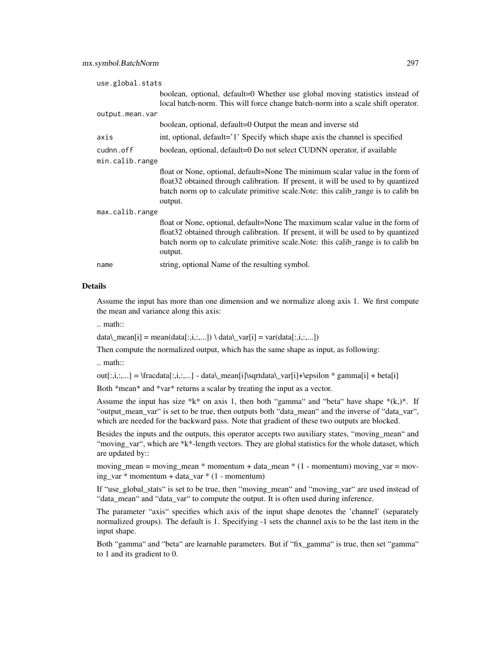| use.global.stats |                                                                                                                                                                                                                                                                     |  |
|------------------|---------------------------------------------------------------------------------------------------------------------------------------------------------------------------------------------------------------------------------------------------------------------|--|
|                  | boolean, optional, default=0 Whether use global moving statistics instead of<br>local batch-norm. This will force change batch-norm into a scale shift operator.                                                                                                    |  |
| output.mean.var  |                                                                                                                                                                                                                                                                     |  |
|                  | boolean, optional, default=0 Output the mean and inverse std                                                                                                                                                                                                        |  |
| axis             | int, optional, default='1' Specify which shape axis the channel is specified                                                                                                                                                                                        |  |
| cudnn.off        | boolean, optional, default=0 Do not select CUDNN operator, if available                                                                                                                                                                                             |  |
| min.calib.range  |                                                                                                                                                                                                                                                                     |  |
|                  | float or None, optional, default=None The minimum scalar value in the form of<br>float32 obtained through calibration. If present, it will be used to by quantized<br>batch norm op to calculate primitive scale. Note: this calib_range is to calib bn<br>output.  |  |
| max.calib.range  |                                                                                                                                                                                                                                                                     |  |
|                  | float or None, optional, default=None The maximum scalar value in the form of<br>float 32 obtained through calibration. If present, it will be used to by quantized<br>batch norm op to calculate primitive scale. Note: this calib range is to calib bn<br>output. |  |
| name             | string, optional Name of the resulting symbol.                                                                                                                                                                                                                      |  |

#### Details

Assume the input has more than one dimension and we normalize along axis 1. We first compute the mean and variance along this axis:

.. math::

data\\_mean[i] = mean(data[:,i,:,...]) \ data\\_var[i] = var(data[:,i,:,...])

Then compute the normalized output, which has the same shape as input, as following:

.. math::

 $out[:,i,...] = \frac{r}{i},..., j - data\$  mean[i]\sqrtdata\\_var[i]+\epsilon \* gamma[i] + beta[i]

Both \*mean\* and \*var\* returns a scalar by treating the input as a vector.

Assume the input has size  $*k*$  on axis 1, then both "gamma" and "beta" have shape  $*(k,)*$ . If "output\_mean\_var" is set to be true, then outputs both "data\_mean" and the inverse of "data\_var", which are needed for the backward pass. Note that gradient of these two outputs are blocked.

Besides the inputs and the outputs, this operator accepts two auxiliary states, "moving mean" and "moving\_var", which are \*k\*-length vectors. They are global statistics for the whole dataset, which are updated by::

moving\_mean = moving\_mean  $*$  momentum + data\_mean  $*$  (1 - momentum) moving\_var = moving\_var \* momentum + data\_var \* (1 - momentum)

If "use\_global\_stats" is set to be true, then "moving\_mean" and "moving\_var" are used instead of "data\_mean" and "data\_var" to compute the output. It is often used during inference.

The parameter "axis" specifies which axis of the input shape denotes the 'channel' (separately normalized groups). The default is 1. Specifying -1 sets the channel axis to be the last item in the input shape.

Both "gamma" and "beta" are learnable parameters. But if "fix\_gamma" is true, then set "gamma" to 1 and its gradient to 0.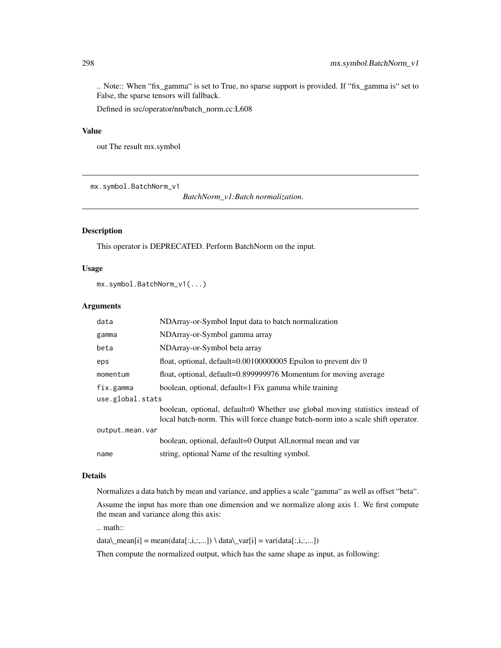.. Note:: When "fix\_gamma" is set to True, no sparse support is provided. If "fix\_gamma is" set to False, the sparse tensors will fallback.

Defined in src/operator/nn/batch\_norm.cc:L608

## Value

out The result mx.symbol

mx.symbol.BatchNorm\_v1

*BatchNorm\_v1:Batch normalization.*

## Description

This operator is DEPRECATED. Perform BatchNorm on the input.

#### Usage

```
mx.symbol.BatchNorm_v1(...)
```
## Arguments

| data             | NDArray-or-Symbol Input data to batch normalization                                                                                                              |  |
|------------------|------------------------------------------------------------------------------------------------------------------------------------------------------------------|--|
| gamma            | NDArray-or-Symbol gamma array                                                                                                                                    |  |
| beta             | NDArray-or-Symbol beta array                                                                                                                                     |  |
| eps              | float, optional, $default=0.00100000005$ Epsilon to prevent div 0                                                                                                |  |
| momentum         | float, optional, default=0.899999976 Momentum for moving average                                                                                                 |  |
| fix.gamma        | boolean, optional, default=1 Fix gamma while training                                                                                                            |  |
| use.global.stats |                                                                                                                                                                  |  |
|                  | boolean, optional, default=0 Whether use global moving statistics instead of<br>local batch-norm. This will force change batch-norm into a scale shift operator. |  |
| output.mean.var  |                                                                                                                                                                  |  |
|                  | boolean, optional, default=0 Output All, normal mean and var                                                                                                     |  |
| name             | string, optional Name of the resulting symbol.                                                                                                                   |  |

# Details

Normalizes a data batch by mean and variance, and applies a scale "gamma" as well as offset "beta".

Assume the input has more than one dimension and we normalize along axis 1. We first compute the mean and variance along this axis:

.. math::

data\\_mean[i] = mean(data[:,i,:,...]) \ data\\_var[i] = var(data[:,i,:,...])

Then compute the normalized output, which has the same shape as input, as following: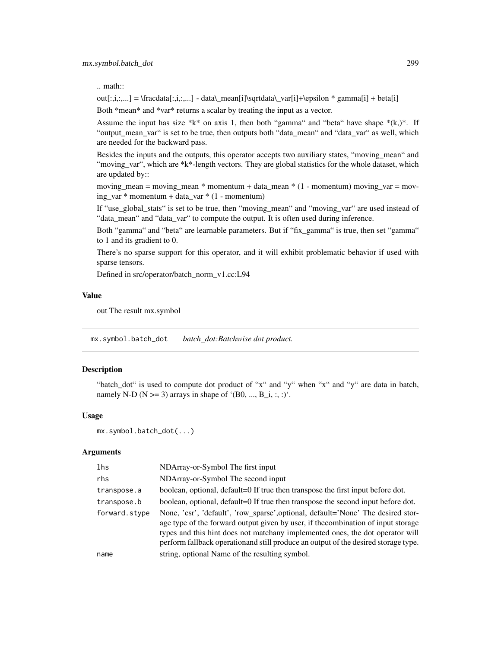.. math::

out[:,i,:,...] = \fracdata[:,i,:,...] - data\\_mean[i]\sqrtdata\\_var[i]+\epsilon \* gamma[i] + beta[i]

Both \*mean\* and \*var\* returns a scalar by treating the input as a vector.

Assume the input has size \*k\* on axis 1, then both "gamma" and "beta" have shape  $*(k,)*$ . If "output\_mean\_var" is set to be true, then outputs both "data\_mean" and "data\_var" as well, which are needed for the backward pass.

Besides the inputs and the outputs, this operator accepts two auxiliary states, "moving\_mean" and "moving\_var", which are \*k\*-length vectors. They are global statistics for the whole dataset, which are updated by::

moving\_mean = moving\_mean  $*$  momentum + data\_mean  $*$  (1 - momentum) moving\_var = moving\_var \* momentum + data\_var \* (1 - momentum)

If "use\_global\_stats" is set to be true, then "moving\_mean" and "moving\_var" are used instead of "data\_mean" and "data\_var" to compute the output. It is often used during inference.

Both "gamma" and "beta" are learnable parameters. But if "fix\_gamma" is true, then set "gamma" to 1 and its gradient to 0.

There's no sparse support for this operator, and it will exhibit problematic behavior if used with sparse tensors.

Defined in src/operator/batch\_norm\_v1.cc:L94

#### Value

out The result mx.symbol

mx.symbol.batch\_dot *batch\_dot:Batchwise dot product.*

#### Description

"batch\_dot" is used to compute dot product of "x" and "y" when "x" and "y" are data in batch, namely N-D ( $N \ge 3$ ) arrays in shape of '(B0, ..., B\_i, :, :)'.

#### Usage

```
mx.symbol.batch_dot(...)
```
#### Arguments

| lhs           | NDArray-or-Symbol The first input                                                                                                                                                                                                                                                                                                            |
|---------------|----------------------------------------------------------------------------------------------------------------------------------------------------------------------------------------------------------------------------------------------------------------------------------------------------------------------------------------------|
| rhs           | NDArray-or-Symbol The second input                                                                                                                                                                                                                                                                                                           |
| transpose.a   | boolean, optional, default=0 If true then transpose the first input before dot.                                                                                                                                                                                                                                                              |
| transpose.b   | boolean, optional, default=0 If true then transpose the second input before dot.                                                                                                                                                                                                                                                             |
| forward.stype | None, 'csr', 'default', 'row_sparse',optional, default='None' The desired stor-<br>age type of the forward output given by user, if the combination of input storage<br>types and this hint does not matchany implemented ones, the dot operator will<br>perform fallback operation and still produce an output of the desired storage type. |
| name          | string, optional Name of the resulting symbol.                                                                                                                                                                                                                                                                                               |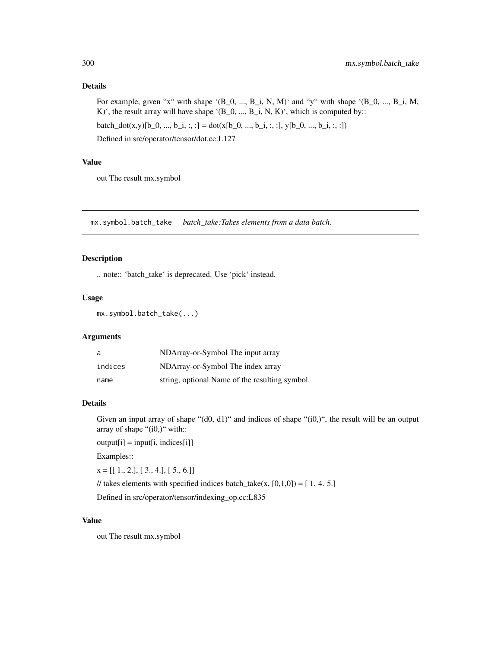## Details

For example, given "x" with shape '(B\_0, ..., B\_i, N, M)' and "y" with shape '(B\_0, ..., B\_i, M, K)', the result array will have shape '(B\_0, ..., B\_i, N, K)', which is computed by:: batch\_dot(x,y)[b\_0, ..., b\_i, :, :] = dot(x[b\_0, ..., b\_i, :, :], y[b\_0, ..., b\_i, :, :])

Defined in src/operator/tensor/dot.cc:L127

## Value

out The result mx.symbol

mx.symbol.batch\_take *batch\_take:Takes elements from a data batch.*

#### Description

.. note:: 'batch\_take' is deprecated. Use 'pick' instead.

#### Usage

mx.symbol.batch\_take(...)

# Arguments

| a       | NDArray-or-Symbol The input array              |
|---------|------------------------------------------------|
| indices | NDArray-or-Symbol The index array              |
| name    | string, optional Name of the resulting symbol. |

#### Details

Given an input array of shape "(d0, d1)" and indices of shape "(i0,)", the result will be an output array of shape "(i0,)" with::

 $output[i] = input[i, indices[i]]$ 

Examples::

 $x = [[1., 2.], [3., 4.], [5., 6.]]$ 

// takes elements with specified indices batch\_take(x,  $[0,1,0]$ ) = [1.4.5.]

Defined in src/operator/tensor/indexing\_op.cc:L835

#### Value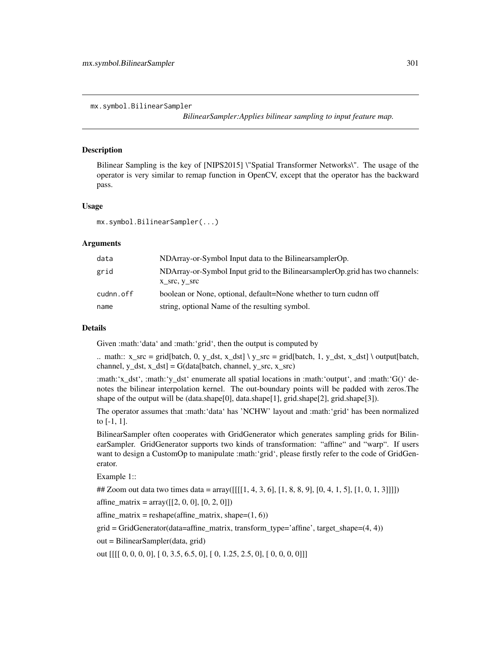*BilinearSampler:Applies bilinear sampling to input feature map.*

#### Description

Bilinear Sampling is the key of [NIPS2015] \"Spatial Transformer Networks\". The usage of the operator is very similar to remap function in OpenCV, except that the operator has the backward pass.

#### Usage

```
mx.symbol.BilinearSampler(...)
```
#### Arguments

| data      | NDArray-or-Symbol Input data to the Bilinear sampler Op.                        |
|-----------|---------------------------------------------------------------------------------|
| grid      | NDArray-or-Symbol Input grid to the Bilinear sampler Op. grid has two channels: |
|           | $X$ <sub>_SIC</sub> , $Y$ <sub>_SIC</sub>                                       |
| cudnn.off | boolean or None, optional, default=None whether to turn cudnn off               |
| name      | string, optional Name of the resulting symbol.                                  |

#### Details

Given :math:'data' and :math:'grid', then the output is computed by

.. math::  $x\_src = grid[batch, 0, y\_dst, x\_dst] \ y\_src = grid[batch, 1, y\_dst, x\_dst] \ output[batch,$ channel,  $y_dst$ ,  $x_dst$  = G(data[batch, channel,  $y_ssc$ ,  $x_ssc$ )

:math:'x\_dst', :math:'y\_dst' enumerate all spatial locations in :math:'output', and :math:'G()' denotes the bilinear interpolation kernel. The out-boundary points will be padded with zeros.The shape of the output will be (data.shape[0], data.shape[1], grid.shape[2], grid.shape[3]).

The operator assumes that :math:'data' has 'NCHW' layout and :math:'grid' has been normalized to [-1, 1].

BilinearSampler often cooperates with GridGenerator which generates sampling grids for BilinearSampler. GridGenerator supports two kinds of transformation: "affine" and "warp". If users want to design a CustomOp to manipulate :math:'grid', please firstly refer to the code of GridGenerator.

Example 1::

## Zoom out data two times data =  $\arctan\left(\left[\frac{1}{1}, 4, 3, 6\right], [1, 8, 8, 9], [0, 4, 1, 5], [1, 0, 1, 3]]\right]$ 

affine\_matrix =  $array([[2, 0, 0], [0, 2, 0]])$ 

affine\_matrix = reshape(affine\_matrix, shape= $(1, 6)$ )

grid = GridGenerator(data=affine\_matrix, transform\_type='affine', target\_shape=(4, 4))

out = BilinearSampler(data, grid)

out [[[[ 0, 0, 0, 0], [ 0, 3.5, 6.5, 0], [ 0, 1.25, 2.5, 0], [ 0, 0, 0, 0]]]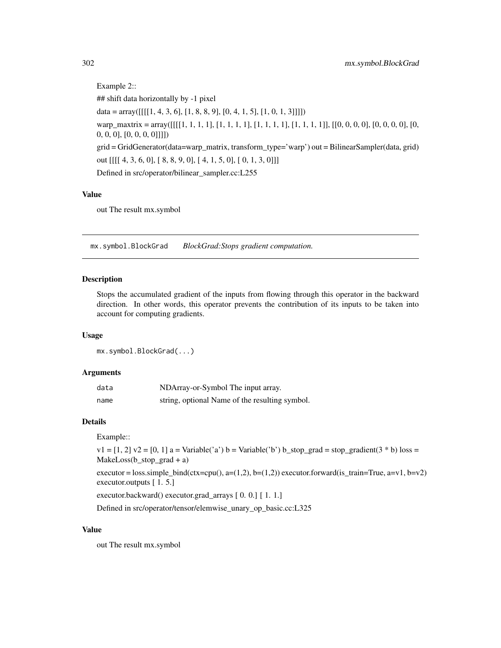```
Example 2::
## shift data horizontally by -1 pixel
data = array([[1, 4, 3, 6], [1, 8, 8, 9], [0, 4, 1, 5], [1, 0, 1, 3]]])warp_maxtrix = array([[[[1, 1, 1, 1, 1], [1, 1, 1, 1], [1, 1, 1, 1], [1, 1, 1, 1]], [[0, 0, 0, 0], [0, 0, 0], [0, 0, 0], [0, 0, 0]]0, 0, 0], [0, 0, 0, 0]]]])
grid = GridGenerator(data=warp_matrix, transform_type='warp') out = BilinearSampler(data, grid)
out [[[[ 4, 3, 6, 0], [ 8, 8, 9, 0], [ 4, 1, 5, 0], [ 0, 1, 3, 0]]]
Defined in src/operator/bilinear_sampler.cc:L255
```
#### Value

out The result mx.symbol

mx.symbol.BlockGrad *BlockGrad:Stops gradient computation.*

## Description

Stops the accumulated gradient of the inputs from flowing through this operator in the backward direction. In other words, this operator prevents the contribution of its inputs to be taken into account for computing gradients.

#### Usage

mx.symbol.BlockGrad(...)

#### Arguments

| data | NDArray-or-Symbol The input array.             |
|------|------------------------------------------------|
| name | string, optional Name of the resulting symbol. |

# Details

Example::

 $v1 = [1, 2]$   $v2 = [0, 1]$  a = Variable('a') b = Variable('b') b\_stop\_grad = stop\_gradient(3 \* b) loss = MakeLoss(b\_stop\_grad + a)

executor = loss.simple\_bind(ctx=cpu(), a=(1,2), b=(1,2)) executor.forward(is\_train=True, a=v1, b=v2) executor.outputs [ 1. 5.]

executor.backward() executor.grad\_arrays [ 0. 0.] [ 1. 1.]

Defined in src/operator/tensor/elemwise\_unary\_op\_basic.cc:L325

#### Value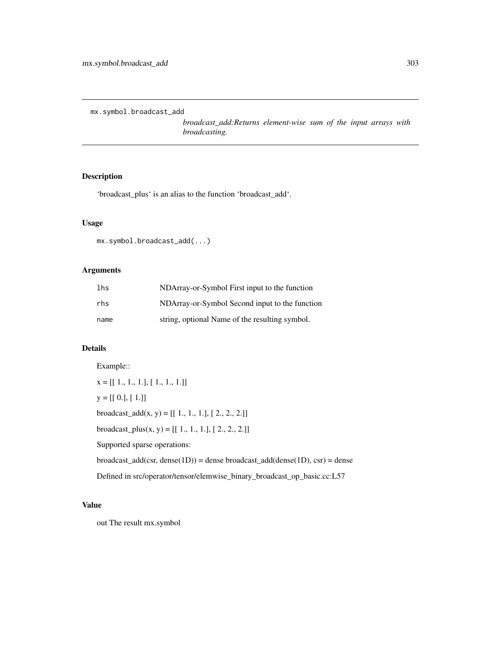mx.symbol.broadcast\_add

*broadcast\_add:Returns element-wise sum of the input arrays with broadcasting.*

# Description

'broadcast\_plus' is an alias to the function 'broadcast\_add'.

## Usage

```
mx.symbol.broadcast_add(...)
```
## Arguments

| lhs  | NDArray-or-Symbol First input to the function  |
|------|------------------------------------------------|
| rhs  | NDArray-or-Symbol Second input to the function |
| name | string, optional Name of the resulting symbol. |

## Details

Example::  $\mathtt{x} = [[\ 1.,\ 1.,\ 1.],[\ 1.,\ 1.,\ 1.]]$  $y = [[0.], [1.]]$ broadcast\_add(x, y) =  $[[ 1., 1., 1.]$ ,  $[ 2., 2., 2.]]$ broadcast\_plus(x, y) =  $[[ 1., 1., 1.], [ 2., 2., 2.]]$ Supported sparse operations: broadcast\_add(csr, dense(1D)) = dense broadcast\_add(dense(1D), csr) = dense Defined in src/operator/tensor/elemwise\_binary\_broadcast\_op\_basic.cc:L57

#### Value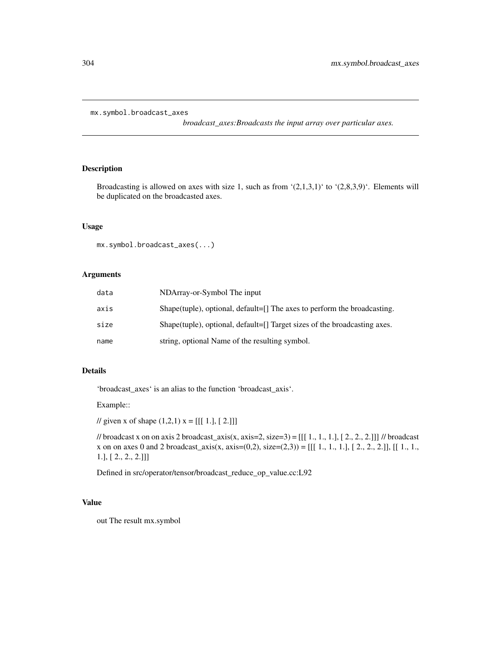mx.symbol.broadcast\_axes

*broadcast\_axes:Broadcasts the input array over particular axes.*

## Description

Broadcasting is allowed on axes with size 1, such as from  $(2,1,3,1)$  to  $(2,8,3,9)$ . Elements will be duplicated on the broadcasted axes.

#### Usage

```
mx.symbol.broadcast_axes(...)
```
## Arguments

| data | NDArray-or-Symbol The input                                               |
|------|---------------------------------------------------------------------------|
| axis | Shape(tuple), optional, default=[] The axes to perform the broadcasting.  |
| size | Shape(tuple), optional, default=[] Target sizes of the broadcasting axes. |
| name | string, optional Name of the resulting symbol.                            |

## Details

'broadcast\_axes' is an alias to the function 'broadcast\_axis'.

Example::

// given x of shape  $(1,2,1)$  x = [[[ 1.], [ 2.]]]

// broadcast x on on axis 2 broadcast\_axis(x, axis=2, size=3) =  $[[1, 1, 1, 1, 1, 2, 2, 2, 2, 1]]$  // broadcast x on on axes 0 and 2 broadcast\_axis(x, axis=(0,2), size=(2,3)) = [[[ 1., 1., 1.], [ 2., 2., 2.]], [[ 1., 1., 1.], [ 2., 2., 2.]]]

Defined in src/operator/tensor/broadcast\_reduce\_op\_value.cc:L92

## Value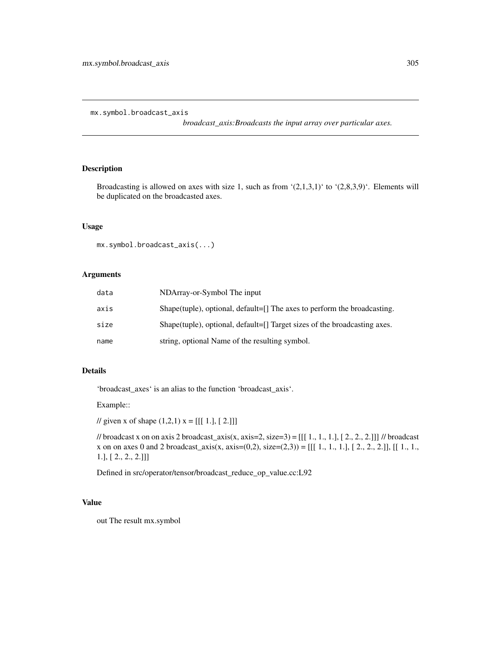mx.symbol.broadcast\_axis

*broadcast\_axis:Broadcasts the input array over particular axes.*

## Description

Broadcasting is allowed on axes with size 1, such as from  $(2,1,3,1)$  to  $(2,8,3,9)$ . Elements will be duplicated on the broadcasted axes.

#### Usage

```
mx.symbol.broadcast_axis(...)
```
## Arguments

| data | NDArray-or-Symbol The input                                               |
|------|---------------------------------------------------------------------------|
| axis | Shape(tuple), optional, default=[] The axes to perform the broadcasting.  |
| size | Shape(tuple), optional, default=[] Target sizes of the broadcasting axes. |
| name | string, optional Name of the resulting symbol.                            |

## Details

'broadcast\_axes' is an alias to the function 'broadcast\_axis'.

Example::

// given x of shape  $(1,2,1)$  x = [[[ 1.], [ 2.]]]

// broadcast x on on axis 2 broadcast\_axis(x, axis=2, size=3) =  $[[1, 1, 1, 1, 1, 2, 2, 2, 2, 1]]$  // broadcast x on on axes 0 and 2 broadcast\_axis(x, axis=(0,2), size=(2,3)) = [[[ 1., 1., 1.], [ 2., 2., 2.]], [[ 1., 1., 1.], [ 2., 2., 2.]]]

Defined in src/operator/tensor/broadcast\_reduce\_op\_value.cc:L92

## Value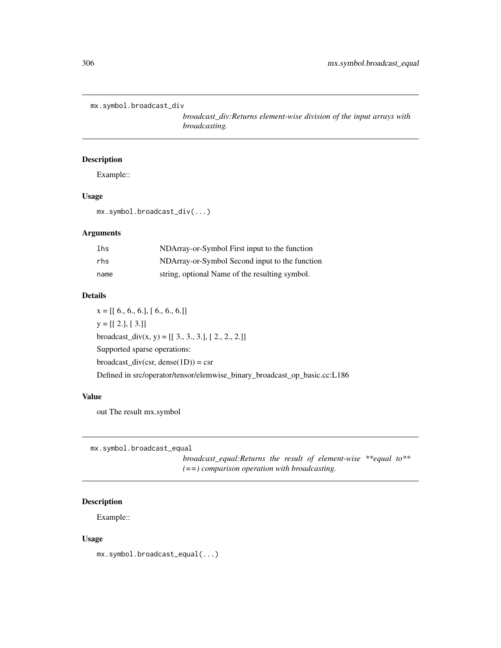```
mx.symbol.broadcast_div
```
*broadcast\_div:Returns element-wise division of the input arrays with broadcasting.*

## Description

Example::

#### Usage

mx.symbol.broadcast\_div(...)

#### Arguments

| lhs  | NDArray-or-Symbol First input to the function  |
|------|------------------------------------------------|
| rhs  | NDArray-or-Symbol Second input to the function |
| name | string, optional Name of the resulting symbol. |

#### Details

 $x = [[ 6., 6., 6.], [ 6., 6., 6.]]$  $y = [[2.], [3.]]$ broadcast\_div(x, y) =  $[[ 3., 3., 3.], [ 2., 2., 2.]]$ Supported sparse operations:  $broadcast\_div(csr, dense(1D)) = csr$ Defined in src/operator/tensor/elemwise\_binary\_broadcast\_op\_basic.cc:L186

## Value

out The result mx.symbol

mx.symbol.broadcast\_equal

*broadcast\_equal:Returns the result of element-wise \*\*equal to\*\* (==) comparison operation with broadcasting.*

# Description

Example::

#### Usage

mx.symbol.broadcast\_equal(...)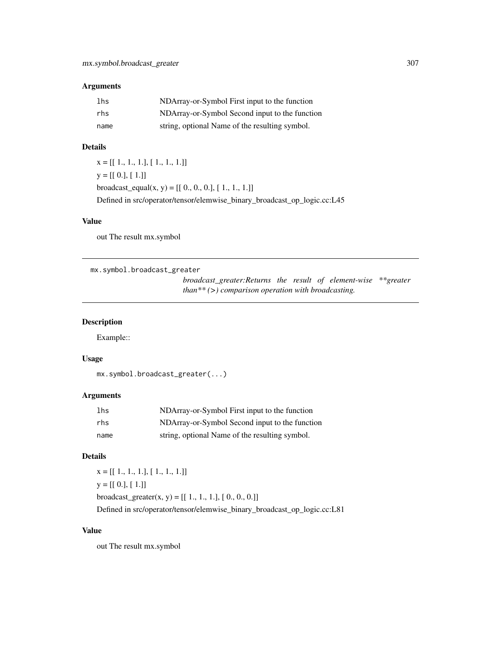## Arguments

| lhs  | NDArray-or-Symbol First input to the function  |
|------|------------------------------------------------|
| rhs  | NDArray-or-Symbol Second input to the function |
| name | string, optional Name of the resulting symbol. |

#### Details

x = [[ 1., 1., 1.], [ 1., 1., 1.]]  $y = [[0.], [1.]]$ broadcast\_equal(x, y) =  $[[ 0., 0., 0.], [ 1., 1., 1.]]$ Defined in src/operator/tensor/elemwise\_binary\_broadcast\_op\_logic.cc:L45

## Value

out The result mx.symbol

```
mx.symbol.broadcast_greater
```
*broadcast\_greater:Returns the result of element-wise \*\*greater than\*\* (>) comparison operation with broadcasting.*

## Description

Example::

#### Usage

```
mx.symbol.broadcast_greater(...)
```
## Arguments

| lhs  | NDArray-or-Symbol First input to the function  |
|------|------------------------------------------------|
| rhs  | NDArray-or-Symbol Second input to the function |
| name | string, optional Name of the resulting symbol. |

#### Details

x = [[ 1., 1., 1.], [ 1., 1., 1.]]  $y = [[0.], [1.]]$ broadcast\_greater(x, y) =  $[[ 1., 1., 1.], [ 0., 0., 0.]]$ Defined in src/operator/tensor/elemwise\_binary\_broadcast\_op\_logic.cc:L81

### Value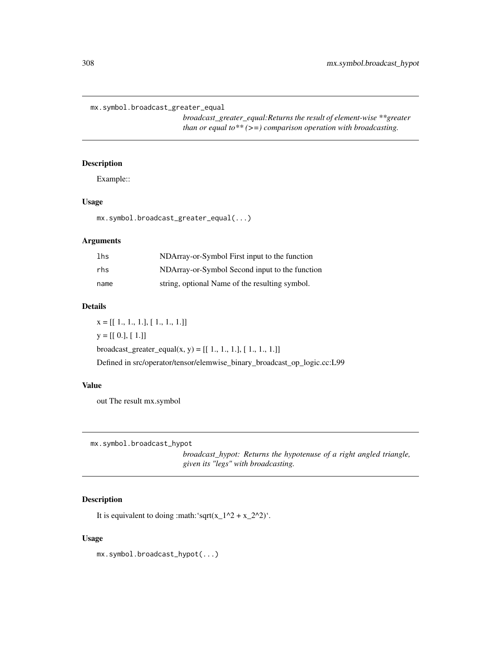mx.symbol.broadcast\_greater\_equal

*broadcast\_greater\_equal:Returns the result of element-wise \*\*greater than or equal to\*\* (>=) comparison operation with broadcasting.*

## Description

Example::

# Usage

mx.symbol.broadcast\_greater\_equal(...)

#### Arguments

| lhs  | NDArray-or-Symbol First input to the function  |
|------|------------------------------------------------|
| rhs  | NDArray-or-Symbol Second input to the function |
| name | string, optional Name of the resulting symbol. |

## Details

 $x = [[1., 1., 1.], [1., 1., 1.]]$  $y = [[0.], [1.]]$ broadcast\_greater\_equal(x, y) =  $[[ 1., 1., 1.], [ 1., 1., 1.]]$ Defined in src/operator/tensor/elemwise\_binary\_broadcast\_op\_logic.cc:L99

#### Value

out The result mx.symbol

mx.symbol.broadcast\_hypot

*broadcast\_hypot: Returns the hypotenuse of a right angled triangle, given its "legs" with broadcasting.*

# Description

It is equivalent to doing :math:'sqrt(x\_1^2 + x\_2^2)'.

# Usage

mx.symbol.broadcast\_hypot(...)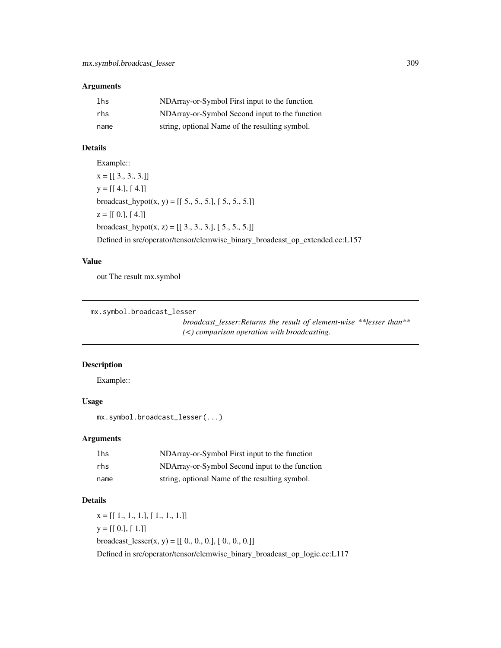## Arguments

| lhs  | NDArray-or-Symbol First input to the function  |
|------|------------------------------------------------|
| rhs  | NDArray-or-Symbol Second input to the function |
| name | string, optional Name of the resulting symbol. |

# Details

Example::  $x = [[3., 3., 3.]]$  $y = [[4.], [4.]]$ broadcast\_hypot(x, y) =  $[[ 5., 5., 5.]$ ,  $[ 5., 5., 5.]$ ]  $z = [[0.], [4.]]$ broadcast\_hypot $(x, z) = [[3., 3., 3.], [5., 5., 5.]]$ Defined in src/operator/tensor/elemwise\_binary\_broadcast\_op\_extended.cc:L157

#### Value

out The result mx.symbol

```
mx.symbol.broadcast_lesser
```
*broadcast\_lesser:Returns the result of element-wise \*\*lesser than\*\* (<) comparison operation with broadcasting.*

## Description

Example::

# Usage

mx.symbol.broadcast\_lesser(...)

## Arguments

| lhs  | NDArray-or-Symbol First input to the function  |
|------|------------------------------------------------|
| rhs  | NDArray-or-Symbol Second input to the function |
| name | string, optional Name of the resulting symbol. |

## Details

 $x = [[1., 1., 1.], [1., 1., 1.]]$  $y = [[0.], [1.]]$ broadcast\_lesser(x, y) =  $[[ 0., 0., 0.], [ 0., 0., 0.]]$ Defined in src/operator/tensor/elemwise\_binary\_broadcast\_op\_logic.cc:L117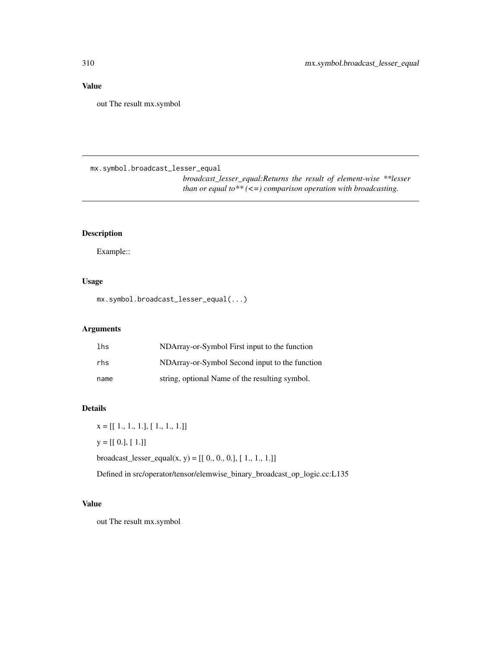# Value

out The result mx.symbol

mx.symbol.broadcast\_lesser\_equal

*broadcast\_lesser\_equal:Returns the result of element-wise \*\*lesser than or equal to\*\* (<=) comparison operation with broadcasting.*

## Description

Example::

# Usage

mx.symbol.broadcast\_lesser\_equal(...)

# Arguments

| lhs  | NDArray-or-Symbol First input to the function  |
|------|------------------------------------------------|
| rhs  | NDArray-or-Symbol Second input to the function |
| name | string, optional Name of the resulting symbol. |

#### Details

 $x = [[1., 1., 1.], [1., 1., 1.]]$  $y = [[0.], [1.]]$ broadcast\_lesser\_equal(x, y) =  $[[ 0., 0., 0.], [ 1., 1., 1.]]$ 

Defined in src/operator/tensor/elemwise\_binary\_broadcast\_op\_logic.cc:L135

# Value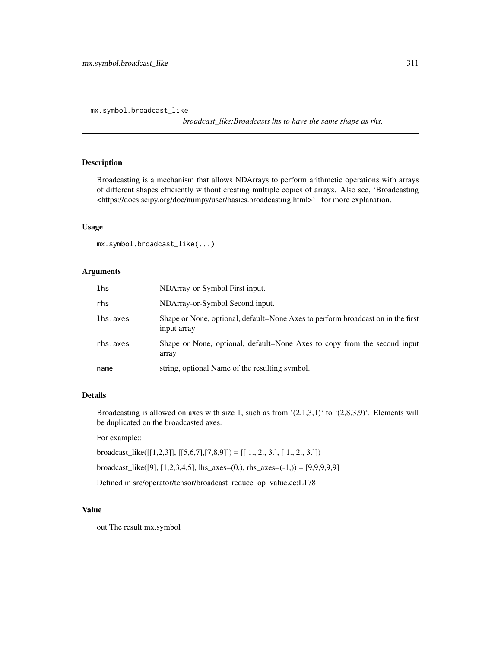mx.symbol.broadcast\_like

*broadcast\_like:Broadcasts lhs to have the same shape as rhs.*

## Description

Broadcasting is a mechanism that allows NDArrays to perform arithmetic operations with arrays of different shapes efficiently without creating multiple copies of arrays. Also see, 'Broadcasting <https://docs.scipy.org/doc/numpy/user/basics.broadcasting.html>'\_ for more explanation.

#### Usage

mx.symbol.broadcast\_like(...)

#### Arguments

| lhs      | NDArray-or-Symbol First input.                                                                 |
|----------|------------------------------------------------------------------------------------------------|
| rhs      | NDArray-or-Symbol Second input.                                                                |
| lhs.axes | Shape or None, optional, default=None Axes to perform broadcast on in the first<br>input array |
| rhs.axes | Shape or None, optional, default=None Axes to copy from the second input<br>array              |
| name     | string, optional Name of the resulting symbol.                                                 |

## Details

Broadcasting is allowed on axes with size 1, such as from  $(2,1,3,1)$  to  $(2,8,3,9)$ . Elements will be duplicated on the broadcasted axes.

For example::

broadcast\_like([[1,2,3]], [[5,6,7],[7,8,9]]) = [[ 1., 2., 3.], [ 1., 2., 3.]])

broadcast\_like([9], [1,2,3,4,5], lhs\_axes=(0,), rhs\_axes=(-1,)) = [9,9,9,9,9]

Defined in src/operator/tensor/broadcast\_reduce\_op\_value.cc:L178

### Value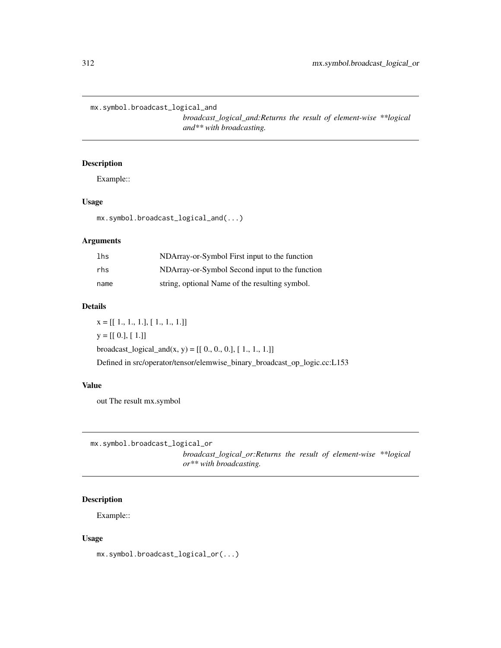mx.symbol.broadcast\_logical\_and

*broadcast\_logical\_and:Returns the result of element-wise \*\*logical and\*\* with broadcasting.*

## Description

Example::

# Usage

mx.symbol.broadcast\_logical\_and(...)

## Arguments

| lhs  | NDArray-or-Symbol First input to the function  |
|------|------------------------------------------------|
| rhs  | NDArray-or-Symbol Second input to the function |
| name | string, optional Name of the resulting symbol. |

## Details

x = [[ 1., 1., 1.], [ 1., 1., 1.]]  $y = [[0.], [1.]]$ broadcast\_logical\_and(x, y) =  $[[ 0., 0., 0.], [ 1., 1., 1.]]$ Defined in src/operator/tensor/elemwise\_binary\_broadcast\_op\_logic.cc:L153

#### Value

out The result mx.symbol

mx.symbol.broadcast\_logical\_or *broadcast\_logical\_or:Returns the result of element-wise \*\*logical or\*\* with broadcasting.*

# **Description**

Example::

# Usage

mx.symbol.broadcast\_logical\_or(...)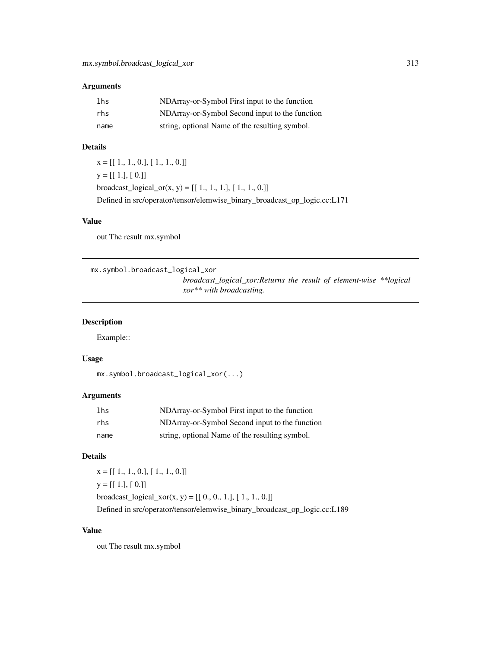## Arguments

| lhs  | NDArray-or-Symbol First input to the function  |
|------|------------------------------------------------|
| rhs  | NDArray-or-Symbol Second input to the function |
| name | string, optional Name of the resulting symbol. |

#### Details

 $x = [[1., 1., 0.], [1., 1., 0.]]$  $y = [[1.], [0.]]$ broadcast\_logical\_or(x, y) =  $[[ 1., 1., 1.], [ 1., 1., 0.]]$ Defined in src/operator/tensor/elemwise\_binary\_broadcast\_op\_logic.cc:L171

## Value

out The result mx.symbol

```
mx.symbol.broadcast_logical_xor
```
*broadcast\_logical\_xor:Returns the result of element-wise \*\*logical xor\*\* with broadcasting.*

## Description

Example::

#### Usage

```
mx.symbol.broadcast_logical_xor(...)
```
## Arguments

| lhs  | NDArray-or-Symbol First input to the function  |
|------|------------------------------------------------|
| rhs  | NDArray-or-Symbol Second input to the function |
| name | string, optional Name of the resulting symbol. |

## Details

 $x = [[1., 1., 0.], [1., 1., 0.]]$  $y = [[1.], [0.]]$ broadcast\_logical\_xor(x, y) =  $[[ 0., 0., 1.], [ 1., 1., 0.]]$ Defined in src/operator/tensor/elemwise\_binary\_broadcast\_op\_logic.cc:L189

#### Value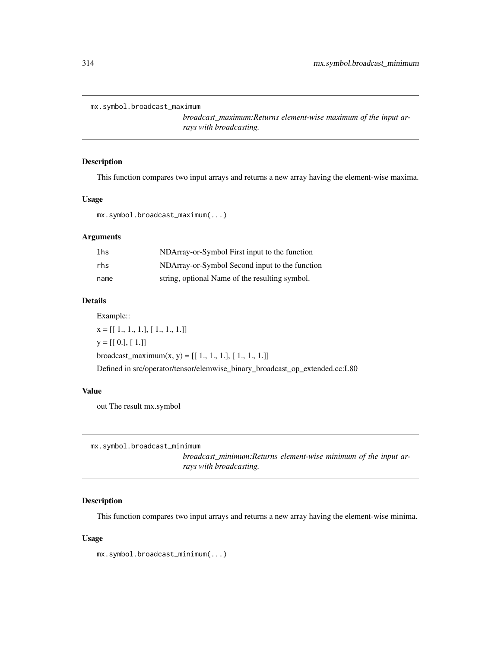```
mx.symbol.broadcast_maximum
```
*broadcast\_maximum:Returns element-wise maximum of the input arrays with broadcasting.*

## Description

This function compares two input arrays and returns a new array having the element-wise maxima.

# Usage

mx.symbol.broadcast\_maximum(...)

# Arguments

| lhs  | NDArray-or-Symbol First input to the function  |
|------|------------------------------------------------|
| rhs  | NDArray-or-Symbol Second input to the function |
| name | string, optional Name of the resulting symbol. |

#### Details

Example::

 $x = [[1., 1., 1.], [1., 1., 1.]]$  $y = [[0.], [1.]]$ broadcast\_maximum(x, y) =  $[[ 1., 1., 1.], [ 1., 1., 1.]]$ Defined in src/operator/tensor/elemwise\_binary\_broadcast\_op\_extended.cc:L80

#### Value

out The result mx.symbol

mx.symbol.broadcast\_minimum

*broadcast\_minimum:Returns element-wise minimum of the input arrays with broadcasting.*

## Description

This function compares two input arrays and returns a new array having the element-wise minima.

#### Usage

mx.symbol.broadcast\_minimum(...)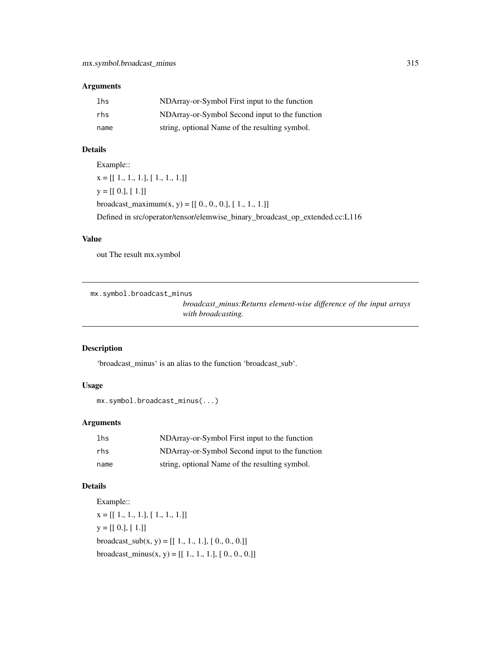## Arguments

| lhs  | NDArray-or-Symbol First input to the function  |
|------|------------------------------------------------|
| rhs  | NDArray-or-Symbol Second input to the function |
| name | string, optional Name of the resulting symbol. |

# Details

Example:: x = [[ 1., 1., 1.], [ 1., 1., 1.]]  $y = [[0.], [1.]]$ broadcast\_maximum(x, y) =  $[[ 0., 0., 0.], [ 1., 1., 1.]]$ Defined in src/operator/tensor/elemwise\_binary\_broadcast\_op\_extended.cc:L116

#### Value

out The result mx.symbol

mx.symbol.broadcast\_minus

*broadcast\_minus:Returns element-wise difference of the input arrays with broadcasting.*

## Description

'broadcast\_minus' is an alias to the function 'broadcast\_sub'.

# Usage

```
mx.symbol.broadcast_minus(...)
```
# Arguments

| lhs  | NDArray-or-Symbol First input to the function  |
|------|------------------------------------------------|
| rhs  | NDArray-or-Symbol Second input to the function |
| name | string, optional Name of the resulting symbol. |

## Details

Example:: x = [[ 1., 1., 1.], [ 1., 1., 1.]]  $y = [[0.], [1.]]$ broadcast\_sub $(x, y) = [[1., 1., 1.], [0., 0., 0.]]$ broadcast\_minus(x, y) =  $[[ 1., 1., 1.], [ 0., 0., 0.]]$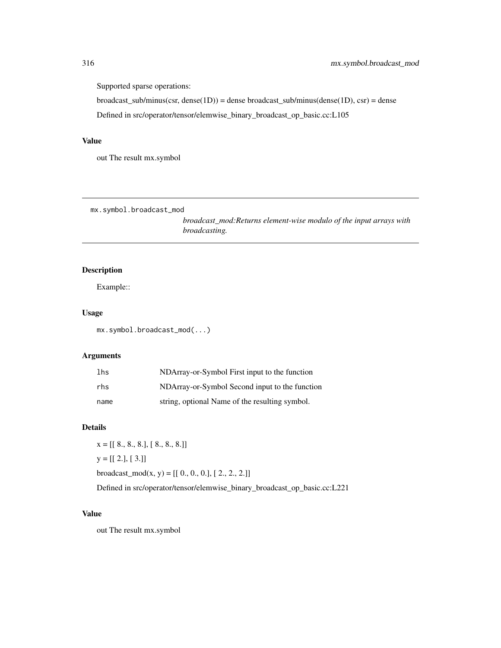Supported sparse operations:

 $broadcast\_sub/minus(csr, dense(1D)) = dense broadcast\_sub/minus(dense(1D), csr) = dense$ Defined in src/operator/tensor/elemwise\_binary\_broadcast\_op\_basic.cc:L105

## Value

out The result mx.symbol

mx.symbol.broadcast\_mod

*broadcast\_mod:Returns element-wise modulo of the input arrays with broadcasting.*

# Description

Example::

#### Usage

mx.symbol.broadcast\_mod(...)

## Arguments

| lhs  | NDArray-or-Symbol First input to the function  |
|------|------------------------------------------------|
| rhs  | NDArray-or-Symbol Second input to the function |
| name | string, optional Name of the resulting symbol. |

#### Details

 $x = [[ 8., 8., 8.], [ 8., 8., 8.]]$  $y = [[2.], [3.]]$ broadcast\_mod(x, y) =  $[[ 0., 0., 0.], [ 2., 2., 2.]]$ 

Defined in src/operator/tensor/elemwise\_binary\_broadcast\_op\_basic.cc:L221

# Value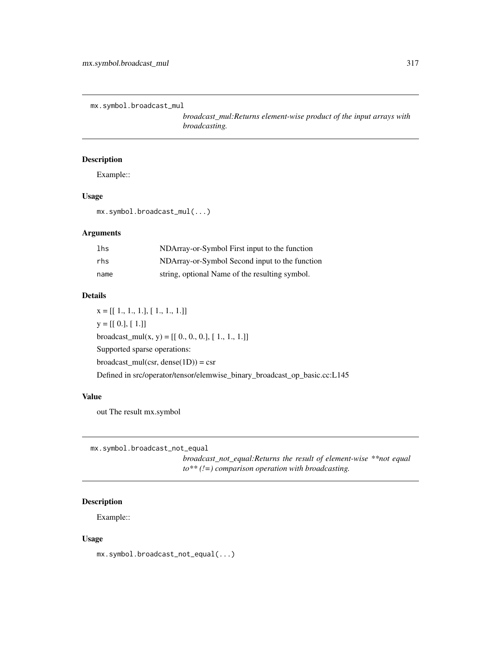```
mx.symbol.broadcast_mul
```
*broadcast\_mul:Returns element-wise product of the input arrays with broadcasting.*

# Description

Example::

#### Usage

mx.symbol.broadcast\_mul(...)

#### Arguments

| lhs  | NDArray-or-Symbol First input to the function  |
|------|------------------------------------------------|
| rhs  | NDArray-or-Symbol Second input to the function |
| name | string, optional Name of the resulting symbol. |

#### Details

 $x = [[1., 1., 1.], [1., 1., 1.]]$  $y = [[0.], [1.]]$ broadcast\_mul(x, y) = [[ 0., 0., 0.], [ 1., 1., 1.]] Supported sparse operations:  $broadcast\_mul(csr, dense(1D)) = csr$ Defined in src/operator/tensor/elemwise\_binary\_broadcast\_op\_basic.cc:L145

## Value

out The result mx.symbol

mx.symbol.broadcast\_not\_equal

*broadcast\_not\_equal:Returns the result of element-wise \*\*not equal to\*\* (!=) comparison operation with broadcasting.*

# Description

Example::

#### Usage

mx.symbol.broadcast\_not\_equal(...)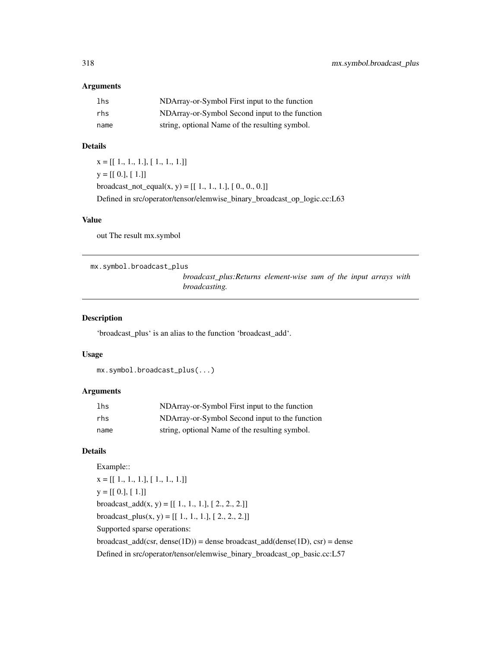## Arguments

| lhs  | NDArray-or-Symbol First input to the function  |
|------|------------------------------------------------|
| rhs  | NDArray-or-Symbol Second input to the function |
| name | string, optional Name of the resulting symbol. |

# Details

 $x = [[1., 1., 1.], [1., 1., 1.]]$  $y = [[0.], [1.]]$ broadcast\_not\_equal(x, y) =  $[[ 1., 1., 1.], [ 0., 0., 0.]]$ Defined in src/operator/tensor/elemwise\_binary\_broadcast\_op\_logic.cc:L63

#### Value

out The result mx.symbol

mx.symbol.broadcast\_plus

*broadcast\_plus:Returns element-wise sum of the input arrays with broadcasting.*

## Description

'broadcast\_plus' is an alias to the function 'broadcast\_add'.

#### Usage

```
mx.symbol.broadcast_plus(...)
```
## Arguments

| 1 <sub>hs</sub> | NDArray-or-Symbol First input to the function  |
|-----------------|------------------------------------------------|
| rhs             | NDArray-or-Symbol Second input to the function |
| name            | string, optional Name of the resulting symbol. |

## Details

Example::  $X = [[1., 1., 1.], [1., 1., 1.]]$  $y = [[0.], [1.]]$ broadcast\_add(x, y) =  $[[ 1., 1., 1.], [ 2., 2., 2.]]$ broadcast\_plus(x, y) =  $[[ 1., 1., 1.], [ 2., 2., 2.]]$ Supported sparse operations:  $broadcast\_add(csr, dense(1D)) = dense broadcast\_add(dense(1D), csr) = dense$ Defined in src/operator/tensor/elemwise\_binary\_broadcast\_op\_basic.cc:L57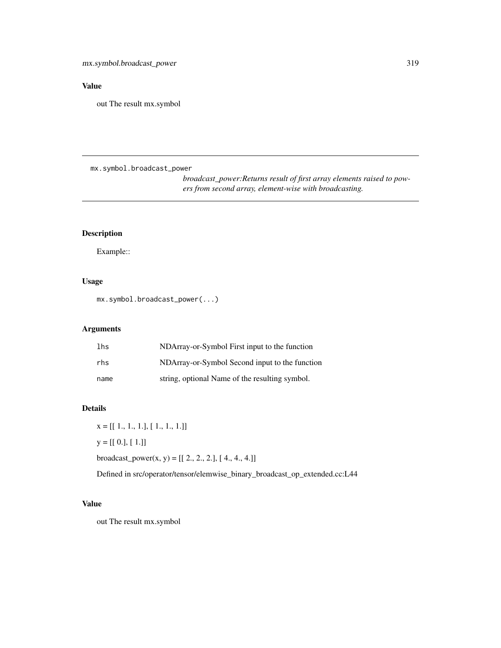# Value

out The result mx.symbol

mx.symbol.broadcast\_power

*broadcast\_power:Returns result of first array elements raised to powers from second array, element-wise with broadcasting.*

## Description

Example::

# Usage

mx.symbol.broadcast\_power(...)

# Arguments

| lhs  | NDArray-or-Symbol First input to the function  |
|------|------------------------------------------------|
| rhs  | NDArray-or-Symbol Second input to the function |
| name | string, optional Name of the resulting symbol. |

#### Details

 $x = [[1., 1., 1.], [1., 1., 1.]]$  $y = [[0.], [1.]]$ broadcast\_power(x, y) =  $[[ 2., 2., 2.]$ ,  $[ 4., 4., 4.]]$ 

Defined in src/operator/tensor/elemwise\_binary\_broadcast\_op\_extended.cc:L44

# Value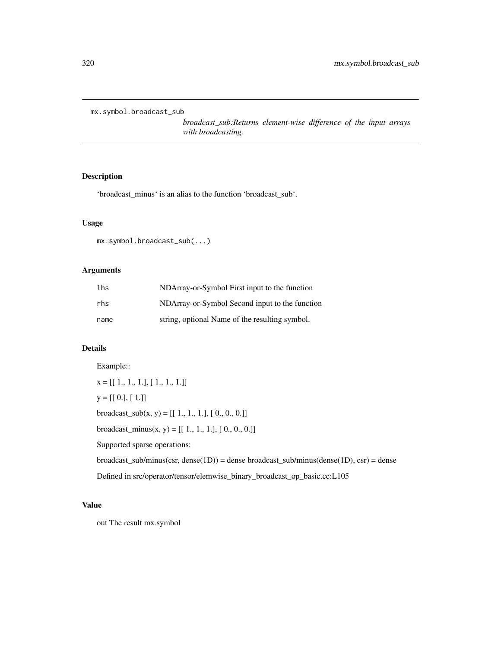mx.symbol.broadcast\_sub

*broadcast\_sub:Returns element-wise difference of the input arrays with broadcasting.*

# Description

'broadcast\_minus' is an alias to the function 'broadcast\_sub'.

## Usage

```
mx.symbol.broadcast_sub(...)
```
## Arguments

| lhs  | NDArray-or-Symbol First input to the function  |
|------|------------------------------------------------|
| rhs  | NDArray-or-Symbol Second input to the function |
| name | string, optional Name of the resulting symbol. |

## Details

Example::

 $\mathtt{x} = [[\ 1.,\ 1.,\ 1.],[\ 1.,\ 1.,\ 1.]]$  $y = [[0.], [1.]]$ broadcast\_sub $(x, y) = [[1., 1., 1.], [0., 0., 0.]]$ broadcast\_minus(x, y) =  $[[ 1., 1., 1.], [ 0., 0., 0.]]$ Supported sparse operations:  $broadcast\_sub/minus(csr, dense(1D)) = dense broadcast\_sub/minus(dense(1D), csr) = dense$ Defined in src/operator/tensor/elemwise\_binary\_broadcast\_op\_basic.cc:L105

## Value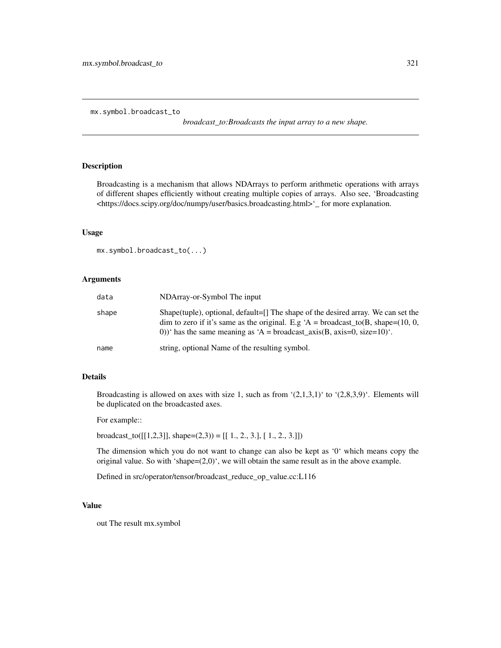mx.symbol.broadcast\_to

*broadcast\_to:Broadcasts the input array to a new shape.*

## Description

Broadcasting is a mechanism that allows NDArrays to perform arithmetic operations with arrays of different shapes efficiently without creating multiple copies of arrays. Also see, 'Broadcasting <https://docs.scipy.org/doc/numpy/user/basics.broadcasting.html>'\_ for more explanation.

#### Usage

```
mx.symbol.broadcast_to(...)
```
## Arguments

| data  | NDArray-or-Symbol The input                                                                                                                                                                                                                             |
|-------|---------------------------------------------------------------------------------------------------------------------------------------------------------------------------------------------------------------------------------------------------------|
| shape | Shape(tuple), optional, default=[] The shape of the desired array. We can set the<br>dim to zero if it's same as the original. E.g 'A = broadcast_to(B, shape= $(10, 0, 1)$ )<br>0))' has the same meaning as 'A = broadcast_axis(B, axis=0, size=10)'. |
| name  | string, optional Name of the resulting symbol.                                                                                                                                                                                                          |

# Details

Broadcasting is allowed on axes with size 1, such as from  $(2,1,3,1)'$  to  $(2,8,3,9)'$ . Elements will be duplicated on the broadcasted axes.

For example::

broadcast\_to( $[[1,2,3]]$ , shape=(2,3)) =  $[[1., 2., 3.]$ ,  $[1., 2., 3.]]$ )

The dimension which you do not want to change can also be kept as '0' which means copy the original value. So with 'shape=(2,0)', we will obtain the same result as in the above example.

Defined in src/operator/tensor/broadcast\_reduce\_op\_value.cc:L116

#### Value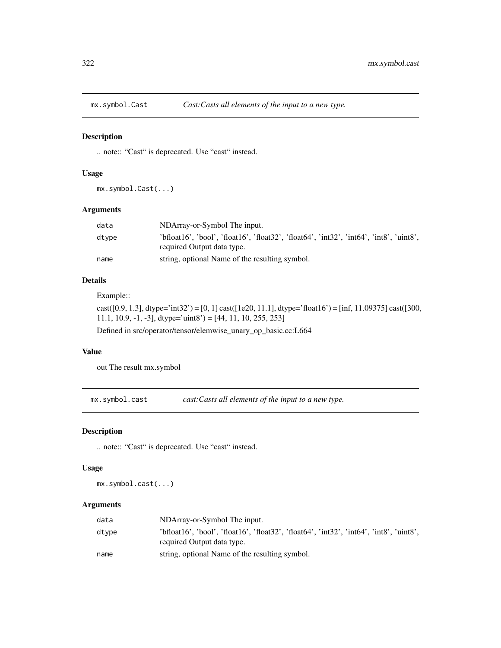## Description

.. note:: "Cast" is deprecated. Use "cast" instead.

#### Usage

mx.symbol.Cast(...)

# Arguments

| data  | NDArray-or-Symbol The input.                                                                                          |
|-------|-----------------------------------------------------------------------------------------------------------------------|
| dtvpe | 'bfloat16', 'bool', 'float16', 'float32', 'float64', 'int32', 'int64', 'int8', 'uint8',<br>required Output data type. |
| name  | string, optional Name of the resulting symbol.                                                                        |

# Details

Example::

cast([0.9, 1.3], dtype='int32') = [0, 1] cast([1e20, 11.1], dtype='float16') = [inf, 11.09375] cast([300, 11.1, 10.9, -1, -3], dtype='uint8' =  $[44, 11, 10, 255, 253]$ Defined in src/operator/tensor/elemwise\_unary\_op\_basic.cc:L664

#### Value

out The result mx.symbol

mx.symbol.cast *cast:Casts all elements of the input to a new type.*

## Description

.. note:: "Cast" is deprecated. Use "cast" instead.

## Usage

mx.symbol.cast(...)

## Arguments

| data  | NDArray-or-Symbol The input.                                                                                          |
|-------|-----------------------------------------------------------------------------------------------------------------------|
| dtvpe | 'bfloat16', 'bool', 'float16', 'float32', 'float64', 'int32', 'int64', 'int8', 'uint8',<br>required Output data type. |
| name  | string, optional Name of the resulting symbol.                                                                        |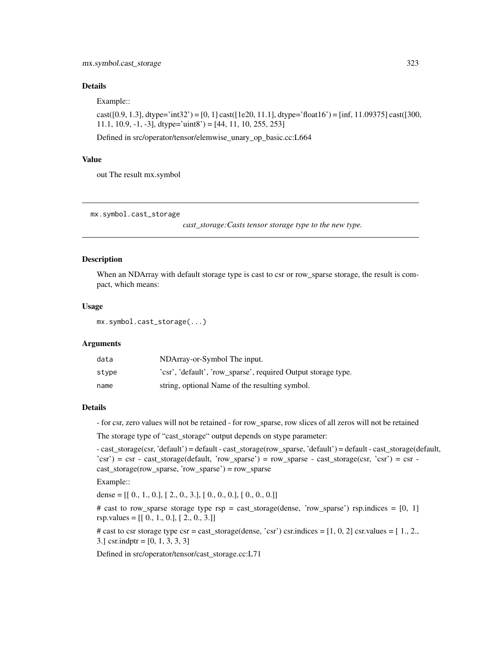## Details

Example::

cast([0.9, 1.3], dtype='int32') = [0, 1] cast([1e20, 11.1], dtype='float16') = [inf, 11.09375] cast([300, 11.1, 10.9,  $-1$ ,  $-3$ ], dtype='uint8' = [44, 11, 10, 255, 253]

Defined in src/operator/tensor/elemwise\_unary\_op\_basic.cc:L664

#### Value

out The result mx.symbol

mx.symbol.cast\_storage

*cast\_storage:Casts tensor storage type to the new type.*

#### Description

When an NDArray with default storage type is cast to csr or row\_sparse storage, the result is compact, which means:

#### Usage

mx.symbol.cast\_storage(...)

#### Arguments

| data  | NDArray-or-Symbol The input.                                  |
|-------|---------------------------------------------------------------|
| stype | 'csr', 'default', 'row sparse', required Output storage type. |
| name  | string, optional Name of the resulting symbol.                |

#### Details

- for csr, zero values will not be retained - for row\_sparse, row slices of all zeros will not be retained

The storage type of "cast\_storage" output depends on stype parameter:

- cast\_storage(csr, 'default') = default - cast\_storage(row\_sparse, 'default') = default - cast\_storage(default,  $'csr'$ ) = csr - cast\_storage(default, 'row\_sparse') = row\_sparse - cast\_storage(csr, 'csr') = csr cast\_storage(row\_sparse, 'row\_sparse') = row\_sparse

Example::

dense = [[ 0., 1., 0.], [ 2., 0., 3.], [ 0., 0., 0.], [ 0., 0., 0.]]

# cast to row\_sparse storage type rsp = cast\_storage(dense, 'row\_sparse') rsp.indices =  $[0, 1]$ rsp.values =  $[[ 0., 1., 0.], [ 2., 0., 3.]]$ 

# cast to csr storage type csr = cast\_storage(dense, 'csr') csr.indices =  $[1, 0, 2]$  csr.values =  $[1, 2,$ , 3.] csr.indptr = [0, 1, 3, 3, 3]

Defined in src/operator/tensor/cast\_storage.cc:L71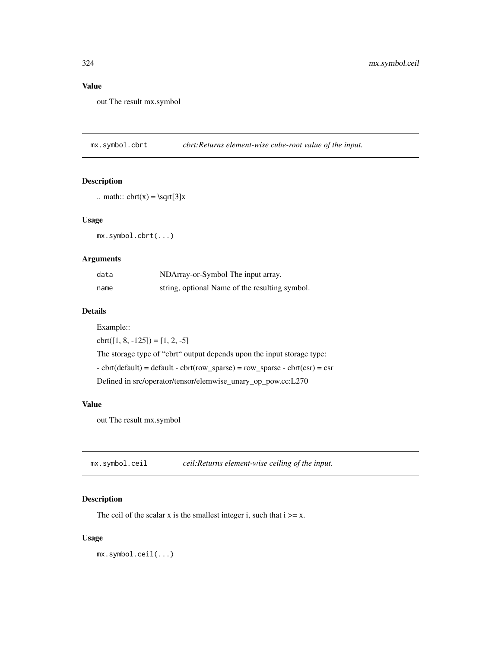# Value

out The result mx.symbol

mx.symbol.cbrt *cbrt:Returns element-wise cube-root value of the input.*

# Description

```
.. math:: \text{cbrt}(x) = \sqrt{3}x
```
#### Usage

mx.symbol.cbrt(...)

## Arguments

| data | NDArray-or-Symbol The input array.             |
|------|------------------------------------------------|
| name | string, optional Name of the resulting symbol. |

#### Details

Example::

 $\text{cbrt}([1, 8, -125]) = [1, 2, -5]$ The storage type of "cbrt" output depends upon the input storage type:  $-$  cbrt(default) = default  $-$  cbrt(row\_sparse) = row\_sparse  $-$  cbrt(csr) = csr Defined in src/operator/tensor/elemwise\_unary\_op\_pow.cc:L270

#### Value

out The result mx.symbol

| mx.symbol.ceil | ceil: Returns element-wise ceiling of the input. |
|----------------|--------------------------------------------------|
|----------------|--------------------------------------------------|

## Description

The ceil of the scalar x is the smallest integer i, such that  $i \geq x$ .

## Usage

mx.symbol.ceil(...)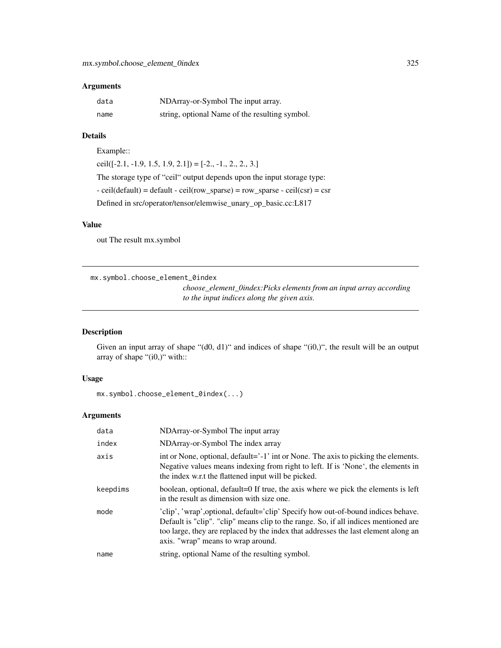## Arguments

| data | NDArray-or-Symbol The input array.             |
|------|------------------------------------------------|
| name | string, optional Name of the resulting symbol. |

## Details

Example::

 $ceil([-2.1, -1.9, 1.5, 1.9, 2.1]) = [-2., -1., 2., 2., 3.]$ The storage type of "ceil" output depends upon the input storage type:  $-$  ceil(default) = default  $-$  ceil(row\_sparse) = row\_sparse  $-$  ceil(csr) = csr Defined in src/operator/tensor/elemwise\_unary\_op\_basic.cc:L817

## Value

out The result mx.symbol

mx.symbol.choose\_element\_0index

*choose\_element\_0index:Picks elements from an input array according to the input indices along the given axis.*

## Description

Given an input array of shape "(d0, d1)" and indices of shape "(i0,)", the result will be an output array of shape "(i0,)" with::

## Usage

mx.symbol.choose\_element\_0index(...)

| data     | NDArray-or-Symbol The input array                                                                                                                                                                                                                                                                    |
|----------|------------------------------------------------------------------------------------------------------------------------------------------------------------------------------------------------------------------------------------------------------------------------------------------------------|
| index    | NDArray-or-Symbol The index array                                                                                                                                                                                                                                                                    |
| axis     | int or None, optional, default='-1' int or None. The axis to picking the elements.<br>Negative values means indexing from right to left. If is 'None', the elements in<br>the index w.r.t the flattened input will be picked.                                                                        |
| keepdims | boolean, optional, default=0 If true, the axis where we pick the elements is left<br>in the result as dimension with size one.                                                                                                                                                                       |
| mode     | 'clip', 'wrap', optional, default='clip' Specify how out-of-bound indices behave.<br>Default is "clip". "clip" means clip to the range. So, if all indices mentioned are<br>too large, they are replaced by the index that addresses the last element along an<br>axis. "wrap" means to wrap around. |
| name     | string, optional Name of the resulting symbol.                                                                                                                                                                                                                                                       |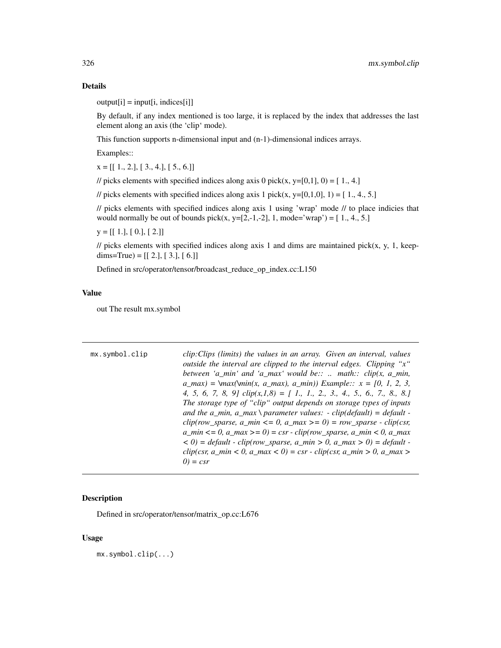## Details

 $output[i] = input[i, indices[i]]$ 

By default, if any index mentioned is too large, it is replaced by the index that addresses the last element along an axis (the 'clip' mode).

This function supports n-dimensional input and (n-1)-dimensional indices arrays.

Examples::

 $x = [[1., 2.], [3., 4.], [5., 6.]]$ 

// picks elements with specified indices along axis 0 pick(x, y=[0,1], 0) = [1., 4.]

// picks elements with specified indices along axis 1 pick(x, y=[0,1,0], 1) = [1,4,5.]

// picks elements with specified indices along axis 1 using 'wrap' mode // to place indicies that would normally be out of bounds pick(x, y=[2,-1,-2], 1, mode='wrap') =  $[1., 4., 5.]$ 

 $y = [[1.], [0.], [2.]]$ 

 $\ell$  picks elements with specified indices along axis 1 and dims are maintained pick(x, y, 1, keepdims=True) =  $[[ 2.], [ 3.], [ 6.]]$ 

Defined in src/operator/tensor/broadcast\_reduce\_op\_index.cc:L150

## Value

out The result mx.symbol

| mx.symbol.clip | clip: Clips (limits) the values in an array. Given an interval, values                                                |
|----------------|-----------------------------------------------------------------------------------------------------------------------|
|                | outside the interval are clipped to the interval edges. Clipping "x"                                                  |
|                | between 'a_min' and 'a_max' would be::  math:: $clip(x, a\_min,$                                                      |
|                | $a_{max}$ = \max(\min(x, a_max), a_min)) Example:: $x = [0, 1, 2, 3,$                                                 |
|                | 4, 5, 6, 7, 8, 9] $clip(x, 1, 8) = [1, 1, 2, 3, 4, 5, 6, 7, 8, 8]$                                                    |
|                | The storage type of "clip" output depends on storage types of inputs                                                  |
|                | and the a_min, a_max \ parameter values: - clip(default) = default -                                                  |
|                | $clip(row_sparse, a\_min \le 0, a\_max \ge 0) = row_sparse - clip(csr,$                                               |
|                | $a_{\text{min}} \leq 0$ , $a_{\text{max}} \geq 0$ = csr - clip(row_sparse, $a_{\text{min}} \leq 0$ , $a_{\text{max}}$ |
|                | $(6, 0)$ = default - clip(row_sparse, a_min > 0, a_max > 0) = default -                                               |
|                | $clip(csr, a\_min < 0, a\_max < 0) = csr - clip(csr, a\_min > 0, a\_max > 0$                                          |
|                | $0 = csr$                                                                                                             |

## Description

Defined in src/operator/tensor/matrix\_op.cc:L676

## Usage

mx.symbol.clip(...)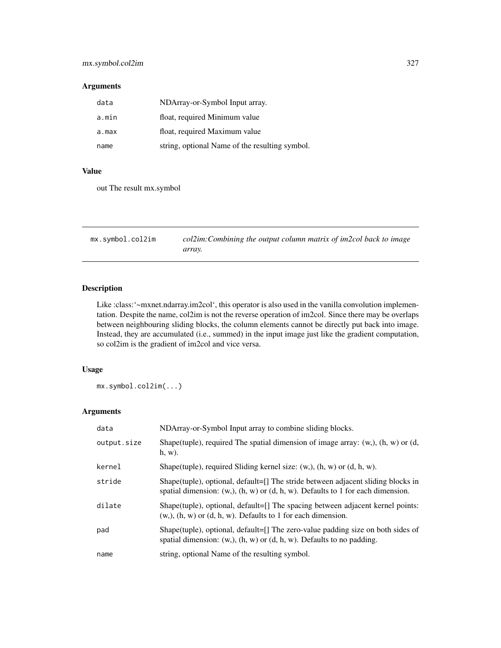#### Arguments

| data  | NDArray-or-Symbol Input array.                 |
|-------|------------------------------------------------|
| a.min | float, required Minimum value                  |
| a.max | float, required Maximum value                  |
| name  | string, optional Name of the resulting symbol. |

## Value

out The result mx.symbol

mx.symbol.col2im *col2im:Combining the output column matrix of im2col back to image array.*

# Description

Like :class:'~mxnet.ndarray.im2col', this operator is also used in the vanilla convolution implementation. Despite the name, col2im is not the reverse operation of im2col. Since there may be overlaps between neighbouring sliding blocks, the column elements cannot be directly put back into image. Instead, they are accumulated (i.e., summed) in the input image just like the gradient computation, so col2im is the gradient of im2col and vice versa.

## Usage

mx.symbol.col2im(...)

| data        | NDArray-or-Symbol Input array to combine sliding blocks.                                                                                                                    |
|-------------|-----------------------------------------------------------------------------------------------------------------------------------------------------------------------------|
| output.size | Shape(tuple), required The spatial dimension of image array: $(w, )$ , $(h, w)$ or $(d, )$<br>$h, w$ ).                                                                     |
| kernel      | Shape(tuple), required Sliding kernel size: $(w, b)$ , $(h, w)$ or $(d, h, w)$ .                                                                                            |
| stride      | Shape(tuple), optional, default= $[]$ The stride between adjacent sliding blocks in<br>spatial dimension: $(w,), (h, w)$ or $(d, h, w)$ . Defaults to 1 for each dimension. |
| dilate      | Shape(tuple), optional, default= $[]$ The spacing between adjacent kernel points:<br>$(w, b)$ , $(h, w)$ or $(d, h, w)$ . Defaults to 1 for each dimension.                 |
| pad         | Shape(tuple), optional, default=[] The zero-value padding size on both sides of<br>spatial dimension: $(w,), (h, w)$ or $(d, h, w)$ . Defaults to no padding.               |
| name        | string, optional Name of the resulting symbol.                                                                                                                              |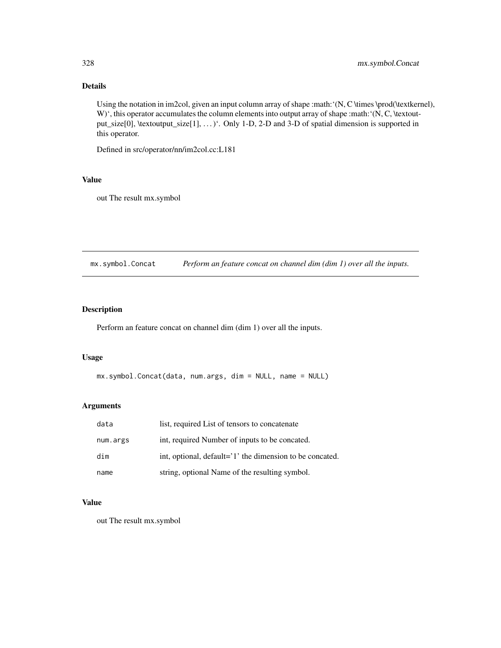# Details

Using the notation in im2col, given an input column array of shape :math:'(N, C \times \prod(\textkernel), W)<sup>'</sup>, this operator accumulates the column elements into output array of shape :math:<sup>'</sup>(N, C, \textoutput\_size[0], \textoutput\_size[1], ... )'. Only 1-D, 2-D and 3-D of spatial dimension is supported in this operator.

Defined in src/operator/nn/im2col.cc:L181

# Value

out The result mx.symbol

mx.symbol.Concat *Perform an feature concat on channel dim (dim 1) over all the inputs.*

# Description

Perform an feature concat on channel dim (dim 1) over all the inputs.

#### Usage

```
mx.symbol.Concat(data, num.args, dim = NULL, name = NULL)
```
#### Arguments

| data     | list, required List of tensors to concatenate            |
|----------|----------------------------------------------------------|
| num.args | int, required Number of inputs to be concated.           |
| dim      | int, optional, default='1' the dimension to be concated. |
| name     | string, optional Name of the resulting symbol.           |

## Value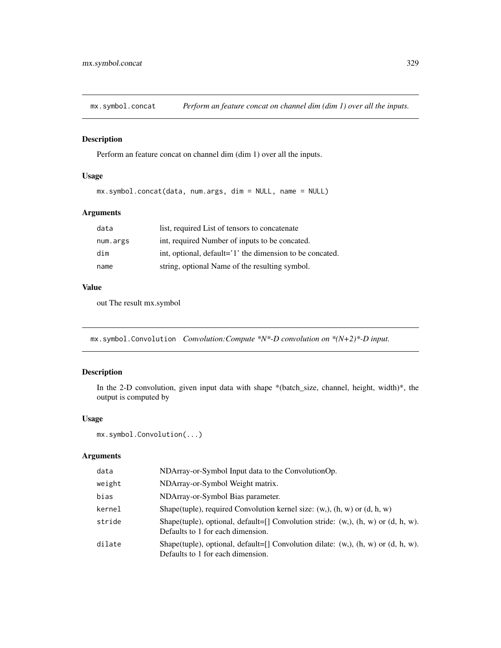mx.symbol.concat *Perform an feature concat on channel dim (dim 1) over all the inputs.*

## Description

Perform an feature concat on channel dim (dim 1) over all the inputs.

## Usage

```
mx.symbol.concat(data, num.args, dim = NULL, name = NULL)
```
## Arguments

| data     | list, required List of tensors to concatenate            |
|----------|----------------------------------------------------------|
| num.args | int, required Number of inputs to be concated.           |
| dim      | int, optional, default='1' the dimension to be concated. |
| name     | string, optional Name of the resulting symbol.           |

## Value

out The result mx.symbol

mx.symbol.Convolution *Convolution:Compute \*N\*-D convolution on \*(N+2)\*-D input.*

## Description

In the 2-D convolution, given input data with shape \*(batch\_size, channel, height, width)\*, the output is computed by

## Usage

```
mx.symbol.Convolution(...)
```

| data   | NDArray-or-Symbol Input data to the ConvolutionOp.                                                                              |
|--------|---------------------------------------------------------------------------------------------------------------------------------|
| weight | NDArray-or-Symbol Weight matrix.                                                                                                |
| bias   | NDArray-or-Symbol Bias parameter.                                                                                               |
| kernel | Shape(tuple), required Convolution kernel size: $(w, b)$ , $(h, w)$ or $(d, h, w)$                                              |
| stride | Shape(tuple), optional, default=[] Convolution stride: $(w, )$ , $(h, w)$ or $(d, h, w)$ .<br>Defaults to 1 for each dimension. |
| dilate | Shape(tuple), optional, default=[] Convolution dilate: $(w, )$ , $(h, w)$ or $(d, h, w)$ .<br>Defaults to 1 for each dimension. |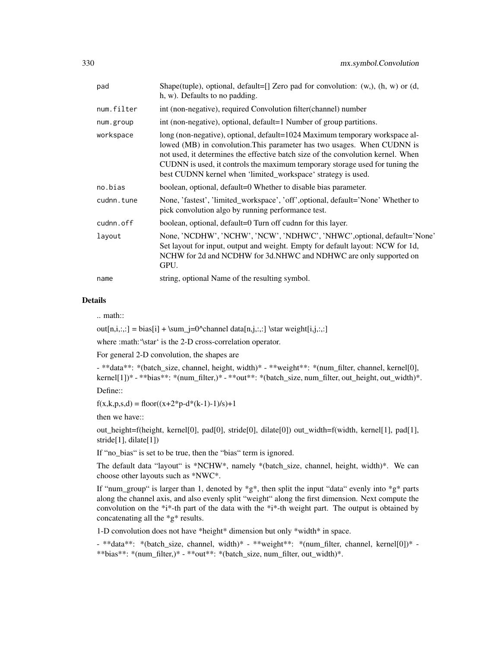| pad        | Shape(tuple), optional, default=[] Zero pad for convolution: $(w, h, w)$ or $(d, d)$<br>h, w). Defaults to no padding.                                                                                                                                                                                                                                                                     |
|------------|--------------------------------------------------------------------------------------------------------------------------------------------------------------------------------------------------------------------------------------------------------------------------------------------------------------------------------------------------------------------------------------------|
| num.filter | int (non-negative), required Convolution filter(channel) number                                                                                                                                                                                                                                                                                                                            |
| num.group  | int (non-negative), optional, default=1 Number of group partitions.                                                                                                                                                                                                                                                                                                                        |
| workspace  | long (non-negative), optional, default=1024 Maximum temporary workspace al-<br>lowed (MB) in convolution. This parameter has two usages. When CUDNN is<br>not used, it determines the effective batch size of the convolution kernel. When<br>CUDNN is used, it controls the maximum temporary storage used for tuning the<br>best CUDNN kernel when 'limited_workspace' strategy is used. |
| no.bias    | boolean, optional, default=0 Whether to disable bias parameter.                                                                                                                                                                                                                                                                                                                            |
| cudnn.tune | None, 'fastest', 'limited_workspace', 'off', optional, default='None' Whether to<br>pick convolution algo by running performance test.                                                                                                                                                                                                                                                     |
| cudnn.off  | boolean, optional, default=0 Turn off cudnn for this layer.                                                                                                                                                                                                                                                                                                                                |
| lavout     | None, 'NCDHW', 'NCHW', 'NCW', 'NDHWC', 'NHWC', optional, default='None'<br>Set layout for input, output and weight. Empty for default layout: NCW for 1d,<br>NCHW for 2d and NCDHW for 3d.NHWC and NDHWC are only supported on<br>GPU.                                                                                                                                                     |
| name       | string, optional Name of the resulting symbol.                                                                                                                                                                                                                                                                                                                                             |

## Details

.. math::

 $out[n,i,:]= bias[i] + \sum_{j=0}^{\text{channel data}[n,j,:,:]} \star weight[i,j,:,:]$ 

where :math: '\star' is the 2-D cross-correlation operator.

For general 2-D convolution, the shapes are

- \*\*data\*\*: \*(batch\_size, channel, height, width)\* - \*\*weight\*\*: \*(num\_filter, channel, kernel[0], kernel[1])\* - \*\*bias\*\*: \*(num\_filter,)\* - \*\*out\*\*: \*(batch\_size, num\_filter, out\_height, out\_width)\*. Define::

 $f(x,k,p,s,d) = floor((x+2*p-d*(k-1)-1)/s)+1$ 

then we have::

out\_height=f(height, kernel[0], pad[0], stride[0], dilate[0]) out\_width=f(width, kernel[1], pad[1], stride[1], dilate[1])

If "no\_bias" is set to be true, then the "bias" term is ignored.

The default data "layout" is \*NCHW\*, namely \*(batch\_size, channel, height, width)\*. We can choose other layouts such as \*NWC\*.

If "num\_group" is larger than 1, denoted by \*g\*, then split the input "data" evenly into \*g\* parts along the channel axis, and also evenly split "weight" along the first dimension. Next compute the convolution on the \*i\*-th part of the data with the \*i\*-th weight part. The output is obtained by concatenating all the \*g\* results.

1-D convolution does not have \*height\* dimension but only \*width\* in space.

- \*\*data\*\*: \*(batch\_size, channel, width)\* - \*\*weight\*\*: \*(num\_filter, channel, kernel[0])\* - \*\*bias\*\*: \*(num\_filter,)\* - \*\*out\*\*: \*(batch\_size, num\_filter, out\_width)\*.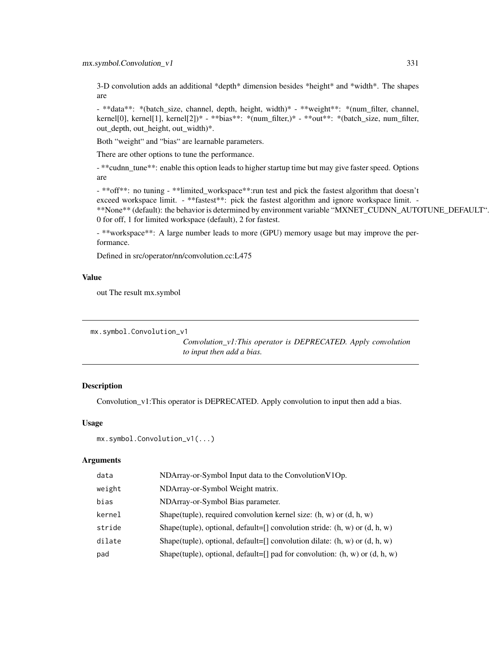3-D convolution adds an additional \*depth\* dimension besides \*height\* and \*width\*. The shapes are

- \*\*data\*\*: \*(batch\_size, channel, depth, height, width)\* - \*\*weight\*\*: \*(num\_filter, channel, kernel[0], kernel[1], kernel[2])\* - \*\*bias\*\*: \*(num\_filter,)\* - \*\*out\*\*: \*(batch\_size, num\_filter, out\_depth, out\_height, out\_width)\*.

Both "weight" and "bias" are learnable parameters.

There are other options to tune the performance.

- \*\*cudnn\_tune\*\*: enable this option leads to higher startup time but may give faster speed. Options are

- \*\*off\*\*: no tuning - \*\*limited\_workspace\*\*:run test and pick the fastest algorithm that doesn't exceed workspace limit. - \*\*fastest\*\*: pick the fastest algorithm and ignore workspace limit. -\*\*None\*\* (default): the behavior is determined by environment variable "MXNET\_CUDNN\_AUTOTUNE\_DEFAULT". 0 for off, 1 for limited workspace (default), 2 for fastest.

- \*\*workspace\*\*: A large number leads to more (GPU) memory usage but may improve the performance.

Defined in src/operator/nn/convolution.cc:L475

#### Value

out The result mx.symbol

```
mx.symbol.Convolution_v1
```
*Convolution\_v1:This operator is DEPRECATED. Apply convolution to input then add a bias.*

## Description

Convolution\_v1:This operator is DEPRECATED. Apply convolution to input then add a bias.

#### Usage

```
mx.symbol.Convolution_v1(...)
```

| data   | NDArray-or-Symbol Input data to the Convolution V1Op.                           |
|--------|---------------------------------------------------------------------------------|
| weight | NDArray-or-Symbol Weight matrix.                                                |
| bias   | NDArray-or-Symbol Bias parameter.                                               |
| kernel | Shape(tuple), required convolution kernel size: $(h, w)$ or $(d, h, w)$         |
| stride | Shape(tuple), optional, default=[] convolution stride: $(h, w)$ or $(d, h, w)$  |
| dilate | Shape(tuple), optional, default=[] convolution dilate: $(h, w)$ or $(d, h, w)$  |
| pad    | Shape(tuple), optional, default=[] pad for convolution: $(h, w)$ or $(d, h, w)$ |
|        |                                                                                 |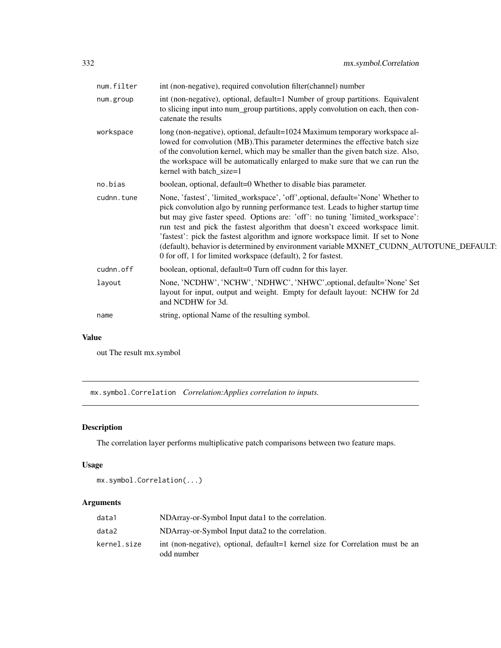| num.filter | int (non-negative), required convolution filter(channel) number                                                                                                                                                                                                                                                                                                                                                                                                                                                                                                                     |
|------------|-------------------------------------------------------------------------------------------------------------------------------------------------------------------------------------------------------------------------------------------------------------------------------------------------------------------------------------------------------------------------------------------------------------------------------------------------------------------------------------------------------------------------------------------------------------------------------------|
| num.group  | int (non-negative), optional, default=1 Number of group partitions. Equivalent<br>to slicing input into num_group partitions, apply convolution on each, then con-<br>catenate the results                                                                                                                                                                                                                                                                                                                                                                                          |
| workspace  | long (non-negative), optional, default=1024 Maximum temporary workspace al-<br>lowed for convolution (MB). This parameter determines the effective batch size<br>of the convolution kernel, which may be smaller than the given batch size. Also,<br>the workspace will be automatically enlarged to make sure that we can run the<br>kernel with batch_size=1                                                                                                                                                                                                                      |
| no.bias    | boolean, optional, default=0 Whether to disable bias parameter.                                                                                                                                                                                                                                                                                                                                                                                                                                                                                                                     |
| cudnn.tune | None, 'fastest', 'limited_workspace', 'off', optional, default='None' Whether to<br>pick convolution algo by running performance test. Leads to higher startup time<br>but may give faster speed. Options are: 'off': no tuning 'limited_workspace':<br>run test and pick the fastest algorithm that doesn't exceed workspace limit.<br>'fastest': pick the fastest algorithm and ignore workspace limit. If set to None<br>(default), behavior is determined by environment variable MXNET_CUDNN_AUTOTUNE_DEFAULT:<br>0 for off, 1 for limited workspace (default), 2 for fastest. |
| cudnn.off  | boolean, optional, default=0 Turn off cudnn for this layer.                                                                                                                                                                                                                                                                                                                                                                                                                                                                                                                         |
| layout     | None, 'NCDHW', 'NCHW', 'NDHWC', 'NHWC', optional, default='None' Set<br>layout for input, output and weight. Empty for default layout: NCHW for 2d<br>and NCDHW for 3d.                                                                                                                                                                                                                                                                                                                                                                                                             |
| name       | string, optional Name of the resulting symbol.                                                                                                                                                                                                                                                                                                                                                                                                                                                                                                                                      |
|            |                                                                                                                                                                                                                                                                                                                                                                                                                                                                                                                                                                                     |

## Value

out The result mx.symbol

mx.symbol.Correlation *Correlation:Applies correlation to inputs.*

# Description

The correlation layer performs multiplicative patch comparisons between two feature maps.

# Usage

mx.symbol.Correlation(...)

| data1       | NDArray-or-Symbol Input data1 to the correlation.                                            |
|-------------|----------------------------------------------------------------------------------------------|
| data2       | NDArray-or-Symbol Input data2 to the correlation.                                            |
| kernel.size | int (non-negative), optional, default=1 kernel size for Correlation must be an<br>odd number |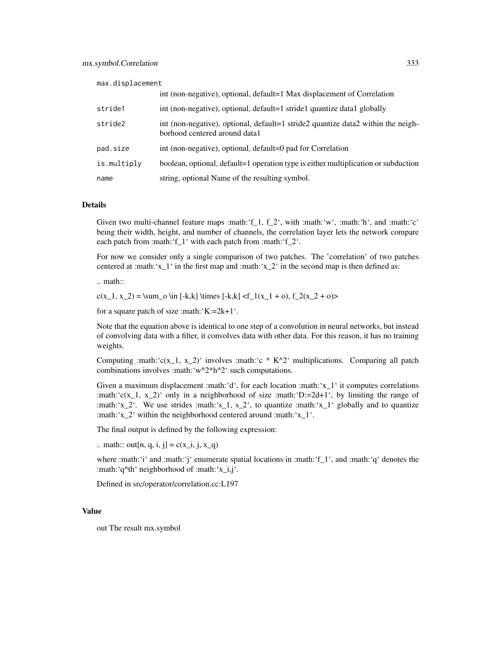max.displacement

|             | int (non-negative), optional, default=1 Max displacement of Correlation                                           |
|-------------|-------------------------------------------------------------------------------------------------------------------|
| stride1     | int (non-negative), optional, default=1 stride1 quantize data1 globally                                           |
| stride2     | int (non-negative), optional, default=1 stride2 quantize data2 within the neigh-<br>borhood centered around data1 |
| pad.size    | int (non-negative), optional, default=0 pad for Correlation                                                       |
| is.multiply | boolean, optional, default=1 operation type is either multiplication or subduction                                |
| name        | string, optional Name of the resulting symbol.                                                                    |

#### Details

Given two multi-channel feature maps :math:'f 1, f  $2'$ , with :math:'w', :math:'h', and :math:'c' being their width, height, and number of channels, the correlation layer lets the network compare each patch from :math:'f\_1' with each patch from :math:'f\_2'.

For now we consider only a single comparison of two patches. The 'correlation' of two patches centered at :math:'x\_1' in the first map and :math:'x\_2' in the second map is then defined as:

.. math::

 $c(x_1, x_2) = \sum o \in [-k,k] \times [-k,k] < f_1(x_1 + o), f_2(x_2 + o)$ 

for a square patch of size :math:'K:=2k+1'.

Note that the equation above is identical to one step of a convolution in neural networks, but instead of convolving data with a filter, it convolves data with other data. For this reason, it has no training weights.

Computing :math:' $c(x_1, x_2)$ ' involves :math:'c \* K^2' multiplications. Comparing all patch combinations involves :math:'w^2\*h^2' such computations.

Given a maximum displacement :math:'d', for each location :math:'x\_1' it computes correlations :math:' $c(x_1, x_2)$ ' only in a neighborhood of size :math:'D:=2d+1', by limiting the range of :math:'x\_2'. We use strides :math:'s\_1, s\_2', to quantize :math:'x\_1' globally and to quantize :math:'x\_2' within the neighborhood centered around :math:'x\_1'.

The final output is defined by the following expression:

.. math:: out[n, q, i, j] =  $c(x_i, j, x_q)$ 

where :math:'i' and :math:'j' enumerate spatial locations in :math:'f\_1', and :math:'q' denotes the :math:'q^th' neighborhood of :math:'x\_i,j'.

Defined in src/operator/correlation.cc:L197

#### Value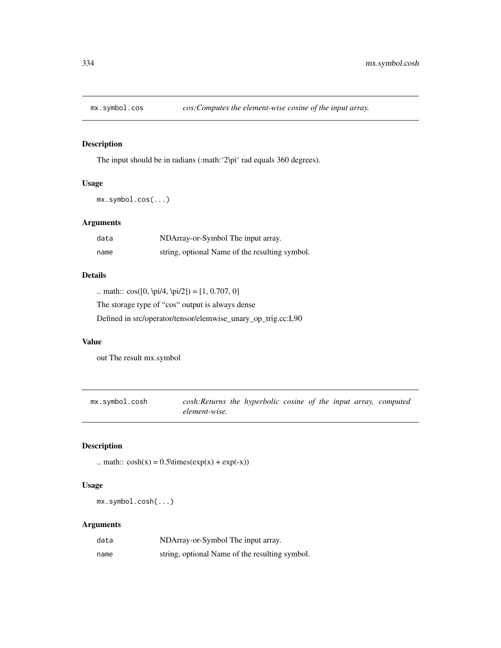# Description

The input should be in radians (:math: '2\pi' rad equals 360 degrees).

## Usage

mx.symbol.cos(...)

# Arguments

| data | NDArray-or-Symbol The input array.             |
|------|------------------------------------------------|
| name | string, optional Name of the resulting symbol. |

# Details

.. math::  $cos([0, \pi/4, \pi/2]) = [1, 0.707, 0]$ 

The storage type of "cos" output is always dense

Defined in src/operator/tensor/elemwise\_unary\_op\_trig.cc:L90

## Value

out The result mx.symbol

mx.symbol.cosh *cosh:Returns the hyperbolic cosine of the input array, computed element-wise.*

# Description

.. math::  $cosh(x) = 0.5 \times (exp(x) + exp(-x))$ 

## Usage

mx.symbol.cosh(...)

| data | NDArray-or-Symbol The input array.             |
|------|------------------------------------------------|
| name | string, optional Name of the resulting symbol. |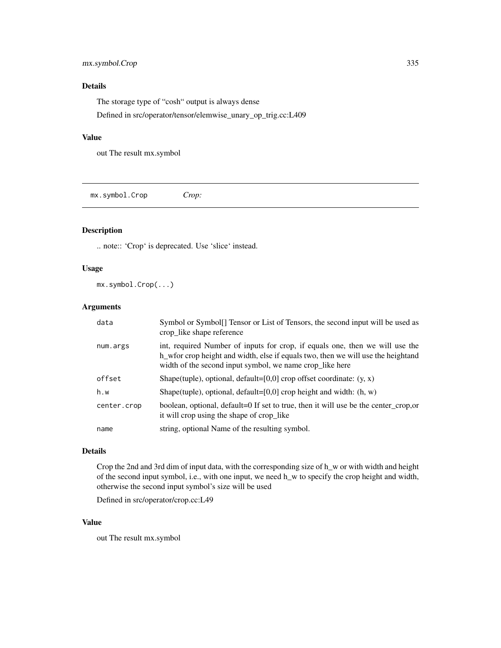## mx.symbol.Crop 335

# Details

The storage type of "cosh" output is always dense Defined in src/operator/tensor/elemwise\_unary\_op\_trig.cc:L409

#### Value

out The result mx.symbol

mx.symbol.Crop *Crop:*

# Description

.. note:: 'Crop' is deprecated. Use 'slice' instead.

## Usage

mx.symbol.Crop(...)

## Arguments

| data        | Symbol or Symbol. Tensor or List of Tensors, the second input will be used as<br>crop_like shape reference                                                                                                                       |
|-------------|----------------------------------------------------------------------------------------------------------------------------------------------------------------------------------------------------------------------------------|
| num.args    | int, required Number of inputs for crop, if equals one, then we will use the<br>h we write the height and width, else if equals two, then we will use the height and<br>width of the second input symbol, we name crop_like here |
| offset      | Shape(tuple), optional, default=[0,0] crop offset coordinate: $(y, x)$                                                                                                                                                           |
| h.w         | Shape(tuple), optional, default=[0,0] crop height and width: $(h, w)$                                                                                                                                                            |
| center.crop | boolean, optional, default=0 If set to true, then it will use be the center_crop,or<br>it will crop using the shape of crop_like                                                                                                 |
| name        | string, optional Name of the resulting symbol.                                                                                                                                                                                   |

## Details

Crop the 2nd and 3rd dim of input data, with the corresponding size of h\_w or with width and height of the second input symbol, i.e., with one input, we need h\_w to specify the crop height and width, otherwise the second input symbol's size will be used

Defined in src/operator/crop.cc:L49

## Value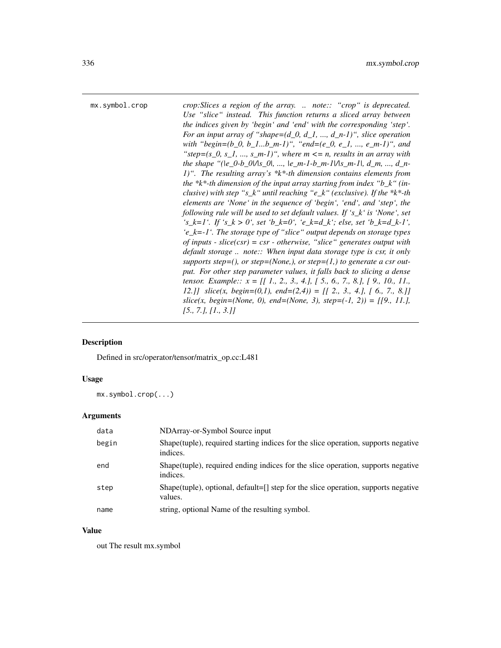mx.symbol.crop *crop:Slices a region of the array. .. note:: "crop" is deprecated. Use "slice" instead. This function returns a sliced array between the indices given by 'begin' and 'end' with the corresponding 'step'. For an input array of "shape=(d\_0, d\_1, ..., d\_n-1)", slice operation with "begin=(b\_0, b\_1...b\_m-1)", "end=(e\_0, e\_1, ..., e\_m-1)", and* " $step=(s_0, s_1, ..., s_m-1)$ ", where  $m \leq n$ , results in an array with *the shape* "(le\_0-b\_0|/|s\_0|, ..., |e\_m-1-b\_m-1|/|s\_m-1|, d\_m, ..., d\_n-*1)". The resulting array's \*k\*-th dimension contains elements from the \*k\*-th dimension of the input array starting from index "b\_k" (inclusive) with step "s\_k" until reaching "e\_k" (exclusive). If the \*k\*-th elements are 'None' in the sequence of 'begin', 'end', and 'step', the following rule will be used to set default values. If 's\_k' is 'None', set*  $'s_k = 1'.$  *If 's\_k > 0', set 'b\_k=0', 'e\_k=d\_k'; else, set 'b\_k=d\_k-1', 'e\_k=-1'. The storage type of "slice" output depends on storage types of inputs - slice(csr) = csr - otherwise, "slice" generates output with default storage .. note:: When input data storage type is csr, it only supports step=(), or step=(None,), or step=(1,) to generate a csr output. For other step parameter values, it falls back to slicing a dense tensor. Example:: x = [[ 1., 2., 3., 4.], [ 5., 6., 7., 8.], [ 9., 10., 11., 12.]] slice(x, begin=(0,1), end=(2,4)) = [[ 2., 3., 4.], [ 6., 7., 8.]] slice(x, begin=(None, 0), end=(None, 3), step=(-1, 2)) = [[9., 11.], [5., 7.], [1., 3.]]*

# **Description**

Defined in src/operator/tensor/matrix\_op.cc:L481

#### Usage

mx.symbol.crop(...)

#### Arguments

| data  | NDArray-or-Symbol Source input                                                                   |
|-------|--------------------------------------------------------------------------------------------------|
| begin | Shape (tuple), required starting indices for the slice operation, supports negative<br>indices.  |
| end   | Shape (tuple), required ending indices for the slice operation, supports negative<br>indices.    |
| step  | Shape(tuple), optional, default= $[]$ step for the slice operation, supports negative<br>values. |
| name  | string, optional Name of the resulting symbol.                                                   |

#### Value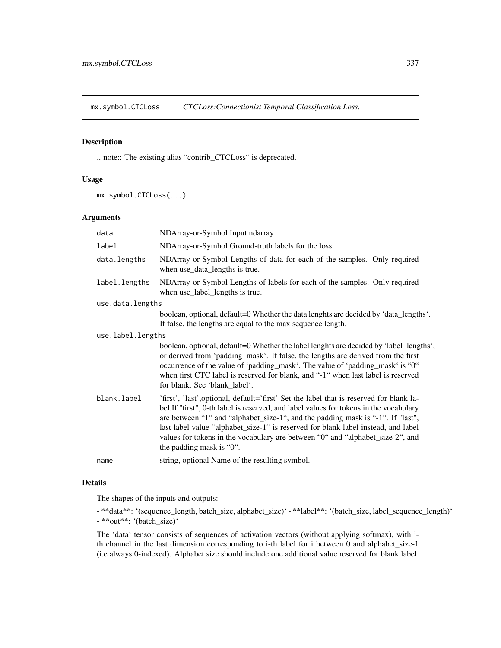mx.symbol.CTCLoss *CTCLoss:Connectionist Temporal Classification Loss.*

## Description

.. note:: The existing alias "contrib\_CTCLoss" is deprecated.

## Usage

```
mx.symbol.CTCLoss(...)
```
#### Arguments

| data              | NDArray-or-Symbol Input ndarray                                                                                                                                                                                                                                                                                                                                                                                                                                        |  |
|-------------------|------------------------------------------------------------------------------------------------------------------------------------------------------------------------------------------------------------------------------------------------------------------------------------------------------------------------------------------------------------------------------------------------------------------------------------------------------------------------|--|
| label             | NDArray-or-Symbol Ground-truth labels for the loss.                                                                                                                                                                                                                                                                                                                                                                                                                    |  |
| data.lengths      | NDArray-or-Symbol Lengths of data for each of the samples. Only required<br>when use_data_lengths is true.                                                                                                                                                                                                                                                                                                                                                             |  |
| label.lengths     | NDArray-or-Symbol Lengths of labels for each of the samples. Only required<br>when use_label_lengths is true.                                                                                                                                                                                                                                                                                                                                                          |  |
| use.data.lengths  |                                                                                                                                                                                                                                                                                                                                                                                                                                                                        |  |
|                   | boolean, optional, default=0 Whether the data lenghts are decided by 'data_lengths'.<br>If false, the lengths are equal to the max sequence length.                                                                                                                                                                                                                                                                                                                    |  |
| use.label.lengths |                                                                                                                                                                                                                                                                                                                                                                                                                                                                        |  |
|                   | boolean, optional, default=0 Whether the label lenghts are decided by 'label_lengths',<br>or derived from 'padding_mask'. If false, the lengths are derived from the first<br>occurrence of the value of 'padding_mask'. The value of 'padding_mask' is "0"<br>when first CTC label is reserved for blank, and "-1" when last label is reserved<br>for blank. See 'blank_label'.                                                                                       |  |
| blank.label       | 'first', 'last', optional, default='first' Set the label that is reserved for blank la-<br>bel.If "first", 0-th label is reserved, and label values for tokens in the vocabulary<br>are between "1" and "alphabet_size-1", and the padding mask is "-1". If "last",<br>last label value "alphabet_size-1" is reserved for blank label instead, and label<br>values for tokens in the vocabulary are between "0" and "alphabet_size-2", and<br>the padding mask is "0". |  |
| name              | string, optional Name of the resulting symbol.                                                                                                                                                                                                                                                                                                                                                                                                                         |  |
|                   |                                                                                                                                                                                                                                                                                                                                                                                                                                                                        |  |

# Details

The shapes of the inputs and outputs:

- \*\*data\*\*: '(sequence\_length, batch\_size, alphabet\_size)' - \*\*label\*\*: '(batch\_size, label\_sequence\_length)' - \*\*out\*\*: '(batch\_size)'

The 'data' tensor consists of sequences of activation vectors (without applying softmax), with ith channel in the last dimension corresponding to i-th label for i between 0 and alphabet\_size-1 (i.e always 0-indexed). Alphabet size should include one additional value reserved for blank label.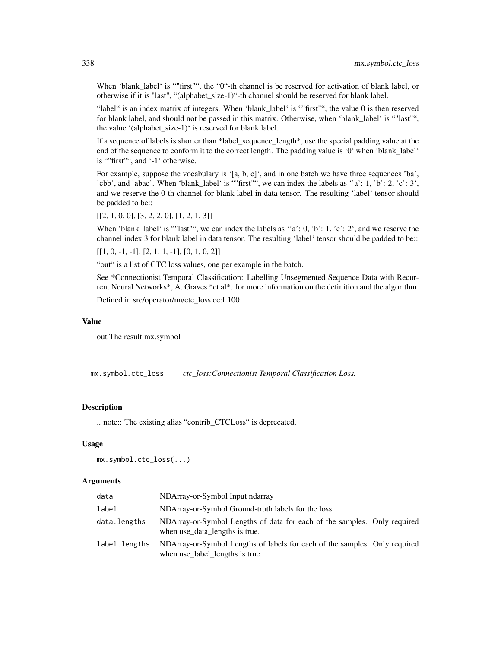When 'blank\_label' is ""first"", the "0"-th channel is be reserved for activation of blank label, or otherwise if it is "last", "(alphabet\_size-1)"-th channel should be reserved for blank label.

"label" is an index matrix of integers. When 'blank\_label' is ""first"", the value 0 is then reserved for blank label, and should not be passed in this matrix. Otherwise, when 'blank label' is ""last"", the value '(alphabet size-1)' is reserved for blank label.

If a sequence of labels is shorter than \*label\_sequence\_length\*, use the special padding value at the end of the sequence to conform it to the correct length. The padding value is '0' when 'blank\_label' is ""first"", and '-1' otherwise.

For example, suppose the vocabulary is '[a, b, c]', and in one batch we have three sequences 'ba', 'cbb', and 'abac'. When 'blank\_label' is ""first"", we can index the labels as ''a': 1, 'b': 2, 'c': 3', and we reserve the 0-th channel for blank label in data tensor. The resulting 'label' tensor should be padded to be::

 $[[2, 1, 0, 0], [3, 2, 2, 0], [1, 2, 1, 3]]$ 

When 'blank\_label' is ""last"", we can index the labels as 'a': 0, 'b': 1, 'c': 2', and we reserve the channel index 3 for blank label in data tensor. The resulting 'label' tensor should be padded to be::

 $[[1, 0, -1, -1], [2, 1, 1, -1], [0, 1, 0, 2]]$ 

"out" is a list of CTC loss values, one per example in the batch.

See \*Connectionist Temporal Classification: Labelling Unsegmented Sequence Data with Recurrent Neural Networks\*, A. Graves \*et al\*. for more information on the definition and the algorithm.

Defined in src/operator/nn/ctc\_loss.cc:L100

#### Value

out The result mx.symbol

mx.symbol.ctc\_loss *ctc\_loss:Connectionist Temporal Classification Loss.*

#### Description

.. note:: The existing alias "contrib\_CTCLoss" is deprecated.

## Usage

```
mx.symbol.ctc_loss(...)
```

| data          | NDArray-or-Symbol Input ndarray                                                                               |
|---------------|---------------------------------------------------------------------------------------------------------------|
| label         | NDArray-or-Symbol Ground-truth labels for the loss.                                                           |
| data.lengths  | NDArray-or-Symbol Lengths of data for each of the samples. Only required<br>when use data lengths is true.    |
| label.lengths | NDArray-or-Symbol Lengths of labels for each of the samples. Only required<br>when use_label_lengths is true. |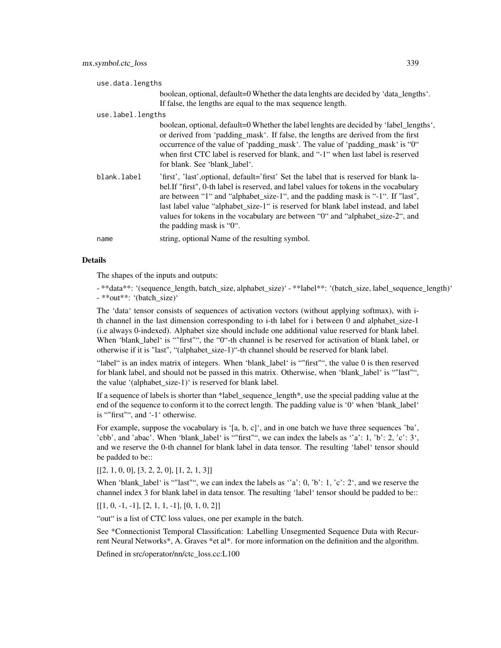| use.data.lengths |                   |                                                                                                                                                                                                                                                                                                                                                                                                                                                                         |
|------------------|-------------------|-------------------------------------------------------------------------------------------------------------------------------------------------------------------------------------------------------------------------------------------------------------------------------------------------------------------------------------------------------------------------------------------------------------------------------------------------------------------------|
|                  |                   | boolean, optional, default=0 Whether the data lenghts are decided by 'data_lengths'.<br>If false, the lengths are equal to the max sequence length.                                                                                                                                                                                                                                                                                                                     |
|                  | use.label.lengths |                                                                                                                                                                                                                                                                                                                                                                                                                                                                         |
|                  |                   | boolean, optional, default=0 Whether the label lenghts are decided by 'label_lengths',<br>or derived from 'padding_mask'. If false, the lengths are derived from the first<br>occurrence of the value of 'padding_mask'. The value of 'padding_mask' is "0"<br>when first CTC label is reserved for blank, and "-1" when last label is reserved<br>for blank. See 'blank label'.                                                                                        |
|                  | blank.label       | 'first', 'last', optional, default='first' Set the label that is reserved for blank la-<br>bel. If "first", 0-th label is reserved, and label values for tokens in the vocabulary<br>are between "1" and "alphabet_size-1", and the padding mask is "-1". If "last",<br>last label value "alphabet_size-1" is reserved for blank label instead, and label<br>values for tokens in the vocabulary are between "0" and "alphabet_size-2", and<br>the padding mask is "0". |
|                  | name              | string, optional Name of the resulting symbol.                                                                                                                                                                                                                                                                                                                                                                                                                          |
|                  |                   |                                                                                                                                                                                                                                                                                                                                                                                                                                                                         |

#### Details

The shapes of the inputs and outputs:

- \*\*data\*\*: '(sequence\_length, batch\_size, alphabet\_size)' - \*\*label\*\*: '(batch\_size, label\_sequence\_length)' - \*\*out\*\*: '(batch\_size)'

The 'data' tensor consists of sequences of activation vectors (without applying softmax), with ith channel in the last dimension corresponding to i-th label for i between 0 and alphabet size-1 (i.e always 0-indexed). Alphabet size should include one additional value reserved for blank label. When 'blank\_label' is ""first"", the "0"-th channel is be reserved for activation of blank label, or otherwise if it is "last", "(alphabet\_size-1)"-th channel should be reserved for blank label.

"label" is an index matrix of integers. When 'blank\_label' is ""first"", the value 0 is then reserved for blank label, and should not be passed in this matrix. Otherwise, when 'blank\_label' is ""last"", the value '(alphabet\_size-1)' is reserved for blank label.

If a sequence of labels is shorter than \*label\_sequence\_length\*, use the special padding value at the end of the sequence to conform it to the correct length. The padding value is '0' when 'blank\_label' is ""first"", and '-1' otherwise.

For example, suppose the vocabulary is '[a, b, c]', and in one batch we have three sequences 'ba', 'cbb', and 'abac'. When 'blank\_label' is ""first"", we can index the labels as ''a': 1, 'b': 2, 'c': 3', and we reserve the 0-th channel for blank label in data tensor. The resulting 'label' tensor should be padded to be::

 $[[2, 1, 0, 0], [3, 2, 2, 0], [1, 2, 1, 3]]$ 

When 'blank label' is ""last"", we can index the labels as ''a': 0, 'b': 1, 'c': 2', and we reserve the channel index 3 for blank label in data tensor. The resulting 'label' tensor should be padded to be::

 $[[1, 0, -1, -1], [2, 1, 1, -1], [0, 1, 0, 2]]$ 

"out" is a list of CTC loss values, one per example in the batch.

See \*Connectionist Temporal Classification: Labelling Unsegmented Sequence Data with Recurrent Neural Networks\*, A. Graves \*et al\*. for more information on the definition and the algorithm.

Defined in src/operator/nn/ctc\_loss.cc:L100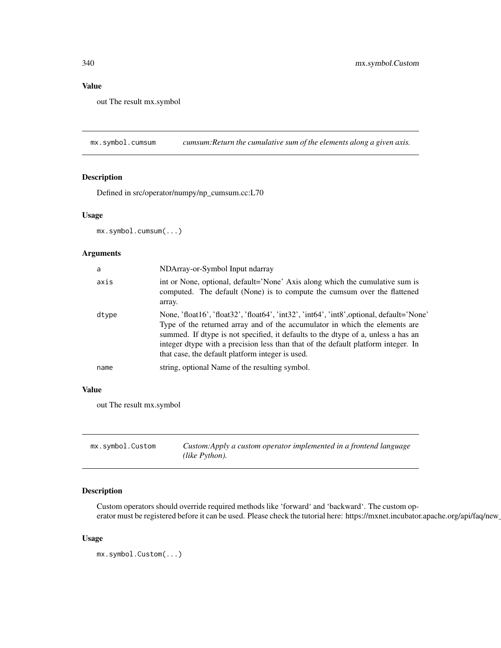# Value

out The result mx.symbol

mx.symbol.cumsum *cumsum:Return the cumulative sum of the elements along a given axis.*

## Description

Defined in src/operator/numpy/np\_cumsum.cc:L70

## Usage

mx.symbol.cumsum(...)

## Arguments

| a     | NDArray-or-Symbol Input ndarray                                                                                                                                                                                                                                                                                                                                                                        |
|-------|--------------------------------------------------------------------------------------------------------------------------------------------------------------------------------------------------------------------------------------------------------------------------------------------------------------------------------------------------------------------------------------------------------|
| axis  | int or None, optional, default='None' Axis along which the cumulative sum is<br>computed. The default (None) is to compute the cumsum over the flattened<br>array.                                                                                                                                                                                                                                     |
| dtype | None, 'float16', 'float32', 'float64', 'int32', 'int64', 'int8', optional, default='None'<br>Type of the returned array and of the accumulator in which the elements are<br>summed. If dtype is not specified, it defaults to the dtype of a, unless a has an<br>integer dtype with a precision less than that of the default platform integer. In<br>that case, the default platform integer is used. |
| name  | string, optional Name of the resulting symbol.                                                                                                                                                                                                                                                                                                                                                         |

## Value

out The result mx.symbol

| mx.symbol.Custom | Custom: Apply a custom operator implemented in a frontend language |
|------------------|--------------------------------------------------------------------|
|                  | (like Python).                                                     |

# Description

Custom operators should override required methods like 'forward' and 'backward'. The custom operator must be registered before it can be used. Please check the tutorial here: https://mxnet.incubator.apache.org/api/faq/new

## Usage

```
mx.symbol.Custom(...)
```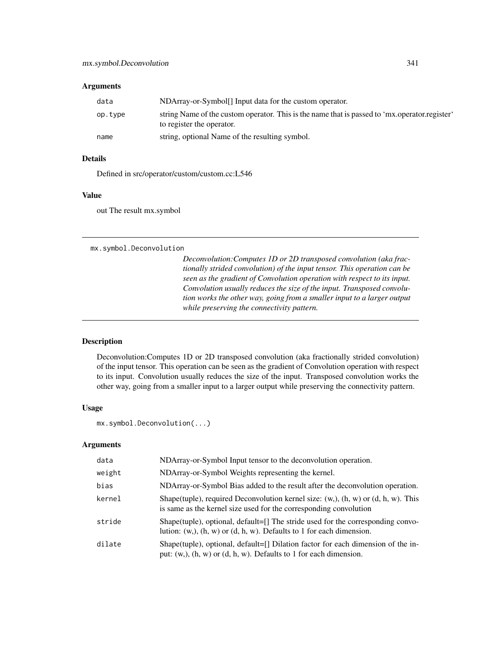## Arguments

| data    | NDArray-or-Symbol <sup>[]</sup> Input data for the custom operator.                                                        |
|---------|----------------------------------------------------------------------------------------------------------------------------|
| op.type | string Name of the custom operator. This is the name that is passed to 'mx.operator.register'<br>to register the operator. |
| name    | string, optional Name of the resulting symbol.                                                                             |

## Details

Defined in src/operator/custom/custom.cc:L546

#### Value

out The result mx.symbol

mx.symbol.Deconvolution

*Deconvolution:Computes 1D or 2D transposed convolution (aka fractionally strided convolution) of the input tensor. This operation can be seen as the gradient of Convolution operation with respect to its input. Convolution usually reduces the size of the input. Transposed convolution works the other way, going from a smaller input to a larger output while preserving the connectivity pattern.*

## Description

Deconvolution:Computes 1D or 2D transposed convolution (aka fractionally strided convolution) of the input tensor. This operation can be seen as the gradient of Convolution operation with respect to its input. Convolution usually reduces the size of the input. Transposed convolution works the other way, going from a smaller input to a larger output while preserving the connectivity pattern.

## Usage

```
mx.symbol.Deconvolution(...)
```

| data   | NDArray-or-Symbol Input tensor to the deconvolution operation.                                                                                                   |
|--------|------------------------------------------------------------------------------------------------------------------------------------------------------------------|
| weight | NDArray-or-Symbol Weights representing the kernel.                                                                                                               |
| bias   | NDArray-or-Symbol Bias added to the result after the deconvolution operation.                                                                                    |
| kernel | Shape(tuple), required Deconvolution kernel size: $(w, )$ , $(h, w)$ or $(d, h, w)$ . This<br>is same as the kernel size used for the corresponding convolution  |
| stride | Shape(tuple), optional, default= $[]$ The stride used for the corresponding convo-<br>lution: $(w, b, (h, w)$ or $(d, h, w)$ . Defaults to 1 for each dimension. |
| dilate | Shape(tuple), optional, default=[] Dilation factor for each dimension of the in-<br>put: $(w, b, (h, w)$ or $(d, h, w)$ . Defaults to 1 for each dimension.      |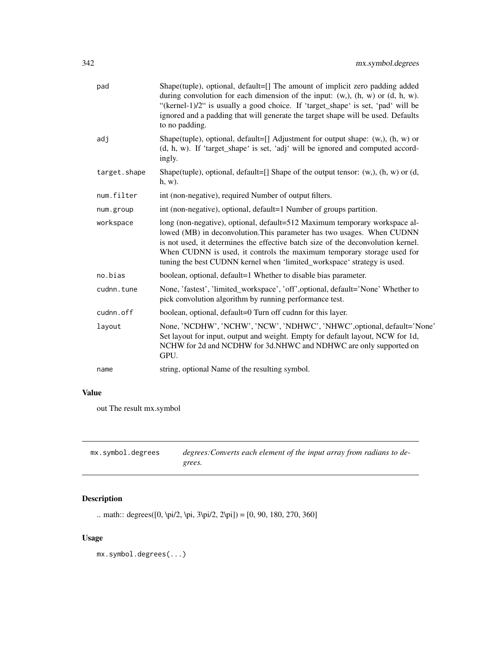| pad          | Shape(tuple), optional, default=[] The amount of implicit zero padding added<br>during convolution for each dimension of the input: $(w, )$ , $(h, w)$ or $(d, h, w)$ .<br>"(kernel-1)/2" is usually a good choice. If 'target_shape' is set, 'pad' will be<br>ignored and a padding that will generate the target shape will be used. Defaults<br>to no padding.                             |
|--------------|-----------------------------------------------------------------------------------------------------------------------------------------------------------------------------------------------------------------------------------------------------------------------------------------------------------------------------------------------------------------------------------------------|
| adj          | Shape(tuple), optional, default=[] Adjustment for output shape: $(w, )$ , $(h, w)$ or<br>(d, h, w). If 'target_shape' is set, 'adj' will be ignored and computed accord-<br>ingly.                                                                                                                                                                                                            |
| target.shape | Shape(tuple), optional, default=[] Shape of the output tensor: $(w, h, w)$ or $(d, d)$<br>$h, w$ ).                                                                                                                                                                                                                                                                                           |
| num.filter   | int (non-negative), required Number of output filters.                                                                                                                                                                                                                                                                                                                                        |
| num.group    | int (non-negative), optional, default=1 Number of groups partition.                                                                                                                                                                                                                                                                                                                           |
| workspace    | long (non-negative), optional, default=512 Maximum temporary workspace al-<br>lowed (MB) in deconvolution. This parameter has two usages. When CUDNN<br>is not used, it determines the effective batch size of the deconvolution kernel.<br>When CUDNN is used, it controls the maximum temporary storage used for<br>tuning the best CUDNN kernel when 'limited_workspace' strategy is used. |
| no.bias      | boolean, optional, default=1 Whether to disable bias parameter.                                                                                                                                                                                                                                                                                                                               |
| cudnn.tune   | None, 'fastest', 'limited_workspace', 'off', optional, default='None' Whether to<br>pick convolution algorithm by running performance test.                                                                                                                                                                                                                                                   |
| cudnn.off    | boolean, optional, default=0 Turn off cudnn for this layer.                                                                                                                                                                                                                                                                                                                                   |
| layout       | None, 'NCDHW', 'NCHW', 'NCW', 'NDHWC', 'NHWC', optional, default='None'<br>Set layout for input, output and weight. Empty for default layout, NCW for 1d,<br>NCHW for 2d and NCDHW for 3d.NHWC and NDHWC are only supported on<br>GPU.                                                                                                                                                        |
| name         | string, optional Name of the resulting symbol.                                                                                                                                                                                                                                                                                                                                                |
|              |                                                                                                                                                                                                                                                                                                                                                                                               |

# Value

out The result mx.symbol

| mx.symbol.degrees | degrees: Converts each element of the input array from radians to de- |
|-------------------|-----------------------------------------------------------------------|
|                   | grees.                                                                |

# Description

.. math:: degrees([0, \pi/2, \pi, 3\pi/2, 2\pi]) = [0, 90, 180, 270, 360]

# Usage

mx.symbol.degrees(...)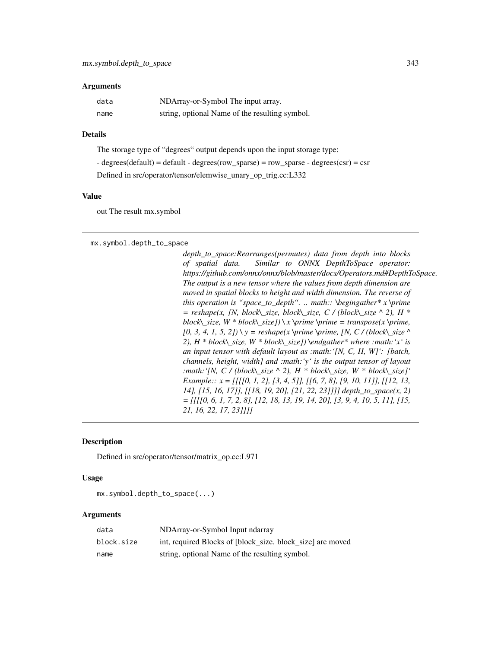#### **Arguments**

| data | NDArray-or-Symbol The input array.             |
|------|------------------------------------------------|
| name | string, optional Name of the resulting symbol. |

## Details

The storage type of "degrees" output depends upon the input storage type: - degrees(default) = default - degrees(row\_sparse) = row\_sparse - degrees(csr) = csr Defined in src/operator/tensor/elemwise\_unary\_op\_trig.cc:L332

#### Value

out The result mx.symbol

mx.symbol.depth\_to\_space

*depth\_to\_space:Rearranges(permutes) data from depth into blocks of spatial data. Similar to ONNX DepthToSpace operator: https://github.com/onnx/onnx/blob/master/docs/Operators.md#DepthToSpace. The output is a new tensor where the values from depth dimension are moved in spatial blocks to height and width dimension. The reverse of this operation is "space\_to\_depth". .. math:: \begingather\* x \prime = reshape(x, [N, block\\_size, block\\_size, C / (block\\_size ^ 2), H \* block* $\subseteq$ *size, W \* block* $\subseteq$ *size])*  $\setminus$ *x*  $\setminus$ *prime*  $\setminus$ *prime = transpose(x*  $\setminus$ *prime,*  $[0, 3, 4, 1, 5, 2]$ ) \ y = reshape(x \prime \prime, [N, C / (block\\_size ^ *2), H \* block\\_size, W \* block\\_size]) \endgather\* where :math:'x' is an input tensor with default layout as :math:'[N, C, H, W]': [batch, channels, height, width] and :math:'y' is the output tensor of layout :math:'[N, C / (block\\_size ^ 2), H \* block\\_size, W \* block\\_size]' Example:: x = [[[[0, 1, 2], [3, 4, 5]], [[6, 7, 8], [9, 10, 11]], [[12, 13, 14], [15, 16, 17]], [[18, 19, 20], [21, 22, 23]]]] depth\_to\_space(x, 2) = [[[[0, 6, 1, 7, 2, 8], [12, 18, 13, 19, 14, 20], [3, 9, 4, 10, 5, 11], [15, 21, 16, 22, 17, 23]]]]*

## **Description**

Defined in src/operator/tensor/matrix\_op.cc:L971

#### Usage

mx.symbol.depth\_to\_space(...)

| data       | NDArray-or-Symbol Input ndarray                            |
|------------|------------------------------------------------------------|
| block.size | int, required Blocks of [block size, block size] are moved |
| name       | string, optional Name of the resulting symbol.             |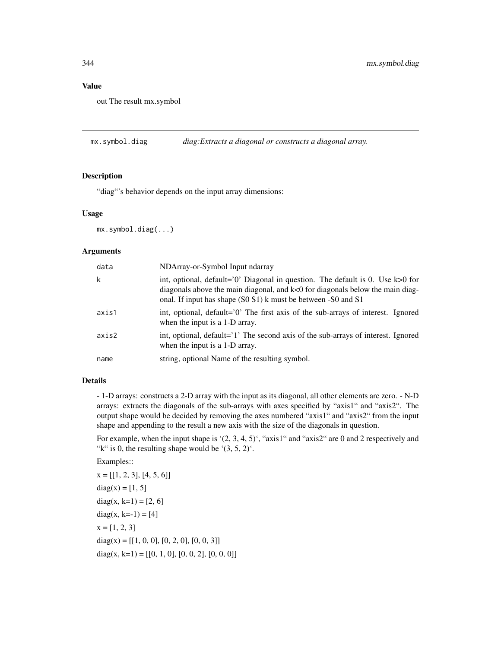## Value

out The result mx.symbol

mx.symbol.diag *diag:Extracts a diagonal or constructs a diagonal array.*

## Description

"diag"'s behavior depends on the input array dimensions:

#### Usage

mx.symbol.diag(...)

## Arguments

| data  | NDArray-or-Symbol Input ndarray                                                                                                                                                                                                      |
|-------|--------------------------------------------------------------------------------------------------------------------------------------------------------------------------------------------------------------------------------------|
| k     | int, optional, default= $0'$ Diagonal in question. The default is 0. Use k>0 for<br>diagonals above the main diagonal, and $k<0$ for diagonals below the main diag-<br>onal. If input has shape (S0 S1) k must be between -S0 and S1 |
| axis1 | int, optional, default='0' The first axis of the sub-arrays of interest. Ignored<br>when the input is a 1-D array.                                                                                                                   |
| axis2 | int, optional, default='1' The second axis of the sub-arrays of interest. Ignored<br>when the input is a 1-D array.                                                                                                                  |
| name  | string, optional Name of the resulting symbol.                                                                                                                                                                                       |

# Details

- 1-D arrays: constructs a 2-D array with the input as its diagonal, all other elements are zero. - N-D arrays: extracts the diagonals of the sub-arrays with axes specified by "axis1" and "axis2". The output shape would be decided by removing the axes numbered "axis1" and "axis2" from the input shape and appending to the result a new axis with the size of the diagonals in question.

For example, when the input shape is  $(2, 3, 4, 5)$ , "axis1" and "axis2" are 0 and 2 respectively and "k" is 0, the resulting shape would be ' $(3, 5, 2)$ '.

Examples::

 $x = [[1, 2, 3], [4, 5, 6]]$  $diag(x) = [1, 5]$ diag(x, k=1) =  $[2, 6]$ diag(x, k=-1) = [4]  $x = [1, 2, 3]$  $diag(x) = [[1, 0, 0], [0, 2, 0], [0, 0, 3]]$  $diag(x, k=1) = [[0, 1, 0], [0, 0, 2], [0, 0, 0]]$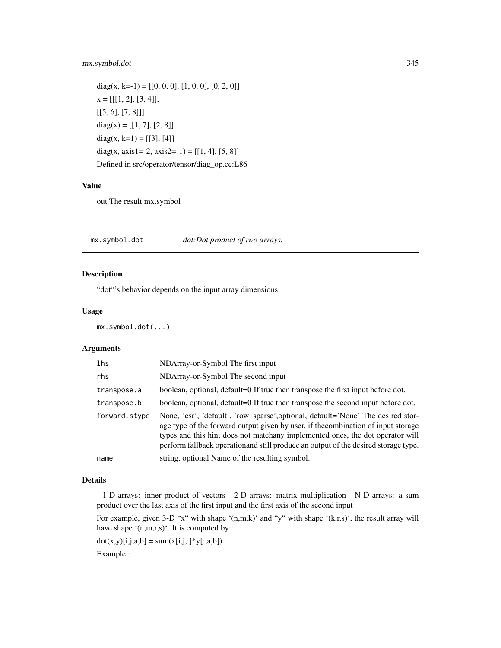## mx.symbol.dot 345

diag(x, k=-1) = [[0, 0, 0], [1, 0, 0], [0, 2, 0]]  $x = [[[1, 2], [3, 4]],$  $[[5, 6], [7, 8]]]$  $diag(x) = [[1, 7], [2, 8]]$ diag(x, k=1) = [[3], [4]] diag(x, axis1=-2, axis2=-1) =  $[[1, 4], [5, 8]]$ Defined in src/operator/tensor/diag\_op.cc:L86

#### Value

out The result mx.symbol

mx.symbol.dot *dot:Dot product of two arrays.*

## Description

"dot"'s behavior depends on the input array dimensions:

## Usage

mx.symbol.dot(...)

## Arguments

| lhs           | NDArray-or-Symbol The first input                                                                                                                                                                                                                                                                                                             |
|---------------|-----------------------------------------------------------------------------------------------------------------------------------------------------------------------------------------------------------------------------------------------------------------------------------------------------------------------------------------------|
| rhs           | NDArray-or-Symbol The second input                                                                                                                                                                                                                                                                                                            |
| transpose.a   | boolean, optional, default=0 If true then transpose the first input before dot.                                                                                                                                                                                                                                                               |
| transpose.b   | boolean, optional, default=0 If true then transpose the second input before dot.                                                                                                                                                                                                                                                              |
| forward.stype | None, 'csr', 'default', 'row_sparse', optional, default='None' The desired stor-<br>age type of the forward output given by user, if the combination of input storage<br>types and this hint does not matchany implemented ones, the dot operator will<br>perform fallback operation and still produce an output of the desired storage type. |
| name          | string, optional Name of the resulting symbol.                                                                                                                                                                                                                                                                                                |

#### Details

- 1-D arrays: inner product of vectors - 2-D arrays: matrix multiplication - N-D arrays: a sum product over the last axis of the first input and the first axis of the second input

For example, given 3-D "x" with shape '(n,m,k)' and "y" with shape '(k,r,s)', the result array will have shape '(n,m,r,s)'. It is computed by::

 $dot(x,y)[i,j,a,b] = sum(x[i,j,:]*y[:,a,b])$ 

Example::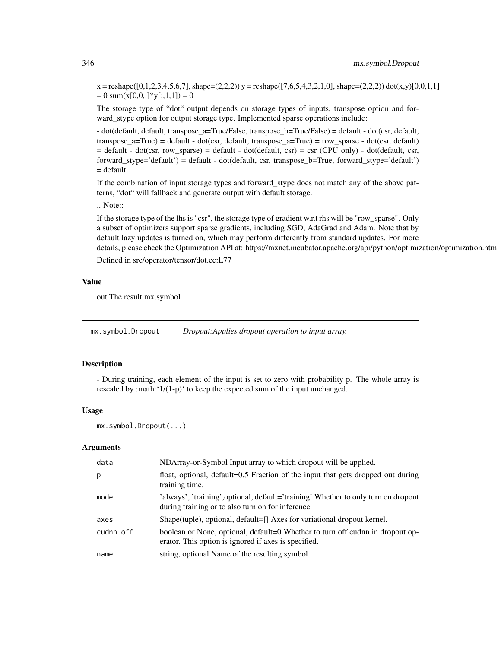$x =$ reshape([0,1,2,3,4,5,6,7], shape=(2,2,2))  $y =$ reshape([7,6,5,4,3,2,1,0], shape=(2,2,2)) dot(x,y)[0,0,1,1]  $= 0$  sum(x[0,0,:]\*y[:,1,1]) = 0

The storage type of "dot" output depends on storage types of inputs, transpose option and forward stype option for output storage type. Implemented sparse operations include:

- dot(default, default, transpose\_a=True/False, transpose\_b=True/False) = default - dot(csr, default, transpose\_a=True) = default - dot(csr, default, transpose\_a=True) = row\_sparse - dot(csr, default)  $=$  default - dot(csr, row\_sparse) = default - dot(default, csr) = csr (CPU only) - dot(default, csr, forward\_stype='default') = default - dot(default, csr, transpose\_b=True, forward\_stype='default') = default

If the combination of input storage types and forward\_stype does not match any of the above patterns, "dot" will fallback and generate output with default storage.

.. Note::

If the storage type of the lhs is "csr", the storage type of gradient w.r.t rhs will be "row\_sparse". Only a subset of optimizers support sparse gradients, including SGD, AdaGrad and Adam. Note that by default lazy updates is turned on, which may perform differently from standard updates. For more details, please check the Optimization API at: https://mxnet.incubator.apache.org/api/python/optimization/optimization.html

Defined in src/operator/tensor/dot.cc:L77

#### Value

out The result mx.symbol

mx.symbol.Dropout *Dropout:Applies dropout operation to input array.*

## Description

- During training, each element of the input is set to zero with probability p. The whole array is rescaled by :math:'1/(1-p)' to keep the expected sum of the input unchanged.

#### Usage

```
mx.symbol.Dropout(...)
```

| data      | NDArray-or-Symbol Input array to which dropout will be applied.                                                                         |
|-----------|-----------------------------------------------------------------------------------------------------------------------------------------|
| p         | float, optional, default=0.5 Fraction of the input that gets dropped out during<br>training time.                                       |
| mode      | 'always', 'training', optional, default='training' Whether to only turn on dropout<br>during training or to also turn on for inference. |
| axes      | Shape(tuple), optional, default=[] Axes for variational dropout kernel.                                                                 |
| cudnn.off | boolean or None, optional, default=0 Whether to turn off cudnn in dropout op-<br>erator. This option is ignored if axes is specified.   |
| name      | string, optional Name of the resulting symbol.                                                                                          |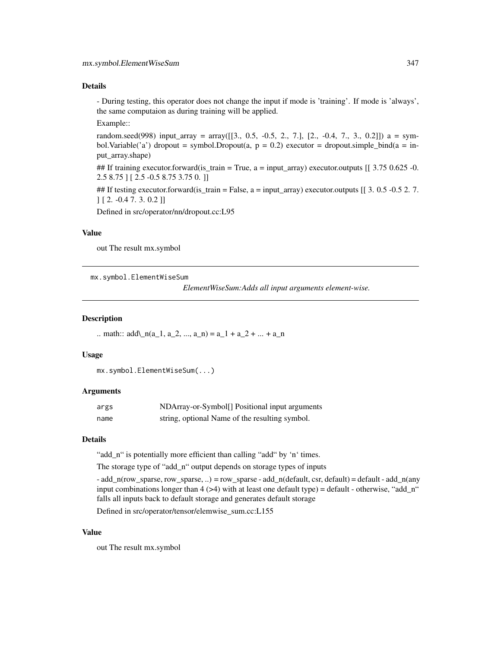## Details

- During testing, this operator does not change the input if mode is 'training'. If mode is 'always', the same computaion as during training will be applied.

Example::

random.seed(998) input\_array = array( $[3., 0.5, -0.5, 2., 7.]$ ,  $[2., -0.4, 7., 3., 0.2]$ ]) a = symbol.Variable('a') dropout = symbol.Dropout(a,  $p = 0.2$ ) executor = dropout.simple\_bind(a = input\_array.shape)

## If training executor.forward(is\_train = True,  $a = input_{array}$ ) executor.outputs  $[$  [ 3.75 0.625 -0. 2.5 8.75 ] [ 2.5 -0.5 8.75 3.75 0. ]]

## If testing executor.forward(is\_train = False,  $a = input_{array}$ ) executor.outputs  $\begin{bmatrix} 1 & 3 & 0.5 & -0.5 & 2 & 7 \end{bmatrix}$ ] [ 2. -0.4 7. 3. 0.2 ]]

Defined in src/operator/nn/dropout.cc:L95

## Value

out The result mx.symbol

mx.symbol.ElementWiseSum

*ElementWiseSum:Adds all input arguments element-wise.*

#### Description

.. math::  $add\_{n}(a_1, a_2, ..., a_n) = a_1 + a_2 + ... + a_n$ 

#### Usage

```
mx.symbol.ElementWiseSum(...)
```
## Arguments

| args | NDArray-or-Symbol <sup>[]</sup> Positional input arguments |
|------|------------------------------------------------------------|
| name | string, optional Name of the resulting symbol.             |

## **Details**

"add\_n" is potentially more efficient than calling "add" by 'n' times.

The storage type of "add\_n" output depends on storage types of inputs

 $-$  add\_n(row\_sparse, row\_sparse, ..) = row\_sparse  $-$  add\_n(default, csr, default) = default  $-$  add\_n(any input combinations longer than  $4$  ( $>4$ ) with at least one default type) = default - otherwise, "add\_n" falls all inputs back to default storage and generates default storage

Defined in src/operator/tensor/elemwise\_sum.cc:L155

#### Value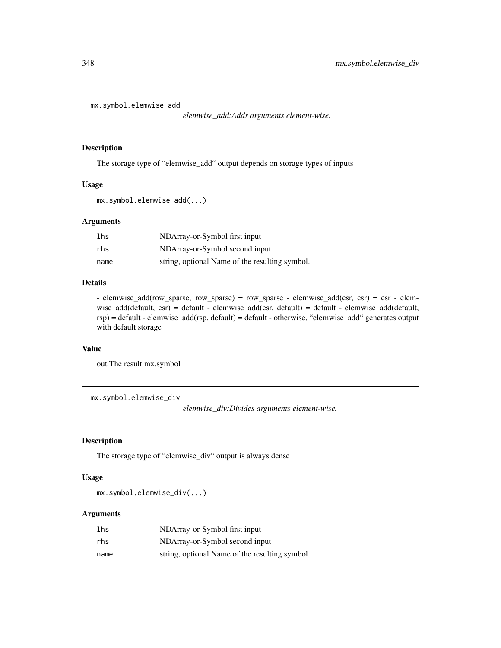```
mx.symbol.elemwise_add
```
*elemwise\_add:Adds arguments element-wise.*

# Description

The storage type of "elemwise\_add" output depends on storage types of inputs

## Usage

```
mx.symbol.elemwise_add(...)
```
## Arguments

| lhs  | NDArray-or-Symbol first input                  |
|------|------------------------------------------------|
| rhs  | NDArray-or-Symbol second input                 |
| name | string, optional Name of the resulting symbol. |

## Details

- elemwise\_add(row\_sparse, row\_sparse) = row\_sparse - elemwise\_add(csr, csr) = csr - elemwise\_add(default, csr) = default - elemwise\_add(csr, default) = default - elemwise\_add(default, rsp) = default - elemwise\_add(rsp, default) = default - otherwise, "elemwise\_add" generates output with default storage

## Value

out The result mx.symbol

mx.symbol.elemwise\_div

*elemwise\_div:Divides arguments element-wise.*

#### Description

The storage type of "elemwise\_div" output is always dense

#### Usage

mx.symbol.elemwise\_div(...)

| lhs  | NDArray-or-Symbol first input                  |
|------|------------------------------------------------|
| rhs  | NDArray-or-Symbol second input                 |
| name | string, optional Name of the resulting symbol. |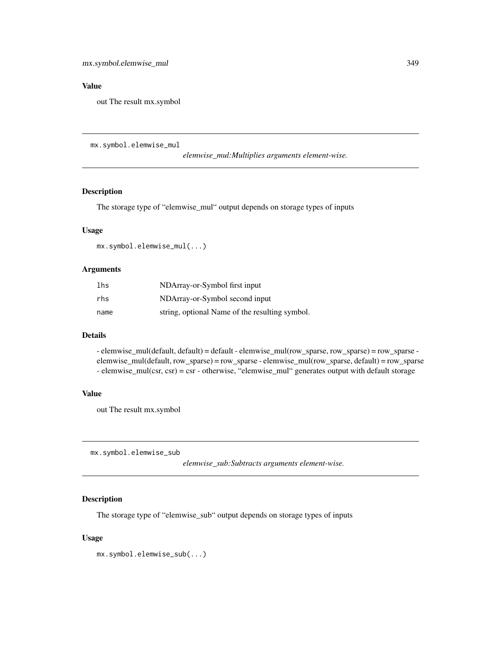## Value

out The result mx.symbol

mx.symbol.elemwise\_mul

*elemwise\_mul:Multiplies arguments element-wise.*

## Description

The storage type of "elemwise\_mul" output depends on storage types of inputs

#### Usage

mx.symbol.elemwise\_mul(...)

## Arguments

| lhs  | NDArray-or-Symbol first input                  |
|------|------------------------------------------------|
| rhs  | NDArray-or-Symbol second input                 |
| name | string, optional Name of the resulting symbol. |

## Details

- elemwise\_mul(default, default) = default - elemwise\_mul(row\_sparse, row\_sparse) = row\_sparse elemwise\_mul(default, row\_sparse) = row\_sparse - elemwise\_mul(row\_sparse, default) = row\_sparse - elemwise\_mul(csr, csr) = csr - otherwise, "elemwise\_mul" generates output with default storage

## Value

out The result mx.symbol

mx.symbol.elemwise\_sub

*elemwise\_sub:Subtracts arguments element-wise.*

## Description

The storage type of "elemwise\_sub" output depends on storage types of inputs

## Usage

mx.symbol.elemwise\_sub(...)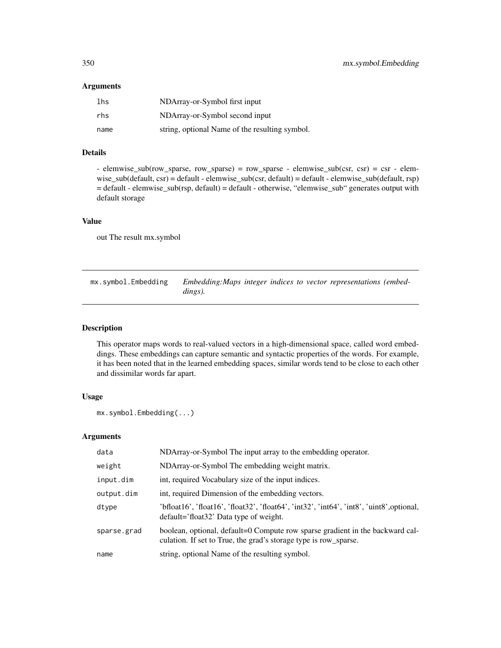#### Arguments

| lhs  | NDArray-or-Symbol first input                  |
|------|------------------------------------------------|
| rhs  | NDArray-or-Symbol second input                 |
| name | string, optional Name of the resulting symbol. |

## Details

- elemwise\_sub(row\_sparse, row\_sparse) = row\_sparse - elemwise\_sub(csr, csr) = csr - elemwise\_sub(default, csr) = default - elemwise\_sub(csr, default) = default - elemwise\_sub(default, rsp) = default - elemwise\_sub(rsp, default) = default - otherwise, "elemwise\_sub" generates output with default storage

## Value

out The result mx.symbol

mx.symbol.Embedding *Embedding:Maps integer indices to vector representations (embeddings).*

## Description

This operator maps words to real-valued vectors in a high-dimensional space, called word embeddings. These embeddings can capture semantic and syntactic properties of the words. For example, it has been noted that in the learned embedding spaces, similar words tend to be close to each other and dissimilar words far apart.

## Usage

```
mx.symbol.Embedding(...)
```

| data        | NDArray-or-Symbol The input array to the embedding operator.                                                                                      |
|-------------|---------------------------------------------------------------------------------------------------------------------------------------------------|
| weight      | NDArray-or-Symbol The embedding weight matrix.                                                                                                    |
| input.dim   | int, required Vocabulary size of the input indices.                                                                                               |
| output.dim  | int, required Dimension of the embedding vectors.                                                                                                 |
| dtype       | 'bfloat16', 'float16', 'float32', 'float64', 'int32', 'int64', 'int8', 'uint8', optional,<br>default='float32' Data type of weight.               |
| sparse.grad | boolean, optional, default=0 Compute row sparse gradient in the backward cal-<br>culation. If set to True, the grad's storage type is row_sparse. |
| name        | string, optional Name of the resulting symbol.                                                                                                    |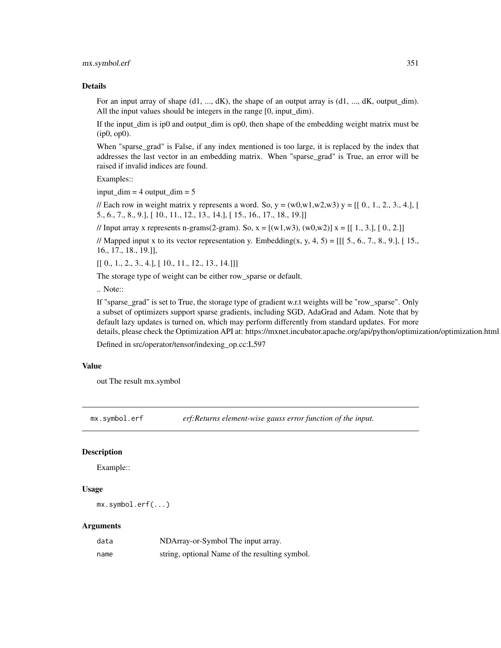mx.symbol.erf 351

#### Details

For an input array of shape  $(d1, ..., dK)$ , the shape of an output array is  $(d1, ..., dK)$ , output dim). All the input values should be integers in the range [0, input\_dim).

If the input\_dim is ip0 and output\_dim is op0, then shape of the embedding weight matrix must be (ip0, op0).

When "sparse\_grad" is False, if any index mentioned is too large, it is replaced by the index that addresses the last vector in an embedding matrix. When "sparse\_grad" is True, an error will be raised if invalid indices are found.

Examples::

input  $\dim = 4$  output  $\dim = 5$ 

// Each row in weight matrix y represents a word. So,  $y = (w0, w1, w2, w3)$  y =  $[$ [ 0., 1, 2, 3, 4.], [ 5., 6., 7., 8., 9.], [ 10., 11., 12., 13., 14.], [ 15., 16., 17., 18., 19.]]

// Input array x represents n-grams(2-gram). So,  $x = [(w1, w3), (w0, w2)]x = [[1, 3.], [0., 2.]]$ 

// Mapped input x to its vector representation y. Embedding(x, y, 4, 5) =  $[[[5., 6., 7., 8., 9.], [15.,]$ 16., 17., 18., 19.]],

 $[[ 0., 1., 2., 3., 4.], [ 10., 11., 12., 13., 14.]]]$ 

The storage type of weight can be either row\_sparse or default.

.. Note::

If "sparse\_grad" is set to True, the storage type of gradient w.r.t weights will be "row\_sparse". Only a subset of optimizers support sparse gradients, including SGD, AdaGrad and Adam. Note that by default lazy updates is turned on, which may perform differently from standard updates. For more details, please check the Optimization API at: https://mxnet.incubator.apache.org/api/python/optimization/optimization.html

Defined in src/operator/tensor/indexing\_op.cc:L597

#### Value

out The result mx.symbol

mx.symbol.erf *erf:Returns element-wise gauss error function of the input.*

## **Description**

Example::

## Usage

```
mx.symbol.erf(...)
```

| data | NDArray-or-Symbol The input array.             |
|------|------------------------------------------------|
| name | string, optional Name of the resulting symbol. |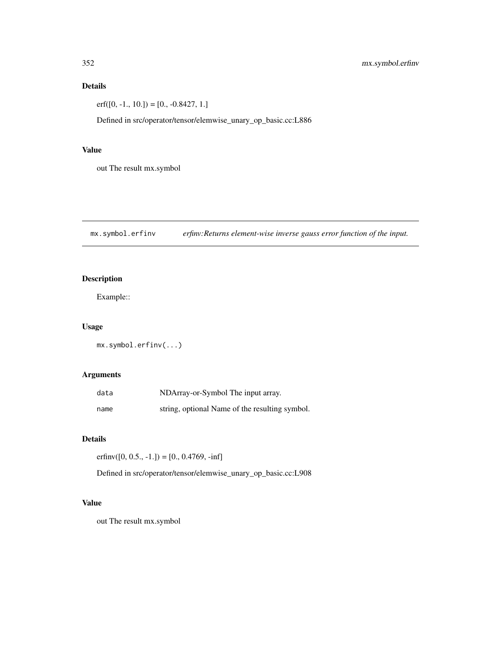## Details

 $erf([0, -1., 10.]) = [0., -0.8427, 1.]$ 

Defined in src/operator/tensor/elemwise\_unary\_op\_basic.cc:L886

## Value

out The result mx.symbol

mx.symbol.erfinv *erfinv:Returns element-wise inverse gauss error function of the input.*

# Description

Example::

## Usage

```
mx.symbol.erfinv(...)
```
## Arguments

| data | NDArray-or-Symbol The input array.             |
|------|------------------------------------------------|
| name | string, optional Name of the resulting symbol. |

## Details

erfinv $([0, 0.5., -1.]) = [0., 0.4769, -inf]$ 

Defined in src/operator/tensor/elemwise\_unary\_op\_basic.cc:L908

#### Value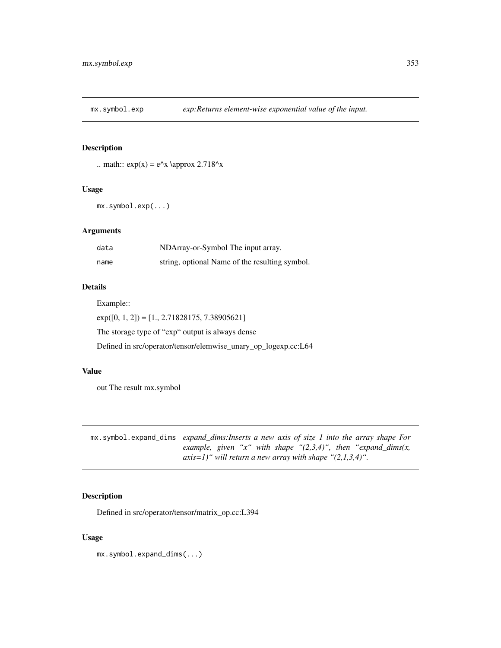## Description

```
.. math:: exp(x) = e^x \approx 2.718^x
```
## Usage

mx.symbol.exp(...)

## Arguments

| data | NDArray-or-Symbol The input array.             |
|------|------------------------------------------------|
| name | string, optional Name of the resulting symbol. |

## Details

Example::

 $exp([0, 1, 2]) = [1., 2.71828175, 7.38905621]$ The storage type of "exp" output is always dense Defined in src/operator/tensor/elemwise\_unary\_op\_logexp.cc:L64

#### Value

out The result mx.symbol

mx.symbol.expand\_dims *expand\_dims:Inserts a new axis of size 1 into the array shape For example, given "x" with shape "(2,3,4)", then "expand\_dims(x, axis=1)" will return a new array with shape "(2,1,3,4)".*

## Description

Defined in src/operator/tensor/matrix\_op.cc:L394

## Usage

mx.symbol.expand\_dims(...)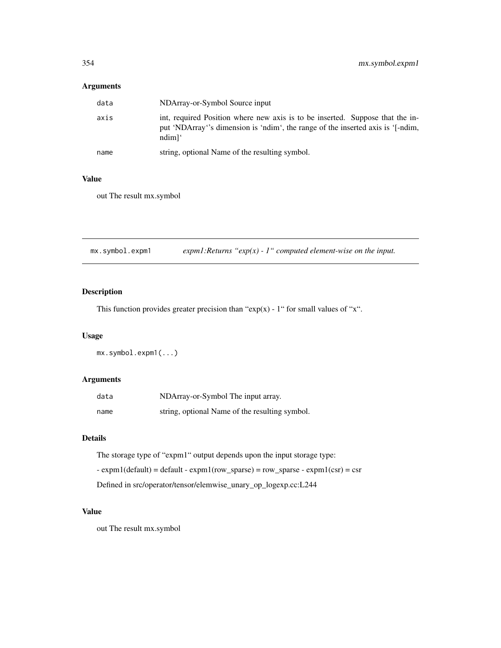# Arguments

| data | NDArray-or-Symbol Source input                                                                                                                                                          |
|------|-----------------------------------------------------------------------------------------------------------------------------------------------------------------------------------------|
| axis | int, required Position where new axis is to be inserted. Suppose that the in-<br>put 'NDArray''s dimension is 'ndim', the range of the inserted axis is '[-ndim,<br>$ndim$ <sup>'</sup> |
| name | string, optional Name of the resulting symbol.                                                                                                                                          |

## Value

out The result mx.symbol

mx.symbol.expm1 *expm1:Returns "exp(x) - 1" computed element-wise on the input.*

## Description

This function provides greater precision than " $exp(x)$  - 1" for small values of "x".

## Usage

mx.symbol.expm1(...)

## Arguments

| data | NDArray-or-Symbol The input array.             |
|------|------------------------------------------------|
| name | string, optional Name of the resulting symbol. |

## Details

The storage type of "expm1" output depends upon the input storage type:

 $-$  expm1(default) = default  $-$  expm1(row\_sparse) = row\_sparse  $-$  expm1(csr) = csr

Defined in src/operator/tensor/elemwise\_unary\_op\_logexp.cc:L244

#### Value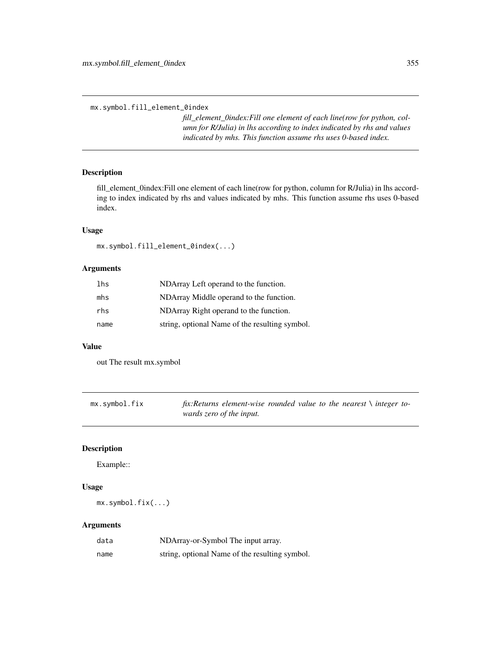mx.symbol.fill\_element\_0index

*fill\_element\_0index:Fill one element of each line(row for python, column for R/Julia) in lhs according to index indicated by rhs and values indicated by mhs. This function assume rhs uses 0-based index.*

## Description

fill\_element\_0index:Fill one element of each line(row for python, column for R/Julia) in lhs according to index indicated by rhs and values indicated by mhs. This function assume rhs uses 0-based index.

## Usage

mx.symbol.fill\_element\_0index(...)

## Arguments

| lhs  | NDArray Left operand to the function.          |
|------|------------------------------------------------|
| mhs  | NDArray Middle operand to the function.        |
| rhs  | NDArray Right operand to the function.         |
| name | string, optional Name of the resulting symbol. |

# Value

out The result mx.symbol

| mx.symbol.fix | fix: Returns element-wise rounded value to the nearest $\setminus$ integer to- |  |  |  |  |
|---------------|--------------------------------------------------------------------------------|--|--|--|--|
|               | wards zero of the input.                                                       |  |  |  |  |

## Description

Example::

## Usage

```
mx.symbol.fix(...)
```

| data | NDArray-or-Symbol The input array.             |
|------|------------------------------------------------|
| name | string, optional Name of the resulting symbol. |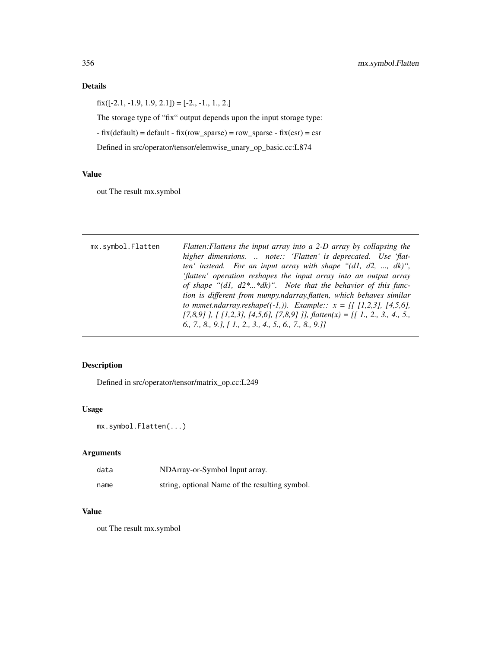## Details

 $fix([-2.1, -1.9, 1.9, 2.1]) = [-2., -1., 1., 2.]$ 

The storage type of "fix" output depends upon the input storage type:

 $-$  fix(default) = default  $-$  fix(row\_sparse) = row\_sparse  $-$  fix(csr) = csr

Defined in src/operator/tensor/elemwise\_unary\_op\_basic.cc:L874

## Value

out The result mx.symbol

| mx.symbol.Flatten | Flatten: Flattens the input array into a 2-D array by collapsing the        |
|-------------------|-----------------------------------------------------------------------------|
|                   | higher dimensions.  note:: 'Flatten' is deprecated. Use 'flat-              |
|                   | ten' instead. For an input array with shape " $(d1, d2, , dk)$ ",           |
|                   | 'flatten' operation reshapes the input array into an output array           |
|                   | of shape " $(d1, d2^**dk)$ ". Note that the behavior of this func-          |
|                   | tion is different from numpy.ndarray.flatten, which behaves similar         |
|                   | to mxnet.ndarray.reshape((-1,)). Example:: $x = [[1,2,3], [4,5,6],$         |
|                   | $[7,8,9]$ ], [ [1,2,3], [4,5,6], [7,8,9] ]], flatten(x) = [[ 1, 2, 3, 4, 5, |
|                   | $6.$ , 7., 8., 9.], $1.$ , 2., 3., 4., 5., 6., 7., 8., 9.11                 |

# Description

Defined in src/operator/tensor/matrix\_op.cc:L249

## Usage

mx.symbol.Flatten(...)

## Arguments

| data | NDArray-or-Symbol Input array.                 |
|------|------------------------------------------------|
| name | string, optional Name of the resulting symbol. |

#### Value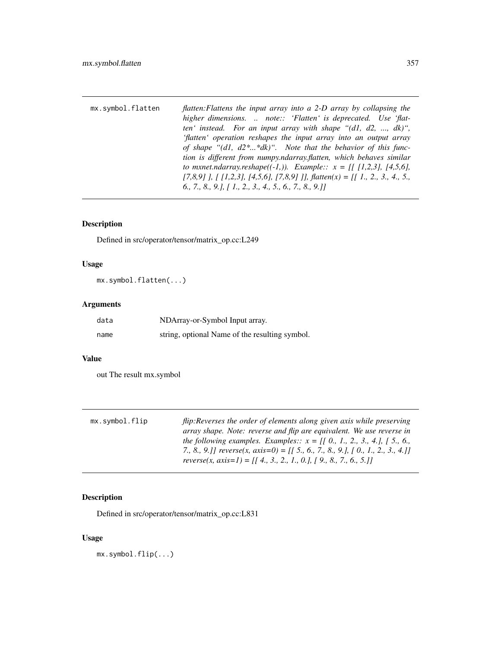| mx.symbol.flatten | flatten: Flattens the input array into a 2-D array by collapsing the      |
|-------------------|---------------------------------------------------------------------------|
|                   | higher dimensions.  note:: 'Flatten' is deprecated. Use 'flat-            |
|                   | ten' instead. For an input array with shape " $(d1, d2, , dk)$ ",         |
|                   | 'flatten' operation reshapes the input array into an output array         |
|                   | of shape " $(d1, d2^**dk)$ ". Note that the behavior of this func-        |
|                   | tion is different from numpy.ndarray.flatten, which behaves similar       |
|                   | to mxnet.ndarray.reshape((-1,)). Example:: $x = [1, 1, 2, 3], [4, 5, 6],$ |
|                   | [7,8,9] ], [ [1,2,3], [4,5,6], [7,8,9] ]], flatten(x) = [[ 1, 2, 3, 4, 5, |
|                   | $[6., 7., 8., 9.], [1., 2., 3., 4., 5., 6., 7., 8., 9.]]$                 |

# Description

Defined in src/operator/tensor/matrix\_op.cc:L249

## Usage

mx.symbol.flatten(...)

# Arguments

| data | NDArray-or-Symbol Input array.                 |
|------|------------------------------------------------|
| name | string, optional Name of the resulting symbol. |

## Value

out The result mx.symbol

| mx.symbol.flip | flip: Reverses the order of elements along given axis while preserving           |
|----------------|----------------------------------------------------------------------------------|
|                | array shape. Note: reverse and flip are equivalent. We use reverse in            |
|                | the following examples. Examples:: $x = [[0, 1, 2, 3, 4, ], [5, 6, ]$            |
|                | 7., 8., 9.]] reverse(x, axis=0) = [[ 5., 6., 7., 8., 9.], [ 0., 1., 2., 3., 4.]] |
|                | reverse(x, axis=1) = [[4., 3., 2., 1., 0.], [9., 8., 7., 6., 5.]]                |

# Description

Defined in src/operator/tensor/matrix\_op.cc:L831

# Usage

mx.symbol.flip(...)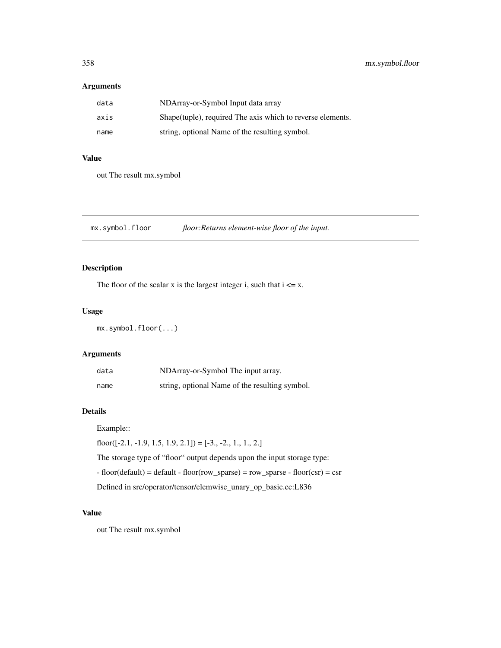## Arguments

| data | NDArray-or-Symbol Input data array                          |
|------|-------------------------------------------------------------|
| axis | Shape (tuple), required The axis which to reverse elements. |
| name | string, optional Name of the resulting symbol.              |

## Value

out The result mx.symbol

mx.symbol.floor *floor:Returns element-wise floor of the input.*

## Description

The floor of the scalar x is the largest integer i, such that  $i \le x$ .

## Usage

mx.symbol.floor(...)

## Arguments

| data | NDArray-or-Symbol The input array.             |
|------|------------------------------------------------|
| name | string, optional Name of the resulting symbol. |

## Details

Example::

floor( $[-2.1, -1.9, 1.5, 1.9, 2.1]$ ) =  $[-3., -2., 1., 1., 2.]$ 

The storage type of "floor" output depends upon the input storage type:

 $-$  floor(default) = default  $-$  floor(row\_sparse) = row\_sparse  $-$  floor(csr) = csr

Defined in src/operator/tensor/elemwise\_unary\_op\_basic.cc:L836

# Value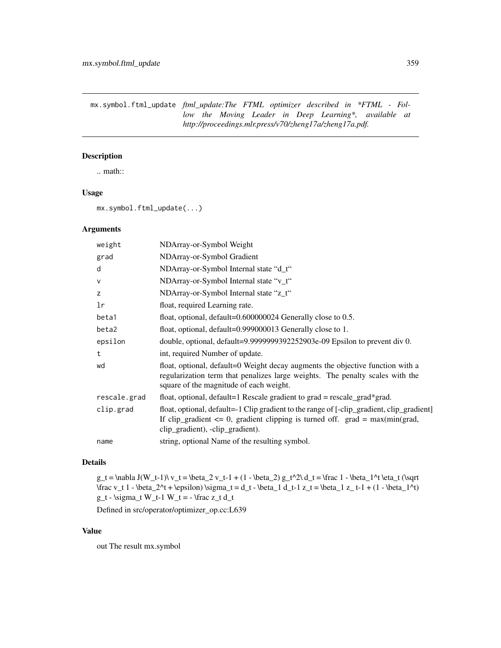mx.symbol.ftml\_update *ftml\_update:The FTML optimizer described in \*FTML - Follow the Moving Leader in Deep Learning\*, available at http://proceedings.mlr.press/v70/zheng17a/zheng17a.pdf.*

## Description

.. math::

## Usage

mx.symbol.ftml\_update(...)

## Arguments

| NDArray-or-Symbol Weight                                                                                                                                                                                           |
|--------------------------------------------------------------------------------------------------------------------------------------------------------------------------------------------------------------------|
| NDArray-or-Symbol Gradient                                                                                                                                                                                         |
| NDArray-or-Symbol Internal state "d_t"                                                                                                                                                                             |
| NDArray-or-Symbol Internal state "v_t"                                                                                                                                                                             |
| NDArray-or-Symbol Internal state "z_t"                                                                                                                                                                             |
| float, required Learning rate.                                                                                                                                                                                     |
| float, optional, $default=0.600000024$ Generally close to 0.5.                                                                                                                                                     |
| float, optional, default=0.999000013 Generally close to 1.                                                                                                                                                         |
| double, optional, default=9.9999999392252903e-09 Epsilon to prevent div 0.                                                                                                                                         |
| int, required Number of update.                                                                                                                                                                                    |
| float, optional, default=0 Weight decay augments the objective function with a<br>regularization term that penalizes large weights. The penalty scales with the<br>square of the magnitude of each weight.         |
| float, optional, default=1 Rescale gradient to grad = rescale_grad*grad.                                                                                                                                           |
| float, optional, default=-1 Clip gradient to the range of [-clip_gradient, clip_gradient]<br>If clip_gradient $\leq 0$ , gradient clipping is turned off. grad = max(min(grad,<br>clip_gradient), -clip_gradient). |
| string, optional Name of the resulting symbol.                                                                                                                                                                     |
|                                                                                                                                                                                                                    |

#### Details

g\_t = \nabla J(W\_t-1)\ v\_t = \beta\_2 v\_t-1 + (1 - \beta\_2) g\_t^2\ d\_t = \frac 1 - \beta\_1^t \eta\_t (\sqrt  $\frac{v_t 1 - \beta_2^t + \epsilon_1 \sigma_t = d_t - \beta_1 d_t - 1 z_t = \beta_1 z_t - 1 + (1 - \beta_1^t)$  $g_t - \sigma_t W_t-1 W_t = - \frac{z_t d_t}{\sigma}$ 

Defined in src/operator/optimizer\_op.cc:L639

## Value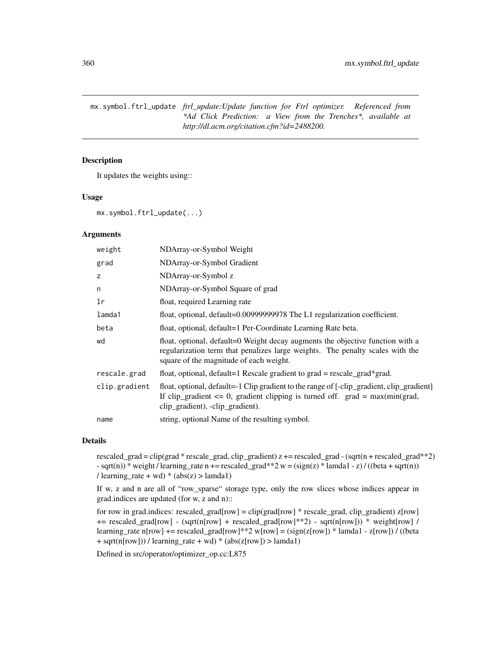mx.symbol.ftrl\_update *ftrl\_update:Update function for Ftrl optimizer. Referenced from \*Ad Click Prediction: a View from the Trenches\*, available at http://dl.acm.org/citation.cfm?id=2488200.*

## Description

It updates the weights using::

## Usage

mx.symbol.ftrl\_update(...)

## Arguments

| weight        | NDArray-or-Symbol Weight                                                                                                                                                                                          |
|---------------|-------------------------------------------------------------------------------------------------------------------------------------------------------------------------------------------------------------------|
| grad          | NDArray-or-Symbol Gradient                                                                                                                                                                                        |
| z             | NDArray-or-Symbol z                                                                                                                                                                                               |
| n             | NDArray-or-Symbol Square of grad                                                                                                                                                                                  |
| 1r            | float, required Learning rate                                                                                                                                                                                     |
| lamda1        | float, optional, default=0.00999999978 The L1 regularization coefficient.                                                                                                                                         |
| beta          | float, optional, default=1 Per-Coordinate Learning Rate beta.                                                                                                                                                     |
| wd            | float, optional, default=0 Weight decay augments the objective function with a<br>regularization term that penalizes large weights. The penalty scales with the<br>square of the magnitude of each weight.        |
| rescale.grad  | float, optional, default=1 Rescale gradient to $grad = rescale\_grad*grad$ .                                                                                                                                      |
| clip.gradient | float, optional, default=-1 Clip gradient to the range of [-clip_gradient, clip_gradient]<br>If clip_gradient $\leq$ 0, gradient clipping is turned off. grad = max(min(grad,<br>clip_gradient), -clip_gradient). |
| name          | string, optional Name of the resulting symbol.                                                                                                                                                                    |

## Details

rescaled\_grad = clip(grad \* rescale\_grad, clip\_gradient) z += rescaled\_grad - (sqrt(n + rescaled\_grad\*\*2)  $-$  sqrt(n)) \* weight / learning\_rate n += rescaled\_grad\*\*2 w = (sign(z) \* lamda1 - z) / ((beta + sqrt(n)) / learning\_rate + wd)  $*(abs(z) > landa1)$ 

If w, z and n are all of "row\_sparse" storage type, only the row slices whose indices appear in grad.indices are updated (for w, z and n)::

for row in grad.indices: rescaled\_grad[row] = clip(grad[row] \* rescale\_grad, clip\_gradient) z[row] += rescaled\_grad[row] - (sqrt(n[row] + rescaled\_grad[row]\*\*2) - sqrt(n[row])) \* weight[row] / learning\_rate n[row] += rescaled\_grad[row]\*\*2 w[row] = (sign(z[row]) \* lamda1 - z[row]) / ((beta  $+$  sqrt(n[row])) / learning\_rate  $+$  wd)  $*$  (abs(z[row]) > lamda1)

Defined in src/operator/optimizer\_op.cc:L875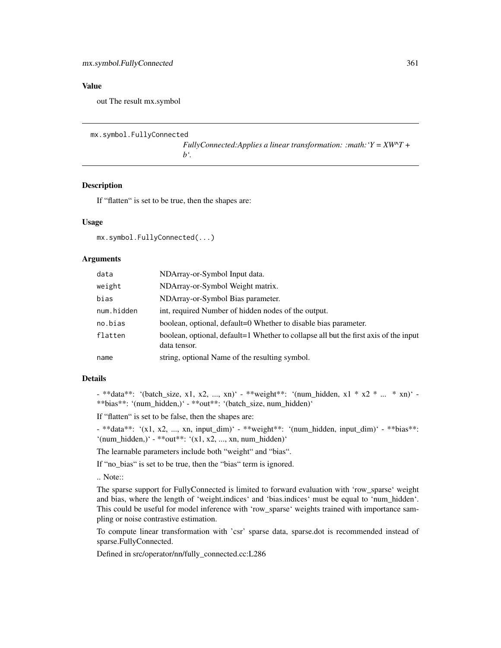out The result mx.symbol

```
mx.symbol.FullyConnected
```
*FullyConnected:Applies a linear transformation: :math:'Y = XW^T + b'.*

#### Description

If "flatten" is set to be true, then the shapes are:

#### Usage

mx.symbol.FullyConnected(...)

#### **Arguments**

| data       | NDArray-or-Symbol Input data.                                                                        |
|------------|------------------------------------------------------------------------------------------------------|
| weight     | NDArray-or-Symbol Weight matrix.                                                                     |
| bias       | NDArray-or-Symbol Bias parameter.                                                                    |
| num.hidden | int, required Number of hidden nodes of the output.                                                  |
| no.bias    | boolean, optional, default=0 Whether to disable bias parameter.                                      |
| flatten    | boolean, optional, default=1 Whether to collapse all but the first axis of the input<br>data tensor. |
| name       | string, optional Name of the resulting symbol.                                                       |

# Details

- \*\*data\*\*: '(batch\_size, x1, x2, ..., xn)' - \*\*weight\*\*: '(num\_hidden, x1 \* x2 \* ... \* xn)' -\*\*bias\*\*: '(num\_hidden,)' - \*\*out\*\*: '(batch\_size, num\_hidden)'

If "flatten" is set to be false, then the shapes are:

- \*\*data\*\*: '(x1, x2, ..., xn, input\_dim)' - \*\*weight\*\*: '(num\_hidden, input\_dim)' - \*\*bias\*\*: '(num\_hidden,)' - \*\*out\*\*: '(x1, x2, ..., xn, num\_hidden)'

The learnable parameters include both "weight" and "bias".

If "no\_bias" is set to be true, then the "bias" term is ignored.

.. Note::

The sparse support for FullyConnected is limited to forward evaluation with 'row\_sparse' weight and bias, where the length of 'weight.indices' and 'bias.indices' must be equal to 'num\_hidden'. This could be useful for model inference with 'row\_sparse' weights trained with importance sampling or noise contrastive estimation.

To compute linear transformation with 'csr' sparse data, sparse.dot is recommended instead of sparse.FullyConnected.

Defined in src/operator/nn/fully\_connected.cc:L286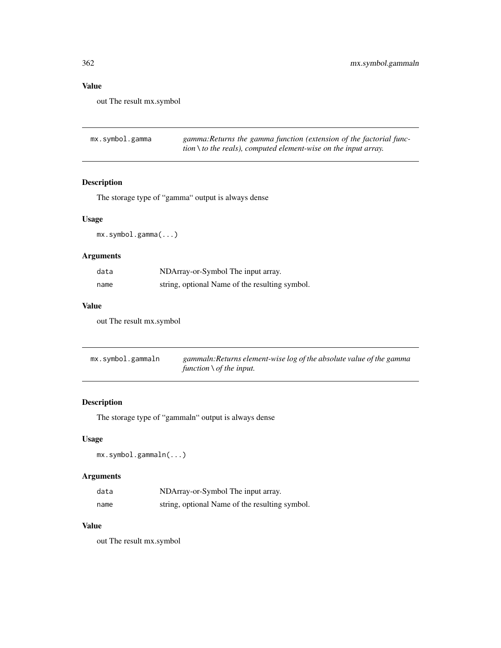out The result mx.symbol

| mx.symbol.gamma | gamma: Returns the gamma function (extension of the factorial func- |
|-----------------|---------------------------------------------------------------------|
|                 | tion \ to the reals), computed element-wise on the input array.     |

# Description

The storage type of "gamma" output is always dense

# Usage

mx.symbol.gamma(...)

# Arguments

| data | NDArray-or-Symbol The input array.             |
|------|------------------------------------------------|
| name | string, optional Name of the resulting symbol. |

# Value

out The result mx.symbol

| mx.symbol.gammaln | gammaln: Returns element-wise log of the absolute value of the gamma |
|-------------------|----------------------------------------------------------------------|
|                   | function $\setminus$ of the input.                                   |

# Description

The storage type of "gammaln" output is always dense

# Usage

mx.symbol.gammaln(...)

# Arguments

| data | NDArray-or-Symbol The input array.             |
|------|------------------------------------------------|
| name | string, optional Name of the resulting symbol. |

## Value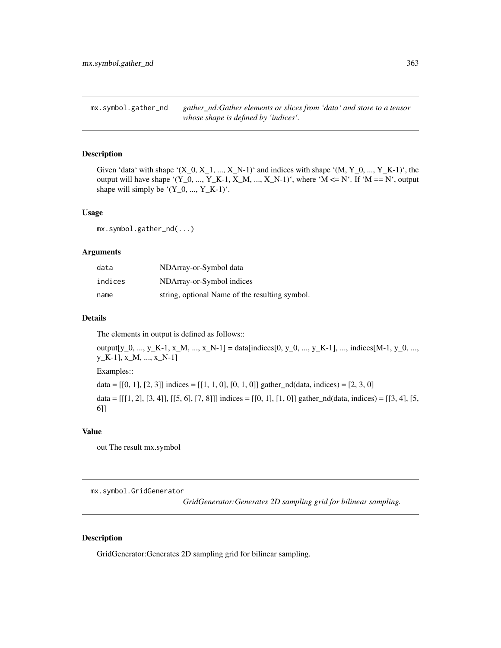mx.symbol.gather\_nd *gather\_nd:Gather elements or slices from 'data' and store to a tensor whose shape is defined by 'indices'.*

## Description

Given 'data' with shape ' $(X_0, X_1, ..., X_N-1)$ ' and indices with shape ' $(M, Y_0, ..., Y_K-1)$ ', the output will have shape '(Y\_0, ..., Y\_K-1, X\_M, ..., X\_N-1)', where 'M <= N'. If 'M == N', output shape will simply be  $(Y_0, ..., Y_K-1)$ .

#### Usage

mx.symbol.gather\_nd(...)

## Arguments

| data    | NDArray-or-Symbol data                         |
|---------|------------------------------------------------|
| indices | NDArray-or-Symbol indices                      |
| name    | string, optional Name of the resulting symbol. |

## Details

The elements in output is defined as follows::

output[y\_0, ..., y\_K-1, x\_M, ..., x\_N-1] = data[indices[0, y\_0, ..., y\_K-1], ..., indices[M-1, y\_0, ..., y\_K-1], x\_M, ..., x\_N-1]

Examples::

data =  $[[0, 1], [2, 3]]$  indices =  $[[1, 1, 0], [0, 1, 0]]$  gather\_nd(data, indices) =  $[2, 3, 0]$ 

data =  $[[1, 2], [3, 4]], [[5, 6], [7, 8]]]$  indices =  $[[0, 1], [1, 0]]$  gather\_nd(data, indices) =  $[[3, 4], [5, 1]]$ 6]]

# Value

out The result mx.symbol

mx.symbol.GridGenerator

*GridGenerator:Generates 2D sampling grid for bilinear sampling.*

#### Description

GridGenerator:Generates 2D sampling grid for bilinear sampling.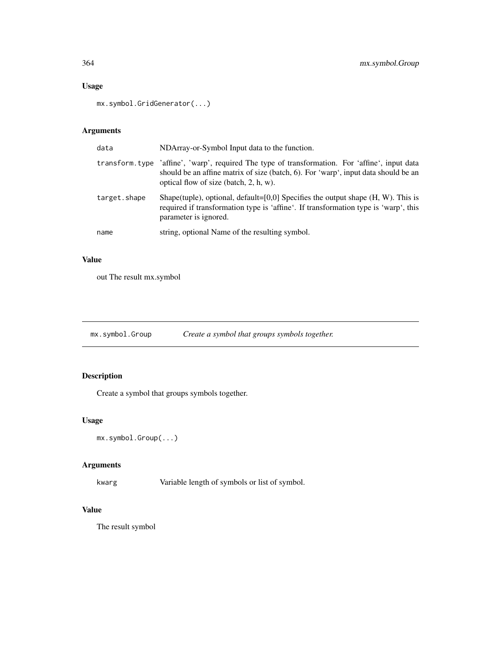# Usage

```
mx.symbol.GridGenerator(...)
```
# Arguments

| data         | NDArray-or-Symbol Input data to the function.                                                                                                                                                                                  |
|--------------|--------------------------------------------------------------------------------------------------------------------------------------------------------------------------------------------------------------------------------|
|              | transform type 'affine', 'warp', required The type of transformation. For 'affine', input data<br>should be an affine matrix of size (batch, 6). For 'warp', input data should be an<br>optical flow of size (batch, 2, h, w). |
| target.shape | Shape(tuple), optional, default= $[0,0]$ Specifies the output shape $(H, W)$ . This is<br>required if transformation type is 'affine'. If transformation type is 'warp', this<br>parameter is ignored.                         |
| name         | string, optional Name of the resulting symbol.                                                                                                                                                                                 |

# Value

out The result mx.symbol

mx.symbol.Group *Create a symbol that groups symbols together.*

# Description

Create a symbol that groups symbols together.

# Usage

```
mx.symbol.Group(...)
```
# Arguments

kwarg Variable length of symbols or list of symbol.

# Value

The result symbol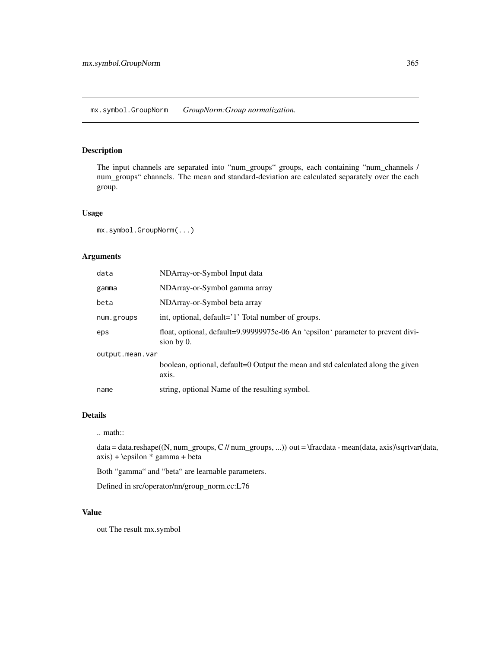## Description

The input channels are separated into "num\_groups" groups, each containing "num\_channels / num\_groups" channels. The mean and standard-deviation are calculated separately over the each group.

#### Usage

mx.symbol.GroupNorm(...)

# Arguments

| data            | NDArray-or-Symbol Input data                                                                     |  |
|-----------------|--------------------------------------------------------------------------------------------------|--|
| gamma           | NDArray-or-Symbol gamma array                                                                    |  |
| beta            | NDArray-or-Symbol beta array                                                                     |  |
| num.groups      | int, optional, default='1' Total number of groups.                                               |  |
| eps             | float, optional, default=9.99999975e-06 An 'epsilon' parameter to prevent divi-<br>sion by $0$ . |  |
| output.mean.var |                                                                                                  |  |
|                 | boolean, optional, default=0 Output the mean and std calculated along the given<br>axis.         |  |
| name            | string, optional Name of the resulting symbol.                                                   |  |

## Details

# .. math::

data = data.reshape((N, num\_groups, C // num\_groups, ...)) out = \fracdata - mean(data, axis)\sqrtvar(data, axis) + \epsilon \* gamma + beta

Both "gamma" and "beta" are learnable parameters.

Defined in src/operator/nn/group\_norm.cc:L76

# Value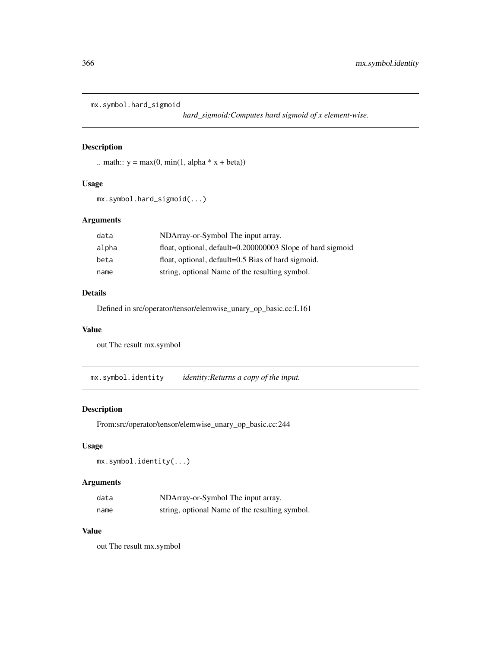```
mx.symbol.hard_sigmoid
```
*hard\_sigmoid:Computes hard sigmoid of x element-wise.*

# Description

```
.. math:: y = max(0, min(1, alpha * x + beta))
```
# Usage

```
mx.symbol.hard_sigmoid(...)
```
# Arguments

| data  | NDArray-or-Symbol The input array.                         |
|-------|------------------------------------------------------------|
| alpha | float, optional, default=0.200000003 Slope of hard sigmoid |
| beta  | float, optional, default=0.5 Bias of hard sigmoid.         |
| name  | string, optional Name of the resulting symbol.             |

# Details

Defined in src/operator/tensor/elemwise\_unary\_op\_basic.cc:L161

#### Value

out The result mx.symbol

mx.symbol.identity *identity:Returns a copy of the input.*

# Description

From:src/operator/tensor/elemwise\_unary\_op\_basic.cc:244

# Usage

```
mx.symbol.identity(...)
```
# Arguments

| data | NDArray-or-Symbol The input array.             |
|------|------------------------------------------------|
| name | string, optional Name of the resulting symbol. |

# Value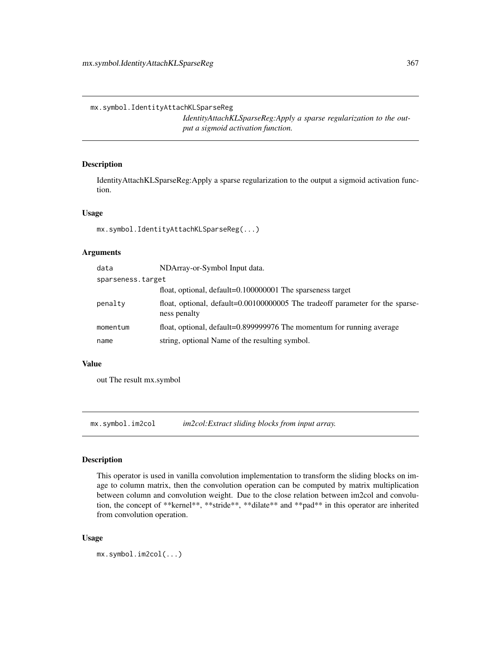mx.symbol.IdentityAttachKLSparseReg

*IdentityAttachKLSparseReg:Apply a sparse regularization to the output a sigmoid activation function.*

# Description

IdentityAttachKLSparseReg:Apply a sparse regularization to the output a sigmoid activation function.

## Usage

mx.symbol.IdentityAttachKLSparseReg(...)

## Arguments

| data              | NDArray-or-Symbol Input data.                                                                 |  |
|-------------------|-----------------------------------------------------------------------------------------------|--|
| sparseness.target |                                                                                               |  |
|                   | float, optional, default=0.100000001 The sparseness target                                    |  |
| penalty           | float, optional, default=0.00100000005 The tradeoff parameter for the sparse-<br>ness penalty |  |
| momentum          | float, optional, default=0.899999976 The momentum for running average                         |  |
| name              | string, optional Name of the resulting symbol.                                                |  |

## Value

out The result mx.symbol

mx.symbol.im2col *im2col:Extract sliding blocks from input array.*

#### Description

This operator is used in vanilla convolution implementation to transform the sliding blocks on image to column matrix, then the convolution operation can be computed by matrix multiplication between column and convolution weight. Due to the close relation between im2col and convolution, the concept of \*\*kernel\*\*, \*\*stride\*\*, \*\*dilate\*\* and \*\*pad\*\* in this operator are inherited from convolution operation.

#### Usage

mx.symbol.im2col(...)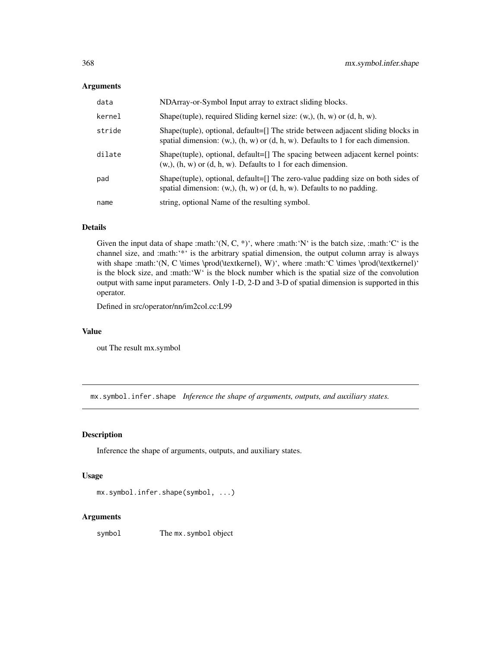#### Arguments

| data   | NDArray-or-Symbol Input array to extract sliding blocks.                                                                                                                 |
|--------|--------------------------------------------------------------------------------------------------------------------------------------------------------------------------|
| kernel | Shape(tuple), required Sliding kernel size: $(w, b)$ , $(h, w)$ or $(d, h, w)$ .                                                                                         |
| stride | Shape(tuple), optional, default=[] The stride between adjacent sliding blocks in<br>spatial dimension: $(w,), (h, w)$ or $(d, h, w)$ . Defaults to 1 for each dimension. |
| dilate | Shape(tuple), optional, default=[] The spacing between adjacent kernel points:<br>$(w, b)$ , $(h, w)$ or $(d, h, w)$ . Defaults to 1 for each dimension.                 |
| pad    | Shape(tuple), optional, default=[] The zero-value padding size on both sides of<br>spatial dimension: $(w,), (h, w)$ or $(d, h, w)$ . Defaults to no padding.            |
| name   | string, optional Name of the resulting symbol.                                                                                                                           |

## Details

Given the input data of shape :math: $(N, C, *)'$ , where :math: $'N'$  is the batch size, :math: $'C'$  is the channel size, and :math:'\*' is the arbitrary spatial dimension, the output column array is always with shape :math:'(N, C \times \prod(\textkernel), W)', where :math:'C \times \prod(\textkernel)' is the block size, and :math:'W' is the block number which is the spatial size of the convolution output with same input parameters. Only 1-D, 2-D and 3-D of spatial dimension is supported in this operator.

Defined in src/operator/nn/im2col.cc:L99

#### Value

out The result mx.symbol

mx.symbol.infer.shape *Inference the shape of arguments, outputs, and auxiliary states.*

## Description

Inference the shape of arguments, outputs, and auxiliary states.

## Usage

```
mx.symbol.infer.shape(symbol, ...)
```
## Arguments

symbol The mx.symbol object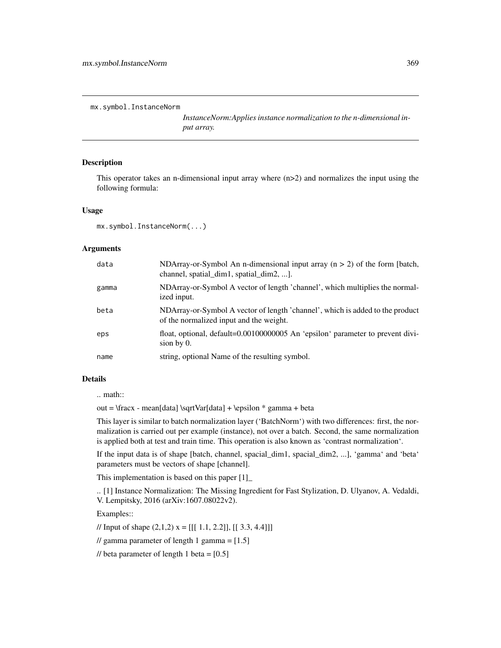mx.symbol.InstanceNorm

*InstanceNorm:Applies instance normalization to the n-dimensional input array.*

## Description

This operator takes an n-dimensional input array where (n>2) and normalizes the input using the following formula:

## Usage

```
mx.symbol.InstanceNorm(...)
```
## Arguments

| data  | NDArray-or-Symbol An n-dimensional input array $(n > 2)$ of the form [batch,<br>channel, spatial_dim1, spatial_dim2, ].  |
|-------|--------------------------------------------------------------------------------------------------------------------------|
| gamma | NDArray-or-Symbol A vector of length 'channel', which multiplies the normal-<br>ized input.                              |
| beta  | NDArray-or-Symbol A vector of length 'channel', which is added to the product<br>of the normalized input and the weight. |
| eps   | float, optional, default=0.00100000005 An 'epsilon' parameter to prevent divi-<br>sion by $0$ .                          |
| name  | string, optional Name of the resulting symbol.                                                                           |

# Details

.. math::

out = \fracx - mean[data] \sqrtVar[data] + \epsilon \* gamma + beta

This layer is similar to batch normalization layer ('BatchNorm') with two differences: first, the normalization is carried out per example (instance), not over a batch. Second, the same normalization is applied both at test and train time. This operation is also known as 'contrast normalization'.

If the input data is of shape [batch, channel, spacial\_dim1, spacial\_dim2, ...], 'gamma' and 'beta' parameters must be vectors of shape [channel].

This implementation is based on this paper [1]\_

.. [1] Instance Normalization: The Missing Ingredient for Fast Stylization, D. Ulyanov, A. Vedaldi, V. Lempitsky, 2016 (arXiv:1607.08022v2).

Examples::

// Input of shape  $(2,1,2)$   $x = [[[ 1.1, 2.2]], [[ 3.3, 4.4]])]$ 

// gamma parameter of length 1 gamma =  $[1.5]$ 

// beta parameter of length 1 beta =  $[0.5]$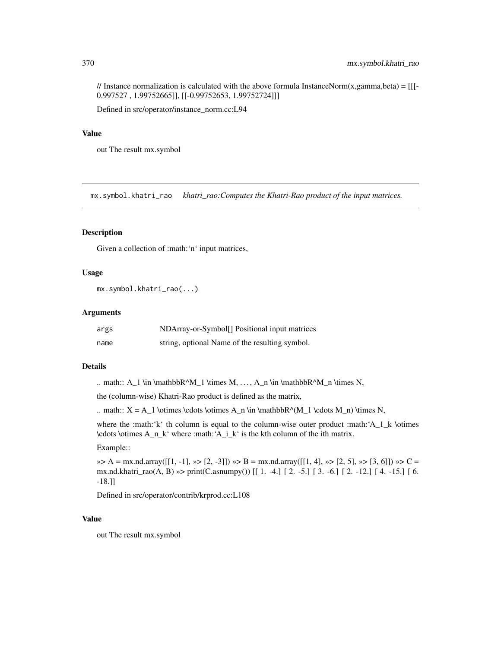// Instance normalization is calculated with the above formula InstanceNorm $(x, gamma, beta) = [[$ 0.997527 , 1.99752665]], [[-0.99752653, 1.99752724]]]

Defined in src/operator/instance\_norm.cc:L94

## Value

out The result mx.symbol

mx.symbol.khatri\_rao *khatri\_rao:Computes the Khatri-Rao product of the input matrices.*

#### Description

Given a collection of :math:'n' input matrices,

## Usage

```
mx.symbol.khatri_rao(...)
```
#### Arguments

| args | NDArray-or-Symbol <sup>[]</sup> Positional input matrices |
|------|-----------------------------------------------------------|
| name | string, optional Name of the resulting symbol.            |

#### Details

.. math::  $A_1 \in \mathbb{R}^M_1 \times M, \ldots, A_n \in \mathbb{R}^M_n \times N$ ,

the (column-wise) Khatri-Rao product is defined as the matrix,

.. math::  $X = A_1 \otimes \cdots \otimes A_n \in \mathbb{R}^M_1 \cdots M_n$ ) \times N,

where the :math:'k' th column is equal to the column-wise outer product :math:'A\_1\_k \otimes  $\cdot$  \cdots \otimes A\_n\_k' where :math: $A_i_k'$  is the kth column of the ith matrix.

#### Example::

 $\gg$  A = mx.nd.array([[1, -1],  $\gg$  [2, -3]])  $\gg$  B = mx.nd.array([[1, 4],  $\gg$  [2, 5],  $\gg$  [3, 6]])  $\gg$  C = mx.nd.khatri\_rao(A, B) »> print(C.asnumpy()) [[ 1. -4.] [ 2. -5.] [ 3. -6.] [ 2. -12.] [ 4. -15.] [ 6. -18.]]

Defined in src/operator/contrib/krprod.cc:L108

## Value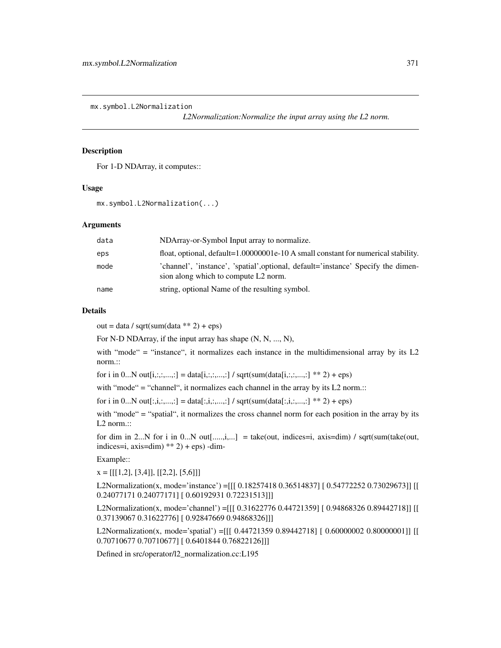mx.symbol.L2Normalization

*L2Normalization:Normalize the input array using the L2 norm.*

## **Description**

For 1-D NDArray, it computes::

#### Usage

mx.symbol.L2Normalization(...)

# Arguments

| data | NDArray-or-Symbol Input array to normalize.                                                                               |
|------|---------------------------------------------------------------------------------------------------------------------------|
| eps  | float, optional, default=1.00000001e-10 A small constant for numerical stability.                                         |
| mode | 'channel', 'instance', 'spatial', optional, default='instance' Specify the dimen-<br>sion along which to compute L2 norm. |
| name | string, optional Name of the resulting symbol.                                                                            |

#### Details

 $out = data / sqrt(sum(data ** 2) +eps)$ 

For N-D NDArray, if the input array has shape (N, N, ..., N),

with "mode" = "instance", it normalizes each instance in the multidimensional array by its L2 norm.::

for i in 0...N out[i,:,:,...,:] = data[i,:,:,...,:] / sqrt(sum(data[i,:,:,...,:] \*\* 2) + eps)

with "mode" = "channel", it normalizes each channel in the array by its L2 norm.::

for i in 0...N out[:,i,:,...,:] = data[:,i,:,...,:] / sqrt(sum(data[:,i,:,...,:] \*\* 2) + eps)

with "mode" = "spatial", it normalizes the cross channel norm for each position in the array by its L2 norm.::

for dim in 2...N for i in 0...N out[.....,i,...] = take(out, indices=i, axis=dim) / sqrt(sum(take(out, indices=i,  $axis=dim$ )  $** 2$ ) + eps) -dim-

Example::

 $x = [[[1,2], [3,4]], [[2,2], [5,6]]]$ 

L2Normalization(x, mode='instance') =[[[ 0.18257418 0.36514837] [ 0.54772252 0.73029673]] [[ 0.24077171 0.24077171] [ 0.60192931 0.72231513]]]

L2Normalization(x, mode='channel') =[[[ 0.31622776 0.44721359] [ 0.94868326 0.89442718]] [[ 0.37139067 0.31622776] [ 0.92847669 0.94868326]]]

L2Normalization(x, mode='spatial') =[[[ 0.44721359 0.89442718] [ 0.60000002 0.80000001]] [[ 0.70710677 0.70710677] [ 0.6401844 0.76822126]]]

Defined in src/operator/l2\_normalization.cc:L195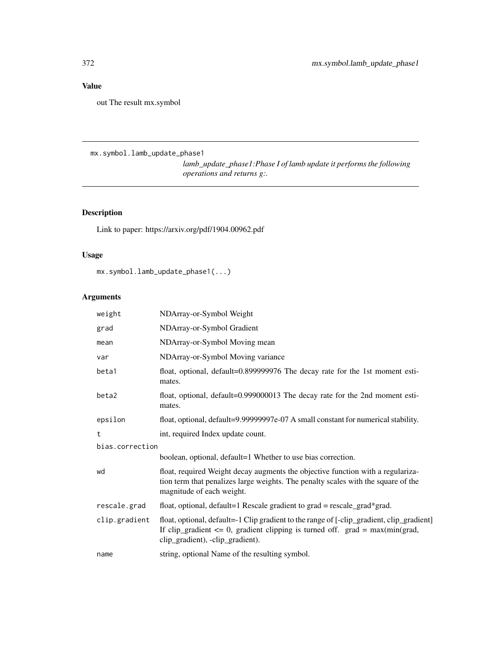out The result mx.symbol

mx.symbol.lamb\_update\_phase1

*lamb\_update\_phase1:Phase I of lamb update it performs the following operations and returns g:.*

# Description

Link to paper: https://arxiv.org/pdf/1904.00962.pdf

# Usage

mx.symbol.lamb\_update\_phase1(...)

| weight          | NDArray-or-Symbol Weight                                                                                                                                                                                           |  |
|-----------------|--------------------------------------------------------------------------------------------------------------------------------------------------------------------------------------------------------------------|--|
| grad            | NDArray-or-Symbol Gradient                                                                                                                                                                                         |  |
| mean            | NDArray-or-Symbol Moving mean                                                                                                                                                                                      |  |
| var             | NDArray-or-Symbol Moving variance                                                                                                                                                                                  |  |
| beta1           | float, optional, default=0.899999976 The decay rate for the 1st moment esti-<br>mates.                                                                                                                             |  |
| beta2           | float, optional, default=0.999000013 The decay rate for the 2nd moment esti-<br>mates.                                                                                                                             |  |
| epsilon         | float, optional, default=9.99999997e-07 A small constant for numerical stability.                                                                                                                                  |  |
| t               | int, required Index update count.                                                                                                                                                                                  |  |
| bias.correction |                                                                                                                                                                                                                    |  |
|                 | boolean, optional, default=1 Whether to use bias correction.                                                                                                                                                       |  |
| wd              | float, required Weight decay augments the objective function with a regulariza-<br>tion term that penalizes large weights. The penalty scales with the square of the<br>magnitude of each weight.                  |  |
| rescale.grad    | float, optional, default=1 Rescale gradient to $grad = rescale\_grad*grad$ .                                                                                                                                       |  |
| clip.gradient   | float, optional, default=-1 Clip gradient to the range of [-clip_gradient, clip_gradient]<br>If clip_gradient $\leq 0$ , gradient clipping is turned off. grad = max(min(grad,<br>clip_gradient), -clip_gradient). |  |
| name            | string, optional Name of the resulting symbol.                                                                                                                                                                     |  |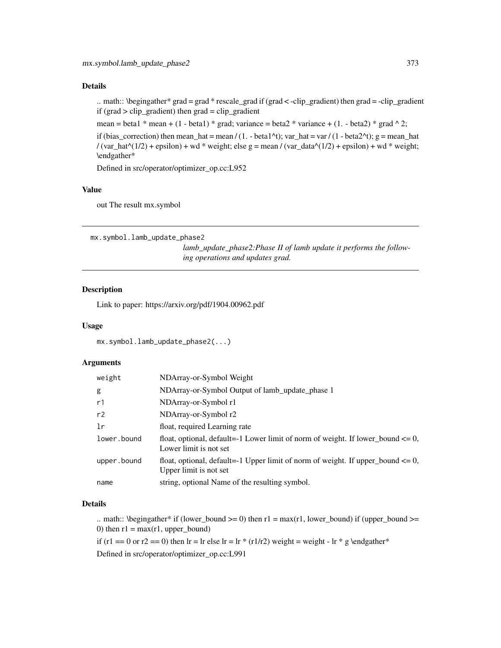.. math::  $\begin{bmatrix} \begin{bmatrix} \begin{bmatrix} 1 \\ 2 \end{bmatrix} \end{bmatrix}$  and  $\end{bmatrix}$   $\begin{bmatrix} \begin{bmatrix} 1 \\ 2 \end{bmatrix} \end{bmatrix}$   $\begin{bmatrix} \begin{bmatrix} 1 \\ 2 \end{bmatrix} \end{bmatrix}$   $\begin{bmatrix} \begin{bmatrix} 1 \\ 2 \end{bmatrix} \end{bmatrix}$   $\begin{bmatrix} \begin{bmatrix} 1 \\ 2 \end{bmatrix} \end{bmatrix}$   $\begin{bmatrix} \begin{bmatrix} 1 \\ 2 \end{bmatrix} \end{bmatrix}$  if (grad  $>$  clip\_gradient) then grad = clip\_gradient

mean = beta1 \* mean + (1 - beta1) \* grad; variance = beta2 \* variance + (1. - beta2) \* grad  $\wedge$  2;

if (bias correction) then mean hat = mean / (1. - beta1^t); var\_hat = var / (1 - beta2^t); g = mean\_hat / (var\_hat^(1/2) + epsilon) + wd \* weight; else g = mean / (var\_data^(1/2) + epsilon) + wd \* weight; \endgather\*

Defined in src/operator/optimizer\_op.cc:L952

## Value

out The result mx.symbol

mx.symbol.lamb\_update\_phase2

*lamb\_update\_phase2:Phase II of lamb update it performs the following operations and updates grad.*

## Description

Link to paper: https://arxiv.org/pdf/1904.00962.pdf

#### Usage

```
mx.symbol.lamb_update_phase2(...)
```
## **Arguments**

| weight      | NDArray-or-Symbol Weight                                                                                       |
|-------------|----------------------------------------------------------------------------------------------------------------|
| g           | NDArray-or-Symbol Output of lamb_update_phase 1                                                                |
| r1          | NDArray-or-Symbol r1                                                                                           |
| r2          | NDArray-or-Symbol r2                                                                                           |
| 1r          | float, required Learning rate                                                                                  |
| lower.bound | float, optional, default=-1 Lower limit of norm of weight. If lower_bound $\leq 0$ ,<br>Lower limit is not set |
| upper.bound | float, optional, default=-1 Upper limit of norm of weight. If upper_bound $\leq 0$ ,<br>Upper limit is not set |
| name        | string, optional Name of the resulting symbol.                                                                 |
|             |                                                                                                                |

# Details

.. math:: \begingather\* if (lower\_bound >= 0) then  $r1 = max(r1, lower\_bound)$  if (upper\_bound >= 0) then  $r1 = max(r1, upper\_bound)$ 

if (r1 == 0 or r2 == 0) then lr = lr else lr = lr \* (r1/r2) weight = weight - lr \* g \endgather\*

Defined in src/operator/optimizer\_op.cc:L991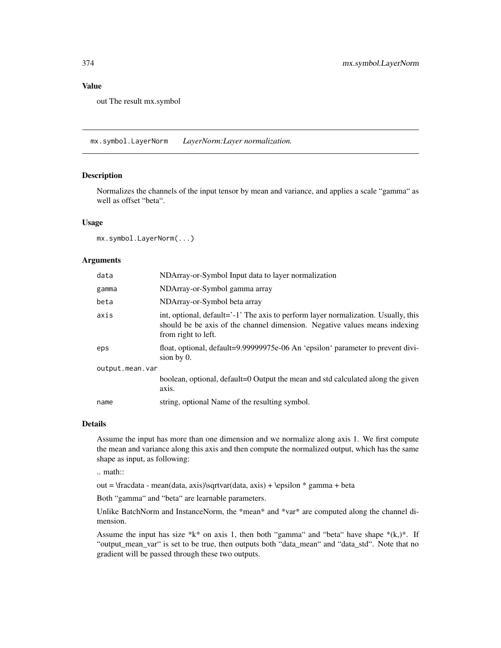out The result mx.symbol

mx.symbol.LayerNorm *LayerNorm:Layer normalization.*

# Description

Normalizes the channels of the input tensor by mean and variance, and applies a scale "gamma" as well as offset "beta".

#### Usage

mx.symbol.LayerNorm(...)

#### **Arguments**

| data            | NDArray-or-Symbol Input data to layer normalization                                                                                                                                     |  |
|-----------------|-----------------------------------------------------------------------------------------------------------------------------------------------------------------------------------------|--|
| gamma           | NDArray-or-Symbol gamma array                                                                                                                                                           |  |
| beta            | NDArray-or-Symbol beta array                                                                                                                                                            |  |
| axis            | int, optional, default='-1' The axis to perform layer normalization. Usually, this<br>should be be axis of the channel dimension. Negative values means indexing<br>from right to left. |  |
| eps             | float, optional, default=9.99999975e-06 An 'epsilon' parameter to prevent divi-<br>sion by $0$ .                                                                                        |  |
| output.mean.var |                                                                                                                                                                                         |  |
|                 | boolean, optional, default=0 Output the mean and std calculated along the given<br>axis.                                                                                                |  |
| name            | string, optional Name of the resulting symbol.                                                                                                                                          |  |

## Details

Assume the input has more than one dimension and we normalize along axis 1. We first compute the mean and variance along this axis and then compute the normalized output, which has the same shape as input, as following:

.. math::

out = \fracdata - mean(data, axis)\sqrtvar(data, axis) + \epsilon \* gamma + beta

Both "gamma" and "beta" are learnable parameters.

Unlike BatchNorm and InstanceNorm, the \*mean\* and \*var\* are computed along the channel dimension.

Assume the input has size  $*k*$  on axis 1, then both "gamma" and "beta" have shape  $*(k,)*$ . If "output\_mean\_var" is set to be true, then outputs both "data\_mean" and "data\_std". Note that no gradient will be passed through these two outputs.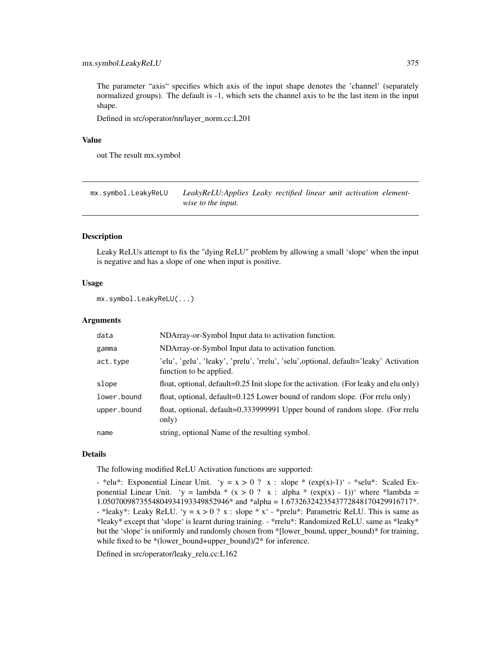# mx.symbol.LeakyReLU 375

The parameter "axis" specifies which axis of the input shape denotes the 'channel' (separately normalized groups). The default is -1, which sets the channel axis to be the last item in the input shape.

Defined in src/operator/nn/layer\_norm.cc:L201

#### Value

out The result mx.symbol

mx.symbol.LeakyReLU *LeakyReLU:Applies Leaky rectified linear unit activation elementwise to the input.*

## Description

Leaky ReLUs attempt to fix the "dying ReLU" problem by allowing a small 'slope' when the input is negative and has a slope of one when input is positive.

# Usage

mx.symbol.LeakyReLU(...)

## Arguments

| data        | NDArray-or-Symbol Input data to activation function.                                                              |
|-------------|-------------------------------------------------------------------------------------------------------------------|
| gamma       | NDArray-or-Symbol Input data to activation function.                                                              |
| act.type    | 'elu', 'gelu', 'leaky', 'prelu', 'rrelu', 'selu', optional, default='leaky' Activation<br>function to be applied. |
| slope       | float, optional, default= $0.25$ Init slope for the activation. (For leaky and elu only)                          |
| lower.bound | float, optional, default=0.125 Lower bound of random slope. (For rrelu only)                                      |
| upper.bound | float, optional, default=0.333999991 Upper bound of random slope. (For rrelu<br>only)                             |
| name        | string, optional Name of the resulting symbol.                                                                    |

#### Details

The following modified ReLU Activation functions are supported:

- \*elu\*: Exponential Linear Unit. 'y = x > 0 ? x : slope \* (exp(x)-1)' - \*selu\*: Scaled Exponential Linear Unit. 'y = lambda \* (x > 0 ? x : alpha \* (exp(x) - 1))' where \*lambda = 1.0507009873554804934193349852946\* and \*alpha = 1.6732632423543772848170429916717\*. - \*leaky\*: Leaky ReLU. 'y =  $x > 0$  ? x : slope \*  $x'$  - \*prelu\*: Parametric ReLU. This is same as \*leaky\* except that 'slope' is learnt during training. - \*rrelu\*: Randomized ReLU. same as \*leaky\* but the 'slope' is uniformly and randomly chosen from \*[lower\_bound, upper\_bound)\* for training, while fixed to be \*(lower\_bound+upper\_bound)/2\* for inference.

Defined in src/operator/leaky\_relu.cc:L162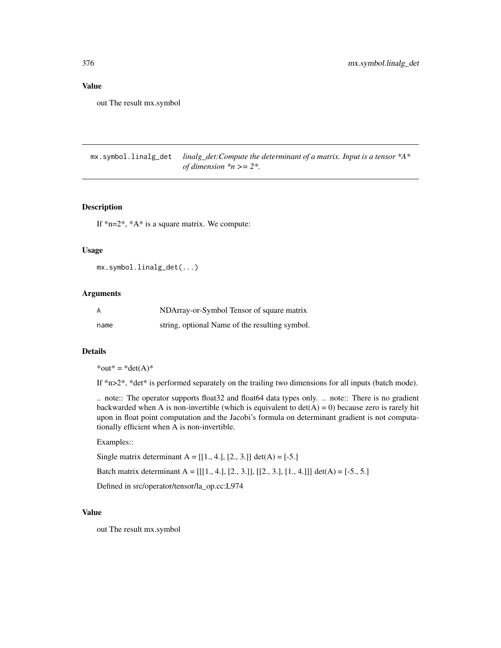out The result mx.symbol

mx.symbol.linalg\_det *linalg\_det:Compute the determinant of a matrix. Input is a tensor \*A\* of dimension \*n >= 2\*.*

## Description

If  $*n=2^*$ ,  $*A^*$  is a square matrix. We compute:

#### Usage

```
mx.symbol.linalg_det(...)
```
#### Arguments

| A    | NDArray-or-Symbol Tensor of square matrix      |
|------|------------------------------------------------|
| name | string, optional Name of the resulting symbol. |

# Details

 $*$ out $* = *det(A)*$ 

If \*n>2\*, \*det\* is performed separately on the trailing two dimensions for all inputs (batch mode).

.. note:: The operator supports float32 and float64 data types only. .. note:: There is no gradient backwarded when A is non-invertible (which is equivalent to  $det(A) = 0$ ) because zero is rarely hit upon in float point computation and the Jacobi's formula on determinant gradient is not computationally efficient when A is non-invertible.

## Examples::

Single matrix determinant A =  $[[1., 4.], [2., 3.]] \det(A) = [-5.]$ Batch matrix determinant A =  $[[1., 4.], [2., 3.]], [[2., 3.], [1., 4.]]) \det(A) = [-5., 5.]$ 

Defined in src/operator/tensor/la\_op.cc:L974

## Value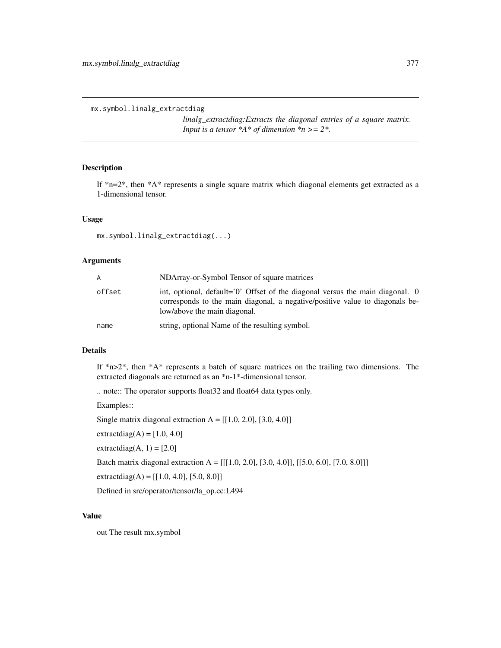mx.symbol.linalg\_extractdiag

*linalg\_extractdiag:Extracts the diagonal entries of a square matrix. Input is a tensor \*A\* of dimension \*n >= 2\*.*

# Description

If \*n=2\*, then \*A\* represents a single square matrix which diagonal elements get extracted as a 1-dimensional tensor.

#### Usage

```
mx.symbol.linalg_extractdiag(...)
```
## Arguments

| A      | NDArray-or-Symbol Tensor of square matrices                                                                                                                                                   |
|--------|-----------------------------------------------------------------------------------------------------------------------------------------------------------------------------------------------|
| offset | int, optional, default='0' Offset of the diagonal versus the main diagonal. 0<br>corresponds to the main diagonal, a negative/positive value to diagonals be-<br>low/above the main diagonal. |
| name   | string, optional Name of the resulting symbol.                                                                                                                                                |

## Details

If  $*n>2$ <sup>\*</sup>, then  $*A*$  represents a batch of square matrices on the trailing two dimensions. The extracted diagonals are returned as an \*n-1\*-dimensional tensor.

.. note:: The operator supports float32 and float64 data types only.

Examples::

Single matrix diagonal extraction  $A = [[1.0, 2.0], [3.0, 4.0]]$ 

extractdiag $(A) = [1.0, 4.0]$ 

extractdiag $(A, 1) = [2.0]$ 

Batch matrix diagonal extraction A = [[[1.0, 2.0], [3.0, 4.0]], [[5.0, 6.0], [7.0, 8.0]]]

extractdiag(A) =  $[[1.0, 4.0], [5.0, 8.0]]$ 

Defined in src/operator/tensor/la\_op.cc:L494

#### Value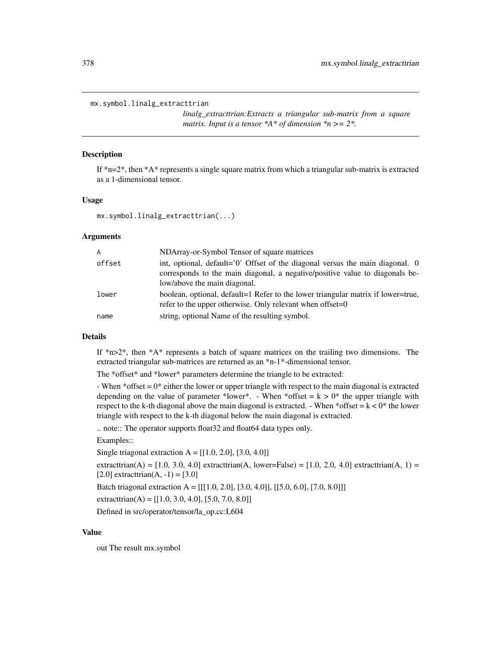#### mx.symbol.linalg\_extracttrian

*linalg\_extracttrian:Extracts a triangular sub-matrix from a square matrix. Input is a tensor \*A\* of dimension \*n >= 2\*.*

## Description

If  $n=2$ <sup>\*</sup>, then  $A^*$  represents a single square matrix from which a triangular sub-matrix is extracted as a 1-dimensional tensor.

#### Usage

```
mx.symbol.linalg_extracttrian(...)
```
## Arguments

| $\mathsf{A}$ | NDArray-or-Symbol Tensor of square matrices                                                                                                                                                     |
|--------------|-------------------------------------------------------------------------------------------------------------------------------------------------------------------------------------------------|
| offset       | int, optional, default= $0'$ Offset of the diagonal versus the main diagonal. 0<br>corresponds to the main diagonal, a negative/positive value to diagonals be-<br>low/above the main diagonal. |
| lower        | boolean, optional, default=1 Refer to the lower triangular matrix if lower=true,<br>refer to the upper otherwise. Only relevant when offset= $0$                                                |
| name         | string, optional Name of the resulting symbol.                                                                                                                                                  |

#### Details

If  $n>2^*$ , then  $*A^*$  represents a batch of square matrices on the trailing two dimensions. The extracted triangular sub-matrices are returned as an \*n-1\*-dimensional tensor.

The \*offset\* and \*lower\* parameters determine the triangle to be extracted:

- When  $*$ offset  $= 0*$  either the lower or upper triangle with respect to the main diagonal is extracted depending on the value of parameter \*lower\*. - When \*offset =  $k > 0$ \* the upper triangle with respect to the k-th diagonal above the main diagonal is extracted. - When \*offset =  $k < 0$ \* the lower triangle with respect to the k-th diagonal below the main diagonal is extracted.

.. note:: The operator supports float32 and float64 data types only.

Examples::

Single triagonal extraction  $A = [[1.0, 2.0], [3.0, 4.0]]$ 

extracttrian(A) =  $[1.0, 3.0, 4.0]$  extracttrian(A, lower=False) =  $[1.0, 2.0, 4.0]$  extracttrian(A, 1) =  $[2.0]$  extracttrian(A, -1) = [3.0]

Batch triagonal extraction A =  $[[[1.0, 2.0], [3.0, 4.0]], [[5.0, 6.0], [7.0, 8.0]]]$ 

extracttrian(A) =  $[[1.0, 3.0, 4.0], [5.0, 7.0, 8.0]]$ 

Defined in src/operator/tensor/la\_op.cc:L604

#### Value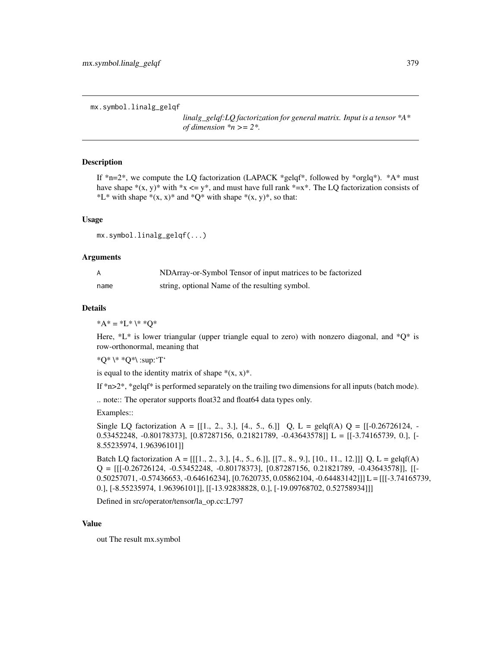mx.symbol.linalg\_gelqf

*linalg\_gelqf:LQ factorization for general matrix. Input is a tensor \*A\* of dimension*  $n \geq 2$ .

# Description

If  $*_{n=2}$ , we compute the LQ factorization (LAPACK  $*_{\text{gelqf*}}$ , followed by  $*_{\text{orglq*}}$ ).  $*A*$  must have shape  $*(x, y)$  with  $*x \leq y^*$ , and must have full rank  $*=x^*$ . The LQ factorization consists of \*L\* with shape  $*(x, x)*$  and  $*Q*$  with shape  $*(x, y)*$ , so that:

## Usage

mx.symbol.linalg\_gelqf(...)

## Arguments

| A    | NDArray-or-Symbol Tensor of input matrices to be factorized |
|------|-------------------------------------------------------------|
| name | string, optional Name of the resulting symbol.              |

#### Details

 $^*A^* = ^*L^* \backslash^* *Q^*$ 

Here,  $*L*$  is lower triangular (upper triangle equal to zero) with nonzero diagonal, and  $*Q*$  is row-orthonormal, meaning that

\*Q\* \\* \*Q\*\ :sup:'T'

is equal to the identity matrix of shape  $*(x, x)^*$ .

If  $*n>2^*$ ,  $*gelff*$  is performed separately on the trailing two dimensions for all inputs (batch mode).

.. note:: The operator supports float32 and float64 data types only.

Examples::

Single LQ factorization A =  $[[1, 2, 3], [4, 5, 6]]$  Q, L =  $gelqf(A)$  Q =  $[[-0.26726124, -1.26726124, -1.26726124, -1.26726124, -1.26726124, -1.26726124, -1.26726124, -1.26726124, -1.26726124, -1.26726124, -1.26726124, -1.26726124, -1.2672$ 0.53452248, -0.80178373], [0.87287156, 0.21821789, -0.43643578]] L = [[-3.74165739, 0.], [- 8.55235974, 1.96396101]]

Batch LQ factorization A =  $[[[1, 2, 3, 1], [4, 5, 6, 1], [[7, 8, 9, 1], [10, 11, 12, 1]]]$  Q, L =  $gelqf(A)$  $Q = [[[-0.26726124, -0.53452248, -0.80178373], [0.87287156, 0.21821789, -0.43643578]], [[-0.87287156, 0.21821789, -0.43643578]],$ 0.50257071, -0.57436653, -0.64616234], [0.7620735, 0.05862104, -0.64483142]]] L = [[[-3.74165739, 0.], [-8.55235974, 1.96396101]], [[-13.92838828, 0.], [-19.09768702, 0.52758934]]]

Defined in src/operator/tensor/la\_op.cc:L797

# Value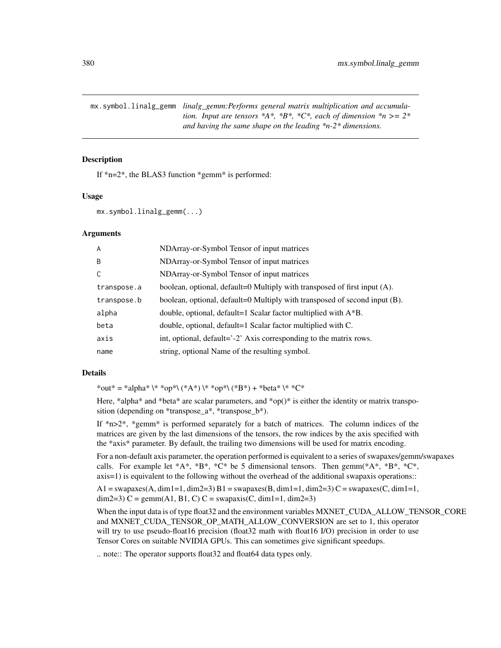mx.symbol.linalg\_gemm *linalg\_gemm:Performs general matrix multiplication and accumulation. Input are tensors \*A\*, \*B\*, \*C\*, each of dimension \*n >= 2\* and having the same shape on the leading \*n-2\* dimensions.*

#### Description

If  $n=2$ <sup>\*</sup>, the BLAS3 function  $*$  gemm $*$  is performed:

#### Usage

```
mx.symbol.linalg_gemm(...)
```
#### Arguments

| A           | NDArray-or-Symbol Tensor of input matrices                                 |
|-------------|----------------------------------------------------------------------------|
| B           | NDArray-or-Symbol Tensor of input matrices                                 |
| C           | NDArray-or-Symbol Tensor of input matrices                                 |
| transpose.a | boolean, optional, default=0 Multiply with transposed of first input (A).  |
| transpose.b | boolean, optional, default=0 Multiply with transposed of second input (B). |
| alpha       | double, optional, default=1 Scalar factor multiplied with $A^*B$ .         |
| beta        | double, optional, default=1 Scalar factor multiplied with C.               |
| axis        | int, optional, default='-2' Axis corresponding to the matrix rows.         |
| name        | string, optional Name of the resulting symbol.                             |

#### Details

\*out\* = \*alpha\* \\* \*op\*\ (\*A\*) \\* \*op\*\ (\*B\*) + \*beta\* \\* \*C\*

Here, \*alpha\* and \*beta\* are scalar parameters, and \*op()\* is either the identity or matrix transposition (depending on \*transpose\_a\*, \*transpose\_b\*).

If \*n>2\*, \*gemm\* is performed separately for a batch of matrices. The column indices of the matrices are given by the last dimensions of the tensors, the row indices by the axis specified with the \*axis\* parameter. By default, the trailing two dimensions will be used for matrix encoding.

For a non-default axis parameter, the operation performed is equivalent to a series of swapaxes/gemm/swapaxes calls. For example let  $*A^*, *B^*, *C^*$  be 5 dimensional tensors. Then gemm( $*A^*, *B^*, *C^*,$ axis=1) is equivalent to the following without the overhead of the additional swapaxis operations::

 $A1 = \text{swapaxes}(A, \text{dim}1=1, \text{dim}2=3) B1 = \text{swapaxes}(B, \text{dim}1=1, \text{dim}2=3) C = \text{swapaxes}(C, \text{dim}1=1,$ dim2=3) C = gemm(A1, B1, C) C = swapaxis(C, dim1=1, dim2=3)

When the input data is of type float 32 and the environment variables MXNET\_CUDA\_ALLOW\_TENSOR\_CORE and MXNET\_CUDA\_TENSOR\_OP\_MATH\_ALLOW\_CONVERSION are set to 1, this operator will try to use pseudo-float16 precision (float32 math with float16 I/O) precision in order to use Tensor Cores on suitable NVIDIA GPUs. This can sometimes give significant speedups.

.. note:: The operator supports float32 and float64 data types only.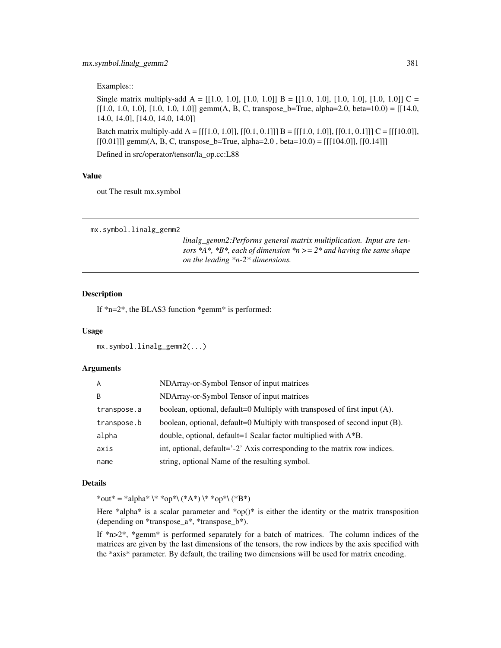Examples::

Single matrix multiply-add  $A = [[1.0, 1.0], [1.0, 1.0]] B = [[1.0, 1.0], [1.0, 1.0], [1.0, 1.0]] C =$  $[[1.0, 1.0, 1.0], [1.0, 1.0, 1.0]]$  gemm(A, B, C, transpose\_b=True, alpha=2.0, beta=10.0) = [[14.0, 14.0, 14.0], [14.0, 14.0, 14.0]]

Batch matrix multiply-add  $A = [[[1.0, 1.0]], [[0.1, 0.1]]) B = [[[1.0, 1.0]], [[0.1, 0.1]]) C = [[[10.0]],$  $[0.01]$ ]] gemm(A, B, C, transpose\_b=True, alpha=2.0, beta=10.0) =  $[[[104.0]]$ ,  $[[0.14]]$ ]

Defined in src/operator/tensor/la\_op.cc:L88

## Value

out The result mx.symbol

```
mx.symbol.linalg_gemm2
```
*linalg\_gemm2:Performs general matrix multiplication. Input are tensors \*A\*, \*B\*, each of dimension \*n >= 2\* and having the same shape on the leading \*n-2\* dimensions.*

#### Description

If  $n=2$ <sup>\*</sup>, the BLAS3 function  $n$ <sup>\*</sup> gemm<sup>\*</sup> is performed:

#### Usage

```
mx.symbol.linalg_gemm2(...)
```
#### Arguments

| A           | NDArray-or-Symbol Tensor of input matrices                                 |
|-------------|----------------------------------------------------------------------------|
| B           | NDArray-or-Symbol Tensor of input matrices                                 |
| transpose.a | boolean, optional, default=0 Multiply with transposed of first input (A).  |
| transpose.b | boolean, optional, default=0 Multiply with transposed of second input (B). |
| alpha       | double, optional, default=1 Scalar factor multiplied with $A^*B$ .         |
| axis        | int, optional, default='-2' Axis corresponding to the matrix row indices.  |
| name        | string, optional Name of the resulting symbol.                             |

## Details

\*out\* = \*alpha\* \\* \*op\*\ (\*A\*) \\* \*op\*\ (\*B\*)

Here \*alpha\* is a scalar parameter and \*op()\* is either the identity or the matrix transposition (depending on \*transpose\_a\*, \*transpose\_b\*).

If \*n>2\*, \*gemm\* is performed separately for a batch of matrices. The column indices of the matrices are given by the last dimensions of the tensors, the row indices by the axis specified with the \*axis\* parameter. By default, the trailing two dimensions will be used for matrix encoding.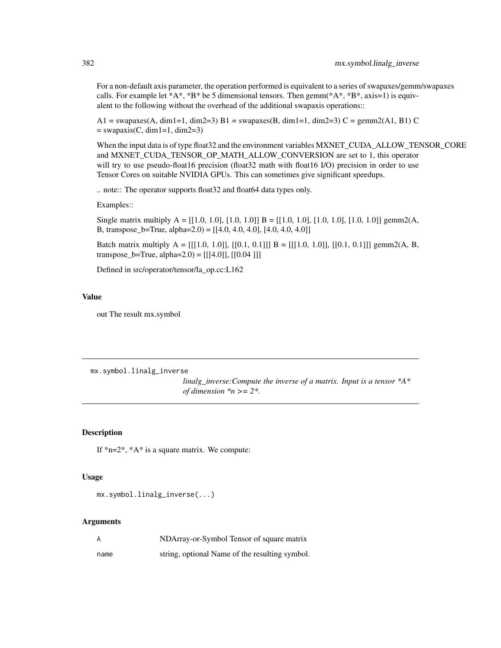For a non-default axis parameter, the operation performed is equivalent to a series of swapaxes/gemm/swapaxes calls. For example let  $^*A^*$ ,  $^*B^*$  be 5 dimensional tensors. Then gemm( $^*A^*$ ,  $^*B^*$ , axis=1) is equivalent to the following without the overhead of the additional swapaxis operations::

 $A1 = \text{swapaxes}(A, \text{dim}1=1, \text{dim}2=3) \ B1 = \text{swapaxes}(B, \text{dim}1=1, \text{dim}2=3) \ C = \text{gem}m2(A1, B1) \ C$  $=$  swapaxis(C, dim1=1, dim2=3)

When the input data is of type float 32 and the environment variables MXNET\_CUDA\_ALLOW\_TENSOR\_CORE and MXNET\_CUDA\_TENSOR\_OP\_MATH\_ALLOW\_CONVERSION are set to 1, this operator will try to use pseudo-float16 precision (float32 math with float16 I/O) precision in order to use Tensor Cores on suitable NVIDIA GPUs. This can sometimes give significant speedups.

.. note:: The operator supports float32 and float64 data types only.

Examples::

Single matrix multiply  $A = [[1.0, 1.0], [1.0, 1.0]] B = [[1.0, 1.0], [1.0, 1.0], [1.0, 1.0]]$  gemm2(A, B, transpose\_b=True, alpha=2.0) = [[4.0, 4.0, 4.0], [4.0, 4.0, 4.0]]

Batch matrix multiply  $A = [[[1.0, 1.0]], [[0.1, 0.1]]) B = [[[1.0, 1.0]], [[0.1, 0.1]])$  gemm2(A, B, transpose\_b=True, alpha=2.0) =  $[[[4.0]], [[0.04]]]$ 

Defined in src/operator/tensor/la\_op.cc:L162

## Value

out The result mx.symbol

mx.symbol.linalg\_inverse

*linalg\_inverse:Compute the inverse of a matrix. Input is a tensor \*A\* of dimension \*n >= 2\*.*

## Description

If  $*n=2^*$ ,  $*A^*$  is a square matrix. We compute:

#### Usage

```
mx.symbol.linalg_inverse(...)
```

| A    | NDArray-or-Symbol Tensor of square matrix      |
|------|------------------------------------------------|
| name | string, optional Name of the resulting symbol. |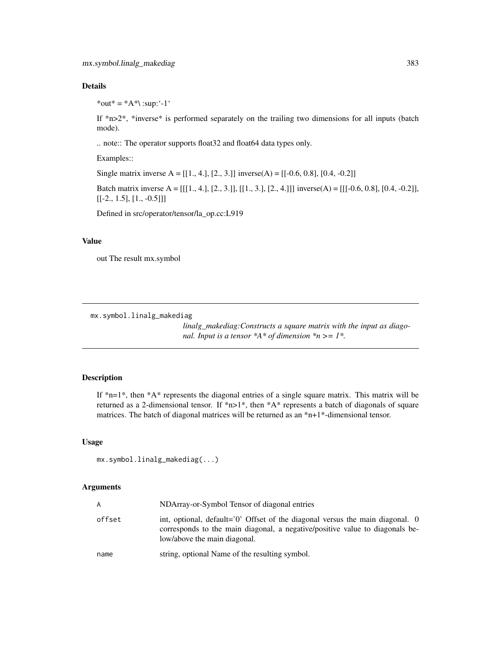\*out\* =  $*A^*$ \:sup:'-1'

If  $*$ n $>$ 2 $*$ ,  $*$ inverse $*$  is performed separately on the trailing two dimensions for all inputs (batch mode).

.. note:: The operator supports float32 and float64 data types only.

Examples::

Single matrix inverse  $A = [[1., 4.], [2., 3.]]$  inverse $(A) = [[-0.6, 0.8], [0.4, -0.2]]$ 

Batch matrix inverse A = [[[1., 4.], [2., 3.]], [[1., 3.], [2., 4.]]] inverse(A) = [[[-0.6, 0.8], [0.4, -0.2]],  $[[-2., 1.5], [1., -0.5]]]$ 

Defined in src/operator/tensor/la\_op.cc:L919

#### Value

out The result mx.symbol

mx.symbol.linalg\_makediag

*linalg\_makediag:Constructs a square matrix with the input as diagonal. Input is a tensor \*A\* of dimension \*n >= 1\*.*

# Description

If  $*_{n=1}$ , then  $*A*$  represents the diagonal entries of a single square matrix. This matrix will be returned as a 2-dimensional tensor. If \*n>1\*, then \*A\* represents a batch of diagonals of square matrices. The batch of diagonal matrices will be returned as an \*n+1\*-dimensional tensor.

#### Usage

mx.symbol.linalg\_makediag(...)

| A      | NDArray-or-Symbol Tensor of diagonal entries                                                                                                                                                  |
|--------|-----------------------------------------------------------------------------------------------------------------------------------------------------------------------------------------------|
| offset | int, optional, default='0' Offset of the diagonal versus the main diagonal. 0<br>corresponds to the main diagonal, a negative/positive value to diagonals be-<br>low/above the main diagonal. |
| name   | string, optional Name of the resulting symbol.                                                                                                                                                |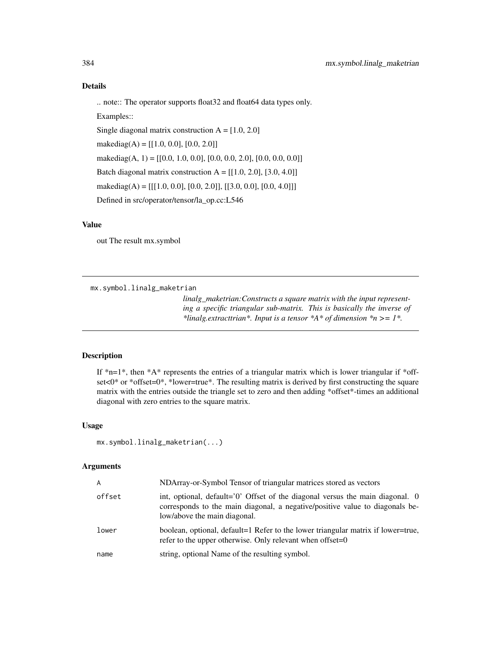.. note:: The operator supports float32 and float64 data types only.

Examples::

Single diagonal matrix construction  $A = [1.0, 2.0]$ 

makediag(A) =  $[[1.0, 0.0], [0.0, 2.0]]$ 

makediag(A, 1) = [[0.0, 1.0, 0.0], [0.0, 0.0, 2.0], [0.0, 0.0, 0.0]]

Batch diagonal matrix construction  $A = [[1.0, 2.0], [3.0, 4.0]]$ 

makediag(A) =  $[[[1.0, 0.0], [0.0, 2.0]], [[3.0, 0.0], [0.0, 4.0]]]$ 

Defined in src/operator/tensor/la\_op.cc:L546

#### Value

out The result mx.symbol

mx.symbol.linalg\_maketrian

*linalg\_maketrian:Constructs a square matrix with the input representing a specific triangular sub-matrix. This is basically the inverse of \*linalg.extracttrian\*. Input is a tensor \*A\* of dimension \*n >= 1\*.*

## Description

If  $*_{n=1*}$ , then  $*A*$  represents the entries of a triangular matrix which is lower triangular if  $*$ offset<0\* or \*offset=0\*, \*lower=true\*. The resulting matrix is derived by first constructing the square matrix with the entries outside the triangle set to zero and then adding \*offset\*-times an additional diagonal with zero entries to the square matrix.

#### Usage

```
mx.symbol.linalg_maketrian(...)
```

| A      | NDArray-or-Symbol Tensor of triangular matrices stored as vectors                                                                                                                             |
|--------|-----------------------------------------------------------------------------------------------------------------------------------------------------------------------------------------------|
| offset | int, optional, default='0' Offset of the diagonal versus the main diagonal. 0<br>corresponds to the main diagonal, a negative/positive value to diagonals be-<br>low/above the main diagonal. |
| lower  | boolean, optional, default=1 Refer to the lower triangular matrix if lower=true,<br>refer to the upper otherwise. Only relevant when offset= $0$                                              |
| name   | string, optional Name of the resulting symbol.                                                                                                                                                |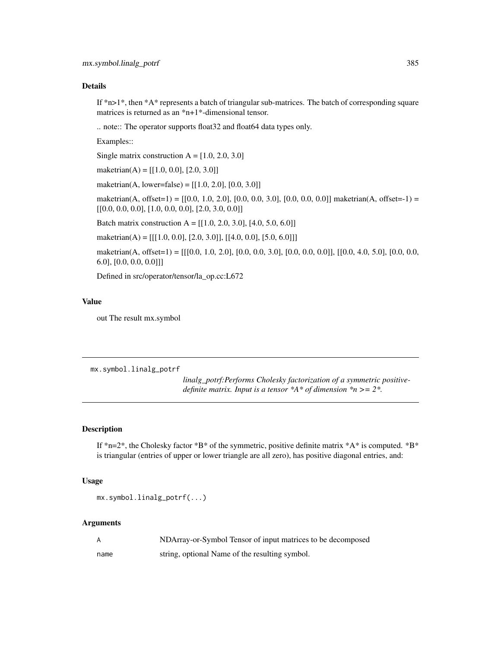If  $*n>1*$ , then  $*A*$  represents a batch of triangular sub-matrices. The batch of corresponding square matrices is returned as an \*n+1\*-dimensional tensor.

.. note:: The operator supports float32 and float64 data types only.

Examples::

Single matrix construction  $A = [1.0, 2.0, 3.0]$ 

maketrian(A) =  $[[1.0, 0.0], [2.0, 3.0]]$ 

maketrian(A, lower=false) =  $[[1.0, 2.0], [0.0, 3.0]]$ 

maketrian(A, offset=1) =  $[(0.0, 1.0, 2.0], [0.0, 0.0, 3.0], [0.0, 0.0, 0.0]]$  maketrian(A, offset=-1) =  $[ [ 0.0, 0.0, 0.0], [ 1.0, 0.0, 0.0], [ 2.0, 3.0, 0.0] ]$ 

Batch matrix construction A =  $[[1.0, 2.0, 3.0], [4.0, 5.0, 6.0]]$ 

maketrian(A) =  $[[[1.0, 0.0], [2.0, 3.0]], [[4.0, 0.0], [5.0, 6.0]])$ 

maketrian(A, offset=1) = [[[0.0, 1.0, 2.0], [0.0, 0.0, 3.0], [0.0, 0.0, 0.0]], [[0.0, 4.0, 5.0], [0.0, 0.0, 6.0], [0.0, 0.0, 0.0]]]

Defined in src/operator/tensor/la\_op.cc:L672

## Value

out The result mx.symbol

mx.symbol.linalg\_potrf

*linalg\_potrf:Performs Cholesky factorization of a symmetric positivedefinite matrix. Input is a tensor \*A\* of dimension \*n >= 2\*.*

# Description

If  $*n=2^*$ , the Cholesky factor  $*B^*$  of the symmetric, positive definite matrix  $*A^*$  is computed.  $*B^*$ is triangular (entries of upper or lower triangle are all zero), has positive diagonal entries, and:

#### Usage

mx.symbol.linalg\_potrf(...)

|      | NDArray-or-Symbol Tensor of input matrices to be decomposed |
|------|-------------------------------------------------------------|
| name | string, optional Name of the resulting symbol.              |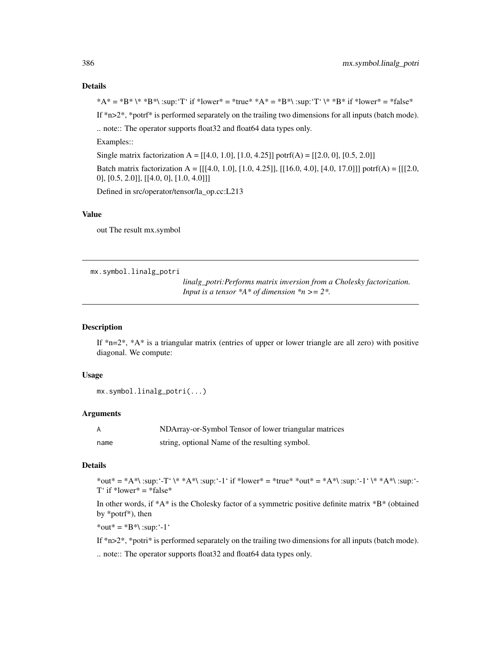\*A\* = \*B\* \\* \*B\*\ :sup:'T' if \*lower\* = \*true\* \*A\* = \*B\*\ :sup:'T' \\* \*B\* if \*lower\* = \*false\* If \*n>2\*, \*potrf\* is performed separately on the trailing two dimensions for all inputs (batch mode). .. note:: The operator supports float32 and float64 data types only. Examples:: Single matrix factorization A =  $[[4.0, 1.0], [1.0, 4.25]]$  potrf(A) =  $[[2.0, 0], [0.5, 2.0]]$ Batch matrix factorization  $A = [[[4.0, 1.0], [1.0, 4.25]], [[16.0, 4.0], [4.0, 17.0]])$  potrf(A) = [[[2.0, 0], [0.5, 2.0]], [[4.0, 0], [1.0, 4.0]]]

Defined in src/operator/tensor/la\_op.cc:L213

# Value

out The result mx.symbol

mx.symbol.linalg\_potri

*linalg\_potri:Performs matrix inversion from a Cholesky factorization. Input is a tensor \*A\* of dimension \*n >= 2\*.*

#### Description

If  $n=2^*$ ,  $A^*$  is a triangular matrix (entries of upper or lower triangle are all zero) with positive diagonal. We compute:

#### Usage

```
mx.symbol.linalg_potri(...)
```
# Arguments

|      | NDArray-or-Symbol Tensor of lower triangular matrices |
|------|-------------------------------------------------------|
| name | string, optional Name of the resulting symbol.        |

## Details

\*out\* = \*A\*\ :sup:'-T' \\* \*A\*\ :sup:'-1' if \*lower\* = \*true\* \*out\* = \*A\*\ :sup:'-1' \\* \*A\*\ :sup:'- $T'$  if \*lower\* = \*false\*

In other words, if \*A\* is the Cholesky factor of a symmetric positive definite matrix \*B\* (obtained by \*potrf\*), then

\*out\* =  $*B^*$  :sup: '-1'

If  $*n>2$ <sup>\*</sup>, \*potri\* is performed separately on the trailing two dimensions for all inputs (batch mode).

.. note:: The operator supports float32 and float64 data types only.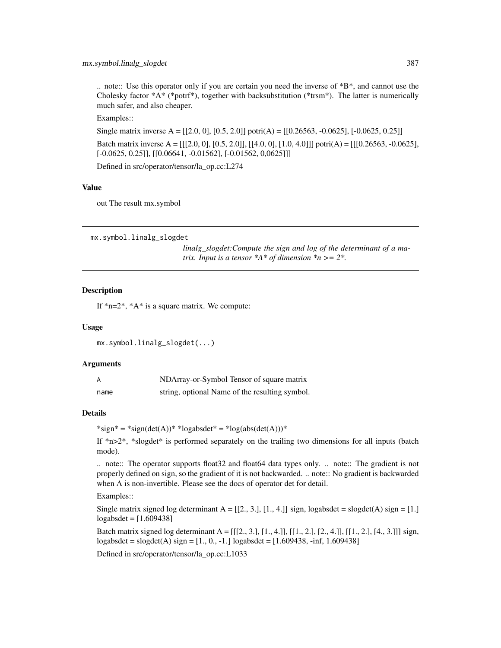.. note:: Use this operator only if you are certain you need the inverse of  $B^*B^*$ , and cannot use the Cholesky factor  $^*A^*$  ( $^*$ potrf $^*$ ), together with backsubstitution ( $^*$ trsm $^*$ ). The latter is numerically much safer, and also cheaper.

Examples::

Single matrix inverse A =  $[[2.0, 0], [0.5, 2.0]]$  potri $(A)$  =  $[[0.26563, -0.0625], [-0.0625, 0.25]]$ Batch matrix inverse A =  $[[[2.0, 0], [0.5, 2.0]], [[4.0, 0], [1.0, 4.0]]]$  potri $(A) = [[[0.26563, -0.0625],$ [-0.0625, 0.25]], [[0.06641, -0.01562], [-0.01562, 0,0625]]]

Defined in src/operator/tensor/la\_op.cc:L274

#### Value

out The result mx.symbol

mx.symbol.linalg\_slogdet

*linalg\_slogdet:Compute the sign and log of the determinant of a matrix. Input is a tensor \*A\* of dimension \*n >= 2\*.*

## **Description**

If \*n=2\*, \*A\* is a square matrix. We compute:

## Usage

```
mx.symbol.linalg_slogdet(...)
```
## Arguments

| A    | NDArray-or-Symbol Tensor of square matrix      |
|------|------------------------------------------------|
| name | string, optional Name of the resulting symbol. |

## Details

 $*sign* = *sign(det(A)) * *logabsdet* = *log(abs(det(A))) *$ 

If  $*n>2*$ ,  $*slogdet*$  is performed separately on the trailing two dimensions for all inputs (batch mode).

.. note:: The operator supports float32 and float64 data types only. .. note:: The gradient is not properly defined on sign, so the gradient of it is not backwarded. .. note:: No gradient is backwarded when A is non-invertible. Please see the docs of operator det for detail.

Examples::

Single matrix signed log determinant  $A = [[2, 3, 1], [1, 4, 1]]$  sign, logabsdet = slogdet(A) sign = [1.] logabsdet = [1.609438]

Batch matrix signed log determinant  $A = [[2, 3, 1], [1, 4, 1], [[1, 2, 1], [2, 4, 1], [[1, 2, 1], [4, 3, 1]]$  sign, logabsdet = slogdet(A) sign =  $[1, 0, -1]$  logabsdet =  $[1.609438, -\text{inf}, 1.609438]$ 

Defined in src/operator/tensor/la\_op.cc:L1033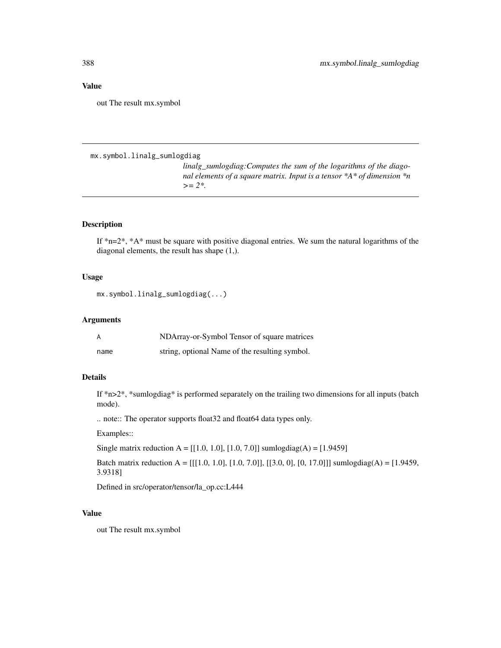out The result mx.symbol

mx.symbol.linalg\_sumlogdiag

*linalg\_sumlogdiag:Computes the sum of the logarithms of the diagonal elements of a square matrix. Input is a tensor \*A\* of dimension \*n >= 2\*.*

## Description

If  $n=2^*$ ,  $A*$  must be square with positive diagonal entries. We sum the natural logarithms of the diagonal elements, the result has shape (1,).

## Usage

mx.symbol.linalg\_sumlogdiag(...)

# Arguments

| А    | NDArray-or-Symbol Tensor of square matrices    |
|------|------------------------------------------------|
| name | string, optional Name of the resulting symbol. |

## Details

If \*n>2\*, \*sumlogdiag\* is performed separately on the trailing two dimensions for all inputs (batch mode).

.. note:: The operator supports float32 and float64 data types only.

Examples::

Single matrix reduction A =  $[[1.0, 1.0], [1.0, 7.0]]$  sumlogdiag(A) =  $[1.9459]$ 

Batch matrix reduction A =  $[[[1.0, 1.0], [1.0, 7.0]], [[3.0, 0], [0, 17.0]])$  sumlogdiag(A) =  $[1.9459,$ 3.9318]

Defined in src/operator/tensor/la\_op.cc:L444

## Value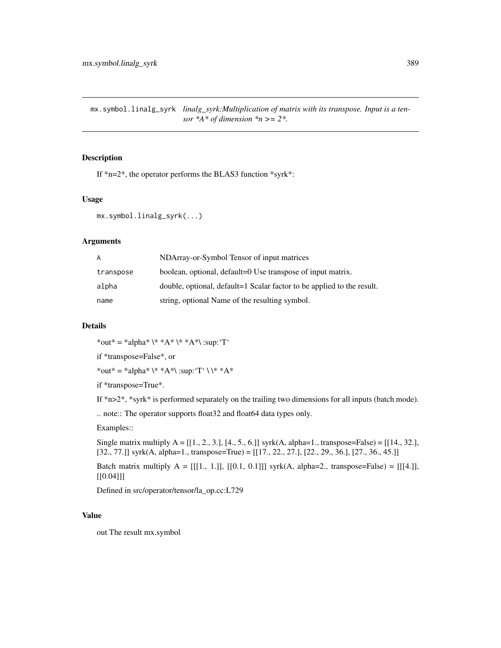mx.symbol.linalg\_syrk *linalg\_syrk:Multiplication of matrix with its transpose. Input is a tensor*  $*A*$  *of dimension*  $*n \geq 2*.$ 

# Description

If \*n=2\*, the operator performs the BLAS3 function \*syrk\*:

## Usage

mx.symbol.linalg\_syrk(...)

## Arguments

| A         | NDArray-or-Symbol Tensor of input matrices                             |
|-----------|------------------------------------------------------------------------|
| transpose | boolean, optional, default=0 Use transpose of input matrix.            |
| alpha     | double, optional, default=1 Scalar factor to be applied to the result. |
| name      | string, optional Name of the resulting symbol.                         |

## Details

\*out\* = \*alpha\* \\* \*A\* \\* \*A\*\ :sup:'T'

if \*transpose=False\*, or

\*out\* = \*alpha\* \\* \*A\*\ :sup: 'T' \ \\* \*A\*

if \*transpose=True\*.

If \*n>2\*, \*syrk\* is performed separately on the trailing two dimensions for all inputs (batch mode).

.. note:: The operator supports float32 and float64 data types only.

Examples::

Single matrix multiply A = [[1., 2., 3.], [4., 5., 6.]] syrk(A, alpha=1., transpose=False) = [[14., 32.], [32., 77.]] syrk(A, alpha=1., transpose=True) = [[17., 22., 27.], [22., 29., 36.], [27., 36., 45.]]

Batch matrix multiply  $A = [[1., 1.]], [[0.1, 0.1]])$  syrk $(A, alpha=2., transpose=False) = [[[4.]],$ [[0.04]]]

Defined in src/operator/tensor/la\_op.cc:L729

#### Value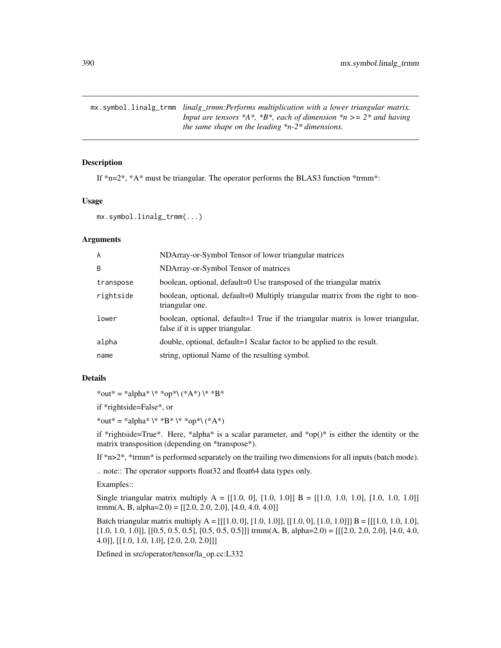mx.symbol.linalg\_trmm *linalg\_trmm:Performs multiplication with a lower triangular matrix. Input are tensors \*A\*, \*B\*, each of dimension \*n >= 2\* and having the same shape on the leading \*n-2\* dimensions.*

# Description

If  $n=2^*$ ,  $*A^*$  must be triangular. The operator performs the BLAS3 function  $*$ trmm $*$ :

## Usage

```
mx.symbol.linalg_trmm(...)
```
## Arguments

| A         | NDArray-or-Symbol Tensor of lower triangular matrices                                                               |
|-----------|---------------------------------------------------------------------------------------------------------------------|
| B         | NDArray-or-Symbol Tensor of matrices                                                                                |
| transpose | boolean, optional, default=0 Use transposed of the triangular matrix                                                |
| rightside | boolean, optional, default=0 Multiply triangular matrix from the right to non-<br>triangular one.                   |
| lower     | boolean, optional, default=1 True if the triangular matrix is lower triangular,<br>false if it is upper triangular. |
| alpha     | double, optional, default=1 Scalar factor to be applied to the result.                                              |
| name      | string, optional Name of the resulting symbol.                                                                      |

# Details

\*out\* = \*alpha\* \\* \*op\*\ (\*A\*) \\* \*B\*

if \*rightside=False\*, or

\*out\* = \*alpha\* \\* \*B\* \\* \*op\*\ (\*A\*)

if \*rightside=True\*. Here, \*alpha\* is a scalar parameter, and \*op()\* is either the identity or the matrix transposition (depending on \*transpose\*).

If \*n>2\*, \*trmm\* is performed separately on the trailing two dimensions for all inputs (batch mode).

.. note:: The operator supports float32 and float64 data types only.

Examples::

Single triangular matrix multiply  $A = [[1.0, 0], [1.0, 1.0]] B = [[1.0, 1.0, 1.0], [1.0, 1.0], 1.0]$ trmm(A, B, alpha=2.0) =  $[[2.0, 2.0, 2.0], [4.0, 4.0, 4.0]]$ 

Batch triangular matrix multiply  $A = [[[1.0, 0], [1.0, 1.0]], [[1.0, 0], [1.0, 1.0]])]$   $B = [[[1.0, 1.0, 1.0],$ [1.0, 1.0, 1.0]], [[0.5, 0.5, 0.5], [0.5, 0.5, 0.5]]] trmm(A, B, alpha=2.0) = [[[2.0, 2.0, 2.0], [4.0, 4.0, 4.0]], [[1.0, 1.0, 1.0], [2.0, 2.0, 2.0]]]

Defined in src/operator/tensor/la\_op.cc:L332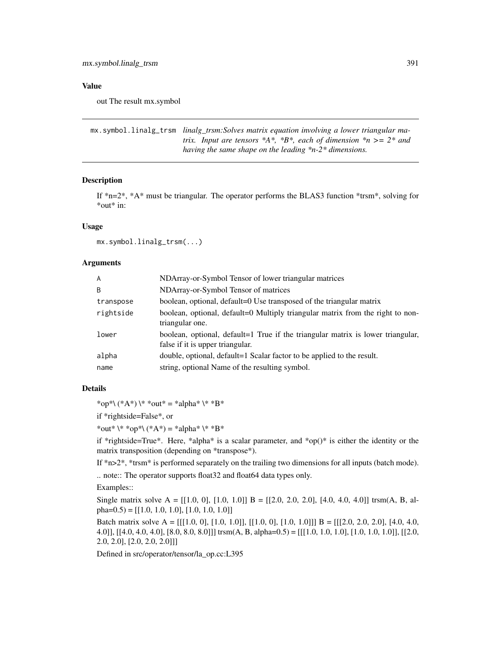out The result mx.symbol

```
mx.symbol.linalg_trsm linalg_trsm:Solves matrix equation involving a lower triangular ma-
                          trix. Input are tensors *A*, *B*, each of dimension *n >= 2* and
                          having the same shape on the leading *n-2* dimensions.
```
# Description

If  $n=2^*$ ,  $A^*$  must be triangular. The operator performs the BLAS3 function  $*$ trsm $*$ , solving for \*out\* in:

## Usage

mx.symbol.linalg\_trsm(...)

## Arguments

| A         | NDArray-or-Symbol Tensor of lower triangular matrices                                                               |
|-----------|---------------------------------------------------------------------------------------------------------------------|
| B         | NDArray-or-Symbol Tensor of matrices                                                                                |
| transpose | boolean, optional, default=0 Use transposed of the triangular matrix                                                |
| rightside | boolean, optional, default=0 Multiply triangular matrix from the right to non-<br>triangular one.                   |
| lower     | boolean, optional, default=1 True if the triangular matrix is lower triangular,<br>false if it is upper triangular. |
| alpha     | double, optional, default=1 Scalar factor to be applied to the result.                                              |
| name      | string, optional Name of the resulting symbol.                                                                      |

#### Details

\*op\*\  $(*A^*) \$  \* \*out\* = \*alpha\* \\* \*B\*

if \*rightside=False\*, or

\*out\*  $\\*$  \*op\*\ (\*A\*) = \*alpha\* \\* \*B\*

if \*rightside=True\*. Here, \*alpha\* is a scalar parameter, and \*op()\* is either the identity or the matrix transposition (depending on \*transpose\*).

If \*n>2\*, \*trsm\* is performed separately on the trailing two dimensions for all inputs (batch mode).

.. note:: The operator supports float32 and float64 data types only.

Examples::

Single matrix solve A =  $[[1.0, 0], [1.0, 1.0]]$  B =  $[[2.0, 2.0, 2.0], [4.0, 4.0, 4.0]]$  trsm(A, B, alpha= $(0.5)$  = [[1.0, 1.0, 1.0]], [1.0, 1.0, 1.0]]

Batch matrix solve A =  $[[[1.0, 0], [1.0, 1.0]], [[1.0, 0], [1.0, 1.0]]]$  B =  $[[[2.0, 2.0, 2.0], [4.0, 4.0, 4.0],]$ 4.0]], [[4.0, 4.0, 4.0], [8.0, 8.0, 8.0]]] trsm(A, B, alpha=0.5) = [[[1.0, 1.0, 1.0], [1.0, 1.0, 1.0]], [[2.0, 2.0, 2.0], [2.0, 2.0, 2.0]]]

Defined in src/operator/tensor/la\_op.cc:L395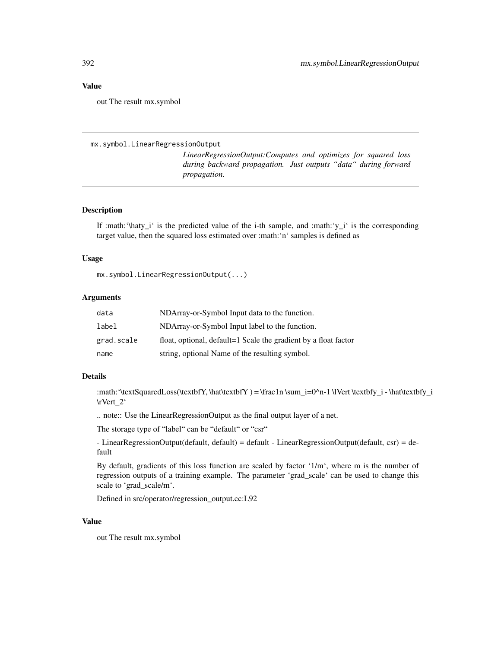out The result mx.symbol

#### mx.symbol.LinearRegressionOutput

*LinearRegressionOutput:Computes and optimizes for squared loss during backward propagation. Just outputs "data" during forward propagation.*

### Description

If :math:' $\hat{\text{Maty}_i}$ ' is the predicted value of the i-th sample, and :math:' $\text{y}_i$ ' is the corresponding target value, then the squared loss estimated over :math:'n' samples is defined as

#### Usage

```
mx.symbol.LinearRegressionOutput(...)
```
#### Arguments

| data       | NDArray-or-Symbol Input data to the function.                   |
|------------|-----------------------------------------------------------------|
| label      | NDArray-or-Symbol Input label to the function.                  |
| grad.scale | float, optional, default=1 Scale the gradient by a float factor |
| name       | string, optional Name of the resulting symbol.                  |

#### Details

:math:'\textSquaredLoss(\textbfY, \hat\textbfY ) = \frac1n \sum\_i=0^n-1 \lVert \textbfy\_i - \hat\textbfy\_i \rVert\_2'

.. note:: Use the LinearRegressionOutput as the final output layer of a net.

The storage type of "label" can be "default" or "csr"

- LinearRegressionOutput(default, default) = default - LinearRegressionOutput(default, csr) = default

By default, gradients of this loss function are scaled by factor '1/m', where m is the number of regression outputs of a training example. The parameter 'grad\_scale' can be used to change this scale to 'grad\_scale/m'.

Defined in src/operator/regression\_output.cc:L92

# Value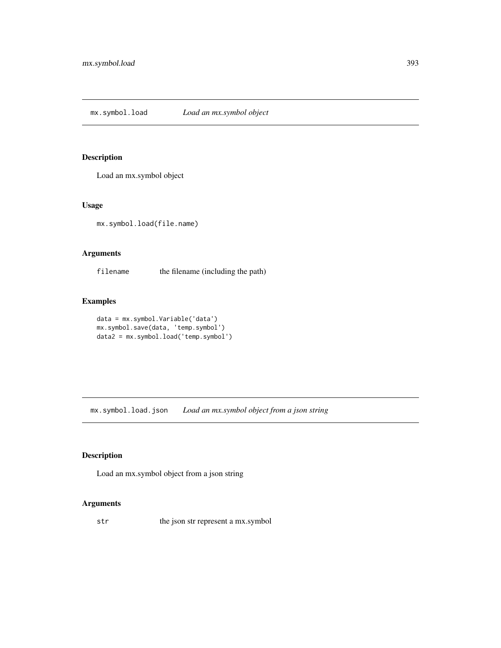# Description

Load an mx.symbol object

# Usage

mx.symbol.load(file.name)

## Arguments

filename the filename (including the path)

# Examples

```
data = mx.symbol.Variable('data')
mx.symbol.save(data, 'temp.symbol')
data2 = mx.symbol.load('temp.symbol')
```
mx.symbol.load.json *Load an mx.symbol object from a json string*

# Description

Load an mx.symbol object from a json string

## Arguments

str the json str represent a mx.symbol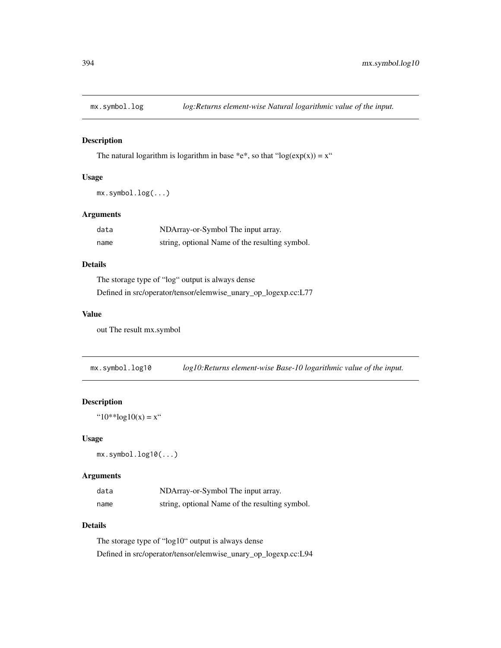# Description

The natural logarithm is logarithm in base \*e\*, so that "log( $exp(x)$ ) = x"

## Usage

```
mx.symbol.log(...)
```
# Arguments

| data | NDArray-or-Symbol The input array.             |
|------|------------------------------------------------|
| name | string, optional Name of the resulting symbol. |

## Details

The storage type of "log" output is always dense Defined in src/operator/tensor/elemwise\_unary\_op\_logexp.cc:L77

## Value

out The result mx.symbol

mx.symbol.log10 *log10:Returns element-wise Base-10 logarithmic value of the input.*

# Description

" $10^{**}$ log $10(x) = x$ "

#### Usage

mx.symbol.log10(...)

#### Arguments

| data | NDArray-or-Symbol The input array.             |
|------|------------------------------------------------|
| name | string, optional Name of the resulting symbol. |

## Details

The storage type of "log10" output is always dense Defined in src/operator/tensor/elemwise\_unary\_op\_logexp.cc:L94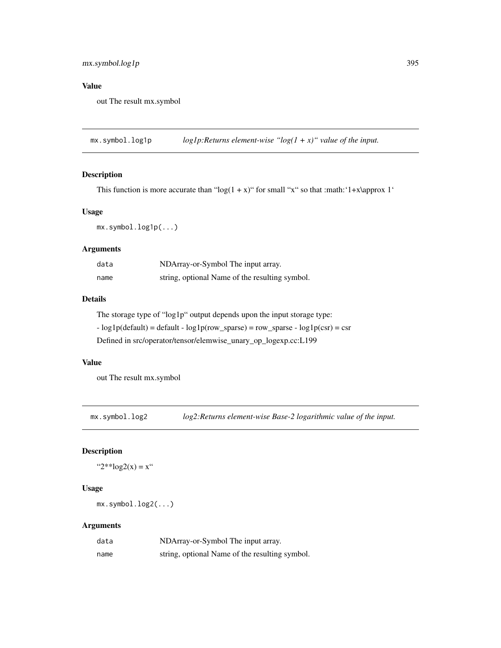# mx.symbol.log1p 395

# Value

out The result mx.symbol

 $mx$ . symbol. log1p  $loglp$ : *Returns element-wise* " $log(1 + x)$ " value of the input.

# Description

This function is more accurate than " $log(1 + x)$ " for small "x" so that :math: '1+x\approx 1'

# Usage

mx.symbol.log1p(...)

## Arguments

| data | NDArray-or-Symbol The input array.             |
|------|------------------------------------------------|
| name | string, optional Name of the resulting symbol. |

# Details

The storage type of "log1p" output depends upon the input storage type:

 $-$  log1p(default) = default  $-$  log1p(row\_sparse) = row\_sparse  $-$  log1p(csr) = csr

Defined in src/operator/tensor/elemwise\_unary\_op\_logexp.cc:L199

## Value

out The result mx.symbol

mx.symbol.log2 *log2:Returns element-wise Base-2 logarithmic value of the input.*

# Description

" $2**\log 2(x) = x$ "

#### Usage

mx.symbol.log2(...)

| data | NDArray-or-Symbol The input array.             |
|------|------------------------------------------------|
| name | string, optional Name of the resulting symbol. |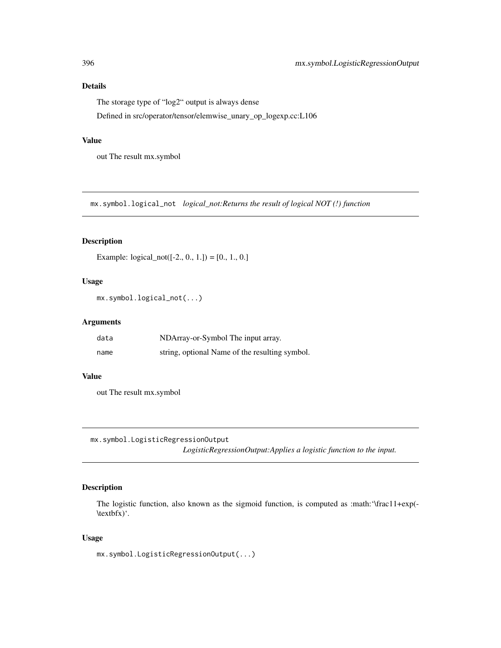The storage type of "log2" output is always dense

Defined in src/operator/tensor/elemwise\_unary\_op\_logexp.cc:L106

## Value

out The result mx.symbol

mx.symbol.logical\_not *logical\_not:Returns the result of logical NOT (!) function*

## Description

Example:  $logical\_not([-2., 0., 1.]) = [0., 1., 0.]$ 

# Usage

mx.symbol.logical\_not(...)

#### Arguments

| data | NDArray-or-Symbol The input array.             |
|------|------------------------------------------------|
| name | string, optional Name of the resulting symbol. |

## Value

out The result mx.symbol

mx.symbol.LogisticRegressionOutput

*LogisticRegressionOutput:Applies a logistic function to the input.*

# Description

The logistic function, also known as the sigmoid function, is computed as :math:'\frac11+exp(- \textbfx)'.

## Usage

mx.symbol.LogisticRegressionOutput(...)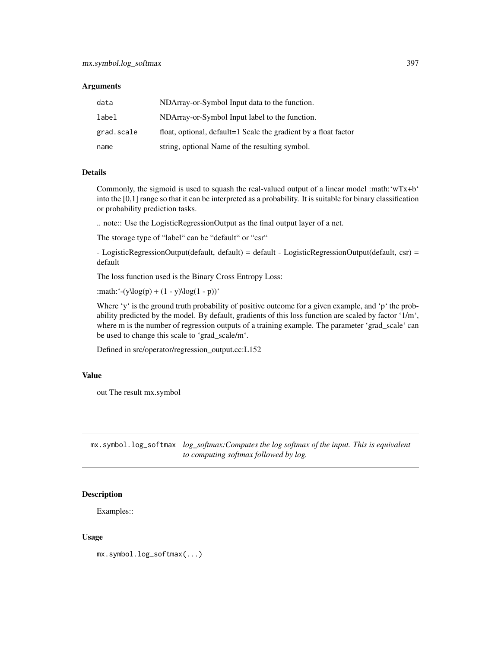| data       | NDArray-or-Symbol Input data to the function.                   |
|------------|-----------------------------------------------------------------|
| label      | NDArray-or-Symbol Input label to the function.                  |
| grad.scale | float, optional, default=1 Scale the gradient by a float factor |
| name       | string, optional Name of the resulting symbol.                  |

#### Details

Commonly, the sigmoid is used to squash the real-valued output of a linear model :math:'wTx+b' into the [0,1] range so that it can be interpreted as a probability. It is suitable for binary classification or probability prediction tasks.

.. note:: Use the LogisticRegressionOutput as the final output layer of a net.

The storage type of "label" can be "default" or "csr"

- LogisticRegressionOutput(default, default) = default - LogisticRegressionOutput(default, csr) = default

The loss function used is the Binary Cross Entropy Loss:

:math:'-(y\log(p) +  $(1 - y)\log(1 - p)$ )'

Where 'y' is the ground truth probability of positive outcome for a given example, and 'p' the probability predicted by the model. By default, gradients of this loss function are scaled by factor '1/m', where m is the number of regression outputs of a training example. The parameter 'grad\_scale' can be used to change this scale to 'grad\_scale/m'.

Defined in src/operator/regression\_output.cc:L152

#### Value

out The result mx.symbol

mx.symbol.log\_softmax *log\_softmax:Computes the log softmax of the input. This is equivalent to computing softmax followed by log.*

#### Description

Examples::

#### Usage

mx.symbol.log\_softmax(...)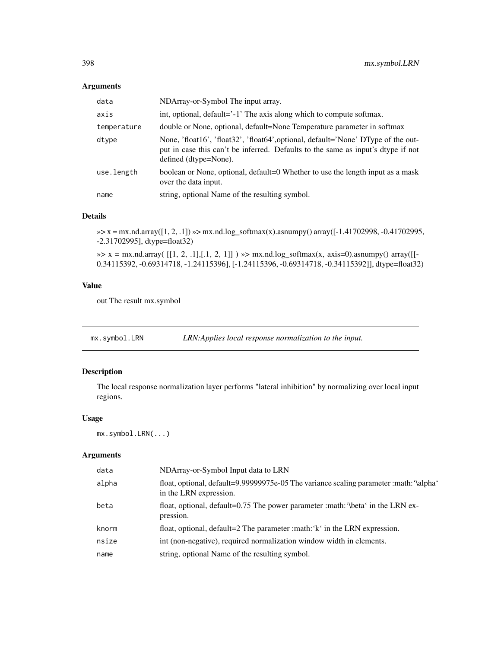| data        | NDArray-or-Symbol The input array.                                                                                                                                                             |
|-------------|------------------------------------------------------------------------------------------------------------------------------------------------------------------------------------------------|
| axis        | int, optional, default='-1' The axis along which to compute softmax.                                                                                                                           |
| temperature | double or None, optional, default=None Temperature parameter in softmax                                                                                                                        |
| dtype       | None, 'float16', 'float32', 'float64', optional, default='None' DType of the out-<br>put in case this can't be inferred. Defaults to the same as input's dtype if not<br>defined (dtype=None). |
| use.length  | boolean or None, optional, default=0 Whether to use the length input as a mask<br>over the data input.                                                                                         |
| name        | string, optional Name of the resulting symbol.                                                                                                                                                 |

## Details

»> x = mx.nd.array([1, 2, .1]) »> mx.nd.log\_softmax(x).asnumpy() array([-1.41702998, -0.41702995, -2.31702995], dtype=float32)

 $\gg$  x = mx.nd.array( [[1, 2, .1],[.1, 2, 1]] )  $\gg$  mx.nd.log\_softmax(x, axis=0).asnumpy() array([[-0.34115392, -0.69314718, -1.24115396], [-1.24115396, -0.69314718, -0.34115392]], dtype=float32)

## Value

out The result mx.symbol

mx.symbol.LRN *LRN:Applies local response normalization to the input.* 

## Description

The local response normalization layer performs "lateral inhibition" by normalizing over local input regions.

## Usage

mx.symbol.LRN(...)

| data  | NDArray-or-Symbol Input data to LRN                                                                              |
|-------|------------------------------------------------------------------------------------------------------------------|
| alpha | float, optional, default=9.99999975e-05 The variance scaling parameter :math: '\alpha'<br>in the LRN expression. |
| beta  | float, optional, default=0.75 The power parameter : math: '\beta' in the LRN ex-<br>pression.                    |
| knorm | float, optional, default=2 The parameter :math: 'k' in the LRN expression.                                       |
| nsize | int (non-negative), required normalization window width in elements.                                             |
| name  | string, optional Name of the resulting symbol.                                                                   |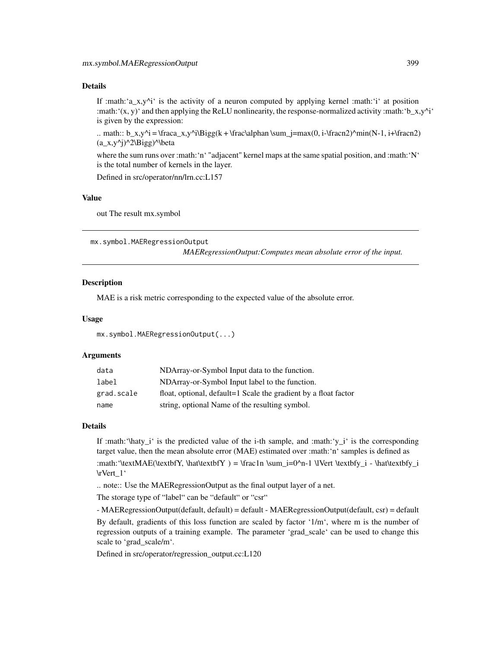If :math:'a  $x,y'^i$  is the activity of a neuron computed by applying kernel :math:'i' at position :math: $'(x, y)'$  and then applying the ReLU nonlinearity, the response-normalized activity :math: $'b_x, y'^i'$ is given by the expression:

.. math::  $b_x, y^i = \frac{x,y^i\Big|_{\frac{y}{k + \frac{\alpha}{\beta}}}{\frac{y}{k + \frac{\alpha}{\beta}}}}$  = max(0, i-\fracn2)^min(N-1, i+\fracn2)  $(a_x,y^i)^2\Big\{ \begin{array}{c} a \to b \end{array} \Big\}$ 

where the sum runs over :math: 'n<sup>4</sup> "adjacent" kernel maps at the same spatial position, and :math: 'N<sup>4</sup> is the total number of kernels in the layer.

Defined in src/operator/nn/lrn.cc:L157

## Value

out The result mx.symbol

mx.symbol.MAERegressionOutput *MAERegressionOutput:Computes mean absolute error of the input.*

#### Description

MAE is a risk metric corresponding to the expected value of the absolute error.

#### Usage

```
mx.symbol.MAERegressionOutput(...)
```
#### Arguments

| data       | NDArray-or-Symbol Input data to the function.                   |
|------------|-----------------------------------------------------------------|
| label      | NDArray-or-Symbol Input label to the function.                  |
| grad.scale | float, optional, default=1 Scale the gradient by a float factor |
| name       | string, optional Name of the resulting symbol.                  |

#### Details

If :math:'\haty\_i' is the predicted value of the i-th sample, and :math:'y\_i' is the corresponding target value, then the mean absolute error (MAE) estimated over :math:'n' samples is defined as :math:'\textMAE(\textbfY, \hat\textbfY) = \frac1n \sum\_i=0^n-1 \lVert \textbfy\_i - \hat\textbfy\_i \rVert\_1'

.. note:: Use the MAERegressionOutput as the final output layer of a net.

The storage type of "label" can be "default" or "csr"

- MAERegressionOutput(default, default) = default - MAERegressionOutput(default, csr) = default By default, gradients of this loss function are scaled by factor '1/m', where m is the number of regression outputs of a training example. The parameter 'grad\_scale' can be used to change this scale to 'grad\_scale/m'.

Defined in src/operator/regression\_output.cc:L120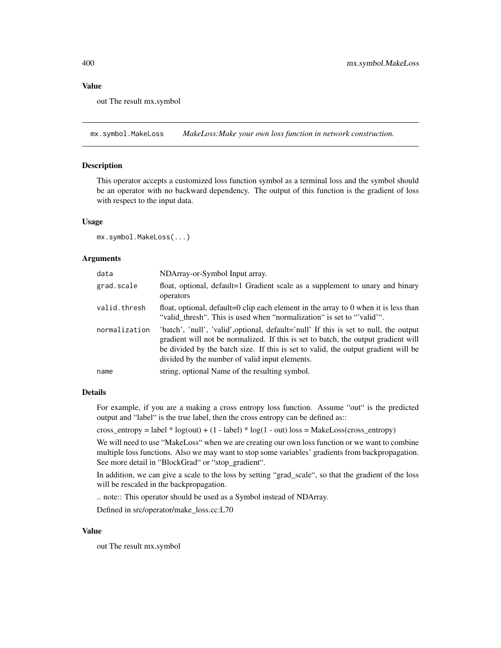#### Value

out The result mx.symbol

mx.symbol.MakeLoss *MakeLoss:Make your own loss function in network construction.*

#### Description

This operator accepts a customized loss function symbol as a terminal loss and the symbol should be an operator with no backward dependency. The output of this function is the gradient of loss with respect to the input data.

#### Usage

mx.symbol.MakeLoss(...)

#### **Arguments**

| data          | NDArray-or-Symbol Input array.                                                                                                                                                                                                                                                                                      |
|---------------|---------------------------------------------------------------------------------------------------------------------------------------------------------------------------------------------------------------------------------------------------------------------------------------------------------------------|
| grad.scale    | float, optional, default=1 Gradient scale as a supplement to unary and binary<br>operators                                                                                                                                                                                                                          |
| valid.thresh  | float, optional, default=0 clip each element in the array to $0$ when it is less than<br>"valid_thresh". This is used when "normalization" is set to "valid"".                                                                                                                                                      |
| normalization | 'batch', 'null', 'valid', optional, default='null' If this is set to null, the output<br>gradient will not be normalized. If this is set to batch, the output gradient will<br>be divided by the batch size. If this is set to valid, the output gradient will be<br>divided by the number of valid input elements. |
| name          | string, optional Name of the resulting symbol.                                                                                                                                                                                                                                                                      |

#### Details

For example, if you are a making a cross entropy loss function. Assume "out" is the predicted output and "label" is the true label, then the cross entropy can be defined as::

cross\_entropy = label \* log(out) + (1 - label) \* log(1 - out) loss = MakeLoss(cross\_entropy)

We will need to use "MakeLoss" when we are creating our own loss function or we want to combine multiple loss functions. Also we may want to stop some variables' gradients from backpropagation. See more detail in "BlockGrad" or "stop\_gradient".

In addition, we can give a scale to the loss by setting "grad\_scale", so that the gradient of the loss will be rescaled in the backpropagation.

.. note:: This operator should be used as a Symbol instead of NDArray.

Defined in src/operator/make\_loss.cc:L70

#### Value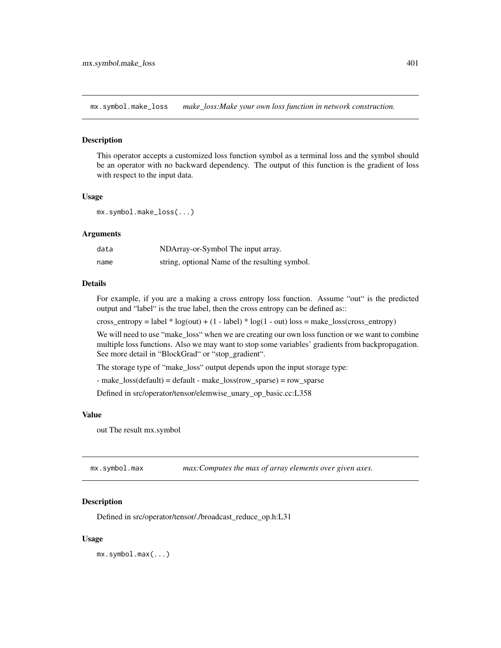mx.symbol.make\_loss *make\_loss:Make your own loss function in network construction.*

#### Description

This operator accepts a customized loss function symbol as a terminal loss and the symbol should be an operator with no backward dependency. The output of this function is the gradient of loss with respect to the input data.

#### Usage

mx.symbol.make\_loss(...)

## Arguments

| data | NDArray-or-Symbol The input array.             |
|------|------------------------------------------------|
| name | string, optional Name of the resulting symbol. |

#### Details

For example, if you are a making a cross entropy loss function. Assume "out" is the predicted output and "label" is the true label, then the cross entropy can be defined as::

cross\_entropy = label  $*$  log(out) + (1 - label)  $*$  log(1 - out) loss = make\_loss(cross\_entropy)

We will need to use "make\_loss" when we are creating our own loss function or we want to combine multiple loss functions. Also we may want to stop some variables' gradients from backpropagation. See more detail in "BlockGrad" or "stop\_gradient".

The storage type of "make\_loss" output depends upon the input storage type:

- make\_loss(default) = default - make\_loss(row\_sparse) = row\_sparse

Defined in src/operator/tensor/elemwise\_unary\_op\_basic.cc:L358

#### Value

out The result mx.symbol

mx.symbol.max *max:Computes the max of array elements over given axes.*

#### **Description**

Defined in src/operator/tensor/./broadcast\_reduce\_op.h:L31

#### Usage

mx.symbol.max(...)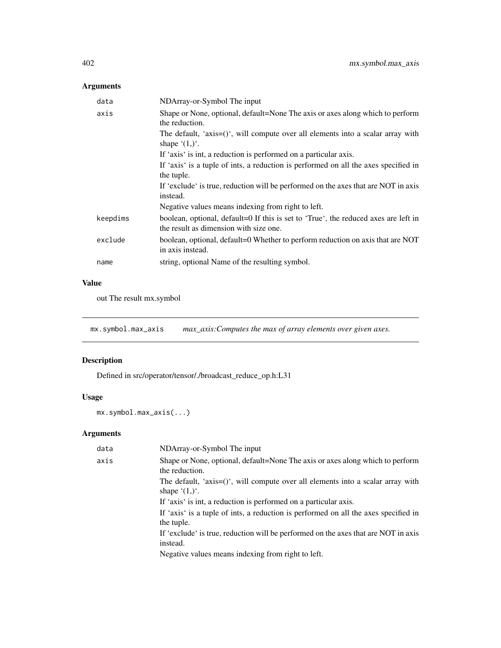| data     | NDArray-or-Symbol The input                                                                                                   |
|----------|-------------------------------------------------------------------------------------------------------------------------------|
| axis     | Shape or None, optional, default=None The axis or axes along which to perform<br>the reduction.                               |
|          | The default, 'axis= $()$ ', will compute over all elements into a scalar array with<br>shape $(1,)^{\prime}$ .                |
|          | If 'axis' is int, a reduction is performed on a particular axis.                                                              |
|          | If 'axis' is a tuple of ints, a reduction is performed on all the axes specified in<br>the tuple.                             |
|          | If 'exclude' is true, reduction will be performed on the axes that are NOT in axis<br>instead.                                |
|          | Negative values means indexing from right to left.                                                                            |
| keepdims | boolean, optional, default=0 If this is set to 'True', the reduced axes are left in<br>the result as dimension with size one. |
| exclude  | boolean, optional, default=0 Whether to perform reduction on axis that are NOT<br>in axis instead.                            |
| name     | string, optional Name of the resulting symbol.                                                                                |

# Value

out The result mx.symbol

mx.symbol.max\_axis *max\_axis:Computes the max of array elements over given axes.*

# Description

Defined in src/operator/tensor/./broadcast\_reduce\_op.h:L31

# Usage

```
mx.symbol.max_axis(...)
```

| data | NDArray-or-Symbol The input                                                                                    |
|------|----------------------------------------------------------------------------------------------------------------|
| axis | Shape or None, optional, default=None The axis or axes along which to perform<br>the reduction.                |
|      | The default, 'axis= $()$ ', will compute over all elements into a scalar array with<br>shape $(1,)^{\prime}$ . |
|      | If 'axis' is int, a reduction is performed on a particular axis.                                               |
|      | If 'axis' is a tuple of ints, a reduction is performed on all the axes specified in<br>the tuple.              |
|      | If 'exclude' is true, reduction will be performed on the axes that are NOT in axis<br>instead.                 |
|      | Negative values means indexing from right to left.                                                             |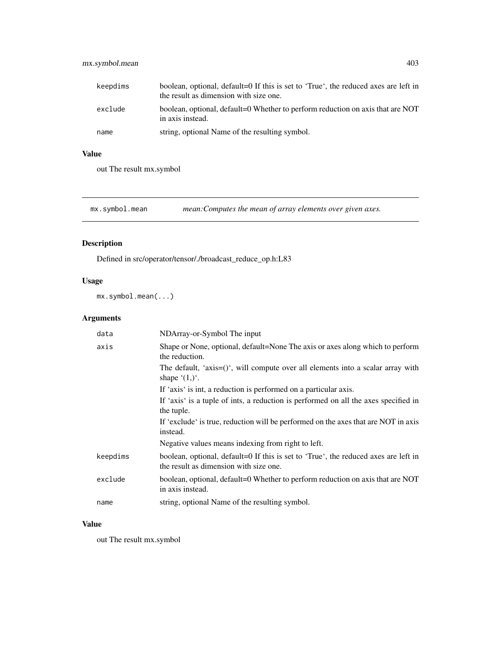# mx.symbol.mean 403

| keepdims | boolean, optional, default=0 If this is set to 'True', the reduced axes are left in<br>the result as dimension with size one. |
|----------|-------------------------------------------------------------------------------------------------------------------------------|
| exclude  | boolean, optional, default=0 Whether to perform reduction on axis that are NOT<br>in axis instead.                            |
| name     | string, optional Name of the resulting symbol.                                                                                |

# Value

out The result mx.symbol

mx.symbol.mean *mean:Computes the mean of array elements over given axes.*

# Description

Defined in src/operator/tensor/./broadcast\_reduce\_op.h:L83

## Usage

mx.symbol.mean(...)

# Arguments

| data     | NDArray-or-Symbol The input                                                                                                   |
|----------|-------------------------------------------------------------------------------------------------------------------------------|
| axis     | Shape or None, optional, default=None The axis or axes along which to perform<br>the reduction.                               |
|          | The default, 'axis= $()$ ', will compute over all elements into a scalar array with<br>shape $(1,)^{\prime}$ .                |
|          | If 'axis' is int, a reduction is performed on a particular axis.                                                              |
|          | If 'axis' is a tuple of ints, a reduction is performed on all the axes specified in<br>the tuple.                             |
|          | If 'exclude' is true, reduction will be performed on the axes that are NOT in axis<br>instead.                                |
|          | Negative values means indexing from right to left.                                                                            |
| keepdims | boolean, optional, default=0 If this is set to 'True', the reduced axes are left in<br>the result as dimension with size one. |
| exclude  | boolean, optional, default=0 Whether to perform reduction on axis that are NOT<br>in axis instead.                            |
| name     | string, optional Name of the resulting symbol.                                                                                |

# Value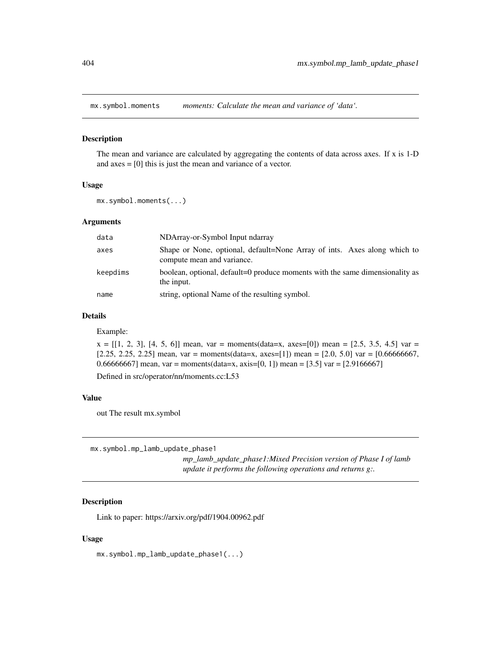#### Description

The mean and variance are calculated by aggregating the contents of data across axes. If x is 1-D and axes = [0] this is just the mean and variance of a vector.

#### Usage

mx.symbol.moments(...)

#### Arguments

| data     | NDArray-or-Symbol Input ndarray                                                                        |
|----------|--------------------------------------------------------------------------------------------------------|
| axes     | Shape or None, optional, default=None Array of ints. Axes along which to<br>compute mean and variance. |
| keepdims | boolean, optional, default=0 produce moments with the same dimensionality as<br>the input.             |
| name     | string, optional Name of the resulting symbol.                                                         |

#### Details

Example:

 $x = [[1, 2, 3], [4, 5, 6]]$  mean, var = moments(data=x, axes=[0]) mean = [2.5, 3.5, 4.5] var =  $[2.25, 2.25, 2.25]$  mean, var = moments(data=x, axes=[1]) mean = [2.0, 5.0] var = [0.666666667, 0.66666667] mean, var = moments(data=x, axis=[0, 1]) mean = [3.5] var = [2.9166667]

Defined in src/operator/nn/moments.cc:L53

#### Value

out The result mx.symbol

mx.symbol.mp\_lamb\_update\_phase1

*mp\_lamb\_update\_phase1:Mixed Precision version of Phase I of lamb update it performs the following operations and returns g:.*

# Description

Link to paper: https://arxiv.org/pdf/1904.00962.pdf

#### Usage

mx.symbol.mp\_lamb\_update\_phase1(...)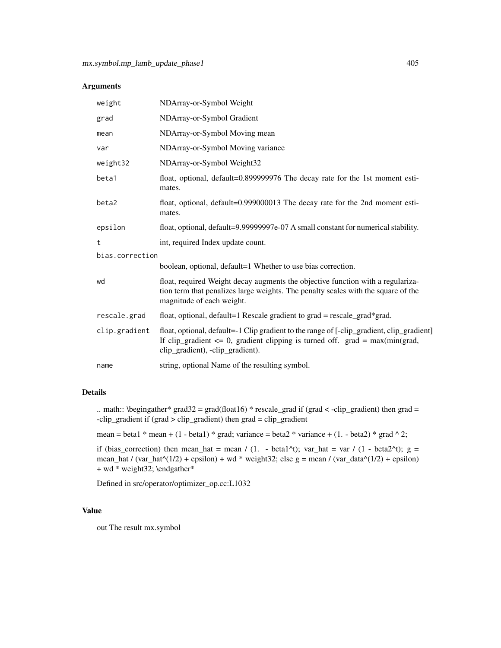| weight          | NDArray-or-Symbol Weight                                                                                                                                                                                           |  |
|-----------------|--------------------------------------------------------------------------------------------------------------------------------------------------------------------------------------------------------------------|--|
| grad            | NDArray-or-Symbol Gradient                                                                                                                                                                                         |  |
| mean            | NDArray-or-Symbol Moving mean                                                                                                                                                                                      |  |
| var             | NDArray-or-Symbol Moving variance                                                                                                                                                                                  |  |
| weight32        | NDArray-or-Symbol Weight32                                                                                                                                                                                         |  |
| beta1           | float, optional, default=0.899999976 The decay rate for the 1st moment esti-<br>mates.                                                                                                                             |  |
| beta2           | float, optional, default=0.999000013 The decay rate for the 2nd moment esti-<br>mates.                                                                                                                             |  |
| epsilon         | float, optional, default=9.99999997e-07 A small constant for numerical stability.                                                                                                                                  |  |
| t               | int, required Index update count.                                                                                                                                                                                  |  |
| bias.correction |                                                                                                                                                                                                                    |  |
|                 | boolean, optional, default=1 Whether to use bias correction.                                                                                                                                                       |  |
| wd              | float, required Weight decay augments the objective function with a regulariza-<br>tion term that penalizes large weights. The penalty scales with the square of the<br>magnitude of each weight.                  |  |
| rescale.grad    | float, optional, default=1 Rescale gradient to grad = rescale_grad*grad.                                                                                                                                           |  |
| clip.gradient   | float, optional, default=-1 Clip gradient to the range of [-clip_gradient, clip_gradient]<br>If clip_gradient $\leq 0$ , gradient clipping is turned off. grad = max(min(grad,<br>clip_gradient), -clip_gradient). |  |
| name            | string, optional Name of the resulting symbol.                                                                                                                                                                     |  |
|                 |                                                                                                                                                                                                                    |  |

### Details

.. math:: \begingather\* grad32 = grad(float16) \* rescale\_grad if (grad < -clip\_gradient) then grad =  $-clip\_gradient$  if (grad  $> clip\_gradient$ ) then grad  $= clip\_gradient$ 

mean = beta1 \* mean + (1 - beta1) \* grad; variance = beta2 \* variance + (1. - beta2) \* grad  $\land$  2;

if (bias\_correction) then mean\_hat = mean / (1. - beta1^t); var\_hat = var / (1 - beta2^t); g = mean\_hat / (var\_hat^(1/2) + epsilon) + wd \* weight32; else g = mean / (var\_data^(1/2) + epsilon) + wd \* weight32; \endgather\*

Defined in src/operator/optimizer\_op.cc:L1032

#### Value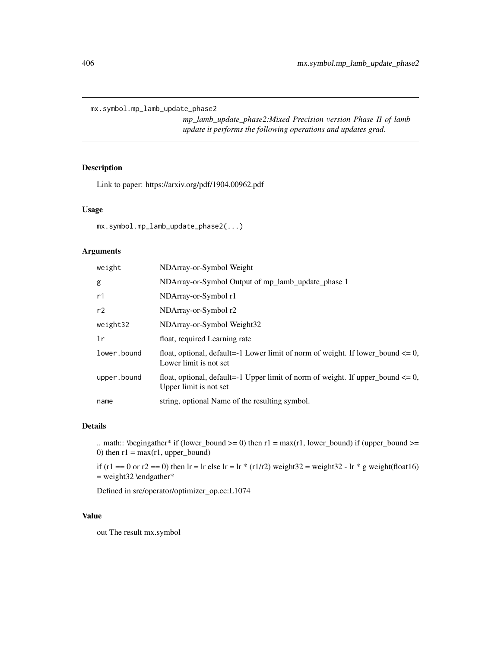mx.symbol.mp\_lamb\_update\_phase2

*mp\_lamb\_update\_phase2:Mixed Precision version Phase II of lamb update it performs the following operations and updates grad.*

#### Description

Link to paper: https://arxiv.org/pdf/1904.00962.pdf

#### Usage

mx.symbol.mp\_lamb\_update\_phase2(...)

#### Arguments

| weight      | NDArray-or-Symbol Weight                                                                                       |
|-------------|----------------------------------------------------------------------------------------------------------------|
| g           | NDArray-or-Symbol Output of mp_lamb_update_phase 1                                                             |
| r1          | NDArray-or-Symbol r1                                                                                           |
| r2          | NDArray-or-Symbol r2                                                                                           |
| weight32    | NDArray-or-Symbol Weight32                                                                                     |
| 1r          | float, required Learning rate                                                                                  |
| lower.bound | float, optional, default=-1 Lower limit of norm of weight. If lower_bound $\leq 0$ ,<br>Lower limit is not set |
| upper.bound | float, optional, default=-1 Upper limit of norm of weight. If upper_bound $\leq 0$ ,<br>Upper limit is not set |
| name        | string, optional Name of the resulting symbol.                                                                 |

#### Details

.. math:: \begingather\* if (lower\_bound >= 0) then  $r1 = max(r1, lower\_bound)$  if (upper\_bound >= 0) then  $r1 = max(r1, upper\_bound)$ 

if (r1 == 0 or r2 == 0) then lr = lr else lr = lr \* (r1/r2) weight32 = weight32 - lr \* g weight(float16) = weight32 \endgather\*

Defined in src/operator/optimizer\_op.cc:L1074

#### Value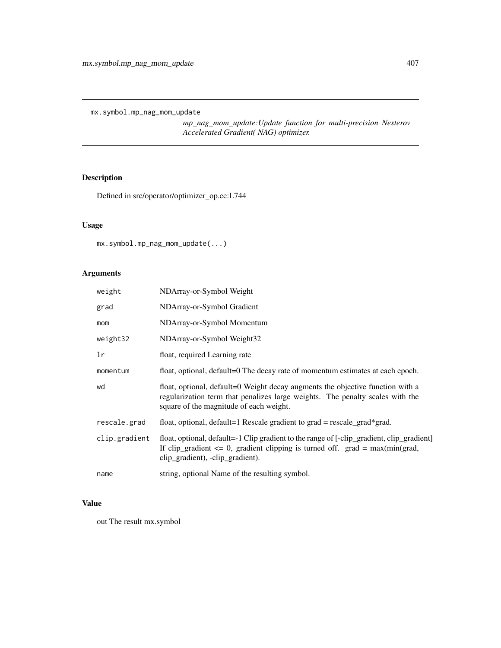mx.symbol.mp\_nag\_mom\_update

*mp\_nag\_mom\_update:Update function for multi-precision Nesterov Accelerated Gradient( NAG) optimizer.*

# Description

Defined in src/operator/optimizer\_op.cc:L744

# Usage

mx.symbol.mp\_nag\_mom\_update(...)

# Arguments

| weight        | NDArray-or-Symbol Weight                                                                                                                                                                                          |
|---------------|-------------------------------------------------------------------------------------------------------------------------------------------------------------------------------------------------------------------|
| grad          | NDArray-or-Symbol Gradient                                                                                                                                                                                        |
| mom           | NDArray-or-Symbol Momentum                                                                                                                                                                                        |
| weight32      | NDArray-or-Symbol Weight32                                                                                                                                                                                        |
| lr            | float, required Learning rate                                                                                                                                                                                     |
| momentum      | float, optional, default=0 The decay rate of momentum estimates at each epoch.                                                                                                                                    |
| wd            | float, optional, default=0 Weight decay augments the objective function with a<br>regularization term that penalizes large weights. The penalty scales with the<br>square of the magnitude of each weight.        |
| rescale.grad  | float, optional, default=1 Rescale gradient to $grad = rescale\_grad*grad$ .                                                                                                                                      |
| clip.gradient | float, optional, default=-1 Clip gradient to the range of [-clip_gradient, clip_gradient]<br>If clip_gradient $\leq$ 0, gradient clipping is turned off. grad = max(min(grad,<br>clip_gradient), -clip_gradient). |
| name          | string, optional Name of the resulting symbol.                                                                                                                                                                    |

#### Value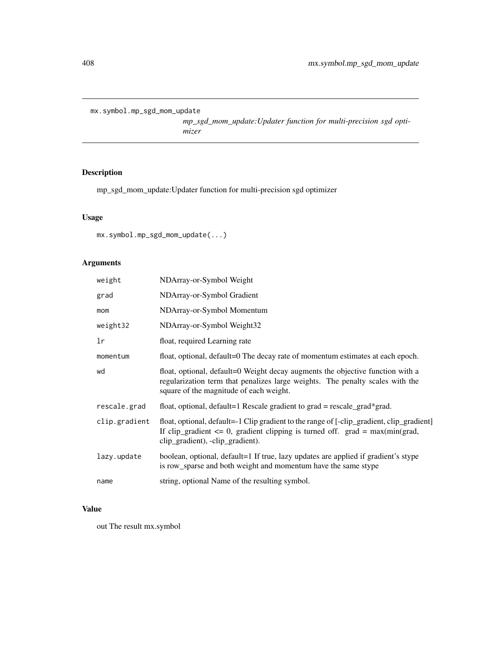mx.symbol.mp\_sgd\_mom\_update

*mp\_sgd\_mom\_update:Updater function for multi-precision sgd optimizer*

# Description

mp\_sgd\_mom\_update:Updater function for multi-precision sgd optimizer

## Usage

```
mx.symbol.mp_sgd_mom_update(...)
```
# Arguments

| weight        | NDArray-or-Symbol Weight                                                                                                                                                                                           |  |
|---------------|--------------------------------------------------------------------------------------------------------------------------------------------------------------------------------------------------------------------|--|
| grad          | NDArray-or-Symbol Gradient                                                                                                                                                                                         |  |
| mom           | NDArray-or-Symbol Momentum                                                                                                                                                                                         |  |
| weight32      | NDArray-or-Symbol Weight32                                                                                                                                                                                         |  |
| lr            | float, required Learning rate                                                                                                                                                                                      |  |
| momentum      | float, optional, default=0 The decay rate of momentum estimates at each epoch.                                                                                                                                     |  |
| wd            | float, optional, default=0 Weight decay augments the objective function with a<br>regularization term that penalizes large weights. The penalty scales with the<br>square of the magnitude of each weight.         |  |
| rescale.grad  | float, optional, default=1 Rescale gradient to $grad = rescale\_grad*grad$ .                                                                                                                                       |  |
| clip.gradient | float, optional, default=-1 Clip gradient to the range of [-clip_gradient, clip_gradient]<br>If clip_gradient $\leq 0$ , gradient clipping is turned off. grad = max(min(grad,<br>clip_gradient), -clip_gradient). |  |
| lazy.update   | boolean, optional, default=1 If true, lazy updates are applied if gradient's stype<br>is row_sparse and both weight and momentum have the same stype                                                               |  |
| name          | string, optional Name of the resulting symbol.                                                                                                                                                                     |  |

## Value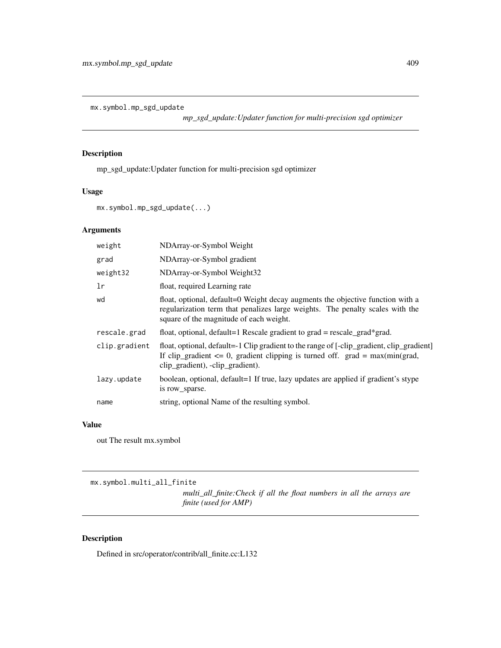mx.symbol.mp\_sgd\_update

*mp\_sgd\_update:Updater function for multi-precision sgd optimizer*

## Description

mp\_sgd\_update:Updater function for multi-precision sgd optimizer

#### Usage

mx.symbol.mp\_sgd\_update(...)

# Arguments

| weight        | NDArray-or-Symbol Weight                                                                                                                                                                                           |
|---------------|--------------------------------------------------------------------------------------------------------------------------------------------------------------------------------------------------------------------|
| grad          | NDArray-or-Symbol gradient                                                                                                                                                                                         |
| weight32      | NDArray-or-Symbol Weight32                                                                                                                                                                                         |
| 1r            | float, required Learning rate                                                                                                                                                                                      |
| wd            | float, optional, default=0 Weight decay augments the objective function with a<br>regularization term that penalizes large weights. The penalty scales with the<br>square of the magnitude of each weight.         |
| rescale.grad  | float, optional, default=1 Rescale gradient to $grad = rescale\_grad*grad$ .                                                                                                                                       |
| clip.gradient | float, optional, default=-1 Clip gradient to the range of [-clip_gradient, clip_gradient]<br>If clip_gradient $\leq 0$ , gradient clipping is turned off. grad = max(min(grad,<br>clip_gradient), -clip_gradient). |
| lazy.update   | boolean, optional, default=1 If true, lazy updates are applied if gradient's stype<br>is row sparse.                                                                                                               |
| name          | string, optional Name of the resulting symbol.                                                                                                                                                                     |

#### Value

out The result mx.symbol

mx.symbol.multi\_all\_finite

*multi\_all\_finite:Check if all the float numbers in all the arrays are finite (used for AMP)*

## Description

Defined in src/operator/contrib/all\_finite.cc:L132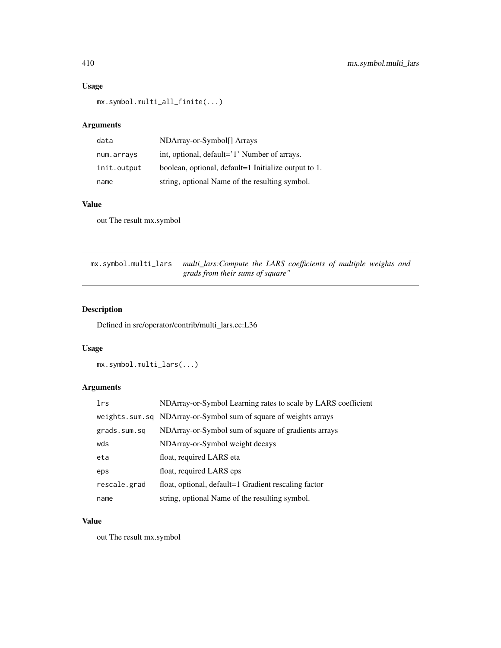# Usage

mx.symbol.multi\_all\_finite(...)

# Arguments

| data        | NDArray-or-Symbol[] Arrays                           |
|-------------|------------------------------------------------------|
| num.arrays  | int, optional, default='1' Number of arrays.         |
| init.output | boolean, optional, default=1 Initialize output to 1. |
| name        | string, optional Name of the resulting symbol.       |

#### Value

out The result mx.symbol

mx.symbol.multi\_lars *multi\_lars:Compute the LARS coefficients of multiple weights and grads from their sums of square"*

## Description

Defined in src/operator/contrib/multi\_lars.cc:L36

## Usage

mx.symbol.multi\_lars(...)

# Arguments

| lrs          | NDArray-or-Symbol Learning rates to scale by LARS coefficient    |
|--------------|------------------------------------------------------------------|
|              | weights.sum.sq NDArray-or-Symbol sum of square of weights arrays |
| grads.sum.sq | NDArray-or-Symbol sum of square of gradients arrays              |
| wds          | NDArray-or-Symbol weight decays                                  |
| eta          | float, required LARS eta                                         |
| eps          | float, required LARS eps.                                        |
| rescale.grad | float, optional, default=1 Gradient rescaling factor             |
| name         | string, optional Name of the resulting symbol.                   |

## Value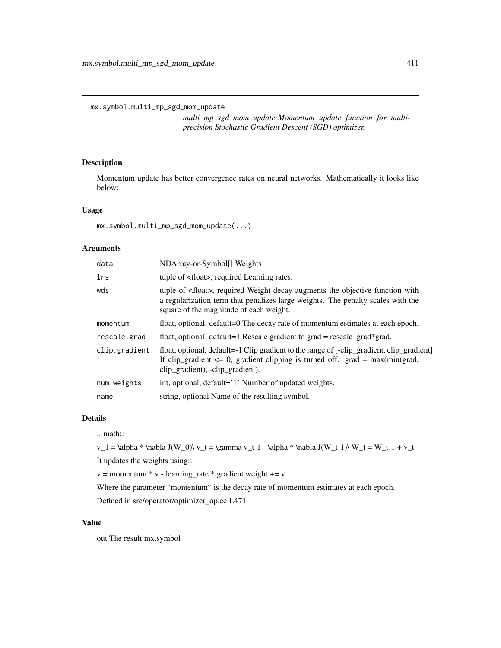mx.symbol.multi\_mp\_sgd\_mom\_update

*multi\_mp\_sgd\_mom\_update:Momentum update function for multiprecision Stochastic Gradient Descent (SGD) optimizer.*

## Description

Momentum update has better convergence rates on neural networks. Mathematically it looks like below:

#### Usage

```
mx.symbol.multi_mp_sgd_mom_update(...)
```
## Arguments

| data          | NDArray-or-Symbol[] Weights                                                                                                                                                                                          |  |
|---------------|----------------------------------------------------------------------------------------------------------------------------------------------------------------------------------------------------------------------|--|
| lrs           | tuple of <float>, required Learning rates.</float>                                                                                                                                                                   |  |
| wds           | tuple of <float>, required Weight decay augments the objective function with<br/>a regularization term that penalizes large weights. The penalty scales with the<br/>square of the magnitude of each weight.</float> |  |
| momentum      | float, optional, default=0 The decay rate of momentum estimates at each epoch.                                                                                                                                       |  |
| rescale.grad  | float, optional, default=1 Rescale gradient to $grad = rescale\_grad*grad$ .                                                                                                                                         |  |
| clip.gradient | float, optional, default=-1 Clip gradient to the range of [-clip_gradient, clip_gradient]<br>If clip_gradient $\leq 0$ , gradient clipping is turned off. grad = max(min(grad,<br>clip_gradient), -clip_gradient).   |  |
| num.weights   | int, optional, default='1' Number of updated weights.                                                                                                                                                                |  |
| name          | string, optional Name of the resulting symbol.                                                                                                                                                                       |  |

# Details

.. math::

 $v_1 = \alpha * \nabla J(W_0) \ v_t = \gamma v_t-1 - \alpha * \nabla J(W_t-1) \ W_t = W_t-1 + v_t$ It updates the weights using::

 $v =$  momentum  $* v$  - learning\_rate  $*$  gradient weight  $+= v$ 

Where the parameter "momentum" is the decay rate of momentum estimates at each epoch.

Defined in src/operator/optimizer\_op.cc:L471

#### Value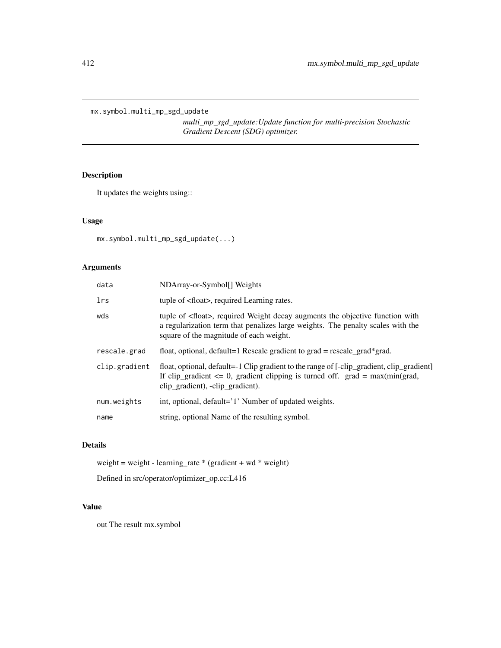mx.symbol.multi\_mp\_sgd\_update

*multi\_mp\_sgd\_update:Update function for multi-precision Stochastic Gradient Descent (SDG) optimizer.*

# Description

It updates the weights using::

## Usage

```
mx.symbol.multi_mp_sgd_update(...)
```
# Arguments

| data          | NDArray-or-Symbol[] Weights                                                                                                                                                                                          |  |
|---------------|----------------------------------------------------------------------------------------------------------------------------------------------------------------------------------------------------------------------|--|
| lrs           | tuple of <float>, required Learning rates.</float>                                                                                                                                                                   |  |
| wds           | tuple of <float>, required Weight decay augments the objective function with<br/>a regularization term that penalizes large weights. The penalty scales with the<br/>square of the magnitude of each weight.</float> |  |
| rescale.grad  | float, optional, default=1 Rescale gradient to grad = rescale_grad*grad.                                                                                                                                             |  |
| clip.gradient | float, optional, default=-1 Clip gradient to the range of [-clip_gradient, clip_gradient]<br>If clip_gradient $\leq 0$ , gradient clipping is turned off. grad = max(min(grad,<br>clip_gradient), -clip_gradient).   |  |
| num.weights   | int, optional, default='1' Number of updated weights.                                                                                                                                                                |  |
| name          | string, optional Name of the resulting symbol.                                                                                                                                                                       |  |
|               |                                                                                                                                                                                                                      |  |

# Details

weight = weight - learning\_rate \* (gradient + wd \* weight)

Defined in src/operator/optimizer\_op.cc:L416

## Value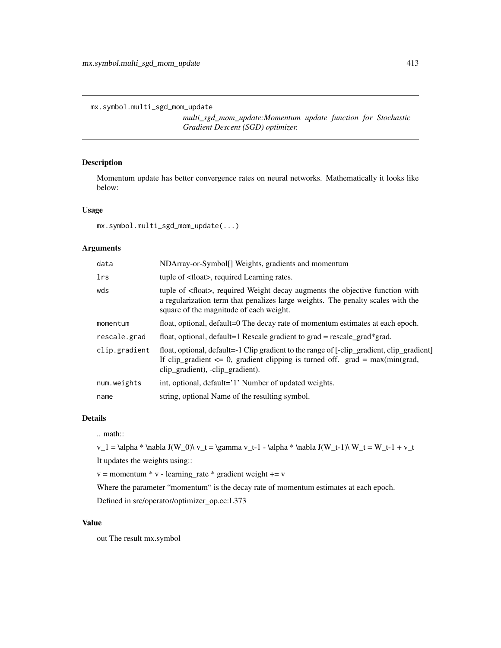mx.symbol.multi\_sgd\_mom\_update

*multi\_sgd\_mom\_update:Momentum update function for Stochastic Gradient Descent (SGD) optimizer.*

## Description

Momentum update has better convergence rates on neural networks. Mathematically it looks like below:

#### Usage

```
mx.symbol.multi_sgd_mom_update(...)
```
## Arguments

| data          | NDArray-or-Symbol[] Weights, gradients and momentum                                                                                                                                                                  |  |
|---------------|----------------------------------------------------------------------------------------------------------------------------------------------------------------------------------------------------------------------|--|
| lrs           | tuple of <float>, required Learning rates.</float>                                                                                                                                                                   |  |
| wds           | tuple of <float>, required Weight decay augments the objective function with<br/>a regularization term that penalizes large weights. The penalty scales with the<br/>square of the magnitude of each weight.</float> |  |
| momentum      | float, optional, default=0 The decay rate of momentum estimates at each epoch.                                                                                                                                       |  |
| rescale.grad  | float, optional, default=1 Rescale gradient to $grad = rescale\_grad*grad$ .                                                                                                                                         |  |
| clip.gradient | float, optional, default=-1 Clip gradient to the range of [-clip_gradient, clip_gradient]<br>If clip_gradient $\leq 0$ , gradient clipping is turned off. grad = max(min(grad,<br>clip_gradient), -clip_gradient).   |  |
| num.weights   | int, optional, default='1' Number of updated weights.                                                                                                                                                                |  |
| name          | string, optional Name of the resulting symbol.                                                                                                                                                                       |  |

# Details

.. math::

 $v_1 = \alpha * \nabla J(W_0) \ v_t = \gamma v_t-1 - \alpha * \nabla J(W_t-1) \ W_t = W_t-1 + v_t$ It updates the weights using::

 $v =$  momentum  $* v$  - learning\_rate  $*$  gradient weight  $+= v$ 

Where the parameter "momentum" is the decay rate of momentum estimates at each epoch.

Defined in src/operator/optimizer\_op.cc:L373

#### Value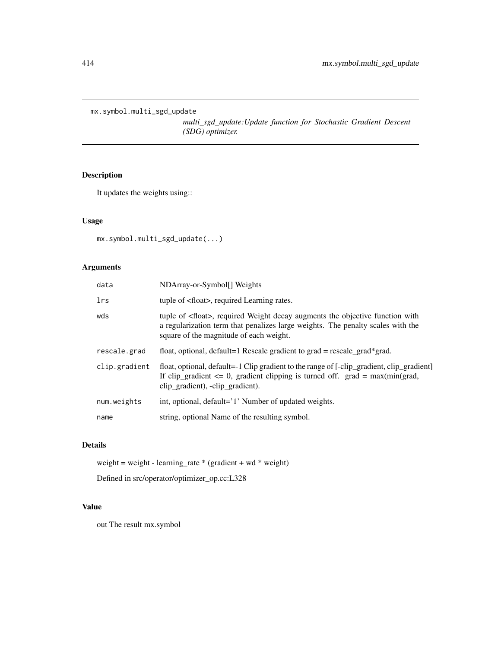mx.symbol.multi\_sgd\_update

*multi\_sgd\_update:Update function for Stochastic Gradient Descent (SDG) optimizer.*

# Description

It updates the weights using::

#### Usage

mx.symbol.multi\_sgd\_update(...)

# Arguments

| data          | NDArray-or-Symbol[] Weights                                                                                                                                                                                          |  |
|---------------|----------------------------------------------------------------------------------------------------------------------------------------------------------------------------------------------------------------------|--|
| lrs           | tuple of <float>, required Learning rates.</float>                                                                                                                                                                   |  |
| wds           | tuple of <float>, required Weight decay augments the objective function with<br/>a regularization term that penalizes large weights. The penalty scales with the<br/>square of the magnitude of each weight.</float> |  |
| rescale.grad  | float, optional, default=1 Rescale gradient to $grad = rescale\_grad*grad$ .                                                                                                                                         |  |
| clip.gradient | float, optional, default=-1 Clip gradient to the range of [-clip_gradient, clip_gradient]<br>If clip_gradient $\leq 0$ , gradient clipping is turned off. grad = max(min(grad,<br>clip_gradient), -clip_gradient).   |  |
| num.weights   | int, optional, default='1' Number of updated weights.                                                                                                                                                                |  |
| name          | string, optional Name of the resulting symbol.                                                                                                                                                                       |  |
|               |                                                                                                                                                                                                                      |  |

# Details

weight = weight - learning\_rate \* (gradient + wd \* weight)

Defined in src/operator/optimizer\_op.cc:L328

## Value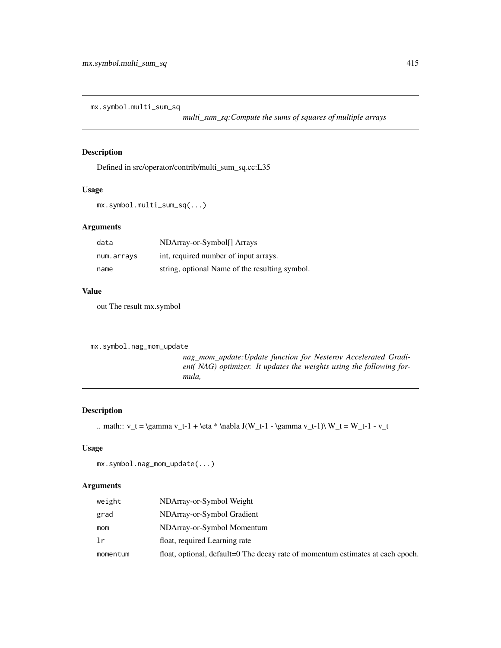mx.symbol.multi\_sum\_sq

*multi\_sum\_sq:Compute the sums of squares of multiple arrays*

## Description

Defined in src/operator/contrib/multi\_sum\_sq.cc:L35

#### Usage

mx.symbol.multi\_sum\_sq(...)

## Arguments

| data       | NDArray-or-Symbol <sup>[]</sup> Arrays         |
|------------|------------------------------------------------|
| num.arrays | int, required number of input arrays.          |
| name       | string, optional Name of the resulting symbol. |

#### Value

out The result mx.symbol

```
mx.symbol.nag_mom_update
```
*nag\_mom\_update:Update function for Nesterov Accelerated Gradient( NAG) optimizer. It updates the weights using the following formula,*

## Description

```
.. math:: v_t = \gamma v_t - 1 + \eta * \nabla J(W_t - 1 - \gamma v_t - 1)\nW_t = W_t - 1 - v_t
```
# Usage

```
mx.symbol.nag_mom_update(...)
```

| weight   | NDArray-or-Symbol Weight                                                       |
|----------|--------------------------------------------------------------------------------|
| grad     | NDArray-or-Symbol Gradient                                                     |
| mom      | NDArray-or-Symbol Momentum                                                     |
| lr       | float, required Learning rate                                                  |
| momentum | float, optional, default=0 The decay rate of momentum estimates at each epoch. |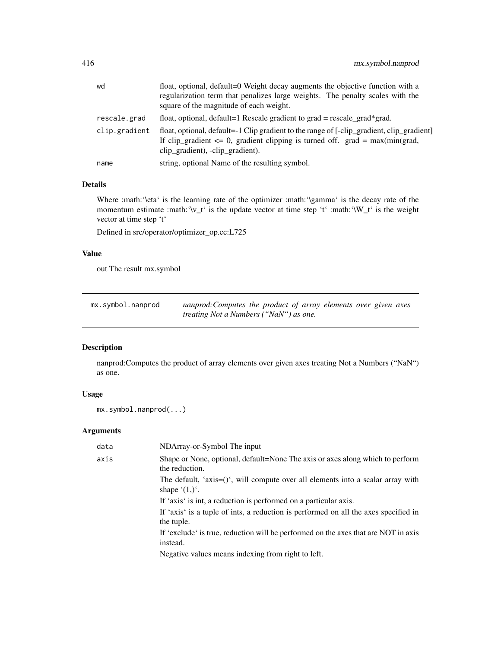| wd            | float, optional, default=0 Weight decay augments the objective function with a<br>regularization term that penalizes large weights. The penalty scales with the<br>square of the magnitude of each weight.         |
|---------------|--------------------------------------------------------------------------------------------------------------------------------------------------------------------------------------------------------------------|
| rescale.grad  | float, optional, default=1 Rescale gradient to grad = rescale_grad*grad.                                                                                                                                           |
| clip.gradient | float, optional, default=-1 Clip gradient to the range of [-clip_gradient, clip_gradient]<br>If clip_gradient $\leq 0$ , gradient clipping is turned off. grad = max(min(grad,<br>clip_gradient), -clip_gradient). |
| name          | string, optional Name of the resulting symbol.                                                                                                                                                                     |

Where :math:'\eta' is the learning rate of the optimizer :math:'\gamma' is the decay rate of the momentum estimate :math:'\v\_t' is the update vector at time step 't' :math:'\W\_t' is the weight vector at time step 't'

Defined in src/operator/optimizer\_op.cc:L725

## Value

out The result mx.symbol

| mx.symbol.nanprod | nanprod: Computes the product of array elements over given axes |  |  |  |  |
|-------------------|-----------------------------------------------------------------|--|--|--|--|
|                   | <i>treating Not a Numbers ("NaN") as one.</i>                   |  |  |  |  |

## Description

nanprod:Computes the product of array elements over given axes treating Not a Numbers ("NaN") as one.

## Usage

```
mx.symbol.nanprod(...)
```

| data | NDArray-or-Symbol The input                                                                                    |
|------|----------------------------------------------------------------------------------------------------------------|
| axis | Shape or None, optional, default=None The axis or axes along which to perform<br>the reduction.                |
|      | The default, 'axis= $()$ ', will compute over all elements into a scalar array with<br>shape $(1,)^{\prime}$ . |
|      | If 'axis' is int, a reduction is performed on a particular axis.                                               |
|      | If 'axis' is a tuple of ints, a reduction is performed on all the axes specified in<br>the tuple.              |
|      | If 'exclude' is true, reduction will be performed on the axes that are NOT in axis<br>instead.                 |
|      | Negative values means indexing from right to left.                                                             |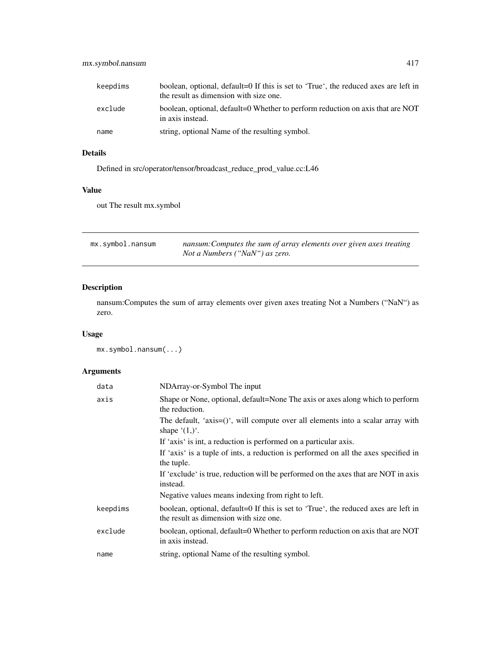| keepdims | boolean, optional, default=0 If this is set to 'True', the reduced axes are left in<br>the result as dimension with size one. |
|----------|-------------------------------------------------------------------------------------------------------------------------------|
| exclude  | boolean, optional, default=0 Whether to perform reduction on axis that are NOT<br>in axis instead.                            |
| name     | string, optional Name of the resulting symbol.                                                                                |

Defined in src/operator/tensor/broadcast\_reduce\_prod\_value.cc:L46

## Value

out The result mx.symbol

| mx.symbol.nansum | nansum: Computes the sum of array elements over given axes treating |
|------------------|---------------------------------------------------------------------|
|                  | Not a Numbers ("NaN") as zero.                                      |

# Description

nansum:Computes the sum of array elements over given axes treating Not a Numbers ("NaN") as zero.

# Usage

mx.symbol.nansum(...)

| data     | NDArray-or-Symbol The input                                                                                                   |
|----------|-------------------------------------------------------------------------------------------------------------------------------|
| axis     | Shape or None, optional, default=None The axis or axes along which to perform<br>the reduction.                               |
|          | The default, 'axis=()', will compute over all elements into a scalar array with<br>shape $(1,)^{\prime}$ .                    |
|          | If 'axis' is int, a reduction is performed on a particular axis.                                                              |
|          | If 'axis' is a tuple of ints, a reduction is performed on all the axes specified in<br>the tuple.                             |
|          | If 'exclude' is true, reduction will be performed on the axes that are NOT in axis<br>instead.                                |
|          | Negative values means indexing from right to left.                                                                            |
| keepdims | boolean, optional, default=0 If this is set to 'True', the reduced axes are left in<br>the result as dimension with size one. |
| exclude  | boolean, optional, default=0 Whether to perform reduction on axis that are NOT<br>in axis instead.                            |
| name     | string, optional Name of the resulting symbol.                                                                                |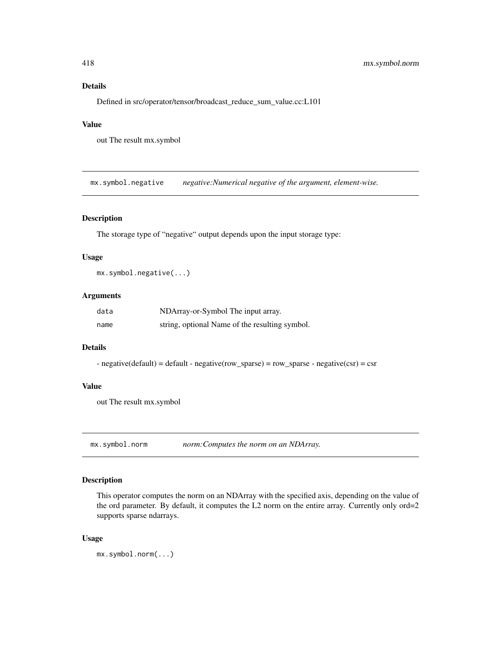Defined in src/operator/tensor/broadcast\_reduce\_sum\_value.cc:L101

## Value

out The result mx.symbol

mx.symbol.negative *negative:Numerical negative of the argument, element-wise.*

## Description

The storage type of "negative" output depends upon the input storage type:

#### Usage

mx.symbol.negative(...)

#### Arguments

| data | NDArray-or-Symbol The input array.             |
|------|------------------------------------------------|
| name | string, optional Name of the resulting symbol. |

#### Details

- negative(default) = default - negative(row\_sparse) = row\_sparse - negative(csr) = csr

#### Value

out The result mx.symbol

mx.symbol.norm *norm:Computes the norm on an NDArray.*

## Description

This operator computes the norm on an NDArray with the specified axis, depending on the value of the ord parameter. By default, it computes the L2 norm on the entire array. Currently only ord=2 supports sparse ndarrays.

#### Usage

mx.symbol.norm(...)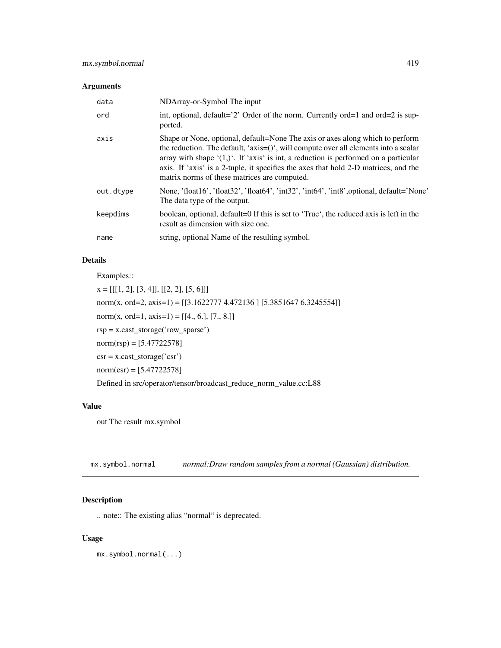| data      | NDArray-or-Symbol The input                                                                                                                                                                                                                                                                                                                                                                                      |
|-----------|------------------------------------------------------------------------------------------------------------------------------------------------------------------------------------------------------------------------------------------------------------------------------------------------------------------------------------------------------------------------------------------------------------------|
| ord       | int, optional, default='2' Order of the norm. Currently ord=1 and ord=2 is sup-<br>ported.                                                                                                                                                                                                                                                                                                                       |
| axis      | Shape or None, optional, default=None The axis or axes along which to perform<br>the reduction. The default, ' $axis=()$ ', will compute over all elements into a scalar<br>array with shape $(1,)^{\prime}$ . If 'axis' is int, a reduction is performed on a particular<br>axis. If 'axis' is a 2-tuple, it specifies the axes that hold 2-D matrices, and the<br>matrix norms of these matrices are computed. |
| out.dtype | None, 'float16', 'float32', 'float64', 'int32', 'int64', 'int8', optional, default='None'<br>The data type of the output.                                                                                                                                                                                                                                                                                        |
| keepdims  | boolean, optional, default=0 If this is set to 'True', the reduced axis is left in the<br>result as dimension with size one.                                                                                                                                                                                                                                                                                     |
| name      | string, optional Name of the resulting symbol.                                                                                                                                                                                                                                                                                                                                                                   |

## Details

Examples::

 $x = [[[1, 2], [3, 4]], [[2, 2], [5, 6]]]$ norm(x, ord=2, axis=1) = [[3.1622777 4.472136 ] [5.3851647 6.3245554]] norm(x, ord=1, axis=1) =  $[[4., 6.], [7., 8.]]$ rsp = x.cast\_storage('row\_sparse')  $norm(rsp) = [5.47722578]$  $\text{csr} = \text{x}.\text{cast\_storage}('\text{csr'})$  $norm(csr) = [5.47722578]$ Defined in src/operator/tensor/broadcast\_reduce\_norm\_value.cc:L88

#### Value

out The result mx.symbol

mx.symbol.normal *normal:Draw random samples from a normal (Gaussian) distribution.*

## Description

.. note:: The existing alias "normal" is deprecated.

## Usage

mx.symbol.normal(...)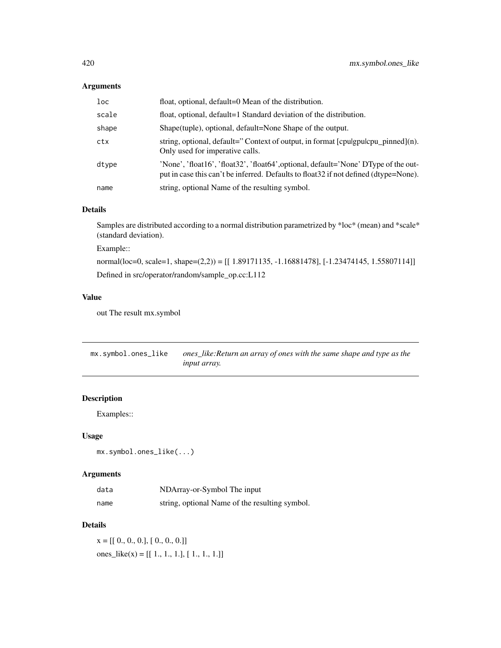| loc   | float, optional, default=0 Mean of the distribution.                                                                                                                         |
|-------|------------------------------------------------------------------------------------------------------------------------------------------------------------------------------|
| scale | float, optional, default=1 Standard deviation of the distribution.                                                                                                           |
| shape | Shape(tuple), optional, default=None Shape of the output.                                                                                                                    |
| ctx   | string, optional, default="Context of output, in format [cpulgpulcpu_pinned](n).<br>Only used for imperative calls.                                                          |
| dtype | 'None', 'float16', 'float32', 'float64', optional, default='None' DType of the out-<br>put in case this can't be inferred. Defaults to float 32 if not defined (dtype=None). |
| name  | string, optional Name of the resulting symbol.                                                                                                                               |

#### Details

Samples are distributed according to a normal distribution parametrized by \*loc\* (mean) and \*scale\* (standard deviation).

Example::

normal(loc=0, scale=1, shape=(2,2)) = [[ 1.89171135, -1.16881478], [-1.23474145, 1.55807114]] Defined in src/operator/random/sample\_op.cc:L112

# Value

out The result mx.symbol

| mx.symbol.ones_like | ones_like:Return an array of ones with the same shape and type as the |
|---------------------|-----------------------------------------------------------------------|
|                     | <i>input array.</i>                                                   |

# Description

Examples::

## Usage

mx.symbol.ones\_like(...)

## Arguments

| data | NDArray-or-Symbol The input                    |
|------|------------------------------------------------|
| name | string, optional Name of the resulting symbol. |

## Details

 $x = [[0., 0., 0.], [0., 0., 0.]]$ ones\_like(x) =  $[[ 1., 1., 1.], [ 1., 1., 1.]]$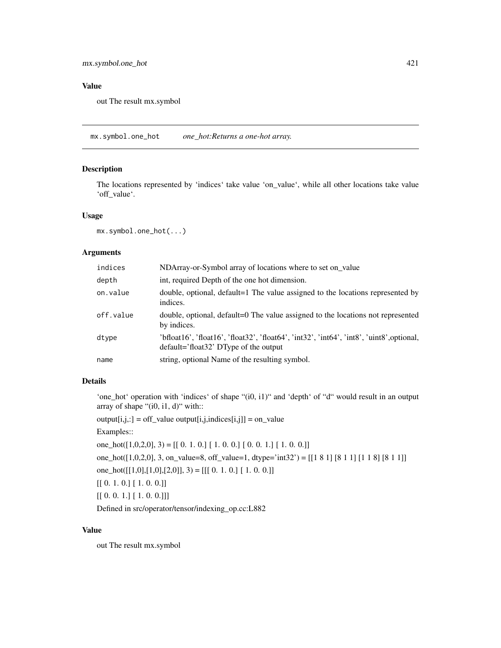## Value

out The result mx.symbol

mx.symbol.one\_hot *one\_hot:Returns a one-hot array.*

## Description

The locations represented by 'indices' take value 'on\_value', while all other locations take value 'off\_value'.

# Usage

mx.symbol.one\_hot(...)

## Arguments

| indices   | NDArray-or-Symbol array of locations where to set on_value                                                                           |
|-----------|--------------------------------------------------------------------------------------------------------------------------------------|
| depth     | int, required Depth of the one hot dimension.                                                                                        |
| on.value  | double, optional, default=1 The value assigned to the locations represented by<br>indices.                                           |
| off.value | double, optional, default=0 The value assigned to the locations not represented<br>by indices.                                       |
| dtype     | 'bfloat16', 'float16', 'float32', 'float64', 'int32', 'int64', 'int8', 'uint8', optional,<br>$default='float32' DType of the output$ |
| name      | string, optional Name of the resulting symbol.                                                                                       |

## Details

'one\_hot' operation with 'indices' of shape "(i0, i1)" and 'depth' of "d" would result in an output array of shape " $(i0, i1, d)$ " with::

 $output[i,j,:] = off_value output[i,j,indices[i,j]] = on_value$ 

Examples::

one\_hot( $[1,0,2,0]$ , 3) =  $[[0. 1. 0.] [1. 0. 0.] [0. 0. 1.] [1. 0. 0.]]$ 

one\_hot([1,0,2,0], 3, on\_value=8, off\_value=1, dtype='int32') = [[1 8 1] [8 1 1] [1 1 8] [8 1 1]]

one\_hot([[1,0],[1,0],[2,0]], 3) = [[[ 0. 1. 0.] [ 1. 0. 0.]]

 $[[0.1.0.] [1.0.0.]]$ 

 $[[0.0.1.] [1.0.0.]]]$ 

Defined in src/operator/tensor/indexing\_op.cc:L882

## Value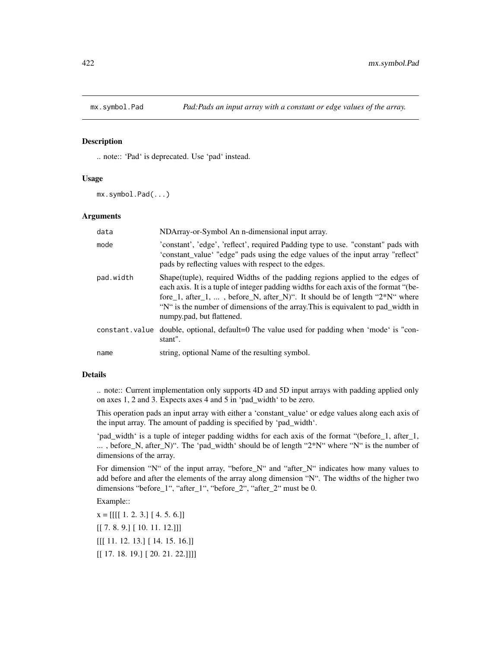#### Description

.. note:: 'Pad' is deprecated. Use 'pad' instead.

#### Usage

mx.symbol.Pad(...)

## Arguments

| data      | NDArray-or-Symbol An n-dimensional input array.                                                                                                                                                                                                                                                                                                                          |
|-----------|--------------------------------------------------------------------------------------------------------------------------------------------------------------------------------------------------------------------------------------------------------------------------------------------------------------------------------------------------------------------------|
| mode      | 'constant', 'edge', 'reflect', required Padding type to use. "constant" pads with<br>'constant_value' "edge" pads using the edge values of the input array "reflect"<br>pads by reflecting values with respect to the edges.                                                                                                                                             |
| pad.width | Shape (tuple), required Widths of the padding regions applied to the edges of<br>each axis. It is a tuple of integer padding widths for each axis of the format "(be-<br>fore_1, after_1, , before_N, after_N)". It should be of length " $2*N$ " where<br>"N" is the number of dimensions of the array. This is equivalent to pad_width in<br>numpy.pad, but flattened. |
|           | constant value double, optional, default=0 The value used for padding when 'mode' is "con-<br>stant".                                                                                                                                                                                                                                                                    |
| name      | string, optional Name of the resulting symbol.                                                                                                                                                                                                                                                                                                                           |

#### Details

.. note:: Current implementation only supports 4D and 5D input arrays with padding applied only on axes 1, 2 and 3. Expects axes 4 and 5 in 'pad\_width' to be zero.

This operation pads an input array with either a 'constant\_value' or edge values along each axis of the input array. The amount of padding is specified by 'pad\_width'.

'pad\_width' is a tuple of integer padding widths for each axis of the format "(before\_1, after\_1, ... , before\_N, after\_N)". The 'pad\_width' should be of length "2\*N" where "N" is the number of dimensions of the array.

For dimension "N" of the input array, "before\_N" and "after\_N" indicates how many values to add before and after the elements of the array along dimension "N". The widths of the higher two dimensions "before\_1", "after\_1", "before\_2", "after\_2" must be 0.

Example::

 $x = [[[[1. 2. 3.][4. 5. 6.]]]$ [[ 7. 8. 9.] [ 10. 11. 12.]]] [[[ 11. 12. 13.] [ 14. 15. 16.]] [[ 17. 18. 19.] [ 20. 21. 22.]]]]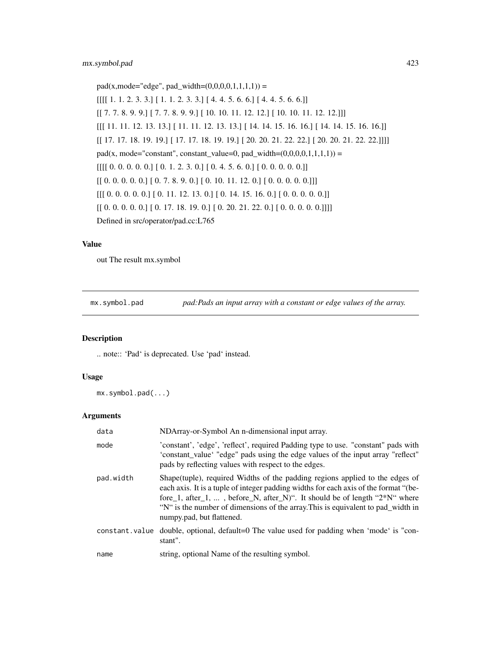$pad(x, mode='edge", pad\_width=(0,0,0,0,1,1,1,1)) =$  $[[[[ 1. 1. 2. 3. 3.] [ 1. 1. 2. 3. 3.] [ 4. 4. 5. 6. 6.] [ 4. 4. 5. 6. 6.]]$ [[ 7. 7. 8. 9. 9.] [ 7. 7. 8. 9. 9.] [ 10. 10. 11. 12. 12.] [ 10. 10. 11. 12. 12.]]] [[[ 11. 11. 12. 13. 13.] [ 11. 11. 12. 13. 13.] [ 14. 14. 15. 16. 16.] [ 14. 14. 15. 16. 16.]] [[ 17. 17. 18. 19. 19.] [ 17. 17. 18. 19. 19.] [ 20. 20. 21. 22. 22.] [ 20. 20. 21. 22. 22.]]]] pad(x, mode="constant", constant\_value=0, pad\_width= $(0,0,0,0,1,1,1,1)$ ) =  $[[[[0. 0. 0. 0. 0. 0.]] [0. 1. 2. 3. 0.]] [0. 4. 5. 6. 0.]] [0. 0. 0. 0. 0.]]$  $[[0. 0. 0. 0. 0.]] [0. 7. 8. 9. 0.] [0. 10. 11. 12. 0.] [0. 0. 0. 0. 0.]]]$  $[[[ 0. 0. 0. 0. 0. ] [ 0. 11. 12. 13. 0. ] [ 0. 14. 15. 16. 0.] [ 0. 0. 0. 0. 0. ]]$  $[[ [ 0. 0. 0. 0. 0.] [ 0. 17. 18. 19. 0.] [ 0. 20. 21. 22. 0.] [ 0. 0. 0. 0.]]]]$ Defined in src/operator/pad.cc:L765

#### Value

out The result mx.symbol

mx.symbol.pad *pad:Pads an input array with a constant or edge values of the array.*

#### Description

.. note:: 'Pad' is deprecated. Use 'pad' instead.

## Usage

mx.symbol.pad(...)

| data      | NDArray-or-Symbol An n-dimensional input array.                                                                                                                                                                                                                                                                                                                         |
|-----------|-------------------------------------------------------------------------------------------------------------------------------------------------------------------------------------------------------------------------------------------------------------------------------------------------------------------------------------------------------------------------|
| mode      | 'constant', 'edge', 'reflect', required Padding type to use. "constant" pads with<br>'constant_value' "edge" pads using the edge values of the input array "reflect"<br>pads by reflecting values with respect to the edges.                                                                                                                                            |
| pad.width | Shape(tuple), required Widths of the padding regions applied to the edges of<br>each axis. It is a tuple of integer padding widths for each axis of the format "(be-<br>fore_1, after_1, , before_N, after_N)". It should be of length " $2*N$ " where<br>"N" is the number of dimensions of the array. This is equivalent to pad_width in<br>numpy.pad, but flattened. |
|           | constant value double, optional, default=0 The value used for padding when 'mode' is "con-<br>stant".                                                                                                                                                                                                                                                                   |
| name      | string, optional Name of the resulting symbol.                                                                                                                                                                                                                                                                                                                          |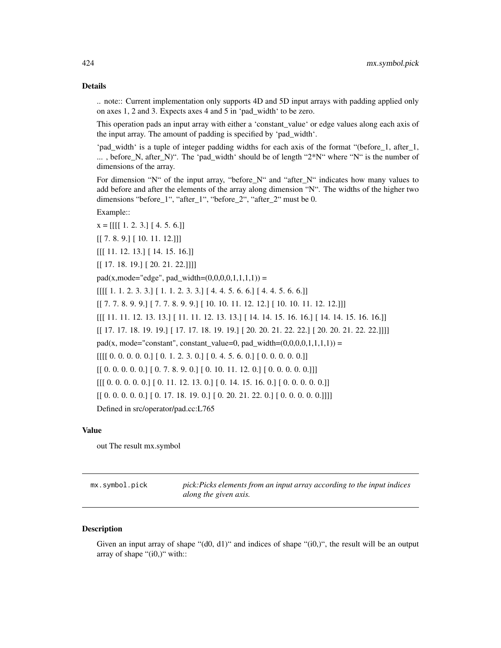.. note:: Current implementation only supports 4D and 5D input arrays with padding applied only on axes 1, 2 and 3. Expects axes 4 and 5 in 'pad\_width' to be zero.

This operation pads an input array with either a 'constant\_value' or edge values along each axis of the input array. The amount of padding is specified by 'pad\_width'.

'pad\_width' is a tuple of integer padding widths for each axis of the format "(before\_1, after\_1, ... , before\_N, after\_N)". The 'pad\_width' should be of length "2\*N" where "N" is the number of dimensions of the array.

For dimension "N" of the input array, "before\_N" and "after\_N" indicates how many values to add before and after the elements of the array along dimension "N". The widths of the higher two dimensions "before\_1", "after\_1", "before\_2", "after\_2" must be 0.

#### Example::

 $x = [[[[ 1. 2. 3. ] [ 4. 5. 6.]]]$  $[[ 7. 8. 9.] [ 10. 11. 12.]]]$ [[[ 11. 12. 13.] [ 14. 15. 16.]] [[ 17. 18. 19.] [ 20. 21. 22.]]]]  $pad(x, mode='edge", pad\_width=(0,0,0,0,1,1,1,1)) =$  $[[[[ 1. 1. 2. 3. 3.] [ 1. 1. 2. 3. 3.] [ 4. 4. 5. 6. 6.] [ 4. 4. 5. 6. 6.]]$ [[ 7. 7. 8. 9. 9.] [ 7. 7. 8. 9. 9.] [ 10. 10. 11. 12. 12.] [ 10. 10. 11. 12. 12.]]] [[[ 11. 11. 12. 13. 13.] [ 11. 11. 12. 13. 13.] [ 14. 14. 15. 16. 16.] [ 14. 14. 15. 16. 16.]] [[ 17. 17. 18. 19. 19.] [ 17. 17. 18. 19. 19.] [ 20. 20. 21. 22. 22.] [ 20. 20. 21. 22. 22.]]]] pad(x, mode="constant", constant\_value=0, pad\_width= $(0,0,0,0,1,1,1,1)$ ) =  $[[[[0. 0. 0. 0. 0. 0.]] [0. 1. 2. 3. 0.]] [0. 4. 5. 6. 0.]] [0. 0. 0. 0. 0.]]$  $[[ 0. 0. 0. 0. 0.]**[ 0. 7. 8. 9. 0.**] [ 0. 10. 11. 12. 0.] [ 0. 0. 0. 0. 0.]]$  $[[[ 0. 0. 0. 0. 0. ] [ 0. 11. 12. 13. 0. ] [ 0. 14. 15. 16. 0.] [ 0. 0. 0. 0. 0. ]]$  $[[ 0. 0. 0. 0. 0.]  
 [ 0. 17. 18. 19. 0.] [ 0. 20. 21. 22. 0.] [ 0. 0. 0. 0. 0.]]]]$ Defined in src/operator/pad.cc:L765

#### Value

out The result mx.symbol

| mx.symbol.pick | pick: Picks elements from an input array according to the input indices |
|----------------|-------------------------------------------------------------------------|
|                | along the given axis.                                                   |

#### **Description**

Given an input array of shape " $(d0, d1)$ " and indices of shape " $(i0, 0)$ ", the result will be an output array of shape "(i0,)" with::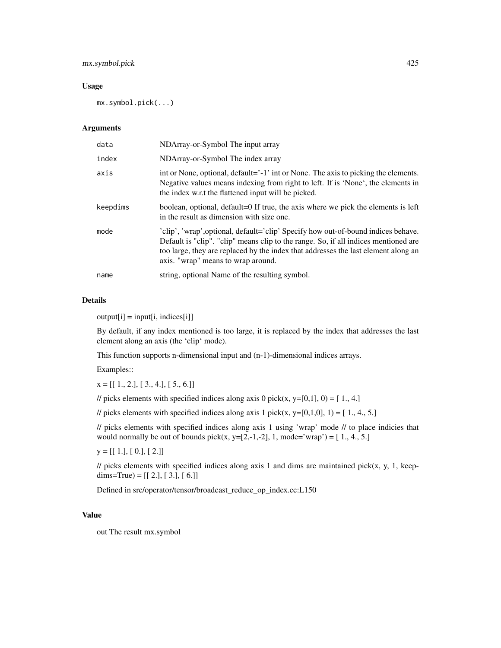## mx.symbol.pick 425

## Usage

mx.symbol.pick(...)

## Arguments

| data     | NDArray-or-Symbol The input array                                                                                                                                                                                                                                                                    |
|----------|------------------------------------------------------------------------------------------------------------------------------------------------------------------------------------------------------------------------------------------------------------------------------------------------------|
| index    | NDArray-or-Symbol The index array                                                                                                                                                                                                                                                                    |
| axis     | int or None, optional, default='-1' int or None. The axis to picking the elements.<br>Negative values means indexing from right to left. If is 'None', the elements in<br>the index w.r.t the flattened input will be picked.                                                                        |
| keepdims | boolean, optional, default=0 If true, the axis where we pick the elements is left<br>in the result as dimension with size one.                                                                                                                                                                       |
| mode     | 'clip', 'wrap', optional, default='clip' Specify how out-of-bound indices behave.<br>Default is "clip". "clip" means clip to the range. So, if all indices mentioned are<br>too large, they are replaced by the index that addresses the last element along an<br>axis. "wrap" means to wrap around. |
| name     | string, optional Name of the resulting symbol.                                                                                                                                                                                                                                                       |

#### Details

 $output[i] = input[i, indices[i]]$ 

By default, if any index mentioned is too large, it is replaced by the index that addresses the last element along an axis (the 'clip' mode).

This function supports n-dimensional input and (n-1)-dimensional indices arrays.

Examples::

 $x = [[1., 2.], [3., 4.], [5., 6.]]$ 

// picks elements with specified indices along axis 0 pick(x, y=[0,1], 0) = [1., 4.]

// picks elements with specified indices along axis 1 pick(x, y=[0,1,0], 1) =  $[1., 4., 5.]$ 

// picks elements with specified indices along axis 1 using 'wrap' mode // to place indicies that would normally be out of bounds pick(x, y=[2,-1,-2], 1, mode='wrap') =  $[1., 4., 5.]$ 

 $y = [[1.], [0.], [2.]]$ 

 $\ell$  picks elements with specified indices along axis 1 and dims are maintained pick(x, y, 1, keepdims=True) =  $[[ 2.], [ 3.], [ 6.]]$ 

Defined in src/operator/tensor/broadcast\_reduce\_op\_index.cc:L150

## Value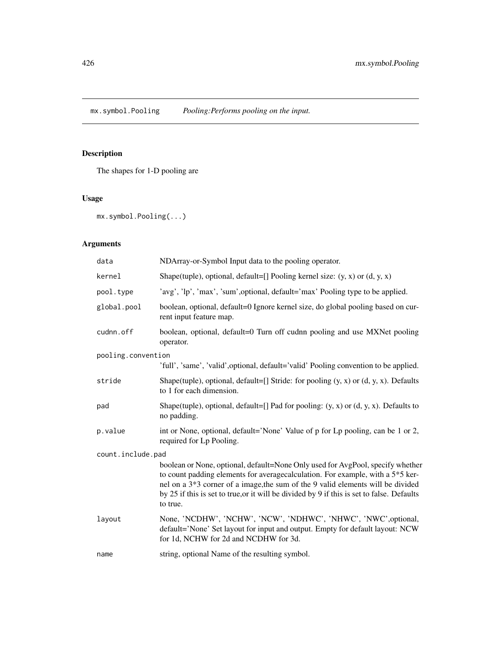mx.symbol.Pooling *Pooling:Performs pooling on the input.*

# Description

The shapes for 1-D pooling are

# Usage

mx.symbol.Pooling(...)

| data               | NDArray-or-Symbol Input data to the pooling operator.                                                                                                                                                                                                                                                                                                               |  |
|--------------------|---------------------------------------------------------------------------------------------------------------------------------------------------------------------------------------------------------------------------------------------------------------------------------------------------------------------------------------------------------------------|--|
| kernel             | Shape(tuple), optional, default=[] Pooling kernel size: $(y, x)$ or $(d, y, x)$                                                                                                                                                                                                                                                                                     |  |
| pool.type          | 'avg', 'lp', 'max', 'sum', optional, default='max' Pooling type to be applied.                                                                                                                                                                                                                                                                                      |  |
| global.pool        | boolean, optional, default=0 Ignore kernel size, do global pooling based on cur-<br>rent input feature map.                                                                                                                                                                                                                                                         |  |
| cudnn.off          | boolean, optional, default=0 Turn off cudnn pooling and use MXNet pooling<br>operator.                                                                                                                                                                                                                                                                              |  |
| pooling.convention |                                                                                                                                                                                                                                                                                                                                                                     |  |
|                    | 'full', 'same', 'valid', optional, default='valid' Pooling convention to be applied.                                                                                                                                                                                                                                                                                |  |
| stride             | Shape(tuple), optional, default=[] Stride: for pooling $(y, x)$ or $(d, y, x)$ . Defaults<br>to 1 for each dimension.                                                                                                                                                                                                                                               |  |
| pad                | Shape(tuple), optional, default=[] Pad for pooling: $(y, x)$ or $(d, y, x)$ . Defaults to<br>no padding.                                                                                                                                                                                                                                                            |  |
| p.value            | int or None, optional, default='None' Value of p for Lp pooling, can be 1 or 2,<br>required for Lp Pooling.                                                                                                                                                                                                                                                         |  |
| count.include.pad  |                                                                                                                                                                                                                                                                                                                                                                     |  |
|                    | boolean or None, optional, default=None Only used for AvgPool, specify whether<br>to count padding elements for average<br>calculation. For example, with a $5*5$ ker-<br>nel on a 3*3 corner of a image, the sum of the 9 valid elements will be divided<br>by 25 if this is set to true, or it will be divided by 9 if this is set to false. Defaults<br>to true. |  |
| layout             | None, 'NCDHW', 'NCHW', 'NCW', 'NDHWC', 'NHWC', 'NWC', optional,<br>default='None' Set layout for input and output. Empty for default layout: NCW<br>for 1d, NCHW for 2d and NCDHW for 3d.                                                                                                                                                                           |  |
| name               | string, optional Name of the resulting symbol.                                                                                                                                                                                                                                                                                                                      |  |
|                    |                                                                                                                                                                                                                                                                                                                                                                     |  |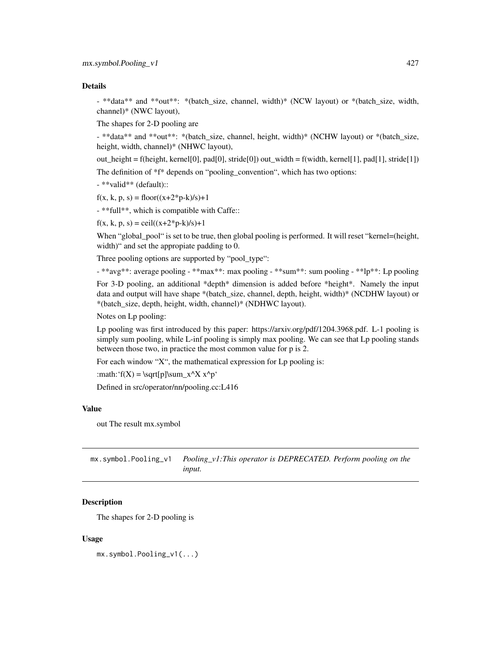- \*\*data\*\* and \*\*out\*\*: \*(batch\_size, channel, width)\* (NCW layout) or \*(batch\_size, width, channel)\* (NWC layout),

The shapes for 2-D pooling are

- \*\*data\*\* and \*\*out\*\*: \*(batch\_size, channel, height, width)\* (NCHW layout) or \*(batch\_size, height, width, channel)\* (NHWC layout),

out\_height = f(height, kernel[0], pad[0], stride[0]) out\_width = f(width, kernel[1], pad[1], stride[1])

The definition of \*f\* depends on "pooling\_convention", which has two options:

- \*\*valid\*\* (default)::

 $f(x, k, p, s) = floor((x+2*p-k)/s)+1$ 

- \*\*full\*\*, which is compatible with Caffe::

 $f(x, k, p, s) = \text{ceil}((x+2*p-k)/s)+1$ 

When "global\_pool" is set to be true, then global pooling is performed. It will reset "kernel=(height, width)" and set the appropiate padding to 0.

Three pooling options are supported by "pool\_type":

- \*\*avg\*\*: average pooling - \*\*max\*\*: max pooling - \*\*sum\*\*: sum pooling - \*\*lp\*\*: Lp pooling For 3-D pooling, an additional \*depth\* dimension is added before \*height\*. Namely the input data and output will have shape \*(batch\_size, channel, depth, height, width)\* (NCDHW layout) or \*(batch\_size, depth, height, width, channel)\* (NDHWC layout).

Notes on Lp pooling:

Lp pooling was first introduced by this paper: https://arxiv.org/pdf/1204.3968.pdf. L-1 pooling is simply sum pooling, while L-inf pooling is simply max pooling. We can see that Lp pooling stands between those two, in practice the most common value for p is 2.

For each window "X", the mathematical expression for Lp pooling is:

:math: $f(X) = \sqrt{p}\sum_{x^X x^p}$ 

Defined in src/operator/nn/pooling.cc:L416

#### Value

out The result mx.symbol

mx.symbol.Pooling\_v1 *Pooling\_v1:This operator is DEPRECATED. Perform pooling on the input.*

#### **Description**

The shapes for 2-D pooling is

#### Usage

mx.symbol.Pooling\_v1(...)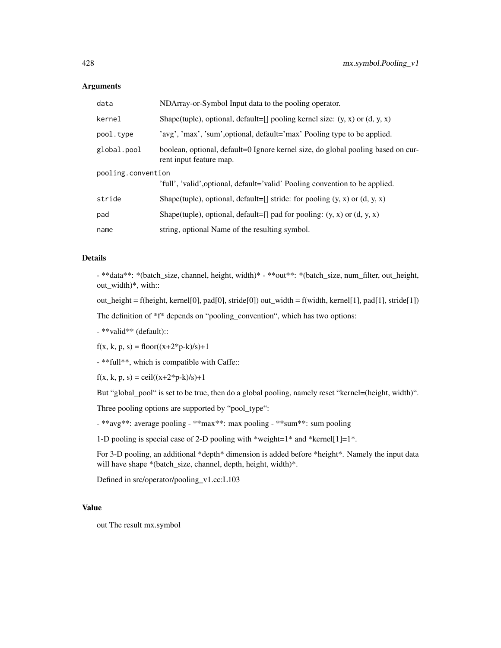| data                                                                                               | NDArray-or-Symbol Input data to the pooling operator.                                                       |
|----------------------------------------------------------------------------------------------------|-------------------------------------------------------------------------------------------------------------|
| kernel                                                                                             | Shape(tuple), optional, default=[] pooling kernel size: $(y, x)$ or $(d, y, x)$                             |
| pool.type                                                                                          | 'avg', 'max', 'sum', optional, default='max' Pooling type to be applied.                                    |
| global.pool                                                                                        | boolean, optional, default=0 Ignore kernel size, do global pooling based on cur-<br>rent input feature map. |
| pooling.convention<br>'full', 'valid', optional, default='valid' Pooling convention to be applied. |                                                                                                             |
| stride                                                                                             | Shape(tuple), optional, default=[] stride: for pooling $(y, x)$ or $(d, y, x)$                              |
| pad                                                                                                | Shape(tuple), optional, default=[] pad for pooling: $(y, x)$ or $(d, y, x)$                                 |
| name                                                                                               | string, optional Name of the resulting symbol.                                                              |

## Details

- \*\*data\*\*: \*(batch\_size, channel, height, width)\* - \*\*out\*\*: \*(batch\_size, num\_filter, out\_height, out\_width)\*, with::

out\_height = f(height, kernel[0], pad[0], stride[0]) out\_width = f(width, kernel[1], pad[1], stride[1])

The definition of \*f\* depends on "pooling\_convention", which has two options:

- \*\*valid\*\* (default)::

 $f(x, k, p, s) = floor((x+2*p-k)/s)+1$ 

- \*\*full\*\*, which is compatible with Caffe::

 $f(x, k, p, s) = \text{ceil}((x+2*p-k)/s)+1$ 

But "global\_pool" is set to be true, then do a global pooling, namely reset "kernel=(height, width)".

Three pooling options are supported by "pool\_type":

- \*\*avg\*\*: average pooling - \*\*max\*\*: max pooling - \*\*sum\*\*: sum pooling

1-D pooling is special case of 2-D pooling with \*weight=1\* and \*kernel[1]=1\*.

For 3-D pooling, an additional \*depth\* dimension is added before \*height\*. Namely the input data will have shape \*(batch\_size, channel, depth, height, width)\*.

Defined in src/operator/pooling\_v1.cc:L103

## Value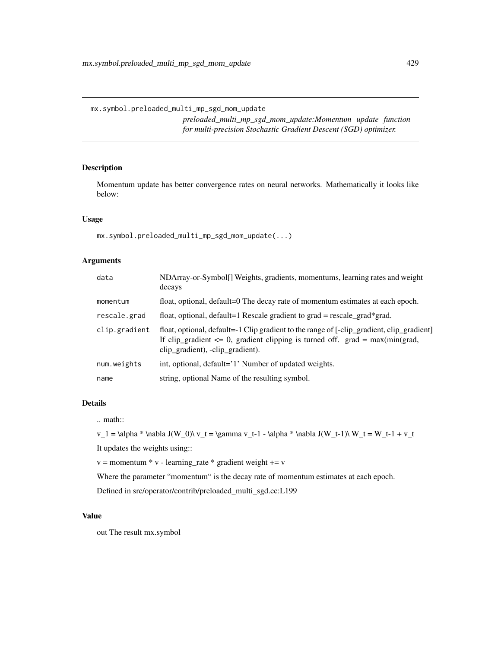*preloaded\_multi\_mp\_sgd\_mom\_update:Momentum update function for multi-precision Stochastic Gradient Descent (SGD) optimizer.*

## Description

Momentum update has better convergence rates on neural networks. Mathematically it looks like below:

#### Usage

mx.symbol.preloaded\_multi\_mp\_sgd\_mom\_update(...)

## Arguments

| data          | NDArray-or-Symbol[] Weights, gradients, momentums, learning rates and weight<br>decays                                                                                                                             |
|---------------|--------------------------------------------------------------------------------------------------------------------------------------------------------------------------------------------------------------------|
| momentum      | float, optional, default=0 The decay rate of momentum estimates at each epoch.                                                                                                                                     |
| rescale.grad  | float, optional, default=1 Rescale gradient to $grad = rescale\_grad*grad$ .                                                                                                                                       |
| clip.gradient | float, optional, default=-1 Clip gradient to the range of [-clip_gradient, clip_gradient]<br>If clip_gradient $\leq 0$ , gradient clipping is turned off. grad = max(min(grad,<br>clip_gradient), -clip_gradient). |
| num.weights   | int, optional, default='1' Number of updated weights.                                                                                                                                                              |
| name          | string, optional Name of the resulting symbol.                                                                                                                                                                     |

## Details

.. math::

 $v_1 = \alpha * \nabla J(W_0) \ v_t = \gamma v_t-1 - \alpha * \nabla J(W_t-1) \ W_t = W_t-1 + v_t$ 

It updates the weights using::

 $v =$  momentum  $* v$  - learning\_rate  $*$  gradient weight  $+= v$ 

Where the parameter "momentum" is the decay rate of momentum estimates at each epoch.

Defined in src/operator/contrib/preloaded\_multi\_sgd.cc:L199

#### Value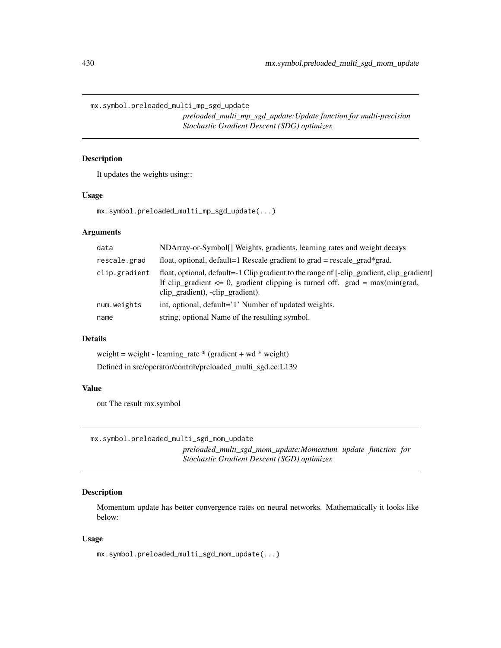mx.symbol.preloaded\_multi\_mp\_sgd\_update

*preloaded\_multi\_mp\_sgd\_update:Update function for multi-precision Stochastic Gradient Descent (SDG) optimizer.*

## Description

It updates the weights using::

#### Usage

mx.symbol.preloaded\_multi\_mp\_sgd\_update(...)

#### Arguments

| data          | NDArray-or-Symbol[] Weights, gradients, learning rates and weight decays                                                                                                                                           |
|---------------|--------------------------------------------------------------------------------------------------------------------------------------------------------------------------------------------------------------------|
| rescale.grad  | float, optional, default=1 Rescale gradient to grad = rescale_grad*grad.                                                                                                                                           |
| clip.gradient | float, optional, default=-1 Clip gradient to the range of [-clip_gradient, clip_gradient]<br>If clip_gradient $\leq 0$ , gradient clipping is turned off. grad = max(min(grad,<br>clip_gradient), -clip_gradient). |
| num.weights   | int, optional, default='1' Number of updated weights.                                                                                                                                                              |
| name          | string, optional Name of the resulting symbol.                                                                                                                                                                     |

#### Details

weight = weight - learning\_rate  $*$  (gradient + wd  $*$  weight) Defined in src/operator/contrib/preloaded\_multi\_sgd.cc:L139

#### Value

out The result mx.symbol

mx.symbol.preloaded\_multi\_sgd\_mom\_update

*preloaded\_multi\_sgd\_mom\_update:Momentum update function for Stochastic Gradient Descent (SGD) optimizer.*

## Description

Momentum update has better convergence rates on neural networks. Mathematically it looks like below:

#### Usage

mx.symbol.preloaded\_multi\_sgd\_mom\_update(...)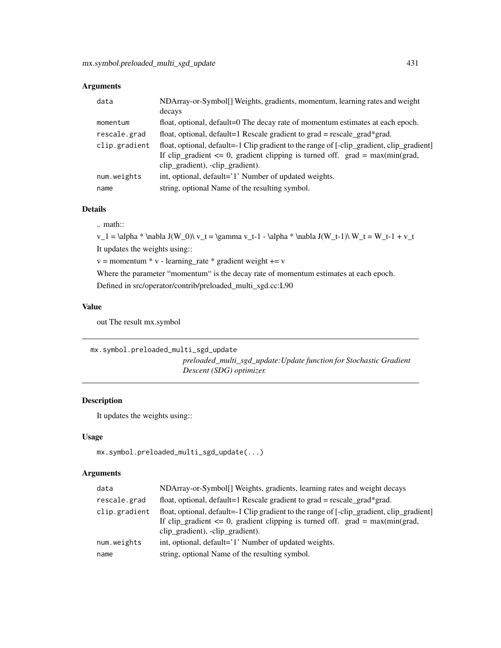| data          | NDArray-or-Symbol[] Weights, gradients, momentum, learning rates and weight<br>decays                                                                                                                              |
|---------------|--------------------------------------------------------------------------------------------------------------------------------------------------------------------------------------------------------------------|
| momentum      | float, optional, default=0 The decay rate of momentum estimates at each epoch.                                                                                                                                     |
| rescale.grad  | float, optional, default=1 Rescale gradient to grad = rescale_grad*grad.                                                                                                                                           |
| clip.gradient | float, optional, default=-1 Clip gradient to the range of [-clip_gradient, clip_gradient]<br>If clip_gradient $\leq 0$ , gradient clipping is turned off. grad = max(min(grad,<br>clip_gradient), -clip_gradient). |
| num.weights   | int, optional, default='1' Number of updated weights.                                                                                                                                                              |
| name          | string, optional Name of the resulting symbol.                                                                                                                                                                     |

#### Details

.. math::

v\_1 = \alpha \* \nabla J(W\_0)\ v\_t = \gamma v\_t-1 - \alpha \* \nabla J(W\_t-1)\ W\_t = W\_t-1 + v\_t It updates the weights using::

 $v =$  momentum  $* v$  - learning\_rate  $*$  gradient weight  $+= v$ 

Where the parameter "momentum" is the decay rate of momentum estimates at each epoch.

Defined in src/operator/contrib/preloaded\_multi\_sgd.cc:L90

#### Value

out The result mx.symbol

mx.symbol.preloaded\_multi\_sgd\_update *preloaded\_multi\_sgd\_update:Update function for Stochastic Gradient Descent (SDG) optimizer.*

# Description

It updates the weights using::

## Usage

```
mx.symbol.preloaded_multi_sgd_update(...)
```

| data          | NDArray-or-Symbol[] Weights, gradients, learning rates and weight decays                                                                                                                                           |
|---------------|--------------------------------------------------------------------------------------------------------------------------------------------------------------------------------------------------------------------|
| rescale.grad  | float, optional, default=1 Rescale gradient to $grad = rescale\_grad*grad$ .                                                                                                                                       |
| clip.gradient | float, optional, default=-1 Clip gradient to the range of [-clip_gradient, clip_gradient]<br>If clip_gradient $\leq 0$ , gradient clipping is turned off. grad = max(min(grad,<br>clip_gradient), -clip_gradient). |
| num.weights   | int, optional, default='1' Number of updated weights.                                                                                                                                                              |
| name          | string, optional Name of the resulting symbol.                                                                                                                                                                     |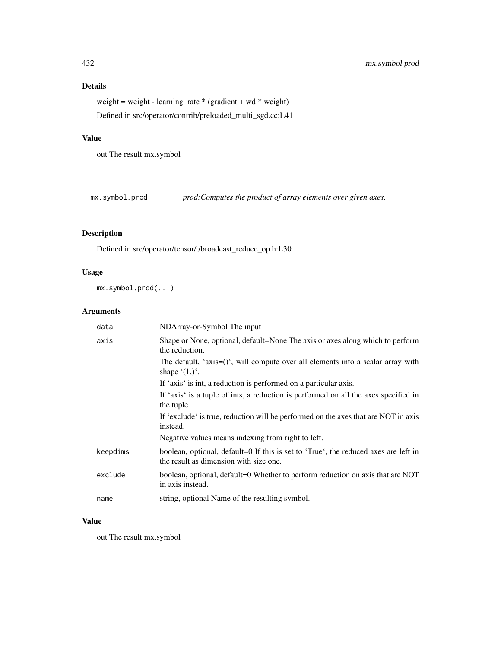weight = weight - learning\_rate \* (gradient + wd \* weight) Defined in src/operator/contrib/preloaded\_multi\_sgd.cc:L41

## Value

out The result mx.symbol

mx.symbol.prod *prod:Computes the product of array elements over given axes.* 

## Description

Defined in src/operator/tensor/./broadcast\_reduce\_op.h:L30

## Usage

mx.symbol.prod(...)

# Arguments

| data     | NDArray-or-Symbol The input                                                                                                   |
|----------|-------------------------------------------------------------------------------------------------------------------------------|
| axis     | Shape or None, optional, default=None The axis or axes along which to perform<br>the reduction.                               |
|          | The default, 'axis=()', will compute over all elements into a scalar array with<br>shape $(1,)^{\prime}$ .                    |
|          | If 'axis' is int, a reduction is performed on a particular axis.                                                              |
|          | If 'axis' is a tuple of ints, a reduction is performed on all the axes specified in<br>the tuple.                             |
|          | If 'exclude' is true, reduction will be performed on the axes that are NOT in axis<br>instead.                                |
|          | Negative values means indexing from right to left.                                                                            |
| keepdims | boolean, optional, default=0 If this is set to 'True', the reduced axes are left in<br>the result as dimension with size one. |
| exclude  | boolean, optional, default=0 Whether to perform reduction on axis that are NOT<br>in axis instead.                            |
| name     | string, optional Name of the resulting symbol.                                                                                |

#### Value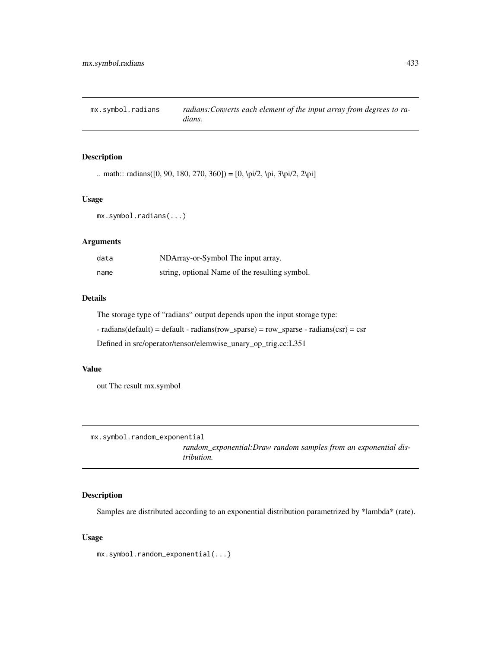mx.symbol.radians *radians:Converts each element of the input array from degrees to radians.*

# Description

```
.. math:: radians([0, 90, 180, 270, 360]) = [0, \pi/2, \pi, 3\pi/2, 2\pi]
```
# Usage

mx.symbol.radians(...)

## Arguments

| data | NDArray-or-Symbol The input array.             |
|------|------------------------------------------------|
| name | string, optional Name of the resulting symbol. |

# Details

The storage type of "radians" output depends upon the input storage type:

 $-$  radians(default) = default  $-$  radians(row\_sparse) = row\_sparse  $-$  radians(csr) = csr

Defined in src/operator/tensor/elemwise\_unary\_op\_trig.cc:L351

# Value

out The result mx.symbol

mx.symbol.random\_exponential

*random\_exponential:Draw random samples from an exponential distribution.*

# Description

Samples are distributed according to an exponential distribution parametrized by \*lambda\* (rate).

## Usage

mx.symbol.random\_exponential(...)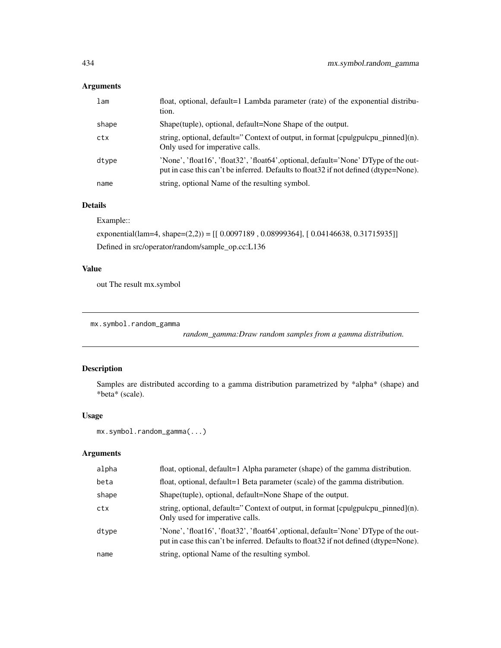# Arguments

| lam   | float, optional, default=1 Lambda parameter (rate) of the exponential distribu-<br>tion.                                                                                     |
|-------|------------------------------------------------------------------------------------------------------------------------------------------------------------------------------|
| shape | Shape (tuple), optional, default=None Shape of the output.                                                                                                                   |
| ctx   | string, optional, default="Context of output, in format $[$ cpulgpulcpu_pinned $]$ (n).<br>Only used for imperative calls.                                                   |
| dtype | 'None', 'float16', 'float32', 'float64', optional, default='None' DType of the out-<br>put in case this can't be inferred. Defaults to float 32 if not defined (dtype=None). |
| name  | string, optional Name of the resulting symbol.                                                                                                                               |

# Details

Example::

exponential(lam=4, shape=(2,2)) = [[ 0.0097189 , 0.08999364], [ 0.04146638, 0.31715935]] Defined in src/operator/random/sample\_op.cc:L136

# Value

out The result mx.symbol

```
mx.symbol.random_gamma
```
*random\_gamma:Draw random samples from a gamma distribution.*

# Description

Samples are distributed according to a gamma distribution parametrized by \*alpha\* (shape) and \*beta\* (scale).

# Usage

```
mx.symbol.random_gamma(...)
```

| alpha | float, optional, default=1 Alpha parameter (shape) of the gamma distribution.                                                                                                |
|-------|------------------------------------------------------------------------------------------------------------------------------------------------------------------------------|
| beta  | float, optional, default=1 Beta parameter (scale) of the gamma distribution.                                                                                                 |
| shape | Shape (tuple), optional, default=None Shape of the output.                                                                                                                   |
| ctx   | string, optional, default="Context of output, in format $[$ cpulgpulcpu_pinned $]$ (n).<br>Only used for imperative calls.                                                   |
| dtype | 'None', 'float16', 'float32', 'float64', optional, default='None' DType of the out-<br>put in case this can't be inferred. Defaults to float 32 if not defined (dtype=None). |
| name  | string, optional Name of the resulting symbol.                                                                                                                               |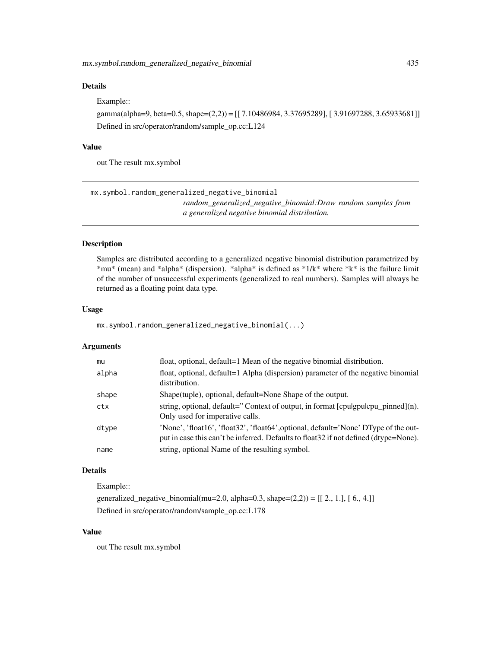# Details

#### Example::

gamma(alpha=9, beta=0.5, shape=(2,2)) = [[ 7.10486984, 3.37695289], [ 3.91697288, 3.65933681]] Defined in src/operator/random/sample\_op.cc:L124

## Value

out The result mx.symbol

mx.symbol.random\_generalized\_negative\_binomial

*random\_generalized\_negative\_binomial:Draw random samples from a generalized negative binomial distribution.*

## Description

Samples are distributed according to a generalized negative binomial distribution parametrized by \*mu\* (mean) and \*alpha\* (dispersion). \*alpha\* is defined as \*1/k\* where \*k\* is the failure limit of the number of unsuccessful experiments (generalized to real numbers). Samples will always be returned as a floating point data type.

# Usage

mx.symbol.random\_generalized\_negative\_binomial(...)

# Arguments

| mu    | float, optional, default=1 Mean of the negative binomial distribution.                                                                                                       |
|-------|------------------------------------------------------------------------------------------------------------------------------------------------------------------------------|
| alpha | float, optional, default=1 Alpha (dispersion) parameter of the negative binomial<br>distribution.                                                                            |
| shape | Shape (tuple), optional, default=None Shape of the output.                                                                                                                   |
| ctx   | string, optional, default="Context of output, in format [cpulgpulcpu_pinned](n).<br>Only used for imperative calls.                                                          |
| dtype | 'None', 'float16', 'float32', 'float64', optional, default='None' DType of the out-<br>put in case this can't be inferred. Defaults to float 32 if not defined (dtype=None). |
| name  | string, optional Name of the resulting symbol.                                                                                                                               |

#### Details

Example::

generalized\_negative\_binomial(mu=2.0, alpha=0.3, shape= $(2,2)$ ) = [[ 2., 1.], [ 6., 4.]] Defined in src/operator/random/sample\_op.cc:L178

# Value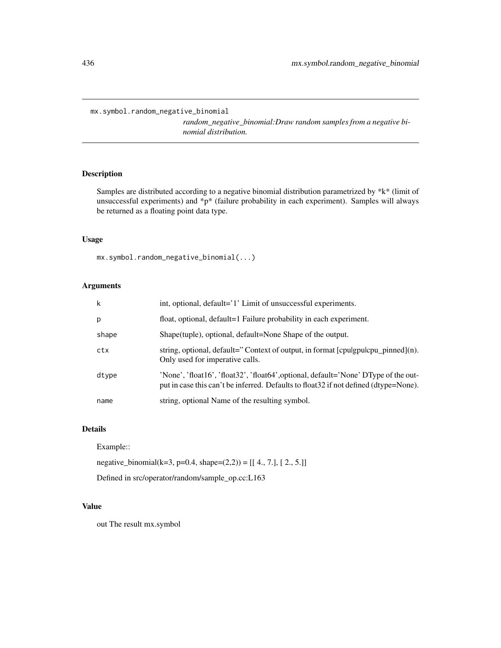mx.symbol.random\_negative\_binomial

*random\_negative\_binomial:Draw random samples from a negative binomial distribution.*

# Description

Samples are distributed according to a negative binomial distribution parametrized by \*k\* (limit of unsuccessful experiments) and  $*p*$  (failure probability in each experiment). Samples will always be returned as a floating point data type.

## Usage

mx.symbol.random\_negative\_binomial(...)

# Arguments

| k     | int, optional, default='1' Limit of unsuccessful experiments.                                                                                                                |
|-------|------------------------------------------------------------------------------------------------------------------------------------------------------------------------------|
| p     | float, optional, default=1 Failure probability in each experiment.                                                                                                           |
| shape | Shape(tuple), optional, default=None Shape of the output.                                                                                                                    |
| ctx   | string, optional, default="Context of output, in format [cpulgpulcpu_pinned](n).<br>Only used for imperative calls.                                                          |
| dtype | 'None', 'float16', 'float32', 'float64', optional, default='None' DType of the out-<br>put in case this can't be inferred. Defaults to float 32 if not defined (dtype=None). |
| name  | string, optional Name of the resulting symbol.                                                                                                                               |

# Details

Example::

negative\_binomial(k=3, p=0.4, shape= $(2,2)$ ) = [[ 4., 7.], [ 2., 5.]]

Defined in src/operator/random/sample\_op.cc:L163

# Value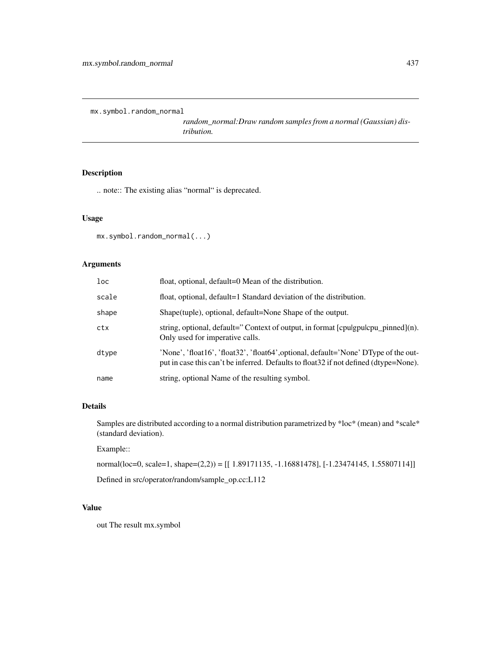mx.symbol.random\_normal

*random\_normal:Draw random samples from a normal (Gaussian) distribution.*

# Description

.. note:: The existing alias "normal" is deprecated.

## Usage

```
mx.symbol.random_normal(...)
```
# Arguments

| $1$ oc | float, optional, default=0 Mean of the distribution.                                                                                                                         |
|--------|------------------------------------------------------------------------------------------------------------------------------------------------------------------------------|
| scale  | float, optional, default=1 Standard deviation of the distribution.                                                                                                           |
| shape  | Shape(tuple), optional, default=None Shape of the output.                                                                                                                    |
| ctx    | string, optional, default="Context of output, in format [cpulgpulcpu_pinned](n).<br>Only used for imperative calls.                                                          |
| dtype  | 'None', 'float16', 'float32', 'float64', optional, default='None' DType of the out-<br>put in case this can't be inferred. Defaults to float 32 if not defined (dtype=None). |
| name   | string, optional Name of the resulting symbol.                                                                                                                               |

# Details

Samples are distributed according to a normal distribution parametrized by \*loc\* (mean) and \*scale\* (standard deviation).

Example::

normal(loc=0, scale=1, shape=(2,2)) = [[ 1.89171135, -1.16881478], [-1.23474145, 1.55807114]] Defined in src/operator/random/sample\_op.cc:L112

# Value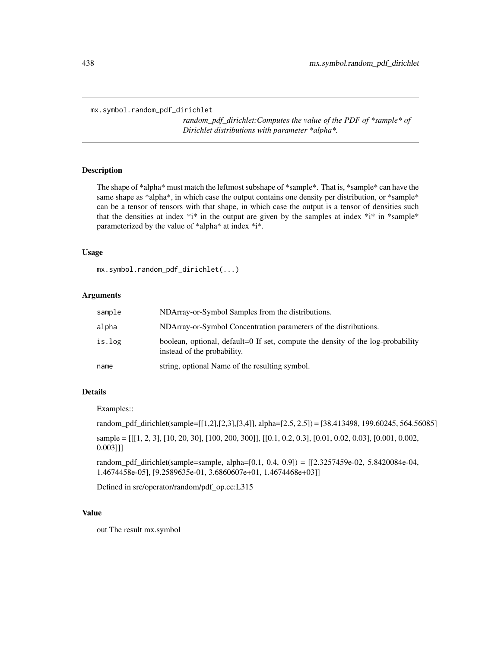mx.symbol.random\_pdf\_dirichlet

*random\_pdf\_dirichlet:Computes the value of the PDF of \*sample\* of Dirichlet distributions with parameter \*alpha\*.*

# **Description**

The shape of \*alpha\* must match the leftmost subshape of \*sample\*. That is, \*sample\* can have the same shape as \*alpha\*, in which case the output contains one density per distribution, or \*sample\* can be a tensor of tensors with that shape, in which case the output is a tensor of densities such that the densities at index  $*$ i\* in the output are given by the samples at index  $*$ i\* in \*sample\* parameterized by the value of \*alpha\* at index \*i\*.

## Usage

mx.symbol.random\_pdf\_dirichlet(...)

# Arguments

| sample | NDArray-or-Symbol Samples from the distributions.                                                              |
|--------|----------------------------------------------------------------------------------------------------------------|
| alpha  | NDArray-or-Symbol Concentration parameters of the distributions.                                               |
| is.log | boolean, optional, default=0 If set, compute the density of the log-probability<br>instead of the probability. |
| name   | string, optional Name of the resulting symbol.                                                                 |

# Details

Examples::

random\_pdf\_dirichlet(sample=[[1,2],[2,3],[3,4]], alpha=[2.5, 2.5]) = [38.413498, 199.60245, 564.56085] sample =  $[[[1, 2, 3], [10, 20, 30], [100, 200, 300]], [[0.1, 0.2, 0.3], [0.01, 0.02, 0.03], [0.001, 0.002,$ 0.003]]]

random\_pdf\_dirichlet(sample=sample, alpha=[0.1, 0.4, 0.9]) = [[2.3257459e-02, 5.8420084e-04, 1.4674458e-05], [9.2589635e-01, 3.6860607e+01, 1.4674468e+03]]

Defined in src/operator/random/pdf\_op.cc:L315

## Value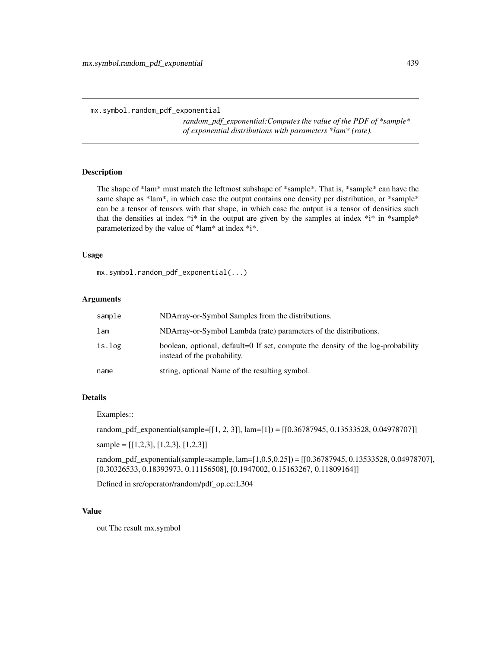mx.symbol.random\_pdf\_exponential

*random\_pdf\_exponential:Computes the value of the PDF of \*sample\* of exponential distributions with parameters \*lam\* (rate).*

#### Description

The shape of \*lam\* must match the leftmost subshape of \*sample\*. That is, \*sample\* can have the same shape as \*lam\*, in which case the output contains one density per distribution, or \*sample\* can be a tensor of tensors with that shape, in which case the output is a tensor of densities such that the densities at index  $*$ i $*$  in the output are given by the samples at index  $*$ i $*$  in  $*$ sample $*$ parameterized by the value of \*lam\* at index \*i\*.

## Usage

mx.symbol.random\_pdf\_exponential(...)

## Arguments

| sample | NDArray-or-Symbol Samples from the distributions.                                                              |
|--------|----------------------------------------------------------------------------------------------------------------|
| lam    | NDArray-or-Symbol Lambda (rate) parameters of the distributions.                                               |
| is.log | boolean, optional, default=0 If set, compute the density of the log-probability<br>instead of the probability. |
| name   | string, optional Name of the resulting symbol.                                                                 |

#### Details

Examples::

random\_pdf\_exponential(sample=[[1, 2, 3]],  $\text{lam}=[1]$ ) = [[0.36787945, 0.13533528, 0.04978707]]

sample = [[1,2,3], [1,2,3], [1,2,3]]

random\_pdf\_exponential(sample=sample, lam=[1,0.5,0.25]) = [[0.36787945, 0.13533528, 0.04978707], [0.30326533, 0.18393973, 0.11156508], [0.1947002, 0.15163267, 0.11809164]]

Defined in src/operator/random/pdf\_op.cc:L304

# Value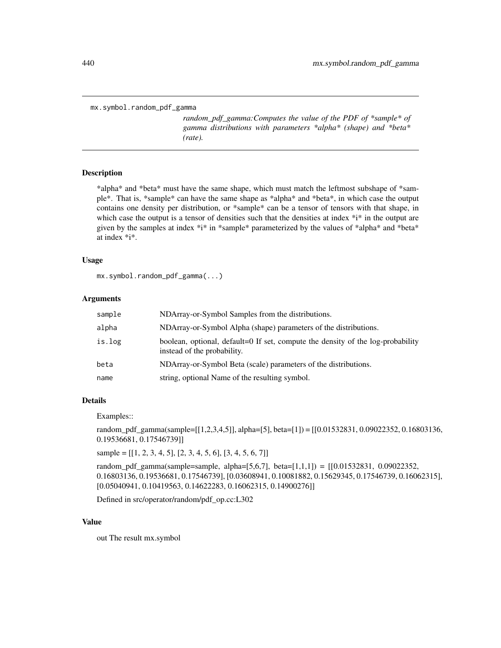```
mx.symbol.random_pdf_gamma
```
*random\_pdf\_gamma:Computes the value of the PDF of \*sample\* of gamma distributions with parameters \*alpha\* (shape) and \*beta\* (rate).*

#### **Description**

\*alpha\* and \*beta\* must have the same shape, which must match the leftmost subshape of \*sample\*. That is, \*sample\* can have the same shape as \*alpha\* and \*beta\*, in which case the output contains one density per distribution, or \*sample\* can be a tensor of tensors with that shape, in which case the output is a tensor of densities such that the densities at index \*i\* in the output are given by the samples at index \*i\* in \*sample\* parameterized by the values of \*alpha\* and \*beta\* at index \*i\*.

## Usage

```
mx.symbol.random_pdf_gamma(...)
```
## Arguments

| sample | NDArray-or-Symbol Samples from the distributions.                                                              |
|--------|----------------------------------------------------------------------------------------------------------------|
| alpha  | NDArray-or-Symbol Alpha (shape) parameters of the distributions.                                               |
| is.log | boolean, optional, default=0 If set, compute the density of the log-probability<br>instead of the probability. |
| beta   | NDArray-or-Symbol Beta (scale) parameters of the distributions.                                                |
| name   | string, optional Name of the resulting symbol.                                                                 |

## Details

Examples::

random\_pdf\_gamma(sample=[[1,2,3,4,5]], alpha=[5], beta=[1]) = [[0.01532831, 0.09022352, 0.16803136, 0.19536681, 0.17546739]]

sample =  $[[1, 2, 3, 4, 5], [2, 3, 4, 5, 6], [3, 4, 5, 6, 7]]$ 

random\_pdf\_gamma(sample=sample, alpha=[5,6,7], beta=[1,1,1]) = [[0.01532831, 0.09022352, 0.16803136, 0.19536681, 0.17546739], [0.03608941, 0.10081882, 0.15629345, 0.17546739, 0.16062315], [0.05040941, 0.10419563, 0.14622283, 0.16062315, 0.14900276]]

Defined in src/operator/random/pdf\_op.cc:L302

# Value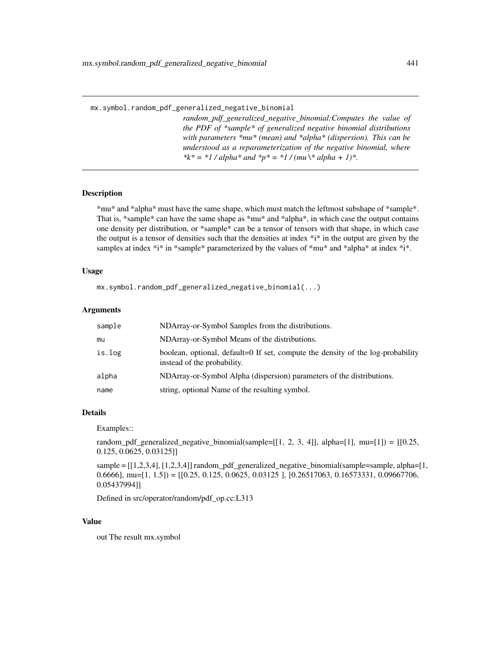mx.symbol.random\_pdf\_generalized\_negative\_binomial

*random\_pdf\_generalized\_negative\_binomial:Computes the value of the PDF of \*sample\* of generalized negative binomial distributions with parameters \*mu\* (mean) and \*alpha\* (dispersion). This can be understood as a reparameterization of the negative binomial, where* \*k\* = \*1 / alpha\* and \*p\* = \*1 / (mu \\* alpha + 1)\*.

# Description

\*mu\* and \*alpha\* must have the same shape, which must match the leftmost subshape of \*sample\*. That is, \*sample\* can have the same shape as \*mu\* and \*alpha\*, in which case the output contains one density per distribution, or \*sample\* can be a tensor of tensors with that shape, in which case the output is a tensor of densities such that the densities at index  $*$ i $*$  in the output are given by the samples at index  $*$ i\* in \*sample\* parameterized by the values of  $*mu*$  and  $*alpha*$  at index  $*$ i\*.

## Usage

```
mx.symbol.random_pdf_generalized_negative_binomial(...)
```
## Arguments

| sample | NDArray-or-Symbol Samples from the distributions.                                                              |
|--------|----------------------------------------------------------------------------------------------------------------|
| mu     | NDArray-or-Symbol Means of the distributions.                                                                  |
| is.log | boolean, optional, default=0 If set, compute the density of the log-probability<br>instead of the probability. |
| alpha  | NDArray-or-Symbol Alpha (dispersion) parameters of the distributions.                                          |
| name   | string, optional Name of the resulting symbol.                                                                 |

#### Details

Examples::

random\_pdf\_generalized\_negative\_binomial(sample=[[1, 2, 3, 4]], alpha=[1], mu=[1]) = [[0.25, 0.125, 0.0625, 0.03125]]

sample = [[1,2,3,4], [1,2,3,4]] random\_pdf\_generalized\_negative\_binomial(sample=sample, alpha=[1, 0.6666], mu=[1, 1.5]) = [[0.25, 0.125, 0.0625, 0.03125 ], [0.26517063, 0.16573331, 0.09667706, 0.05437994]]

Defined in src/operator/random/pdf\_op.cc:L313

# Value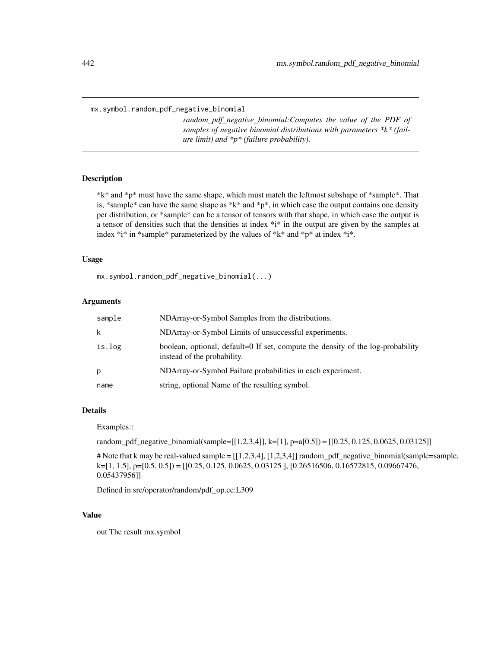mx.symbol.random\_pdf\_negative\_binomial

*random\_pdf\_negative\_binomial:Computes the value of the PDF of samples of negative binomial distributions with parameters \*k\* (failure limit) and \*p\* (failure probability).*

## Description

\*k\* and \*p\* must have the same shape, which must match the leftmost subshape of \*sample\*. That is, \*sample\* can have the same shape as \*k\* and \*p\*, in which case the output contains one density per distribution, or \*sample\* can be a tensor of tensors with that shape, in which case the output is a tensor of densities such that the densities at index \*i\* in the output are given by the samples at index \*i\* in \*sample\* parameterized by the values of \*k\* and \*p\* at index \*i\*.

## Usage

mx.symbol.random\_pdf\_negative\_binomial(...)

## Arguments

| sample | NDArray-or-Symbol Samples from the distributions.                                                              |
|--------|----------------------------------------------------------------------------------------------------------------|
| k      | NDArray-or-Symbol Limits of unsuccessful experiments.                                                          |
| is.log | boolean, optional, default=0 If set, compute the density of the log-probability<br>instead of the probability. |
| р      | NDArray-or-Symbol Failure probabilities in each experiment.                                                    |
| name   | string, optional Name of the resulting symbol.                                                                 |

## Details

Examples::

random\_pdf\_negative\_binomial(sample=[[1,2,3,4]], k=[1], p=a[0.5]) = [[0.25, 0.125, 0.0625, 0.03125]]

# Note that k may be real-valued sample = [[1,2,3,4], [1,2,3,4]] random\_pdf\_negative\_binomial(sample=sample, k=[1, 1.5], p=[0.5, 0.5]) = [[0.25, 0.125, 0.0625, 0.03125 ], [0.26516506, 0.16572815, 0.09667476, 0.05437956]]

Defined in src/operator/random/pdf\_op.cc:L309

## Value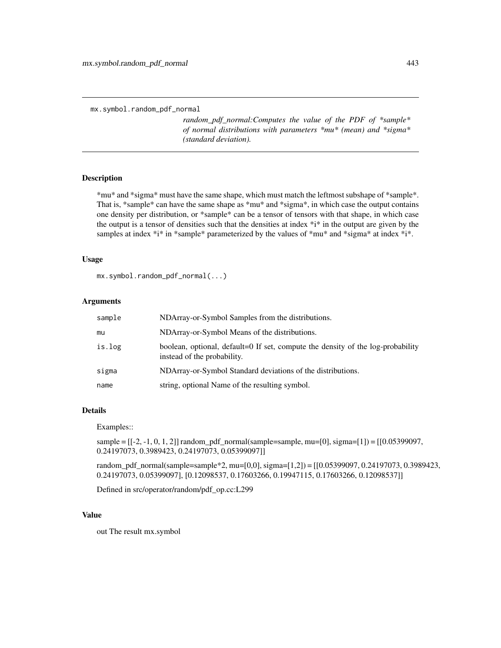mx.symbol.random\_pdf\_normal

*random\_pdf\_normal:Computes the value of the PDF of \*sample\* of normal distributions with parameters \*mu\* (mean) and \*sigma\* (standard deviation).*

## Description

\*mu\* and \*sigma\* must have the same shape, which must match the leftmost subshape of \*sample\*. That is, \*sample\* can have the same shape as \*mu\* and \*sigma\*, in which case the output contains one density per distribution, or \*sample\* can be a tensor of tensors with that shape, in which case the output is a tensor of densities such that the densities at index  $*$ i $*$  in the output are given by the samples at index \*i\* in \*sample\* parameterized by the values of \*mu\* and \*sigma\* at index \*i\*.

## Usage

mx.symbol.random\_pdf\_normal(...)

# Arguments

| sample | NDArray-or-Symbol Samples from the distributions.                                                              |
|--------|----------------------------------------------------------------------------------------------------------------|
| mu     | NDArray-or-Symbol Means of the distributions.                                                                  |
| is.log | boolean, optional, default=0 If set, compute the density of the log-probability<br>instead of the probability. |
| sigma  | NDArray-or-Symbol Standard deviations of the distributions.                                                    |
| name   | string, optional Name of the resulting symbol.                                                                 |

## Details

Examples::

sample = [[-2, -1, 0, 1, 2]] random\_pdf\_normal(sample=sample, mu=[0], sigma=[1]) = [[0.05399097, 0.24197073, 0.3989423, 0.24197073, 0.05399097]]

random\_pdf\_normal(sample=sample\*2, mu=[0,0], sigma=[1,2]) = [[0.05399097, 0.24197073, 0.3989423, 0.24197073, 0.05399097], [0.12098537, 0.17603266, 0.19947115, 0.17603266, 0.12098537]]

Defined in src/operator/random/pdf\_op.cc:L299

#### Value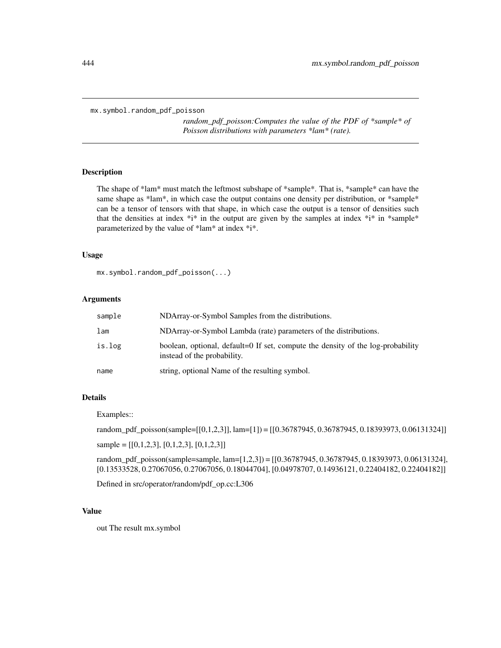```
mx.symbol.random_pdf_poisson
```
*random\_pdf\_poisson:Computes the value of the PDF of \*sample\* of Poisson distributions with parameters \*lam\* (rate).*

#### Description

The shape of \*lam\* must match the leftmost subshape of \*sample\*. That is, \*sample\* can have the same shape as \*lam\*, in which case the output contains one density per distribution, or \*sample\* can be a tensor of tensors with that shape, in which case the output is a tensor of densities such that the densities at index  $*$ i $*$  in the output are given by the samples at index  $*$ i $*$  in  $*$ sample $*$ parameterized by the value of \*lam\* at index \*i\*.

## Usage

mx.symbol.random\_pdf\_poisson(...)

## Arguments

| sample | NDArray-or-Symbol Samples from the distributions.                                                              |
|--------|----------------------------------------------------------------------------------------------------------------|
| lam    | NDArray-or-Symbol Lambda (rate) parameters of the distributions.                                               |
| is.log | boolean, optional, default=0 If set, compute the density of the log-probability<br>instead of the probability. |
| name   | string, optional Name of the resulting symbol.                                                                 |

#### Details

Examples::

random\_pdf\_poisson(sample=[[0,1,2,3]], lam=[1]) = [[0.36787945, 0.36787945, 0.18393973, 0.06131324]]

sample =  $[[0,1,2,3], [0,1,2,3], [0,1,2,3]]$ 

random\_pdf\_poisson(sample=sample, lam=[1,2,3]) = [[0.36787945, 0.36787945, 0.18393973, 0.06131324], [0.13533528, 0.27067056, 0.27067056, 0.18044704], [0.04978707, 0.14936121, 0.22404182, 0.22404182]]

Defined in src/operator/random/pdf\_op.cc:L306

# Value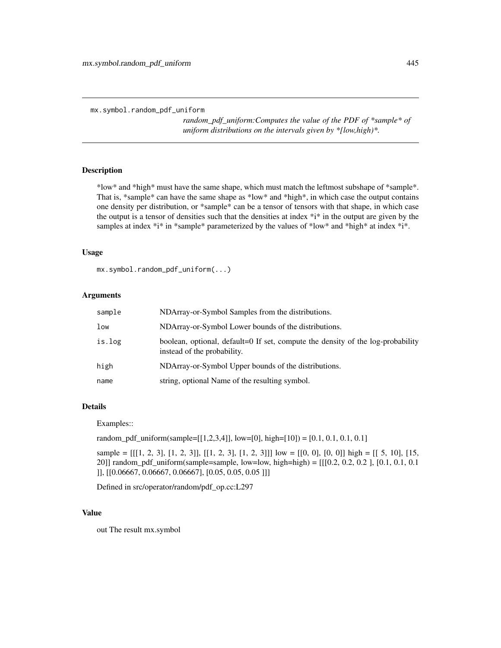mx.symbol.random\_pdf\_uniform

*random\_pdf\_uniform:Computes the value of the PDF of \*sample\* of uniform distributions on the intervals given by \*[low,high)\*.*

# **Description**

\*low\* and \*high\* must have the same shape, which must match the leftmost subshape of \*sample\*. That is, \*sample\* can have the same shape as \*low\* and \*high\*, in which case the output contains one density per distribution, or \*sample\* can be a tensor of tensors with that shape, in which case the output is a tensor of densities such that the densities at index  $*$ i $*$  in the output are given by the samples at index  $*$ i\* in \*sample\* parameterized by the values of \*low\* and \*high\* at index \*i\*.

## Usage

mx.symbol.random\_pdf\_uniform(...)

## Arguments

| sample | NDArray-or-Symbol Samples from the distributions.                                                              |
|--------|----------------------------------------------------------------------------------------------------------------|
| low    | NDArray-or-Symbol Lower bounds of the distributions.                                                           |
| is.log | boolean, optional, default=0 If set, compute the density of the log-probability<br>instead of the probability. |
| high   | NDArray-or-Symbol Upper bounds of the distributions.                                                           |
| name   | string, optional Name of the resulting symbol.                                                                 |

## Details

Examples::

random\_pdf\_uniform(sample=[[1,2,3,4]], low=[0], high=[10]) = [0.1, 0.1, 0.1, 0.1]

sample =  $[[[1, 2, 3], [1, 2, 3]], [[1, 2, 3], [1, 2, 3]]]$  low =  $[[0, 0], [0, 0]]$  high =  $[[ 5, 10], [15, 10]]$ 20]] random\_pdf\_uniform(sample=sample, low=low, high=high) = [[[0.2, 0.2, 0.2 ], [0.1, 0.1, 0.1 ]], [[0.06667, 0.06667, 0.06667], [0.05, 0.05, 0.05 ]]]

Defined in src/operator/random/pdf\_op.cc:L297

# Value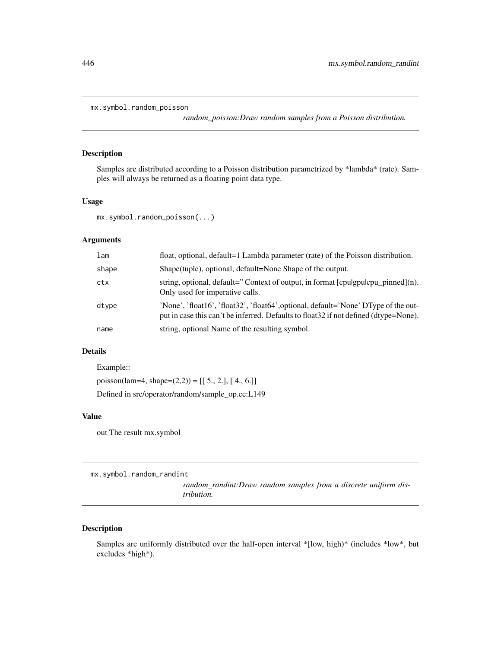```
mx.symbol.random_poisson
```
*random\_poisson:Draw random samples from a Poisson distribution.*

# Description

Samples are distributed according to a Poisson distribution parametrized by \*lambda\* (rate). Samples will always be returned as a floating point data type.

# Usage

```
mx.symbol.random_poisson(...)
```
# Arguments

| lam   | float, optional, default=1 Lambda parameter (rate) of the Poisson distribution.                                                                                              |
|-------|------------------------------------------------------------------------------------------------------------------------------------------------------------------------------|
| shape | Shape (tuple), optional, default=None Shape of the output.                                                                                                                   |
| ctx   | string, optional, default="Context of output, in format [cpulgpulcpu_pinned](n).<br>Only used for imperative calls.                                                          |
| dtype | 'None', 'float16', 'float32', 'float64', optional, default='None' DType of the out-<br>put in case this can't be inferred. Defaults to float 32 if not defined (dtype=None). |
| name  | string, optional Name of the resulting symbol.                                                                                                                               |

# Details

```
Example::
poisson(lam=4, shape=(2,2)) = [[ 5., 2.], [ 4., 6.]]
Defined in src/operator/random/sample_op.cc:L149
```
## Value

out The result mx.symbol

mx.symbol.random\_randint

*random\_randint:Draw random samples from a discrete uniform distribution.*

## Description

Samples are uniformly distributed over the half-open interval \*[low, high)\* (includes \*low\*, but excludes \*high\*).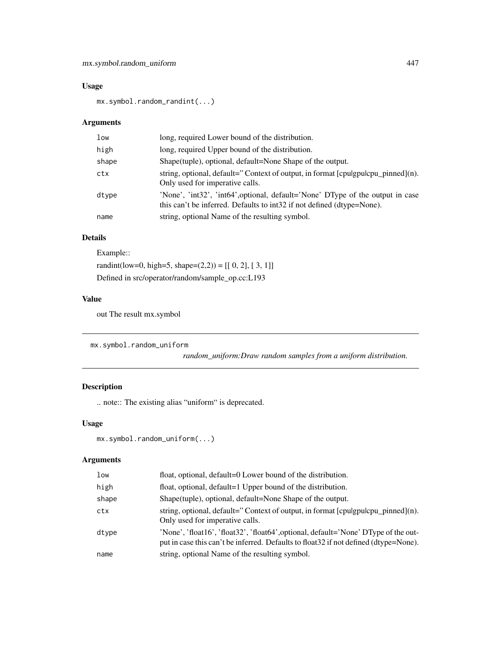# Usage

mx.symbol.random\_randint(...)

# Arguments

| low   | long, required Lower bound of the distribution.                                                                                                          |
|-------|----------------------------------------------------------------------------------------------------------------------------------------------------------|
| high  | long, required Upper bound of the distribution.                                                                                                          |
| shape | Shape(tuple), optional, default=None Shape of the output.                                                                                                |
| ctx   | string, optional, default="Context of output, in format [cpulgpulcpu_pinned](n).<br>Only used for imperative calls.                                      |
| dtype | 'None', 'int32', 'int64', optional, default='None' DType of the output in case<br>this can't be inferred. Defaults to int32 if not defined (dtype=None). |
| name  | string, optional Name of the resulting symbol.                                                                                                           |

# Details

Example:: randint(low=0, high=5, shape= $(2,2)$ ) = [[ 0, 2], [ 3, 1]] Defined in src/operator/random/sample\_op.cc:L193

# Value

out The result mx.symbol

```
mx.symbol.random_uniform
```
*random\_uniform:Draw random samples from a uniform distribution.*

# Description

.. note:: The existing alias "uniform" is deprecated.

# Usage

```
mx.symbol.random_uniform(...)
```

| low   | float, optional, default=0 Lower bound of the distribution.                                                                                                                  |
|-------|------------------------------------------------------------------------------------------------------------------------------------------------------------------------------|
| high  | float, optional, default=1 Upper bound of the distribution.                                                                                                                  |
| shape | Shape (tuple), optional, default=None Shape of the output.                                                                                                                   |
| ctx   | string, optional, default="Context of output, in format [cpulgpulcpu_pinned](n).<br>Only used for imperative calls.                                                          |
| dtype | 'None', 'float16', 'float32', 'float64', optional, default='None' DType of the out-<br>put in case this can't be inferred. Defaults to float 32 if not defined (dtype=None). |
| name  | string, optional Name of the resulting symbol.                                                                                                                               |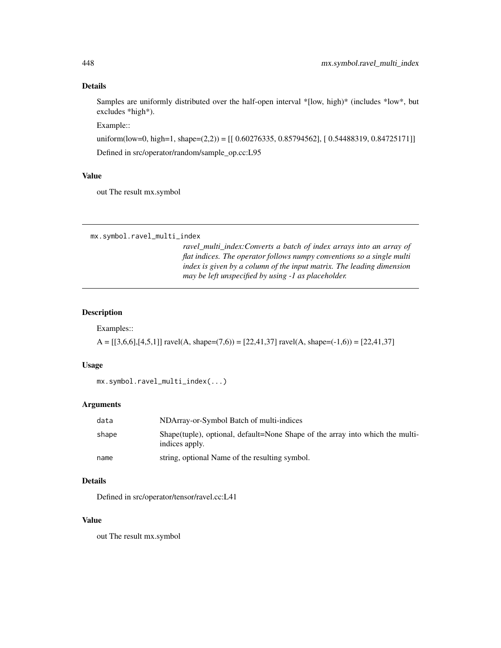## Details

Samples are uniformly distributed over the half-open interval \*[low, high)\* (includes \*low\*, but excludes \*high\*).

Example::

uniform(low=0, high=1, shape=(2,2)) = [[ 0.60276335, 0.85794562], [ 0.54488319, 0.84725171]] Defined in src/operator/random/sample\_op.cc:L95

## Value

out The result mx.symbol

mx.symbol.ravel\_multi\_index

*ravel\_multi\_index:Converts a batch of index arrays into an array of flat indices. The operator follows numpy conventions so a single multi index is given by a column of the input matrix. The leading dimension may be left unspecified by using -1 as placeholder.*

# Description

Examples::

 $A = [[3,6,6],[4,5,1]]$  ravel $(A, shape=(7,6)) = [22,41,37]$  ravel $(A, shape=(-1,6)) = [22,41,37]$ 

# Usage

```
mx.symbol.ravel_multi_index(...)
```
# Arguments

| data  | NDArray-or-Symbol Batch of multi-indices                                                         |
|-------|--------------------------------------------------------------------------------------------------|
| shape | Shape (tuple), optional, default=None Shape of the array into which the multi-<br>indices apply. |
| name  | string, optional Name of the resulting symbol.                                                   |

# Details

Defined in src/operator/tensor/ravel.cc:L41

## Value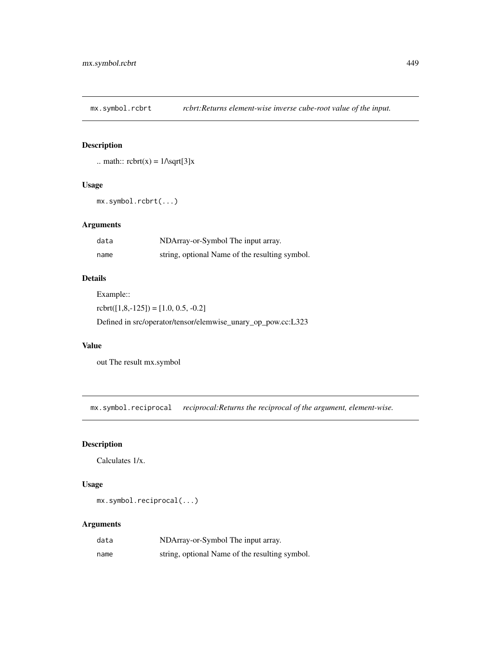mx.symbol.rcbrt *rcbrt:Returns element-wise inverse cube-root value of the input.*

# Description

.. math::  $\text{rot}(x) = 1/\sqrt{3}x$ 

# Usage

```
mx.symbol.rcbrt(...)
```
# Arguments

| data | NDArray-or-Symbol The input array.             |
|------|------------------------------------------------|
| name | string, optional Name of the resulting symbol. |

# Details

Example::

 $rot([1,8,-125]) = [1.0, 0.5, -0.2]$ 

Defined in src/operator/tensor/elemwise\_unary\_op\_pow.cc:L323

## Value

out The result mx.symbol

mx.symbol.reciprocal *reciprocal:Returns the reciprocal of the argument, element-wise.*

# Description

Calculates 1/x.

# Usage

mx.symbol.reciprocal(...)

| data | NDArray-or-Symbol The input array.             |
|------|------------------------------------------------|
| name | string, optional Name of the resulting symbol. |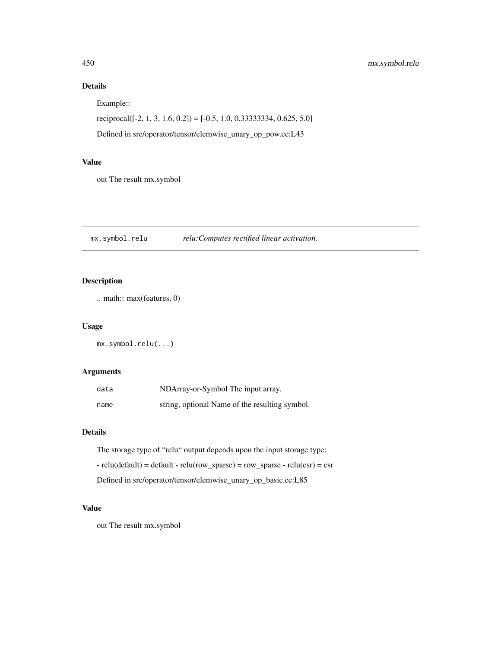# Details

Example::

```
reciprocal([-2, 1, 3, 1.6, 0.2]) = [-0.5, 1.0, 0.33333334, 0.625, 5.0]
```
Defined in src/operator/tensor/elemwise\_unary\_op\_pow.cc:L43

# Value

out The result mx.symbol

mx.symbol.relu *relu:Computes rectified linear activation.*

# Description

.. math:: max(features, 0)

#### Usage

mx.symbol.relu(...)

# Arguments

| data | NDArray-or-Symbol The input array.             |
|------|------------------------------------------------|
| name | string, optional Name of the resulting symbol. |

# Details

The storage type of "relu" output depends upon the input storage type: - relu(default) = default - relu(row\_sparse) = row\_sparse - relu(csr) = csr Defined in src/operator/tensor/elemwise\_unary\_op\_basic.cc:L85

# Value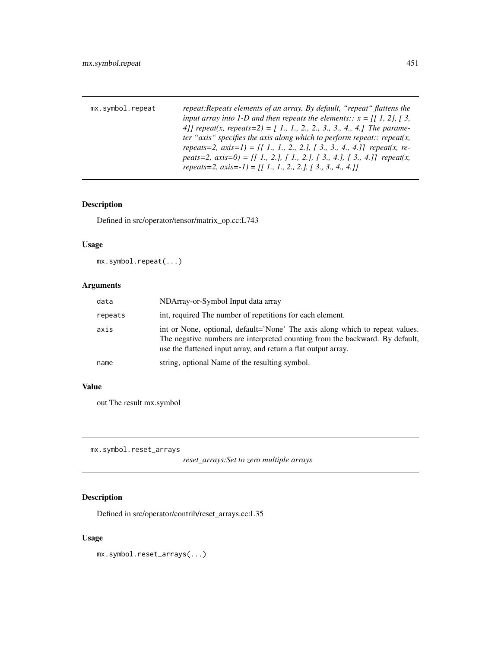| mx.symbol.repeat | repeat: Repeats elements of an array. By default, "repeat" flattens the    |
|------------------|----------------------------------------------------------------------------|
|                  | input array into 1-D and then repeats the elements:: $x = [[1, 2], [3,$    |
|                  | 4] repeat(x, repeats=2) = [1, 1, 2, 2, 3, 3, 4, 4.] The parame-            |
|                  | ter "axis" specifies the axis along which to perform repeat:: repeat(x,    |
|                  | repeats=2, $axis=1$ ) = [[1., 1., 2., 2.], [3., 3., 4., 4.]] repeat(x, re- |
|                  | peats=2, $axis=0$ ) = [[1, 2,], [1, 2,], [3, 4,], [3, 4,]] repeat(x,       |
|                  | repeats=2, axis=-1) = $[[ 1, 1, 2, 2, 1, 3, 3, 4, 4, 1]$                   |

# Description

Defined in src/operator/tensor/matrix\_op.cc:L743

# Usage

mx.symbol.repeat(...)

# Arguments

| data    | NDArray-or-Symbol Input data array                                                                                                                                                                                             |
|---------|--------------------------------------------------------------------------------------------------------------------------------------------------------------------------------------------------------------------------------|
| repeats | int, required The number of repetitions for each element.                                                                                                                                                                      |
| axis    | int or None, optional, default='None' The axis along which to repeat values.<br>The negative numbers are interpreted counting from the backward. By default,<br>use the flattened input array, and return a flat output array. |
| name    | string, optional Name of the resulting symbol.                                                                                                                                                                                 |

# Value

out The result mx.symbol

mx.symbol.reset\_arrays

*reset\_arrays:Set to zero multiple arrays*

# Description

Defined in src/operator/contrib/reset\_arrays.cc:L35

# Usage

mx.symbol.reset\_arrays(...)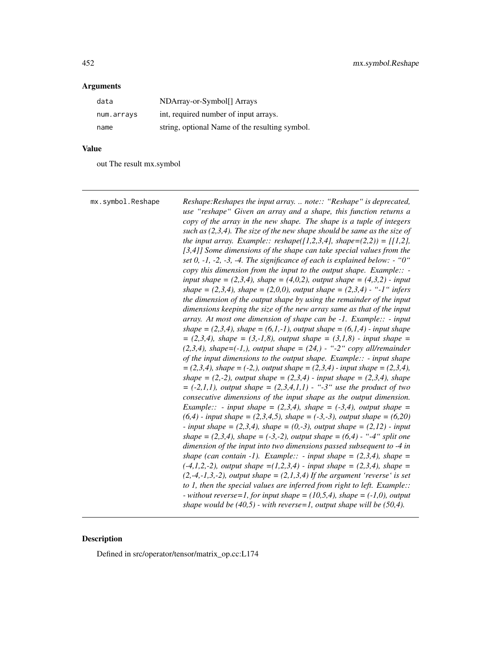# Arguments

| data       | NDArray-or-Symbol[] Arrays                     |
|------------|------------------------------------------------|
| num.arrays | int, required number of input arrays.          |
| name       | string, optional Name of the resulting symbol. |

# Value

out The result mx.symbol

| mx.symbol.Reshape | Reshape: Reshapes the input array.  note:: "Reshape" is deprecated,<br>use "reshape" Given an array and a shape, this function returns a<br>copy of the array in the new shape. The shape is a tuple of integers<br>such as $(2,3,4)$ . The size of the new shape should be same as the size of<br>the input array. Example:: reshape([1,2,3,4], shape= $(2,2)$ ) = [[1,2],<br>[3,4]] Some dimensions of the shape can take special values from the<br>set 0, -1, -2, -3, -4. The significance of each is explained below: $-$ "0"<br>copy this dimension from the input to the output shape. Example:: $-$<br>input shape = $(2,3,4)$ , shape = $(4,0,2)$ , output shape = $(4,3,2)$ - input<br>shape = $(2,3,4)$ , shape = $(2,0,0)$ , output shape = $(2,3,4)$ - "-1" infers<br>the dimension of the output shape by using the remainder of the input<br>dimensions keeping the size of the new array same as that of the input<br>array. At most one dimension of shape can be -1. Example:: - input<br>shape = $(2,3,4)$ , shape = $(6,1,-1)$ , output shape = $(6,1,4)$ - input shape<br>$= (2,3,4)$ , shape $= (3,-1,8)$ , output shape $= (3,1,8)$ - input shape $=$<br>$(2,3,4)$ , shape= $(-1,$ ), output shape = $(24,)$ - "-2" copy all/remainder<br>of the input dimensions to the output shape. Example:: $-$ input shape<br>$=(2,3,4)$ , shape = (-2,), output shape = (2,3,4) - input shape = (2,3,4),<br>shape = $(2,-2)$ , output shape = $(2,3,4)$ - input shape = $(2,3,4)$ , shape<br>$= (-2,1,1)$ , output shape $= (2,3,4,1,1)$ - "-3" use the product of two<br>consecutive dimensions of the input shape as the output dimension.<br><i>Example::</i> - <i>input shape</i> = $(2,3,4)$ <i>, shape</i> = $(-3,4)$ <i>, output shape</i> =<br>$(6,4)$ - input shape = (2,3,4,5), shape = (-3,-3), output shape = (6,20)<br>- input shape = $(2,3,4)$ , shape = $(0,-3)$ , output shape = $(2,12)$ - input<br>shape = $(2,3,4)$ , shape = $(-3,-2)$ , output shape = $(6,4)$ - "-4" split one<br>dimension of the input into two dimensions passed subsequent to -4 in<br>shape (can contain -1). Example:: - input shape = $(2,3,4)$ , shape =<br>$(-4,1,2,-2)$ , output shape = $(1,2,3,4)$ - input shape = $(2,3,4)$ , shape =<br>$(2,-4,-1,3,-2)$ , output shape = $(2,1,3,4)$ If the argument 'reverse' is set<br>to 1, then the special values are inferred from right to left. Example:: |
|-------------------|-----------------------------------------------------------------------------------------------------------------------------------------------------------------------------------------------------------------------------------------------------------------------------------------------------------------------------------------------------------------------------------------------------------------------------------------------------------------------------------------------------------------------------------------------------------------------------------------------------------------------------------------------------------------------------------------------------------------------------------------------------------------------------------------------------------------------------------------------------------------------------------------------------------------------------------------------------------------------------------------------------------------------------------------------------------------------------------------------------------------------------------------------------------------------------------------------------------------------------------------------------------------------------------------------------------------------------------------------------------------------------------------------------------------------------------------------------------------------------------------------------------------------------------------------------------------------------------------------------------------------------------------------------------------------------------------------------------------------------------------------------------------------------------------------------------------------------------------------------------------------------------------------------------------------------------------------------------------------------------------------------------------------------------------------------------------------------------------------------------------------------------------------------------------------------------------------------------------------------------------------------------------------------------------------------------------------------------------------------------------------------------------------------------------------|
|                   | - without reverse=1, for input shape = $(10,5,4)$ , shape = $(-1,0)$ , output<br>shape would be $(40,5)$ - with reverse=1, output shape will be $(50,4)$ .                                                                                                                                                                                                                                                                                                                                                                                                                                                                                                                                                                                                                                                                                                                                                                                                                                                                                                                                                                                                                                                                                                                                                                                                                                                                                                                                                                                                                                                                                                                                                                                                                                                                                                                                                                                                                                                                                                                                                                                                                                                                                                                                                                                                                                                            |

# Description

Defined in src/operator/tensor/matrix\_op.cc:L174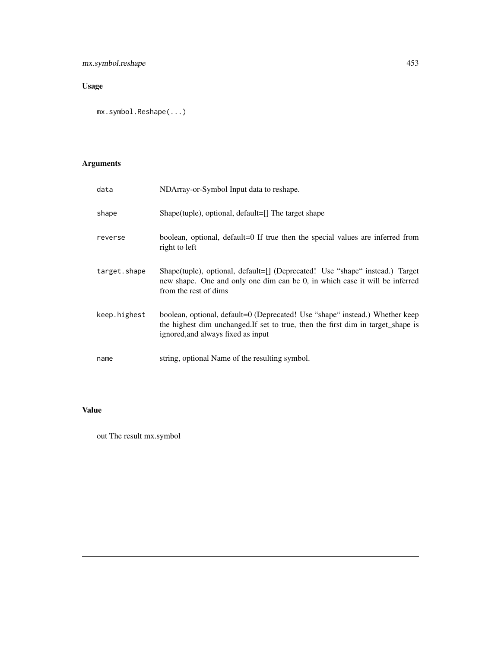# Usage

mx.symbol.Reshape(...)

# Arguments

| data         | NDArray-or-Symbol Input data to reshape.                                                                                                                                                               |
|--------------|--------------------------------------------------------------------------------------------------------------------------------------------------------------------------------------------------------|
| shape        | Shape(tuple), optional, default=[] The target shape                                                                                                                                                    |
| reverse      | boolean, optional, default=0 If true then the special values are inferred from<br>right to left                                                                                                        |
| target.shape | Shape(tuple), optional, default=[] (Deprecated! Use "shape" instead.) Target<br>new shape. One and only one dim can be 0, in which case it will be inferred<br>from the rest of dims                   |
| keep.highest | boolean, optional, default=0 (Deprecated! Use "shape" instead.) Whether keep<br>the highest dim unchanged. If set to true, then the first dim in target_shape is<br>ignored, and always fixed as input |
| name         | string, optional Name of the resulting symbol.                                                                                                                                                         |

# Value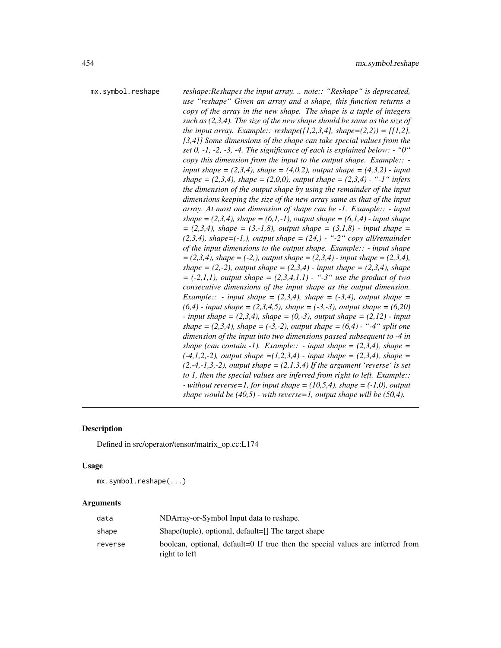mx.symbol.reshape *reshape:Reshapes the input array. .. note:: "Reshape" is deprecated, use "reshape" Given an array and a shape, this function returns a copy of the array in the new shape. The shape is a tuple of integers such as (2,3,4). The size of the new shape should be same as the size of the input array. Example:: reshape*( $[1,2,3,4]$ *, shape*= $(2,2)$ ) =  $[1,2]$ *, [3,4]] Some dimensions of the shape can take special values from the set 0, -1, -2, -3, -4. The significance of each is explained below: - "0" copy this dimension from the input to the output shape. Example:: input shape* =  $(2,3,4)$ *, shape* =  $(4,0,2)$ *, output shape* =  $(4,3,2)$  *- input shape = (2,3,4), shape = (2,0,0), output shape = (2,3,4) - "-1" infers the dimension of the output shape by using the remainder of the input dimensions keeping the size of the new array same as that of the input array. At most one dimension of shape can be -1. Example:: - input shape* =  $(2,3,4)$ *, shape* =  $(6,1,-1)$ *, output shape* =  $(6,1,4)$  - *input shape = (2,3,4), shape = (3,-1,8), output shape = (3,1,8) - input shape = (2,3,4), shape=(-1,), output shape = (24,) - "-2" copy all/remainder of the input dimensions to the output shape. Example:: - input shape = (2,3,4), shape = (-2,), output shape = (2,3,4) - input shape = (2,3,4), shape* =  $(2,-2)$ *, output shape* =  $(2,3,4)$  *- input shape* =  $(2,3,4)$ *, shape = (-2,1,1), output shape = (2,3,4,1,1) - "-3" use the product of two consecutive dimensions of the input shape as the output dimension. Example:: - input shape =*  $(2,3,4)$ *, shape =*  $(-3,4)$ *, output shape = (6,4) - input shape = (2,3,4,5), shape = (-3,-3), output shape = (6,20) - input shape = (2,3,4), shape = (0,-3), output shape = (2,12) - input shape* =  $(2,3,4)$ *, shape* =  $(-3,-2)$ *, output shape* =  $(6,4)$  - "-4" *split one dimension of the input into two dimensions passed subsequent to -4 in shape (can contain -1). Example:: - input shape =*  $(2,3,4)$ *, shape = (-4,1,2,-2), output shape =(1,2,3,4) - input shape = (2,3,4), shape = (2,-4,-1,3,-2), output shape = (2,1,3,4) If the argument 'reverse' is set to 1, then the special values are inferred from right to left. Example:: - without reverse=1, for input shape = (10,5,4), shape = (-1,0), output shape would be (40,5) - with reverse=1, output shape will be (50,4).*

## **Description**

Defined in src/operator/tensor/matrix\_op.cc:L174

#### Usage

mx.symbol.reshape(...)

| data    | NDArray-or-Symbol Input data to reshape.                                                        |
|---------|-------------------------------------------------------------------------------------------------|
| shape   | Shape (tuple), optional, default=[] The target shape                                            |
| reverse | boolean, optional, default=0 If true then the special values are inferred from<br>right to left |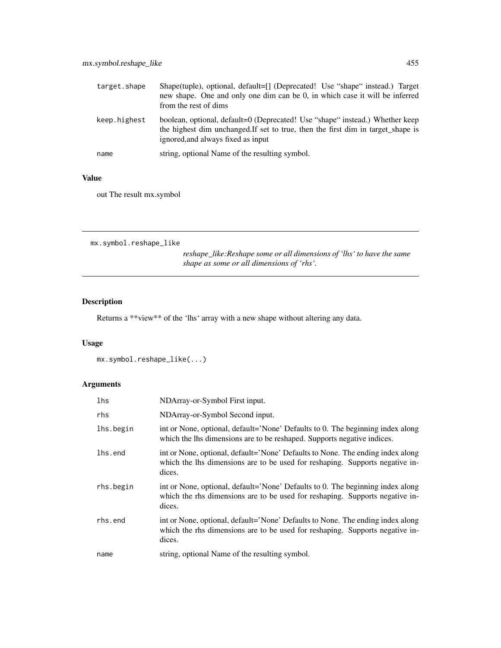| target.shape | Shape(tuple), optional, default=[] (Deprecated! Use "shape" instead.) Target<br>new shape. One and only one dim can be 0, in which case it will be inferred<br>from the rest of dims                   |
|--------------|--------------------------------------------------------------------------------------------------------------------------------------------------------------------------------------------------------|
| keep.highest | boolean, optional, default=0 (Deprecated! Use "shape" instead.) Whether keep<br>the highest dim unchanged. If set to true, then the first dim in target shape is<br>ignored, and always fixed as input |
| name         | string, optional Name of the resulting symbol.                                                                                                                                                         |

# Value

out The result mx.symbol

```
mx.symbol.reshape_like
```
*reshape\_like:Reshape some or all dimensions of 'lhs' to have the same shape as some or all dimensions of 'rhs'.*

# Description

Returns a \*\*view\*\* of the 'lhs' array with a new shape without altering any data.

# Usage

```
mx.symbol.reshape_like(...)
```

| lhs       | NDArray-or-Symbol First input.                                                                                                                                           |
|-----------|--------------------------------------------------------------------------------------------------------------------------------------------------------------------------|
| rhs       | NDArray-or-Symbol Second input.                                                                                                                                          |
| lhs.begin | int or None, optional, default='None' Defaults to 0. The beginning index along<br>which the lhs dimensions are to be reshaped. Supports negative indices.                |
| lhs.end   | int or None, optional, default='None' Defaults to None. The ending index along<br>which the lhs dimensions are to be used for reshaping. Supports negative in-<br>dices. |
| rhs.begin | int or None, optional, default='None' Defaults to 0. The beginning index along<br>which the rhs dimensions are to be used for reshaping. Supports negative in-<br>dices. |
| rhs.end   | int or None, optional, default='None' Defaults to None. The ending index along<br>which the rhs dimensions are to be used for reshaping. Supports negative in-<br>dices. |
| name      | string, optional Name of the resulting symbol.                                                                                                                           |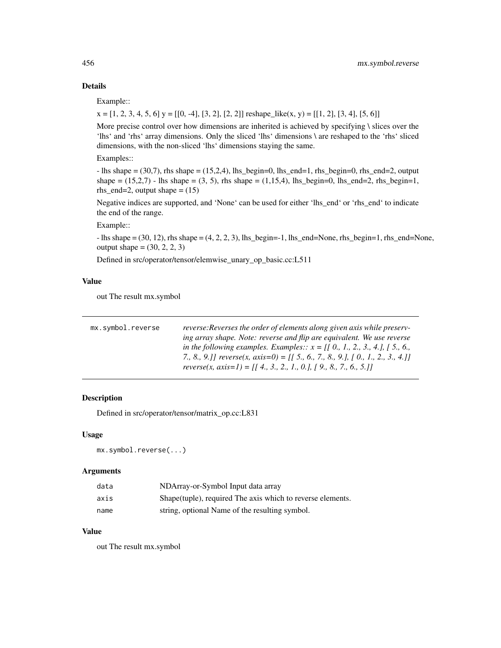# Details

Example::

 $x = [1, 2, 3, 4, 5, 6]$  y = [[0, -4], [3, 2], [2, 2]] reshape\_like(x, y) = [[1, 2], [3, 4], [5, 6]]

More precise control over how dimensions are inherited is achieved by specifying  $\iota$  slices over the 'lhs' and 'rhs' array dimensions. Only the sliced 'lhs' dimensions \ are reshaped to the 'rhs' sliced dimensions, with the non-sliced 'lhs' dimensions staying the same.

Examples::

 $-$  lhs shape  $= (30,7)$ , rhs shape  $= (15,2,4)$ , lhs\_begin=0, lhs\_end=1, rhs\_begin=0, rhs\_end=2, output shape =  $(15,2,7)$  - lhs shape =  $(3, 5)$ , rhs shape =  $(1,15,4)$ , lhs\_begin=0, lhs\_end=2, rhs\_begin=1, rhs\_end=2, output shape  $= (15)$ 

Negative indices are supported, and 'None' can be used for either 'lhs\_end' or 'rhs\_end' to indicate the end of the range.

Example::

 $-$  lhs shape  $=(30, 12)$ , rhs shape  $=(4, 2, 2, 3)$ , lhs\_begin=-1, lhs\_end=None, rhs\_begin=1, rhs\_end=None, output shape =  $(30, 2, 2, 3)$ 

Defined in src/operator/tensor/elemwise\_unary\_op\_basic.cc:L511

# Value

out The result mx.symbol

| mx.symbol.reverse | reverse: Reverses the order of elements along given axis while preserv-          |
|-------------------|----------------------------------------------------------------------------------|
|                   | ing array shape. Note: reverse and flip are equivalent. We use reverse           |
|                   |                                                                                  |
|                   | 7., 8., 9.]] reverse(x, axis=0) = [[ 5., 6., 7., 8., 9.], [ 0., 1., 2., 3., 4.]] |
|                   | reverse(x, axis=1) = [[ 4., 3., 2., 1., 0.], [ 9., 8., 7., 6., 5.]]              |

# Description

Defined in src/operator/tensor/matrix\_op.cc:L831

## Usage

mx.symbol.reverse(...)

## Arguments

| data | NDArray-or-Symbol Input data array                          |
|------|-------------------------------------------------------------|
| axis | Shape (tuple), required The axis which to reverse elements. |
| name | string, optional Name of the resulting symbol.              |

# Value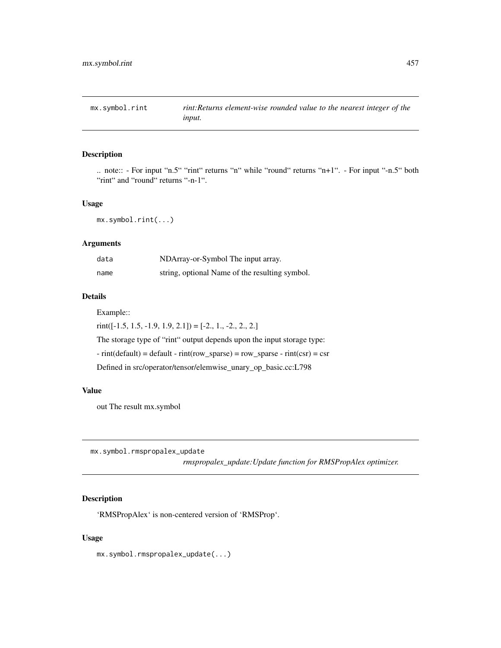# Description

.. note:: - For input "n.5" "rint" returns "n" while "round" returns "n+1". - For input "-n.5" both "rint" and "round" returns "-n-1".

## Usage

mx.symbol.rint(...)

# Arguments

| data | NDArray-or-Symbol The input array.             |
|------|------------------------------------------------|
| name | string, optional Name of the resulting symbol. |

# Details

Example::

 $rint([-1.5, 1.5, -1.9, 1.9, 2.1]) = [-2., 1., -2., 2., 2.]$ 

The storage type of "rint" output depends upon the input storage type:

 $-$  rint(default) = default  $-$  rint(row\_sparse) = row\_sparse  $-$  rint(csr) = csr

Defined in src/operator/tensor/elemwise\_unary\_op\_basic.cc:L798

## Value

out The result mx.symbol

mx.symbol.rmspropalex\_update

*rmspropalex\_update:Update function for RMSPropAlex optimizer.*

# Description

'RMSPropAlex' is non-centered version of 'RMSProp'.

## Usage

mx.symbol.rmspropalex\_update(...)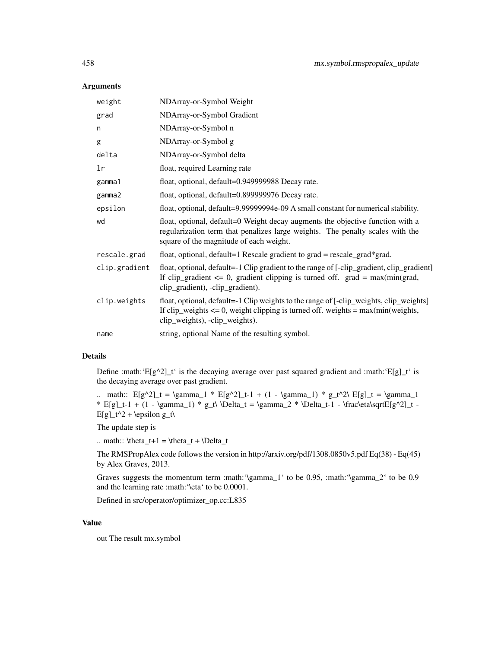## Arguments

| weight        | NDArray-or-Symbol Weight                                                                                                                                                                                           |
|---------------|--------------------------------------------------------------------------------------------------------------------------------------------------------------------------------------------------------------------|
| grad          | NDArray-or-Symbol Gradient                                                                                                                                                                                         |
| n             | NDArray-or-Symbol n                                                                                                                                                                                                |
| g             | NDArray-or-Symbol g                                                                                                                                                                                                |
| delta         | NDArray-or-Symbol delta                                                                                                                                                                                            |
| lr            | float, required Learning rate                                                                                                                                                                                      |
| gamma1        | float, optional, default=0.949999988 Decay rate.                                                                                                                                                                   |
| gamma2        | float, optional, default=0.899999976 Decay rate.                                                                                                                                                                   |
| epsilon       | float, optional, default=9.99999994e-09 A small constant for numerical stability.                                                                                                                                  |
| wd            | float, optional, default=0 Weight decay augments the objective function with a<br>regularization term that penalizes large weights. The penalty scales with the<br>square of the magnitude of each weight.         |
| rescale.grad  | float, optional, default=1 Rescale gradient to grad = rescale_grad*grad.                                                                                                                                           |
| clip.gradient | float, optional, default=-1 Clip gradient to the range of [-clip_gradient, clip_gradient]<br>If clip_gradient $\leq 0$ , gradient clipping is turned off. grad = max(min(grad,<br>clip_gradient), -clip_gradient). |
| clip.weights  | float, optional, default=-1 Clip weights to the range of [-clip_weights, clip_weights]<br>If clip_weights $\leq 0$ , weight clipping is turned off. weights = max(min(weights,<br>clip_weights), -clip_weights).   |
| name          | string, optional Name of the resulting symbol.                                                                                                                                                                     |

# Details

Define :math:' $E[g^2]_t'$  is the decaying average over past squared gradient and :math:' $E[g]_t'$  is the decaying average over past gradient.

.. math::  $E[g^2]_t = \gamma_1 * E[g^2]_t - 1 + (1 - \gamma_1) * g_t^2\ E[g]_t = \gamma_1$ \* E[g]\_t-1 + (1 - \gamma\_1) \* g\_t\ \Delta\_t = \gamma\_2 \* \Delta\_t-1 - \frac\eta\sqrtE[g^2]\_t - $E[g]_t^2 + \epsilon \$ 

The update step is

.. math::  $\theta_t+1 = \theta_t + \Delta_t$ 

The RMSPropAlex code follows the version in http://arxiv.org/pdf/1308.0850v5.pdf Eq(38) - Eq(45) by Alex Graves, 2013.

Graves suggests the momentum term :math:'\gamma\_1' to be 0.95, :math:'\gamma\_2' to be 0.9 and the learning rate :math:'\eta' to be 0.0001.

Defined in src/operator/optimizer\_op.cc:L835

# Value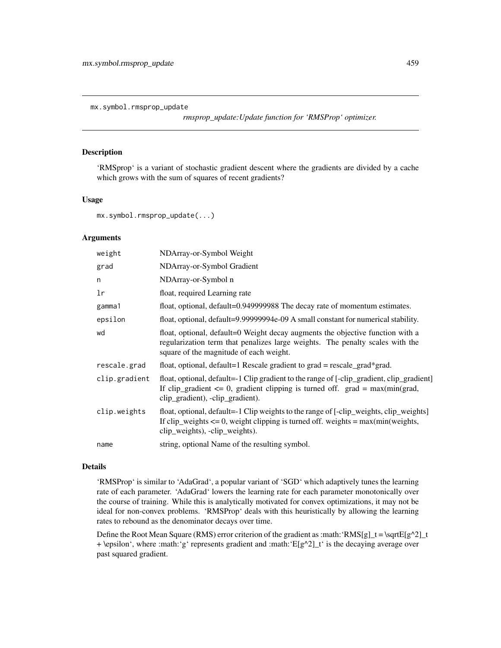mx.symbol.rmsprop\_update

*rmsprop\_update:Update function for 'RMSProp' optimizer.*

# Description

'RMSprop' is a variant of stochastic gradient descent where the gradients are divided by a cache which grows with the sum of squares of recent gradients?

## Usage

mx.symbol.rmsprop\_update(...)

# Arguments

| weight        | NDArray-or-Symbol Weight                                                                                                                                                                                           |
|---------------|--------------------------------------------------------------------------------------------------------------------------------------------------------------------------------------------------------------------|
| grad          | NDArray-or-Symbol Gradient                                                                                                                                                                                         |
| n             | NDArray-or-Symbol n                                                                                                                                                                                                |
| lr            | float, required Learning rate                                                                                                                                                                                      |
| gamma1        | float, optional, default=0.949999988 The decay rate of momentum estimates.                                                                                                                                         |
| epsilon       | float, optional, default=9.99999994e-09 A small constant for numerical stability.                                                                                                                                  |
| wd            | float, optional, default=0 Weight decay augments the objective function with a<br>regularization term that penalizes large weights. The penalty scales with the<br>square of the magnitude of each weight.         |
| rescale.grad  | float, optional, default=1 Rescale gradient to grad = rescale_grad*grad.                                                                                                                                           |
| clip.gradient | float, optional, default=-1 Clip gradient to the range of [-clip_gradient, clip_gradient]<br>If clip_gradient $\leq 0$ , gradient clipping is turned off. grad = max(min(grad,<br>clip_gradient), -clip_gradient). |
| clip.weights  | float, optional, default=-1 Clip weights to the range of [-clip_weights, clip_weights]<br>If clip_weights $\leq 0$ , weight clipping is turned off. weights = max(min(weights,<br>clip_weights), -clip_weights).   |
| name          | string, optional Name of the resulting symbol.                                                                                                                                                                     |

#### Details

'RMSProp' is similar to 'AdaGrad', a popular variant of 'SGD' which adaptively tunes the learning rate of each parameter. 'AdaGrad' lowers the learning rate for each parameter monotonically over the course of training. While this is analytically motivated for convex optimizations, it may not be ideal for non-convex problems. 'RMSProp' deals with this heuristically by allowing the learning rates to rebound as the denominator decays over time.

Define the Root Mean Square (RMS) error criterion of the gradient as :math:'RMS[g]\_t = \sqrtE[g^2]\_t + \epsilon', where :math:'g' represents gradient and :math:' $E[g^2]_t'$  is the decaying average over past squared gradient.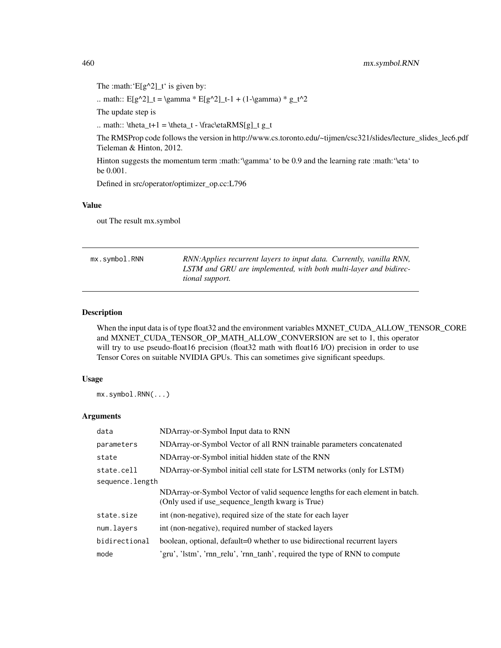The :math: ' $E[g^2]$  t' is given by:

.. math::  $E[g^2]_t = \gamma * E[g^2]_t-1 + (1-\gamma)* g_t^2$ 

The update step is

.. math:: \theta\_t+1 = \theta\_t - \frac\etaRMS[g]\_t g\_t

The RMSProp code follows the version in http://www.cs.toronto.edu/~tijmen/csc321/slides/lecture\_slides\_lec6.pdf Tieleman & Hinton, 2012.

Hinton suggests the momentum term :math:'\gamma' to be 0.9 and the learning rate :math:'\eta' to be 0.001.

Defined in src/operator/optimizer\_op.cc:L796

## Value

out The result mx.symbol

mx.symbol.RNN *RNN:Applies recurrent layers to input data. Currently, vanilla RNN, LSTM and GRU are implemented, with both multi-layer and bidirectional support.*

## Description

When the input data is of type float32 and the environment variables MXNET\_CUDA\_ALLOW\_TENSOR\_CORE and MXNET\_CUDA\_TENSOR\_OP\_MATH\_ALLOW\_CONVERSION are set to 1, this operator will try to use pseudo-float16 precision (float32 math with float16 I/O) precision in order to use Tensor Cores on suitable NVIDIA GPUs. This can sometimes give significant speedups.

## Usage

mx.symbol.RNN(...)

| data            | NDArray-or-Symbol Input data to RNN                                                                                               |  |
|-----------------|-----------------------------------------------------------------------------------------------------------------------------------|--|
| parameters      | NDArray-or-Symbol Vector of all RNN trainable parameters concatenated                                                             |  |
| state           | NDArray-or-Symbol initial hidden state of the RNN                                                                                 |  |
| state.cell      | NDArray-or-Symbol initial cell state for LSTM networks (only for LSTM)                                                            |  |
| sequence.length |                                                                                                                                   |  |
|                 | NDArray-or-Symbol Vector of valid sequence lengths for each element in batch.<br>(Only used if use_sequence_length kwarg is True) |  |
| state.size      | int (non-negative), required size of the state for each layer                                                                     |  |
| num.layers      | int (non-negative), required number of stacked layers                                                                             |  |
| bidirectional   | boolean, optional, default=0 whether to use bidirectional recurrent layers                                                        |  |
| mode            | 'gru', 'lstm', 'rnn_relu', 'rnn_tanh', required the type of RNN to compute                                                        |  |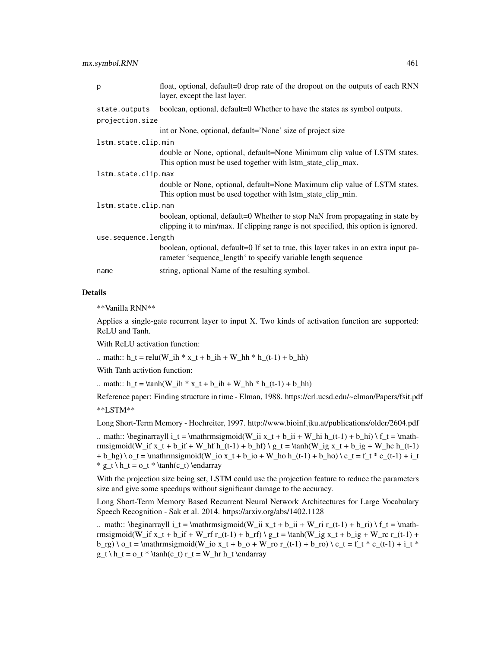| p                   | float, optional, default=0 drop rate of the dropout on the outputs of each RNN<br>layer, except the last layer.                                                      |  |
|---------------------|----------------------------------------------------------------------------------------------------------------------------------------------------------------------|--|
| state.outputs       | boolean, optional, default=0 Whether to have the states as symbol outputs.                                                                                           |  |
| projection.size     |                                                                                                                                                                      |  |
|                     | int or None, optional, default='None' size of project size                                                                                                           |  |
| lstm.state.clip.min |                                                                                                                                                                      |  |
|                     | double or None, optional, default=None Minimum clip value of LSTM states.<br>This option must be used together with lstm_state_clip_max.                             |  |
| lstm.state.clip.max |                                                                                                                                                                      |  |
|                     | double or None, optional, default=None Maximum clip value of LSTM states.<br>This option must be used together with lstm_state_clip_min.                             |  |
| lstm.state.clip.nan |                                                                                                                                                                      |  |
|                     | boolean, optional, default=0 Whether to stop NaN from propagating in state by<br>clipping it to min/max. If clipping range is not specified, this option is ignored. |  |
| use.sequence.length |                                                                                                                                                                      |  |
|                     | boolean, optional, default=0 If set to true, this layer takes in an extra input pa-<br>rameter 'sequence_length' to specify variable length sequence                 |  |
| name                | string, optional Name of the resulting symbol.                                                                                                                       |  |

## Details

\*\*Vanilla RNN\*\*

Applies a single-gate recurrent layer to input X. Two kinds of activation function are supported: ReLU and Tanh.

With ReLU activation function:

.. math::  $h_t = relu(W_i h * x_t + b_i h + W_h h * h_t(t-1) + b_h h)$ 

With Tanh activtion function:

.. math::  $h_t = \tanh(W_ih * x_t + b_ih + W_hh * h_t-t-1) + b_hh)$ 

Reference paper: Finding structure in time - Elman, 1988. https://crl.ucsd.edu/~elman/Papers/fsit.pdf \*\*LSTM\*\*

Long Short-Term Memory - Hochreiter, 1997. http://www.bioinf.jku.at/publications/older/2604.pdf

.. math:: \beginarrayll i\_t = \mathrmsigmoid(W\_ii x\_t + b\_ii + W\_hi h\_(t-1) + b\_hi) \ f\_t = \mathrmsigmoid(W\_if  $x_t + b_f$  + W\_hf h\_(t-1) + b\_hf) \g\_t = \tanh(W\_ig  $x_t + b_f$  + W\_hc h\_(t-1) + b hg) \ o\_t = \mathrmsigmoid(W\_io x\_t + b\_io + W\_ ho h\_(t-1) + b\_ ho) \ c\_t = f\_t \* c\_(t-1) + i\_t  $* g_t \ h_t = o_t * \tanh(c_t) \end{array}$ 

With the projection size being set, LSTM could use the projection feature to reduce the parameters size and give some speedups without significant damage to the accuracy.

Long Short-Term Memory Based Recurrent Neural Network Architectures for Large Vocabulary Speech Recognition - Sak et al. 2014. https://arxiv.org/abs/1402.1128

.. math:: \beginarrayll i\_t = \mathrmsigmoid(W\_ii x\_t + b\_ii + W\_ri r\_(t-1) + b\_ri) \ f\_ t = \mathrmsigmoid(W\_if x\_t + b\_if + W\_rf r\_(t-1) + b\_rf) \ g\_t = \tanh(W\_ig x\_t + b\_ig + W\_rc r\_(t-1) +  $b_rg) \ o_t = \mathrm{mathrmsigmoid}(W_i o_x t + b_o + W_i o_r(t-1) + b_r o) \ c_t = f_t * c_1(t-1) + i_t *$  $g_t \ h_t = o_t * \tanh(c_t) r_t = W_h r h_t \end{array}$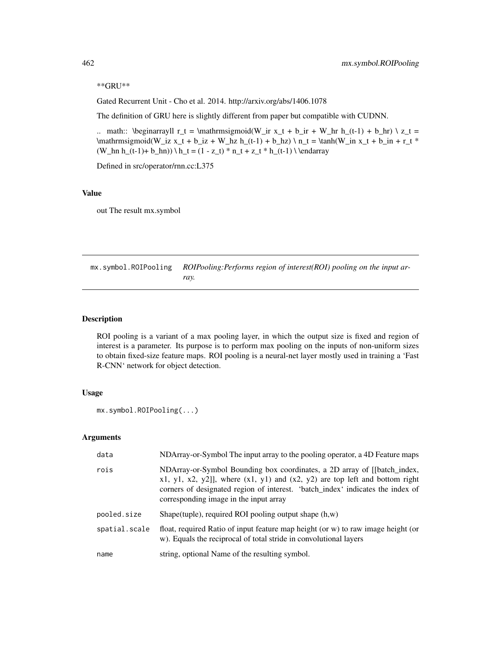\*\*GRU\*\*

Gated Recurrent Unit - Cho et al. 2014. http://arxiv.org/abs/1406.1078

The definition of GRU here is slightly different from paper but compatible with CUDNN.

.. math:: \beginarrayll r\_t = \mathrmsigmoid(W\_ir x\_t + b\_ir + W\_hr h\_(t-1) + b\_hr) \ z\_t =  $\mathrm{im}\mathrm{im}\mathrm{im}\mathrm{im}\mathrm{im}\mathrm{v}_1z$  x\_t + b\_iz + W\_hz h\_(t-1) + b\_hz) \ n\_t = \tanh(W\_in x\_t + b\_in + r\_t \*  $(W_hn h_{t-1)+ b_hn) \ h_t = (1 - z_t) * n_t + z_t * h_{t-1} \ \end{bmatrix}$ 

Defined in src/operator/rnn.cc:L375

# Value

out The result mx.symbol

mx.symbol.ROIPooling *ROIPooling:Performs region of interest(ROI) pooling on the input array.*

## Description

ROI pooling is a variant of a max pooling layer, in which the output size is fixed and region of interest is a parameter. Its purpose is to perform max pooling on the inputs of non-uniform sizes to obtain fixed-size feature maps. ROI pooling is a neural-net layer mostly used in training a 'Fast R-CNN' network for object detection.

# Usage

```
mx.symbol.ROIPooling(...)
```

| data          | NDArray-or-Symbol The input array to the pooling operator, a 4D Feature maps                                                                                                                                                                                                               |
|---------------|--------------------------------------------------------------------------------------------------------------------------------------------------------------------------------------------------------------------------------------------------------------------------------------------|
| rois          | NDArray-or-Symbol Bounding box coordinates, a 2D array of [[batch_index,<br>$x1, y1, x2, y2$ ]], where $(x1, y1)$ and $(x2, y2)$ are top left and bottom right<br>corners of designated region of interest. 'batch_index' indicates the index of<br>corresponding image in the input array |
| pooled.size   | Shape(tuple), required ROI pooling output shape $(h, w)$                                                                                                                                                                                                                                   |
| spatial.scale | float, required Ratio of input feature map height (or w) to raw image height (or<br>w). Equals the reciprocal of total stride in convolutional layers                                                                                                                                      |
| name          | string, optional Name of the resulting symbol.                                                                                                                                                                                                                                             |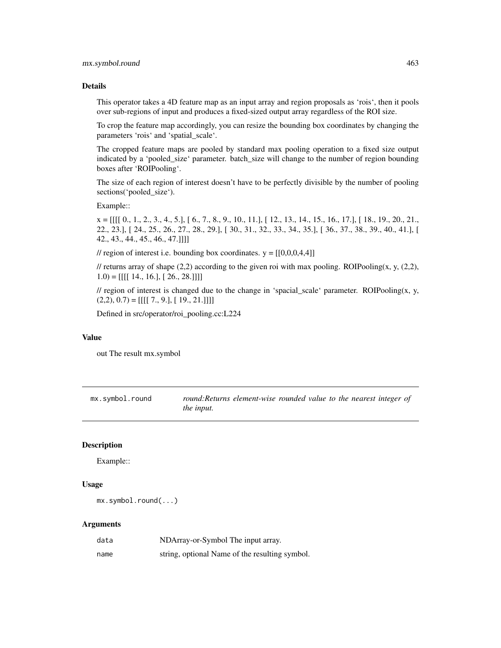## Details

This operator takes a 4D feature map as an input array and region proposals as 'rois', then it pools over sub-regions of input and produces a fixed-sized output array regardless of the ROI size.

To crop the feature map accordingly, you can resize the bounding box coordinates by changing the parameters 'rois' and 'spatial\_scale'.

The cropped feature maps are pooled by standard max pooling operation to a fixed size output indicated by a 'pooled\_size' parameter. batch\_size will change to the number of region bounding boxes after 'ROIPooling'.

The size of each region of interest doesn't have to be perfectly divisible by the number of pooling sections('pooled\_size').

Example::

 $x = [[[[ 0., 1., 2., 3., 4., 5.], [ 6., 7., 8., 9., 10., 11.], [ 12., 13., 14., 15., 16., 17.], [ 18., 19., 20., 21.,]$ 22., 23.], [ 24., 25., 26., 27., 28., 29.], [ 30., 31., 32., 33., 34., 35.], [ 36., 37., 38., 39., 40., 41.], [ 42., 43., 44., 45., 46., 47.]]]]

// region of interest i.e. bounding box coordinates.  $y = [[0,0,0,4,4]]$ 

// returns array of shape  $(2,2)$  according to the given roi with max pooling. ROIPooling(x, y,  $(2,2)$ ,  $1.0$ ) = [[[[ 14., 16.], [ 26., 28.]]]]

// region of interest is changed due to the change in 'spacial\_scale' parameter. ROIPooling $(x, y, z)$  $(2,2), (0.7) = [[[[7., 9.], [19., 21.]]]]$ 

Defined in src/operator/roi\_pooling.cc:L224

# Value

out The result mx.symbol

mx.symbol.round *round:Returns element-wise rounded value to the nearest integer of the input.*

# Description

Example::

# Usage

mx.symbol.round(...)

| data | NDArray-or-Symbol The input array.             |
|------|------------------------------------------------|
| name | string, optional Name of the resulting symbol. |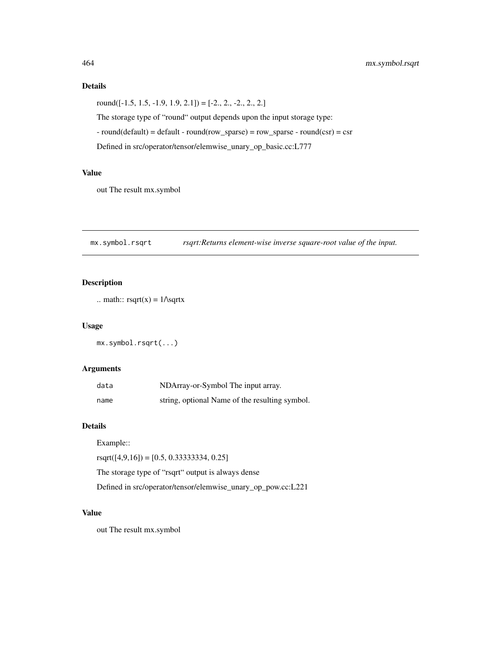# Details

round( $[-1.5, 1.5, -1.9, 1.9, 2.1]$ ) =  $[-2., 2., -2., 2., 2.]$ The storage type of "round" output depends upon the input storage type:  $-$  round(default) = default  $-$  round(row\_sparse) = row\_sparse  $-$  round(csr) = csr Defined in src/operator/tensor/elemwise\_unary\_op\_basic.cc:L777

# Value

out The result mx.symbol

mx.symbol.rsqrt *rsqrt:Returns element-wise inverse square-root value of the input.*

# Description

```
.. math:: rsqrt(x) = 1\text{/sqrt}x
```
#### Usage

mx.symbol.rsqrt(...)

# Arguments

| data | NDArray-or-Symbol The input array.             |
|------|------------------------------------------------|
| name | string, optional Name of the resulting symbol. |

# Details

Example::

 $rsqrt([4,9,16]) = [0.5, 0.33333334, 0.25]$ 

The storage type of "rsqrt" output is always dense

Defined in src/operator/tensor/elemwise\_unary\_op\_pow.cc:L221

# Value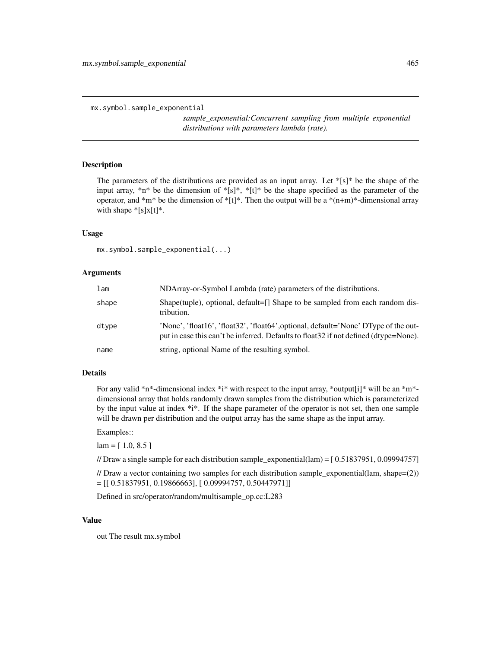mx.symbol.sample\_exponential

*sample\_exponential:Concurrent sampling from multiple exponential distributions with parameters lambda (rate).*

# Description

The parameters of the distributions are provided as an input array. Let  $\{s\}$ <sup>\*</sup> be the shape of the input array,  $*n*$  be the dimension of  $*[s]^*, *[t]^*$  be the shape specified as the parameter of the operator, and \*m\* be the dimension of \*[t]\*. Then the output will be a \*(n+m)\*-dimensional array with shape  $*[s]x[t]^*$ .

# Usage

```
mx.symbol.sample_exponential(...)
```
## Arguments

| lam   | NDArray-or-Symbol Lambda (rate) parameters of the distributions.                                                                                                             |
|-------|------------------------------------------------------------------------------------------------------------------------------------------------------------------------------|
| shape | Shape(tuple), optional, default= $\Box$ Shape to be sampled from each random dis-<br>tribution.                                                                              |
| dtype | 'None', 'float16', 'float32', 'float64', optional, default='None' DType of the out-<br>put in case this can't be inferred. Defaults to float 32 if not defined (dtype=None). |
| name  | string, optional Name of the resulting symbol.                                                                                                                               |

#### Details

For any valid \*n\*-dimensional index \*i\* with respect to the input array, \*output[i]\* will be an \*m\*dimensional array that holds randomly drawn samples from the distribution which is parameterized by the input value at index  $*i*$ . If the shape parameter of the operator is not set, then one sample will be drawn per distribution and the output array has the same shape as the input array.

#### Examples::

 $lam = [ 1.0, 8.5 ]$ 

// Draw a single sample for each distribution sample\_exponential(lam) = [ 0.51837951, 0.09994757]

// Draw a vector containing two samples for each distribution sample\_exponential(lam, shape= $(2)$ )  $=$  [[ 0.51837951, 0.19866663], [ 0.09994757, 0.50447971]]

Defined in src/operator/random/multisample\_op.cc:L283

#### Value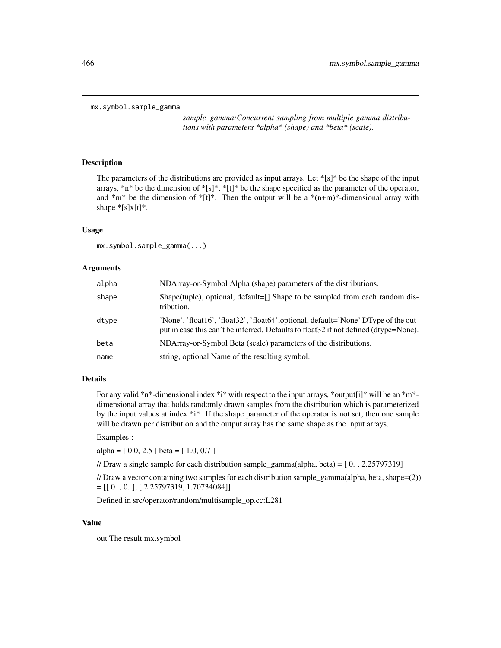mx.symbol.sample\_gamma

*sample\_gamma:Concurrent sampling from multiple gamma distributions with parameters \*alpha\* (shape) and \*beta\* (scale).*

# Description

The parameters of the distributions are provided as input arrays. Let \*[s]\* be the shape of the input arrays,  $*n*$  be the dimension of  $*[s]*$ ,  $*[t]*$  be the shape specified as the parameter of the operator, and  $*m*$  be the dimension of  $*[t]^*$ . Then the output will be a  $*(n+m)*$ -dimensional array with shape  $\sqrt[*]{s}x[t]^*$ .

## Usage

mx.symbol.sample\_gamma(...)

## Arguments

| alpha | NDArray-or-Symbol Alpha (shape) parameters of the distributions.                                                                                                             |
|-------|------------------------------------------------------------------------------------------------------------------------------------------------------------------------------|
| shape | Shape(tuple), optional, default=[] Shape to be sampled from each random dis-<br>tribution.                                                                                   |
| dtype | 'None', 'float16', 'float32', 'float64', optional, default='None' DType of the out-<br>put in case this can't be inferred. Defaults to float 32 if not defined (dtype=None). |
| beta  | NDArray-or-Symbol Beta (scale) parameters of the distributions.                                                                                                              |
| name  | string, optional Name of the resulting symbol.                                                                                                                               |

# Details

For any valid \*n\*-dimensional index \*i\* with respect to the input arrays, \*output[i]\* will be an \*m\*dimensional array that holds randomly drawn samples from the distribution which is parameterized by the input values at index \*i\*. If the shape parameter of the operator is not set, then one sample will be drawn per distribution and the output array has the same shape as the input arrays.

## Examples::

alpha =  $[0.0, 2.5]$  beta =  $[1.0, 0.7]$ 

// Draw a single sample for each distribution sample\_gamma(alpha, beta) =  $[0, 2.25797319]$ 

// Draw a vector containing two samples for each distribution sample\_gamma(alpha, beta, shape=(2))  $=[[ 0, 0, 0, ] , [ 2.25797319, 1.70734084 ]]$ 

Defined in src/operator/random/multisample\_op.cc:L281

## Value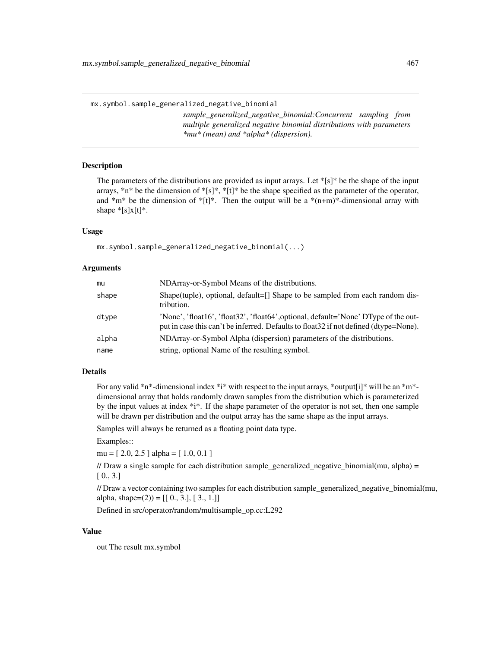mx.symbol.sample\_generalized\_negative\_binomial

*sample\_generalized\_negative\_binomial:Concurrent sampling from multiple generalized negative binomial distributions with parameters \*mu\* (mean) and \*alpha\* (dispersion).*

# **Description**

The parameters of the distributions are provided as input arrays. Let  $\frac{1}{s}[s]^*$  be the shape of the input arrays,  $*n*$  be the dimension of  $*[s]*$ ,  $*[t]*$  be the shape specified as the parameter of the operator, and  $*m*$  be the dimension of  $*[t]*$ . Then the output will be a  $*(n+m)*$ -dimensional array with shape  $*[s]x[t]*$ .

## Usage

mx.symbol.sample\_generalized\_negative\_binomial(...)

## Arguments

| mu    | NDArray-or-Symbol Means of the distributions.                                                                                                                                |
|-------|------------------------------------------------------------------------------------------------------------------------------------------------------------------------------|
| shape | Shape(tuple), optional, default=[] Shape to be sampled from each random dis-<br>tribution.                                                                                   |
| dtype | 'None', 'float16', 'float32', 'float64', optional, default='None' DType of the out-<br>put in case this can't be inferred. Defaults to float 32 if not defined (dtype=None). |
| alpha | NDArray-or-Symbol Alpha (dispersion) parameters of the distributions.                                                                                                        |
| name  | string, optional Name of the resulting symbol.                                                                                                                               |

## Details

For any valid \*n\*-dimensional index \*i\* with respect to the input arrays, \*output[i]\* will be an \*m\*dimensional array that holds randomly drawn samples from the distribution which is parameterized by the input values at index \*i\*. If the shape parameter of the operator is not set, then one sample will be drawn per distribution and the output array has the same shape as the input arrays.

Samples will always be returned as a floating point data type.

Examples::

mu = [ 2.0, 2.5 ] alpha = [ 1.0, 0.1 ]

// Draw a single sample for each distribution sample\_generalized\_negative\_binomial(mu, alpha) =  $[0., 3.]$ 

// Draw a vector containing two samples for each distribution sample\_generalized\_negative\_binomial(mu, alpha, shape=(2)) =  $[[0., 3.], [3., 1.]]$ 

Defined in src/operator/random/multisample\_op.cc:L292

# Value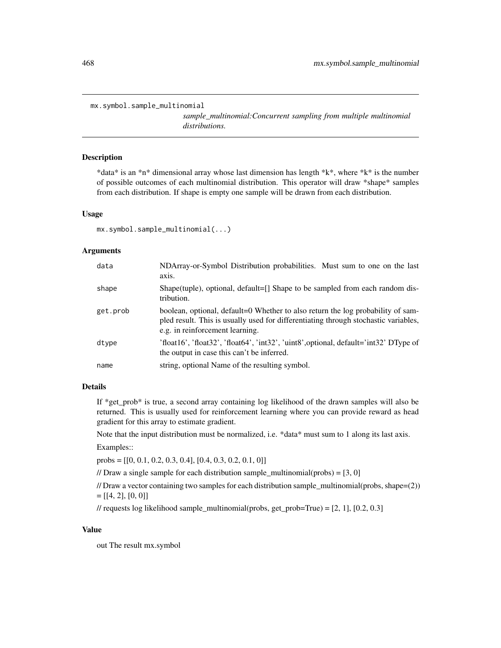```
mx.symbol.sample_multinomial
```
*sample\_multinomial:Concurrent sampling from multiple multinomial distributions.*

## Description

\*data\* is an \*n\* dimensional array whose last dimension has length \*k\*, where \*k\* is the number of possible outcomes of each multinomial distribution. This operator will draw \*shape\* samples from each distribution. If shape is empty one sample will be drawn from each distribution.

## Usage

```
mx.symbol.sample_multinomial(...)
```
## Arguments

| data     | NDArray-or-Symbol Distribution probabilities. Must sum to one on the last<br>axis.                                                                                                                        |
|----------|-----------------------------------------------------------------------------------------------------------------------------------------------------------------------------------------------------------|
| shape    | Shape(tuple), optional, default=[] Shape to be sampled from each random dis-<br>tribution.                                                                                                                |
| get.prob | boolean, optional, default=0 Whether to also return the log probability of sam-<br>pled result. This is usually used for differentiating through stochastic variables,<br>e.g. in reinforcement learning. |
| dtype    | 'float16', 'float32', 'float64', 'int32', 'uint8', optional, $\delta$ default='int32' DType of<br>the output in case this can't be inferred.                                                              |
| name     | string, optional Name of the resulting symbol.                                                                                                                                                            |

## Details

If  $*$ get prob $*$  is true, a second array containing log likelihood of the drawn samples will also be returned. This is usually used for reinforcement learning where you can provide reward as head gradient for this array to estimate gradient.

Note that the input distribution must be normalized, i.e. \*data\* must sum to 1 along its last axis.

Examples::

probs =  $[[0, 0.1, 0.2, 0.3, 0.4], [0.4, 0.3, 0.2, 0.1, 0]]$ 

// Draw a single sample for each distribution sample\_multinomial(probs) =  $[3, 0]$ 

// Draw a vector containing two samples for each distribution sample\_multinomial(probs, shape=(2))  $=[[4, 2], [0, 0]]$ 

// requests log likelihood sample\_multinomial(probs, get\_prob=True) =  $[2, 1]$ ,  $[0.2, 0.3]$ 

## Value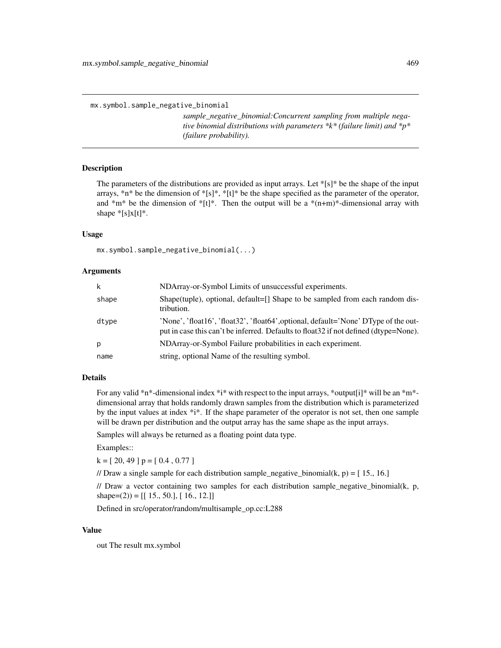mx.symbol.sample\_negative\_binomial

*sample\_negative\_binomial:Concurrent sampling from multiple negative binomial distributions with parameters \*k\* (failure limit) and \*p\* (failure probability).*

### Description

The parameters of the distributions are provided as input arrays. Let  $|[s]^*$  be the shape of the input arrays, \*n\* be the dimension of \*[s]\*, \*[t]\* be the shape specified as the parameter of the operator, and  $\pi$ <sup>\*</sup> m<sup>\*</sup> be the dimension of  $\pi$ [t]<sup>\*</sup>. Then the output will be a  $\pi$ <sup>\*</sup>(n+m)<sup>\*</sup>-dimensional array with shape  $\sqrt[*]{s}x[t]^*$ .

### Usage

```
mx.symbol.sample_negative_binomial(...)
```
#### **Arguments**

| k     | NDArray-or-Symbol Limits of unsuccessful experiments.                                                                                                                        |
|-------|------------------------------------------------------------------------------------------------------------------------------------------------------------------------------|
| shape | Shape(tuple), optional, default=[] Shape to be sampled from each random dis-<br>tribution.                                                                                   |
| dtype | 'None', 'float16', 'float32', 'float64', optional, default='None' DType of the out-<br>put in case this can't be inferred. Defaults to float 32 if not defined (dtype=None). |
| p     | NDArray-or-Symbol Failure probabilities in each experiment.                                                                                                                  |
| name  | string, optional Name of the resulting symbol.                                                                                                                               |

# Details

For any valid \*n\*-dimensional index \*i\* with respect to the input arrays, \*output[i]\* will be an \*m\*dimensional array that holds randomly drawn samples from the distribution which is parameterized by the input values at index \*i\*. If the shape parameter of the operator is not set, then one sample will be drawn per distribution and the output array has the same shape as the input arrays.

Samples will always be returned as a floating point data type.

Examples::

 $k = [20, 49]$  p = [0.4, 0.77]

// Draw a single sample for each distribution sample\_negative\_binomial $(k, p) = [15, 16.]$ 

// Draw a vector containing two samples for each distribution sample\_negative\_binomial(k, p, shape=(2)) =  $[[ 15., 50.], [ 16., 12.]]$ 

Defined in src/operator/random/multisample\_op.cc:L288

#### Value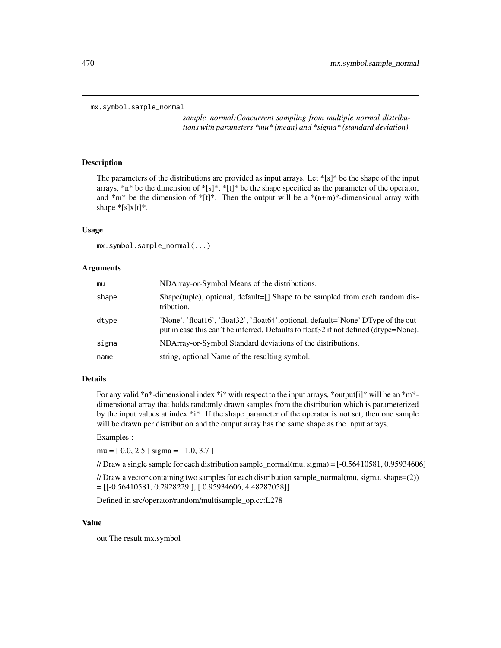```
mx.symbol.sample_normal
```
*sample\_normal:Concurrent sampling from multiple normal distributions with parameters \*mu\* (mean) and \*sigma\* (standard deviation).*

# Description

The parameters of the distributions are provided as input arrays. Let \*[s]\* be the shape of the input arrays,  $*n*$  be the dimension of  $*[s]*$ ,  $*[t]*$  be the shape specified as the parameter of the operator, and  $*m*$  be the dimension of  $*[t]^*$ . Then the output will be a  $*(n+m)*$ -dimensional array with shape  $\sqrt[*]{s}x[t]^*$ .

#### Usage

mx.symbol.sample\_normal(...)

#### Arguments

| mu    | NDArray-or-Symbol Means of the distributions.                                                                                                                                |
|-------|------------------------------------------------------------------------------------------------------------------------------------------------------------------------------|
| shape | Shape(tuple), optional, default= $\lceil \cdot \rceil$ Shape to be sampled from each random dis-<br>tribution.                                                               |
| dtype | 'None', 'float16', 'float32', 'float64', optional, default='None' DType of the out-<br>put in case this can't be inferred. Defaults to float 32 if not defined (dtype=None). |
| sigma | NDArray-or-Symbol Standard deviations of the distributions.                                                                                                                  |
| name  | string, optional Name of the resulting symbol.                                                                                                                               |

# Details

For any valid \*n\*-dimensional index \*i\* with respect to the input arrays, \*output[i]\* will be an \*m\*dimensional array that holds randomly drawn samples from the distribution which is parameterized by the input values at index  $*i*$ . If the shape parameter of the operator is not set, then one sample will be drawn per distribution and the output array has the same shape as the input arrays.

# Examples::

 $mu = [0.0, 2.5]$  sigma = [1.0, 3.7]

// Draw a single sample for each distribution sample\_normal(mu, sigma) =  $[-0.56410581, 0.95934606]$ 

// Draw a vector containing two samples for each distribution sample\_normal(mu, sigma, shape=(2))  $=[[-0.56410581, 0.2928229], [0.95934606, 4.48287058]]$ 

Defined in src/operator/random/multisample\_op.cc:L278

### Value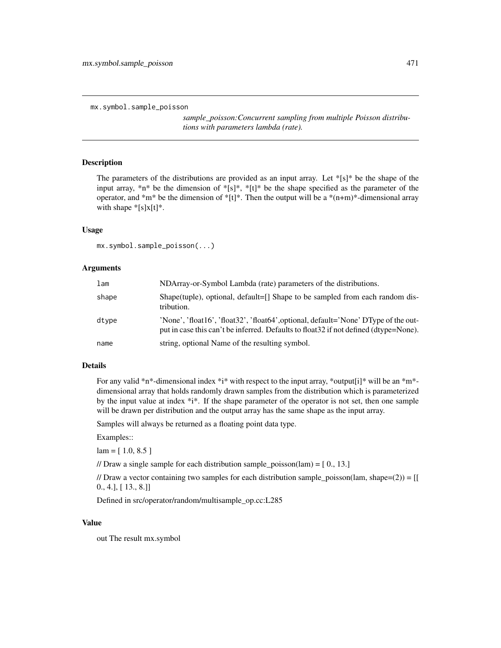```
mx.symbol.sample_poisson
```
*sample\_poisson:Concurrent sampling from multiple Poisson distributions with parameters lambda (rate).*

# Description

The parameters of the distributions are provided as an input array. Let  $*\{s\}$  be the shape of the input array, \*n\* be the dimension of \*[s]\*, \*[t]\* be the shape specified as the parameter of the operator, and  $\text{*}m\text{*}$  be the dimension of  $\text{*}[t]\text{*}$ . Then the output will be a  $\text{*}(n+m)\text{*}$ -dimensional array with shape  $\sqrt[*]{s}x[t]^*$ .

#### Usage

mx.symbol.sample\_poisson(...)

#### Arguments

| lam   | NDArray-or-Symbol Lambda (rate) parameters of the distributions.                                                                                                             |
|-------|------------------------------------------------------------------------------------------------------------------------------------------------------------------------------|
| shape | Shape(tuple), optional, default= $\lceil \cdot \rceil$ Shape to be sampled from each random dis-<br>tribution.                                                               |
| dtype | 'None', 'float16', 'float32', 'float64', optional, default='None' DType of the out-<br>put in case this can't be inferred. Defaults to float 32 if not defined (dtype=None). |
| name  | string, optional Name of the resulting symbol.                                                                                                                               |

# Details

For any valid \*n\*-dimensional index \*i\* with respect to the input array, \*output[i]\* will be an \*m\*dimensional array that holds randomly drawn samples from the distribution which is parameterized by the input value at index \*i\*. If the shape parameter of the operator is not set, then one sample will be drawn per distribution and the output array has the same shape as the input array.

Samples will always be returned as a floating point data type.

Examples::

 $lam = [ 1.0, 8.5 ]$ 

// Draw a single sample for each distribution sample\_poisson(lam) =  $[0, 13.]$ 

// Draw a vector containing two samples for each distribution sample\_poisson(lam, shape=(2)) =  $[[$ 0., 4.], [ 13., 8.]]

Defined in src/operator/random/multisample\_op.cc:L285

### Value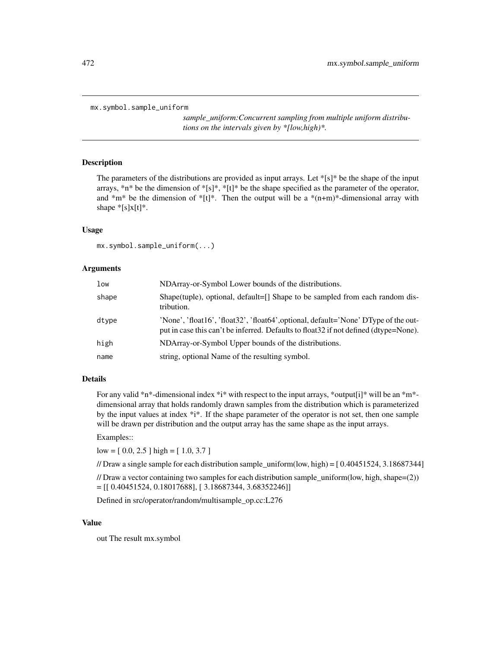```
mx.symbol.sample_uniform
```
*sample\_uniform:Concurrent sampling from multiple uniform distributions on the intervals given by \*[low,high)\*.*

# Description

The parameters of the distributions are provided as input arrays. Let \*[s]\* be the shape of the input arrays, \*n\* be the dimension of \*[s]\*, \*[t]\* be the shape specified as the parameter of the operator, and  $*m*$  be the dimension of  $*[t]^*$ . Then the output will be a  $*(n+m)*$ -dimensional array with shape  $*[s]x[t]*$ .

#### Usage

mx.symbol.sample\_uniform(...)

#### **Arguments**

| low   | NDArray-or-Symbol Lower bounds of the distributions.                                                                                                                         |
|-------|------------------------------------------------------------------------------------------------------------------------------------------------------------------------------|
| shape | Shape(tuple), optional, default=[] Shape to be sampled from each random dis-<br>tribution.                                                                                   |
| dtype | 'None', 'float16', 'float32', 'float64', optional, default='None' DType of the out-<br>put in case this can't be inferred. Defaults to float 32 if not defined (dtype=None). |
| high  | NDArray-or-Symbol Upper bounds of the distributions.                                                                                                                         |
| name  | string, optional Name of the resulting symbol.                                                                                                                               |

# Details

For any valid \*n\*-dimensional index \*i\* with respect to the input arrays, \*output[i]\* will be an \*m\*dimensional array that holds randomly drawn samples from the distribution which is parameterized by the input values at index \*i\*. If the shape parameter of the operator is not set, then one sample will be drawn per distribution and the output array has the same shape as the input arrays.

## Examples::

low = [ 0.0, 2.5 ] high = [ 1.0, 3.7 ]

// Draw a single sample for each distribution sample\_uniform(low, high) =  $[0.40451524, 3.18687344]$ 

// Draw a vector containing two samples for each distribution sample\_uniform(low, high, shape=(2))  $=[[ 0.40451524, 0.18017688], [ 3.18687344, 3.68352246] ]$ 

Defined in src/operator/random/multisample\_op.cc:L276

# Value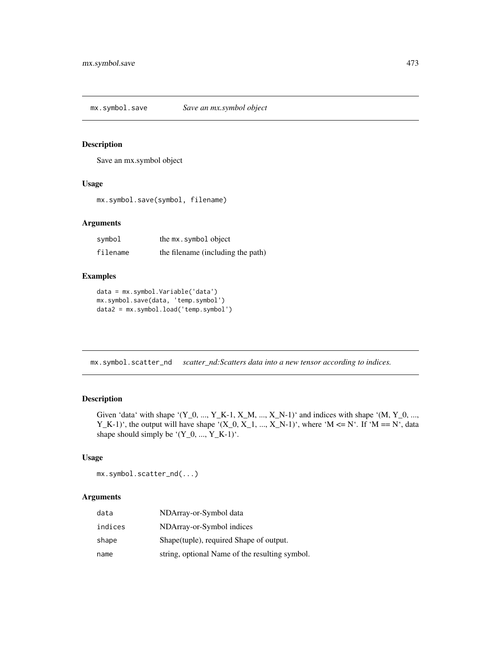mx.symbol.save *Save an mx.symbol object*

# Description

Save an mx.symbol object

# Usage

mx.symbol.save(symbol, filename)

# Arguments

| symbol   | the mx.symbol object              |
|----------|-----------------------------------|
| filename | the filename (including the path) |

# Examples

```
data = mx.symbol.Variable('data')
mx.symbol.save(data, 'temp.symbol')
data2 = mx.symbol.load('temp.symbol')
```
mx.symbol.scatter\_nd *scatter\_nd:Scatters data into a new tensor according to indices.*

# Description

Given 'data' with shape '(Y\_0, ..., Y\_K-1, X\_M, ..., X\_N-1)' and indices with shape '(M, Y\_0, ..., Y\_K-1)', the output will have shape '(X\_0, X\_1, ..., X\_N-1)', where 'M <= N'. If 'M == N', data shape should simply be  $'(Y_0, ..., Y_K-1)$ .

#### Usage

```
mx.symbol.scatter_nd(...)
```

| data    | NDArray-or-Symbol data                         |
|---------|------------------------------------------------|
| indices | NDArray-or-Symbol indices                      |
| shape   | Shape (tuple), required Shape of output.       |
| name    | string, optional Name of the resulting symbol. |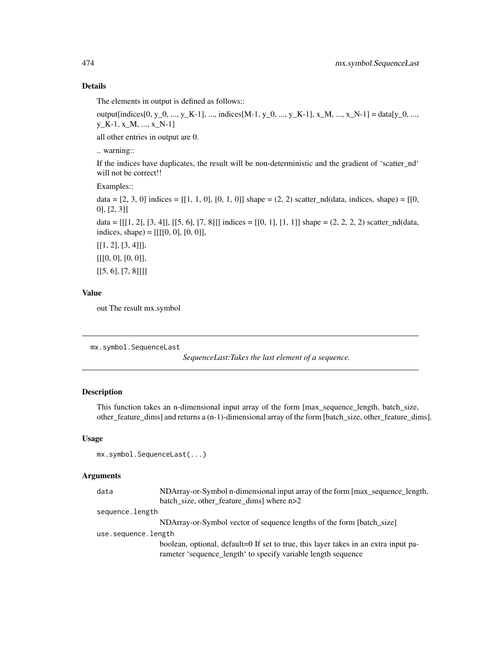The elements in output is defined as follows::

output[indices[0, y\_0, ..., y\_K-1], ..., indices[M-1, y\_0, ..., y\_K-1], x\_M, ..., x\_N-1] = data[y\_0, ..., y\_K-1, x\_M, ..., x\_N-1]

all other entries in output are 0.

.. warning::

If the indices have duplicates, the result will be non-deterministic and the gradient of 'scatter\_nd' will not be correct!!

Examples::

data =  $[2, 3, 0]$  indices =  $[[1, 1, 0], [0, 1, 0]]$  shape =  $(2, 2)$  scatter\_nd(data, indices, shape) =  $[[0, 1, 0]]$ 0], [2, 3]]

data =  $[[1, 2], [3, 4]], [[5, 6], [7, 8]]]$  indices =  $[[0, 1], [1, 1]]$  shape =  $(2, 2, 2, 2)$  scatter\_nd(data, indices, shape) =  $[[[[0, 0], [0, 0]],$ 

 $[[1, 2], [3, 4]]],$ [[[0, 0], [0, 0]],  $[[5, 6], [7, 8]]]$ 

## Value

out The result mx.symbol

```
mx.symbol.SequenceLast
```
*SequenceLast:Takes the last element of a sequence.*

# Description

This function takes an n-dimensional input array of the form [max\_sequence\_length, batch\_size, other\_feature\_dims] and returns a (n-1)-dimensional array of the form [batch\_size, other\_feature\_dims].

#### Usage

```
mx.symbol.SequenceLast(...)
```

| data                | NDArray-or-Symbol n-dimensional input array of the form [max_sequence_length,                                                                        |
|---------------------|------------------------------------------------------------------------------------------------------------------------------------------------------|
|                     | batch_size, other_feature_dims] where n>2                                                                                                            |
| sequence.length     |                                                                                                                                                      |
|                     | NDArray-or-Symbol vector of sequence lengths of the form [batch size]                                                                                |
| use.sequence.length |                                                                                                                                                      |
|                     | boolean, optional, default=0 If set to true, this layer takes in an extra input pa-<br>rameter 'sequence_length' to specify variable length sequence |
|                     |                                                                                                                                                      |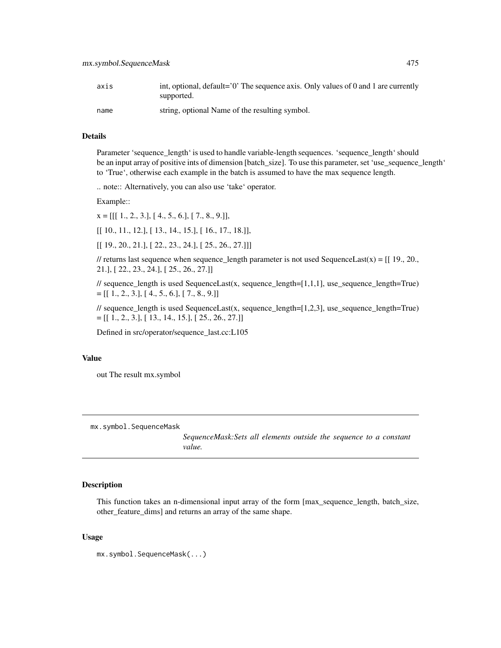| axis | int, optional, $default='0'$ . The sequence axis. Only values of 0 and 1 are currently<br>supported. |
|------|------------------------------------------------------------------------------------------------------|
| name | string, optional Name of the resulting symbol.                                                       |

Parameter 'sequence\_length' is used to handle variable-length sequences. 'sequence\_length' should be an input array of positive ints of dimension [batch\_size]. To use this parameter, set 'use\_sequence\_length' to 'True', otherwise each example in the batch is assumed to have the max sequence length.

.. note:: Alternatively, you can also use 'take' operator.

Example::

 $x = [[1., 2., 3.], [4., 5., 6.], [7., 8., 9.]],$ 

[[ 10., 11., 12.], [ 13., 14., 15.], [ 16., 17., 18.]],

 $[$  [ 19., 20., 21.],  $[$  22., 23., 24.],  $[$  25., 26., 27.]]]

// returns last sequence when sequence\_length parameter is not used SequenceLast(x) =  $[[19., 20.,$ 21.], [ 22., 23., 24.], [ 25., 26., 27.]]

// sequence\_length is used SequenceLast(x, sequence\_length=[1,1,1], use\_sequence\_length=True)  $=[[1., 2., 3.], [4., 5., 6.], [7., 8., 9.]]$ 

// sequence\_length is used SequenceLast(x, sequence\_length=[1,2,3], use\_sequence\_length=True)  $=[[ 1., 2., 3.] , [ 13., 14., 15.] , [ 25., 26., 27.] ]$ 

Defined in src/operator/sequence\_last.cc:L105

#### Value

out The result mx.symbol

mx.symbol.SequenceMask

*SequenceMask:Sets all elements outside the sequence to a constant value.*

## Description

This function takes an n-dimensional input array of the form [max\_sequence\_length, batch\_size, other\_feature\_dims] and returns an array of the same shape.

#### Usage

mx.symbol.SequenceMask(...)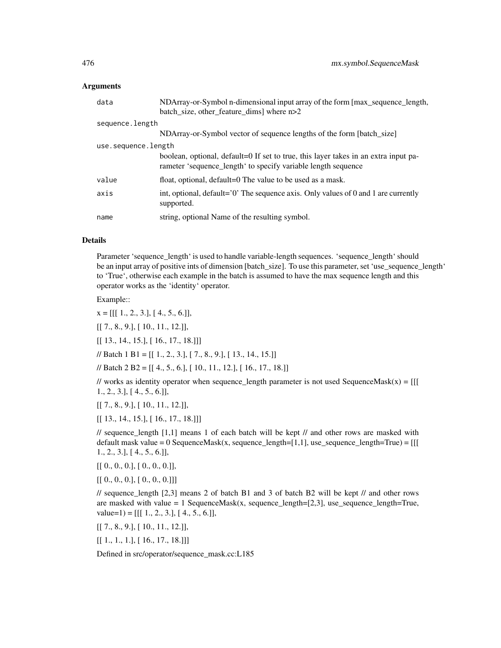#### Arguments

| data                | NDArray-or-Symbol n-dimensional input array of the form [max_sequence_length,<br>batch_size, other_feature_dims] where n>2                           |
|---------------------|------------------------------------------------------------------------------------------------------------------------------------------------------|
| sequence.length     |                                                                                                                                                      |
|                     | NDArray-or-Symbol vector of sequence lengths of the form [batch_size]                                                                                |
| use.sequence.length |                                                                                                                                                      |
|                     | boolean, optional, default=0 If set to true, this layer takes in an extra input pa-<br>rameter 'sequence_length' to specify variable length sequence |
| value               | float, optional, default=0 The value to be used as a mask.                                                                                           |
| axis                | int, optional, default= $0'$ . The sequence axis. Only values of 0 and 1 are currently<br>supported.                                                 |
| name                | string, optional Name of the resulting symbol.                                                                                                       |

#### Details

Parameter 'sequence\_length' is used to handle variable-length sequences. 'sequence\_length' should be an input array of positive ints of dimension [batch\_size]. To use this parameter, set 'use\_sequence\_length' to 'True', otherwise each example in the batch is assumed to have the max sequence length and this operator works as the 'identity' operator.

Example::

 $x = [[1., 2., 3.], [4., 5., 6.]],$ 

[[ 7., 8., 9.], [ 10., 11., 12.]],

 $[[ 13., 14., 15.], [ 16., 17., 18.]]]$ 

// Batch 1 B1 = [[ 1., 2., 3.], [ 7., 8., 9.], [ 13., 14., 15.]]

// Batch 2 B2 = [[ 4., 5., 6.], [ 10., 11., 12.], [ 16., 17., 18.]]

// works as identity operator when sequence\_length parameter is not used SequenceMask(x) =  $[[$ 1., 2., 3.], [ 4., 5., 6.]],

[[ 7., 8., 9.], [ 10., 11., 12.]],

[[ 13., 14., 15.], [ 16., 17., 18.]]]

 $\frac{1}{2}$  // sequence\_length [1,1] means 1 of each batch will be kept // and other rows are masked with default mask value = 0 SequenceMask(x, sequence\_length=[1,1], use\_sequence\_length=True) =  $[[$ 1., 2., 3.], [ 4., 5., 6.]],

 $[[ [ 0., 0., 0.], [ 0., 0., 0.]]$ 

 $[[ [ 0., 0., 0.], [ 0., 0., 0.]]]$ 

// sequence\_length [2,3] means 2 of batch B1 and 3 of batch B2 will be kept // and other rows are masked with value  $= 1$  SequenceMask(x, sequence\_length=[2,3], use\_sequence\_length=True,  $value=1$ ) = [[[ 1., 2., 3.], [ 4., 5., 6.]],

[[ 7., 8., 9.], [ 10., 11., 12.]],

 $[[ 1., 1., 1.], [ 16., 17., 18.]]]$ 

Defined in src/operator/sequence\_mask.cc:L185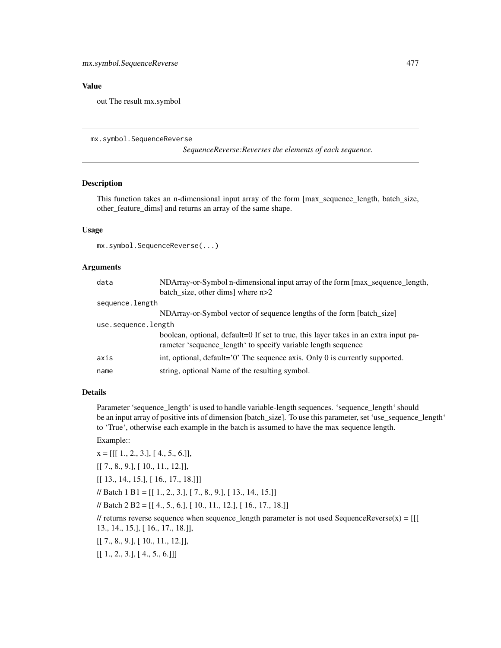# Value

out The result mx.symbol

#### mx.symbol.SequenceReverse

*SequenceReverse:Reverses the elements of each sequence.*

#### Description

This function takes an n-dimensional input array of the form [max\_sequence\_length, batch\_size, other\_feature\_dims] and returns an array of the same shape.

# Usage

mx.symbol.SequenceReverse(...)

#### Arguments

| data                | NDArray-or-Symbol n-dimensional input array of the form [max_sequence_length,                                                                        |
|---------------------|------------------------------------------------------------------------------------------------------------------------------------------------------|
|                     | batch size, other dims where $n>2$                                                                                                                   |
| sequence.length     |                                                                                                                                                      |
|                     | NDArray-or-Symbol vector of sequence lengths of the form [batch_size]                                                                                |
| use.sequence.length |                                                                                                                                                      |
|                     | boolean, optional, default=0 If set to true, this layer takes in an extra input pa-<br>rameter 'sequence_length' to specify variable length sequence |
| axis                | int, optional, default= $0'$ . The sequence axis. Only 0 is currently supported.                                                                     |
| name                | string, optional Name of the resulting symbol.                                                                                                       |

#### Details

Parameter 'sequence\_length' is used to handle variable-length sequences. 'sequence\_length' should be an input array of positive ints of dimension [batch\_size]. To use this parameter, set 'use\_sequence\_length' to 'True', otherwise each example in the batch is assumed to have the max sequence length.

Example::

 $x = [[1., 2., 3.], [4., 5., 6.]]$ 

[[ 7., 8., 9.], [ 10., 11., 12.]],

[[ 13., 14., 15.], [ 16., 17., 18.]]]

 $\mathcal{U}$  Batch 1 B1 = [[ 1., 2., 3.], [ 7., 8., 9.], [ 13., 14., 15.]]

// Batch 2 B2 = [[ 4., 5., 6.], [ 10., 11., 12.], [ 16., 17., 18.]]

// returns reverse sequence when sequence\_length parameter is not used SequenceReverse(x) =  $[[$ 13., 14., 15.], [ 16., 17., 18.]],

[[ 7., 8., 9.], [ 10., 11., 12.]],

 $[[ 1., 2., 3.], [ 4., 5., 6.]]]$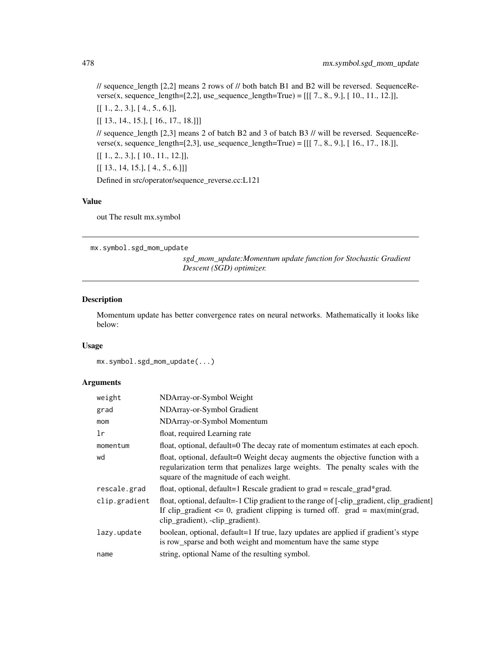$\ell$  sequence length [2,2] means 2 rows of  $\ell$  both batch B1 and B2 will be reversed. SequenceReverse(x, sequence\_length=[2,2], use\_sequence\_length=True) =  $[[[ 7, 8, 9, ], [ 10, 11, 12, ]],$ [[ 1., 2., 3.], [ 4., 5., 6.]], [[ 13., 14., 15.], [ 16., 17., 18.]]] // sequence\_length [2,3] means 2 of batch B2 and 3 of batch B3 // will be reversed. SequenceReverse(x, sequence\_length=[2,3], use\_sequence\_length=True) =  $[[[ 7., 8., 9.], [ 16., 17., 18.]],$ [[ 1., 2., 3.], [ 10., 11., 12.]],  $[[ 13., 14, 15.], [ 4., 5., 6.]]]$ Defined in src/operator/sequence\_reverse.cc:L121

# Value

out The result mx.symbol

mx.symbol.sgd\_mom\_update

*sgd\_mom\_update:Momentum update function for Stochastic Gradient Descent (SGD) optimizer.*

#### Description

Momentum update has better convergence rates on neural networks. Mathematically it looks like below:

## Usage

mx.symbol.sgd\_mom\_update(...)

| weight        | NDArray-or-Symbol Weight                                                                                                                                                                                           |
|---------------|--------------------------------------------------------------------------------------------------------------------------------------------------------------------------------------------------------------------|
| grad          | NDArray-or-Symbol Gradient                                                                                                                                                                                         |
| mom           | NDArray-or-Symbol Momentum                                                                                                                                                                                         |
| lr            | float, required Learning rate                                                                                                                                                                                      |
| momentum      | float, optional, default=0 The decay rate of momentum estimates at each epoch.                                                                                                                                     |
| wd            | float, optional, default=0 Weight decay augments the objective function with a<br>regularization term that penalizes large weights. The penalty scales with the<br>square of the magnitude of each weight.         |
| rescale.grad  | float, optional, default=1 Rescale gradient to grad = rescale_grad*grad.                                                                                                                                           |
| clip.gradient | float, optional, default=-1 Clip gradient to the range of [-clip_gradient, clip_gradient]<br>If clip_gradient $\leq 0$ , gradient clipping is turned off. grad = max(min(grad,<br>clip_gradient), -clip_gradient). |
| lazy.update   | boolean, optional, default=1 If true, lazy updates are applied if gradient's stype<br>is row_sparse and both weight and momentum have the same stype                                                               |
| name          | string, optional Name of the resulting symbol.                                                                                                                                                                     |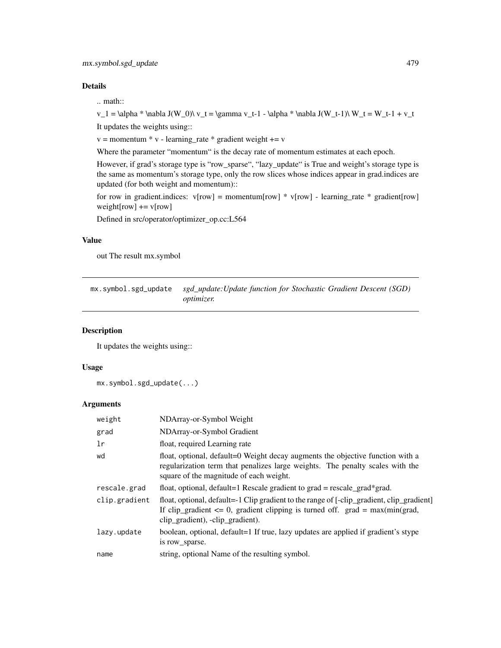.. math::

v\_1 = \alpha \* \nabla J(W\_0)\ v\_t = \gamma v\_t-1 - \alpha \* \nabla J(W\_t-1)\ W\_t = W\_t-1 + v\_t

It updates the weights using::

 $v =$  momentum  $* v$  - learning\_rate  $*$  gradient weight  $+= v$ 

Where the parameter "momentum" is the decay rate of momentum estimates at each epoch.

However, if grad's storage type is "row\_sparse", "lazy\_update" is True and weight's storage type is the same as momentum's storage type, only the row slices whose indices appear in grad.indices are updated (for both weight and momentum)::

for row in gradient.indices:  $v[row] = momentum[row] * v[row] - learning_rate * gradient[row]$ weight[row]  $+= v[row]$ 

Defined in src/operator/optimizer\_op.cc:L564

# Value

out The result mx.symbol

mx.symbol.sgd\_update *sgd\_update:Update function for Stochastic Gradient Descent (SGD) optimizer.*

#### Description

It updates the weights using::

# Usage

```
mx.symbol.sgd_update(...)
```

| weight        | NDArray-or-Symbol Weight                                                                                                                                                                                           |
|---------------|--------------------------------------------------------------------------------------------------------------------------------------------------------------------------------------------------------------------|
| grad          | NDArray-or-Symbol Gradient                                                                                                                                                                                         |
| 1r            | float, required Learning rate                                                                                                                                                                                      |
| wd            | float, optional, default=0 Weight decay augments the objective function with a<br>regularization term that penalizes large weights. The penalty scales with the<br>square of the magnitude of each weight.         |
| rescale.grad  | float, optional, default=1 Rescale gradient to grad = rescale_grad*grad.                                                                                                                                           |
| clip.gradient | float, optional, default=-1 Clip gradient to the range of [-clip_gradient, clip_gradient]<br>If clip_gradient $\leq 0$ , gradient clipping is turned off. grad = max(min(grad,<br>clip_gradient), -clip_gradient). |
| lazy.update   | boolean, optional, default=1 If true, lazy updates are applied if gradient's stype<br>is row_sparse.                                                                                                               |
| name          | string, optional Name of the resulting symbol.                                                                                                                                                                     |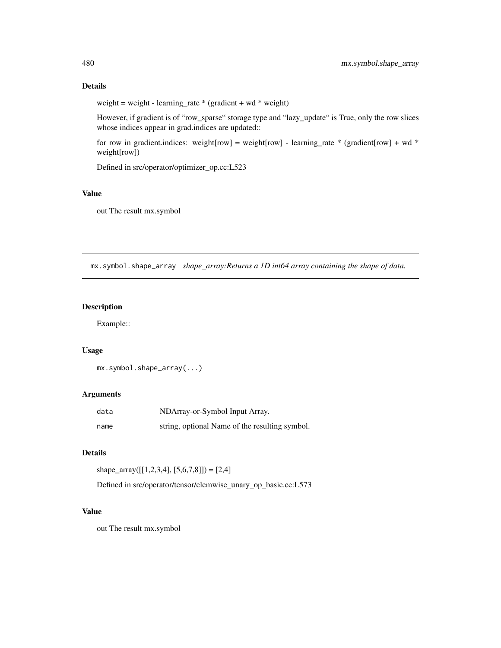weight = weight - learning\_rate \* (gradient + wd \* weight)

However, if gradient is of "row\_sparse" storage type and "lazy\_update" is True, only the row slices whose indices appear in grad.indices are updated::

for row in gradient.indices: weight[row] = weight[row] - learning\_rate \* (gradient[row] + wd \* weight[row])

Defined in src/operator/optimizer\_op.cc:L523

# Value

out The result mx.symbol

mx.symbol.shape\_array *shape\_array:Returns a 1D int64 array containing the shape of data.*

# Description

Example::

# Usage

```
mx.symbol.shape_array(...)
```
## Arguments

| data | NDArray-or-Symbol Input Array.                 |
|------|------------------------------------------------|
| name | string, optional Name of the resulting symbol. |

# Details

shape\_array( $[[1,2,3,4], [5,6,7,8]]) = [2,4]$ 

Defined in src/operator/tensor/elemwise\_unary\_op\_basic.cc:L573

#### Value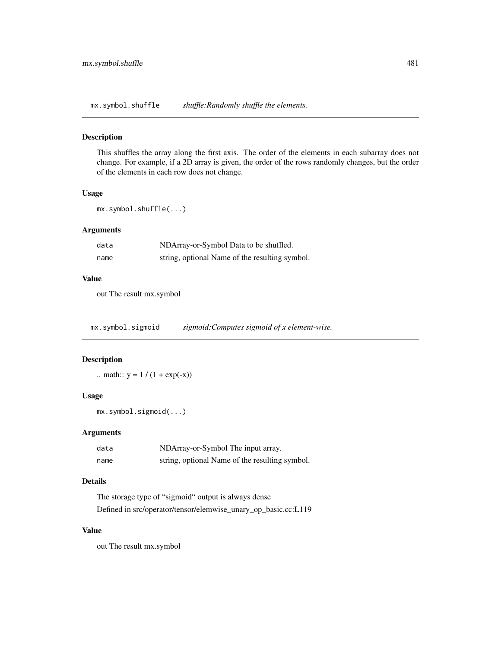mx.symbol.shuffle *shuffle:Randomly shuffle the elements.*

#### Description

This shuffles the array along the first axis. The order of the elements in each subarray does not change. For example, if a 2D array is given, the order of the rows randomly changes, but the order of the elements in each row does not change.

# Usage

mx.symbol.shuffle(...)

# Arguments

| data | NDArray-or-Symbol Data to be shuffled.         |
|------|------------------------------------------------|
| name | string, optional Name of the resulting symbol. |

# Value

out The result mx.symbol

mx.symbol.sigmoid *sigmoid:Computes sigmoid of x element-wise.*

# Description

.. math::  $y = 1 / (1 + \exp(-x))$ 

# Usage

mx.symbol.sigmoid(...)

# Arguments

| data | NDArray-or-Symbol The input array.             |
|------|------------------------------------------------|
| name | string, optional Name of the resulting symbol. |

# Details

The storage type of "sigmoid" output is always dense

Defined in src/operator/tensor/elemwise\_unary\_op\_basic.cc:L119

# Value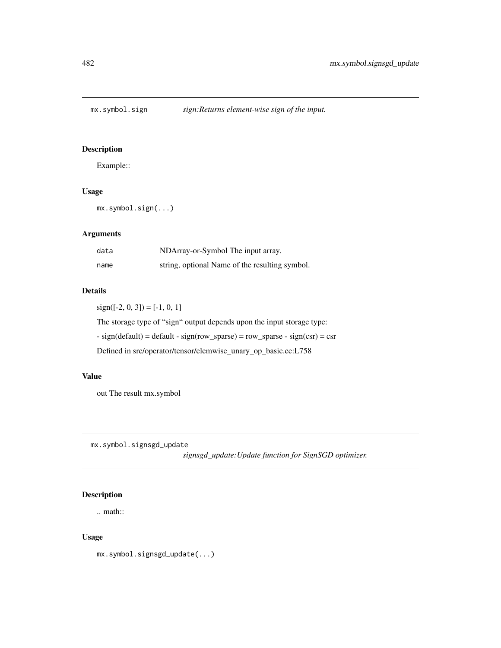# Description

Example::

# Usage

mx.symbol.sign(...)

# Arguments

| data | NDArray-or-Symbol The input array.             |
|------|------------------------------------------------|
| name | string, optional Name of the resulting symbol. |

## Details

 $sign([-2, 0, 3]) = [-1, 0, 1]$ 

The storage type of "sign" output depends upon the input storage type:

 $-$  sign(default) = default  $-$  sign(row\_sparse) = row\_sparse  $-$  sign(csr) = csr

Defined in src/operator/tensor/elemwise\_unary\_op\_basic.cc:L758

## Value

out The result mx.symbol

mx.symbol.signsgd\_update

*signsgd\_update:Update function for SignSGD optimizer.*

# Description

.. math::

# Usage

mx.symbol.signsgd\_update(...)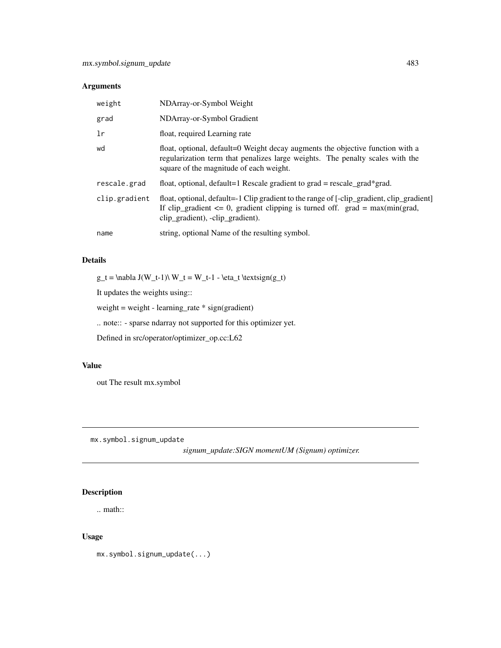# Arguments

| weight        | NDArray-or-Symbol Weight                                                                                                                                                                                           |
|---------------|--------------------------------------------------------------------------------------------------------------------------------------------------------------------------------------------------------------------|
| grad          | NDArray-or-Symbol Gradient                                                                                                                                                                                         |
| 1r            | float, required Learning rate                                                                                                                                                                                      |
| wd            | float, optional, default=0 Weight decay augments the objective function with a<br>regularization term that penalizes large weights. The penalty scales with the<br>square of the magnitude of each weight.         |
| rescale.grad  | float, optional, default=1 Rescale gradient to grad = rescale grad*grad.                                                                                                                                           |
| clip.gradient | float, optional, default=-1 Clip gradient to the range of [-clip_gradient, clip_gradient]<br>If clip_gradient $\leq 0$ , gradient clipping is turned off. grad = max(min(grad,<br>clip_gradient), -clip_gradient). |
| name          | string, optional Name of the resulting symbol.                                                                                                                                                                     |

# Details

 $g_t = \nabla J(W_t-1)\nW_t = W_t-1 - \eta_t \text{sign}(g_t)$ 

It updates the weights using::

weight = weight - learning\_rate \* sign(gradient)

.. note:: - sparse ndarray not supported for this optimizer yet.

Defined in src/operator/optimizer\_op.cc:L62

## Value

out The result mx.symbol

mx.symbol.signum\_update

*signum\_update:SIGN momentUM (Signum) optimizer.*

# Description

.. math::

# Usage

mx.symbol.signum\_update(...)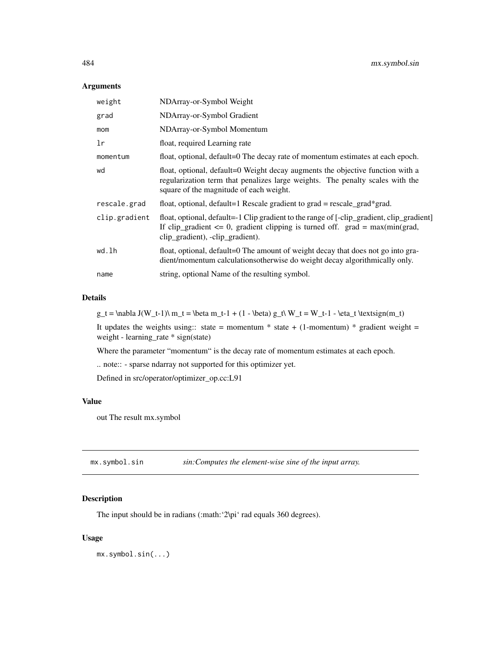# Arguments

| weight        | NDArray-or-Symbol Weight                                                                                                                                                                                           |
|---------------|--------------------------------------------------------------------------------------------------------------------------------------------------------------------------------------------------------------------|
| grad          | NDArray-or-Symbol Gradient                                                                                                                                                                                         |
| mom           | NDArray-or-Symbol Momentum                                                                                                                                                                                         |
| 1r            | float, required Learning rate                                                                                                                                                                                      |
| momentum      | float, optional, default=0 The decay rate of momentum estimates at each epoch.                                                                                                                                     |
| wd            | float, optional, default=0 Weight decay augments the objective function with a<br>regularization term that penalizes large weights. The penalty scales with the<br>square of the magnitude of each weight.         |
| rescale.grad  | float, optional, default=1 Rescale gradient to grad = rescale_grad*grad.                                                                                                                                           |
| clip.gradient | float, optional, default=-1 Clip gradient to the range of [-clip_gradient, clip_gradient]<br>If clip_gradient $\leq 0$ , gradient clipping is turned off. grad = max(min(grad,<br>clip_gradient), -clip_gradient). |
| wd.lh         | float, optional, default=0 The amount of weight decay that does not go into gra-<br>dient/momentum calculations otherwise do weight decay algorithmically only.                                                    |
| name          | string, optional Name of the resulting symbol.                                                                                                                                                                     |

# Details

 $g_t = \nabla J(W_t-1)\ m_t = \beta m_t-1 + (1 - \beta) g_t\ W_t = W_t-1 - \eta_t \textrm{ for any } t \in W_t$ 

It updates the weights using:: state = momentum \* state +  $(1-momentum)$  \* gradient weight = weight - learning\_rate \* sign(state)

Where the parameter "momentum" is the decay rate of momentum estimates at each epoch.

.. note:: - sparse ndarray not supported for this optimizer yet.

Defined in src/operator/optimizer\_op.cc:L91

# Value

out The result mx.symbol

mx.symbol.sin *sin:Computes the element-wise sine of the input array.*

# Description

The input should be in radians (:math:'2\pi' rad equals 360 degrees).

#### Usage

mx.symbol.sin(...)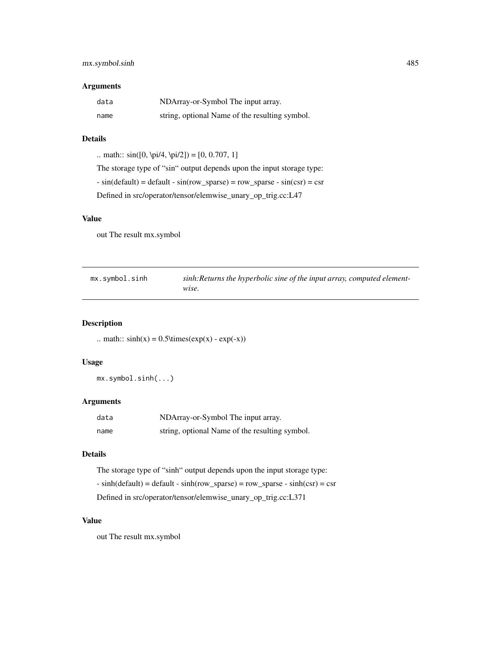# mx.symbol.sinh 485

### Arguments

| data | NDArray-or-Symbol The input array.             |
|------|------------------------------------------------|
| name | string, optional Name of the resulting symbol. |

#### Details

.. math::  $sin([0, \pi/4, \pi/2]) = [0, 0.707, 1]$ 

The storage type of "sin" output depends upon the input storage type:

 $- \sin(\text{default}) = \text{default} - \sin(\text{row\_sparse}) = \text{row\_sparse} - \sin(\text{csr}) = \text{csr}$ 

Defined in src/operator/tensor/elemwise\_unary\_op\_trig.cc:L47

# Value

out The result mx.symbol

| mx.symbol.sinh | sinh: Returns the hyperbolic sine of the input array, computed element- |
|----------------|-------------------------------------------------------------------------|
|                | wise.                                                                   |

# Description

.. math::  $sinh(x) = 0.5\times(exp(x) - exp(-x))$ 

# Usage

mx.symbol.sinh(...)

# Arguments

| data | NDArray-or-Symbol The input array.             |
|------|------------------------------------------------|
| name | string, optional Name of the resulting symbol. |

# Details

The storage type of "sinh" output depends upon the input storage type:  $- \sinh(\text{default}) = \text{default} - \sinh(\text{row\_sparse}) = \text{row\_sparse} - \sinh(\text{csr}) = \text{csr}$ Defined in src/operator/tensor/elemwise\_unary\_op\_trig.cc:L371

#### Value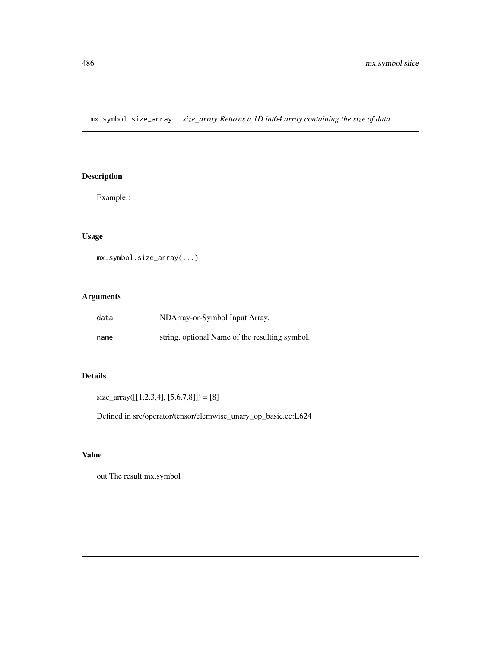mx.symbol.size\_array *size\_array:Returns a 1D int64 array containing the size of data.*

# Description

Example::

# Usage

```
mx.symbol.size_array(...)
```
# Arguments

| data | NDArray-or-Symbol Input Array.                 |
|------|------------------------------------------------|
| name | string, optional Name of the resulting symbol. |

# Details

 $size\_array([[1,2,3,4],[5,6,7,8]]) = [8]$ 

Defined in src/operator/tensor/elemwise\_unary\_op\_basic.cc:L624

# Value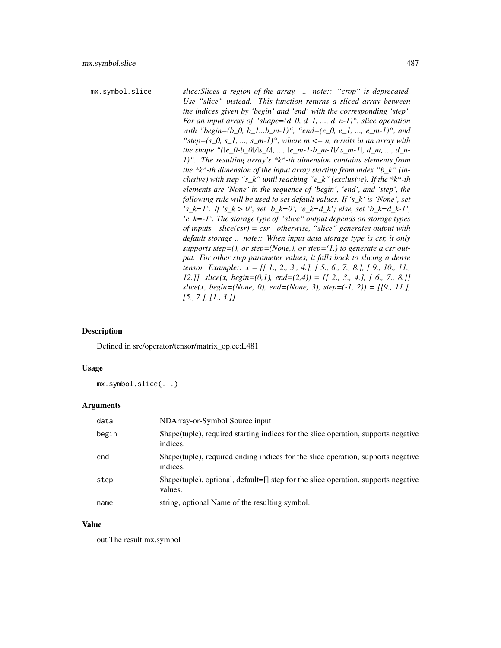```
mx.symbol.slice slice:Slices a region of the array. .. note:: "crop" is deprecated.
                            Use "slice" instead. This function returns a sliced array between
                            the indices given by 'begin' and 'end' with the corresponding 'step'.
                            For an input array of "shape=(d_0, d_1, ..., d_n-1)", slice operation
                            with "begin=(b_0, b_1...b_m-1)", "end=(e_0, e_1, ..., e_m-1)", and
                            "step=(s\ 0, s\ 1, ..., s\ m-1)", where m \leq n, results in an array with
                            the shape "(|e_0-b_0|/|s_0|, ..., |e_m-1-b_m-1|/|s_m-1|, d_m, ..., d_n-
                            1)". The resulting array's *k*-th dimension contains elements from
                            the *k*-th dimension of the input array starting from index "b_k" (in-
                            clusive) with step "s_k" until reaching "e_k" (exclusive). If the *k*-th
                            elements are 'None' in the sequence of 'begin', 'end', and 'step', the
                            following rule will be used to set default values. If 's_k' is 'None', set
                            's_k=1'. If 's_k > 0', set 'b_k=0', 'e_k=d_k'; else, set 'b_k=d_k-1',
                            'e_k=-1'. The storage type of "slice" output depends on storage types
                            of inputs - slice(csr) = csr - otherwise, "slice" generates output with
                            default storage .. note:: When input data storage type is csr, it only
                            supports step=(), or step=(None), or step=(1), to generate a csr out-
                            put. For other step parameter values, it falls back to slicing a dense
                            tensor. Example:: x = [[ 1., 2., 3., 4.], [ 5., 6., 7., 8.], [ 9., 10., 11.,
                            12.]] slice(x, begin=(0,1), end=(2,4)) = [[ 2., 3., 4.], [ 6., 7., 8.]]
                            slice(x, begin=(None, 0), end=(None, 3), step=(-1, 2)) = [[9., 11.],[5., 7.], [1., 3.]]
```
## Description

Defined in src/operator/tensor/matrix\_op.cc:L481

# Usage

mx.symbol.slice(...)

#### Arguments

| data  | NDArray-or-Symbol Source input                                                                   |
|-------|--------------------------------------------------------------------------------------------------|
| begin | Shape (tuple), required starting indices for the slice operation, supports negative<br>indices.  |
| end   | Shape (tuple), required ending indices for the slice operation, supports negative<br>indices.    |
| step  | Shape(tuple), optional, default= $[]$ step for the slice operation, supports negative<br>values. |
| name  | string, optional Name of the resulting symbol.                                                   |

## Value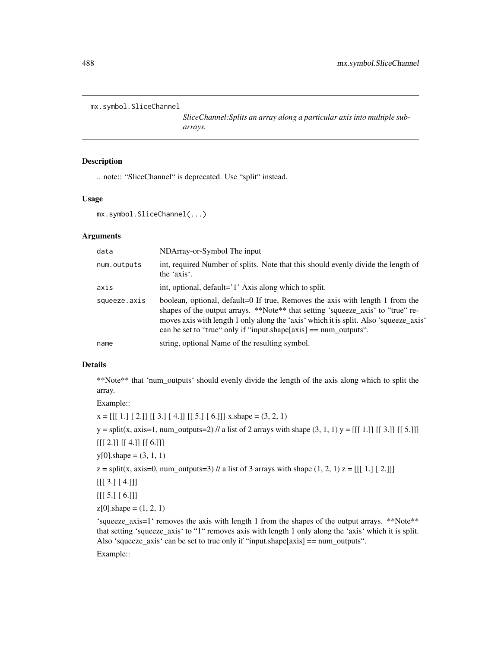```
mx.symbol.SliceChannel
```
*SliceChannel:Splits an array along a particular axis into multiple subarrays.*

# Description

.. note:: "SliceChannel" is deprecated. Use "split" instead.

## Usage

```
mx.symbol.SliceChannel(...)
```
## Arguments

| data         | NDArray-or-Symbol The input                                                                                                                                                                                                                                                                                                       |
|--------------|-----------------------------------------------------------------------------------------------------------------------------------------------------------------------------------------------------------------------------------------------------------------------------------------------------------------------------------|
| num.outputs  | int, required Number of splits. Note that this should evenly divide the length of<br>the 'axis'.                                                                                                                                                                                                                                  |
| axis         | int, optional, default='1' Axis along which to split.                                                                                                                                                                                                                                                                             |
| squeeze.axis | boolean, optional, default=0 If true, Removes the axis with length 1 from the<br>shapes of the output arrays. **Note** that setting 'squeeze_axis' to "true" re-<br>moves axis with length 1 only along the 'axis' which it is split. Also 'squeeze_axis'<br>can be set to "true" only if "input.shape $[axis] == num_outputs"$ . |
| name         | string, optional Name of the resulting symbol.                                                                                                                                                                                                                                                                                    |

# Details

\*\*Note\*\* that 'num\_outputs' should evenly divide the length of the axis along which to split the array.

Example::

 $x = [[1.][2.]] [[3.][4.]] [[5.][6.]]] x.shape = (3, 2, 1)$ 

 $y = split(x, axis=1, num\_outputs=2)$  // a list of 2 arrays with shape  $(3, 1, 1)$   $y = [[[1.]] [[3.]] [[5.]]]$ 

 $[[[ 2.]] [[ 4.]] [[ 6.]]]$ 

 $y[0]$ .shape =  $(3, 1, 1)$ 

 $z = \text{split}(x, \text{ axis}=0, \text{ num\_outputs}=3)$  // a list of 3 arrays with shape  $(1, 2, 1)$   $z = [[1, 1, 1, 2, 1]]$ 

 $[[ [ 3.] [ 4.] ]]$ 

 $[[[ 5.] [ 6.]]]$ 

 $z[0]$ .shape =  $(1, 2, 1)$ 

'squeeze\_axis=1' removes the axis with length 1 from the shapes of the output arrays. \*\*Note\*\* that setting 'squeeze\_axis' to "1" removes axis with length 1 only along the 'axis' which it is split. Also 'squeeze\_axis' can be set to true only if "input.shape[axis] == num\_outputs".

Example::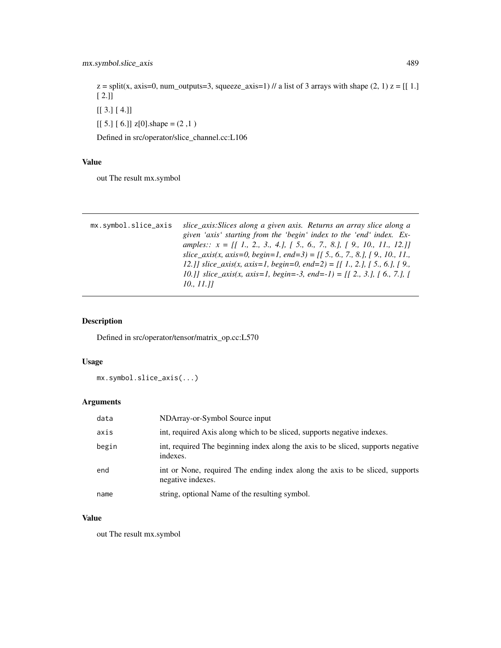$z =$ split(x, axis=0, num\_outputs=3, squeeze\_axis=1) // a list of 3 arrays with shape (2, 1)  $z = [[1.]$ [ 2.]]

[[ 3.] [ 4.]]

 $[[ 5.] [ 6.]$  z[0].shape =  $(2,1)$ 

Defined in src/operator/slice\_channel.cc:L106

# Value

out The result mx.symbol

| mx.symbol.slice_axis | slice_axis: Slices along a given axis. Returns an array slice along a                                                                                             |
|----------------------|-------------------------------------------------------------------------------------------------------------------------------------------------------------------|
|                      | given 'axis' starting from the 'begin' index to the 'end' index. Ex-                                                                                              |
|                      | amples:: $x = \begin{bmatrix} 1 & 1 & 2 & 3 & 4 \end{bmatrix}$ , $\begin{bmatrix} 5 & 6 & 7 & 8 \end{bmatrix}$ , $\begin{bmatrix} 9 & 10 & 11 & 12 \end{bmatrix}$ |
|                      | slice_axis(x, axis=0, begin=1, end=3) = $[$ [ 5., 6., 7., 8.], [9., 10., 11.,                                                                                     |
|                      | 12.]] slice_axis(x, axis=1, begin=0, end=2) = [[1., 2.], [5., 6.], [9.,                                                                                           |
|                      | 10.]] slice_axis(x, axis=1, begin=-3, end=-1) = [[ 2., 3.], [ 6., 7.], [                                                                                          |
|                      | 10., 11.11                                                                                                                                                        |
|                      |                                                                                                                                                                   |

# Description

Defined in src/operator/tensor/matrix\_op.cc:L570

# Usage

mx.symbol.slice\_axis(...)

# Arguments

| data  | NDArray-or-Symbol Source input                                                                    |
|-------|---------------------------------------------------------------------------------------------------|
| axis  | int, required Axis along which to be sliced, supports negative indexes.                           |
| begin | int, required The beginning index along the axis to be sliced, supports negative<br>indexes.      |
| end   | int or None, required The ending index along the axis to be sliced, supports<br>negative indexes. |
| name  | string, optional Name of the resulting symbol.                                                    |

# Value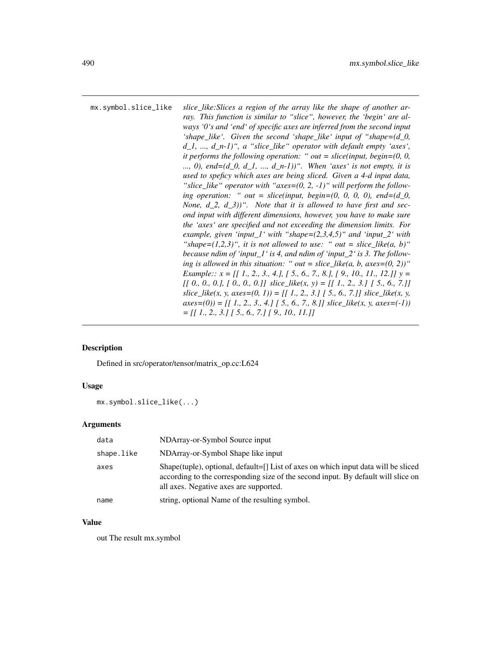mx.symbol.slice\_like *slice\_like:Slices a region of the array like the shape of another array. This function is similar to "slice", however, the 'begin' are always '0's and 'end' of specific axes are inferred from the second input 'shape\_like'. Given the second 'shape\_like' input of "shape=(d\_0, d\_1, ..., d\_n-1)", a "slice\_like" operator with default empty 'axes', it performs the following operation: " out = slice(input, begin=(0, 0, ..., 0), end=(d\_0, d\_1, ..., d\_n-1))". When 'axes' is not empty, it is used to speficy which axes are being sliced. Given a 4-d input data, "slice\_like" operator with "axes=(0, 2, -1)" will perform the following operation: " out = slice(input, begin=(0, 0, 0, 0), end=(d\_0, None, d\_2, d\_3))". Note that it is allowed to have first and second input with different dimensions, however, you have to make sure the 'axes' are specified and not exceeding the dimension limits. For example, given 'input\_1' with "shape=(2,3,4,5)" and 'input\_2' with* "shape= $(1,2,3)$ ", it is not allowed to use: " out = slice like(a, b)" *because ndim of 'input\_1' is 4, and ndim of 'input\_2' is 3. The following is allowed in this situation:* " *out = slice\_like(a, b, axes=(0, 2))*" *Example:: x = [[ 1., 2., 3., 4.], [ 5., 6., 7., 8.], [ 9., 10., 11., 12.]] y = [[ 0., 0., 0.], [ 0., 0., 0.]] slice\_like(x, y) = [[ 1., 2., 3.] [ 5., 6., 7.]]*  $slice\_like(x, y, axes=(0, 1)) = \{ [ 1, 2, 3, 1] [ 5, 6, 7, 1] \} slice\_like(x, y,$  $axes=(0)$ ) = [[ 1., 2., 3., 4.] [ 5., 6., 7., 8.]] slice\_like(x, y, axes=(-1)) *= [[ 1., 2., 3.] [ 5., 6., 7.] [ 9., 10., 11.]]*

#### **Description**

Defined in src/operator/tensor/matrix\_op.cc:L624

#### Usage

mx.symbol.slice\_like(...)

#### Arguments

| data       | NDArray-or-Symbol Source input                                                                                                                                                                                        |
|------------|-----------------------------------------------------------------------------------------------------------------------------------------------------------------------------------------------------------------------|
| shape.like | NDArray-or-Symbol Shape like input                                                                                                                                                                                    |
| axes       | Shape(tuple), optional, $default = []$ List of axes on which input data will be sliced<br>according to the corresponding size of the second input. By default will slice on<br>all axes. Negative axes are supported. |
| name       | string, optional Name of the resulting symbol.                                                                                                                                                                        |

#### Value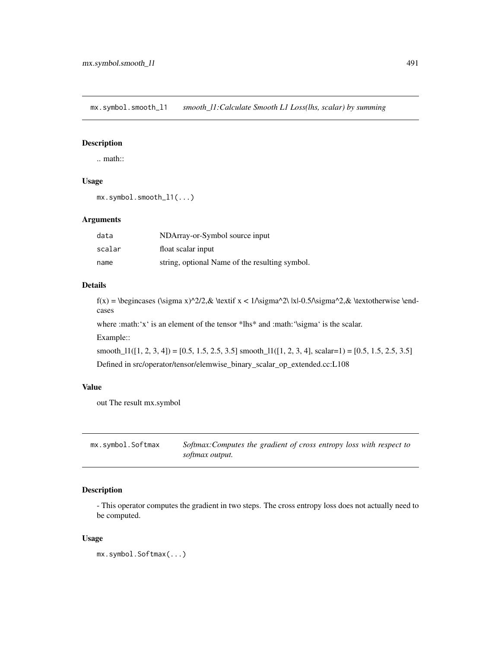mx.symbol.smooth\_l1 *smooth\_l1:Calculate Smooth L1 Loss(lhs, scalar) by summing*

# Description

.. math::

# Usage

```
mx.symbol.smooth_l1(...)
```
# Arguments

| data   | NDArray-or-Symbol source input                 |
|--------|------------------------------------------------|
| scalar | float scalar input                             |
| name   | string, optional Name of the resulting symbol. |

# Details

f(x) = \begincases (\sigma x)^2/2,& \textif x < 1/\sigma^2\ |x|-0.5/\sigma^2,& \textotherwise \endcases

where :math:'x' is an element of the tensor \*lhs\* and :math:'\sigma' is the scalar.

Example::

smooth\_ $11([1, 2, 3, 4]) = [0.5, 1.5, 2.5, 3.5]$  smooth\_ $11([1, 2, 3, 4],$  scalar=1) = [0.5, 1.5, 2.5, 3.5] Defined in src/operator/tensor/elemwise\_binary\_scalar\_op\_extended.cc:L108

# Value

out The result mx.symbol

| mx.symbol.Softmax | Softmax: Computes the gradient of cross entropy loss with respect to |
|-------------------|----------------------------------------------------------------------|
|                   | softmax output.                                                      |

# Description

- This operator computes the gradient in two steps. The cross entropy loss does not actually need to be computed.

#### Usage

mx.symbol.Softmax(...)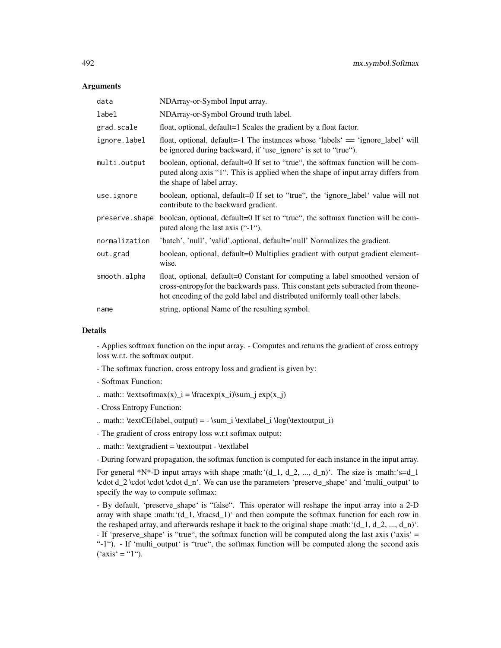#### **Arguments**

| data           | NDArray-or-Symbol Input array.                                                                                                                                                                                                                   |  |
|----------------|--------------------------------------------------------------------------------------------------------------------------------------------------------------------------------------------------------------------------------------------------|--|
| label          | NDArray-or-Symbol Ground truth label.                                                                                                                                                                                                            |  |
| grad.scale     | float, optional, default=1 Scales the gradient by a float factor.                                                                                                                                                                                |  |
| ignore.label   | float, optional, default=-1 The instances whose 'labels' == 'ignore_label' will<br>be ignored during backward, if 'use_ignore' is set to "true").                                                                                                |  |
| multi.output   | boolean, optional, default=0 If set to "true", the softmax function will be com-<br>puted along axis "1". This is applied when the shape of input array differs from<br>the shape of label array.                                                |  |
| use.ignore     | boolean, optional, default=0 If set to "true", the 'ignore_label' value will not<br>contribute to the backward gradient.                                                                                                                         |  |
| preserve.shape | boolean, optional, default=0 If set to "true", the softmax function will be com-<br>puted along the last axis ("-1").                                                                                                                            |  |
| normalization  | 'batch', 'null', 'valid', optional, default='null' Normalizes the gradient.                                                                                                                                                                      |  |
| out.grad       | boolean, optional, default=0 Multiplies gradient with output gradient element-<br>wise.                                                                                                                                                          |  |
| smooth.alpha   | float, optional, default=0 Constant for computing a label smoothed version of<br>cross-entropyfor the backwards pass. This constant gets subtracted from theone-<br>hot encoding of the gold label and distributed uniformly toall other labels. |  |
| name           | string, optional Name of the resulting symbol.                                                                                                                                                                                                   |  |

#### Details

- Applies softmax function on the input array. - Computes and returns the gradient of cross entropy loss w.r.t. the softmax output.

- The softmax function, cross entropy loss and gradient is given by:
- Softmax Function:
- .. math::  $\text{textsoftmax}(x) = \frac{r(x_i)}{\sum j} \exp(x_j)$
- Cross Entropy Function:
- .. math:: \textCE(label, output) =  $-\sum_i \text{label}_i \log(\text{output}_i)$
- The gradient of cross entropy loss w.r.t softmax output:
- $\ldots$  math:: \textgradient = \textoutput \textlabel

- During forward propagation, the softmax function is computed for each instance in the input array.

For general \*N\*-D input arrays with shape :math:'(d\_1, d\_2, ..., d\_n)'. The size is :math:'s=d\_1 \cdot d\_2 \cdot \cdot \cdot d\_n'. We can use the parameters 'preserve\_shape' and 'multi\_output' to specify the way to compute softmax:

- By default, 'preserve\_shape' is "false". This operator will reshape the input array into a 2-D array with shape :math: $(d_1, \frac{1}{\text{rascad}_1})'$  and then compute the softmax function for each row in the reshaped array, and afterwards reshape it back to the original shape :math:  $(d_1, d_2, ..., d_n)$ . - If 'preserve\_shape' is "true", the softmax function will be computed along the last axis ('axis' = "-1"). - If 'multi\_output' is "true", the softmax function will be computed along the second axis  $('axis' = "1")$ .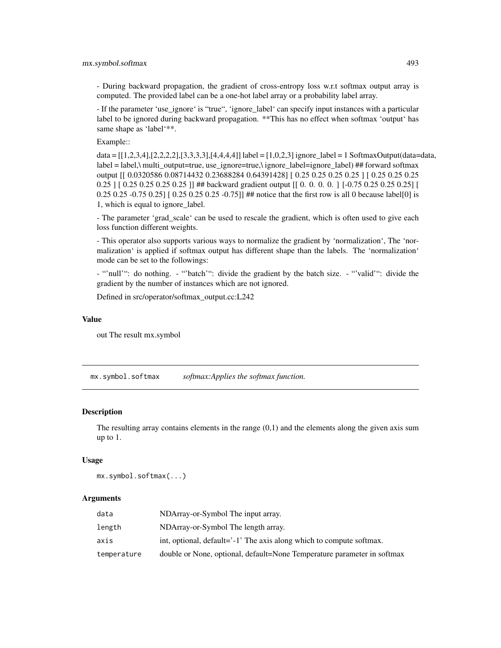- During backward propagation, the gradient of cross-entropy loss w.r.t softmax output array is computed. The provided label can be a one-hot label array or a probability label array.

- If the parameter 'use\_ignore' is "true", 'ignore\_label' can specify input instances with a particular label to be ignored during backward propagation. \*\*This has no effect when softmax 'output' has same shape as 'label'\*\*.

Example::

data = [[1,2,3,4],[2,2,2,2],[3,3,3,3],[4,4,4,4]] label = [1,0,2,3] ignore\_label = 1 SoftmaxOutput(data=data, label = label,\ multi\_output=true, use\_ignore=true,\ ignore\_label=ignore\_label) ## forward softmax output [[ 0.0320586 0.08714432 0.23688284 0.64391428] [ 0.25 0.25 0.25 0.25 ] [ 0.25 0.25 0.25 0.25 ] [ 0.25 0.25 0.25 0.25 ]] ## backward gradient output [[ 0. 0. 0. 0. ] [-0.75 0.25 0.25 0.25] [ 0.25 0.25 -0.75 0.25]  $\lceil 0.25 \rceil$  0.25 0.25 -0.75]] ## notice that the first row is all 0 because label[0] is 1, which is equal to ignore\_label.

- The parameter 'grad scale' can be used to rescale the gradient, which is often used to give each loss function different weights.

- This operator also supports various ways to normalize the gradient by 'normalization', The 'normalization' is applied if softmax output has different shape than the labels. The 'normalization' mode can be set to the followings:

- "'null'": do nothing. - "'batch'": divide the gradient by the batch size. - "'valid'": divide the gradient by the number of instances which are not ignored.

Defined in src/operator/softmax\_output.cc:L242

#### Value

out The result mx.symbol

mx.symbol.softmax *softmax:Applies the softmax function.*

#### **Description**

The resulting array contains elements in the range  $(0,1)$  and the elements along the given axis sum up to 1.

#### Usage

mx.symbol.softmax(...)

| data        | NDArray-or-Symbol The input array.                                      |
|-------------|-------------------------------------------------------------------------|
| length      | NDArray-or-Symbol The length array.                                     |
| axis        | int, optional, default='-1' The axis along which to compute softmax.    |
| temperature | double or None, optional, default=None Temperature parameter in softmax |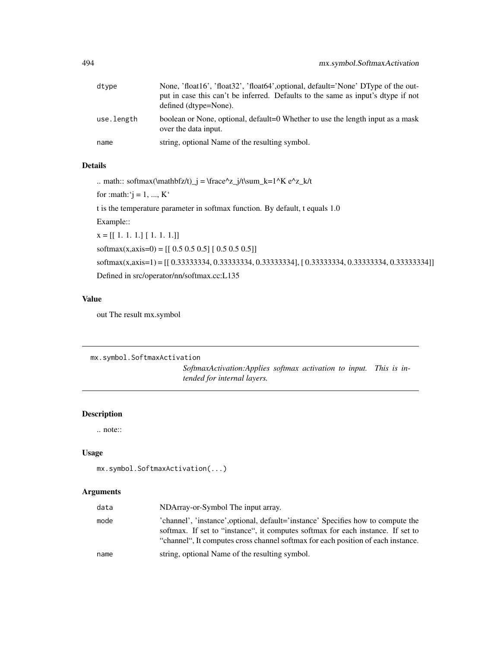| dtype      | None, 'float16', 'float32', 'float64', optional, default='None' DType of the out-<br>put in case this can't be inferred. Defaults to the same as input's dtype if not<br>defined (dtype=None). |
|------------|------------------------------------------------------------------------------------------------------------------------------------------------------------------------------------------------|
| use.length | boolean or None, optional, default=0 Whether to use the length input as a mask<br>over the data input.                                                                                         |
| name       | string, optional Name of the resulting symbol.                                                                                                                                                 |

.. math:: softmax(\mathbfz/t)\_j = \frace^z\_j/t\sum\_k=1^K e^z\_k/t

for :math: ' $j = 1, ..., K$ '

t is the temperature parameter in softmax function. By default, t equals 1.0

Example::

 $x = [[ 1, 1, 1, 1, 1, 1, 1, 1, 1, 1, 1]]$  $softmax(x, axis=0) = [[ 0.5 0.5 0.5] [ 0.5 0.5 0.5]]$ softmax(x,axis=1) = [[ 0.33333334, 0.33333334, 0.33333334], [ 0.33333334, 0.33333334, 0.33333334]] Defined in src/operator/nn/softmax.cc:L135

# Value

out The result mx.symbol

```
mx.symbol.SoftmaxActivation
```
*SoftmaxActivation:Applies softmax activation to input. This is intended for internal layers.*

# Description

.. note::

#### Usage

```
mx.symbol.SoftmaxActivation(...)
```

| data | NDArray-or-Symbol The input array.                                                                                                                                                                                                                      |
|------|---------------------------------------------------------------------------------------------------------------------------------------------------------------------------------------------------------------------------------------------------------|
| mode | 'channel', 'instance', optional, default='instance' Specifies how to compute the<br>softmax. If set to "instance", it computes softmax for each instance. If set to<br>"channel". It computes cross channel softmax for each position of each instance. |
| name | string, optional Name of the resulting symbol.                                                                                                                                                                                                          |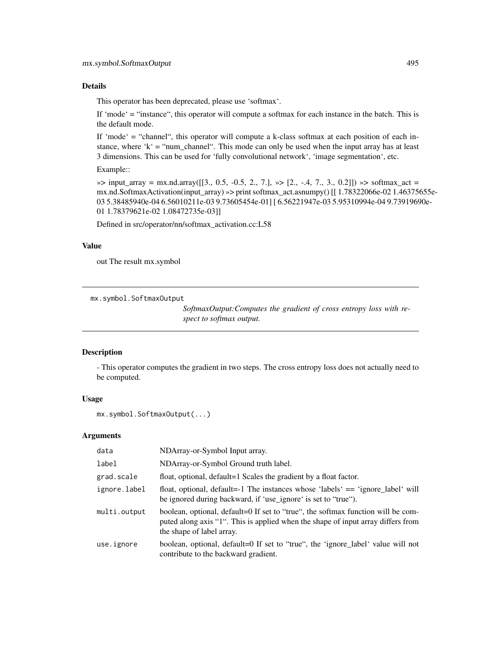This operator has been deprecated, please use 'softmax'.

If 'mode' = "instance", this operator will compute a softmax for each instance in the batch. This is the default mode.

If 'mode' = "channel", this operator will compute a k-class softmax at each position of each instance, where 'k' = "num\_channel". This mode can only be used when the input array has at least 3 dimensions. This can be used for 'fully convolutional network', 'image segmentation', etc.

Example::

```
\gg input_array = mx.nd.array([[3., 0.5, -0.5, 2., 7.], \gg [2., -.4, 7., 3., 0.2]]) \gg softmax_act =
mx.nd.SoftmaxActivation(input_array) »> print softmax_act.asnumpy() [[ 1.78322066e-02 1.46375655e-
03 5.38485940e-04 6.56010211e-03 9.73605454e-01] [ 6.56221947e-03 5.95310994e-04 9.73919690e-
01 1.78379621e-02 1.08472735e-03]]
```
Defined in src/operator/nn/softmax\_activation.cc:L58

#### Value

out The result mx.symbol

mx.symbol.SoftmaxOutput

*SoftmaxOutput:Computes the gradient of cross entropy loss with respect to softmax output.*

## Description

- This operator computes the gradient in two steps. The cross entropy loss does not actually need to be computed.

#### Usage

mx.symbol.SoftmaxOutput(...)

| data         | NDArray-or-Symbol Input array.                                                                                                                                                                    |
|--------------|---------------------------------------------------------------------------------------------------------------------------------------------------------------------------------------------------|
| label        | NDArray-or-Symbol Ground truth label.                                                                                                                                                             |
| grad.scale   | float, optional, default=1 Scales the gradient by a float factor.                                                                                                                                 |
| ignore.label | float, optional, default=-1 The instances whose 'labels' == 'ignore_label' will<br>be ignored during backward, if 'use_ignore' is set to "true").                                                 |
| multi.output | boolean, optional, default=0 If set to "true", the softmax function will be com-<br>puted along axis "1". This is applied when the shape of input array differs from<br>the shape of label array. |
| use.ignore   | boolean, optional, default=0 If set to "true", the 'ignore_label' value will not<br>contribute to the backward gradient.                                                                          |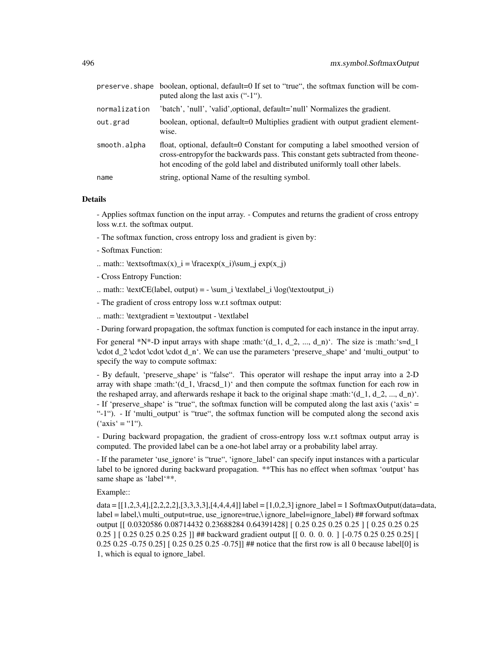|               | preserve. shape boolean, optional, default=0 If set to "true", the softmax function will be com-<br>puted along the last axis ("-1").                                                                                                             |
|---------------|---------------------------------------------------------------------------------------------------------------------------------------------------------------------------------------------------------------------------------------------------|
| normalization | 'batch', 'null', 'valid', optional, default='null' Normalizes the gradient.                                                                                                                                                                       |
| out.grad      | boolean, optional, default=0 Multiplies gradient with output gradient element-<br>wise.                                                                                                                                                           |
| smooth.alpha  | float, optional, default=0 Constant for computing a label smoothed version of<br>cross-entropy for the backwards pass. This constant gets subtracted from theone-<br>hot encoding of the gold label and distributed uniformly toall other labels. |
| name          | string, optional Name of the resulting symbol.                                                                                                                                                                                                    |

- Applies softmax function on the input array. - Computes and returns the gradient of cross entropy loss w.r.t. the softmax output.

- The softmax function, cross entropy loss and gradient is given by:
- Softmax Function:
- .. math::  $\text{if } \text{if } x \leq x \leq x_i \leq x_i$
- Cross Entropy Function:
- .. math:: \textCE(label, output) = \sum\_i \textlabel i \log(\textoutput\_i)
- The gradient of cross entropy loss w.r.t softmax output:
- $\ldots$  math:: \textgradient = \textoutput \textlabel

- During forward propagation, the softmax function is computed for each instance in the input array.

For general \*N\*-D input arrays with shape :math: '(d\_1, d\_2, ..., d\_n)'. The size is :math: 's=d\_1 \cdot d\_2 \cdot \cdot \cdot d\_n'. We can use the parameters 'preserve\_shape' and 'multi\_output' to specify the way to compute softmax:

- By default, 'preserve\_shape' is "false". This operator will reshape the input array into a 2-D array with shape :math: $(d_1, \frac{1}{\text{mod } 1})$  and then compute the softmax function for each row in the reshaped array, and afterwards reshape it back to the original shape :math: ' $(d_1, d_2, ..., d_n)$ '. - If 'preserve\_shape' is "true", the softmax function will be computed along the last axis ('axis' = "-1"). - If 'multi\_output' is "true", the softmax function will be computed along the second axis  $("axis' = "1")$ .

- During backward propagation, the gradient of cross-entropy loss w.r.t softmax output array is computed. The provided label can be a one-hot label array or a probability label array.

- If the parameter 'use\_ignore' is "true", 'ignore\_label' can specify input instances with a particular label to be ignored during backward propagation. \*\*This has no effect when softmax 'output' has same shape as 'label'\*\*.

Example::

data =  $[[1,2,3,4],[2,2,2,2],[3,3,3,3],[4,4,4,4]]$  label =  $[1,0,2,3]$  ignore label = 1 SoftmaxOutput(data=data, label = label,\ multi\_output=true, use\_ignore=true,\ ignore\_label=ignore\_label) ## forward softmax output [[ 0.0320586 0.08714432 0.23688284 0.64391428] [ 0.25 0.25 0.25 0.25 ] [ 0.25 0.25 0.25 0.25 ] [ 0.25 0.25 0.25 0.25 ]] ## backward gradient output [ [ 0. 0. 0. 0. ] [-0.75 0.25 0.25 0.25] [ 0.25 0.25 -0.75 0.25] [  $0.25$  0.25 0.25 -0.75]] ## notice that the first row is all 0 because label[0] is 1, which is equal to ignore\_label.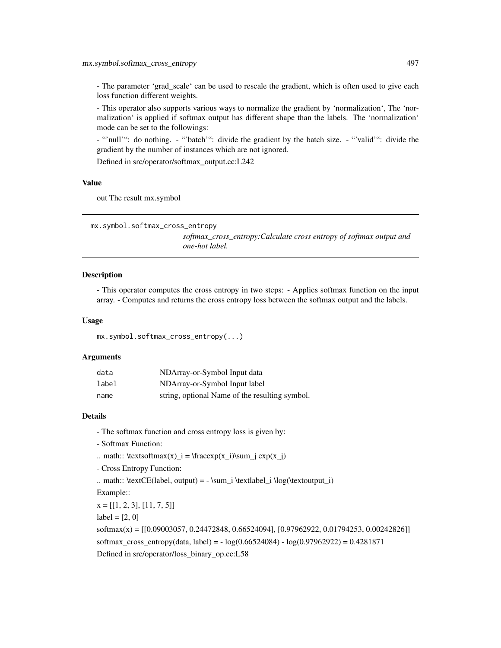- The parameter 'grad\_scale' can be used to rescale the gradient, which is often used to give each loss function different weights.

- This operator also supports various ways to normalize the gradient by 'normalization', The 'normalization' is applied if softmax output has different shape than the labels. The 'normalization' mode can be set to the followings:

- "'null'": do nothing. - "'batch'": divide the gradient by the batch size. - "'valid'": divide the gradient by the number of instances which are not ignored.

Defined in src/operator/softmax\_output.cc:L242

# Value

out The result mx.symbol

```
mx.symbol.softmax_cross_entropy
```
*softmax\_cross\_entropy:Calculate cross entropy of softmax output and one-hot label.*

# **Description**

- This operator computes the cross entropy in two steps: - Applies softmax function on the input array. - Computes and returns the cross entropy loss between the softmax output and the labels.

#### Usage

mx.symbol.softmax\_cross\_entropy(...)

#### **Arguments**

| data  | NDArray-or-Symbol Input data                   |
|-------|------------------------------------------------|
| label | NDArray-or-Symbol Input label                  |
| name  | string, optional Name of the resulting symbol. |

#### Details

- The softmax function and cross entropy loss is given by:
- Softmax Function:
- .. math::  $\text{textsoftmax}(x) = \frac{r(x_i)}{\sum j} \exp(x_j)$
- Cross Entropy Function:
- .. math:: \textCE(label, output) = \sum\_i \textlabel\_i \log(\textoutput\_i)

Example::

 $x = [[1, 2, 3], [11, 7, 5]]$ 

 $label = [2, 0]$ 

softmax(x) = [[0.09003057, 0.24472848, 0.66524094], [0.97962922, 0.01794253, 0.00242826]] softmax cross entropy(data, label) =  $-$  log(0.66524084)  $-$  log(0.97962922) = 0.4281871 Defined in src/operator/loss\_binary\_op.cc:L58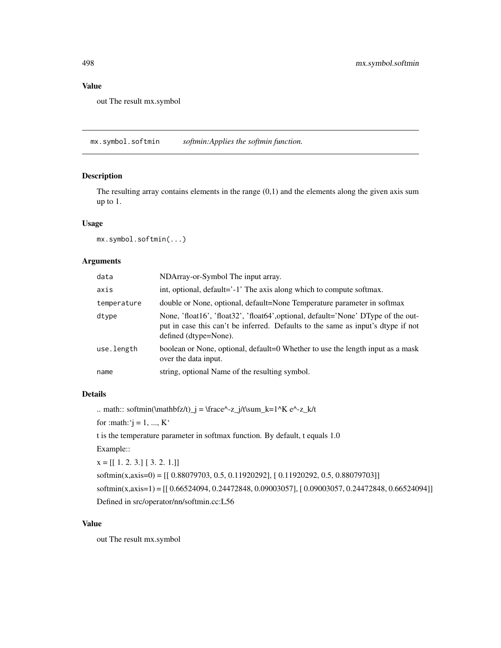# Value

out The result mx.symbol

mx.symbol.softmin *softmin:Applies the softmin function.*

# Description

The resulting array contains elements in the range  $(0,1)$  and the elements along the given axis sum up to 1.

#### Usage

mx.symbol.softmin(...)

# Arguments

| data        | NDArray-or-Symbol The input array.                                                                                                                                                             |
|-------------|------------------------------------------------------------------------------------------------------------------------------------------------------------------------------------------------|
| axis        | int, optional, default='-1' The axis along which to compute softmax.                                                                                                                           |
| temperature | double or None, optional, default=None Temperature parameter in softmax                                                                                                                        |
| dtype       | None, 'float16', 'float32', 'float64', optional, default='None' DType of the out-<br>put in case this can't be inferred. Defaults to the same as input's dtype if not<br>defined (dtype=None). |
| use.length  | boolean or None, optional, default=0 Whether to use the length input as a mask<br>over the data input.                                                                                         |
| name        | string, optional Name of the resulting symbol.                                                                                                                                                 |

# Details

.. math:: softmin(\mathbfz/t)\_j = \frace^-z\_j/t\sum\_k=1^K e^-z\_k/t

for :math: $j = 1, ..., K'$ 

t is the temperature parameter in softmax function. By default, t equals 1.0

Example::

 $x = [[1, 2, 3.] [3, 2, 1.]]$ 

```
softmin(x,axis=0) = [[ 0.88079703, 0.5, 0.11920292], [ 0.11920292, 0.5, 0.88079703]]
softmin(x,axis=1) = [[ 0.66524094, 0.24472848, 0.09003057], [ 0.09003057, 0.24472848, 0.66524094]]
Defined in src/operator/nn/softmin.cc:L56
```
## Value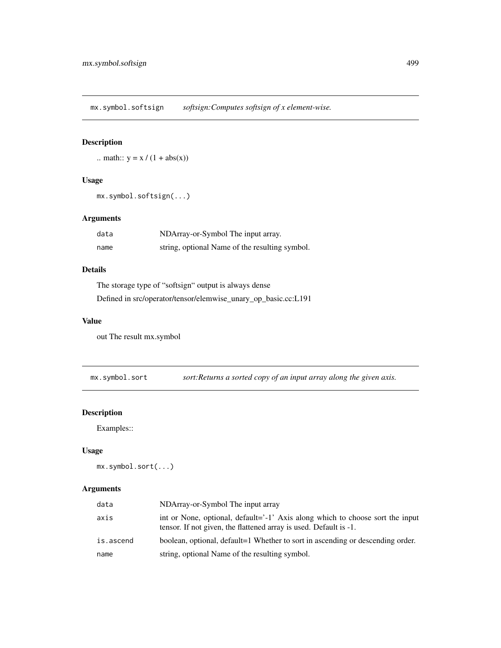mx.symbol.softsign *softsign:Computes softsign of x element-wise.*

# Description

.. math::  $y = x / (1 + abs(x))$ 

# Usage

```
mx.symbol.softsign(...)
```
# Arguments

| data | NDArray-or-Symbol The input array.             |
|------|------------------------------------------------|
| name | string, optional Name of the resulting symbol. |

# Details

The storage type of "softsign" output is always dense Defined in src/operator/tensor/elemwise\_unary\_op\_basic.cc:L191

# Value

out The result mx.symbol

mx.symbol.sort *sort:Returns a sorted copy of an input array along the given axis.*

# Description

Examples::

# Usage

```
mx.symbol.sort(...)
```

| data      | NDArray-or-Symbol The input array                                                                                                                  |
|-----------|----------------------------------------------------------------------------------------------------------------------------------------------------|
| axis      | int or None, optional, default='-1' Axis along which to choose sort the input<br>tensor. If not given, the flattened array is used. Default is -1. |
| is.ascend | boolean, optional, default=1 Whether to sort in ascending or descending order.                                                                     |
| name      | string, optional Name of the resulting symbol.                                                                                                     |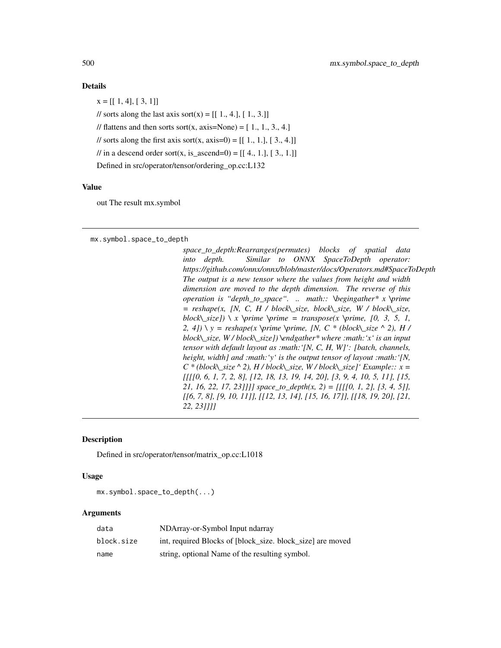$x = [[1, 4], [3, 1]]$ // sorts along the last axis sort(x) =  $[[ 1., 4.], [ 1., 3.]]$ // flattens and then sorts sort(x, axis=None) =  $[1, 1, 3, 4]$ // sorts along the first axis sort(x, axis=0) =  $[[ 1., 1.]$ ,  $[ 3., 4.]$ // in a descend order sort(x, is\_ascend=0) =  $[[ 4., 1.], [ 3., 1.]]$ Defined in src/operator/tensor/ordering\_op.cc:L132

#### Value

out The result mx.symbol

mx.symbol.space\_to\_depth

*space\_to\_depth:Rearranges(permutes) blocks of spatial data into depth. Similar to ONNX SpaceToDepth operator: https://github.com/onnx/onnx/blob/master/docs/Operators.md#SpaceToDepth The output is a new tensor where the values from height and width dimension are moved to the depth dimension. The reverse of this operation is "depth\_to\_space". .. math:: \begingather\* x \prime = reshape(x, [N, C, H / block\\_size, block\\_size, W / block\\_size, block\\_size]) \ x \prime \prime = transpose(x \prime, [0, 3, 5, 1, 2, 4]) \ y = reshape(x \prime \prime, [N, C \* (block\\_size ^ 2), H / block\\_size, W / block\\_size]) \endgather\* where :math:'x' is an input tensor with default layout as :math:'[N, C, H, W]': [batch, channels, height, width] and :math:'y' is the output tensor of layout :math:'[N, C \* (block\\_size ^ 2), H / block\\_size, W / block\\_size]' Example:: x = [[[[0, 6, 1, 7, 2, 8], [12, 18, 13, 19, 14, 20], [3, 9, 4, 10, 5, 11], [15, 21, 16, 22, 17, 23]]]] space\_to\_depth(x, 2) = [[[[0, 1, 2], [3, 4, 5]], [[6, 7, 8], [9, 10, 11]], [[12, 13, 14], [15, 16, 17]], [[18, 19, 20], [21, 22, 23]]]]*

#### **Description**

Defined in src/operator/tensor/matrix\_op.cc:L1018

#### Usage

mx.symbol.space\_to\_depth(...)

| data       | NDArray-or-Symbol Input ndarray                            |
|------------|------------------------------------------------------------|
| block.size | int, required Blocks of [block size, block size] are moved |
| name       | string, optional Name of the resulting symbol.             |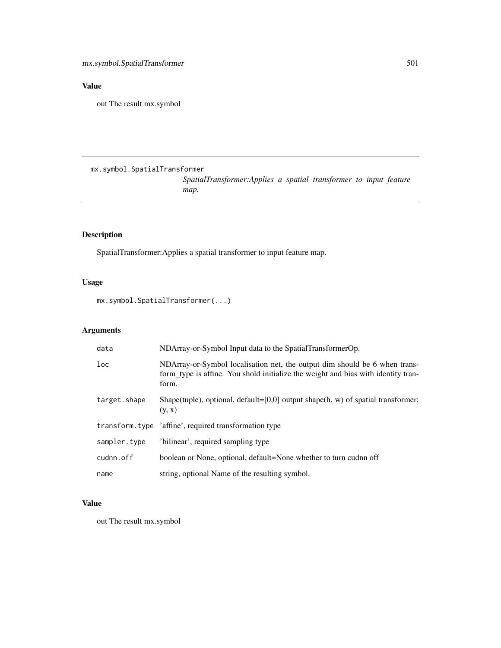# Value

out The result mx.symbol

mx.symbol.SpatialTransformer

*SpatialTransformer:Applies a spatial transformer to input feature map.*

# Description

SpatialTransformer:Applies a spatial transformer to input feature map.

# Usage

mx.symbol.SpatialTransformer(...)

# Arguments

| data            | NDArray-or-Symbol Input data to the SpatialTransformerOp.                                                                                                                |
|-----------------|--------------------------------------------------------------------------------------------------------------------------------------------------------------------------|
| $_{\text{loc}}$ | NDArray-or-Symbol localisation net, the output dim should be 6 when trans-<br>form type is affine. You shold initialize the weight and bias with identity tran-<br>form. |
| target.shape    | Shape(tuple), optional, default=[0,0] output shape(h, w) of spatial transformer:<br>(y, x)                                                                               |
|                 | transform.type 'affine', required transformation type                                                                                                                    |
| sampler.type    | 'bilinear', required sampling type                                                                                                                                       |
| cudnn.off       | boolean or None, optional, default=None whether to turn cudnn off                                                                                                        |
| name            | string, optional Name of the resulting symbol.                                                                                                                           |

# Value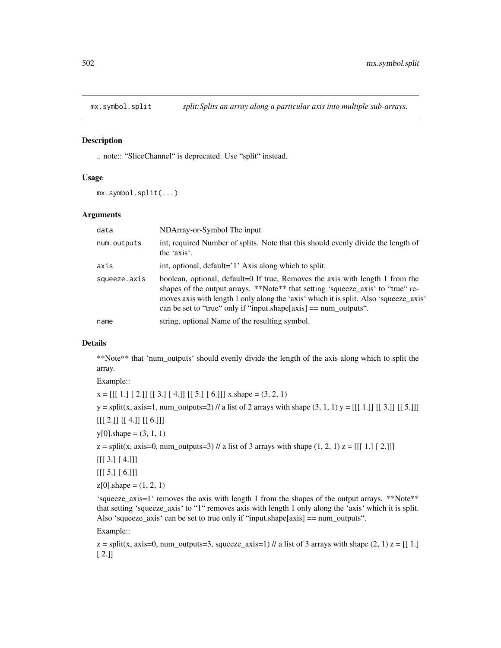#### Description

.. note:: "SliceChannel" is deprecated. Use "split" instead.

#### Usage

mx.symbol.split(...)

#### Arguments

| data         | NDArray-or-Symbol The input                                                                                                                                                                                                                                                                                                       |
|--------------|-----------------------------------------------------------------------------------------------------------------------------------------------------------------------------------------------------------------------------------------------------------------------------------------------------------------------------------|
| num.outputs  | int, required Number of splits. Note that this should evenly divide the length of<br>the 'axis'.                                                                                                                                                                                                                                  |
| axis         | int, optional, default='1' Axis along which to split.                                                                                                                                                                                                                                                                             |
| squeeze.axis | boolean, optional, default=0 If true, Removes the axis with length 1 from the<br>shapes of the output arrays. **Note** that setting 'squeeze_axis' to "true" re-<br>moves axis with length 1 only along the 'axis' which it is split. Also 'squeeze_axis'<br>can be set to "true" only if "input.shape $[axis] == num_outputs$ ". |
| name         | string, optional Name of the resulting symbol.                                                                                                                                                                                                                                                                                    |

# Details

\*\*Note\*\* that 'num\_outputs' should evenly divide the length of the axis along which to split the array.

Example::

 $x = [[1.][2.]] [[3.][4.]] [[5.][6.]]] x.shape = (3, 2, 1)$ 

y = split(x, axis=1, num\_outputs=2) // a list of 2 arrays with shape (3, 1, 1) y = [[[ 1.]] [[ 3.]] [[ 5.]]]

 $[[[ 2.]] [[ 4.]] [[ 6.]]]$ 

 $y[0]$ .shape =  $(3, 1, 1)$ 

 $z = \text{split}(x, \text{ axis}=0, \text{ num\_outputs}=3)$  // a list of 3 arrays with shape  $(1, 2, 1)$   $z = [[1, 1, 1, 2, 1]]$ 

 $[[[ 3.] [ 4.]]]$ 

 $[[[ 5.] [ 6.]]]$ 

 $z[0]$ .shape =  $(1, 2, 1)$ 

'squeeze\_axis=1' removes the axis with length 1 from the shapes of the output arrays. \*\*Note\*\* that setting 'squeeze\_axis' to "1" removes axis with length 1 only along the 'axis' which it is split. Also 'squeeze\_axis' can be set to true only if "input.shape[axis] == num\_outputs".

Example::

 $z =$  split(x, axis=0, num\_outputs=3, squeeze\_axis=1) // a list of 3 arrays with shape (2, 1)  $z = [[1.]$ [ 2.]]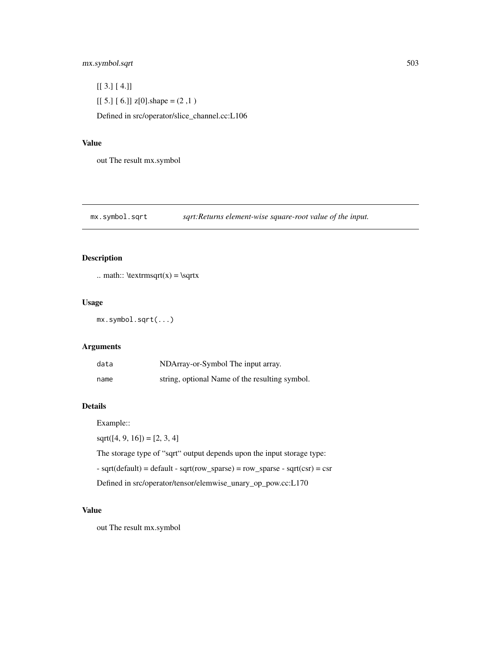# mx.symbol.sqrt 503

 $[$ [ 3.] [ 4.]]  $[[ 5.] [ 6.]$  z[0].shape =  $(2,1)$ Defined in src/operator/slice\_channel.cc:L106

# Value

out The result mx.symbol

mx.symbol.sqrt *sqrt:Returns element-wise square-root value of the input.*

# Description

```
.. math:: \text{argrt}(x) = \sqrt{ }
```
# Usage

mx.symbol.sqrt(...)

# Arguments

| data | NDArray-or-Symbol The input array.             |
|------|------------------------------------------------|
| name | string, optional Name of the resulting symbol. |

## Details

Example::

 $sqrt([4, 9, 16]) = [2, 3, 4]$ 

The storage type of "sqrt" output depends upon the input storage type:  $-$  sqrt(default) = default  $-$  sqrt(row\_sparse) = row\_sparse  $-$  sqrt(csr) = csr

Defined in src/operator/tensor/elemwise\_unary\_op\_pow.cc:L170

#### Value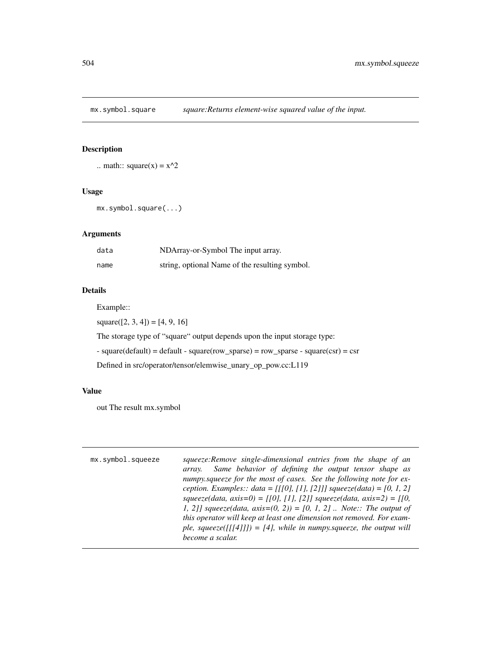mx.symbol.square *square:Returns element-wise squared value of the input.*

# Description

```
.. math:: square(x) = x^2
```
# Usage

```
mx.symbol.square(...)
```
# Arguments

| data | NDArray-or-Symbol The input array.             |
|------|------------------------------------------------|
| name | string, optional Name of the resulting symbol. |

# Details

Example::

 $square([2, 3, 4]) = [4, 9, 16]$ 

The storage type of "square" output depends upon the input storage type:

- square(default) = default - square(row\_sparse) = row\_sparse - square(csr) = csr

Defined in src/operator/tensor/elemwise\_unary\_op\_pow.cc:L119

#### Value

| mx.symbol.squeeze | squeeze: Remove single-dimensional entries from the shape of an        |
|-------------------|------------------------------------------------------------------------|
|                   | Same behavior of defining the output tensor shape as<br>array.         |
|                   | numpy squeeze for the most of cases. See the following note for ex-    |
|                   | ception. Examples:: $data = [[0], [1], [2]]$ squeeze(data) = [0, 1, 2] |
|                   | squeeze(data, axis=0) = [[0], [1], [2]] squeeze(data, axis=2) = [[0,   |
|                   | 1, 2]] squeeze(data, axis=(0, 2)) = [0, 1, 2]  Note:: The output of    |
|                   | this operator will keep at least one dimension not removed. For exam-  |
|                   | ple, squeeze([[[4]]]) = [4], while in numpy.squeeze, the output will   |
|                   | become a scalar.                                                       |
|                   |                                                                        |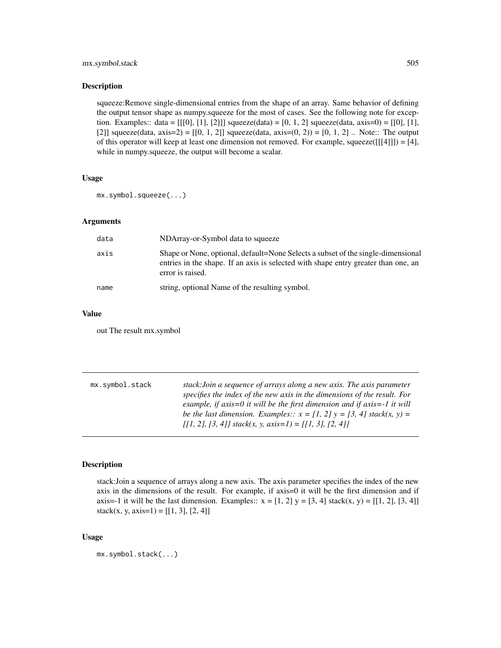# <span id="page-504-0"></span>mx.symbol.stack 505

#### Description

squeeze:Remove single-dimensional entries from the shape of an array. Same behavior of defining the output tensor shape as numpy.squeeze for the most of cases. See the following note for exception. Examples:: data =  $[[0], [1], [2]]$  squeeze(data) = [0, 1, 2] squeeze(data, axis=0) =  $[[0], [1],$ [2]] squeeze(data, axis=2) = [[0, 1, 2]] squeeze(data, axis= $(0, 2)$ ) = [0, 1, 2] .. Note:: The output of this operator will keep at least one dimension not removed. For example, squeeze( $[[[4]]$ ) = [4], while in numpy.squeeze, the output will become a scalar.

## Usage

mx.symbol.squeeze(...)

#### **Arguments**

| data | NDArray-or-Symbol data to squeeze                                                                                                                                                          |
|------|--------------------------------------------------------------------------------------------------------------------------------------------------------------------------------------------|
| axis | Shape or None, optional, default=None Selects a subset of the single-dimensional<br>entries in the shape. If an axis is selected with shape entry greater than one, an<br>error is raised. |
| name | string, optional Name of the resulting symbol.                                                                                                                                             |

#### Value

out The result mx.symbol

| mx.symbol.stack | stack: Join a sequence of arrays along a new axis. The axis parameter                                                                       |
|-----------------|---------------------------------------------------------------------------------------------------------------------------------------------|
|                 | specifies the index of the new axis in the dimensions of the result. For                                                                    |
|                 | example, if $axis=0$ it will be the first dimension and if $axis=-1$ it will                                                                |
|                 | be the last dimension. Examples:: $x = [1, 2]$ $y = [3, 4]$ stack(x, y) =                                                                   |
|                 | $\left[ \begin{array}{c} 11, 21, 3, 4 \end{array} \right]$ stack(x, y, axis=1) = $\left[ \begin{array}{c} 11, 31, 2, 4 \end{array} \right]$ |

#### Description

stack:Join a sequence of arrays along a new axis. The axis parameter specifies the index of the new axis in the dimensions of the result. For example, if axis=0 it will be the first dimension and if axis=-1 it will be the last dimension. Examples::  $x = [1, 2] y = [3, 4]$  stack(x, y) = [[1, 2], [3, 4]] stack(x, y, axis=1) =  $[[1, 3], [2, 4]]$ 

#### Usage

```
mx.symbol.stack(...)
```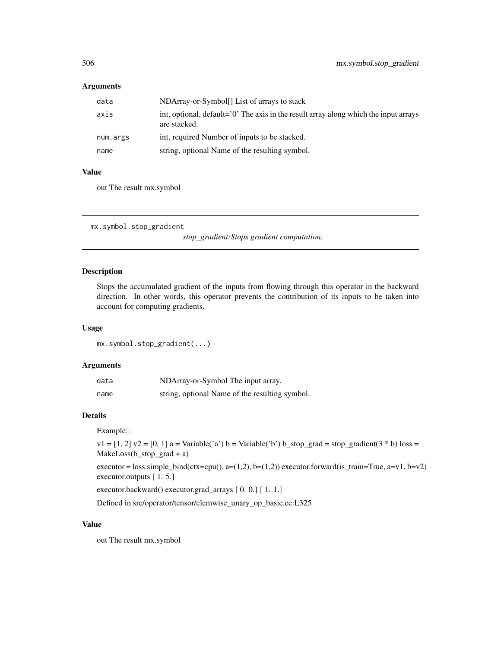#### <span id="page-505-0"></span>Arguments

| data     | NDArray-or-Symbol. List of arrays to stack                                                               |
|----------|----------------------------------------------------------------------------------------------------------|
| axis     | int, optional, $default='0'$ . The axis in the result array along which the input arrays<br>are stacked. |
| num.args | int, required Number of inputs to be stacked.                                                            |
| name     | string, optional Name of the resulting symbol.                                                           |

#### Value

out The result mx.symbol

mx.symbol.stop\_gradient

*stop\_gradient:Stops gradient computation.*

# Description

Stops the accumulated gradient of the inputs from flowing through this operator in the backward direction. In other words, this operator prevents the contribution of its inputs to be taken into account for computing gradients.

#### Usage

mx.symbol.stop\_gradient(...)

# Arguments

| data | NDArray-or-Symbol The input array.             |
|------|------------------------------------------------|
| name | string, optional Name of the resulting symbol. |

#### Details

Example::

 $v1 = [1, 2]$   $v2 = [0, 1]$  a = Variable('a') b = Variable('b') b\_stop\_grad = stop\_gradient(3 \* b) loss = MakeLoss(b\_stop\_grad + a)

executor = loss.simple\_bind(ctx=cpu(), a=(1,2), b=(1,2)) executor.forward(is\_train=True, a=v1, b=v2) executor.outputs [ 1. 5.]

executor.backward() executor.grad\_arrays [ 0. 0.] [ 1. 1.]

Defined in src/operator/tensor/elemwise\_unary\_op\_basic.cc:L325

#### Value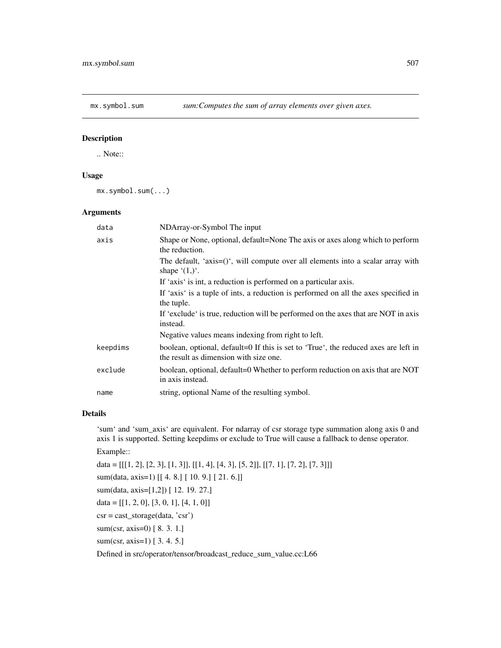<span id="page-506-0"></span>

.. Note::

# Usage

mx.symbol.sum(...)

#### Arguments

| data     | NDArray-or-Symbol The input                                                                                                   |
|----------|-------------------------------------------------------------------------------------------------------------------------------|
| axis     | Shape or None, optional, default=None The axis or axes along which to perform<br>the reduction.                               |
|          | The default, 'axis= $()$ ', will compute over all elements into a scalar array with<br>shape $(1,)^{\prime}$ .                |
|          | If 'axis' is int, a reduction is performed on a particular axis.                                                              |
|          | If 'axis' is a tuple of ints, a reduction is performed on all the axes specified in<br>the tuple.                             |
|          | If 'exclude' is true, reduction will be performed on the axes that are NOT in axis<br>instead.                                |
|          | Negative values means indexing from right to left.                                                                            |
| keepdims | boolean, optional, default=0 If this is set to 'True', the reduced axes are left in<br>the result as dimension with size one. |
| exclude  | boolean, optional, default=0 Whether to perform reduction on axis that are NOT<br>in axis instead.                            |
| name     | string, optional Name of the resulting symbol.                                                                                |

#### Details

'sum' and 'sum\_axis' are equivalent. For ndarray of csr storage type summation along axis 0 and axis 1 is supported. Setting keepdims or exclude to True will cause a fallback to dense operator. Example::

```
data = [[[1, 2], [2, 3], [1, 3]], [[1, 4], [4, 3], [5, 2]], [[7, 1], [7, 2], [7, 3]]]sum(data, axis=1) [[ 4. 8.] [ 10. 9.] [ 21. 6.]]
sum(data, axis=[1,2]) [ 12. 19. 27.]
data = [[1, 2, 0], [3, 0, 1], [4, 1, 0]]csr = cast_storage(data, 'csr')
sum(csr, axis=0) [ 8. 3. 1.]
sum(csr, axis=1) [ 3. 4. 5.]
```
Defined in src/operator/tensor/broadcast\_reduce\_sum\_value.cc:L66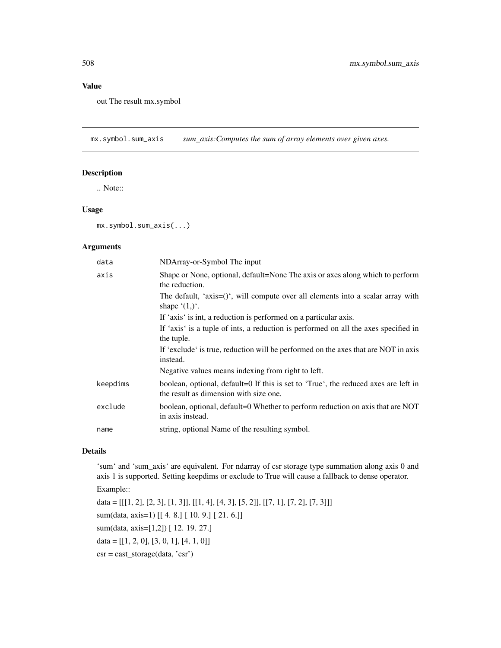#### Value

out The result mx.symbol

mx.symbol.sum\_axis *sum\_axis:Computes the sum of array elements over given axes.*

#### Description

.. Note::

#### Usage

mx.symbol.sum\_axis(...)

# Arguments

| data     | NDArray-or-Symbol The input                                                                                                   |
|----------|-------------------------------------------------------------------------------------------------------------------------------|
| axis     | Shape or None, optional, default=None The axis or axes along which to perform<br>the reduction.                               |
|          | The default, 'axis= $()$ ', will compute over all elements into a scalar array with<br>shape $(1,)^{\prime}$ .                |
|          | If 'axis' is int, a reduction is performed on a particular axis.                                                              |
|          | If 'axis' is a tuple of ints, a reduction is performed on all the axes specified in<br>the tuple.                             |
|          | If 'exclude' is true, reduction will be performed on the axes that are NOT in axis<br>instead.                                |
|          | Negative values means indexing from right to left.                                                                            |
| keepdims | boolean, optional, default=0 If this is set to 'True', the reduced axes are left in<br>the result as dimension with size one. |
| exclude  | boolean, optional, default=0 Whether to perform reduction on axis that are NOT<br>in axis instead.                            |
| name     | string, optional Name of the resulting symbol.                                                                                |

# Details

'sum' and 'sum\_axis' are equivalent. For ndarray of csr storage type summation along axis 0 and axis 1 is supported. Setting keepdims or exclude to True will cause a fallback to dense operator.

Example::

data =  $[[[1, 2], [2, 3], [1, 3]], [[1, 4], [4, 3], [5, 2]], [[7, 1], [7, 2], [7, 3]]]$ sum(data, axis=1) [[ 4. 8.] [ 10. 9.] [ 21. 6.]] sum(data, axis=[1,2]) [ 12. 19. 27.] data =  $[[1, 2, 0], [3, 0, 1], [4, 1, 0]]$ csr = cast\_storage(data, 'csr')

<span id="page-507-0"></span>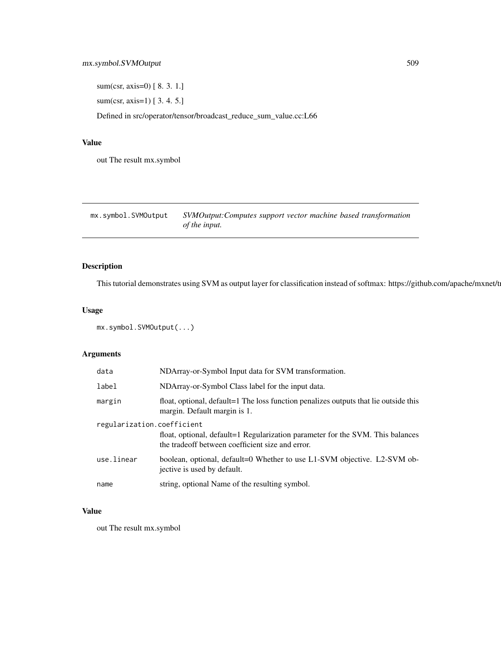<span id="page-508-0"></span>sum(csr, axis=0) [ 8. 3. 1.]

sum(csr, axis=1) [ 3. 4. 5.]

Defined in src/operator/tensor/broadcast\_reduce\_sum\_value.cc:L66

### Value

out The result mx.symbol

mx.symbol.SVMOutput *SVMOutput:Computes support vector machine based transformation of the input.*

# Description

This tutorial demonstrates using SVM as output layer for classification instead of softmax: https://github.com/apache/mxnet/t

# Usage

mx.symbol.SVMOutput(...)

# Arguments

| data       | NDArray-or-Symbol Input data for SVM transformation.                                                                               |  |  |  |  |  |
|------------|------------------------------------------------------------------------------------------------------------------------------------|--|--|--|--|--|
| label      | NDArray-or-Symbol Class label for the input data.                                                                                  |  |  |  |  |  |
| margin     | float, optional, default=1 The loss function penalizes outputs that lie outside this<br>margin. Default margin is 1.               |  |  |  |  |  |
|            | regularization.coefficient                                                                                                         |  |  |  |  |  |
|            | float, optional, default=1 Regularization parameter for the SVM. This balances<br>the tradeoff between coefficient size and error. |  |  |  |  |  |
| use.linear | boolean, optional, default=0 Whether to use L1-SVM objective. L2-SVM ob-<br>jective is used by default.                            |  |  |  |  |  |
| name       | string, optional Name of the resulting symbol.                                                                                     |  |  |  |  |  |

#### Value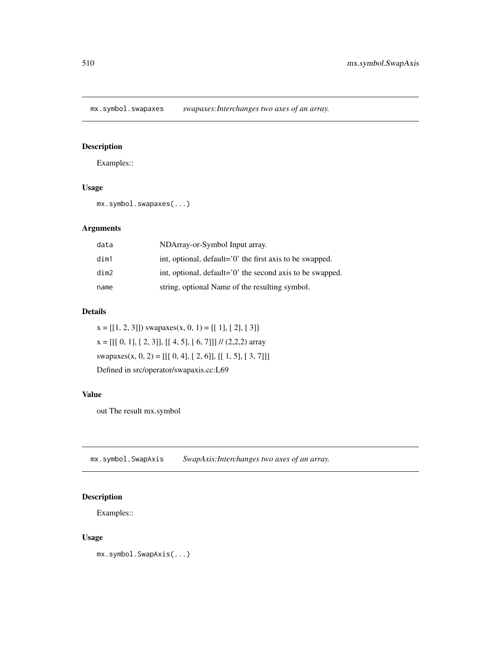<span id="page-509-0"></span>mx.symbol.swapaxes *swapaxes:Interchanges two axes of an array.*

# Description

Examples::

# Usage

mx.symbol.swapaxes(...)

# Arguments

| data | NDArray-or-Symbol Input array.                            |
|------|-----------------------------------------------------------|
| dim1 | int, optional, default='0' the first axis to be swapped.  |
| dim2 | int, optional, default='0' the second axis to be swapped. |
| name | string, optional Name of the resulting symbol.            |

# Details

 $x = [[1, 2, 3]])$  swapaxes $(x, 0, 1) = [[1], [2], [3]]$  $x = [[[ 0, 1], [ 2, 3]], [[ 4, 5], [ 6, 7]]]$  // (2,2,2) array swapaxes(x, 0, 2) = [[[ 0, 4], [ 2, 6]], [[ 1, 5], [ 3, 7]]] Defined in src/operator/swapaxis.cc:L69

# Value

out The result mx.symbol

mx.symbol.SwapAxis *SwapAxis:Interchanges two axes of an array.*

# Description

Examples::

# Usage

mx.symbol.SwapAxis(...)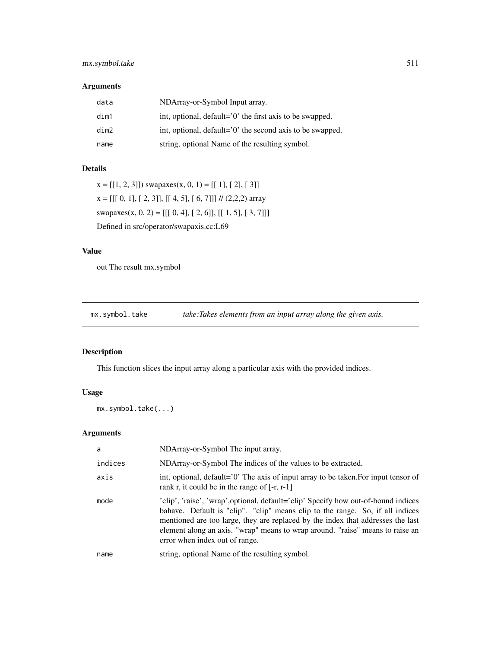# <span id="page-510-0"></span>mx.symbol.take 511

# Arguments

| data | NDArray-or-Symbol Input array.                            |
|------|-----------------------------------------------------------|
| dim1 | int, optional, default='0' the first axis to be swapped.  |
| dim2 | int, optional, default='0' the second axis to be swapped. |
| name | string, optional Name of the resulting symbol.            |

#### Details

 $x = [[1, 2, 3]])$  swapaxes $(x, 0, 1) = [[1], [2], [3]]$  $x = [[[ 0, 1], [ 2, 3]], [[ 4, 5], [ 6, 7]]]$  // (2,2,2) array swapaxes(x, 0, 2) = [[[ 0, 4], [ 2, 6]], [[ 1, 5], [ 3, 7]]] Defined in src/operator/swapaxis.cc:L69

#### Value

out The result mx.symbol

mx.symbol.take *take:Takes elements from an input array along the given axis.*

# Description

This function slices the input array along a particular axis with the provided indices.

# Usage

mx.symbol.take(...)

| a       | NDArray-or-Symbol The input array.                                                                                                                                                                                                                                                                                                                                        |  |  |  |  |  |  |
|---------|---------------------------------------------------------------------------------------------------------------------------------------------------------------------------------------------------------------------------------------------------------------------------------------------------------------------------------------------------------------------------|--|--|--|--|--|--|
| indices | NDArray-or-Symbol The indices of the values to be extracted.                                                                                                                                                                                                                                                                                                              |  |  |  |  |  |  |
| axis    | int, optional, default='0' The axis of input array to be taken. For input tensor of<br>rank r, it could be in the range of $[-r, r-1]$                                                                                                                                                                                                                                    |  |  |  |  |  |  |
| mode    | 'clip', 'raise', 'wrap', optional, default='clip' Specify how out-of-bound indices<br>bahave. Default is "clip". "clip" means clip to the range. So, if all indices<br>mentioned are too large, they are replaced by the index that addresses the last<br>element along an axis. "wrap" means to wrap around. "raise" means to raise an<br>error when index out of range. |  |  |  |  |  |  |
| name    | string, optional Name of the resulting symbol.                                                                                                                                                                                                                                                                                                                            |  |  |  |  |  |  |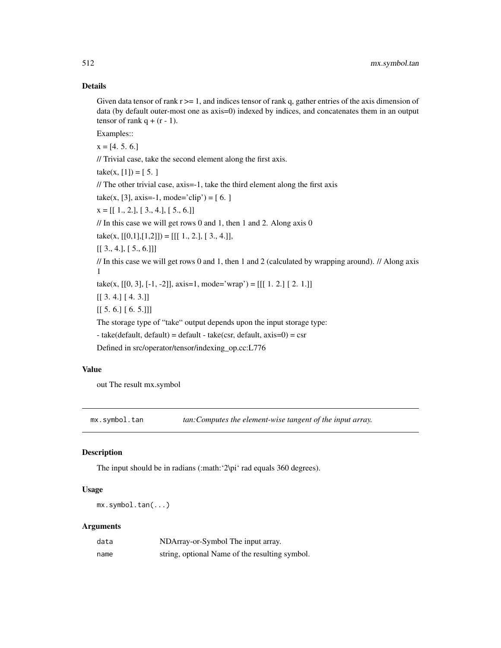# Details

Given data tensor of rank  $r \geq 1$ , and indices tensor of rank q, gather entries of the axis dimension of data (by default outer-most one as axis=0) indexed by indices, and concatenates them in an output tensor of rank  $q + (r - 1)$ .

Examples::

 $x = [4, 5, 6]$ 

// Trivial case, take the second element along the first axis.

take(x, [1]) = [5.]

// The other trivial case, axis=-1, take the third element along the first axis

 $take(x, [3], axis=-1, mode='clip') = [6.]$ 

 $x = [[1., 2.], [3., 4.], [5., 6.]]$ 

// In this case we will get rows 0 and 1, then 1 and 2. Along axis 0

take(x,  $[[0,1],[1,2]]) = [[1, 2, 1], [3, 4, 1]],$ 

 $[[ 3., 4.], [ 5., 6.]]]$ 

// In this case we will get rows 0 and 1, then 1 and 2 (calculated by wrapping around). // Along axis 1

take(x,  $[[0, 3], [-1, -2]],$  axis=1, mode='wrap') =  $[[[1, 2,] [2, 1.]]]$ 

[[ 3. 4.] [ 4. 3.]]

 $[[ 5. 6.] [ 6. 5.]]$ 

The storage type of "take" output depends upon the input storage type:

- take(default, default) = default - take(csr, default, axis=0) = csr

Defined in src/operator/tensor/indexing\_op.cc:L776

# Value

out The result mx.symbol

mx.symbol.tan *tan:Computes the element-wise tangent of the input array.* 

#### Description

The input should be in radians (:math: '2\pi' rad equals 360 degrees).

#### Usage

mx.symbol.tan(...)

| data | NDArray-or-Symbol The input array.             |
|------|------------------------------------------------|
| name | string, optional Name of the resulting symbol. |

<span id="page-511-0"></span>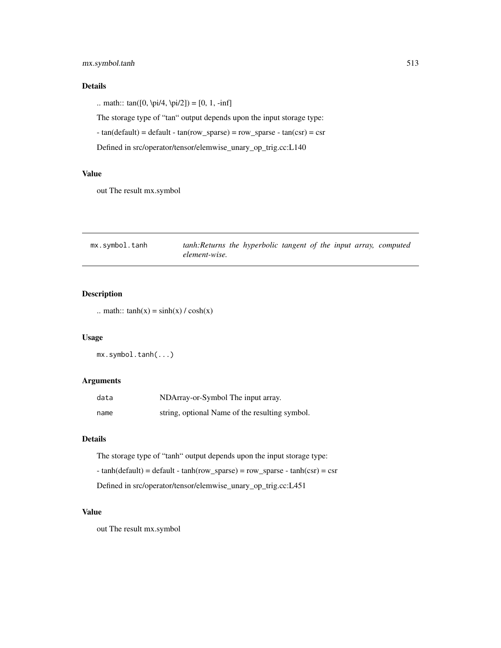# <span id="page-512-0"></span>mx.symbol.tanh 513

# Details

.. math::  $tan([0, \pi/4, \pi/2]) = [0, 1, -inf]$ 

The storage type of "tan" output depends upon the input storage type:

- tan(default) = default - tan(row\_sparse) = row\_sparse - tan(csr) = csr

Defined in src/operator/tensor/elemwise\_unary\_op\_trig.cc:L140

#### Value

out The result mx.symbol

| mx.symbol.tanh | tanh: Returns the hyperbolic tangent of the input array, computed |  |  |  |  |
|----------------|-------------------------------------------------------------------|--|--|--|--|
|                | element-wise.                                                     |  |  |  |  |

# Description

```
.. math:: tanh(x) = sinh(x) / cosh(x)
```
# Usage

mx.symbol.tanh(...)

# Arguments

| data | NDArray-or-Symbol The input array.             |
|------|------------------------------------------------|
| name | string, optional Name of the resulting symbol. |

#### Details

The storage type of "tanh" output depends upon the input storage type:

- tanh(default) = default - tanh(row\_sparse) = row\_sparse - tanh(csr) = csr

Defined in src/operator/tensor/elemwise\_unary\_op\_trig.cc:L451

### Value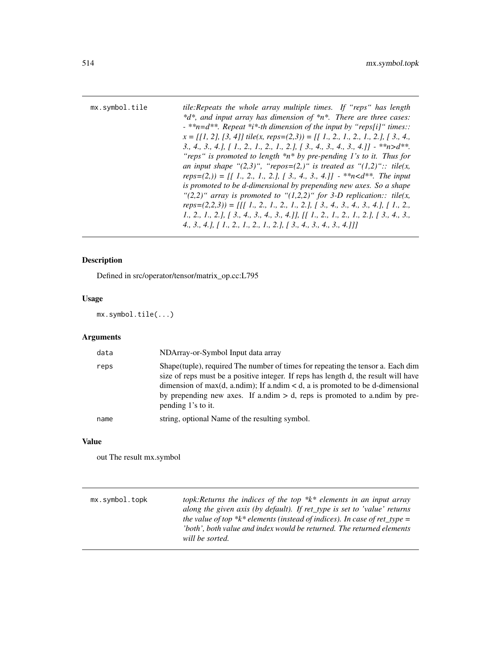<span id="page-513-0"></span>

| mx.symbol.tile | tile: Repeats the whole array multiple times. If "reps" has length                                                                        |
|----------------|-------------------------------------------------------------------------------------------------------------------------------------------|
|                | $*d*$ , and input array has dimension of $*n*$ . There are three cases:                                                                   |
|                | $-$ **n=d**. Repeat *i*-th dimension of the input by "reps[i]" times.:                                                                    |
|                | $x = [[1, 2], [3, 4]]$ tile(x, reps=(2,3)) = [[1, 2, 1, 2, 1, 2,], [3, 4,                                                                 |
|                | 3., 4., 3., 4.], $\lceil 1, 2, 1, 2, 1, 2, 1, 2, \rceil$ $\lceil 3, 4, 3, 4, 3, 4, \rceil$ $-$ **n>d**.                                   |
|                | "reps" is promoted to length $*n * by$ pre-pending 1's to it. Thus for                                                                    |
|                | an input shape " $(2,3)$ ", "repos= $(2,)$ " is treated as " $(1,2)$ ":: tile(x,                                                          |
|                | $reps=(2, 0) = \iint 1, 2, 1, 2, 1, 2, 1, 2, 1, 3, 4, 3, 4, 1$ - **n <d**. input<="" td="" the=""></d**.>                                 |
|                | is promoted to be d-dimensional by prepending new axes. So a shape                                                                        |
|                | "(2,2)" array is promoted to "(1,2,2)" for 3-D replication:: tile(x,                                                                      |
|                | $reps=(2,2,3)) = \iiint 1, 2, 1, 2, 1, 2, 1, 2, 1, 3, 4, 3, 4, 3, 4, 1, 1, 1, 2, 1$                                                       |
|                | 1., 2., 1., 2.], [ 3., 4., 3., 4., 3., 4.]], [[ 1., 2., 1., 2., 1., 2.], [ 3., 4., 3.,                                                    |
|                | 4., 3., 4.], $\begin{bmatrix} 1 \\ 2 \\ 3 \end{bmatrix}$ , 1., 2., 1., 2.], $\begin{bmatrix} 3 \\ 3 \\ 4 \end{bmatrix}$ , 3., 4., 3., 4.] |
|                |                                                                                                                                           |

Defined in src/operator/tensor/matrix\_op.cc:L795

# Usage

mx.symbol.tile(...)

# Arguments

| data | NDArray-or-Symbol Input data array                                                                                                                                                                                                                                                                                                                                  |
|------|---------------------------------------------------------------------------------------------------------------------------------------------------------------------------------------------------------------------------------------------------------------------------------------------------------------------------------------------------------------------|
| reps | Shape (tuple), required The number of times for repeating the tensor a. Each dim<br>size of reps must be a positive integer. If reps has length d, the result will have<br>dimension of max(d, a.ndim); If a.ndim $\lt d$ , a is promoted to be d-dimensional<br>by prepending new axes. If a.ndim $> d$ , reps is promoted to a.ndim by pre-<br>pending 1's to it. |
| name | string, optional Name of the resulting symbol.                                                                                                                                                                                                                                                                                                                      |

# Value

| mx.symbol.topk | topk: Returns the indices of the top $*k*$ elements in an input array     |
|----------------|---------------------------------------------------------------------------|
|                | along the given axis (by default). If ret_type is set to 'value' returns  |
|                | the value of top *k* elements (instead of indices). In case of ret type = |
|                | 'both', both value and index would be returned. The returned elements'    |
|                | will be sorted.                                                           |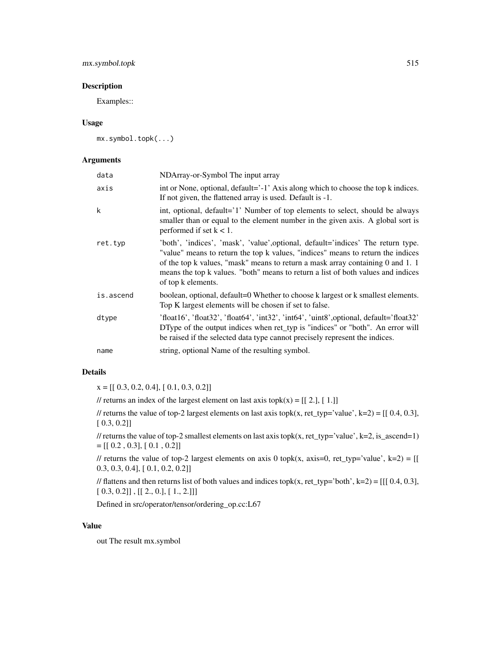# mx.symbol.topk 515

#### Description

Examples::

#### Usage

mx.symbol.topk(...)

# Arguments

| data      | NDArray-or-Symbol The input array                                                                                                                                                                                                                                                                                                                               |
|-----------|-----------------------------------------------------------------------------------------------------------------------------------------------------------------------------------------------------------------------------------------------------------------------------------------------------------------------------------------------------------------|
| axis      | int or None, optional, default='-1' Axis along which to choose the top k indices.<br>If not given, the flattened array is used. Default is -1.                                                                                                                                                                                                                  |
| k         | int, optional, default='1' Number of top elements to select, should be always<br>smaller than or equal to the element number in the given axis. A global sort is<br>performed if set $k < 1$ .                                                                                                                                                                  |
| ret.typ   | 'both', 'indices', 'mask', 'value', optional, default='indices' The return type.<br>"value" means to return the top k values, "indices" means to return the indices<br>of the top k values, "mask" means to return a mask array containing 0 and 1. 1<br>means the top k values. "both" means to return a list of both values and indices<br>of top k elements. |
| is.ascend | boolean, optional, default=0 Whether to choose k largest or k smallest elements.<br>Top K largest elements will be chosen if set to false.                                                                                                                                                                                                                      |
| dtype     | $'float16', 'float32', 'float64', 'int32', 'int64', 'uint8', optional, default='float32'')$<br>DType of the output indices when ret_typ is "indices" or "both". An error will<br>be raised if the selected data type cannot precisely represent the indices.                                                                                                    |
| name      | string, optional Name of the resulting symbol.                                                                                                                                                                                                                                                                                                                  |

#### Details

 $x = [[ 0.3, 0.2, 0.4], [ 0.1, 0.3, 0.2]]$ 

// returns an index of the largest element on last axis topk $(x) = [[2.], [1.]]$ 

// returns the value of top-2 largest elements on last axis topk(x, ret\_typ='value', k=2) =  $[[0.4, 0.3]$ , [ 0.3, 0.2]]

// returns the value of top-2 smallest elements on last axis topk(x, ret\_typ='value', k=2, is\_ascend=1)  $=[[ 0.2, 0.3], [ 0.1, 0.2]]$ 

// returns the value of top-2 largest elements on axis 0 topk(x, axis=0, ret\_typ='value', k=2) = [[ 0.3, 0.3, 0.4], [ 0.1, 0.2, 0.2]]

// flattens and then returns list of both values and indices topk(x, ret\_typ='both', k=2) = [[[  $0.4, 0.3$ ],  $[0.3, 0.2]]$ ,  $[2., 0.], [1., 2.]]$ 

Defined in src/operator/tensor/ordering\_op.cc:L67

# Value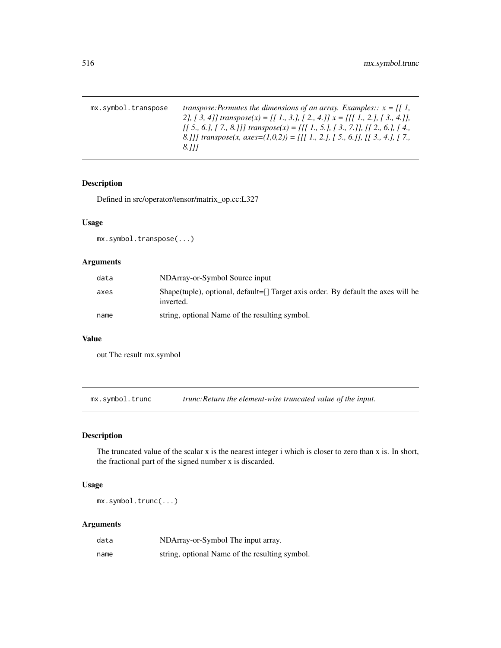<span id="page-515-0"></span>

| mx.symbol.transpose | transpose: Permutes the dimensions of an array. Examples:: $x = \iint_1$ ,        |
|---------------------|-----------------------------------------------------------------------------------|
|                     | 2], [ 3, 4]] transpose(x) = [[ 1., 3.], [ 2., 4.]] $x = [[1., 2.], [3., 4.]]$ ,   |
|                     | [[ 5., 6.], [ 7., 8.]]] transpose(x) = [[[ 1., 5.], [ 3., 7.]], [[ 2., 6.], [ 4., |
|                     | 8.]] transpose(x, axes=(1,0,2)) = [[[ 1, 2,], [ 5, 6.]], [[ 3, 4,], [ 7,          |
|                     | 8.111                                                                             |

Defined in src/operator/tensor/matrix\_op.cc:L327

# Usage

mx.symbol.transpose(...)

# Arguments

| data | NDArray-or-Symbol Source input                                                                 |
|------|------------------------------------------------------------------------------------------------|
| axes | Shape(tuple), optional, default=[] Target axis order. By default the axes will be<br>inverted. |
| name | string, optional Name of the resulting symbol.                                                 |

# Value

out The result mx.symbol

mx.symbol.trunc *trunc:Return the element-wise truncated value of the input.*

# Description

The truncated value of the scalar x is the nearest integer i which is closer to zero than x is. In short, the fractional part of the signed number x is discarded.

# Usage

mx.symbol.trunc(...)

| data | NDArray-or-Symbol The input array.             |
|------|------------------------------------------------|
| name | string, optional Name of the resulting symbol. |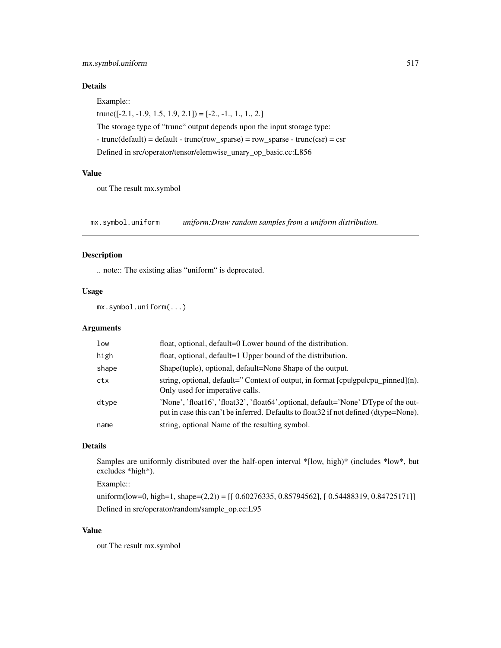# <span id="page-516-0"></span>mx.symbol.uniform 517

# Details

Example::

trunc $([-2.1, -1.9, 1.5, 1.9, 2.1])$  =  $[-2., -1., 1., 1., 2.]$ 

The storage type of "trunc" output depends upon the input storage type:

 $-$  trunc(default) = default  $-$  trunc(row\_sparse) = row\_sparse  $-$  trunc(csr) = csr

Defined in src/operator/tensor/elemwise\_unary\_op\_basic.cc:L856

# Value

out The result mx.symbol

mx.symbol.uniform *uniform:Draw random samples from a uniform distribution.*

#### Description

.. note:: The existing alias "uniform" is deprecated.

#### Usage

mx.symbol.uniform(...)

# Arguments

| low   | float, optional, default=0 Lower bound of the distribution.                                                                                                                  |
|-------|------------------------------------------------------------------------------------------------------------------------------------------------------------------------------|
| high  | float, optional, default=1 Upper bound of the distribution.                                                                                                                  |
| shape | Shape(tuple), optional, default=None Shape of the output.                                                                                                                    |
| ctx   | string, optional, default="Context of output, in format $[$ cpulgpulcpu_pinned $]$ (n).<br>Only used for imperative calls.                                                   |
| dtype | 'None', 'float16', 'float32', 'float64', optional, default='None' DType of the out-<br>put in case this can't be inferred. Defaults to float 32 if not defined (dtype=None). |
| name  | string, optional Name of the resulting symbol.                                                                                                                               |

# Details

Samples are uniformly distributed over the half-open interval \*[low, high)\* (includes \*low\*, but excludes \*high\*).

# Example::

uniform(low=0, high=1, shape=(2,2)) =  $[$ [ 0.60276335, 0.85794562], [ 0.54488319, 0.84725171]] Defined in src/operator/random/sample\_op.cc:L95

#### Value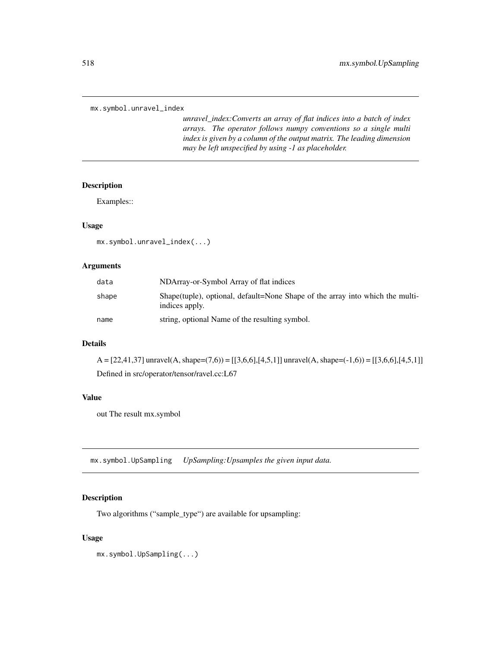```
mx.symbol.unravel_index
```
*unravel\_index:Converts an array of flat indices into a batch of index arrays. The operator follows numpy conventions so a single multi index is given by a column of the output matrix. The leading dimension may be left unspecified by using -1 as placeholder.*

#### Description

Examples::

# Usage

mx.symbol.unravel\_index(...)

# Arguments

| data  | NDArray-or-Symbol Array of flat indices                                                          |
|-------|--------------------------------------------------------------------------------------------------|
| shape | Shape (tuple), optional, default=None Shape of the array into which the multi-<br>indices apply. |
| name  | string, optional Name of the resulting symbol.                                                   |

# Details

 $A = [22, 41, 37]$  unravel $(A, shape=(7,6)) = [[3, 6, 6], [4, 5, 1]]$  unravel $(A, shape=(-1,6)) = [[3, 6, 6], [4, 5, 1]]$ Defined in src/operator/tensor/ravel.cc:L67

#### Value

out The result mx.symbol

mx.symbol.UpSampling *UpSampling:Upsamples the given input data.*

# Description

Two algorithms ("sample\_type") are available for upsampling:

#### Usage

mx.symbol.UpSampling(...)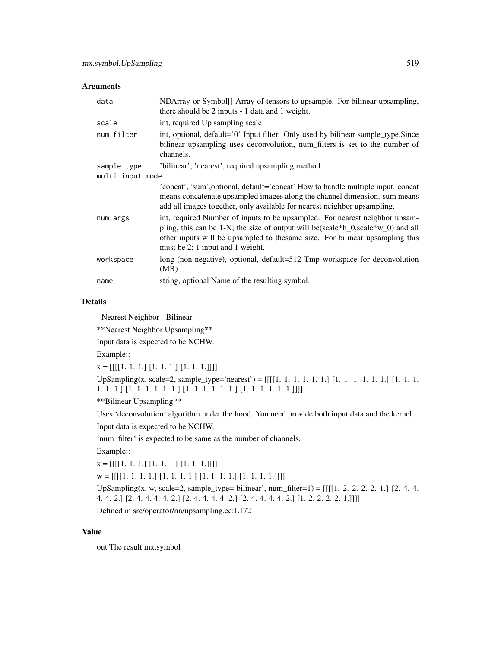#### Arguments

| data             | NDArray-or-Symbol <sup>[]</sup> Array of tensors to upsample. For bilinear upsampling,<br>there should be 2 inputs - 1 data and 1 weight.                                                                                                                                            |
|------------------|--------------------------------------------------------------------------------------------------------------------------------------------------------------------------------------------------------------------------------------------------------------------------------------|
| scale            | int, required Up sampling scale                                                                                                                                                                                                                                                      |
| num.filter       | int, optional, default='0' Input filter. Only used by bilinear sample_type.Since<br>bilinear upsampling uses deconvolution, num_filters is set to the number of<br>channels.                                                                                                         |
| sample.type      | 'bilinear', 'nearest', required upsampling method                                                                                                                                                                                                                                    |
| multi.input.mode |                                                                                                                                                                                                                                                                                      |
|                  | 'concat', 'sum', optional, default='concat' How to handle multiple input. concat<br>means concatenate upsampled images along the channel dimension. sum means<br>add all images together, only available for nearest neighbor upsampling.                                            |
| num.args         | int, required Number of inputs to be upsampled. For nearest neighbor upsam-<br>pling, this can be 1-N; the size of output will be (scale*h_0,scale*w_0) and all<br>other inputs will be upsampled to the same size. For bilinear upsampling this<br>must be 2; 1 input and 1 weight. |
| workspace        | long (non-negative), optional, default=512 Tmp workspace for deconvolution<br>(MB)                                                                                                                                                                                                   |
| name             | string, optional Name of the resulting symbol.                                                                                                                                                                                                                                       |

# Details

- Nearest Neighbor - Bilinear

\*\*Nearest Neighbor Upsampling\*\*

Input data is expected to be NCHW.

Example::

x = [[[[1. 1. 1.] [1. 1. 1.] [1. 1. 1.]]]]

UpSampling(x, scale=2, sample\_type='nearest') = [[[[1. 1. 1. 1. 1. 1.] [1. 1. 1. 1. 1. 1.] [1. 1. 1. 1. 1. 1.] [1. 1. 1. 1. 1. 1.] [1. 1. 1. 1. 1. 1.] [1. 1. 1. 1. 1. 1.]]]]

\*\*Bilinear Upsampling\*\*

Uses 'deconvolution' algorithm under the hood. You need provide both input data and the kernel.

Input data is expected to be NCHW.

'num\_filter' is expected to be same as the number of channels.

Example::

 $x = [[[[1, 1, 1, ][[1, 1, 1, ][[1, 1, 1, ]]]]]$ 

 $w = [[[[1, 1, 1, 1, ][[1, 1, 1, 1, ][[1, 1, 1, 1, 1, ]]]]]$ 

UpSampling(x, w, scale=2, sample\_type='bilinear', num\_filter=1) = [[[[1. 2. 2. 2. 2. 1.] [2. 4. 4. 4. 4. 2.] [2. 4. 4. 4. 4. 2.] [2. 4. 4. 4. 4. 2.] [2. 4. 4. 4. 4. 2.] [1. 2. 2. 2. 2. 1.]]]]

Defined in src/operator/nn/upsampling.cc:L172

#### Value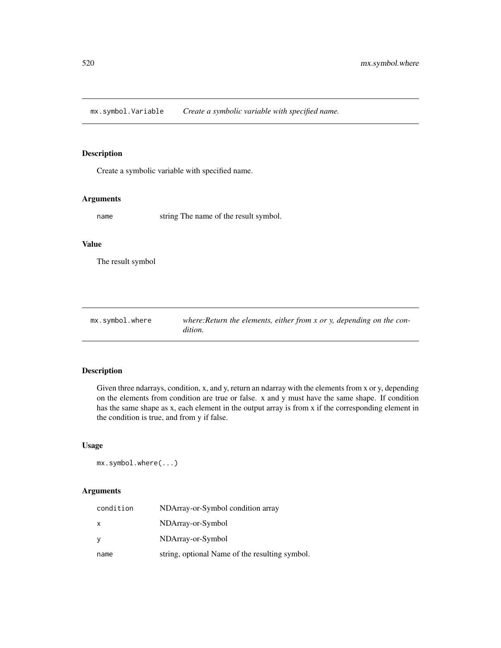<span id="page-519-0"></span>mx.symbol.Variable *Create a symbolic variable with specified name.*

#### Description

Create a symbolic variable with specified name.

### Arguments

name string The name of the result symbol.

#### Value

The result symbol

| mx.symbol.where | where: Return the elements, either from $x$ or $y$ , depending on the con- |
|-----------------|----------------------------------------------------------------------------|
|                 | dition.                                                                    |

# Description

Given three ndarrays, condition, x, and y, return an ndarray with the elements from x or y, depending on the elements from condition are true or false. x and y must have the same shape. If condition has the same shape as x, each element in the output array is from x if the corresponding element in the condition is true, and from y if false.

# Usage

mx.symbol.where(...)

| condition | NDArray-or-Symbol condition array              |
|-----------|------------------------------------------------|
| X         | NDArray-or-Symbol                              |
| y         | NDArray-or-Symbol                              |
| name      | string, optional Name of the resulting symbol. |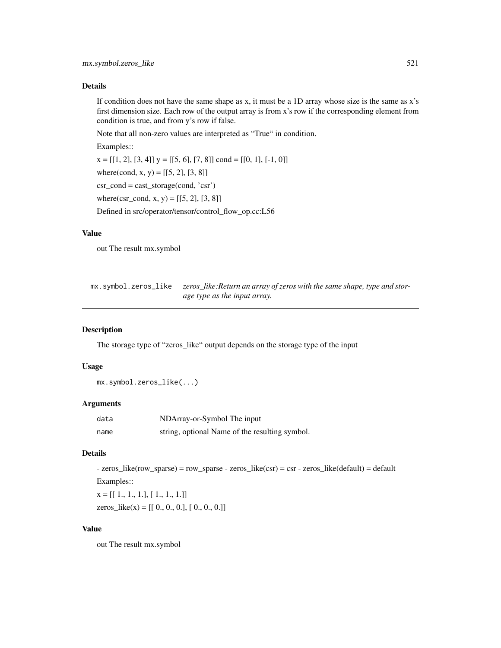#### <span id="page-520-0"></span>Details

If condition does not have the same shape as x, it must be a 1D array whose size is the same as x's first dimension size. Each row of the output array is from x's row if the corresponding element from condition is true, and from y's row if false.

Note that all non-zero values are interpreted as "True" in condition.

Examples::

 $x = [[1, 2], [3, 4]]$   $y = [[5, 6], [7, 8]]$  cond =  $[[0, 1], [-1, 0]]$ 

where(cond, x, y) =  $[[5, 2], [3, 8]]$ 

csr\_cond = cast\_storage(cond, 'csr')

where(csr\_cond, x, y) =  $[[5, 2], [3, 8]]$ 

Defined in src/operator/tensor/control\_flow\_op.cc:L56

#### Value

out The result mx.symbol

mx.symbol.zeros\_like *zeros\_like:Return an array of zeros with the same shape, type and storage type as the input array.*

#### Description

The storage type of "zeros\_like" output depends on the storage type of the input

#### Usage

mx.symbol.zeros\_like(...)

#### Arguments

| data | NDArray-or-Symbol The input                    |
|------|------------------------------------------------|
| name | string, optional Name of the resulting symbol. |

#### Details

- zeros\_like(row\_sparse) = row\_sparse - zeros\_like(csr) = csr - zeros\_like(default) = default Examples::

 $x = [[1., 1., 1.], [1., 1., 1.]]$ 

zeros\_like(x) =  $[[ 0., 0., 0.], [ 0., 0., 0.]]$ 

#### Value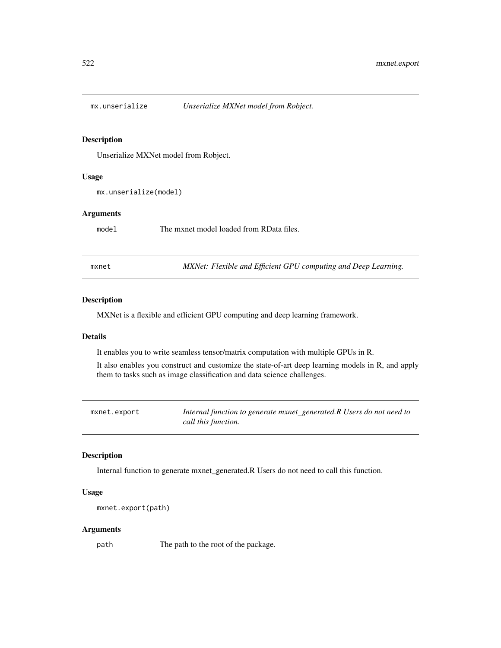<span id="page-521-0"></span>

Unserialize MXNet model from Robject.

#### Usage

mx.unserialize(model)

#### Arguments

model The mxnet model loaded from RData files.

mxnet *MXNet: Flexible and Efficient GPU computing and Deep Learning.*

#### Description

MXNet is a flexible and efficient GPU computing and deep learning framework.

#### Details

It enables you to write seamless tensor/matrix computation with multiple GPUs in R.

It also enables you construct and customize the state-of-art deep learning models in R, and apply them to tasks such as image classification and data science challenges.

mxnet.export *Internal function to generate mxnet\_generated.R Users do not need to call this function.*

# Description

Internal function to generate mxnet\_generated.R Users do not need to call this function.

#### Usage

```
mxnet.export(path)
```
#### Arguments

path The path to the root of the package.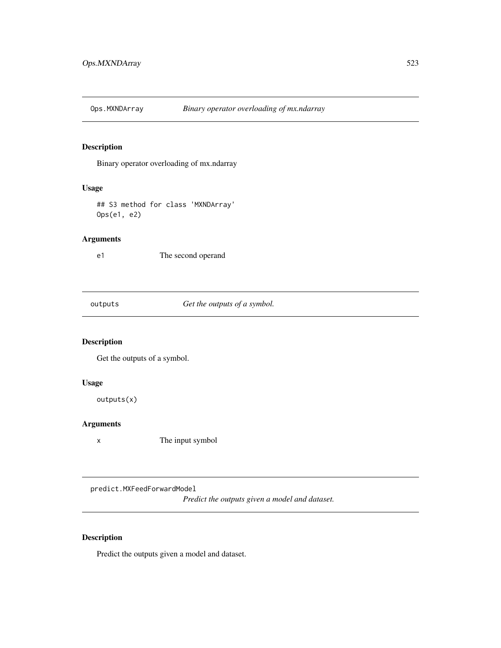<span id="page-522-0"></span>

Binary operator overloading of mx.ndarray

# Usage

## S3 method for class 'MXNDArray' Ops(e1, e2)

# Arguments

e1 The second operand

outputs *Get the outputs of a symbol.*

# Description

Get the outputs of a symbol.

#### Usage

outputs(x)

# Arguments

x The input symbol

predict.MXFeedForwardModel

*Predict the outputs given a model and dataset.*

# Description

Predict the outputs given a model and dataset.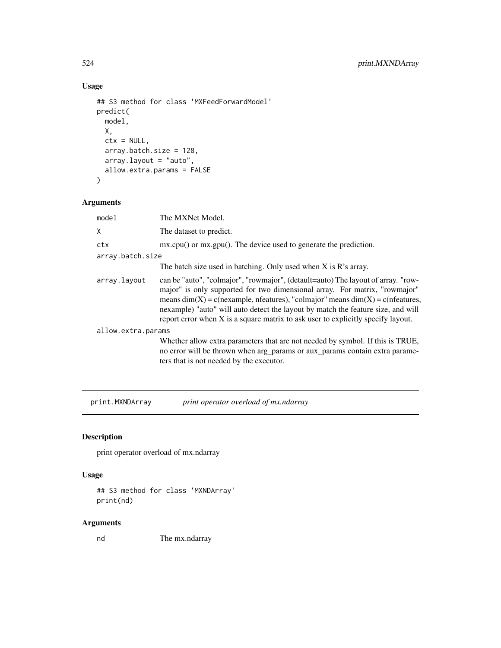# Usage

```
## S3 method for class 'MXFeedForwardModel'
predict(
 model,
 X,
 ctx = NULL,array.batch.size = 128,
 array.layout = "auto",
 allow.extra.params = FALSE
\mathcal{L}
```
# Arguments

| model              | The MXNet Model.                                                                                                                                                                                                                                                                                                                                                                                                              |
|--------------------|-------------------------------------------------------------------------------------------------------------------------------------------------------------------------------------------------------------------------------------------------------------------------------------------------------------------------------------------------------------------------------------------------------------------------------|
| X                  | The dataset to predict.                                                                                                                                                                                                                                                                                                                                                                                                       |
| ctx                | mx.cpu() or mx.gpu(). The device used to generate the prediction.                                                                                                                                                                                                                                                                                                                                                             |
| array.batch.size   |                                                                                                                                                                                                                                                                                                                                                                                                                               |
|                    | The batch size used in batching. Only used when $X$ is $R$ 's array.                                                                                                                                                                                                                                                                                                                                                          |
| array.layout       | can be "auto", "colmajor", "rowmajor", (detault=auto) The layout of array. "row-<br>major" is only supported for two dimensional array. For matrix, "rowmajor"<br>means $dim(X) = c$ (nexample, nfeatures), "colmajor" means $dim(X) = c$ (nfeatures,<br>nexample) "auto" will auto detect the layout by match the feature size, and will<br>report error when X is a square matrix to ask user to explicitly specify layout. |
| allow.extra.params |                                                                                                                                                                                                                                                                                                                                                                                                                               |
|                    | Whether allow extra parameters that are not needed by symbol. If this is TRUE,<br>no error will be thrown when arg_params or aux_params contain extra parame-<br>ters that is not needed by the executor.                                                                                                                                                                                                                     |

print.MXNDArray *print operator overload of mx.ndarray*

# Description

print operator overload of mx.ndarray

# Usage

```
## S3 method for class 'MXNDArray'
print(nd)
```
#### Arguments

nd The mx.ndarray

<span id="page-523-0"></span>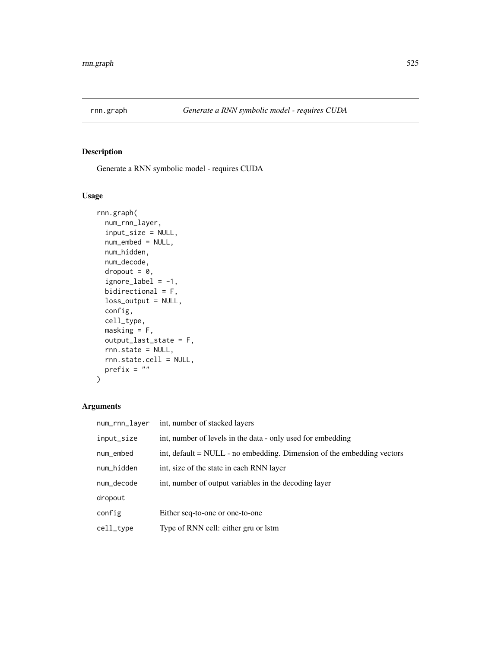<span id="page-524-0"></span>

Generate a RNN symbolic model - requires CUDA

#### Usage

```
rnn.graph(
 num_rnn_layer,
  input_size = NULL,
 num_embed = NULL,
 num_hidden,
 num_decode,
 dropout = 0,
  ignore\_label = -1,bidirectional = F,
 loss_output = NULL,
 config,
 cell_type,
 masking = F,
 output_last_state = F,
  rnn.state = NULL,
 rnn.state.cell = NULL,
 prefix = ""\overline{\phantom{a}}
```

| num_rnn_layer | int, number of stacked layers                                              |
|---------------|----------------------------------------------------------------------------|
| input_size    | int, number of levels in the data - only used for embedding                |
| num_embed     | int, default $=$ NULL $-$ no embedding. Dimension of the embedding vectors |
| num_hidden    | int, size of the state in each RNN layer                                   |
| num_decode    | int, number of output variables in the decoding layer                      |
| dropout       |                                                                            |
| config        | Either seq-to-one or one-to-one                                            |
| cell_type     | Type of RNN cell: either gru or lstm                                       |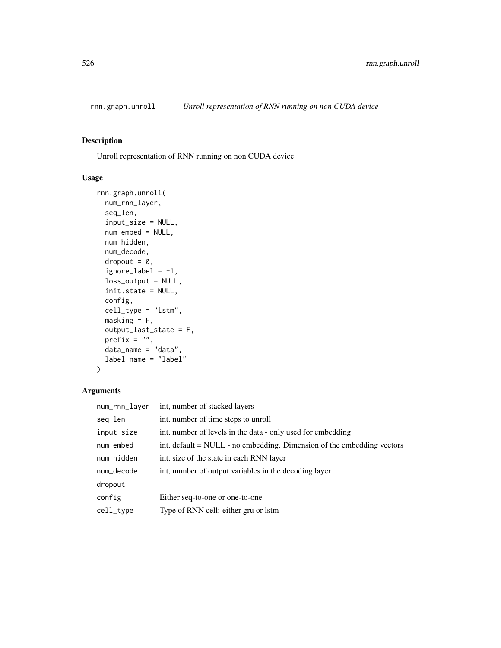<span id="page-525-0"></span>

Unroll representation of RNN running on non CUDA device

# Usage

```
rnn.graph.unroll(
 num_rnn_layer,
  seq_len,
  input_size = NULL,
 num_embed = NULL,
 num_hidden,
 num_decode,
 dropout = 0,
  ignore_label = -1,
 loss_output = NULL,
  init.state = NULL,
 config,
 cell_type = "lstm",
 masking = F,
 output_last_state = F,
 prefix = ",
 data_name = "data",
  label_name = "label"
)
```

| num_rnn_layer | int, number of stacked layers                                              |
|---------------|----------------------------------------------------------------------------|
| seq_len       | int, number of time steps to unroll                                        |
| input_size    | int, number of levels in the data - only used for embedding                |
| num_embed     | int, default $=$ NULL $-$ no embedding. Dimension of the embedding vectors |
| num_hidden    | int, size of the state in each RNN layer                                   |
| num_decode    | int, number of output variables in the decoding layer                      |
| dropout       |                                                                            |
| config        | Either seq-to-one or one-to-one                                            |
| cell_type     | Type of RNN cell: either gru or lstm                                       |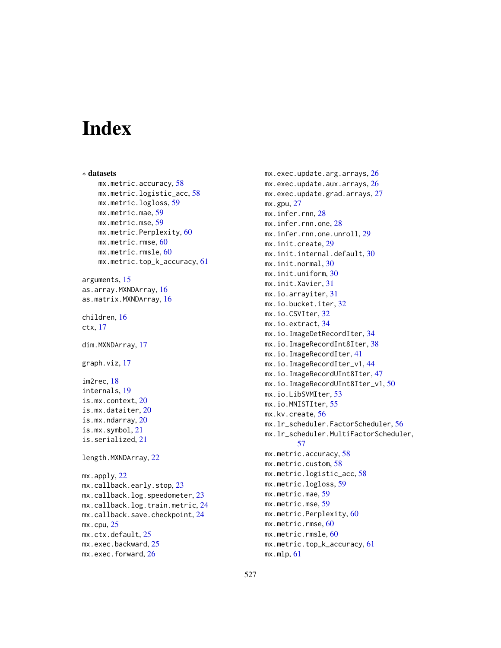# Index

∗ datasets mx.metric.accuracy, [58](#page-57-0) mx.metric.logistic\_acc, [58](#page-57-0) mx.metric.logloss, [59](#page-58-0) mx.metric.mae, [59](#page-58-0) mx.metric.mse, [59](#page-58-0) mx.metric.Perplexity, [60](#page-59-0) mx.metric.rmse, [60](#page-59-0) mx.metric.rmsle, [60](#page-59-0) mx.metric.top\_k\_accuracy, [61](#page-60-0) arguments, [15](#page-14-0) as.array.MXNDArray, [16](#page-15-0) as.matrix.MXNDArray, [16](#page-15-0) children, [16](#page-15-0) ctx, [17](#page-16-0) dim.MXNDArray, [17](#page-16-0) graph.viz, [17](#page-16-0) im2rec, [18](#page-17-0) internals, [19](#page-18-0) is.mx.context, [20](#page-19-0) is.mx.dataiter, [20](#page-19-0) is.mx.ndarray, [20](#page-19-0) is.mx.symbol, [21](#page-20-0) is.serialized, [21](#page-20-0) length.MXNDArray, [22](#page-21-0) mx.apply, [22](#page-21-0) mx.callback.early.stop, [23](#page-22-0) mx.callback.log.speedometer, [23](#page-22-0) mx.callback.log.train.metric, [24](#page-23-0) mx.callback.save.checkpoint, [24](#page-23-0)  $mx$ .cpu,  $25$ mx.ctx.default, [25](#page-24-0) mx.exec.backward, [25](#page-24-0) mx.exec.forward, [26](#page-25-0)

mx.exec.update.arg.arrays, [26](#page-25-0) mx.exec.update.aux.arrays, [26](#page-25-0) mx.exec.update.grad.arrays, [27](#page-26-0) mx.gpu, [27](#page-26-0) mx.infer.rnn, [28](#page-27-0) mx.infer.rnn.one, [28](#page-27-0) mx.infer.rnn.one.unroll, [29](#page-28-0) mx.init.create, [29](#page-28-0) mx.init.internal.default, [30](#page-29-0) mx.init.normal, [30](#page-29-0) mx.init.uniform, [30](#page-29-0) mx.init.Xavier, [31](#page-30-0) mx.io.arrayiter, [31](#page-30-0) mx.io.bucket.iter, [32](#page-31-0) mx.io.CSVIter, [32](#page-31-0) mx.io.extract, [34](#page-33-0) mx.io.ImageDetRecordIter, [34](#page-33-0) mx.io.ImageRecordInt8Iter, [38](#page-37-0) mx.io.ImageRecordIter, [41](#page-40-0) mx.io.ImageRecordIter\_v1, [44](#page-43-0) mx.io.ImageRecordUInt8Iter, [47](#page-46-0) mx.io.ImageRecordUInt8Iter\_v1, [50](#page-49-0) mx.io.LibSVMIter, [53](#page-52-0) mx.io.MNISTIter, [55](#page-54-0) mx.kv.create, [56](#page-55-0) mx.lr\_scheduler.FactorScheduler, [56](#page-55-0) mx.lr\_scheduler.MultiFactorScheduler, [57](#page-56-0) mx.metric.accuracy, [58](#page-57-0) mx.metric.custom, [58](#page-57-0) mx.metric.logistic\_acc, [58](#page-57-0) mx.metric.logloss, [59](#page-58-0) mx.metric.mae, [59](#page-58-0) mx.metric.mse, [59](#page-58-0) mx.metric.Perplexity, [60](#page-59-0) mx.metric.rmse, [60](#page-59-0) mx.metric.rmsle, [60](#page-59-0) mx.metric.top\_k\_accuracy, [61](#page-60-0) mx.mlp, [61](#page-60-0)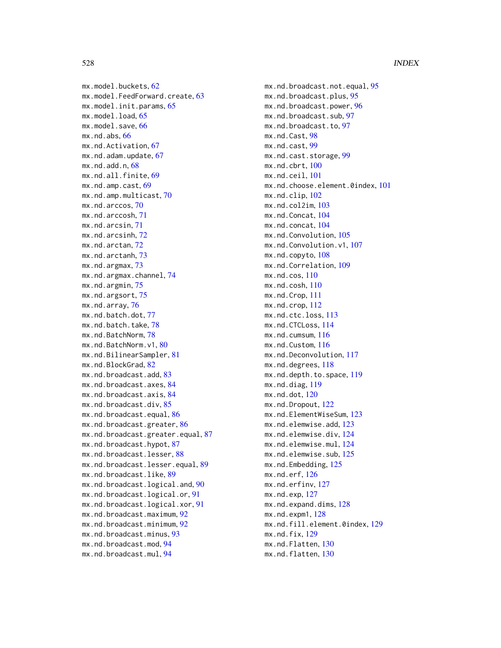mx.model.buckets, [62](#page-61-0) mx.model.FeedForward.create, [63](#page-62-0) mx.model.init.params, [65](#page-64-0) mx.model.load, [65](#page-64-0) mx.model.save, [66](#page-65-0) mx.nd.abs, [66](#page-65-0) mx.nd.Activation, [67](#page-66-0) mx.nd.adam.update, [67](#page-66-0) mx.nd.add.n, [68](#page-67-0) mx.nd.all.finite, [69](#page-68-0) mx.nd.amp.cast, [69](#page-68-0) mx.nd.amp.multicast, [70](#page-69-0) mx.nd.arccos, [70](#page-69-0) mx.nd.arccosh, [71](#page-70-0) mx.nd.arcsin, [71](#page-70-0) mx.nd.arcsinh, [72](#page-71-0) mx.nd.arctan, [72](#page-71-0) mx.nd.arctanh, [73](#page-72-0) mx.nd.argmax, [73](#page-72-0) mx.nd.argmax.channel, [74](#page-73-0) mx.nd.argmin, [75](#page-74-0) mx.nd.argsort, [75](#page-74-0) mx.nd.array, [76](#page-75-0) mx.nd.batch.dot, [77](#page-76-0) mx.nd.batch.take, [78](#page-77-0) mx.nd.BatchNorm, [78](#page-77-0) mx.nd.BatchNorm.v1, [80](#page-79-0) mx.nd.BilinearSampler, [81](#page-80-0) mx.nd.BlockGrad, [82](#page-81-0) mx.nd.broadcast.add, [83](#page-82-0) mx.nd.broadcast.axes, [84](#page-83-0) mx.nd.broadcast.axis, [84](#page-83-0) mx.nd.broadcast.div, [85](#page-84-0) mx.nd.broadcast.equal, [86](#page-85-0) mx.nd.broadcast.greater, [86](#page-85-0) mx.nd.broadcast.greater.equal, [87](#page-86-0) mx.nd.broadcast.hypot, [87](#page-86-0) mx.nd.broadcast.lesser, [88](#page-87-0) mx.nd.broadcast.lesser.equal, [89](#page-88-0) mx.nd.broadcast.like, [89](#page-88-0) mx.nd.broadcast.logical.and, [90](#page-89-0) mx.nd.broadcast.logical.or, [91](#page-90-0) mx.nd.broadcast.logical.xor, [91](#page-90-0) mx.nd.broadcast.maximum, [92](#page-91-0) mx.nd.broadcast.minimum, [92](#page-91-0) mx.nd.broadcast.minus, [93](#page-92-0) mx.nd.broadcast.mod, [94](#page-93-0) mx.nd.broadcast.mul, [94](#page-93-0)

mx.nd.broadcast.not.equal, [95](#page-94-0) mx.nd.broadcast.plus, [95](#page-94-0) mx.nd.broadcast.power, [96](#page-95-0) mx.nd.broadcast.sub, [97](#page-96-0) mx.nd.broadcast.to, [97](#page-96-0) mx.nd.Cast, [98](#page-97-0) mx.nd.cast, [99](#page-98-0) mx.nd.cast.storage, [99](#page-98-0) mx.nd.cbrt, [100](#page-99-0) mx.nd.ceil, [101](#page-100-0) mx.nd.choose.element.0index, [101](#page-100-0) mx.nd.clip, [102](#page-101-0) mx.nd.col2im, [103](#page-102-0) mx.nd.Concat, [104](#page-103-0) mx.nd.concat, [104](#page-103-0) mx.nd.Convolution, [105](#page-104-0) mx.nd.Convolution.v1, [107](#page-106-0) mx.nd.copyto, [108](#page-107-0) mx.nd.Correlation, [109](#page-108-0) mx.nd.cos, [110](#page-109-0) mx.nd.cosh, [110](#page-109-0) mx.nd.Crop, [111](#page-110-0) mx.nd.crop, [112](#page-111-0) mx.nd.ctc.loss, [113](#page-112-0) mx.nd.CTCLoss, [114](#page-113-0) mx.nd.cumsum, [116](#page-115-0) mx.nd.Custom, [116](#page-115-0) mx.nd.Deconvolution, [117](#page-116-0) mx.nd.degrees, [118](#page-117-0) mx.nd.depth.to.space, [119](#page-118-0) mx.nd.diag, [119](#page-118-0) mx.nd.dot, [120](#page-119-0) mx.nd.Dropout, [122](#page-121-0) mx.nd.ElementWiseSum, [123](#page-122-0) mx.nd.elemwise.add, [123](#page-122-0) mx.nd.elemwise.div, [124](#page-123-0) mx.nd.elemwise.mul, [124](#page-123-0) mx.nd.elemwise.sub, [125](#page-124-0) mx.nd.Embedding, [125](#page-124-0) mx.nd.erf, [126](#page-125-0) mx.nd.erfinv, [127](#page-126-0) mx.nd.exp, [127](#page-126-0) mx.nd.expand.dims, [128](#page-127-0) mx.nd.expm1, [128](#page-127-0) mx.nd.fill.element.0index, [129](#page-128-0) mx.nd.fix, [129](#page-128-0) mx.nd.Flatten, [130](#page-129-0) mx.nd.flatten, [130](#page-129-0)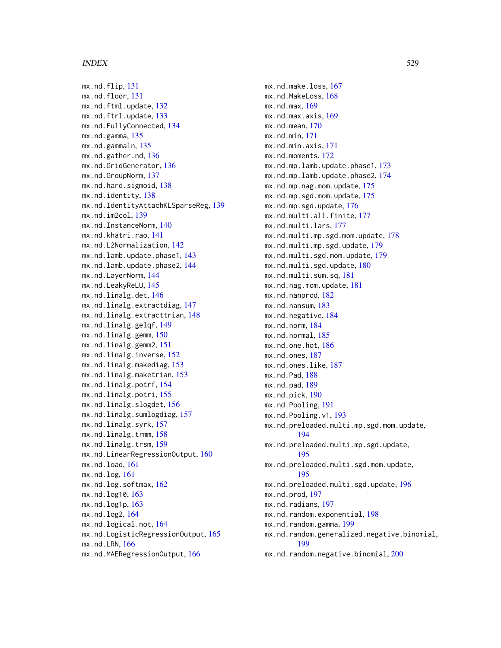mx.nd.flip, [131](#page-130-0) mx.nd.floor, [131](#page-130-0) mx.nd.ftml.update, [132](#page-131-0) mx.nd.ftrl.update, [133](#page-132-0) mx.nd.FullyConnected, [134](#page-133-0) mx.nd.gamma, [135](#page-134-0) mx.nd.gammaln, [135](#page-134-0) mx.nd.gather.nd, [136](#page-135-0) mx.nd.GridGenerator, [136](#page-135-0) mx.nd.GroupNorm, [137](#page-136-0) mx.nd.hard.sigmoid, [138](#page-137-0) mx.nd.identity, [138](#page-137-0) mx.nd.IdentityAttachKLSparseReg, [139](#page-138-0) mx.nd.im2col, [139](#page-138-0) mx.nd.InstanceNorm, [140](#page-139-0) mx.nd.khatri.rao, [141](#page-140-0) mx.nd.L2Normalization, [142](#page-141-0) mx.nd.lamb.update.phase1, [143](#page-142-0) mx.nd.lamb.update.phase2, [144](#page-143-0) mx.nd.LayerNorm, [144](#page-143-0) mx.nd.LeakyReLU, [145](#page-144-0) mx.nd.linalg.det, [146](#page-145-0) mx.nd.linalg.extractdiag, [147](#page-146-0) mx.nd.linalg.extracttrian, [148](#page-147-0) mx.nd.linalg.gelqf, [149](#page-148-0) mx.nd.linalg.gemm, [150](#page-149-0) mx.nd.linalg.gemm2, [151](#page-150-0) mx.nd.linalg.inverse, [152](#page-151-0) mx.nd.linalg.makediag, [153](#page-152-0) mx.nd.linalg.maketrian, [153](#page-152-0) mx.nd.linalg.potrf, [154](#page-153-0) mx.nd.linalg.potri, [155](#page-154-0) mx.nd.linalg.slogdet, [156](#page-155-0) mx.nd.linalg.sumlogdiag, [157](#page-156-0) mx.nd.linalg.syrk, [157](#page-156-0) mx.nd.linalg.trmm, [158](#page-157-0) mx.nd.linalg.trsm, [159](#page-158-0) mx.nd.LinearRegressionOutput, [160](#page-159-0) mx.nd.load, [161](#page-160-0) mx.nd.log, [161](#page-160-0) mx.nd.log.softmax, [162](#page-161-0) mx.nd.log10, [163](#page-162-0) mx.nd.log1p, [163](#page-162-0) mx.nd.log2, [164](#page-163-0) mx.nd.logical.not, [164](#page-163-0) mx.nd.LogisticRegressionOutput, [165](#page-164-0) mx.nd.LRN, [166](#page-165-0) mx.nd.MAERegressionOutput, [166](#page-165-0)

mx.nd.make.loss, [167](#page-166-0) mx.nd.MakeLoss, [168](#page-167-0) mx.nd.max, [169](#page-168-0) mx.nd.max.axis, [169](#page-168-0) mx.nd.mean, [170](#page-169-0) mx.nd.min, [171](#page-170-0) mx.nd.min.axis, [171](#page-170-0) mx.nd.moments, [172](#page-171-0) mx.nd.mp.lamb.update.phase1, [173](#page-172-0) mx.nd.mp.lamb.update.phase2, [174](#page-173-0) mx.nd.mp.nag.mom.update, [175](#page-174-0) mx.nd.mp.sgd.mom.update, [175](#page-174-0) mx.nd.mp.sgd.update, [176](#page-175-0) mx.nd.multi.all.finite, [177](#page-176-0) mx.nd.multi.lars, [177](#page-176-0) mx.nd.multi.mp.sgd.mom.update, [178](#page-177-0) mx.nd.multi.mp.sgd.update, [179](#page-178-0) mx.nd.multi.sgd.mom.update, [179](#page-178-0) mx.nd.multi.sgd.update, [180](#page-179-0) mx.nd.multi.sum.sq, [181](#page-180-0) mx.nd.nag.mom.update, [181](#page-180-0) mx.nd.nanprod, [182](#page-181-0) mx.nd.nansum, [183](#page-182-0) mx.nd.negative, [184](#page-183-0) mx.nd.norm, [184](#page-183-0) mx.nd.normal, [185](#page-184-0) mx.nd.one.hot, [186](#page-185-0) mx.nd.ones, [187](#page-186-0) mx.nd.ones.like, [187](#page-186-0) mx.nd.Pad, [188](#page-187-0) mx.nd.pad, [189](#page-188-0) mx.nd.pick, [190](#page-189-0) mx.nd.Pooling, [191](#page-190-0) mx.nd.Pooling.v1, [193](#page-192-0) mx.nd.preloaded.multi.mp.sgd.mom.update, [194](#page-193-0) mx.nd.preloaded.multi.mp.sgd.update, [195](#page-194-0) mx.nd.preloaded.multi.sgd.mom.update, [195](#page-194-0) mx.nd.preloaded.multi.sgd.update, [196](#page-195-0) mx.nd.prod, [197](#page-196-0) mx.nd.radians, [197](#page-196-0) mx.nd.random.exponential, [198](#page-197-0) mx.nd.random.gamma, [199](#page-198-0) mx.nd.random.generalized.negative.binomial, [199](#page-198-0) mx.nd.random.negative.binomial, [200](#page-199-0)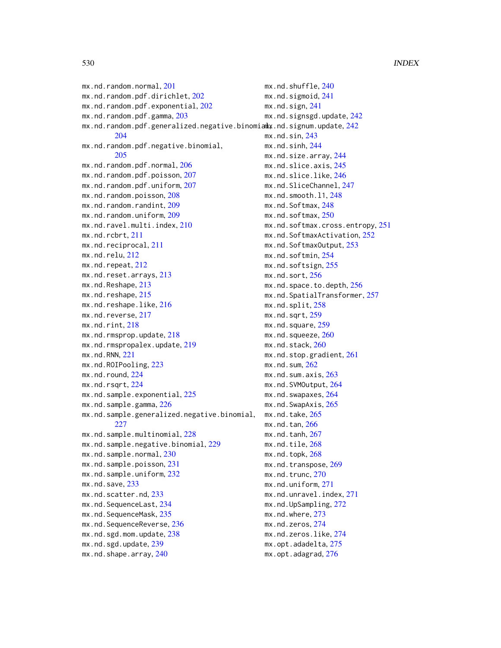mx.nd.random.normal, [201](#page-200-0) mx.nd.random.pdf.dirichlet, [202](#page-201-0) mx.nd.random.pdf.exponential, [202](#page-201-0) mx.nd.random.pdf.gamma, [203](#page-202-0) <code>mx.nd.random.pdf.generalized.negative.binomia</code> .nd.signum.update,  $242\,$  $242\,$ [204](#page-203-0) mx.nd.random.pdf.negative.binomial, [205](#page-204-0) mx.nd.random.pdf.normal, [206](#page-205-0) mx.nd.random.pdf.poisson, [207](#page-206-0) mx.nd.random.pdf.uniform, [207](#page-206-0) mx.nd.random.poisson, [208](#page-207-0) mx.nd.random.randint, [209](#page-208-0) mx.nd.random.uniform, [209](#page-208-0) mx.nd.ravel.multi.index, [210](#page-209-0) mx.nd.rcbrt, [211](#page-210-0) mx.nd.reciprocal, [211](#page-210-0) mx.nd.relu, [212](#page-211-0) mx.nd.repeat, [212](#page-211-0) mx.nd.reset.arrays, [213](#page-212-0) mx.nd.Reshape, [213](#page-212-0) mx.nd.reshape, [215](#page-214-0) mx.nd.reshape.like, [216](#page-215-0) mx.nd.reverse, [217](#page-216-0) mx.nd.rint, [218](#page-217-0) mx.nd.rmsprop.update, [218](#page-217-0) mx.nd.rmspropalex.update, [219](#page-218-0) mx.nd.RNN, [221](#page-220-0) mx.nd.ROIPooling, [223](#page-222-0) mx.nd.round, [224](#page-223-0) mx.nd.rsqrt, [224](#page-223-0) mx.nd.sample.exponential, [225](#page-224-0) mx.nd.sample.gamma, [226](#page-225-0) mx.nd.sample.generalized.negative.binomial, [227](#page-226-0) mx.nd.sample.multinomial, [228](#page-227-0) mx.nd.sample.negative.binomial, [229](#page-228-0) mx.nd.sample.normal, [230](#page-229-0) mx.nd.sample.poisson, [231](#page-230-0) mx.nd.sample.uniform, [232](#page-231-0) mx.nd.save, [233](#page-232-0) mx.nd.scatter.nd, [233](#page-232-0) mx.nd.SequenceLast, [234](#page-233-0) mx.nd.SequenceMask, [235](#page-234-0) mx.nd.SequenceReverse, [236](#page-235-0) mx.nd.sgd.mom.update, [238](#page-237-0) mx.nd.sgd.update, [239](#page-238-0) mx.nd.shape.array, [240](#page-239-0)

mx.nd.shuffle, [240](#page-239-0) mx.nd.sigmoid, [241](#page-240-0) mx.nd.sign, [241](#page-240-0) mx.nd.signsgd.update, [242](#page-241-0) mx.nd.sin, [243](#page-242-0) mx.nd.sinh, [244](#page-243-0) mx.nd.size.array, [244](#page-243-0) mx.nd.slice.axis, [245](#page-244-0) mx.nd.slice.like, [246](#page-245-0) mx.nd.SliceChannel, [247](#page-246-0) mx.nd.smooth.l1, [248](#page-247-0) mx.nd.Softmax, [248](#page-247-0) mx.nd.softmax, [250](#page-249-0) mx.nd.softmax.cross.entropy, [251](#page-250-0) mx.nd.SoftmaxActivation, [252](#page-251-0) mx.nd.SoftmaxOutput, [253](#page-252-0) mx.nd.softmin, [254](#page-253-0) mx.nd.softsign, [255](#page-254-0) mx.nd.sort, [256](#page-255-0) mx.nd.space.to.depth, [256](#page-255-0) mx.nd.SpatialTransformer, [257](#page-256-0) mx.nd.split, [258](#page-257-0) mx.nd.sqrt, [259](#page-258-0) mx.nd.square, [259](#page-258-0) mx.nd.squeeze, [260](#page-259-0) mx.nd.stack, [260](#page-259-0) mx.nd.stop.gradient, [261](#page-260-0) mx.nd.sum, [262](#page-261-0) mx.nd.sum.axis, [263](#page-262-0) mx.nd.SVMOutput. [264](#page-263-0) mx.nd.swapaxes, [264](#page-263-0) mx.nd.SwapAxis, [265](#page-264-0) mx.nd.take, [265](#page-264-0) mx.nd.tan, [266](#page-265-0)  $mx.nd.tanh,  $267$$  $mx.nd.tanh,  $267$$  $mx.nd.tanh,  $267$$ mx.nd.tile, [268](#page-267-0) mx.nd.topk, [268](#page-267-0) mx.nd.transpose, [269](#page-268-0) mx.nd.trunc, [270](#page-269-0) mx.nd.uniform, [271](#page-270-0) mx.nd.unravel.index, [271](#page-270-0) mx.nd.UpSampling, [272](#page-271-0) mx.nd.where, [273](#page-272-0) mx.nd.zeros, [274](#page-273-0) mx.nd.zeros.like, [274](#page-273-0) mx.opt.adadelta, [275](#page-274-0) mx.opt.adagrad, [276](#page-275-0)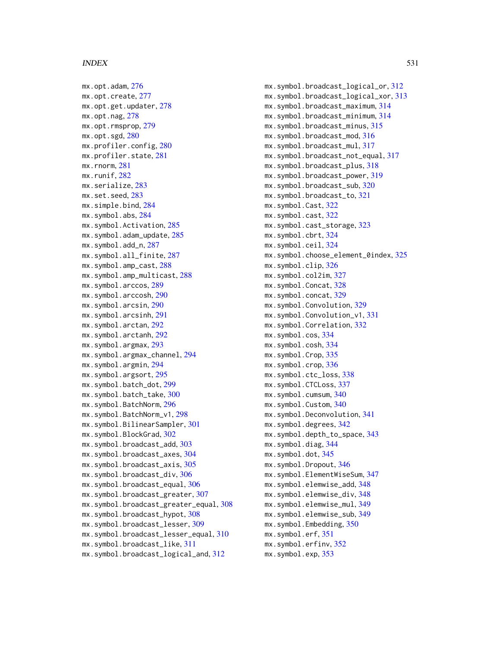mx.opt.adam, [276](#page-275-0) mx.opt.create, [277](#page-276-0) mx.opt.get.updater, [278](#page-277-0) mx.opt.nag, [278](#page-277-0) mx.opt.rmsprop, [279](#page-278-0) mx.opt.sgd, [280](#page-279-0) mx.profiler.config, [280](#page-279-0) mx.profiler.state, [281](#page-280-0) mx.rnorm, [281](#page-280-0) mx.runif, [282](#page-281-0) mx.serialize, [283](#page-282-0) mx.set.seed, [283](#page-282-0) mx.simple.bind, [284](#page-283-0) mx.symbol.abs, [284](#page-283-0) mx.symbol.Activation, [285](#page-284-0) mx.symbol.adam\_update, [285](#page-284-0) mx.symbol.add\_n, [287](#page-286-0) mx.symbol.all\_finite, [287](#page-286-0) mx.symbol.amp\_cast, [288](#page-287-0) mx.symbol.amp\_multicast, [288](#page-287-0) mx.symbol.arccos, [289](#page-288-0) mx.symbol.arccosh, [290](#page-289-0) mx.symbol.arcsin, [290](#page-289-0) mx.symbol.arcsinh, [291](#page-290-0) mx.symbol.arctan, [292](#page-291-0) mx.symbol.arctanh, [292](#page-291-0) mx.symbol.argmax, [293](#page-292-0) mx.symbol.argmax\_channel, [294](#page-293-0) mx.symbol.argmin, [294](#page-293-0) mx.symbol.argsort, [295](#page-294-0) mx.symbol.batch\_dot, [299](#page-298-0) mx.symbol.batch\_take, [300](#page-299-0) mx.symbol.BatchNorm, [296](#page-295-0) mx.symbol.BatchNorm\_v1, [298](#page-297-0) mx.symbol.BilinearSampler, [301](#page-300-0) mx.symbol.BlockGrad, [302](#page-301-0) mx.symbol.broadcast\_add, [303](#page-302-0) mx.symbol.broadcast\_axes, [304](#page-303-0) mx.symbol.broadcast\_axis, [305](#page-304-0) mx.symbol.broadcast\_div, [306](#page-305-0) mx.symbol.broadcast\_equal, [306](#page-305-0) mx.symbol.broadcast\_greater, [307](#page-306-0) mx.symbol.broadcast\_greater\_equal, [308](#page-307-0) mx.symbol.broadcast\_hypot, [308](#page-307-0) mx.symbol.broadcast\_lesser, [309](#page-308-0) mx.symbol.broadcast\_lesser\_equal, [310](#page-309-0) mx.symbol.broadcast\_like, [311](#page-310-0) mx.symbol.broadcast\_logical\_and, [312](#page-311-0)

mx.symbol.broadcast\_logical\_or, [312](#page-311-0) mx.symbol.broadcast\_logical\_xor, [313](#page-312-0) mx.symbol.broadcast\_maximum, [314](#page-313-0) mx.symbol.broadcast\_minimum, [314](#page-313-0) mx.symbol.broadcast\_minus, [315](#page-314-0) mx.symbol.broadcast\_mod, [316](#page-315-0) mx.symbol.broadcast\_mul, [317](#page-316-0) mx.symbol.broadcast\_not\_equal, [317](#page-316-0) mx.symbol.broadcast\_plus, [318](#page-317-0) mx.symbol.broadcast\_power, [319](#page-318-0) mx.symbol.broadcast\_sub, [320](#page-319-0) mx.symbol.broadcast\_to, [321](#page-320-0) mx.symbol.Cast, [322](#page-321-0) mx.symbol.cast, [322](#page-321-0) mx.symbol.cast\_storage, [323](#page-322-0) mx.symbol.cbrt, [324](#page-323-0) mx.symbol.ceil, [324](#page-323-0) mx.symbol.choose\_element\_0index, [325](#page-324-0) mx.symbol.clip, [326](#page-325-0) mx.symbol.col2im, [327](#page-326-0) mx.symbol.Concat, [328](#page-327-0) mx.symbol.concat, [329](#page-328-0) mx.symbol.Convolution, [329](#page-328-0) mx.symbol.Convolution\_v1, [331](#page-330-0) mx.symbol.Correlation, [332](#page-331-0) mx.symbol.cos, [334](#page-333-0) mx.symbol.cosh, [334](#page-333-0) mx.symbol.Crop, [335](#page-334-0) mx.symbol.crop, [336](#page-335-0) mx.symbol.ctc\_loss, [338](#page-337-0) mx.symbol.CTCLoss, [337](#page-336-0) mx.symbol.cumsum, [340](#page-339-0) mx.symbol.Custom, [340](#page-339-0) mx.symbol.Deconvolution, [341](#page-340-0) mx.symbol.degrees, [342](#page-341-0) mx.symbol.depth\_to\_space, [343](#page-342-0) mx.symbol.diag, [344](#page-343-0) mx.symbol.dot, [345](#page-344-0) mx.symbol.Dropout, [346](#page-345-0) mx.symbol.ElementWiseSum, [347](#page-346-0) mx.symbol.elemwise\_add, [348](#page-347-0) mx.symbol.elemwise\_div, [348](#page-347-0) mx.symbol.elemwise\_mul, [349](#page-348-0) mx.symbol.elemwise\_sub, [349](#page-348-0) mx.symbol.Embedding, [350](#page-349-0) mx.symbol.erf, [351](#page-350-0) mx.symbol.erfinv, [352](#page-351-0) mx.symbol.exp, [353](#page-352-0)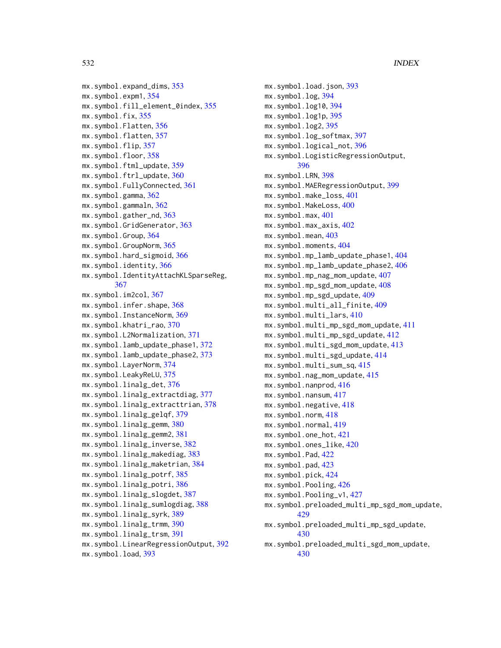```
mx.symbol.expand_dims, 353
mx.symbol.expm1, 354
mx.symbol.fill_element_0index, 355
mx.symbol.fix, 355
mx.symbol.Flatten, 356
357
mx.symbol.flip, 357
mx.symbol.floor, 358
mx.symbol.ftml_update, 359
mx.symbol.ftrl_update, 360
mx.symbol.FullyConnected, 361
mx.symbol.gamma, 362
mx.symbol.gammaln, 362
mx.symbol.gather_nd, 363
mx.symbol.GridGenerator, 363
mx.symbol.Group, 364
mx.symbol.GroupNorm, 365
mx.symbol.hard_sigmoid, 366
mx.symbol.identity, 366
mx.symbol.IdentityAttachKLSparseReg,
        367
mx.symbol.im2col, 367
mx.symbol.infer.shape, 368
mx.symbol.InstanceNorm, 369
mx.symbol.khatri_rao, 370
mx.symbol.L2Normalization, 371
mx.symbol.lamb_update_phase1, 372
mx.symbol.lamb_update_phase2, 373
mx.symbol.LayerNorm, 374
mx.symbol.LeakyReLU, 375
mx.symbol.linalg_det, 376
mx.symbol.linalg_extractdiag, 377
mx.symbol.linalg_extracttrian, 378
mx.symbol.linalg_gelqf, 379
mx.symbol.linalg_gemm, 380
mx.symbol.linalg_gemm2, 381
mx.symbol.linalg_inverse, 382
mx.symbol.linalg_makediag, 383
mx.symbol.linalg_maketrian, 384
mx.symbol.linalg_potrf, 385
mx.symbol.linalg_potri, 386
mx.symbol.linalg_slogdet, 387
mx.symbol.linalg_sumlogdiag, 388
mx.symbol.linalg_syrk, 389
mx.symbol.linalg_trmm, 390
mx.symbol.linalg_trsm, 391
mx.symbol.LinearRegressionOutput, 392
mx.symbol.load, 393
```

```
mx.symbol.load.json, 393
mx.symbol.log, 394
mx.symbol.log10, 394
mx.symbol.log1p, 395
mx.symbol.log2, 395
mx.symbol.log_softmax, 397
mx.symbol.logical_not, 396
mx.symbol.LogisticRegressionOutput,
        396
mx.symbol.LRN, 398
mx.symbol.MAERegressionOutput, 399
mx.symbol.make_loss, 401
mx.symbol.MakeLoss, 400
mx.symbol.max, 401
mx.symbol.max_axis, 402
mx.symbol.mean, 403
mx.symbol.moments, 404
mx.symbol.mp_lamb_update_phase1, 404
mx.symbol.mp_lamb_update_phase2, 406
mx.symbol.mp_nag_mom_update, 407
mx.symbol.mp_sgd_mom_update, 408
mx.symbol.mp_sgd_update, 409
mx.symbol.multi_all_finite, 409
mx.symbol.multi_lars, 410
mx.symbol.multi_mp_sgd_mom_update, 411
mx.symbol.multi_mp_sgd_update, 412
mx.symbol.multi_sgd_mom_update, 413
mx.symbol.multi_sgd_update, 414
mx.symbol.multi_sum_sq, 415
mx.symbol.nag_mom_update, 415
416
mx.symbol.nansum, 417
mx.symbol.negative, 418
mx.symbol.norm, 418
mx.symbol.normal, 419
mx.symbol.one_hot, 421
mx.symbol.ones_like, 420
mx.symbol.Pad, 422
mx.symbol.pad, 423
mx.symbol.pick, 424
mx.symbol.Pooling, 426
mx.symbol.Pooling_v1, 427
mx.symbol.preloaded_multi_mp_sgd_mom_update,
        429
mx.symbol.preloaded_multi_mp_sgd_update,
        430
mx.symbol.preloaded_multi_sgd_mom_update,
        430
```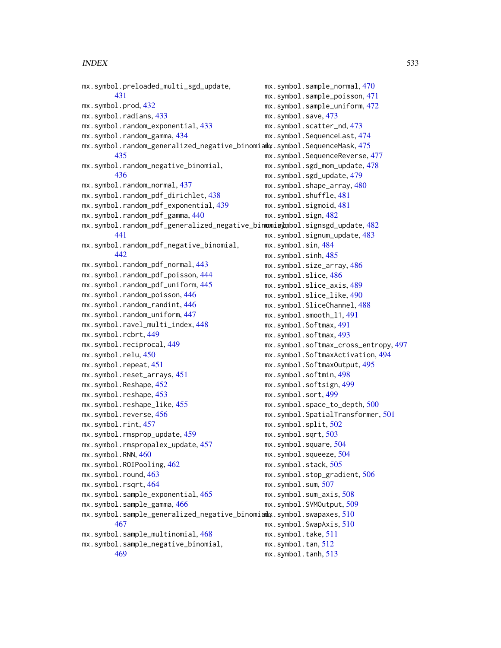```
mx.symbol.preloaded_multi_sgd_update,
        431
mx.symbol.prod, 432
mx.symbol.radians, 433
mx.symbol.random_exponential, 433
mx.symbol.random_gamma, 434
475</mark>
        435
mx.symbol.random_negative_binomial,
        436
mx.symbol.random_normal, 437
mx.symbol.random_pdf_dirichlet, 438
mx.symbol.random_pdf_exponential, 439
mx.symbol.random_pdf_gamma, 440
mx.symbol.random_pdf_generalized_negative_binomis}mbol.signsgd_update,4<mark>82</mark>
        441
mx.symbol.random_pdf_negative_binomial,
        442
mx.symbol.random_pdf_normal, 443
mx.symbol.random_pdf_poisson, 444
mx.symbol.random_pdf_uniform, 445
mx.symbol.random_poisson, 446
mx.symbol.random_randint, 446
mx.symbol.random_uniform, 447
mx.symbol.ravel_multi_index, 448
mx.symbol.rcbrt, 449
mx.symbol.reciprocal, 449
mx.symbol.relu, 450
mx.symbol.repeat, 451
mx.symbol.reset_arrays, 451
mx.symbol.Reshape, 452
mx.symbol.reshape, 453
mx.symbol.reshape_like, 455
mx.symbol.reverse, 456
mx.symbol.rint, 457
mx.symbol.rmsprop_update, 459
mx.symbol.rmspropalex_update, 457
mx.symbol.RNN, 460
mx.symbol.ROIPooling, 462
mx.symbol.round, 463
mx.symbol.rsqrt, 464
mx.symbol.sample_exponential, 465
mx.symbol.sample_gamma, 466
<code>mx.symbol.sample_generalized_negative_binomia</code>ly.symbol.swapaxes,510\,467
mx.symbol.sample_multinomial, 468
mx.symbol.sample_negative_binomial,
        469
                                              mx.symbol.sample_normal, 470
                                              mx.symbol.sample_poisson, 471
                                              mx.symbol.sample_uniform, 472
                                              mx.symbol.save, 473
                                              mx.symbol.scatter_nd, 473
                                              mx.symbol.SequenceLast, 474
                                              mx.symbol.SequenceReverse, 477
                                              mx.symbol.sgd_mom_update, 478
                                              mx.symbol.sgd_update, 479
                                              mx.symbol.shape_array, 480
                                              mx.symbol.shuffle, 481
                                              mx.symbol.sigmoid, 481
                                              mx.symbol.sign, 482
                                              mx.symbol.signum_update, 483
                                              mx.symbol.sin, 484
                                              mx.symbol.sinh, 485
                                              mx.symbol.size_array, 486
                                              mx.symbol.slice, 486
                                              mx.symbol.slice_axis, 489
                                              mx.symbol.slice_like, 490
                                              mx.symbol.SliceChannel, 488
                                              mx.symbol.smooth_l1, 491
                                              mx.symbol.Softmax, 491
                                              mx.symbol.softmax, 493
                                              mx.symbol.softmax_cross_entropy, 497
                                              mx.symbol.SoftmaxActivation, 494
                                              mx.symbol.SoftmaxOutput, 495
                                              mx.symbol.softmin, 498
                                              mx.symbol.softsign, 499
                                              mx.symbol.sort, 499
                                              mx.symbol.space_to_depth, 500
                                              mx.symbol.SpatialTransformer, 501
                                              mx.symbol.split, 502
                                              mx.symbol.sqrt, 503
                                              mx.symbol.square, 504
                                              mx.symbol.squeeze, 504
                                              mx.symbol.stack, 505
                                              mx.symbol.stop_gradient, 506
                                              mx.symbol.sum, 507
                                              mx.symbol.sum_axis, 508
                                              mx.symbol.SVMOutput, 509
                                              mx.symbol.SwapAxis, 510
                                              mx.symbol.take, 511
                                              mx.symbol.tan, 512
                                              mx.symbol.tanh, 513
```